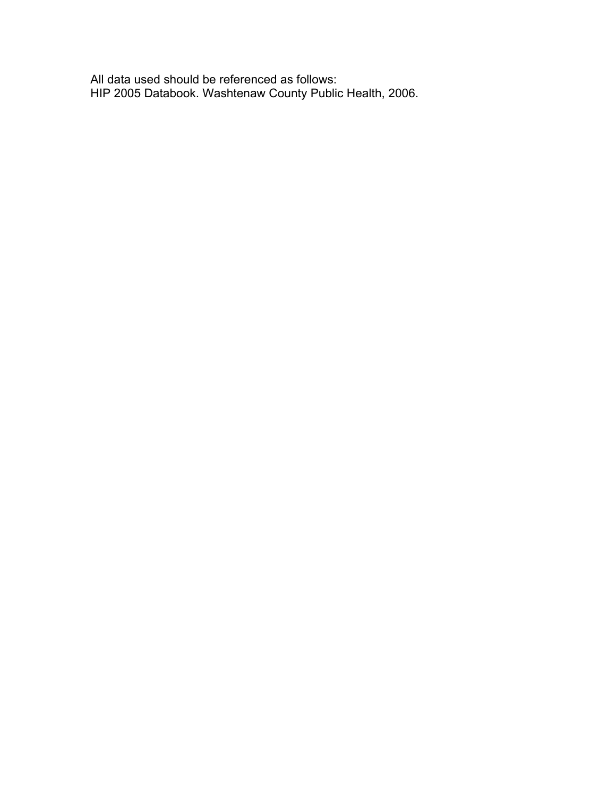All data used should be referenced as follows: HIP 2005 Databook. Washtenaw County Public Health, 2006.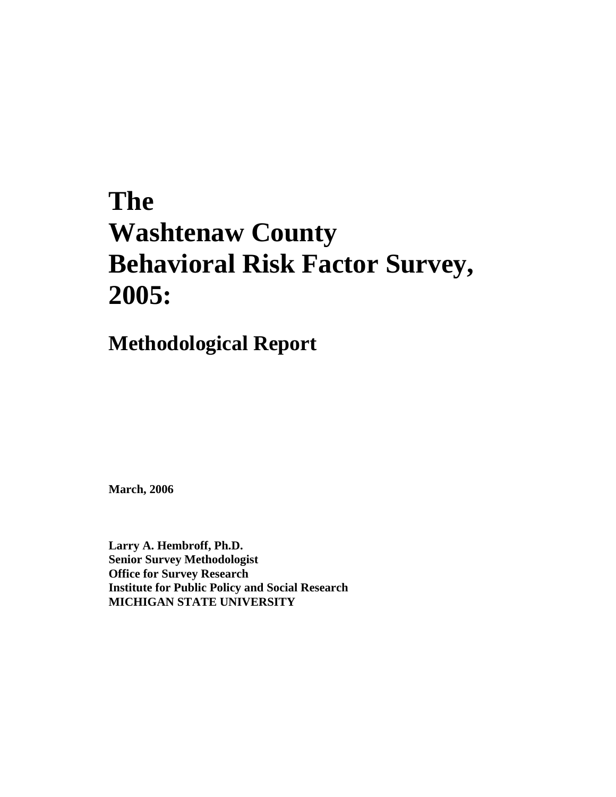# **The Washtenaw County Behavioral Risk Factor Survey, 2005:**

## **Methodological Report**

**March, 2006**

**Larry A. Hembroff, Ph.D. Senior Survey Methodologist Office for Survey Research Institute for Public Policy and Social Research MICHIGAN STATE UNIVERSITY**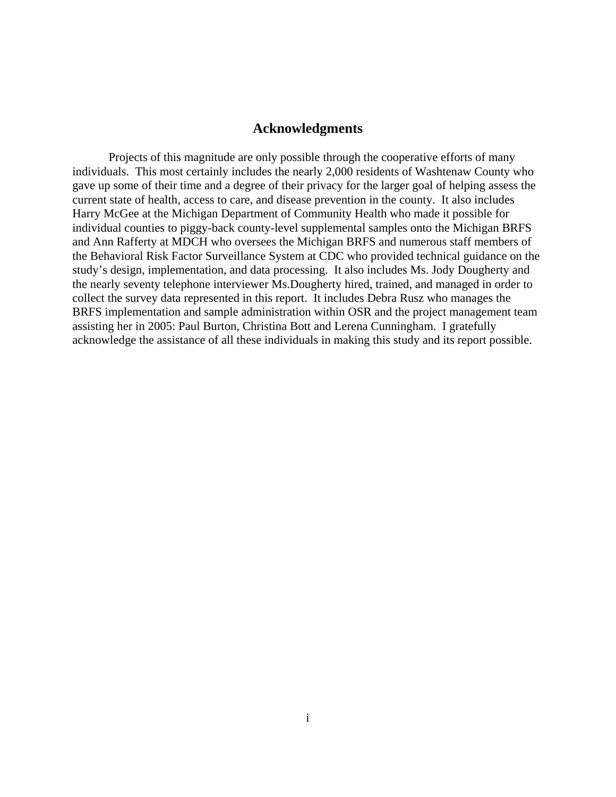#### **Acknowledgments**

Projects of this magnitude are only possible through the cooperative efforts of many individuals. This most certainly includes the nearly 2,000 residents of Washtenaw County who gave up some of their time and a degree of their privacy for the larger goal of helping assess the current state of health, access to care, and disease prevention in the county. It also includes Harry McGee at the Michigan Department of Community Health who made it possible for individual counties to piggy-back county-level supplemental samples onto the Michigan BRFS and Ann Rafferty at MDCH who oversees the Michigan BRFS and numerous staff members of the Behavioral Risk Factor Surveillance System at CDC who provided technical guidance on the study's design, implementation, and data processing. It also includes Ms. Jody Dougherty and the nearly seventy telephone interviewer Ms.Dougherty hired, trained, and managed in order to collect the survey data represented in this report. It includes Debra Rusz who manages the BRFS implementation and sample administration within OSR and the project management team assisting her in 2005: Paul Burton, Christina Bott and Lerena Cunningham. I gratefully acknowledge the assistance of all these individuals in making this study and its report possible.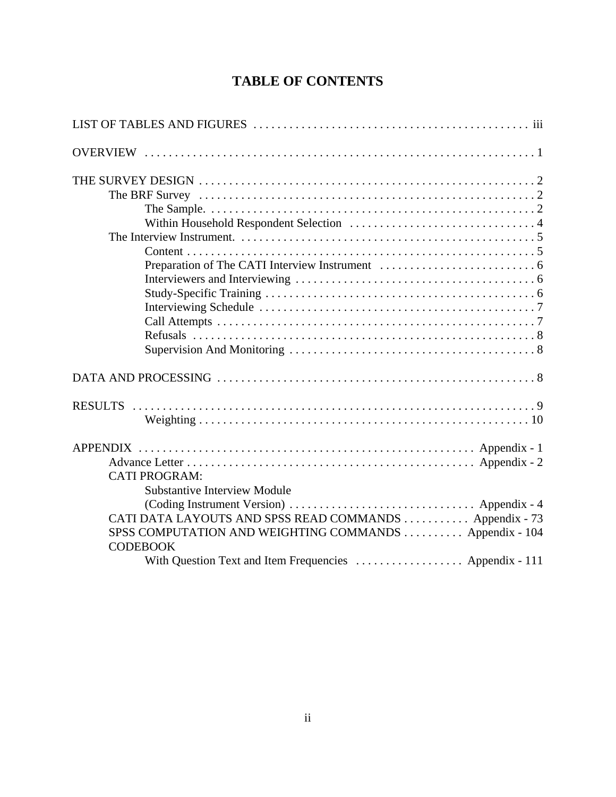### **TABLE OF CONTENTS**

| <b>CATI PROGRAM:</b>                                    |
|---------------------------------------------------------|
| <b>Substantive Interview Module</b>                     |
|                                                         |
| CATI DATA LAYOUTS AND SPSS READ COMMANDS  Appendix - 73 |
| SPSS COMPUTATION AND WEIGHTING COMMANDS  Appendix - 104 |
| <b>CODEBOOK</b>                                         |
| With Question Text and Item Frequencies  Appendix - 111 |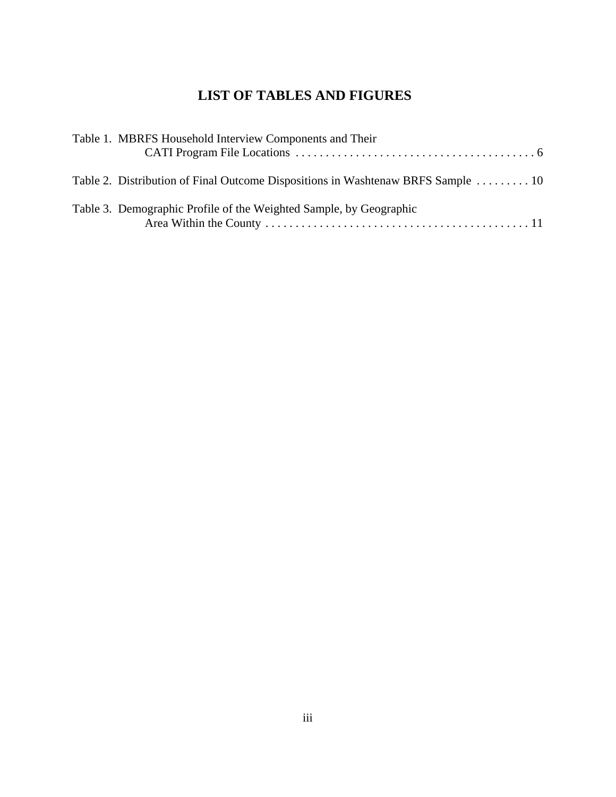### **LIST OF TABLES AND FIGURES**

| Table 2. Distribution of Final Outcome Dispositions in Washtenaw BRFS Sample  10 |
|----------------------------------------------------------------------------------|
|                                                                                  |
|                                                                                  |
|                                                                                  |
|                                                                                  |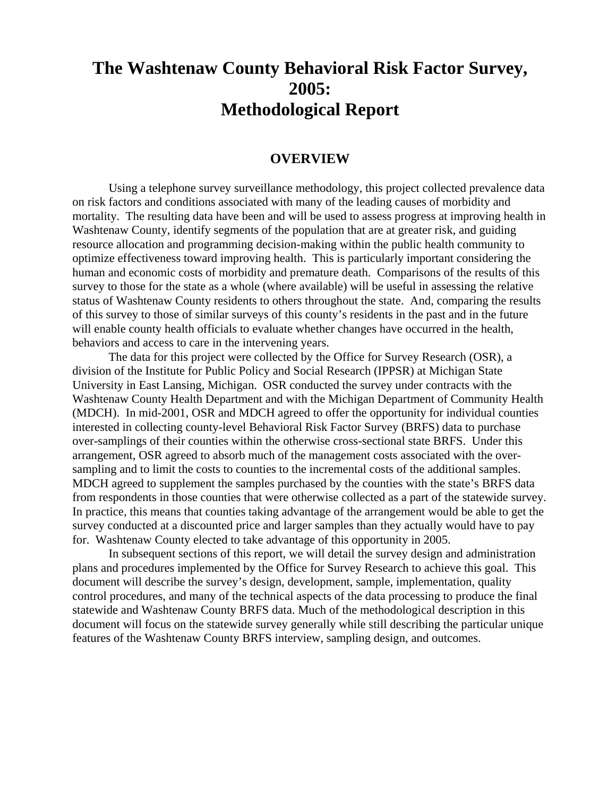### **The Washtenaw County Behavioral Risk Factor Survey, 2005: Methodological Report**

#### **OVERVIEW**

Using a telephone survey surveillance methodology, this project collected prevalence data on risk factors and conditions associated with many of the leading causes of morbidity and mortality. The resulting data have been and will be used to assess progress at improving health in Washtenaw County, identify segments of the population that are at greater risk, and guiding resource allocation and programming decision-making within the public health community to optimize effectiveness toward improving health. This is particularly important considering the human and economic costs of morbidity and premature death. Comparisons of the results of this survey to those for the state as a whole (where available) will be useful in assessing the relative status of Washtenaw County residents to others throughout the state. And, comparing the results of this survey to those of similar surveys of this county's residents in the past and in the future will enable county health officials to evaluate whether changes have occurred in the health, behaviors and access to care in the intervening years.

The data for this project were collected by the Office for Survey Research (OSR), a division of the Institute for Public Policy and Social Research (IPPSR) at Michigan State University in East Lansing, Michigan. OSR conducted the survey under contracts with the Washtenaw County Health Department and with the Michigan Department of Community Health (MDCH). In mid-2001, OSR and MDCH agreed to offer the opportunity for individual counties interested in collecting county-level Behavioral Risk Factor Survey (BRFS) data to purchase over-samplings of their counties within the otherwise cross-sectional state BRFS. Under this arrangement, OSR agreed to absorb much of the management costs associated with the oversampling and to limit the costs to counties to the incremental costs of the additional samples. MDCH agreed to supplement the samples purchased by the counties with the state's BRFS data from respondents in those counties that were otherwise collected as a part of the statewide survey. In practice, this means that counties taking advantage of the arrangement would be able to get the survey conducted at a discounted price and larger samples than they actually would have to pay for. Washtenaw County elected to take advantage of this opportunity in 2005.

In subsequent sections of this report, we will detail the survey design and administration plans and procedures implemented by the Office for Survey Research to achieve this goal. This document will describe the survey's design, development, sample, implementation, quality control procedures, and many of the technical aspects of the data processing to produce the final statewide and Washtenaw County BRFS data. Much of the methodological description in this document will focus on the statewide survey generally while still describing the particular unique features of the Washtenaw County BRFS interview, sampling design, and outcomes.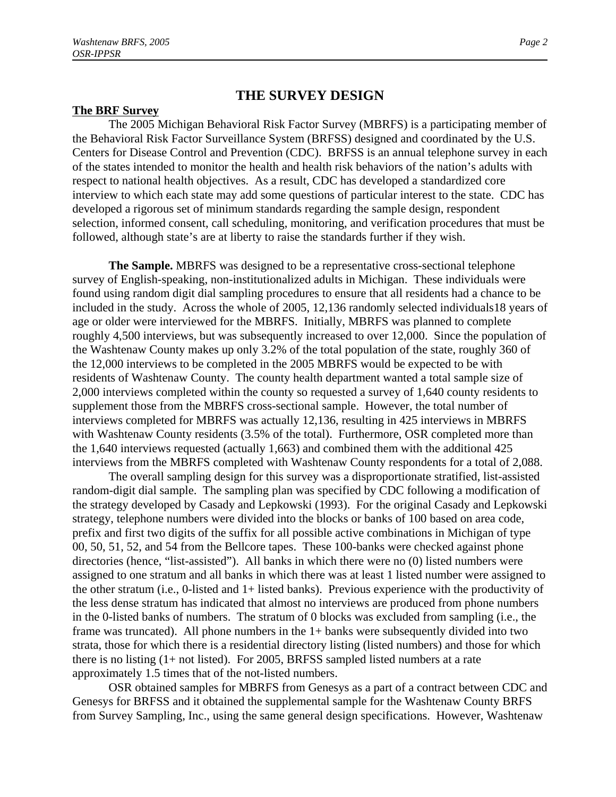#### **THE SURVEY DESIGN**

#### **The BRF Survey**

The 2005 Michigan Behavioral Risk Factor Survey (MBRFS) is a participating member of the Behavioral Risk Factor Surveillance System (BRFSS) designed and coordinated by the U.S. Centers for Disease Control and Prevention (CDC). BRFSS is an annual telephone survey in each of the states intended to monitor the health and health risk behaviors of the nation's adults with respect to national health objectives. As a result, CDC has developed a standardized core interview to which each state may add some questions of particular interest to the state. CDC has developed a rigorous set of minimum standards regarding the sample design, respondent selection, informed consent, call scheduling, monitoring, and verification procedures that must be followed, although state's are at liberty to raise the standards further if they wish.

**The Sample.** MBRFS was designed to be a representative cross-sectional telephone survey of English-speaking, non-institutionalized adults in Michigan. These individuals were found using random digit dial sampling procedures to ensure that all residents had a chance to be included in the study. Across the whole of 2005, 12,136 randomly selected individuals18 years of age or older were interviewed for the MBRFS. Initially, MBRFS was planned to complete roughly 4,500 interviews, but was subsequently increased to over 12,000. Since the population of the Washtenaw County makes up only 3.2% of the total population of the state, roughly 360 of the 12,000 interviews to be completed in the 2005 MBRFS would be expected to be with residents of Washtenaw County. The county health department wanted a total sample size of 2,000 interviews completed within the county so requested a survey of 1,640 county residents to supplement those from the MBRFS cross-sectional sample. However, the total number of interviews completed for MBRFS was actually 12,136, resulting in 425 interviews in MBRFS with Washtenaw County residents (3.5% of the total). Furthermore, OSR completed more than the 1,640 interviews requested (actually 1,663) and combined them with the additional 425 interviews from the MBRFS completed with Washtenaw County respondents for a total of 2,088.

The overall sampling design for this survey was a disproportionate stratified, list-assisted random-digit dial sample. The sampling plan was specified by CDC following a modification of the strategy developed by Casady and Lepkowski (1993). For the original Casady and Lepkowski strategy, telephone numbers were divided into the blocks or banks of 100 based on area code, prefix and first two digits of the suffix for all possible active combinations in Michigan of type 00, 50, 51, 52, and 54 from the Bellcore tapes. These 100-banks were checked against phone directories (hence, "list-assisted"). All banks in which there were no (0) listed numbers were assigned to one stratum and all banks in which there was at least 1 listed number were assigned to the other stratum (i.e., 0-listed and 1+ listed banks). Previous experience with the productivity of the less dense stratum has indicated that almost no interviews are produced from phone numbers in the 0-listed banks of numbers. The stratum of 0 blocks was excluded from sampling (i.e., the frame was truncated). All phone numbers in the 1+ banks were subsequently divided into two strata, those for which there is a residential directory listing (listed numbers) and those for which there is no listing (1+ not listed). For 2005, BRFSS sampled listed numbers at a rate approximately 1.5 times that of the not-listed numbers.

 OSR obtained samples for MBRFS from Genesys as a part of a contract between CDC and Genesys for BRFSS and it obtained the supplemental sample for the Washtenaw County BRFS from Survey Sampling, Inc., using the same general design specifications. However, Washtenaw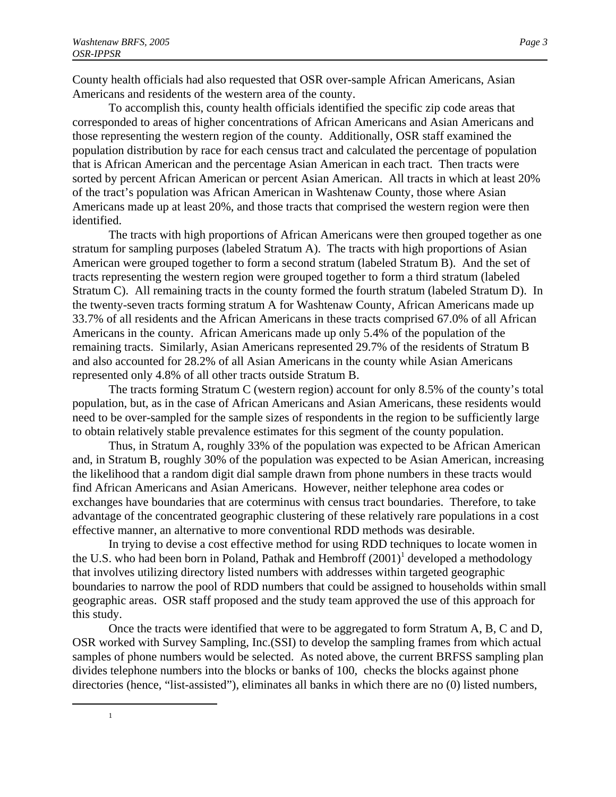1

County health officials had also requested that OSR over-sample African Americans, Asian Americans and residents of the western area of the county.

To accomplish this, county health officials identified the specific zip code areas that corresponded to areas of higher concentrations of African Americans and Asian Americans and those representing the western region of the county. Additionally, OSR staff examined the population distribution by race for each census tract and calculated the percentage of population that is African American and the percentage Asian American in each tract. Then tracts were sorted by percent African American or percent Asian American. All tracts in which at least 20% of the tract's population was African American in Washtenaw County, those where Asian Americans made up at least 20%, and those tracts that comprised the western region were then identified.

The tracts with high proportions of African Americans were then grouped together as one stratum for sampling purposes (labeled Stratum A). The tracts with high proportions of Asian American were grouped together to form a second stratum (labeled Stratum B). And the set of tracts representing the western region were grouped together to form a third stratum (labeled Stratum C). All remaining tracts in the county formed the fourth stratum (labeled Stratum D). In the twenty-seven tracts forming stratum A for Washtenaw County, African Americans made up 33.7% of all residents and the African Americans in these tracts comprised 67.0% of all African Americans in the county. African Americans made up only 5.4% of the population of the remaining tracts. Similarly, Asian Americans represented 29.7% of the residents of Stratum B and also accounted for 28.2% of all Asian Americans in the county while Asian Americans represented only 4.8% of all other tracts outside Stratum B.

The tracts forming Stratum C (western region) account for only 8.5% of the county's total population, but, as in the case of African Americans and Asian Americans, these residents would need to be over-sampled for the sample sizes of respondents in the region to be sufficiently large to obtain relatively stable prevalence estimates for this segment of the county population.

Thus, in Stratum A, roughly 33% of the population was expected to be African American and, in Stratum B, roughly 30% of the population was expected to be Asian American, increasing the likelihood that a random digit dial sample drawn from phone numbers in these tracts would find African Americans and Asian Americans. However, neither telephone area codes or exchanges have boundaries that are coterminus with census tract boundaries. Therefore, to take advantage of the concentrated geographic clustering of these relatively rare populations in a cost effective manner, an alternative to more conventional RDD methods was desirable.

In trying to devise a cost effective method for using RDD techniques to locate women in the U.S. who had been born in Poland, Pathak and Hembroff (2001)<sup>1</sup> developed a methodology that involves utilizing directory listed numbers with addresses within targeted geographic boundaries to narrow the pool of RDD numbers that could be assigned to households within small geographic areas. OSR staff proposed and the study team approved the use of this approach for this study.

Once the tracts were identified that were to be aggregated to form Stratum A, B, C and D, OSR worked with Survey Sampling, Inc.(SSI) to develop the sampling frames from which actual samples of phone numbers would be selected. As noted above, the current BRFSS sampling plan divides telephone numbers into the blocks or banks of 100, checks the blocks against phone directories (hence, "list-assisted"), eliminates all banks in which there are no (0) listed numbers,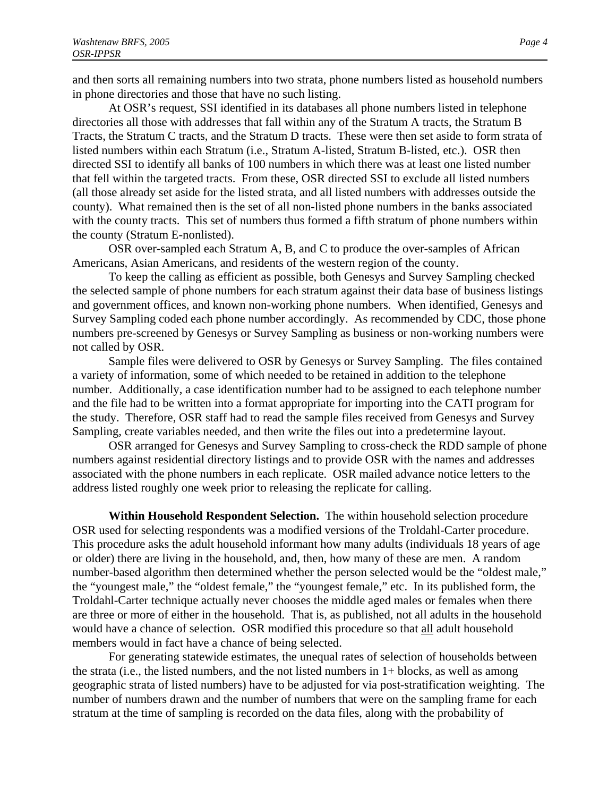and then sorts all remaining numbers into two strata, phone numbers listed as household numbers in phone directories and those that have no such listing.

At OSR's request, SSI identified in its databases all phone numbers listed in telephone directories all those with addresses that fall within any of the Stratum A tracts, the Stratum B Tracts, the Stratum C tracts, and the Stratum D tracts. These were then set aside to form strata of listed numbers within each Stratum (i.e., Stratum A-listed, Stratum B-listed, etc.). OSR then directed SSI to identify all banks of 100 numbers in which there was at least one listed number that fell within the targeted tracts. From these, OSR directed SSI to exclude all listed numbers (all those already set aside for the listed strata, and all listed numbers with addresses outside the county). What remained then is the set of all non-listed phone numbers in the banks associated with the county tracts. This set of numbers thus formed a fifth stratum of phone numbers within the county (Stratum E-nonlisted).

OSR over-sampled each Stratum A, B, and C to produce the over-samples of African Americans, Asian Americans, and residents of the western region of the county.

To keep the calling as efficient as possible, both Genesys and Survey Sampling checked the selected sample of phone numbers for each stratum against their data base of business listings and government offices, and known non-working phone numbers. When identified, Genesys and Survey Sampling coded each phone number accordingly. As recommended by CDC, those phone numbers pre-screened by Genesys or Survey Sampling as business or non-working numbers were not called by OSR.

Sample files were delivered to OSR by Genesys or Survey Sampling. The files contained a variety of information, some of which needed to be retained in addition to the telephone number. Additionally, a case identification number had to be assigned to each telephone number and the file had to be written into a format appropriate for importing into the CATI program for the study. Therefore, OSR staff had to read the sample files received from Genesys and Survey Sampling, create variables needed, and then write the files out into a predetermine layout.

OSR arranged for Genesys and Survey Sampling to cross-check the RDD sample of phone numbers against residential directory listings and to provide OSR with the names and addresses associated with the phone numbers in each replicate. OSR mailed advance notice letters to the address listed roughly one week prior to releasing the replicate for calling.

**Within Household Respondent Selection.** The within household selection procedure OSR used for selecting respondents was a modified versions of the Troldahl-Carter procedure. This procedure asks the adult household informant how many adults (individuals 18 years of age or older) there are living in the household, and, then, how many of these are men. A random number-based algorithm then determined whether the person selected would be the "oldest male," the "youngest male," the "oldest female," the "youngest female," etc. In its published form, the Troldahl-Carter technique actually never chooses the middle aged males or females when there are three or more of either in the household. That is, as published, not all adults in the household would have a chance of selection. OSR modified this procedure so that all adult household members would in fact have a chance of being selected.

For generating statewide estimates, the unequal rates of selection of households between the strata (i.e., the listed numbers, and the not listed numbers in 1+ blocks, as well as among geographic strata of listed numbers) have to be adjusted for via post-stratification weighting. The number of numbers drawn and the number of numbers that were on the sampling frame for each stratum at the time of sampling is recorded on the data files, along with the probability of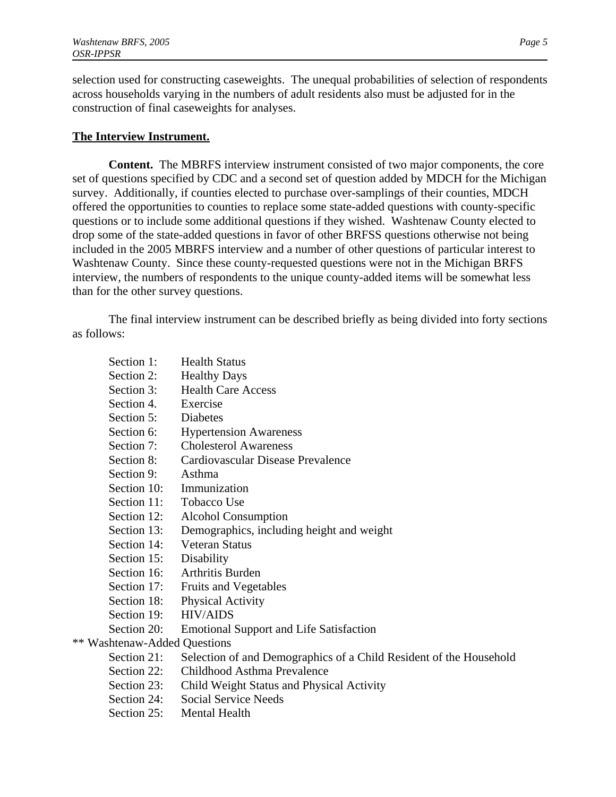selection used for constructing caseweights. The unequal probabilities of selection of respondents across households varying in the numbers of adult residents also must be adjusted for in the construction of final caseweights for analyses.

#### **The Interview Instrument.**

**Content.** The MBRFS interview instrument consisted of two major components, the core set of questions specified by CDC and a second set of question added by MDCH for the Michigan survey. Additionally, if counties elected to purchase over-samplings of their counties, MDCH offered the opportunities to counties to replace some state-added questions with county-specific questions or to include some additional questions if they wished. Washtenaw County elected to drop some of the state-added questions in favor of other BRFSS questions otherwise not being included in the 2005 MBRFS interview and a number of other questions of particular interest to Washtenaw County. Since these county-requested questions were not in the Michigan BRFS interview, the numbers of respondents to the unique county-added items will be somewhat less than for the other survey questions.

The final interview instrument can be described briefly as being divided into forty sections as follows:

of a Child Resident of the Household

| Section 1:                   | <b>Health Status</b>                           |
|------------------------------|------------------------------------------------|
| Section 2:                   | <b>Healthy Days</b>                            |
| Section 3:                   | <b>Health Care Access</b>                      |
| Section 4.                   | Exercise                                       |
| Section 5:                   | Diabetes                                       |
| Section 6:                   | <b>Hypertension Awareness</b>                  |
| Section 7:                   | <b>Cholesterol Awareness</b>                   |
| Section 8:                   | Cardiovascular Disease Prevalence              |
| Section 9:                   | Asthma                                         |
| Section 10:                  | Immunization                                   |
| Section 11:                  | Tobacco Use                                    |
| Section 12:                  | <b>Alcohol Consumption</b>                     |
| Section 13:                  | Demographics, including height and weight      |
| Section 14:                  | <b>Veteran Status</b>                          |
| Section 15:                  | Disability                                     |
| Section 16:                  | <b>Arthritis Burden</b>                        |
| Section 17:                  | <b>Fruits and Vegetables</b>                   |
| Section 18:                  | <b>Physical Activity</b>                       |
| Section 19:                  | <b>HIV/AIDS</b>                                |
| Section 20:                  | <b>Emotional Support and Life Satisfaction</b> |
| ** Washtenaw-Added Questions |                                                |
| Section 21:                  | Selection of and Demographics of a Child R     |
| Section 22:                  | Childhood Asthma Prevalence                    |

- Section 23: Child Weight Status and Physical Activity
- Section 24: Social Service Needs
- Section 25: Mental Health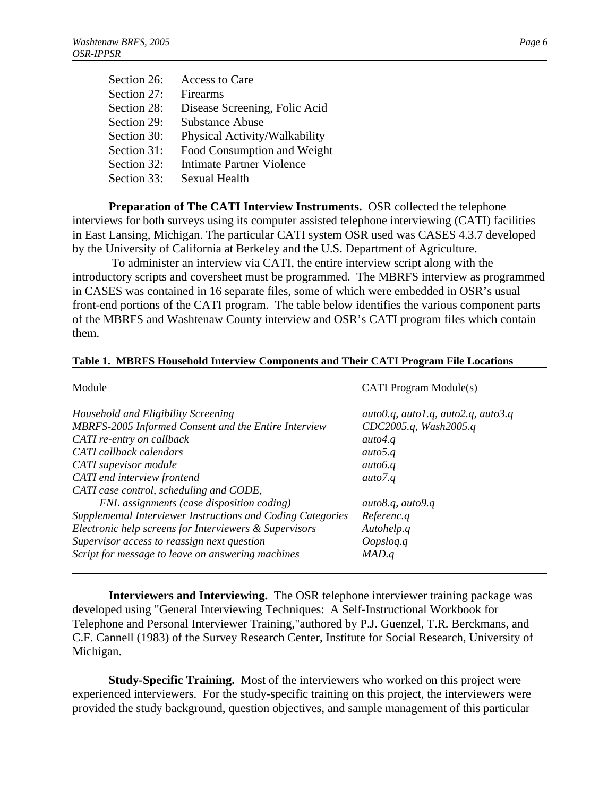| Section 26: | Access to Care                   |
|-------------|----------------------------------|
| Section 27: | Firearms                         |
| Section 28: | Disease Screening, Folic Acid    |
| Section 29: | Substance Abuse                  |
| Section 30: | Physical Activity/Walkability    |
| Section 31: | Food Consumption and Weight      |
| Section 32: | <b>Intimate Partner Violence</b> |
| Section 33: | <b>Sexual Health</b>             |

**Preparation of The CATI Interview Instruments. OSR collected the telephone** interviews for both surveys using its computer assisted telephone interviewing (CATI) facilities in East Lansing, Michigan. The particular CATI system OSR used was CASES 4.3.7 developed by the University of California at Berkeley and the U.S. Department of Agriculture.

 To administer an interview via CATI, the entire interview script along with the introductory scripts and coversheet must be programmed. The MBRFS interview as programmed in CASES was contained in 16 separate files, some of which were embedded in OSR's usual front-end portions of the CATI program. The table below identifies the various component parts of the MBRFS and Washtenaw County interview and OSR's CATI program files which contain them.

| Module                                                      | <b>CATI</b> Program Module(s)                     |
|-------------------------------------------------------------|---------------------------------------------------|
| Household and Eligibility Screening                         | auto $0.q$ , auto $1.q$ , auto $2.q$ , auto $3.q$ |
| MBRFS-2005 Informed Consent and the Entire Interview        | CDC2005.q, Wash2005.q                             |
| CATI re-entry on callback                                   | auto4.q                                           |
| CATI callback calendars                                     | auto5.q                                           |
| CATI supevisor module                                       | auto6.q                                           |
| CATI end interview frontend                                 | auto7.q                                           |
| CATI case control, scheduling and CODE,                     |                                                   |
| FNL assignments (case disposition coding)                   | auto8.q, auto9.q                                  |
| Supplemental Interviewer Instructions and Coding Categories | Referenc.q                                        |
| Electronic help screens for Interviewers & Supervisors      | Autohelp.q                                        |
| Supervisor access to reassign next question                 | Oopslog.q                                         |
| Script for message to leave on answering machines           | MAD.q                                             |

#### **Table 1. MBRFS Household Interview Components and Their CATI Program File Locations**

**Interviewers and Interviewing.** The OSR telephone interviewer training package was developed using "General Interviewing Techniques: A Self-Instructional Workbook for Telephone and Personal Interviewer Training,"authored by P.J. Guenzel, T.R. Berckmans, and C.F. Cannell (1983) of the Survey Research Center, Institute for Social Research, University of Michigan.

**Study-Specific Training.** Most of the interviewers who worked on this project were experienced interviewers. For the study-specific training on this project, the interviewers were provided the study background, question objectives, and sample management of this particular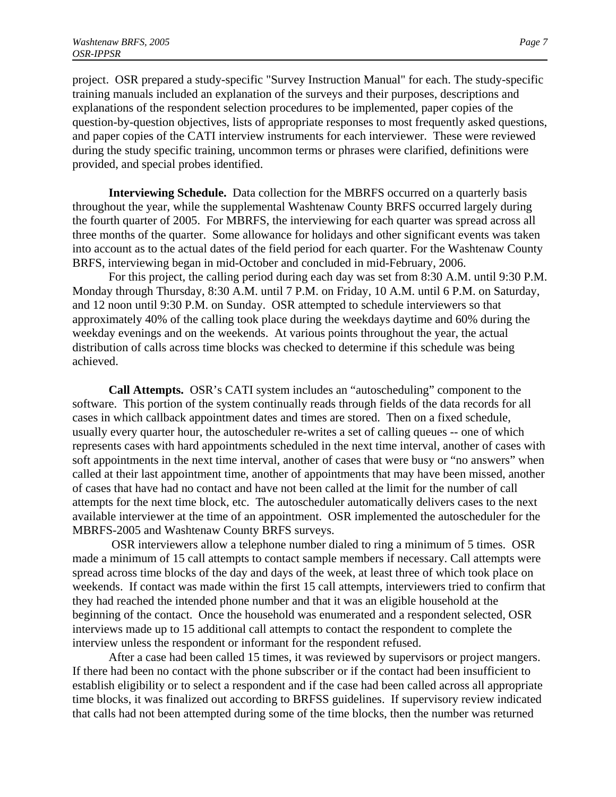project. OSR prepared a study-specific "Survey Instruction Manual" for each. The study-specific training manuals included an explanation of the surveys and their purposes, descriptions and explanations of the respondent selection procedures to be implemented, paper copies of the question-by-question objectives, lists of appropriate responses to most frequently asked questions, and paper copies of the CATI interview instruments for each interviewer. These were reviewed during the study specific training, uncommon terms or phrases were clarified, definitions were provided, and special probes identified.

**Interviewing Schedule.** Data collection for the MBRFS occurred on a quarterly basis throughout the year, while the supplemental Washtenaw County BRFS occurred largely during the fourth quarter of 2005. For MBRFS, the interviewing for each quarter was spread across all three months of the quarter. Some allowance for holidays and other significant events was taken into account as to the actual dates of the field period for each quarter. For the Washtenaw County BRFS, interviewing began in mid-October and concluded in mid-February, 2006.

For this project, the calling period during each day was set from 8:30 A.M. until 9:30 P.M. Monday through Thursday, 8:30 A.M. until 7 P.M. on Friday, 10 A.M. until 6 P.M. on Saturday, and 12 noon until 9:30 P.M. on Sunday. OSR attempted to schedule interviewers so that approximately 40% of the calling took place during the weekdays daytime and 60% during the weekday evenings and on the weekends. At various points throughout the year, the actual distribution of calls across time blocks was checked to determine if this schedule was being achieved.

**Call Attempts.** OSR's CATI system includes an "autoscheduling" component to the software. This portion of the system continually reads through fields of the data records for all cases in which callback appointment dates and times are stored. Then on a fixed schedule, usually every quarter hour, the autoscheduler re-writes a set of calling queues -- one of which represents cases with hard appointments scheduled in the next time interval, another of cases with soft appointments in the next time interval, another of cases that were busy or "no answers" when called at their last appointment time, another of appointments that may have been missed, another of cases that have had no contact and have not been called at the limit for the number of call attempts for the next time block, etc. The autoscheduler automatically delivers cases to the next available interviewer at the time of an appointment. OSR implemented the autoscheduler for the MBRFS-2005 and Washtenaw County BRFS surveys.

 OSR interviewers allow a telephone number dialed to ring a minimum of 5 times. OSR made a minimum of 15 call attempts to contact sample members if necessary. Call attempts were spread across time blocks of the day and days of the week, at least three of which took place on weekends. If contact was made within the first 15 call attempts, interviewers tried to confirm that they had reached the intended phone number and that it was an eligible household at the beginning of the contact. Once the household was enumerated and a respondent selected, OSR interviews made up to 15 additional call attempts to contact the respondent to complete the interview unless the respondent or informant for the respondent refused.

After a case had been called 15 times, it was reviewed by supervisors or project mangers. If there had been no contact with the phone subscriber or if the contact had been insufficient to establish eligibility or to select a respondent and if the case had been called across all appropriate time blocks, it was finalized out according to BRFSS guidelines. If supervisory review indicated that calls had not been attempted during some of the time blocks, then the number was returned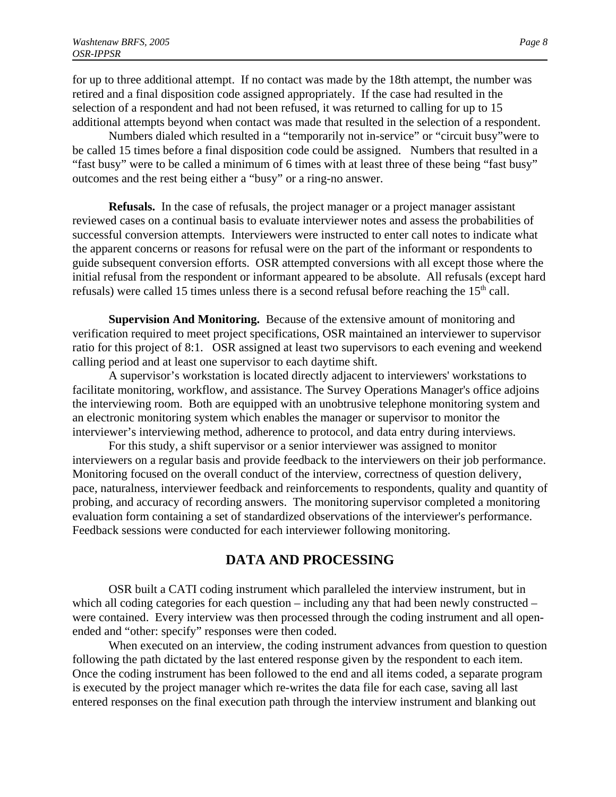for up to three additional attempt. If no contact was made by the 18th attempt, the number was retired and a final disposition code assigned appropriately. If the case had resulted in the selection of a respondent and had not been refused, it was returned to calling for up to 15 additional attempts beyond when contact was made that resulted in the selection of a respondent.

Numbers dialed which resulted in a "temporarily not in-service" or "circuit busy"were to be called 15 times before a final disposition code could be assigned. Numbers that resulted in a "fast busy" were to be called a minimum of 6 times with at least three of these being "fast busy" outcomes and the rest being either a "busy" or a ring-no answer.

**Refusals.** In the case of refusals, the project manager or a project manager assistant reviewed cases on a continual basis to evaluate interviewer notes and assess the probabilities of successful conversion attempts. Interviewers were instructed to enter call notes to indicate what the apparent concerns or reasons for refusal were on the part of the informant or respondents to guide subsequent conversion efforts. OSR attempted conversions with all except those where the initial refusal from the respondent or informant appeared to be absolute. All refusals (except hard refusals) were called 15 times unless there is a second refusal before reaching the  $15<sup>th</sup>$  call.

**Supervision And Monitoring.** Because of the extensive amount of monitoring and verification required to meet project specifications, OSR maintained an interviewer to supervisor ratio for this project of 8:1. OSR assigned at least two supervisors to each evening and weekend calling period and at least one supervisor to each daytime shift.

A supervisor's workstation is located directly adjacent to interviewers' workstations to facilitate monitoring, workflow, and assistance. The Survey Operations Manager's office adjoins the interviewing room. Both are equipped with an unobtrusive telephone monitoring system and an electronic monitoring system which enables the manager or supervisor to monitor the interviewer's interviewing method, adherence to protocol, and data entry during interviews.

For this study, a shift supervisor or a senior interviewer was assigned to monitor interviewers on a regular basis and provide feedback to the interviewers on their job performance. Monitoring focused on the overall conduct of the interview, correctness of question delivery, pace, naturalness, interviewer feedback and reinforcements to respondents, quality and quantity of probing, and accuracy of recording answers. The monitoring supervisor completed a monitoring evaluation form containing a set of standardized observations of the interviewer's performance. Feedback sessions were conducted for each interviewer following monitoring.

#### **DATA AND PROCESSING**

OSR built a CATI coding instrument which paralleled the interview instrument, but in which all coding categories for each question – including any that had been newly constructed – were contained. Every interview was then processed through the coding instrument and all openended and "other: specify" responses were then coded.

When executed on an interview, the coding instrument advances from question to question following the path dictated by the last entered response given by the respondent to each item. Once the coding instrument has been followed to the end and all items coded, a separate program is executed by the project manager which re-writes the data file for each case, saving all last entered responses on the final execution path through the interview instrument and blanking out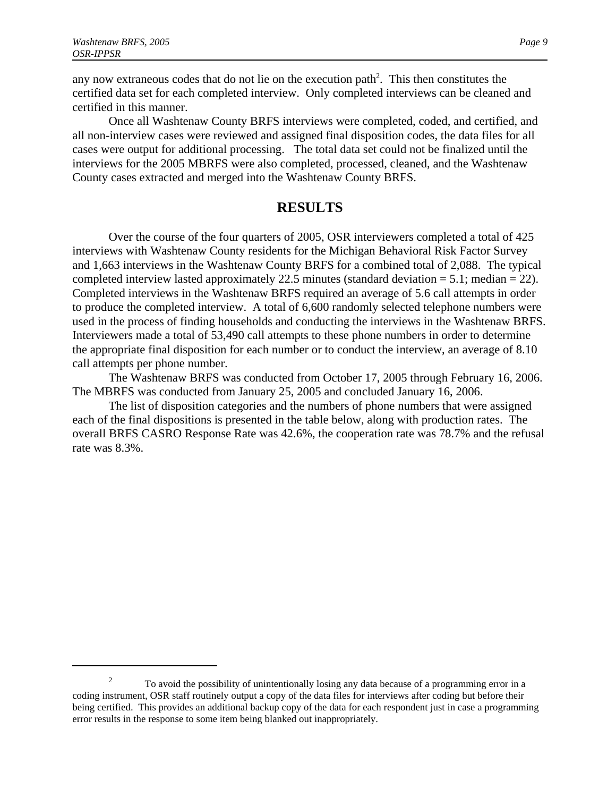any now extraneous codes that do not lie on the execution path<sup>2</sup>. This then constitutes the certified data set for each completed interview. Only completed interviews can be cleaned and certified in this manner.

Once all Washtenaw County BRFS interviews were completed, coded, and certified, and all non-interview cases were reviewed and assigned final disposition codes, the data files for all cases were output for additional processing. The total data set could not be finalized until the interviews for the 2005 MBRFS were also completed, processed, cleaned, and the Washtenaw County cases extracted and merged into the Washtenaw County BRFS.

#### **RESULTS**

Over the course of the four quarters of 2005, OSR interviewers completed a total of 425 interviews with Washtenaw County residents for the Michigan Behavioral Risk Factor Survey and 1,663 interviews in the Washtenaw County BRFS for a combined total of 2,088. The typical completed interview lasted approximately 22.5 minutes (standard deviation  $= 5.1$ ; median  $= 22$ ). Completed interviews in the Washtenaw BRFS required an average of 5.6 call attempts in order to produce the completed interview. A total of 6,600 randomly selected telephone numbers were used in the process of finding households and conducting the interviews in the Washtenaw BRFS. Interviewers made a total of 53,490 call attempts to these phone numbers in order to determine the appropriate final disposition for each number or to conduct the interview, an average of 8.10 call attempts per phone number.

The Washtenaw BRFS was conducted from October 17, 2005 through February 16, 2006. The MBRFS was conducted from January 25, 2005 and concluded January 16, 2006.

The list of disposition categories and the numbers of phone numbers that were assigned each of the final dispositions is presented in the table below, along with production rates. The overall BRFS CASRO Response Rate was 42.6%, the cooperation rate was 78.7% and the refusal rate was 8.3%.

<sup>&</sup>lt;sup>2</sup> To avoid the possibility of unintentionally losing any data because of a programming error in a coding instrument, OSR staff routinely output a copy of the data files for interviews after coding but before their being certified. This provides an additional backup copy of the data for each respondent just in case a programming error results in the response to some item being blanked out inappropriately.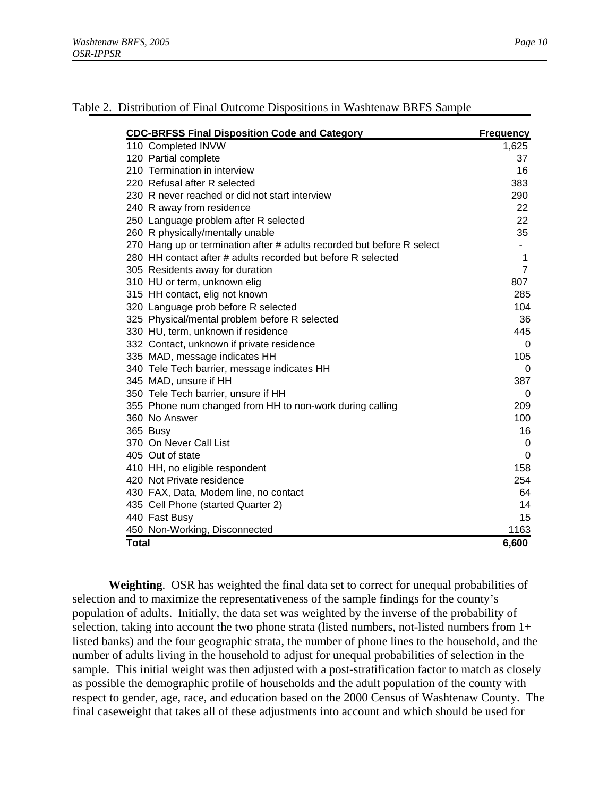| <b>CDC-BRFSS Final Disposition Code and Category</b>                   | <b>Frequency</b> |
|------------------------------------------------------------------------|------------------|
| 110 Completed INVW                                                     | 1,625            |
| 120 Partial complete                                                   | 37               |
| 210 Termination in interview                                           | 16               |
| 220 Refusal after R selected                                           | 383              |
| 230 R never reached or did not start interview                         | 290              |
| 240 R away from residence                                              | 22               |
| 250 Language problem after R selected                                  | 22               |
| 260 R physically/mentally unable                                       | 35               |
| 270 Hang up or termination after # adults recorded but before R select |                  |
| 280 HH contact after # adults recorded but before R selected           | 1                |
| 305 Residents away for duration                                        | $\overline{7}$   |
| 310 HU or term, unknown elig                                           | 807              |
| 315 HH contact, elig not known                                         | 285              |
| 320 Language prob before R selected                                    | 104              |
| 325 Physical/mental problem before R selected                          | 36               |
| 330 HU, term, unknown if residence                                     | 445              |
| 332 Contact, unknown if private residence                              | $\Omega$         |
| 335 MAD, message indicates HH                                          | 105              |
| 340 Tele Tech barrier, message indicates HH                            | 0                |
| 345 MAD, unsure if HH                                                  | 387              |
| 350 Tele Tech barrier, unsure if HH                                    | 0                |
| 355 Phone num changed from HH to non-work during calling               | 209              |
| 360 No Answer                                                          | 100              |
| 365 Busy                                                               | 16               |
| 370 On Never Call List                                                 | $\mathbf 0$      |
| 405 Out of state                                                       | $\Omega$         |
| 410 HH, no eligible respondent                                         | 158              |
| 420 Not Private residence                                              | 254              |
| 430 FAX, Data, Modem line, no contact                                  | 64               |
| 435 Cell Phone (started Quarter 2)                                     | 14               |
| 440 Fast Busy                                                          | 15               |
| 450 Non-Working, Disconnected                                          | 1163             |
| <b>Total</b>                                                           | 6,600            |

#### Table 2. Distribution of Final Outcome Dispositions in Washtenaw BRFS Sample

**Weighting**. OSR has weighted the final data set to correct for unequal probabilities of selection and to maximize the representativeness of the sample findings for the county's population of adults. Initially, the data set was weighted by the inverse of the probability of selection, taking into account the two phone strata (listed numbers, not-listed numbers from 1+ listed banks) and the four geographic strata, the number of phone lines to the household, and the number of adults living in the household to adjust for unequal probabilities of selection in the sample. This initial weight was then adjusted with a post-stratification factor to match as closely as possible the demographic profile of households and the adult population of the county with respect to gender, age, race, and education based on the 2000 Census of Washtenaw County. The final caseweight that takes all of these adjustments into account and which should be used for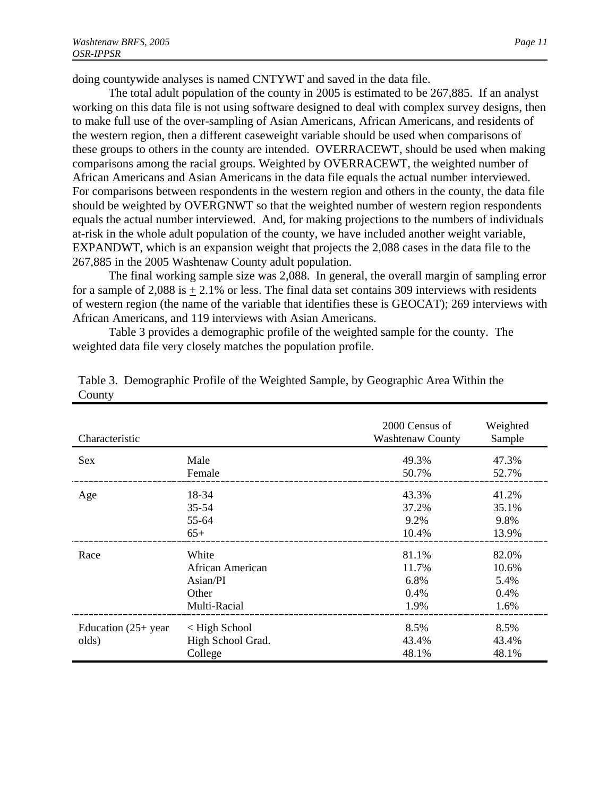doing countywide analyses is named CNTYWT and saved in the data file.

The total adult population of the county in 2005 is estimated to be 267,885. If an analyst working on this data file is not using software designed to deal with complex survey designs, then to make full use of the over-sampling of Asian Americans, African Americans, and residents of the western region, then a different caseweight variable should be used when comparisons of these groups to others in the county are intended. OVERRACEWT, should be used when making comparisons among the racial groups. Weighted by OVERRACEWT, the weighted number of African Americans and Asian Americans in the data file equals the actual number interviewed. For comparisons between respondents in the western region and others in the county, the data file should be weighted by OVERGNWT so that the weighted number of western region respondents equals the actual number interviewed. And, for making projections to the numbers of individuals at-risk in the whole adult population of the county, we have included another weight variable, EXPANDWT, which is an expansion weight that projects the 2,088 cases in the data file to the 267,885 in the 2005 Washtenaw County adult population.

The final working sample size was 2,088. In general, the overall margin of sampling error for a sample of  $2,088$  is  $+2.1\%$  or less. The final data set contains 309 interviews with residents of western region (the name of the variable that identifies these is GEOCAT); 269 interviews with African Americans, and 119 interviews with Asian Americans.

Table 3 provides a demographic profile of the weighted sample for the county. The weighted data file very closely matches the population profile.

| Characteristic                  |                                                       | 2000 Census of<br><b>Washtenaw County</b> | Weighted<br>Sample     |
|---------------------------------|-------------------------------------------------------|-------------------------------------------|------------------------|
| <b>Sex</b>                      | Male                                                  | 49.3%                                     | 47.3%                  |
|                                 | Female                                                | 50.7%                                     | 52.7%                  |
| Age                             | 18-34                                                 | 43.3%                                     | 41.2%                  |
|                                 | $35 - 54$                                             | 37.2%                                     | 35.1%                  |
|                                 | 55-64                                                 | 9.2%                                      | 9.8%                   |
|                                 | $65+$                                                 | 10.4%                                     | 13.9%                  |
| Race                            | White                                                 | 81.1%                                     | 82.0%                  |
|                                 | African American                                      | 11.7%                                     | 10.6%                  |
|                                 | $\text{Asian/PI}$                                     | 6.8%                                      | 5.4%                   |
|                                 | Other                                                 | 0.4%                                      | 0.4%                   |
|                                 | Multi-Racial                                          | 1.9%                                      | 1.6%                   |
| Education $(25+)$ year<br>olds) | $\langle$ High School<br>High School Grad.<br>College | 8.5%<br>43.4%<br>48.1%                    | 8.5%<br>43.4%<br>48.1% |

Table 3. Demographic Profile of the Weighted Sample, by Geographic Area Within the County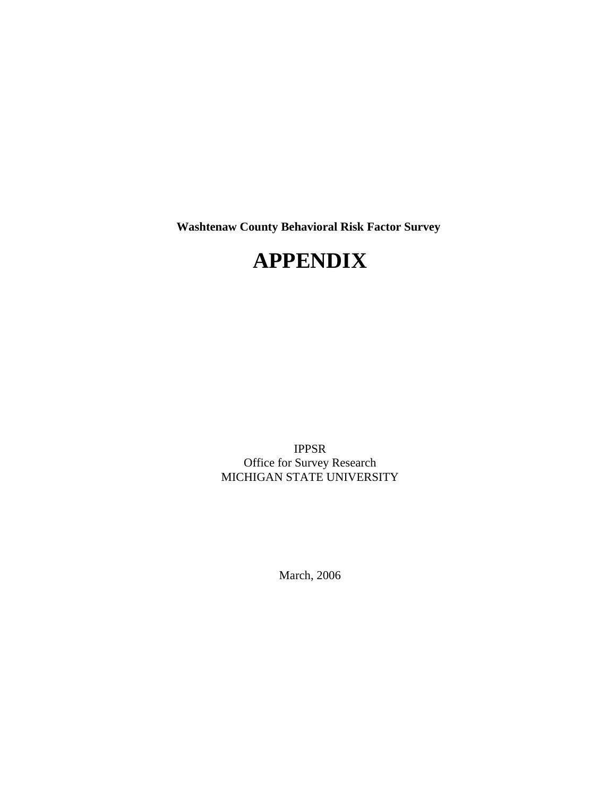**Washtenaw County Behavioral Risk Factor Survey** 

# **APPENDIX**

IPPSR Office for Survey Research MICHIGAN STATE UNIVERSITY

March, 2006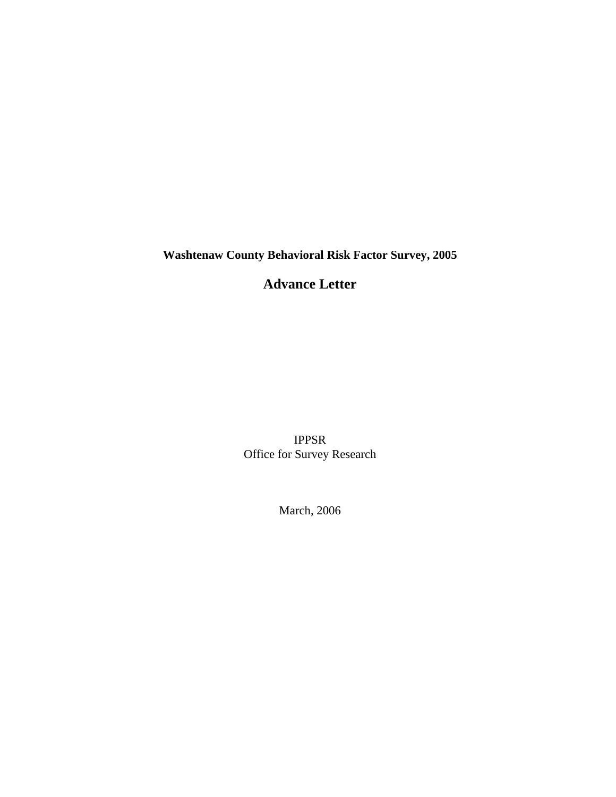**Washtenaw County Behavioral Risk Factor Survey, 2005**

**Advance Letter**

IPPSR Office for Survey Research

March, 2006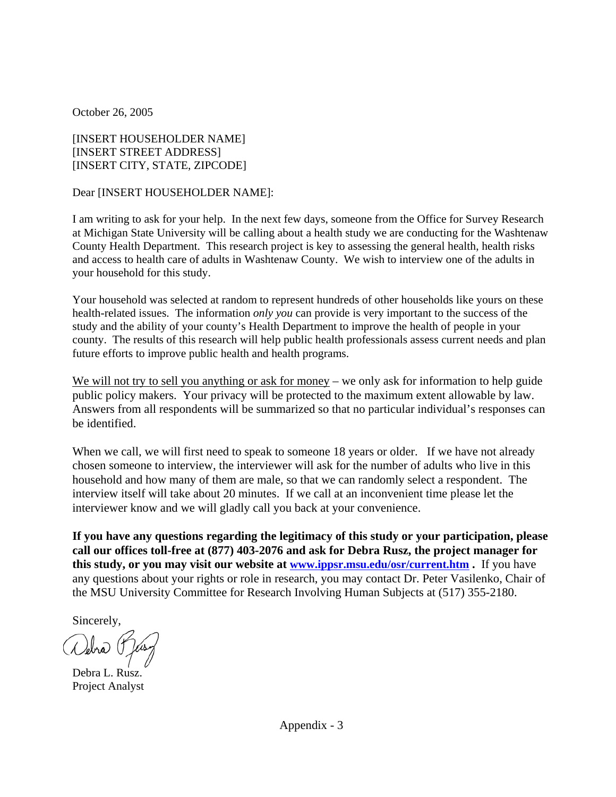October 26, 2005

[INSERT HOUSEHOLDER NAME] [INSERT STREET ADDRESS] [INSERT CITY, STATE, ZIPCODE]

Dear [INSERT HOUSEHOLDER NAME]:

I am writing to ask for your help. In the next few days, someone from the Office for Survey Research at Michigan State University will be calling about a health study we are conducting for the Washtenaw County Health Department. This research project is key to assessing the general health, health risks and access to health care of adults in Washtenaw County. We wish to interview one of the adults in your household for this study.

Your household was selected at random to represent hundreds of other households like yours on these health-related issues. The information *only you* can provide is very important to the success of the study and the ability of your county's Health Department to improve the health of people in your county. The results of this research will help public health professionals assess current needs and plan future efforts to improve public health and health programs.

We will not try to sell you anything or ask for money – we only ask for information to help guide public policy makers. Your privacy will be protected to the maximum extent allowable by law. Answers from all respondents will be summarized so that no particular individual's responses can be identified.

When we call, we will first need to speak to some ne 18 years or older. If we have not already chosen someone to interview, the interviewer will ask for the number of adults who live in this household and how many of them are male, so that we can randomly select a respondent. The interview itself will take about 20 minutes. If we call at an inconvenient time please let the interviewer know and we will gladly call you back at your convenience.

**If you have any questions regarding the legitimacy of this study or your participation, please call our offices toll-free at (877) 403-2076 and ask for Debra Rusz, the project manager for this study, or you may visit our website at www.ippsr.msu.edu/osr/current.htm .** If you have any questions about your rights or role in research, you may contact Dr. Peter Vasilenko, Chair of the MSU University Committee for Research Involving Human Subjects at (517) 355-2180.

Sincerely,

Vebra

Debra L. Rusz. Project Analyst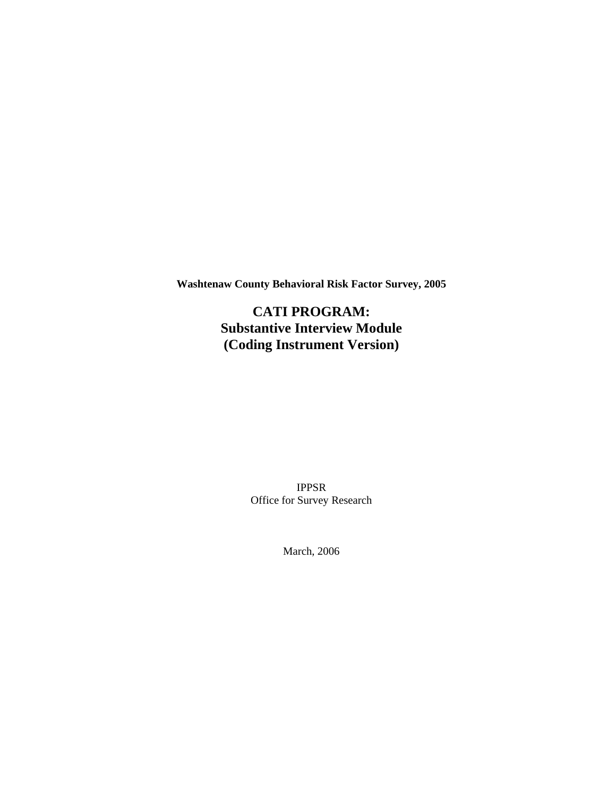**Washtenaw County Behavioral Risk Factor Survey, 2005**

**CATI PROGRAM: Substantive Interview Module (Coding Instrument Version)**

> IPPSR Office for Survey Research

> > March, 2006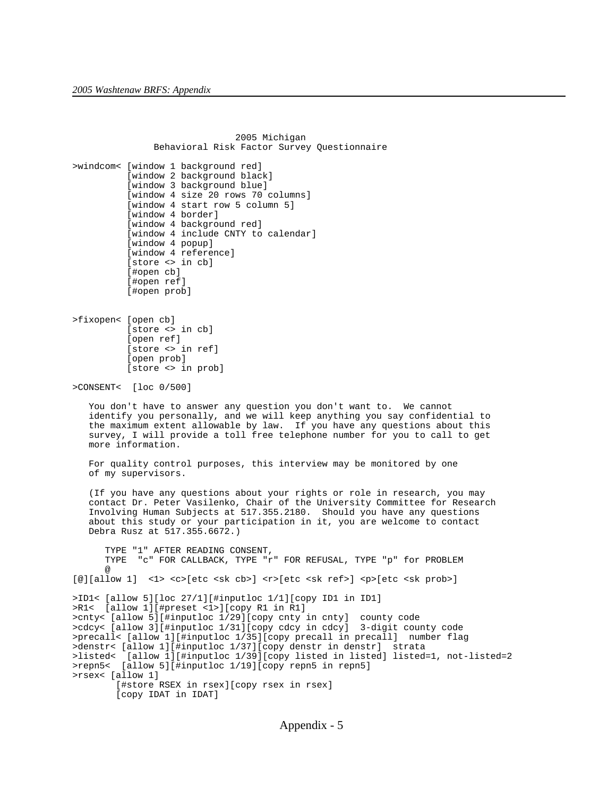2005 Michigan Behavioral Risk Factor Survey Questionnaire >windcom< [window 1 background red] [window 2 background black] [window 3 background blue] [window 4 size 20 rows 70 columns] [window 4 start row 5 column 5] [window 4 border] [window 4 background red] [window 4 include CNTY to calendar] [window 4 popup] [window 4 reference] [store <> in cb] [#open cb] [#open ref] [#open prob] >fixopen< [open cb] [store <> in cb] [open ref] [store <> in ref] [open prob] [store <> in prob] >CONSENT< [loc 0/500] You don't have to answer any question you don't want to. We cannot identify you personally, and we will keep anything you say confidential to the maximum extent allowable by law. If you have any questions about this survey, I will provide a toll free telephone number for you to call to get more information. For quality control purposes, this interview may be monitored by one of my supervisors. (If you have any questions about your rights or role in research, you may contact Dr. Peter Vasilenko, Chair of the University Committee for Research Involving Human Subjects at 517.355.2180. Should you have any questions about this study or your participation in it, you are welcome to contact Debra Rusz at 517.355.6672.) TYPE "1" AFTER READING CONSENT, TYPE "c" FOR CALLBACK, TYPE "r" FOR REFUSAL, TYPE "p" for PROBLEM @ [@][allow 1] <1> <c>[etc <sk cb>] <r>[etc <sk ref>] <p>[etc <sk prob>] >ID1< [allow 5][loc 27/1][#inputloc 1/1][copy ID1 in ID1] >R1< [allow 1][#preset <1>][copy R1 in R1] >cnty< [allow 5][#inputloc 1/29][copy cnty in cnty] county code >cdcy< [allow 3][#inputloc 1/31][copy cdcy in cdcy] 3-digit county code >precall< [allow 1][#inputloc 1/35][copy precall in precall] number flag >denstr< [allow 1][#inputloc 1/37][copy denstr in denstr] strata >listed< [allow 1][#inputloc 1/39][copy listed in listed] listed=1, not-listed=2 >repn5< [allow 5][#inputloc 1/19][copy repn5 in repn5] >rsex< [allow 1] [#store RSEX in rsex][copy rsex in rsex] [copy IDAT in IDAT]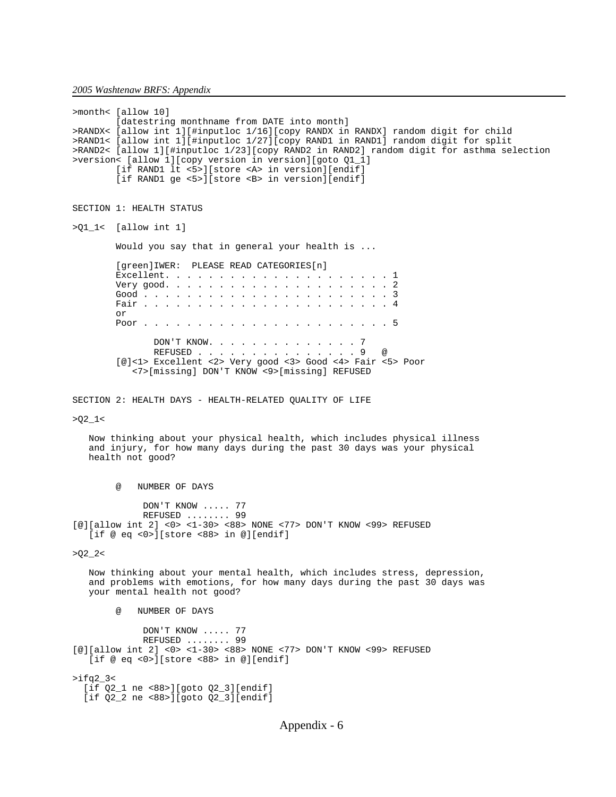>month< [allow 10] [datestring monthname from DATE into month] >RANDX< [allow int 1][#inputloc 1/16][copy RANDX in RANDX] random digit for child >RAND1< [allow int 1][#inputloc 1/27][copy RAND1 in RAND1] random digit for split >RAND2< [allow 1][#inputloc 1/23][copy RAND2 in RAND2] random digit for asthma selection >version< [allow 1][copy version in version][goto Q1\_1] [if RAND1 lt <5>][store <A> in version][endif] [if RAND1 ge <5>][store <B> in version][endif] SECTION 1: HEALTH STATUS >Q1\_1< [allow int 1] Would you say that in general your health is ... [green]IWER: PLEASE READ CATEGORIES[n] Excellent. . . . . . . . . . . . . . . . . . . . . 1 Very good. . . . . . . . . . . . . . . . . . . . . 2 Good . . . . . . . . . . . . . . . . . . . . . . . 3 Fair . . . . . . . . . . . . . . . . . . . . . . . 4 or Poor . . . . . . . . . . . . . . . . . . . . . . . 5 DON'T KNOW. . . . . . . . . . . . . . . 7<br>REFUSED . . . . . . . . . . . . . . . . 9 REFUSED . . . . . . . . . . . . . . . 9 @ [@]<1> Excellent <2> Very good <3> Good <4> Fair <5> Poor <7>[missing] DON'T KNOW <9>[missing] REFUSED SECTION 2: HEALTH DAYS - HEALTH-RELATED QUALITY OF LIFE >Q2\_1< Now thinking about your physical health, which includes physical illness and injury, for how many days during the past 30 days was your physical health not good? @ NUMBER OF DAYS DON'T KNOW ..... 77 REFUSED ........ 99 [@][allow int 2] <0> <1-30> <88> NONE <77> DON'T KNOW <99> REFUSED [if @ eq <0>][store <88> in @][endif]  $>Q2_2$  Now thinking about your mental health, which includes stress, depression, and problems with emotions, for how many days during the past 30 days was your mental health not good? @ NUMBER OF DAYS DON'T KNOW ..... 77 REFUSED ........ 99 [@][allow int 2] <0> <1-30> <88> NONE <77> DON'T KNOW <99> REFUSED [if @ eq <0>][store <88> in @][endif] >ifq2\_3< [if Q2\_1 ne <88>][goto Q2\_3][endif] [if Q2\_2 ne <88>][goto Q2\_3][endif]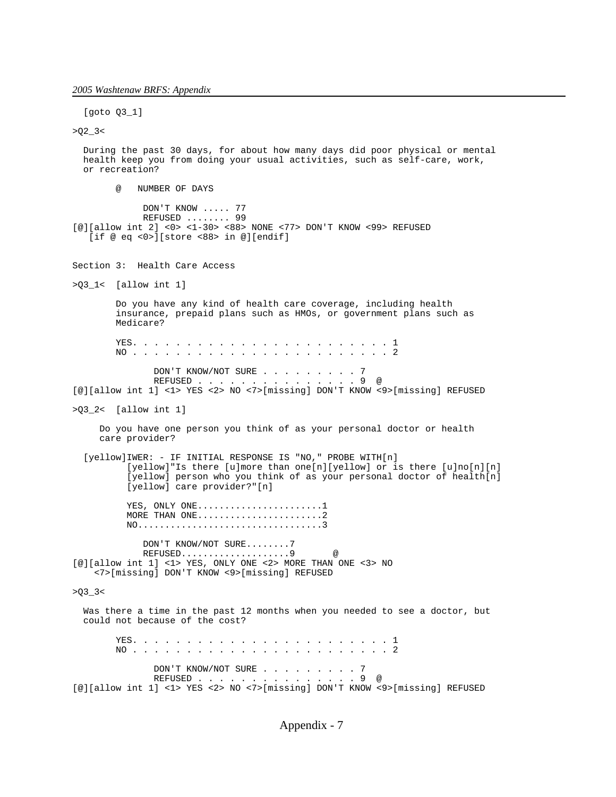*2005 Washtenaw BRFS: Appendix*

 [goto Q3\_1]  $>Q2 - 3$  During the past 30 days, for about how many days did poor physical or mental health keep you from doing your usual activities, such as self-care, work, or recreation? @ NUMBER OF DAYS DON'T KNOW ..... 77 REFUSED ........ 99 [@][allow int 2] <0> <1-30> <88> NONE <77> DON'T KNOW <99> REFUSED [if @ eq <0>][store <88> in @][endif] Section 3: Health Care Access >Q3\_1< [allow int 1] Do you have any kind of health care coverage, including health insurance, prepaid plans such as HMOs, or government plans such as Medicare? YES. . . . . . . . . . . . . . . . . . . . . . . . 1 NO . . . . . . . . . . . . . . . . . . . . . . . . 2 DON'T KNOW/NOT SURE . . . . . . . . . 7<br>REFUSED . . . . . . . . . . . . . . . . 9 @ REFUSED . . . . . . [@][allow int 1] <1> YES <2> NO <7>[missing] DON'T KNOW <9>[missing] REFUSED >Q3\_2< [allow int 1] Do you have one person you think of as your personal doctor or health care provider? [yellow]IWER: - IF INITIAL RESPONSE IS "NO," PROBE WITH[n] [yellow]"Is there [u]more than one[n][yellow] or is there [u]no[n][n] [yellow] person who you think of as your personal doctor of health[n] [yellow] care provider?"[n] YES, ONLY ONE........................1 MORE THAN ONE..........................2 NO..................................3 DON'T KNOW/NOT SURE........7 REFUSED....................9 @ [@][allow int 1] <1> YES, ONLY ONE <2> MORE THAN ONE <3> NO <7>[missing] DON'T KNOW <9>[missing] REFUSED  $>Q3_3$  Was there a time in the past 12 months when you needed to see a doctor, but could not because of the cost? YES. . . . . . . . . . . . . . . . . . . . . . . . 1 NO . . . . . . . . . . . . . . . . . . . . . . . . 2 DON'T KNOW/NOT SURE . . . . . . . . . 7<br>REFUSED REFUSED . . . . . . . . . . . [@][allow int 1] <1> YES <2> NO <7>[missing] DON'T KNOW <9>[missing] REFUSED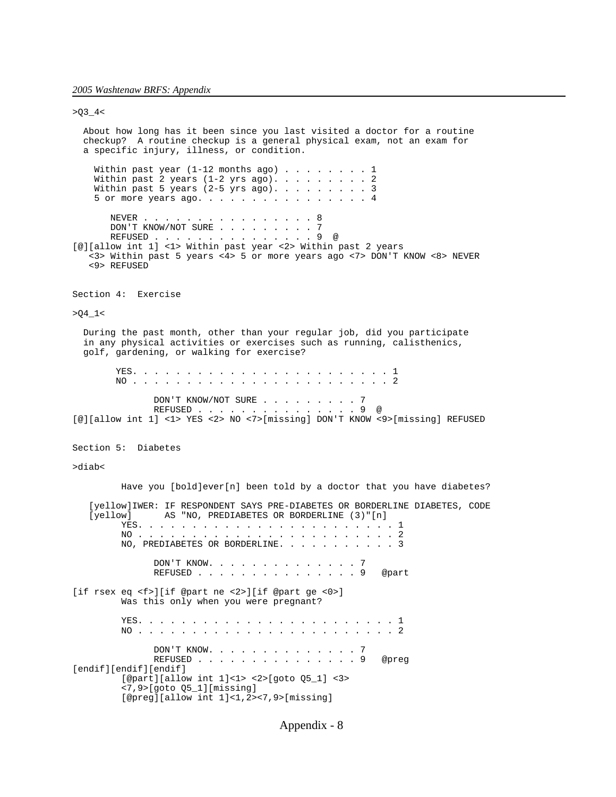[endif][endif][endif]

 $>Q3_4$  About how long has it been since you last visited a doctor for a routine checkup? A routine checkup is a general physical exam, not an exam for a specific injury, illness, or condition. Within past year (1-12 months ago) . . . . . . . 1 Within past 2 years (1-2 yrs ago). . . . . . . . 2 Within past 5 years (2-5 yrs ago). . . . . . . . . 3 5 or more years ago. . . . . . . . . . . . . . . 4 NEVER . . . . . . . . . . . . . . . 8 DON'T KNOW/NOT SURE . . . . . . . . 7 REFUSED . . . . . . . . . . . . . . . 9 @ [@][allow int 1] <1> Within past year <2> Within past 2 years <3> Within past 5 years <4> 5 or more years ago <7> DON'T KNOW <8> NEVER <9> REFUSED Section 4: Exercise >Q4\_1< During the past month, other than your regular job, did you participate in any physical activities or exercises such as running, calisthenics, golf, gardening, or walking for exercise? YES. . . . . . . . . . . . . . . . . . . . . . . . 1 NO . . . . . . . . . . . . . . . . . . . . . . . . 2 DON'T KNOW/NOT SURE . . . . . . . . . 7 REFUSED . . . . . . . . . . . . . . . 9 @ [@][allow int 1] <1> YES <2> NO <7>[missing] DON'T KNOW <9>[missing] REFUSED Section 5: Diabetes >diab< Have you [bold]ever[n] been told by a doctor that you have diabetes? [yellow]IWER: IF RESPONDENT SAYS PRE-DIABETES OR BORDERLINE DIABETES, CODE [yellow] AS "NO, PREDIABETES OR BORDERLINE (3)"[n] YES. . . . . . . . . . . . . . . . . . . . . . . . 1 NO . . . . . . . . . . . . . . . . . . . . . . . . 2 NO, PREDIABETES OR BORDERLINE. . . . . . . . . . . 3 DON'T KNOW. . . . . . . . . . . . . . 7 REFUSED . . . . . . . . . . . . . . . 9 @part [if rsex eq <f>][if @part ne <2>][if @part ge <0>] Was this only when you were pregnant? YES. . . . . . . . . . . . . . . . . . . . . . . . 1 NO . . . . . . . . . . . . . . . . . . . . . . . . 2 DON'T KNOW. . . . . . . . . . . . . . 7 REFUSED . . . . . . . . . . . . . . . 9 @preg

Appendix - 8

[@part][allow int 1]<1> <2>[goto Q5\_1] <3>

[@preg][allow int 1]<1,2><7,9>[missing]

<7,9>[goto Q5\_1][missing]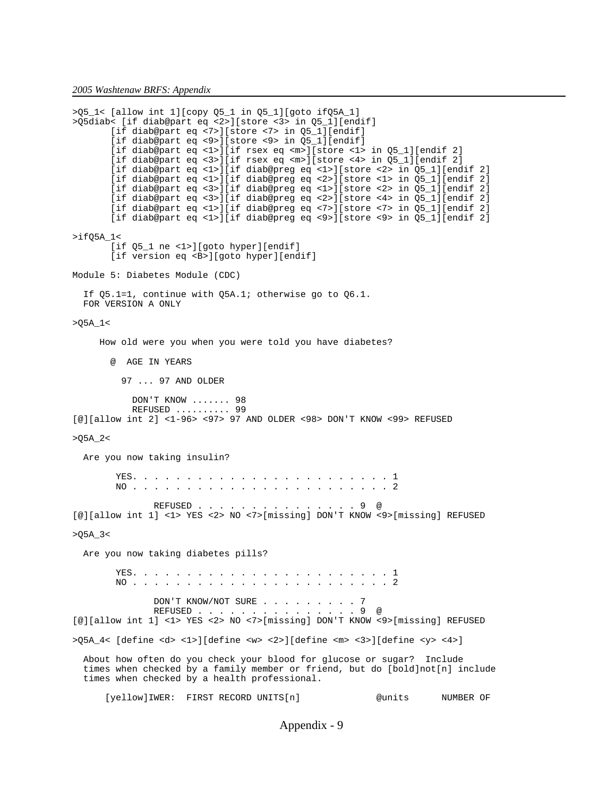*2005 Washtenaw BRFS: Appendix*

```
>Q5_1< [allow int 1][copy Q5_1 in Q5_1][goto ifQ5A_1]
>Q5diab< [if diab@part eq <2>][store <3> in Q5_1][endif]
        [if diab@part eq <7>][store <7> in Q5_1][endif]
        [if diab@part eq <9>][store <9> in Q5_1][endif]
        [if diab@part eq <1>][if rsex eq <m>][store <1> in Q5_1][endif 2]
        [if diab@part eq <3>][if rsex eq <m>][store <4> in Q5_1][endif 2]
 [if diab@part eq <1>][if diab@preg eq <1>][store <2> in Q5_1][endif 2]
 [if diab@part eq <1>][if diab@preg eq <2>][store <1> in Q5_1][endif 2]
       [if diab@part eq <3>][if diab@preg eq <1>][store <2> in Q5_1][endif 2]
        [if diab@part eq <3>][if diab@preg eq <2>][store <4> in Q5_1][endif 2]
        [if diab@part eq <1>][if diab@preg eq <7>][store <7> in Q5_1][endif 2]
        [if diab@part eq <1>][if diab@preg eq <9>][store <9> in Q5_1][endif 2]
>ifQ5A_1<
        [if Q5_1 ne <1>][goto hyper][endif]
        [if version eq <B>][goto hyper][endif]
Module 5: Diabetes Module (CDC)
  If Q5.1=1, continue with Q5A.1; otherwise go to Q6.1.
  FOR VERSION A ONLY
>Q5A_1< 
     How old were you when you were told you have diabetes? 
       @ AGE IN YEARS
          97 ... 97 AND OLDER
           DON'T KNOW ....... 98
           REFUSED .......... 99
[@][allow int 2] <1-96> <97> 97 AND OLDER <98> DON'T KNOW <99> REFUSED
>Q5A_2<
  Are you now taking insulin?
        YES. . . . . . . . . . . . . . . . . . . . . . . . 1
        NO . . . . . . . . . . . . . . . . . . . . . . . . 2
               REFUSED . . . . . . . . . . . . . . . 9 @
[@][allow int 1] <1> YES <2> NO <7>[missing] DON'T KNOW <9>[missing] REFUSED
>Q5A_3<
  Are you now taking diabetes pills?
        YES. . . . . . . . . . . . . . . . . . . . . . . . 1
        NO . . . . . . . . . . . . . . . . . . . . . . . . 2
              DON'T KNOW/NOT SURE . . . . . . . . 7
REFUSED . . . . . . . . . . . . . . 9 @
[@][allow int 1] <1> YES <2> NO <7>[missing] DON'T KNOW <9>[missing] REFUSED
>Q5A 4< [define <d> <1>][define <w> <2>][define <m> <3>][define <y> <4>]
  About how often do you check your blood for glucose or sugar? Include
 times when checked by a family member or friend, but do [bold]not[n] include
  times when checked by a health professional.
      [yellow]IWER: FIRST RECORD UNITS[n] @units NUMBER OF
```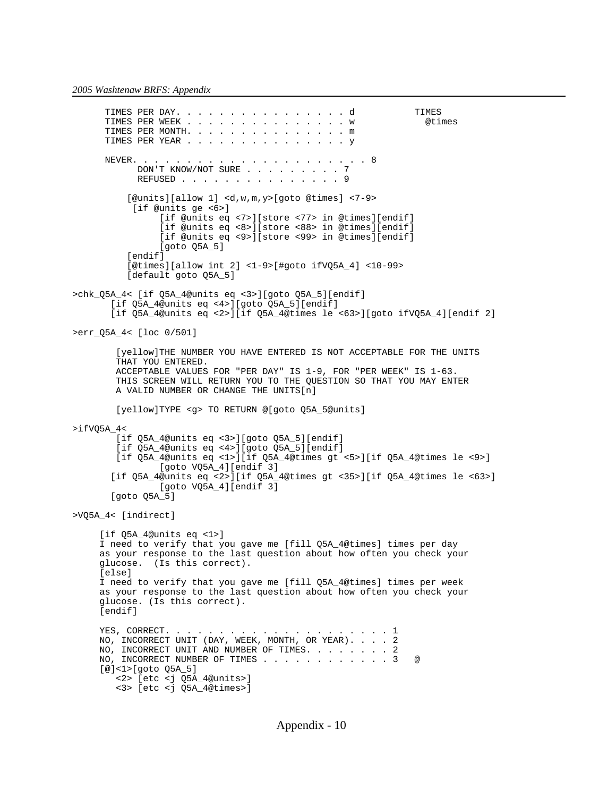TIMES PER DAY. . . . . . . . . . . . . . . . d<br>TIMES PER WEEK . . . . . . . . . . . . . . w @times TIMES PER WEEK . . . . . . . . . . . . . . . W TIMES PER MONTH. . . . . . . . . . . . . . . m TIMES PER YEAR . . . . . . . . . . . . . . . y NEVER. . . . . . . . . . . . . . . . . . . . . . 8 DON'T KNOW/NOT SURE . . . . . . . . 7 REFUSED . . . . . . . . . . . . . . . 9 [@units][allow 1] <d,w,m,y>[goto @times] <7-9> [if @units ge <6>] [if @units eq <7>][store <77> in @times][endif] [if @units eq <8>][store <88> in @times][endif] [if @units eq <9>][store <99> in @times][endif] [goto Q5A\_5] [endif] [@times][allow int 2] <1-9>[#goto ifVQ5A\_4] <10-99> [default goto Q5A\_5] >chk\_Q5A\_4< [if Q5A\_4@units eq <3>][goto Q5A\_5][endif] [if Q5A\_4@units eq <4>][goto Q5A\_5][endif] [if Q5A\_4@units eq <2>][if Q5A\_4@times le <63>][goto ifVQ5A\_4][endif 2] >err\_Q5A\_4< [loc 0/501] [yellow]THE NUMBER YOU HAVE ENTERED IS NOT ACCEPTABLE FOR THE UNITS THAT YOU ENTERED. ACCEPTABLE VALUES FOR "PER DAY" IS 1-9, FOR "PER WEEK" IS 1-63. THIS SCREEN WILL RETURN YOU TO THE QUESTION SO THAT YOU MAY ENTER A VALID NUMBER OR CHANGE THE UNITS[n] [yellow]TYPE <g> TO RETURN @[goto Q5A\_5@units] >ifVQ5A\_4< [if Q5A\_4@units eq <3>][goto Q5A\_5][endif] [if Q5A\_4@units eq <4>][goto Q5A\_5][endif] [if Q5A\_4@units eq <1>][if Q5A\_4@times gt <5>][if Q5A\_4@times le <9>] [goto VQ5A\_4][endif 3] [if Q5A\_4@units eq <2>][if Q5A\_4@times gt <35>][if Q5A\_4@times le <63>] [goto VQ5A\_4][endif 3] [goto Q5A\_5] >VQ5A\_4< [indirect] [if Q5A\_4@units eq <1>] I need to verify that you gave me [fill Q5A\_4@times] times per day as your response to the last question about how often you check your glucose. (Is this correct). [else] I need to verify that you gave me [fill Q5A\_4@times] times per week as your response to the last question about how often you check your glucose. (Is this correct). [endif] YES, CORRECT. . . . . . . . . . . . . . . . . . . . . 1 NO, INCORRECT UNIT (DAY, WEEK, MONTH, OR YEAR). . . . 2 NO, INCORRECT UNIT AND NUMBER OF TIMES. . . . . . . 2 NO, INCORRECT NUMBER OF TIMES . . . . . . . . . . . 3 [@]<1>[goto Q5A\_5] <2> [etc <j Q5A\_4@units>] <3> [etc <j Q5A\_4@times>]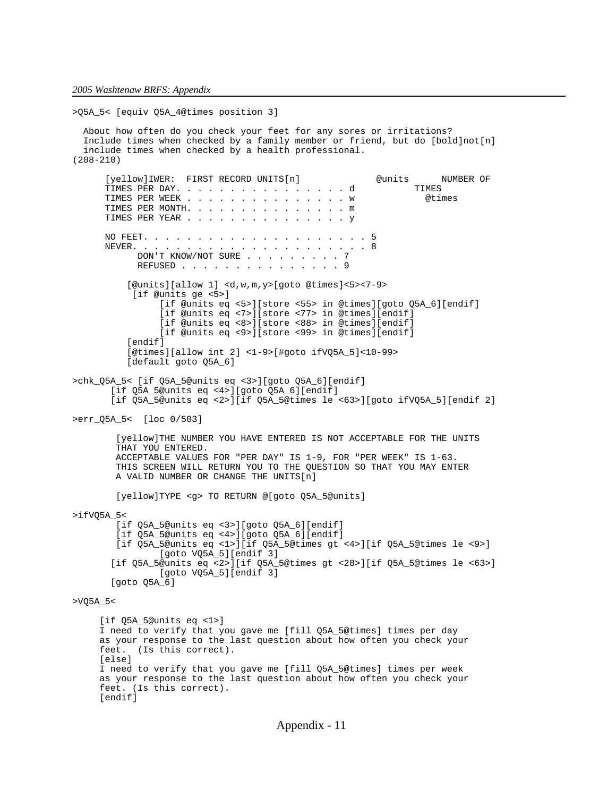```
>Q5A_5< [equiv Q5A_4@times position 3]
   About how often do you check your feet for any sores or irritations?
   Include times when checked by a family member or friend, but do [bold]not[n]
   include times when checked by a health professional. 
(208-210)
      [yellow]IWER: FIRST RECORD UNITS[n] @units NUMBER OF<br>TIMES PER DAY..................d TIMES
      TIMES PER DAY. . . . . . . . . . . . . . . . d<br>TIMES PER WEEK . . . . . . . . . . . . . . . w @times
      TIMES PER WEEK . . . . . . . . . . . . . . . w
 TIMES PER MONTH. . . . . . . . . . . . . . . m 
 TIMES PER YEAR . . . . . . . . . . . . . . . y 
      NO FEET. . . . . . . . . . . . . . . . . . . . . 5
 NEVER. . . . . . . . . . . . . . . . . . . . . . 8
DON'T KNOW/NOT SURE . . . . . . . . 7
            REFUSED . . . . . . . . . . . . . . 9
           [@units][allow 1] <d,w,m,y>[goto @times]<5><7-9>
            [if @units ge <5>]
                 [if @units eq <5>][store <55> in @times][goto Q5A_6][endif]
                 [if @units eq <7>][store <77> in @times][endif]
                 [if @units eq <8>][store <88> in @times][endif]
                 [if @units eq <9>][store <99> in @times][endif]
          [endif]
           [@times][allow int 2] <1-9>[#goto ifVQ5A_5]<10-99>
           [default goto Q5A_6]
>chk_Q5A_5< [if Q5A_5@units eq <3>][goto Q5A_6][endif]
        [if Q5A_5@units eq <4>][goto Q5A_6][endif]
        [if Q5A_5@units eq <2>][if Q5A_5@times le <63>][goto ifVQ5A_5][endif 2]
>err_Q5A_5< [loc 0/503]
         [yellow]THE NUMBER YOU HAVE ENTERED IS NOT ACCEPTABLE FOR THE UNITS
         THAT YOU ENTERED.
         ACCEPTABLE VALUES FOR "PER DAY" IS 1-9, FOR "PER WEEK" IS 1-63.
         THIS SCREEN WILL RETURN YOU TO THE QUESTION SO THAT YOU MAY ENTER
         A VALID NUMBER OR CHANGE THE UNITS[n]
         [yellow]TYPE <g> TO RETURN @[goto Q5A_5@units]
>ifVQ5A_5<
         [if Q5A_5@units eq <3>][goto Q5A_6][endif]
         [if Q5A_5@units eq <4>][goto Q5A_6][endif]
         [if Q5A_5@units eq <1>][if Q5A_5@times gt <4>][if Q5A_5@times le <9>]
                 [goto VQ5A_5][endif 3]
        [if Q5A_5@units eq <2>][if Q5A_5@times gt <28>][if Q5A_5@times le <63>]
                 [goto VQ5A_5][endif 3]
        [goto Q5A_6]
>VQ5A_5< 
      [if Q5A_5@units eq <1>]
      I need to verify that you gave me [fill Q5A_5@times] times per day
      as your response to the last question about how often you check your
      feet. (Is this correct).
      [else]
      I need to verify that you gave me [fill Q5A_5@times] times per week
      as your response to the last question about how often you check your
      feet. (Is this correct).
     [endif]
```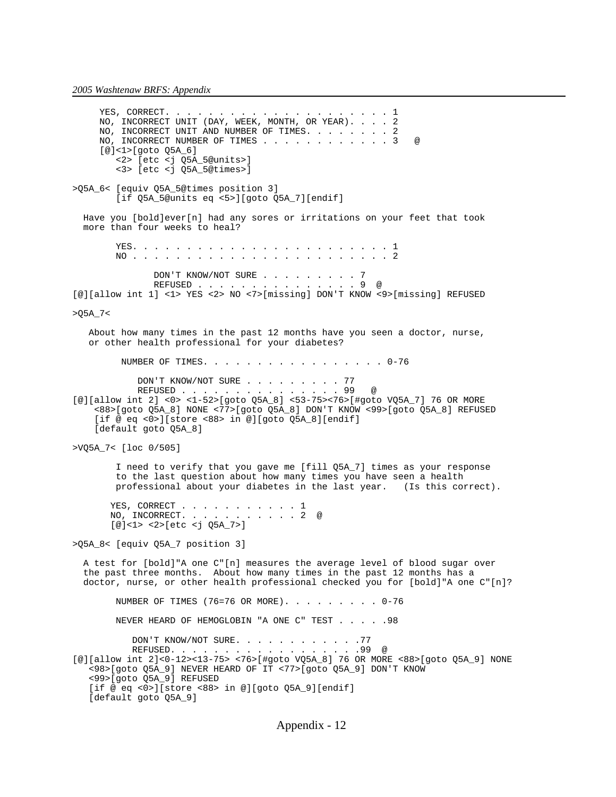YES, CORRECT. . . . . . . . . . . . . . . . . . . . . 1 NO, INCORRECT UNIT (DAY, WEEK, MONTH, OR YEAR). . . . 2 NO, INCORRECT UNIT AND NUMBER OF TIMES. . . . . . . 2 NO, INCORRECT NUMBER OF TIMES . . . . . . . . . . . 3 @ [@]<1>[goto Q5A\_6] <2> [etc <j Q5A\_5@units>] <3> [etc <j Q5A\_5@times>] >Q5A\_6< [equiv Q5A\_5@times position 3] [if Q5A\_5@units eq <5>][goto Q5A\_7][endif] Have you [bold]ever[n] had any sores or irritations on your feet that took more than four weeks to heal? YES. . . . . . . . . . . . . . . . . . . . . . . . 1 NO . . . . . . . . . . . . . . . . . . . . . . . . 2 DON'T KNOW/NOT SURE . . . . . . . . 7 REFUSED . . . . . . . . . . . . . . 9 @ [@][allow int 1] <1> YES <2> NO <7>[missing] DON'T KNOW <9>[missing] REFUSED >Q5A\_7< About how many times in the past 12 months have you seen a doctor, nurse, or other health professional for your diabetes? NUMBER OF TIMES. . . . . . . . . . . . . . . . . 0-76 DON'T KNOW/NOT SURE . . . . . . . . 77 REFUSED . . . . . . . . . . . . . . 99 @ [@][allow int 2] <0> <1-52>[goto Q5A\_8] <53-75><76>[#goto VQ5A\_7] 76 OR MORE <88>[goto Q5A\_8] NONE <77>[goto Q5A\_8] DON'T KNOW <99>[goto Q5A\_8] REFUSED [if @ eq <0>][store <88> in @][goto Q5A\_8][endif] [default goto Q5A\_8] >VQ5A\_7< [loc 0/505] I need to verify that you gave me [fill Q5A\_7] times as your response to the last question about how many times you have seen a health professional about your diabetes in the last year. (Is this correct). YES, CORRECT . . . . . . . . . . 1 NO, INCORRECT. . . . . . . . . . . 2 @ [@]<1> <2>[etc <j Q5A\_7>] >Q5A\_8< [equiv Q5A\_7 position 3] A test for [bold]"A one C"[n] measures the average level of blood sugar over the past three months. About how many times in the past 12 months has a doctor, nurse, or other health professional checked you for [bold]"A one C"[n]? NUMBER OF TIMES (76=76 OR MORE). . . . . . . . . 0-76 NEVER HEARD OF HEMOGLOBIN "A ONE C" TEST . . . . .98 DON'T KNOW/NOT SURE. . . . . . . . . . . . 77 REFUSED. . . . . . . . . . . . . . . . . . 99 @ [@][allow int 2]<0-12><13-75> <76>[#goto VQ5A\_8] 76 OR MORE <88>[goto Q5A\_9] NONE <98>[goto Q5A\_9] NEVER HEARD OF IT <77>[goto Q5A\_9] DON'T KNOW <99>[goto Q5A\_9] REFUSED [if @ eq <0>][store <88> in @][goto Q5A\_9][endif] [default goto Q5A\_9]

Appendix - 12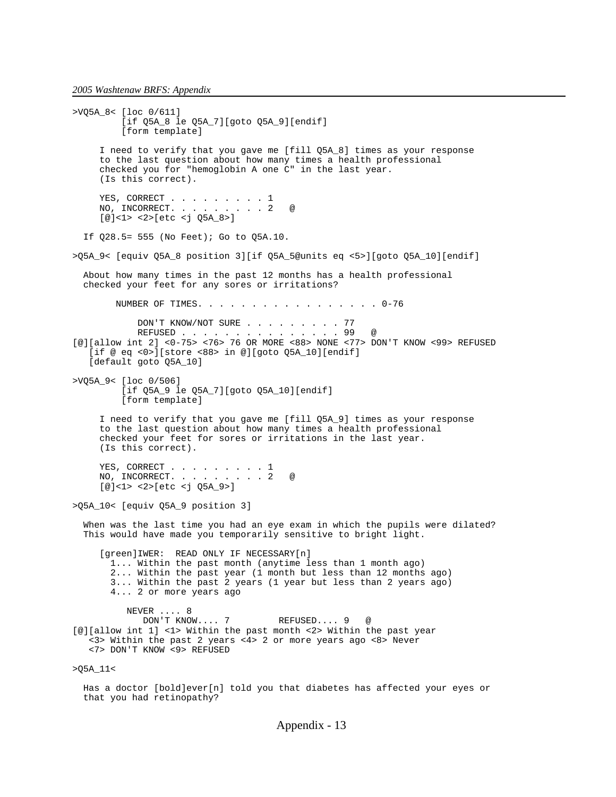that you had retinopathy?

>VQ5A\_8< [loc 0/611] [if Q5A\_8 le Q5A\_7][goto Q5A\_9][endif] [form template] I need to verify that you gave me [fill Q5A\_8] times as your response to the last question about how many times a health professional checked you for "hemoglobin A one C" in the last year. (Is this correct). YES, CORRECT . . . . . . . . . 1 NO, INCORRECT. . . . . . . . 2 @ [@]<1> <2>[etc <j Q5A\_8>] If Q28.5= 555 (No Feet); Go to Q5A.10. >Q5A\_9< [equiv Q5A\_8 position 3][if Q5A\_5@units eq <5>][goto Q5A\_10][endif] About how many times in the past 12 months has a health professional checked your feet for any sores or irritations? NUMBER OF TIMES. . . . . . . . . . . . . . . . . 0-76 DON'T KNOW/NOT SURE . . . . . . . . . . 77<br>REFUSED . . . . . . . . . . . . . . . 99 REFUSED . . . . . . . . . . . . . . . 99 @ [@][allow int 2] <0-75> <76> 76 OR MORE <88> NONE <77> DON'T KNOW <99> REFUSED [if @ eq <0>][store <88> in @][goto Q5A\_10][endif] [default goto Q5A\_10] >VQ5A\_9< [loc 0/506] [if Q5A\_9 le Q5A\_7][goto Q5A\_10][endif] [form template] I need to verify that you gave me [fill Q5A\_9] times as your response to the last question about how many times a health professional checked your feet for sores or irritations in the last year. (Is this correct). YES, CORRECT . . . . . . . . . 1<br>NO, INCORRECT. . . . . . . . . 2 NO, INCORRECT. . . . . . . . . 2 @  $[@]<sub>2</sub> < 2>[etc <sub>1</sub> 05A 9>]<sub>2</sub>$ >Q5A\_10< [equiv Q5A\_9 position 3] When was the last time you had an eye exam in which the pupils were dilated? This would have made you temporarily sensitive to bright light. [green]IWER: READ ONLY IF NECESSARY[n] 1... Within the past month (anytime less than 1 month ago) 2... Within the past year (1 month but less than 12 months ago) 3... Within the past 2 years (1 year but less than 2 years ago) 4... 2 or more years ago NEVER .... 8 DON'T KNOW.... 7 REFUSED.... 9 @ [@][allow int 1] <1> Within the past month <2> Within the past year <3> Within the past 2 years <4> 2 or more years ago <8> Never <7> DON'T KNOW <9> REFUSED >Q5A\_11< Has a doctor [bold]ever[n] told you that diabetes has affected your eyes or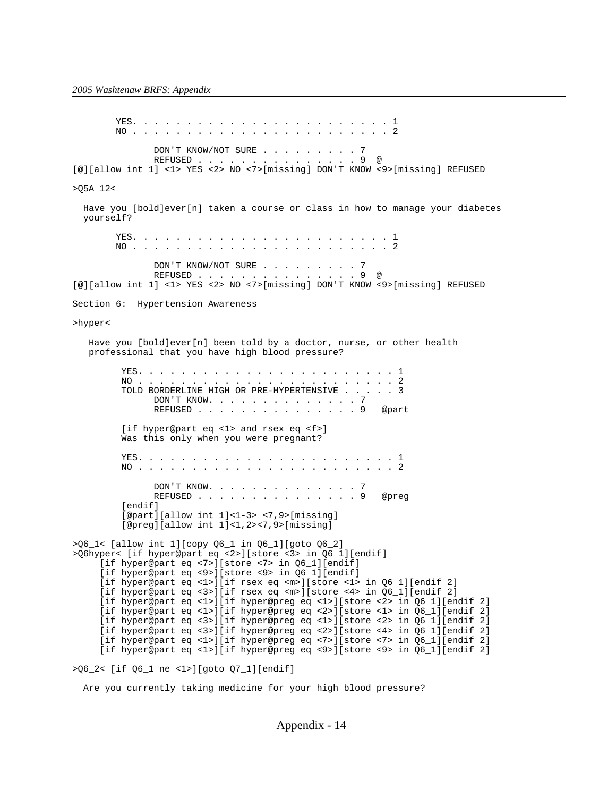YES. . . . . . . . . . . . . . . . . . . . . . . . 1 NO . . . . . . . . . . . . . . . . . . . . . . . . 2 DON'T KNOW/NOT SURE . . . . . . . . . 7 REFUSED . . . . . . . . . . . . . . . 9 @ [@][allow int 1] <1> YES <2> NO <7>[missing] DON'T KNOW <9>[missing] REFUSED >Q5A\_12< Have you [bold]ever[n] taken a course or class in how to manage your diabetes yourself? YES. . . . . . . . . . . . . . . . . . . . . . . . 1 NO . . . . . . . . . . . . . . . . . . . . . . . . 2 DON'T KNOW/NOT SURE . . . . . . . . . . 7<br>REFUSED . . . . . . . . . . . . . . . . . 9 @ REFUSED . . . . . [@][allow int 1] <1> YES <2> NO <7>[missing] DON'T KNOW <9>[missing] REFUSED Section 6: Hypertension Awareness >hyper< Have you [bold]ever[n] been told by a doctor, nurse, or other health professional that you have high blood pressure? YES. . . . . . . . . . . . . . . . . . . . . . . . 1 NO . . . . . . . . . . . . . . . . . . . . . . . . 2 TOLD BORDERLINE HIGH OR PRE-HYPERTENSIVE . . . . . 3 DON'T KNOW. . . . . . . . . . . . . . 7 REFUSED . . . . . . . . . . . . . . . 9 @part [if hyper@part eq <1> and rsex eq <f>] Was this only when you were pregnant? YES. . . . . . . . . . . . . . . . . . . . . . . . 1 NO . . . . . . . . . . . . . . . . . . . . . . . . 2 DON'T KNOW. . . . . . . . . . . . . . 7 REFUSED . . . . . . . . . . . . . . 9 @preq [endif] [@part][allow int 1]<1-3> <7,9>[missing] [@preg][allow int 1]<1,2><7,9>[missing] >Q6\_1< [allow int 1][copy Q6\_1 in Q6\_1][goto Q6\_2] >Q6hyper< [if hyper@part eq <2>][store <3> in Q6\_1][endif] [if hyper@part eq <7>][store <7> in Q6\_1][endif] [if hyper@part eq <9>][store <9> in Q6\_1][endif] [if hyper@part eq <1>][if rsex eq <m>][store <1> in Q6\_1][endif 2] [if hyper@part eq <3>][if rsex eq <m>][store <4> in Q6\_1][endif 2] [if hyper@part eq <1>][if hyper@preg eq <1>][store <2> in Q6\_1][endif 2] [if hyper@part eq <1>][if hyper@preg eq <2>][store <1> in Q6\_1][endif 2] [if hyper@part eq <3>][if hyper@preg eq <1>][store <2> in Q6\_1][endif 2] [if hyper@part eq <3>][if hyper@preg eq <2>][store <4> in Q6\_1][endif 2] [if hyper@part eq <1>][if hyper@preg eq <7>][store <7> in Q6\_1][endif 2] [if hyper@part eq <1>][if hyper@preg eq <9>][store <9> in Q6\_1][endif 2] >Q6\_2< [if Q6\_1 ne <1>][goto Q7\_1][endif]

Are you currently taking medicine for your high blood pressure?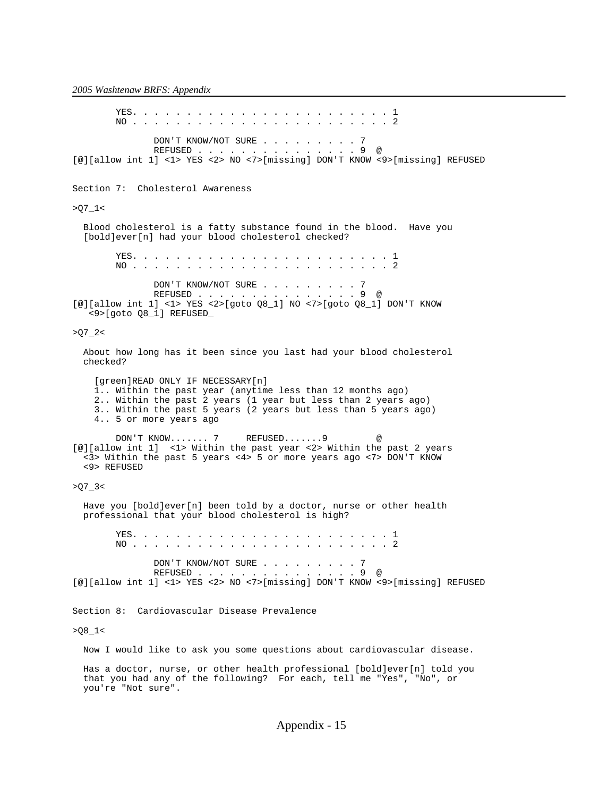YES. . . . . . . . . . . . . . . . . . . . . . . . 1 NO . . . . . . . . . . . . . . . . . . . . . . . . 2 DON'T KNOW/NOT SURE . . . . . . . . 7 REFUSED . . . . . . . . . . . . . . . 9 @ [@][allow int 1] <1> YES <2> NO <7>[missing] DON'T KNOW <9>[missing] REFUSED Section 7: Cholesterol Awareness  $>Q7_1$  Blood cholesterol is a fatty substance found in the blood. Have you [bold]ever[n] had your blood cholesterol checked? YES. . . . . . . . . . . . . . . . . . . . . . . . 1 NO . . . . . . . . . . . . . . . . . . . . . . . . 2 DON'T KNOW/NOT SURE . . . . . . . . 7 REFUSED . . . . . . . . . . . . . . . 9 @ [@][allow int 1] <1> YES <2>[goto Q8\_1] NO <7>[goto Q8\_1] DON'T KNOW <9>[goto Q8\_1] REFUSED\_  $>Q7_2$  About how long has it been since you last had your blood cholesterol checked? [green]READ ONLY IF NECESSARY[n] 1.. Within the past year (anytime less than 12 months ago) 2.. Within the past 2 years (1 year but less than 2 years ago) 3.. Within the past 5 years (2 years but less than 5 years ago) 4.. 5 or more years ago DON'T KNOW....... 7 REFUSED....... 9 [@][allow int 1] <1> Within the past year <2> Within the past 2 years <3> Within the past 5 years <4> 5 or more years ago <7> DON'T KNOW <9> REFUSED  $>Q7 - 3$ Have you [bold]ever[n] been told by a doctor, nurse or other health professional that your blood cholesterol is high? YES. . . . . . . . . . . . . . . . . . . . . . . . 1 NO . . . . . . . . . . . . . . . . . . . . . . . . 2 DON'T KNOW/NOT SURE . . . . . . . . 7 REFUSED . . . . . . . . . . . . . . . 9 @ [@][allow int 1] <1> YES <2> NO <7>[missing] DON'T KNOW <9>[missing] REFUSED Section 8: Cardiovascular Disease Prevalence  $>08_1$  Now I would like to ask you some questions about cardiovascular disease. Has a doctor, nurse, or other health professional [bold]ever[n] told you that you had any of the following? For each, tell me "Yes", "No", or you're "Not sure".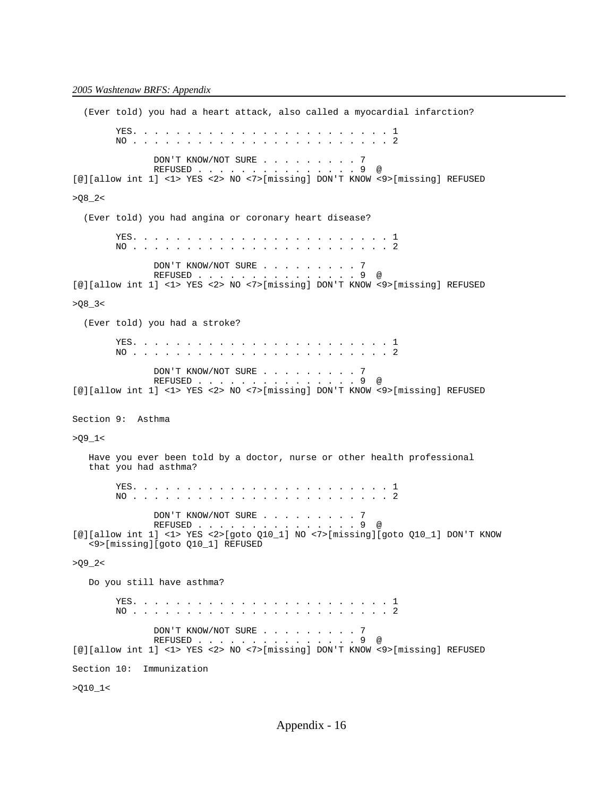(Ever told) you had a heart attack, also called a myocardial infarction? YES. . . . . . . . . . . . . . . . . . . . . . . . 1 NO . . . . . . . . . . . . . . . . . . . . . . . . 2 DON'T KNOW/NOT SURE . . . . . . . . . 7 REFUSED . . . . . . . . . . . . . . . 9 @ [@][allow int 1] <1> YES <2> NO <7>[missing] DON'T KNOW <9>[missing] REFUSED  $>Q8_2$  (Ever told) you had angina or coronary heart disease? YES. . . . . . . . . . . . . . . . . . . . . . . . 1 NO . . . . . . . . . . . . . . . . . . . . . . . . 2 DON'T KNOW/NOT SURE . . . . . . . . . 7<br>REFUSED . . . . . . . . . . . . . . . . 9 @ REFUSED . . . [@][allow int 1] <1> YES <2> NO <7>[missing] DON'T KNOW <9>[missing] REFUSED  $>Q8_3<$  (Ever told) you had a stroke? YES. . . . . . . . . . . . . . . . . . . . . . . . 1 NO . . . . . . . . . . . . . . . . . . . . . . . . 2 DON'T KNOW/NOT SURE . . . . . . . . . 7<br>REFUSED . . . . . . . . . . . . . . . . 9 @ REFUSED . . . . . . [@][allow int 1] <1> YES <2> NO <7>[missing] DON'T KNOW <9>[missing] REFUSED Section 9: Asthma  $>09_1$  Have you ever been told by a doctor, nurse or other health professional that you had asthma? YES. . . . . . . . . . . . . . . . . . . . . . . . 1 NO . . . . . . . . . . . . . . . . . . . . . . . . 2 DON'T KNOW/NOT SURE . . . . . . . . . . 7<br>REFUSED . . . . . . . . . . . . . . . . 9 @ REFUSED . . . . . . [@][allow int 1] <1> YES <2>[goto Q10\_1] NO <7>[missing][goto Q10\_1] DON'T KNOW <9>[missing][goto Q10\_1] REFUSED  $>09 - 2<$  Do you still have asthma? YES. . . . . . . . . . . . . . . . . . . . . . . . 1 NO . . . . . . . . . . . . . . . . . . . . . . . . 2 DON'T KNOW/NOT SURE . . . . . . . . . 7 REFUSED . . . . . . . . . . . . . . . 9 @ [@][allow int 1] <1> YES <2> NO <7>[missing] DON'T KNOW <9>[missing] REFUSED Section 10: Immunization  $>Q10_1<$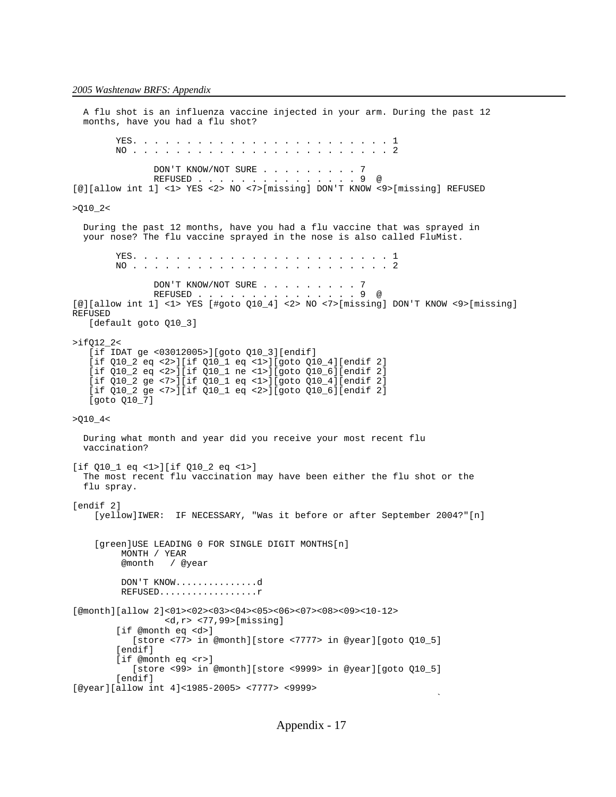A flu shot is an influenza vaccine injected in your arm. During the past 12 months, have you had a flu shot? YES. . . . . . . . . . . . . . . . . . . . . . . . 1 NO . . . . . . . . . . . . . . . . . . . . . . . . 2 DON'T KNOW/NOT SURE . . . . . . . . . 7<br>REFUSED . . . . . . . . . . . . . . . 9 @ REFUSED . . . . . . . [@][allow int 1] <1> YES <2> NO <7>[missing] DON'T KNOW <9>[missing] REFUSED  $>Q10_2$  During the past 12 months, have you had a flu vaccine that was sprayed in your nose? The flu vaccine sprayed in the nose is also called FluMist. YES. . . . . . . . . . . . . . . . . . . . . . . . 1 NO . . . . . . . . . . . . . . . . . . . . . . . . 2 DON'T KNOW/NOT SURE . . . . . . . . 7 REFUSED . . . . . . . . . . . . . . . 9 @ [@][allow int 1] <1> YES [#goto Q10\_4] <2> NO <7>[missing] DON'T KNOW <9>[missing] REFUSED [default goto Q10\_3] >ifQ12\_2< [if IDAT ge <03012005>][goto Q10\_3][endif] [if Q10\_2 eq <2>][if Q10\_1 eq <1>][goto Q10\_4][endif 2] [if Q10\_2 eq <2>][if Q10\_1 ne <1>][goto Q10\_6][endif 2] [if Q10\_2 ge <7>][if Q10\_1 eq <1>][goto Q10\_4][endif 2] [if Q10\_2 ge <7>][if Q10\_1 eq <2>][goto Q10\_6][endif 2] [goto Q10\_7] >Q10\_4< During what month and year did you receive your most recent flu vaccination? [if Q10\_1 eq <1>][if Q10\_2 eq <1>] The most recent flu vaccination may have been either the flu shot or the flu spray. [endif 2] [yellow]IWER: IF NECESSARY, "Was it before or after September 2004?"[n] [green]USE LEADING 0 FOR SINGLE DIGIT MONTHS[n] MONTH / YEAR @month / @year DON'T KNOW...............d REFUSED..................r [@month][allow 2]<01><02><03><04><05><06><07><08><09><10-12> <d,r> <77,99>[missing] [if @month eq <d>] [store <77> in @month][store <7777> in @year][goto Q10\_5] [endif] [if @month eq <r>] [store <99> in @month][store <9999> in @year][goto Q10\_5] [endif] [@year][allow int 4]<1985-2005> <7777> <9999>

the contract of the contract of the contract of the contract of the contract of the contract of the contract o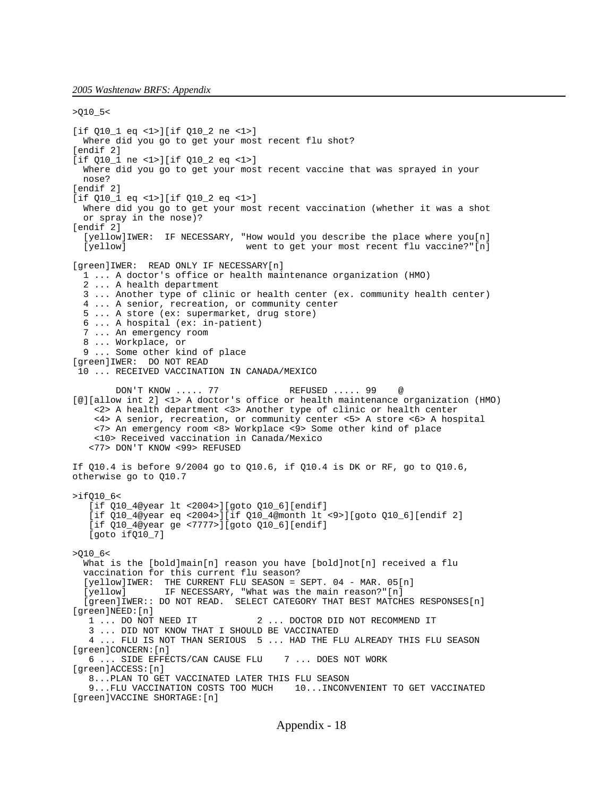>Q10\_5< [if Q10\_1 eq <1>][if Q10\_2 ne <1>] Where did you go to get your most recent flu shot? [endif 2] [if Q10\_1 ne <1>][if Q10\_2 eq <1>] Where did you go to get your most recent vaccine that was sprayed in your nose? [endif 2] [if Q10\_1 eq <1>][if Q10\_2 eq <1>] Where did you go to get your most recent vaccination (whether it was a shot or spray in the nose)? [endif 2] [yellow]IWER: IF NECESSARY, "How would you describe the place where you[n] [yellow] went to get your most recent flu vaccine?"[n] [green]IWER: READ ONLY IF NECESSARY[n] 1 ... A doctor's office or health maintenance organization (HMO) 2 ... A health department 3 ... Another type of clinic or health center (ex. community health center) 4 ... A senior, recreation, or community center 5 ... A store (ex: supermarket, drug store) 6 ... A hospital (ex: in-patient) 7 ... An emergency room 8 ... Workplace, or 9 ... Some other kind of place [green]IWER: DO NOT READ 10 ... RECEIVED VACCINATION IN CANADA/MEXICO DON'T KNOW ..... 77 REFUSED ..... 99 @ [@][allow int 2] <1> A doctor's office or health maintenance organization (HMO) <2> A health department <3> Another type of clinic or health center <4> A senior, recreation, or community center <5> A store <6> A hospital <7> An emergency room <8> Workplace <9> Some other kind of place <10> Received vaccination in Canada/Mexico <77> DON'T KNOW <99> REFUSED If Q10.4 is before 9/2004 go to Q10.6, if Q10.4 is DK or RF, go to Q10.6, otherwise go to Q10.7 >ifQ10\_6< [if Q10\_4@year lt <2004>][goto Q10\_6][endif] [if Q10\_4@year eq <2004>][if Q10\_4@month lt <9>][goto Q10\_6][endif 2] [if Q10\_4@year ge <7777>][goto Q10\_6][endif] [goto ifQ10\_7] >Q10\_6< What is the [bold]main[n] reason you have [bold]not[n] received a flu vaccination for this current flu season? [yellow]IWER: THE CURRENT FLU SEASON = SEPT. 04 - MAR. 05[n] [yellow] IF NECESSARY, "What was the main reason?"[n] [green]IWER:: DO NOT READ. SELECT CATEGORY THAT BEST MATCHES RESPONSES[n] [green]NEED:[n] 1 ... DO NOT NEED IT 2 ... DOCTOR DID NOT RECOMMEND IT 3 ... DID NOT KNOW THAT I SHOULD BE VACCINATED 4 ... FLU IS NOT THAN SERIOUS 5 ... HAD THE FLU ALREADY THIS FLU SEASON [green]CONCERN:[n] 6 ... SIDE EFFECTS/CAN CAUSE FLU 7 ... DOES NOT WORK [green]ACCESS:[n] 8...PLAN TO GET VACCINATED LATER THIS FLU SEASON 9...FLU VACCINATION COSTS TOO MUCH 10...INCONVENIENT TO GET VACCINATED [green]VACCINE SHORTAGE:[n]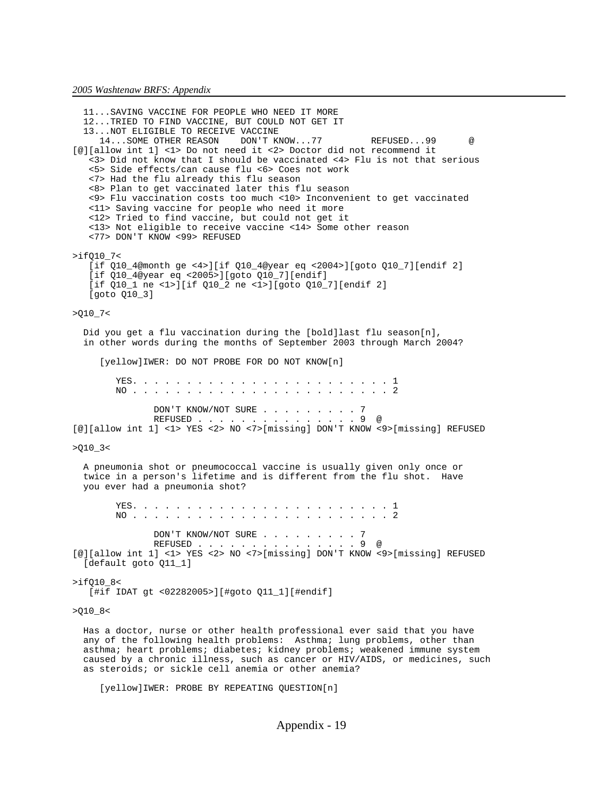11...SAVING VACCINE FOR PEOPLE WHO NEED IT MORE 12...TRIED TO FIND VACCINE, BUT COULD NOT GET IT 13...NOT ELIGIBLE TO RECEIVE VACCINE<br>14...SOME OTHER REASON DON'T KNOW...77 14...SOME OTHER REASON DON'T KNOW...77 REFUSED...99 @ [@][allow int 1] <1> Do not need it <2> Doctor did not recommend it <3> Did not know that I should be vaccinated <4> Flu is not that serious <5> Side effects/can cause flu <6> Coes not work <7> Had the flu already this flu season <8> Plan to get vaccinated later this flu season <9> Flu vaccination costs too much <10> Inconvenient to get vaccinated <11> Saving vaccine for people who need it more <12> Tried to find vaccine, but could not get it <13> Not eligible to receive vaccine <14> Some other reason <77> DON'T KNOW <99> REFUSED >ifQ10\_7< [if Q10\_4@month ge <4>][if Q10\_4@year eq <2004>][goto Q10\_7][endif 2] [if Q10\_4@year eq <2005>][goto Q10\_7][endif] [if Q10\_1 ne <1>][if Q10\_2 ne <1>][goto Q10\_7][endif 2] [goto Q10\_3] >Q10\_7< Did you get a flu vaccination during the [bold]last flu season[n], in other words during the months of September 2003 through March 2004? [yellow]IWER: DO NOT PROBE FOR DO NOT KNOW[n] YES. . . . . . . . . . . . . . . . . . . . . . . . 1 NO . . . . . . . . . . . . . . . . . . . . . . . . 2 DON'T KNOW/NOT SURE . . . . . . . . 7 REFUSED . . . . . . . . . . . . . . . 9 @ [@][allow int 1] <1> YES <2> NO <7>[missing] DON'T KNOW <9>[missing] REFUSED >Q10\_3< A pneumonia shot or pneumococcal vaccine is usually given only once or twice in a person's lifetime and is different from the flu shot. Have you ever had a pneumonia shot? YES. . . . . . . . . . . . . . . . . . . . . . . . 1 NO . . . . . . . . . . . . . . . . . . . . . . . . 2 DON'T KNOW/NOT SURE . . . . . . . . . 7<br>REFUSED . . . . . . . . . . . . . . . 9 @ REFUSED . . . . . . . . . . . . . . . 9 @ [@][allow int 1] <1> YES <2> NO <7>[missing] DON'T KNOW <9>[missing] REFUSED [default goto Q11\_1] >ifQ10\_8< [#if IDAT gt <02282005>][#goto Q11\_1][#endif] >Q10\_8< Has a doctor, nurse or other health professional ever said that you have

 any of the following health problems: Asthma; lung problems, other than asthma; heart problems; diabetes; kidney problems; weakened immune system caused by a chronic illness, such as cancer or HIV/AIDS, or medicines, such as steroids; or sickle cell anemia or other anemia?

[yellow]IWER: PROBE BY REPEATING QUESTION[n]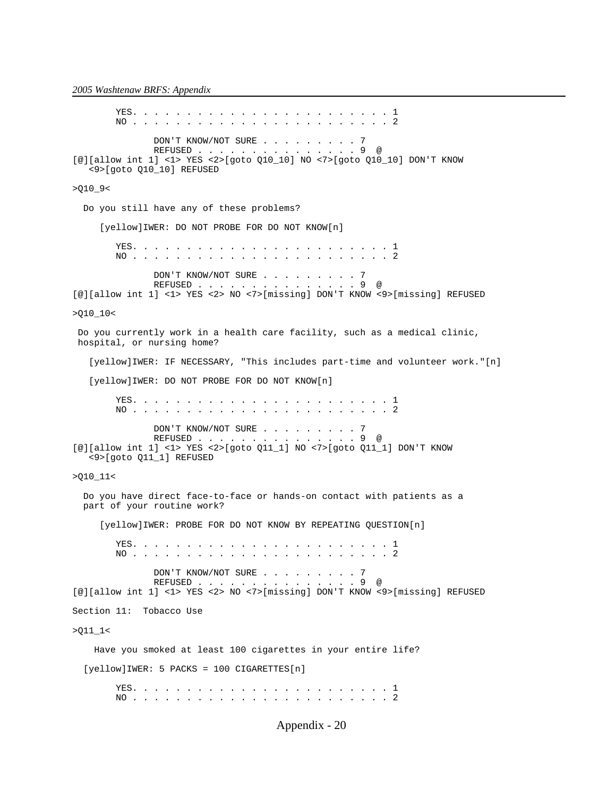YES. . . . . . . . . . . . . . . . . . . . . . . . 1 NO . . . . . . . . . . . . . . . . . . . . . . . . 2 DON'T KNOW/NOT SURE . . . . . . . . . 7 REFUSED . . . . . . . . . . . . . . 9 @ [@][allow int 1] <1> YES <2>[goto Q10\_10] NO <7>[goto Q10\_10] DON'T KNOW <9>[goto Q10\_10] REFUSED >Q10\_9< Do you still have any of these problems? [yellow]IWER: DO NOT PROBE FOR DO NOT KNOW[n] YES. . . . . . . . . . . . . . . . . . . . . . . . 1 NO . . . . . . . . . . . . . . . . . . . . . . . . 2 DON'T KNOW/NOT SURE . . . . . . . . 7 REFUSED . . . . . . . . . . . . . . . 9 @ [@][allow int 1] <1> YES <2> NO <7>[missing] DON'T KNOW <9>[missing] REFUSED >Q10\_10< Do you currently work in a health care facility, such as a medical clinic, hospital, or nursing home? [yellow]IWER: IF NECESSARY, "This includes part-time and volunteer work."[n] [yellow]IWER: DO NOT PROBE FOR DO NOT KNOW[n] YES. . . . . . . . . . . . . . . . . . . . . . . . 1 NO . . . . . . . . . . . . . . . . . . . . . . . . 2 DON'T KNOW/NOT SURE . . . . . . . . . 7<br>REFUSED . . . . . . . . . . . . . . . 9 @ REFUSED . . . . . . . [@][allow int 1] <1> YES <2>[goto Q11\_1] NO <7>[goto Q11\_1] DON'T KNOW <9>[goto Q11\_1] REFUSED >Q10\_11< Do you have direct face-to-face or hands-on contact with patients as a part of your routine work? [yellow]IWER: PROBE FOR DO NOT KNOW BY REPEATING QUESTION[n] YES. . . . . . . . . . . . . . . . . . . . . . . . 1 NO . . . . . . . . . . . . . . . . . . . . . . . . 2 DON'T KNOW/NOT SURE . . . . . . . . . 7<br>REFUSED . . . . . . . . . . . . . . . . 9 @ REFUSED . . . . . . [@][allow int 1] <1> YES <2> NO <7>[missing] DON'T KNOW <9>[missing] REFUSED Section 11: Tobacco Use >Q11\_1< Have you smoked at least 100 cigarettes in your entire life? [yellow]IWER: 5 PACKS = 100 CIGARETTES[n] YES. . . . . . . . . . . . . . . . . . . . . . . . 1 NO . . . . . . . . . . . . . . . . . . . . . . . . 2

Appendix - 20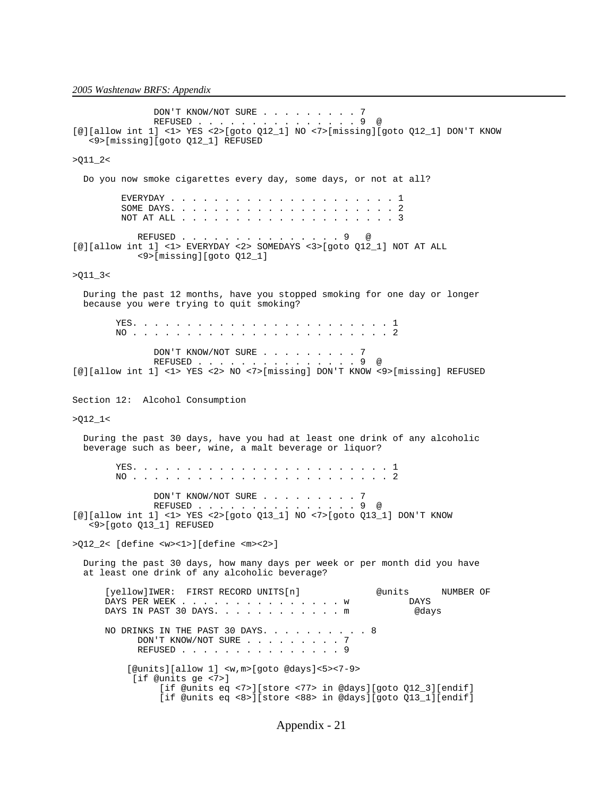```
 DON'T KNOW/NOT SURE . . . . . . . . . 7
                REFUSED . . . . . . . . . . . . . . . 9 @
[@][allow int 1] <1> YES <2>[goto Q12_1] NO <7>[missing][goto Q12_1] DON'T KNOW
    <9>[missing][goto Q12_1] REFUSED 
>011_2 Do you now smoke cigarettes every day, some days, or not at all?
          EVERYDAY . . . . . . . . . . . . . . . . . . . . . 1
 SOME DAYS. . . . . . . . . . . . . . . . . . . . . 2
 NOT AT ALL . . . . . . . . . . . . . . . . . . . . 3
REFUSED . . . . . . . . . . . . . . 9 @
[@][allow int 1] <1> EVERYDAY <2> SOMEDAYS <3>[goto Q12_1] NOT AT ALL
            <9>[missing][goto Q12_1]
>Q11_3<
  During the past 12 months, have you stopped smoking for one day or longer
  because you were trying to quit smoking?
         YES. . . . . . . . . . . . . . . . . . . . . . . . 1
        NO . . . . . . . . . . . . . . . . . . . . . . . . 2
               DON'T KNOW/NOT SURE . . . . . . . . . 7
                REFUSED . . . . . . . . . . . . . . . 9 @
[@][allow int 1] <1> YES <2> NO <7>[missing] DON'T KNOW <9>[missing] REFUSED
Section 12: Alcohol Consumption
>Q12_1<
  During the past 30 days, have you had at least one drink of any alcoholic
  beverage such as beer, wine, a malt beverage or liquor?
         YES. . . . . . . . . . . . . . . . . . . . . . . . 1
        NO . . . . . . . . . . . . . . . . . . . . . . . . 2
               DON'T KNOW/NOT SURE . . . . . . . . 7
               REFUSED . . . . . . . . . . . . . . . 9 @
[@][allow int 1] <1> YES <2>[goto Q13_1] NO <7>[goto Q13_1] DON'T KNOW
    <9>[goto Q13_1] REFUSED
>Q12_2< [define <w><1>][define <m><2>]
  During the past 30 days, how many days per week or per month did you have
  at least one drink of any alcoholic beverage?
       [yellow]IWER: FIRST RECORD UNITS[n] @units NUMBER OF 
      DAYS PER WEEK . . . . . . . . . . . . . . . . w DAYS<br>DAYS IN PAST 30 DAYS. . . . . . . . . . . . m @days
     DAYS IN PAST 30 DAYS. . . . . . . . . . . \mathfrak{m}NO DRINKS IN THE PAST 30 DAYS. \ldots . . . . . . 8
            DON'T KNOW/NOT SURE . . . . . . . . 7
            REFUSED . . . . . . . . . . . . . . 9
           [@units][allow 1] <w,m>[goto @days]<5><7-9>
            [if @units ge <7>]
                 [if @units eq <7>][store <77> in @days][goto Q12_3][endif]
                 [if @units eq <8>][store <88> in @days][goto Q13_1][endif]
```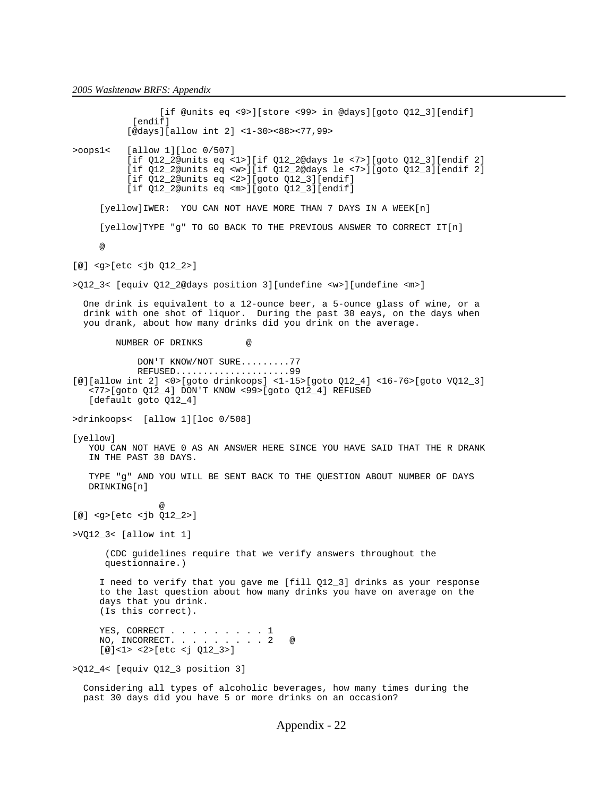[if @units eq <9>][store <99> in @days][goto Q12\_3][endif] [endif] [@days][allow int 2] <1-30><88><77,99> >oops1< [allow 1][loc 0/507] [if Q12\_2@units eq <1>][if Q12\_2@days le <7>][goto Q12\_3][endif 2] [if Q12\_2@units eq <w>][if Q12\_2@days le <7>][goto Q12\_3][endif 2] [if Q12\_2@units eq <2>][goto Q12\_3][endif] [if Q12\_2@units eq <m>][goto Q12\_3][endif] [yellow]IWER: YOU CAN NOT HAVE MORE THAN 7 DAYS IN A WEEK[n] [yellow]TYPE "g" TO GO BACK TO THE PREVIOUS ANSWER TO CORRECT IT[n] @ [@] <g>[etc <jb Q12\_2>] >Q12\_3< [equiv Q12\_2@days position 3][undefine <w>][undefine <m>] One drink is equivalent to a 12-ounce beer, a 5-ounce glass of wine, or a drink with one shot of liquor. During the past 30 eays, on the days when you drank, about how many drinks did you drink on the average. NUMBER OF DRINKS @ DON'T KNOW/NOT SURE.........77 REFUSED.....................99 [@][allow int 2] <0>[goto drinkoops] <1-15>[goto Q12\_4] <16-76>[goto VQ12\_3] <77>[goto Q12\_4] DON'T KNOW <99>[goto Q12\_4] REFUSED [default goto Q12\_4] >drinkoops< [allow 1][loc 0/508] [yellow] YOU CAN NOT HAVE 0 AS AN ANSWER HERE SINCE YOU HAVE SAID THAT THE R DRANK IN THE PAST 30 DAYS. TYPE "g" AND YOU WILL BE SENT BACK TO THE QUESTION ABOUT NUMBER OF DAYS DRINKING[n] @ [@] <g>[etc <jb Q12\_2>] >VQ12\_3< [allow int 1] (CDC guidelines require that we verify answers throughout the questionnaire.) I need to verify that you gave me [fill Q12\_3] drinks as your response to the last question about how many drinks you have on average on the days that you drink. (Is this correct). YES, CORRECT . . . . . . . . . 1 NO, INCORRECT. . . . . . . . . 2 @ [@]<1> <2>[etc <j Q12\_3>] >Q12\_4< [equiv Q12\_3 position 3]

 Considering all types of alcoholic beverages, how many times during the past 30 days did you have 5 or more drinks on an occasion?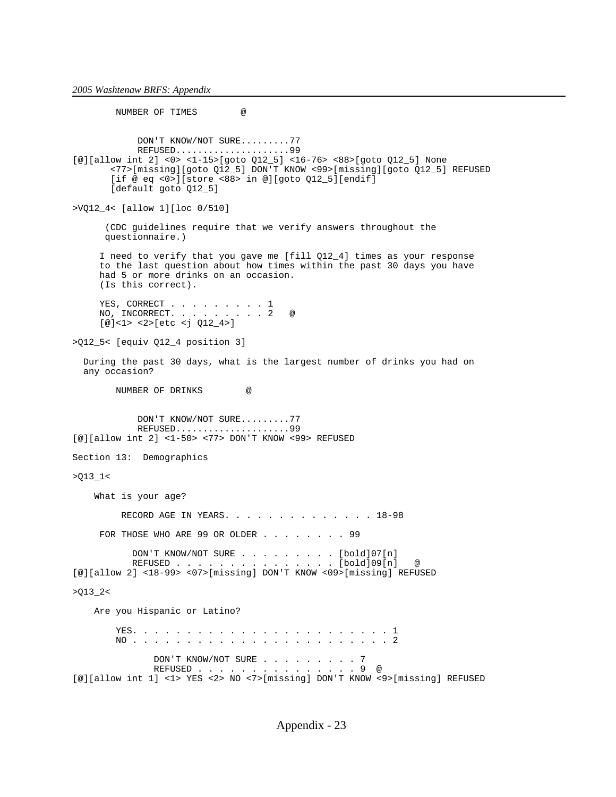NUMBER OF TIMES @ DON'T KNOW/NOT SURE.........77 REFUSED.....................99 [@][allow int 2] <0> <1-15>[goto Q12\_5] <16-76> <88>[goto Q12\_5] None <77>[missing][goto Q12\_5] DON'T KNOW <99>[missing][goto Q12\_5] REFUSED [if @ eq <0>][store <88> in @][goto Q12\_5][endif] [default goto Q12\_5] >VQ12\_4< [allow 1][loc 0/510] (CDC guidelines require that we verify answers throughout the questionnaire.) I need to verify that you gave me [fill Q12\_4] times as your response to the last question about how times within the past 30 days you have had 5 or more drinks on an occasion. (Is this correct). YES, CORRECT . . . . . . . . 1 NO, INCORRECT. . . . . . . . 2 @ [@]<1> <2>[etc <j Q12\_4>] >Q12\_5< [equiv Q12\_4 position 3] During the past 30 days, what is the largest number of drinks you had on any occasion? NUMBER OF DRINKS @ DON'T KNOW/NOT SURE.........77 REFUSED.....................99 [@][allow int 2] <1-50> <77> DON'T KNOW <99> REFUSED Section 13: Demographics >Q13\_1< What is your age? RECORD AGE IN YEARS. . . . . . . . . . . . . . 18-98 FOR THOSE WHO ARE 99 OR OLDER . . . . . . . 99 DON'T KNOW/NOT SURE . . . . . . . . . [bold]07[n] REFUSED . . . . . . . . . . . . . . . [bold]09[n] @ [@][allow 2] <18-99> <07>[missing] DON'T KNOW <09>[missing] REFUSED  $>Q13_2$  Are you Hispanic or Latino? YES. . . . . . . . . . . . . . . . . . . . . . . . 1 NO . . . . . . . . . . . . . . . . . . . . . . . . 2 DON'T KNOW/NOT SURE . . . . . . . . . . 7<br>REFUSED . . . . . . . . . . . . . . . . 9 @  $REFUSED$  . . . . . . . . . . .

[@][allow int 1] <1> YES <2> NO <7>[missing] DON'T KNOW <9>[missing] REFUSED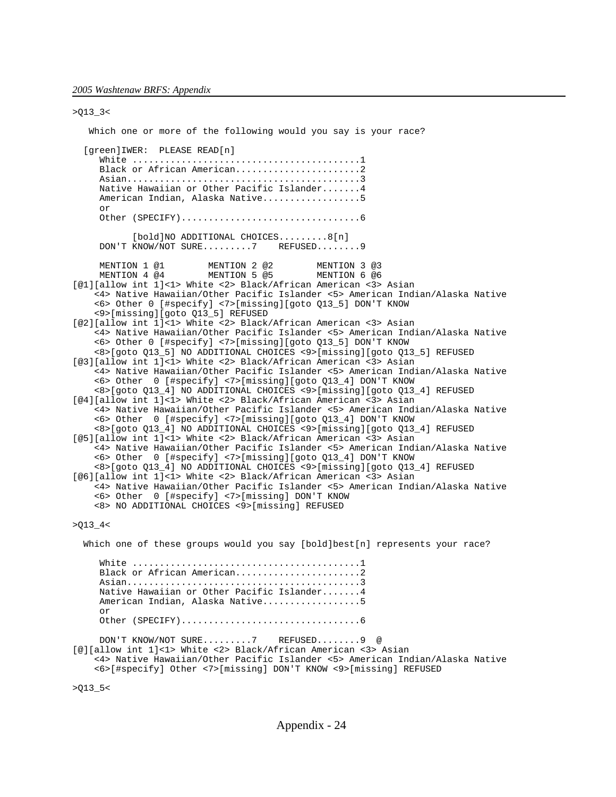>Q13\_3< Which one or more of the following would you say is your race? [green]IWER: PLEASE READ[n] White ..........................................1 Black or African American..........................2 Asian...........................................3 Native Hawaiian or Other Pacific Islander.......4 American Indian, Alaska Native..................5 or Other (SPECIFY).................................6 [bold]NO ADDITIONAL CHOICES.........8[n] DON'T KNOW/NOT SURE.........7 REFUSED........9 MENTION 1 @1 MENTION 2 @2 MENTION 3 @3<br>MENTION 4 @4 MENTION 5 @5 MENTION 6 @6 MENTION 5 @5 [@1][allow int 1]<1> White <2> Black/African American <3> Asian <4> Native Hawaiian/Other Pacific Islander <5> American Indian/Alaska Native <6> Other 0 [#specify] <7>[missing][goto Q13\_5] DON'T KNOW <9>[missing][goto Q13\_5] REFUSED [@2][allow int 1]<1> White <2> Black/African American <3> Asian <4> Native Hawaiian/Other Pacific Islander <5> American Indian/Alaska Native <6> Other 0 [#specify] <7>[missing][goto Q13\_5] DON'T KNOW <8>[goto Q13\_5] NO ADDITIONAL CHOICES <9>[missing][goto Q13\_5] REFUSED [@3][allow int 1]<1> White <2> Black/African American <3> Asian <4> Native Hawaiian/Other Pacific Islander <5> American Indian/Alaska Native <6> Other 0 [#specify] <7>[missing][goto Q13\_4] DON'T KNOW <8>[goto Q13\_4] NO ADDITIONAL CHOICES <9>[missing][goto Q13\_4] REFUSED [@4][allow int 1]<1> White <2> Black/African American <3> Asian <4> Native Hawaiian/Other Pacific Islander <5> American Indian/Alaska Native <6> Other 0 [#specify] <7>[missing][goto Q13\_4] DON'T KNOW <8>[goto Q13\_4] NO ADDITIONAL CHOICES <9>[missing][goto Q13\_4] REFUSED [@5][allow int 1]<1> White <2> Black/African American <3> Asian <4> Native Hawaiian/Other Pacific Islander <5> American Indian/Alaska Native <6> Other 0 [#specify] <7>[missing][goto Q13\_4] DON'T KNOW <8>[goto Q13\_4] NO ADDITIONAL CHOICES <9>[missing][goto Q13\_4] REFUSED [@6][allow int 1]<1> White <2> Black/African American <3> Asian <4> Native Hawaiian/Other Pacific Islander <5> American Indian/Alaska Native <6> Other 0 [#specify] <7>[missing] DON'T KNOW <8> NO ADDITIONAL CHOICES <9>[missing] REFUSED  $>013$  4 Which one of these groups would you say [bold]best[n] represents your race? White ..........................................1 Black or African American..........................2 Asian...........................................3 Native Hawaiian or Other Pacific Islander.......4 American Indian, Alaska Native..................5 or

Other (SPECIFY).................................6

DON'T KNOW/NOT SURE.........7 REFUSED........9 @

[@][allow int 1]<1> White <2> Black/African American <3> Asian <4> Native Hawaiian/Other Pacific Islander <5> American Indian/Alaska Native <6>[#specify] Other <7>[missing] DON'T KNOW <9>[missing] REFUSED

>Q13\_5<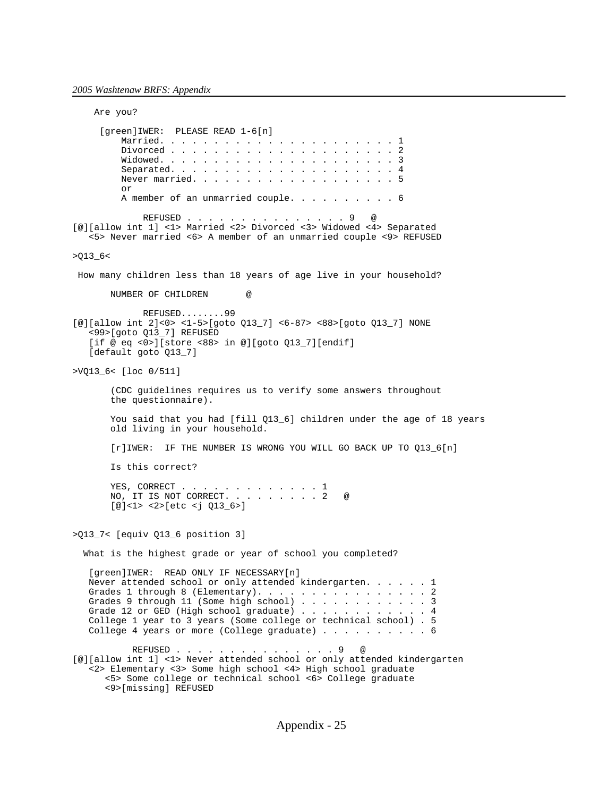Are you? [green]IWER: PLEASE READ 1-6[n] Married. . . . . . . . . . . . . . . . . . . . . . 1 Divorced . . . . . . . . . . . . . . . . . . . . . 2 Widowed. . . . . . . . . . . . . . . . . . . . . . 3 Separated. . . . . . . . . . . . . . . . . . . . . 4 Never married. . . . . . . . . . . . . . . . . . 5 or A member of an unmarried couple. . . . . . . . . 6 REFUSED . . . . . . . . . . . . . . 9 [@][allow int 1] <1> Married <2> Divorced <3> Widowed <4> Separated <5> Never married <6> A member of an unmarried couple <9> REFUSED  $>013$  6< How many children less than 18 years of age live in your household? NUMBER OF CHILDREN @ REFUSED........99 [@][allow int 2]<0> <1-5>[goto Q13\_7] <6-87> <88>[goto Q13\_7] NONE <99>[goto Q13\_7] REFUSED [if @ eq <0>][store <88> in @][goto Q13\_7][endif] [default goto Q13\_7] >VQ13\_6< [loc 0/511] (CDC guidelines requires us to verify some answers throughout the questionnaire). You said that you had [fill Q13\_6] children under the age of 18 years old living in your household. [r]IWER: IF THE NUMBER IS WRONG YOU WILL GO BACK UP TO Q13\_6[n] Is this correct? YES, CORRECT . . . . . . . . . . . . 1 NO, IT IS NOT CORRECT. . . . . . . . . 2 @ [@]<1> <2>[etc <j Q13\_6>] >Q13\_7< [equiv Q13\_6 position 3] What is the highest grade or year of school you completed? [green]IWER: READ ONLY IF NECESSARY[n] Never attended school or only attended kindergarten. . . . . . 1 Grades 1 through 8 (Elementary). . . . . . . . . . . . . . . 2 Grades 9 through 11 (Some high school) . . . . . . . . . . . . 3<br>Grade 12 or GED (High school graduate) . . . . . . . . . . . 4 Grade 12 or GED (High school graduate) . . . . . . . . . . College 1 year to 3 years (Some college or technical school) . 5 College 4 years or more (College graduate) . . . . . . . . . . 6 REFUSED . . . . . . . . . . . . . . . 9 @ [@][allow int 1] <1> Never attended school or only attended kindergarten <2> Elementary <3> Some high school <4> High school graduate <5> Some college or technical school <6> College graduate <9>[missing] REFUSED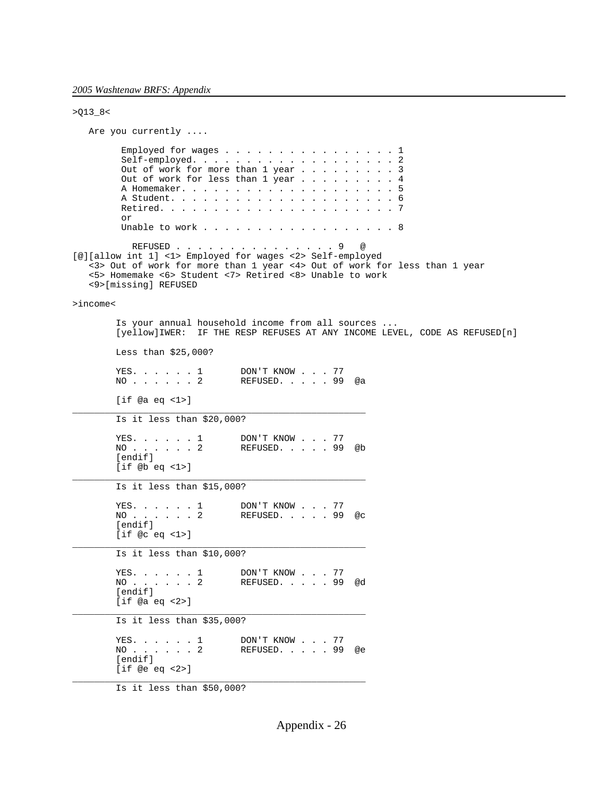```
>Q13_8<
   Are you currently ....
         Employed for wages . . . . . . . . . . . . . . . 1
         Self-employed. . . . . . . . . . . . . . . . . . 2
Out of work for more than 1 year \ldots . . . . . . 3
Out of work for less than 1 year \dots \dots \dots . . . 4
          A Homemaker. . . . . . . . . . . . . . . . . . . . 5
          A Student. . . . . . . . . . . . . . . . . . . . . 6
          Retired. . . . . . . . . . . . . . . . . . . . . . 7
          or
         Unable to work . . . . . . . . . . . . . . . . . 8
           REFUSED . . . . . . . . . . . . . . 9 @
[@][allow int 1] <1> Employed for wages <2> Self-employed
    <3> Out of work for more than 1 year <4> Out of work for less than 1 year
    <5> Homemake <6> Student <7> Retired <8> Unable to work
    <9>[missing] REFUSED
>income<
         Is your annual household income from all sources ...
         [yellow]IWER: IF THE RESP REFUSES AT ANY INCOME LEVEL, CODE AS REFUSED[n]
         Less than $25,000?
        YES. . . . . . 1 DON'T KNOW . . . 77<br>NO . . . . . . 2 REFUSED. . . . . 99
                               REFUSED. . . . 99 @a
         [if @a eq <1>]
______________________________________________________
         Is it less than $20,000?
        YES. . . . . 1 DON'T KNOW . . . 77
         NO . . . . . . 2 REFUSED. . . . . 99 @b
         [endif]
         [if @b eq <1>]
______________________________________________________
         Is it less than $15,000?
        YES. . . . . 1 DON'T KNOW . . . 77
                               REFUSED. . . . . 99 @c
        NO . . . . . . 2<br>[endif]
         [if @c eq <1>]
______________________________________________________
         Is it less than $10,000?
        YES. . . . . 1 DON'T KNOW . . . 77
                               REFUSED. . . . . 99 @d
        NO.......2<br>[endif]
         [if @a eq <2>]
______________________________________________________
 Is it less than $35,000? 
        YES. . . . . . 1 DON'T KNOW . . . 77<br>NO . . . . . . 2 REFUSED. . . . . 99
         NO . . . . . . 2 REFUSED. . . . . 99 @e
         [endif]
         [if @e eq <2>]
______________________________________________________
```
Is it less than \$50,000?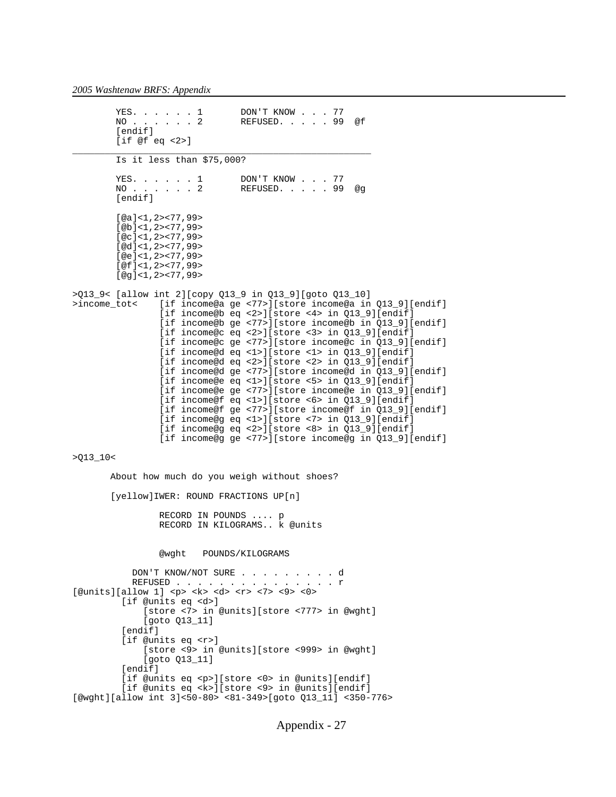YES. . . . . . 1 DON'T KNOW . . . 77<br>NO . . . . . . 2 REFUSED. . . . . 99 REFUSED. . . . . 99 @f [endif] [if @f eq <2>] \_\_\_\_\_\_\_\_\_\_\_\_\_\_\_\_\_\_\_\_\_\_\_\_\_\_\_\_\_\_\_\_\_\_\_\_\_\_\_\_\_\_\_\_\_\_\_\_\_\_\_\_\_\_\_ Is it less than \$75,000? YES. . . . . . 1 DON'T KNOW . . . 77<br>NO . . . . . . 2 REFUSED. . . . . 99 REFUSED. . . . . 99 @g [endif] [@a]<1,2><77,99> [@b]<1,2><77,99> [ $@c$ ]<1,2><77,99> [@d]<1,2><77,99> [@e]<1,2><77,99> [@f]<1,2><77,99> [@g]<1,2><77,99> >Q13\_9< [allow int 2][copy Q13\_9 in Q13\_9][goto Q13\_10] >income\_tot< [if income@a ge <77>][store income@a in Q13\_9][endif] [if income@b eq <2>][store <4> in Q13\_9][endif] [if income@b ge <77>][store income@b in Q13\_9][endif] [if income@c eq <2>][store <3> in Q13\_9][endif] [if income@c ge <77>][store income@c in Q13\_9][endif] [if income@d eq <1>][store <1> in Q13\_9][endif] [if income@d eq <2>][store <2> in Q13\_9][endif] [if income@d ge <77>][store income@d in Q13\_9][endif] [if income@e eq <1>][store <5> in Q13\_9][endif] [if income@e ge <77>][store income@e in Q13\_9][endif] [if income@f eq <1>][store <6> in Q13\_9][endif] [if income@f ge <77>][store income@f in Q13\_9][endif] [if income@g eq <1>][store <7> in Q13\_9][endif] [if income@g eq <2>][store <8> in Q13\_9][endif] [if income@g ge <77>][store income@g in Q13\_9][endif]  $>013$  10 < About how much do you weigh without shoes? [yellow]IWER: ROUND FRACTIONS UP[n] RECORD IN POUNDS .... p RECORD IN KILOGRAMS.. k @units @wght POUNDS/KILOGRAMS DON'T KNOW/NOT SURE . . . . . . . . . d REFUSED . . . . . [@units][allow 1] <p> <k> <d> <r> <7> <9> <0> [if @units eq <d>] [store <7> in @units][store <777> in @wght] [goto Q13\_11] [endif] [if @units eq <r>] [store <9> in @units][store <999> in @wght] [goto Q13\_11] [endif] [if @units eq <p>][store <0> in @units][endif] [if @units eq <k>][store <9> in @units][endif] [@wght][allow int 3]<50-80> <81-349>[goto Q13\_11] <350-776>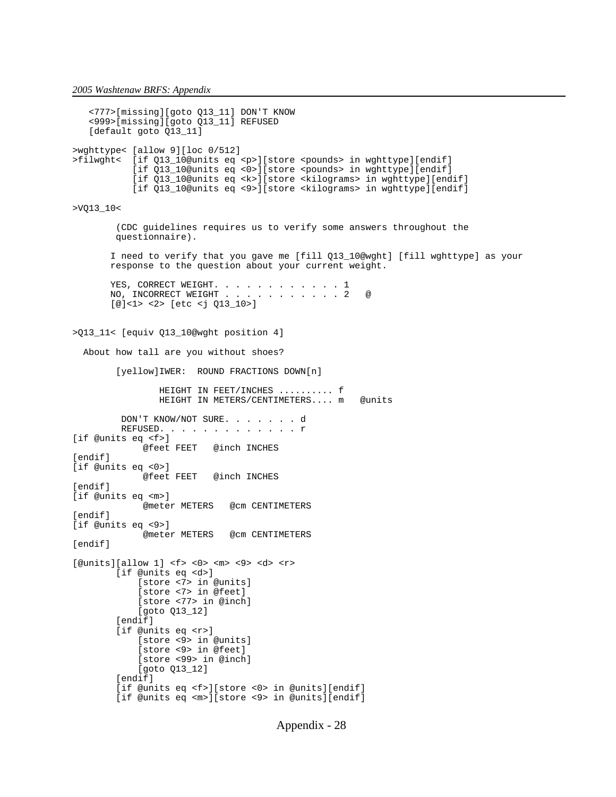```
 <777>[missing][goto Q13_11] DON'T KNOW
    <999>[missing][goto Q13_11] REFUSED
    [default goto Q13_11]
>wghttype< [allow 9][loc 0/512]
>filwght< [if Q13_10@units eq <p>][store <pounds> in wghttype][endif]
           [if Q13_10@units eq <0>][store <pounds> in wghttype][endif]
           [if Q13_10@units eq <k>][store <kilograms> in wghttype][endif]
           [if Q13_10@units eq <9>][store <kilograms> in wghttype][endif]
>VQ13_10< 
         (CDC guidelines requires us to verify some answers throughout the
        questionnaire).
        I need to verify that you gave me [fill Q13_10@wght] [fill wghttype] as your 
        response to the question about your current weight.
      YES, CORRECT WEIGHT. . . . . . . . . . . 1
      NO, INCORRECT WEIGHT . . . . . . . . . . . 2 @
        [@]<1> <2> [etc <j Q13_10>]
>Q13_11< [equiv Q13_10@wght position 4]
  About how tall are you without shoes?
         [yellow]IWER: ROUND FRACTIONS DOWN[n]
                 HEIGHT IN FEET/INCHES .......... f
                HEIGHT IN METERS/CENTIMETERS.... m @units
         DON'T KNOW/NOT SURE. . . . . . . d
         REFUSED. . . . . . . . . . . . . r
[if @units eq <f>]
              @feet FEET @inch INCHES
[endif]
[if @units eq <0>]
                         @inch INCHES
[endif]
[if @units eq <m>]
             @meter METERS @cm CENTIMETERS
[endif]
[if @units eq <9>]
              @meter METERS @cm CENTIMETERS
[endif]
[@units][allow 1] <f> <0> <m> <9> <d> <r>
         [if @units eq <d>]
             [store <7> in @units]
             [store <7> in @feet]
             [store <77> in @inch]
             [goto Q13_12]
         [endif]
         [if @units eq <r>]
             [store <9> in @units]
             [store <9> in @feet]
             [store <99> in @inch]
             [goto Q13_12]
         [endif]
         [if @units eq <f>][store <0> in @units][endif]
         [if @units eq <m>][store <9> in @units][endif]
```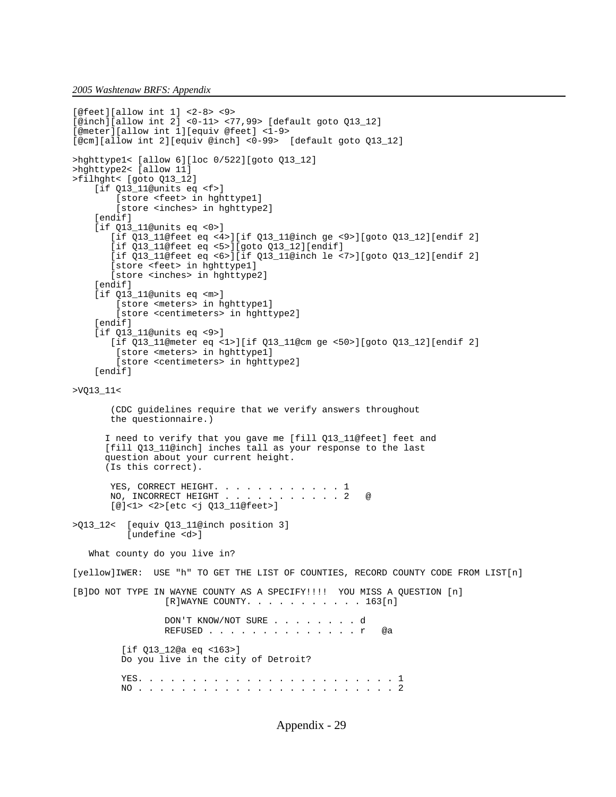```
[@feet][allow int 1] <2-8> <9>
[@inch][allow int 2] <0-11> <77,99> [default goto Q13_12]
[@meter][allow int 1][equiv @feet] <1-9>
[@cm][allow int 2][equiv @inch] <0-99> [default goto Q13_12]
>hghttype1< [allow 6][loc 0/522][goto Q13_12]
>hghttype2< [allow 11]
>filhght< [goto Q13_12]
     [if Q13_11@units eq <f>]
         [store <feet> in hghttype1]
         [store <inches> in hghttype2]
     [endif]
     [if Q13_11@units eq <0>]
        [if Q13_11@feet eq <4>][if Q13_11@inch ge <9>][goto Q13_12][endif 2]
        [if Q13_11@feet eq <5>][goto Q13_12][endif]
        [if Q13_11@feet eq <6>][if Q13_11@inch le <7>][goto Q13_12][endif 2]
        [store <feet> in hghttype1]
        [store <inches> in hghttype2]
    [endif]
     [if Q13_11@units eq <m>]
         [store <meters> in hghttype1]
         [store <centimeters> in hghttype2]
     [endif]
     [if Q13_11@units eq <9>]
        [if Q13_11@meter eq <1>][if Q13_11@cm ge <50>][goto Q13_12][endif 2]
         [store <meters> in hghttype1]
         [store <centimeters> in hghttype2]
     [endif]
>VQ13_11< 
        (CDC guidelines require that we verify answers throughout
        the questionnaire.)
       I need to verify that you gave me [fill Q13_11@feet] feet and
       [fill Q13_11@inch] inches tall as your response to the last
       question about your current height.
       (Is this correct).
       YES, CORRECT HEIGHT. . . . . . . . . . . 1
       NO, INCORRECT HEIGHT . . . . . . . . . . 2 @
        [@]<1> <2>[etc <j Q13_11@feet>]
>Q13_12< [equiv Q13_11@inch position 3]
          [undefine <d>]
    What county do you live in?
[yellow]IWER: USE "h" TO GET THE LIST OF COUNTIES, RECORD COUNTY CODE FROM LIST[n]
[B]DO NOT TYPE IN WAYNE COUNTY AS A SPECIFY!!!! YOU MISS A QUESTION [n]
                  [R]WAYNE COUNTY. . . . . . . . . . . 163[n]
                  DON'T KNOW/NOT SURE . . . . . . . . d
                  REFUSED . . . . . . . . . . . . . . r @a
          [if Q13_12@a eq <163>]
          Do you live in the city of Detroit?
          YES. . . . . . . . . . . . . . . . . . . . . . . . 1
          NO . . . . . . . . . . . . . . . . . . . . . . . . 2
```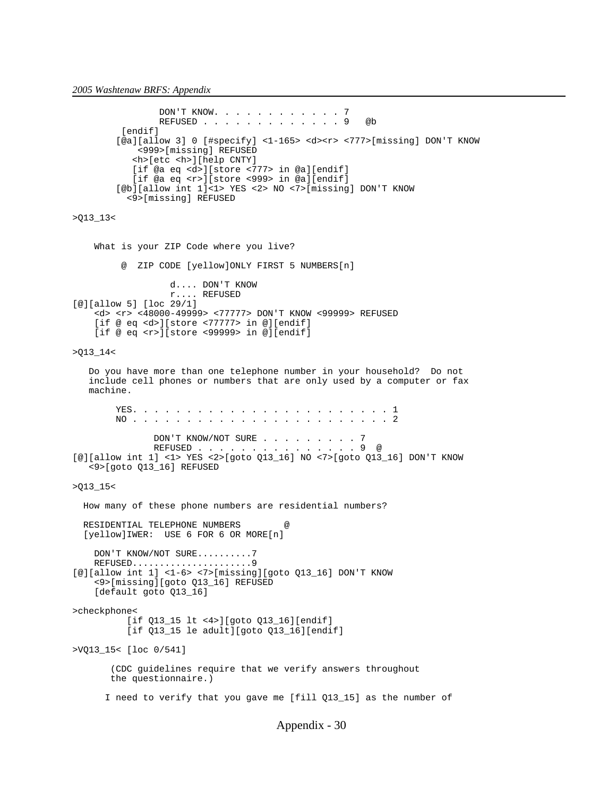## *2005 Washtenaw BRFS: Appendix*

```
 DON'T KNOW. . . . . . . . . . . . 7
                 REFUSED . . . . . . . . . . . . . 9 @b
         [endif]
         [@a][allow 3] 0 [#specify] <1-165> <d><r> <777>[missing] DON'T KNOW
             <999>[missing] REFUSED
            <h>[etc <h>][help CNTY]
            [if @a eq <d>][store <777> in @a][endif]
            [if @a eq <r>][store <999> in @a][endif]
         [@b][allow int 1]<1> YES <2> NO <7>[missing] DON'T KNOW
           <9>[missing] REFUSED
>Q13_13<
     What is your ZIP Code where you live?
          @ ZIP CODE [yellow]ONLY FIRST 5 NUMBERS[n]
                   d.... DON'T KNOW
                   r.... REFUSED
[@][allow 5] [loc 29/1]
     <d> <r> <48000-49999> <77777> DON'T KNOW <99999> REFUSED
     [if @ eq <d>][store <77777> in @][endif]
     [if @ eq <r>][store <99999> in @][endif]
>Q13_14<
    Do you have more than one telephone number in your household? Do not
   include cell phones or numbers that are only used by a computer or fax
    machine.
         YES. . . . . . . . . . . . . . . . . . . . . . . . 1
         NO . . . . . . . . . . . . . . . . . . . . . . . . 2
               DON'T KNOW/NOT SURE . . . . . . . . 7
                REFUSED . . . . . . . . . . . . . . . 9 @
[@][allow int 1] <1> YES <2>[goto Q13_16] NO <7>[goto Q13_16] DON'T KNOW
    <9>[goto Q13_16] REFUSED
>Q13_15<
   How many of these phone numbers are residential numbers?
  RESIDENTIAL TELEPHONE NUMBERS
   [yellow]IWER: USE 6 FOR 6 OR MORE[n]
     DON'T KNOW/NOT SURE..........7
     REFUSED......................9
[@][allow int 1] <1-6> <7>[missing][goto Q13_16] DON'T KNOW
     <9>[missing][goto Q13_16] REFUSED
     [default goto Q13_16]
>checkphone<
           [if Q13_15 lt <4>][goto Q13_16][endif]
           [if Q13_15 le adult][goto Q13_16][endif]
>VQ13_15< [loc 0/541]
        (CDC guidelines require that we verify answers throughout
        the questionnaire.)
       I need to verify that you gave me [fill Q13_15] as the number of
```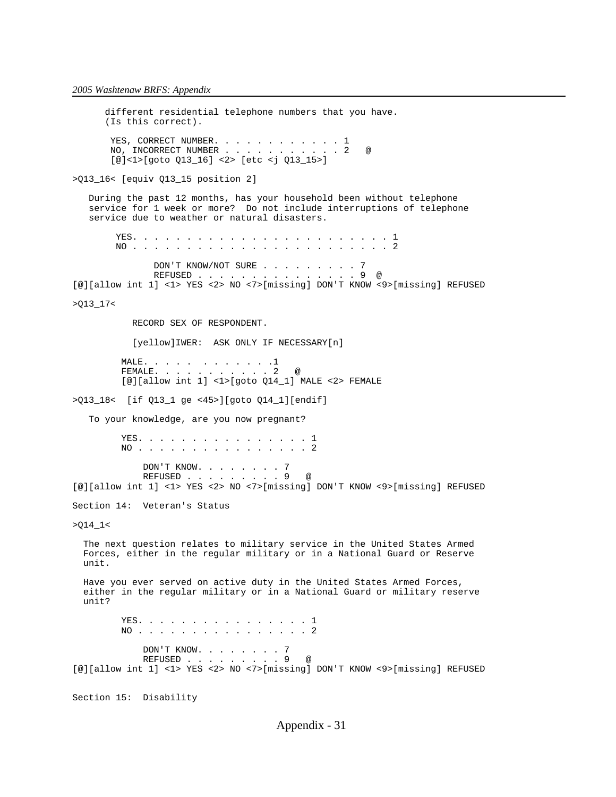different residential telephone numbers that you have. (Is this correct). YES, CORRECT NUMBER. . . . . . . . . . . 1 NO, INCORRECT NUMBER . . . . . . . . . . . 2 @ [@]<1>[goto Q13\_16] <2> [etc <j Q13\_15>] >Q13\_16< [equiv Q13\_15 position 2] During the past 12 months, has your household been without telephone service for 1 week or more? Do not include interruptions of telephone service due to weather or natural disasters. YES. . . . . . . . . . . . . . . . . . . . . . . . 1 NO . . . . . . . . . . . . . . . . . . . . . . . . 2 DON'T KNOW/NOT SURE . . . . . . . . . 7<br>REFUSED . . . . . . . . . . . . . . . . 9 @ REFUSED . . . . [@][allow int 1] <1> YES <2> NO <7>[missing] DON'T KNOW <9>[missing] REFUSED >Q13\_17< RECORD SEX OF RESPONDENT. [yellow]IWER: ASK ONLY IF NECESSARY[n] MALE. . . . . . . . . . . . 1 FEMALE. . . . . . . . . . . 2 @  $[@][allow int 1] <1>$   $(1> [qoto 014 1]$  MALE  $<2>$  FEMALE >Q13\_18< [if Q13\_1 ge <45>][goto Q14\_1][endif] To your knowledge, are you now pregnant? YES. . . . . . . . . . . . . . . . 1 NO . . . . . . . . . . . . . . . . 2 DON'T KNOW. . . . . . . . 7<br>REFUSED . . . . . . . . . 9 @ REFUSED . . . [@][allow int 1] <1> YES <2> NO <7>[missing] DON'T KNOW <9>[missing] REFUSED Section 14: Veteran's Status  $>$  $Q14$ <sub>-</sub> $1$  < The next question relates to military service in the United States Armed Forces, either in the regular military or in a National Guard or Reserve unit. Have you ever served on active duty in the United States Armed Forces, either in the regular military or in a National Guard or military reserve unit? YES. . . . . . . . . . . . . . . 1 NO . . . . . . . . . . . . . . . . 2 DON'T KNOW. . . . . . . .  $7$  REFUSED . . . . . . . . . 9 @ [@][allow int 1] <1> YES <2> NO <7>[missing] DON'T KNOW <9>[missing] REFUSED Section 15: Disability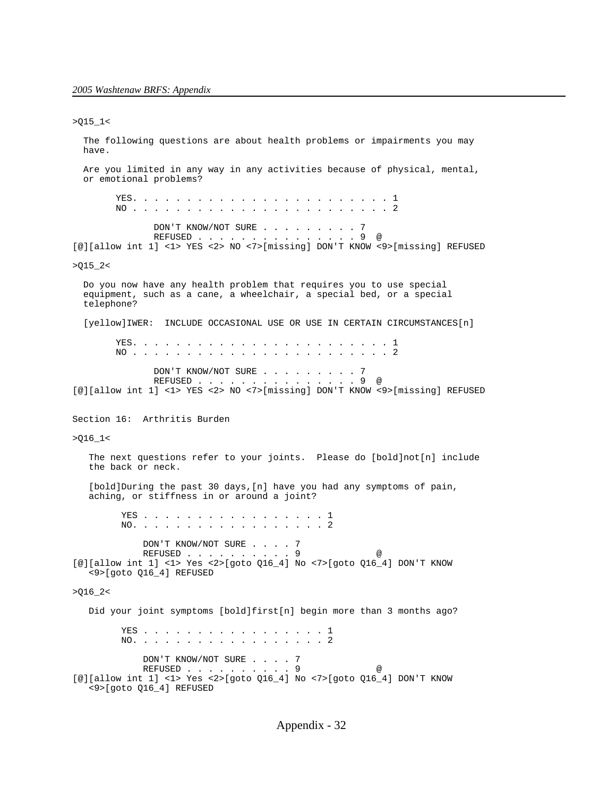$>Q15_l1$  The following questions are about health problems or impairments you may have. Are you limited in any way in any activities because of physical, mental, or emotional problems? YES. . . . . . . . . . . . . . . . . . . . . . . . 1 NO . . . . . . . . . . . . . . . . . . . . . . . . 2 DON'T KNOW/NOT SURE . . . . . . . . 7 REFUSED . . . . . . . . . . . . . . . 9 @ [@][allow int 1] <1> YES <2> NO <7>[missing] DON'T KNOW <9>[missing] REFUSED  $>015$   $2<$  Do you now have any health problem that requires you to use special equipment, such as a cane, a wheelchair, a special bed, or a special telephone? [yellow]IWER: INCLUDE OCCASIONAL USE OR USE IN CERTAIN CIRCUMSTANCES[n] YES. . . . . . . . . . . . . . . . . . . . . . . . 1 NO . . . . . . . . . . . . . . . . . . . . . . . . 2 DON'T KNOW/NOT SURE . . . . . . . . . 7<br>REFUSED . . . . . . . . . . . . . . . . 9 @ REFUSED . . . . . . [@][allow int 1] <1> YES <2> NO <7>[missing] DON'T KNOW <9>[missing] REFUSED Section 16: Arthritis Burden  $>016_1$  The next questions refer to your joints. Please do [bold]not[n] include the back or neck. [bold]During the past 30 days, [n] have you had any symptoms of pain, aching, or stiffness in or around a joint? YES . . . . . . . . . . . . . . . . . 1 NO. . . . . . . . . . . . . . . . . . DON'T KNOW/NOT SURE . . . . 7 REFUSED . . . . . . . . . 9 @ [@][allow int 1] <1> Yes <2>[goto Q16\_4] No <7>[goto Q16\_4] DON'T KNOW <9>[goto Q16\_4] REFUSED  $>Q16_2$  Did your joint symptoms [bold]first[n] begin more than 3 months ago? YES . . . . . . . . . . . . . . . . . 1 NO. . . . . . . . . . . . . . . . . . 2 DON'T KNOW/NOT SURE . . . . 7 REFUSED . . . . . . . . . . 9 [@][allow int 1] <1> Yes <2>[goto Q16\_4] No <7>[goto Q16\_4] DON'T KNOW <9>[goto Q16\_4] REFUSED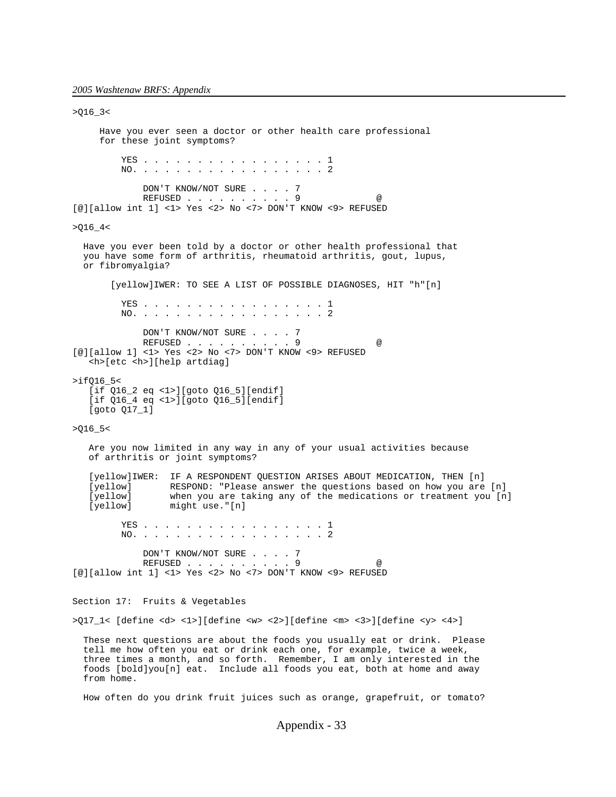$>016$   $3<$  Have you ever seen a doctor or other health care professional for these joint symptoms? YES . . . . . . . . . . . . . . . . . 1 NO. . . . . . . . . . . . . . . . . . 2 DON'T KNOW/NOT SURE . . . . 7 REFUSED . . . . . . . . . . 9 @ [@][allow int 1] <1> Yes <2> No <7> DON'T KNOW <9> REFUSED  $>$  Q16\_4 < Have you ever been told by a doctor or other health professional that you have some form of arthritis, rheumatoid arthritis, gout, lupus, or fibromyalgia? [yellow]IWER: TO SEE A LIST OF POSSIBLE DIAGNOSES, HIT "h"[n] YES . . . . . . . . . . . . . . . . . 1 NO. . . . . . . . . . . . . . . . . . 2 DON'T KNOW/NOT SURE . . . . 7 REFUSED . . . . . . . . . 9 [@][allow 1] <1> Yes <2> No <7> DON'T KNOW <9> REFUSED <h>[etc <h>][help artdiag]  $>$ if $016$   $5<$  [if Q16\_2 eq <1>][goto Q16\_5][endif] [if Q16\_4 eq <1>][goto Q16\_5][endif] [goto Q17\_1] >Q16\_5< Are you now limited in any way in any of your usual activities because of arthritis or joint symptoms? [yellow]IWER: IF A RESPONDENT QUESTION ARISES ABOUT MEDICATION, THEN [n]<br>[yellow] RESPOND: "Please answer the questions based on how you are [yellow] RESPOND: "Please answer the questions based on how you are [n]<br>[yellow] when you are taking any of the medications or treatment you [n] [yellow] when you are taking any of the medications or treatment you [n]<br>[yellow] might use."[n] might use."[n] YES . . . . . . . . . . . . . . . . 1 NO. . . . . . . . . . . . . . . . . 2 DON'T KNOW/NOT SURE . . . . 7 REFUSED . . . . . . . . . . 9 [@][allow int 1] <1> Yes <2> No <7> DON'T KNOW <9> REFUSED Section 17: Fruits & Vegetables >Q17\_1< [define <d> <1>][define <w> <2>][define <m> <3>][define <y> <4>] These next questions are about the foods you usually eat or drink. Please tell me how often you eat or drink each one, for example, twice a week, three times a month, and so forth. Remember, I am only interested in the foods [bold]you[n] eat. Include all foods you eat, both at home and away from home.

How often do you drink fruit juices such as orange, grapefruit, or tomato?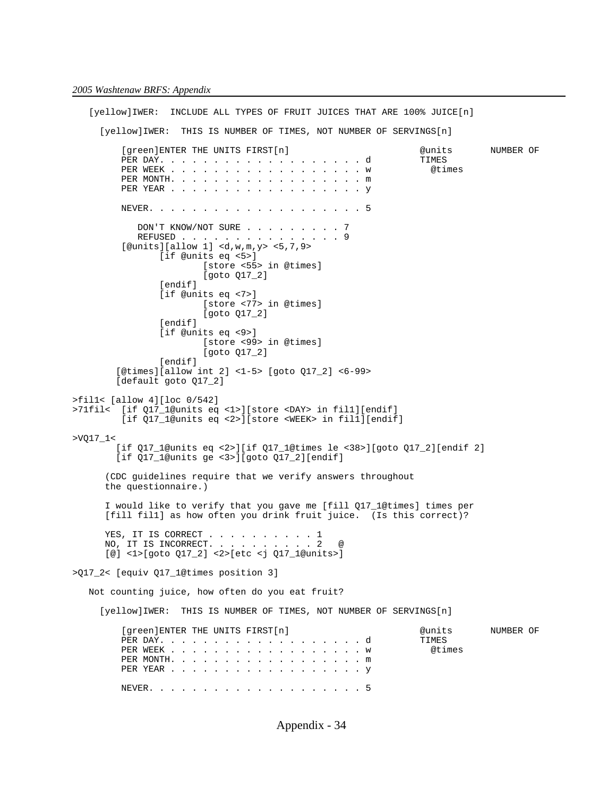[yellow]IWER: INCLUDE ALL TYPES OF FRUIT JUICES THAT ARE 100% JUICE[n] [yellow]IWER: THIS IS NUMBER OF TIMES, NOT NUMBER OF SERVINGS[n] [green]ENTER THE UNITS FIRST[n] @units NUMBER OF PER DAY. . . . . . . . . . . . . . . . . . . d TIMES PER WEEK . . . . . . . . . . . . . . . . . . w @times PER MONTH. . . . . . . . . . . . . . . . . . m PER YEAR . . . . . . . . . . . . . . . . . . y NEVER. . . . . . . . . . . . . . . . . . . . 5 DON'T KNOW/NOT SURE . . . . . . . . 7 REFUSED . . . . . . . . . . . . . . . 9  $[$ @units][allow 1] <d,w,m,y> <5,7,9> [if @units eq <5>] [store <55> in @times] [goto Q17\_2] [endif] [if @units eq <7>] [store <77> in @times] [goto Q17\_2] [endif] [if @units eq <9>] [store <99> in @times] [goto Q17\_2] [endif] [@times][allow int 2] <1-5> [goto Q17\_2] <6-99> [default goto Q17\_2] >fil1< [allow 4][loc 0/542] >71fil< [if Q17\_1@units eq <1>][store <DAY> in fil1][endif] [if Q17\_1@units eq <2>][store <WEEK> in fil1][endif] >VQ17\_1< [if Q17\_1@units eq <2>][if Q17\_1@times le <38>][goto Q17\_2][endif 2] [if Q17\_1@units ge <3>][goto Q17\_2][endif] (CDC guidelines require that we verify answers throughout the questionnaire.) I would like to verify that you gave me [fill Q17\_1@times] times per [fill fil1] as how often you drink fruit juice. (Is this correct)? YES, IT IS CORRECT . . . . . . . . . 1 NO, IT IS INCORRECT. . . . . . . . . . 2 @ [@] <1>[goto Q17\_2] <2>[etc <j Q17\_1@units>] >Q17\_2< [equiv Q17\_1@times position 3] Not counting juice, how often do you eat fruit? [yellow]IWER: THIS IS NUMBER OF TIMES, NOT NUMBER OF SERVINGS[n] [green]ENTER THE UNITS FIRST[n]  $\qquad \qquad$  @units NUMBER OF PER DAY. . . . . . . . . . . . . . . . . . . d TIMES PER WEEK . . . . . . . . . . . . . . . . . . w @times PER MONTH. . . . . . . . . . . . . . . . . . m PER YEAR . . . . . . . . . . . . . . . . . . y NEVER. . . . . . . . . . . . . . . . . . . . 5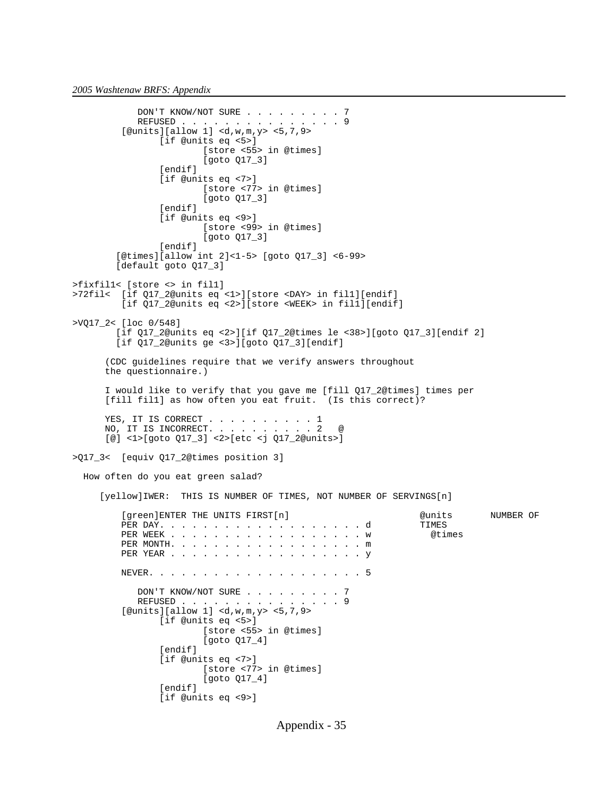```
DON'T KNOW/NOT SURE . . . . . . . . 7
 REFUSED . . . . . . . . . . . . . . . 9
 [@units][allow 1] <d,w,m,y> <5,7,9>
                [if @units eq <5>]
                       [store <55> in @times]
                        [goto Q17_3]
                [endif]
                [if @units eq <7>]
                        [store <77> in @times]
                        [goto Q17_3]
                [endif]
                [if @units eq <9>]
                        [store <99> in @times]
                        [goto Q17_3]
               [endif]
        [@times][allow int 2]<1-5> [goto Q17_3] <6-99>
        [default goto Q17_3]
>fixfil1< [store <> in fil1]
>72fil< [if Q17_2@units eq <1>][store <DAY> in fil1][endif]
         [if Q17_2@units eq <2>][store <WEEK> in fil1][endif]
>VQ17_2< [loc 0/548]
        [if Q17_2@units eq <2>][if Q17_2@times le <38>][goto Q17_3][endif 2]
        [if Q17_2@units ge <3>][goto Q17_3][endif]
      (CDC guidelines require that we verify answers throughout
      the questionnaire.)
      I would like to verify that you gave me [fill Q17_2@times] times per
      [fill fil1] as how often you eat fruit. (Is this correct)?
YES, IT IS CORRECT . . . . . . . . . 1
NO, IT IS INCORRECT. . . . . . . . . 2 @
      [@] <1>[goto Q17_3] <2>[etc <j Q17_2@units>]
>Q17_3< [equiv Q17_2@times position 3]
  How often do you eat green salad?
      [yellow]IWER: THIS IS NUMBER OF TIMES, NOT NUMBER OF SERVINGS[n]
        [green]ENTER THE UNITS FIRST[n] \qquad \qquad @units NUMBER OF
 PER DAY. . . . . . . . . . . . . . . . . . . d TIMES
 PER WEEK . . . . . . . . . . . . . . . . . . w @times
         PER MONTH. . . . . . . . . . . . . . . . . . m 
         PER YEAR . . . . . . . . . . . . . . . . . . y 
         NEVER. . . . . . . . . . . . . . . . . . . . 5
           DON'T KNOW/NOT SURE . . . . . . . . 7
 REFUSED . . . . . . . . . . . . . . . 9
 [@units][allow 1] <d,w,m,y> <5,7,9>
                [if @units eq <5>]
                        [store <55> in @times]
                        [goto Q17_4]
                [endif]
                [if @units eq <7>]
                        [store <77> in @times]
                        [goto Q17_4]
                [endif]
                [if @units eq <9>]
```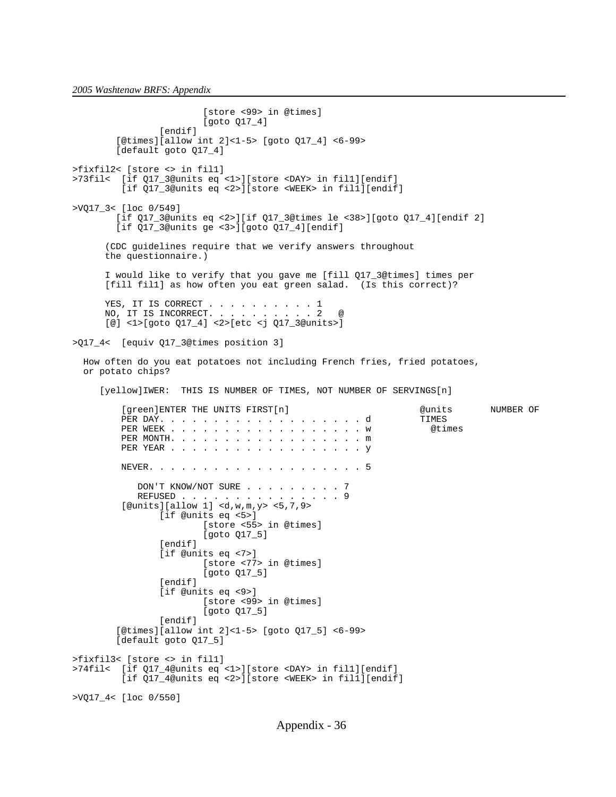[store <99> in @times] [goto Q17\_4] [endif] [@times][allow int 2]<1-5> [goto Q17\_4] <6-99> [default goto Q17\_4] >fixfil2< [store <> in fil1] >73fil< [if Q17\_3@units eq <1>][store <DAY> in fil1][endif] [if Q17\_3@units eq <2>][store <WEEK> in fil1][endif] >VQ17\_3< [loc 0/549] [if Q17\_3@units eq <2>][if Q17\_3@times le <38>][goto Q17\_4][endif 2] [if Q17\_3@units ge <3>][goto Q17\_4][endif] (CDC guidelines require that we verify answers throughout the questionnaire.) I would like to verify that you gave me [fill Q17\_3@times] times per [fill fil1] as how often you eat green salad. (Is this correct)? YES, IT IS CORRECT . . . . . . . . . 1 NO, IT IS INCORRECT. . . . . . . . . 2 @ [@] <1>[goto Q17\_4] <2>[etc <j Q17\_3@units>] >Q17\_4< [equiv Q17\_3@times position 3] How often do you eat potatoes not including French fries, fried potatoes, or potato chips? [yellow]IWER: THIS IS NUMBER OF TIMES, NOT NUMBER OF SERVINGS[n] [green]ENTER THE UNITS FIRST[n]  $\overline{d}$  @units NUMBER OF PER DAY. . . . . . . . . . . . . . . . . . . d TIMES PER WEEK . . . . . . . . . . . . . . . . . . w @times PER MONTH. . . . . . . . . . . . . . . . . . m PER YEAR . . . . . . . . . . . . . . . . . . y NEVER. . . . . . . . . . . . . . . . . . . . 5 DON'T KNOW/NOT SURE . . . . . . . . 7 REFUSED . . . . . . . . . . . . . . . 9 [@units][allow 1] <d,w,m,y> <5,7,9> [if @units eq <5>] [store <55> in @times] [goto Q17\_5] [endif] [if @units eq <7>] [store <77> in @times] [goto Q17\_5] [endif] [if @units eq <9>] [store <99> in @times] [goto Q17\_5] [endif] [@times][allow int 2]<1-5> [goto Q17\_5] <6-99> [default goto Q17\_5] >fixfil3< [store <> in fil1] >74fil< [if Q17\_4@units eq <1>][store <DAY> in fil1][endif] [if Q17\_4@units eq <2>][store <WEEK> in fil1][endif] >VQ17\_4< [loc 0/550]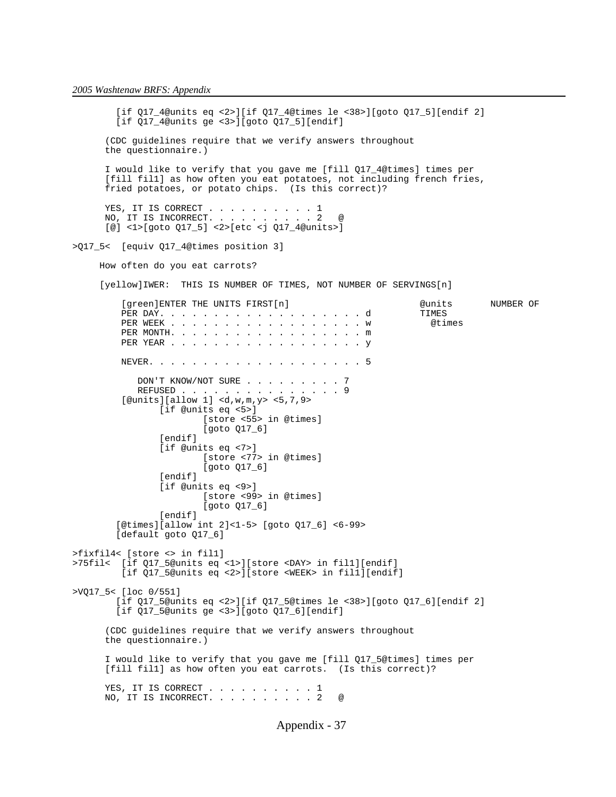[if Q17\_4@units eq <2>][if Q17\_4@times le <38>][goto Q17\_5][endif 2] [if Q17\_4@units ge <3>][goto Q17\_5][endif] (CDC guidelines require that we verify answers throughout the questionnaire.) I would like to verify that you gave me [fill Q17\_4@times] times per [fill fil1] as how often you eat potatoes, not including french fries, fried potatoes, or potato chips. (Is this correct)? YES, IT IS CORRECT . . . . . . . . . 1 NO, IT IS INCORRECT. . . . . . . . . 2 @ [@] <1>[goto Q17\_5] <2>[etc <j Q17\_4@units>] >Q17\_5< [equiv Q17\_4@times position 3] How often do you eat carrots? [yellow]IWER: THIS IS NUMBER OF TIMES, NOT NUMBER OF SERVINGS[n] [green]ENTER THE UNITS FIRST[n] @units NUMBER OF PER DAY. . . . . . . . . . . . . . . . . . . d TIMES PER WEEK . . . . . . . . . . . . . . . . . . w @times PER MONTH. . . . . . . . . . . . . . . . . . m PER YEAR . . . . . . . . . . . . . . . . . . y NEVER. . . . . . . . . . . . . . . . . . . . 5 DON'T KNOW/NOT SURE . . . . . . . . . . 7<br>REFUSED . . . . . . . . . . . . . . . . 9 REFUSED . . . . . . . . . . . [@units][allow 1] <d,w,m,y> <5,7,9> [if @units eq <5>] [store <55> in @times] [goto Q17\_6] [endif] [if @units eq <7>] [store <77> in @times] [goto Q17\_6] [endif] [if @units eq <9>] [store <99> in @times] [goto Q17\_6] [endif] [@times][allow int 2]<1-5> [goto Q17\_6] <6-99> [default goto Q17\_6] >fixfil4< [store <> in fil1] >75fil< [if Q17\_5@units eq <1>][store <DAY> in fil1][endif] [if Q17\_5@units eq <2>][store <WEEK> in fil1][endif] >VQ17\_5< [loc 0/551] [if Q17\_5@units eq <2>][if Q17\_5@times le <38>][goto Q17\_6][endif 2] [if Q17\_5@units ge <3>][goto Q17\_6][endif] (CDC guidelines require that we verify answers throughout the questionnaire.) I would like to verify that you gave me [fill Q17\_5@times] times per [fill fil1] as how often you eat carrots. (Is this correct)? YES, IT IS CORRECT . . . . . . . . . 1 NO, IT IS INCORRECT. . . . . . . . . 2 @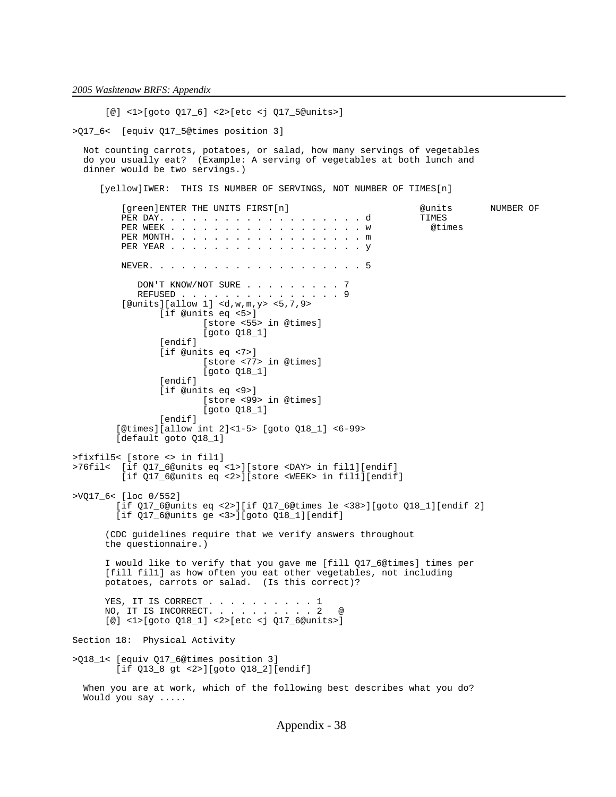[@] <1>[goto Q17\_6] <2>[etc <j Q17\_5@units>]

>Q17\_6< [equiv Q17\_5@times position 3]

 Not counting carrots, potatoes, or salad, how many servings of vegetables do you usually eat? (Example: A serving of vegetables at both lunch and dinner would be two servings.)

[yellow]IWER: THIS IS NUMBER OF SERVINGS, NOT NUMBER OF TIMES[n]

| [green]ENTER THE UNITS FIRST[n]<br>PER DAY. d<br>PER MONTH. m                                                                                                                                                                                                                                                                                                                                                                                                                                                                                        | @units<br>TIMES<br>@times | NUMBER OF |
|------------------------------------------------------------------------------------------------------------------------------------------------------------------------------------------------------------------------------------------------------------------------------------------------------------------------------------------------------------------------------------------------------------------------------------------------------------------------------------------------------------------------------------------------------|---------------------------|-----------|
|                                                                                                                                                                                                                                                                                                                                                                                                                                                                                                                                                      |                           |           |
| DON'T KNOW/NOT SURE 7<br>REFUSED 9<br>[@units][allow 1] <d,w, <math="" m,="">y &gt; &lt;5, 7, 9 &gt;<br/>[if @units <math>eq</math> &lt;5&gt;]<br/>[store &lt;55&gt; in @times]<br/><math>[goto Q18_1]</math><br/>[endif]<br/>[if @units eq &lt;7&gt;]<br/>[store &lt;77&gt; in @times]<br/><math>[qoto Q18_1]</math><br/>[endif]<br/>[if @units eq &lt;9&gt;]<br/>[store &lt;99&gt; in @times]<br/><math>[qoto Q18_1]</math><br/>[endif]<br/><math>[@times][allow int 2]&lt;-5&gt; [goto Q18_1] &lt;6-99&gt;</math><br/>[default goto Q18_1]</d,w,> |                           |           |
| >fixfil5< [store <> in fil1]<br>>76fil< [if Q17_6@units eq <1>][store <day> in fill][endif]<br/>[if Q17_6@units eq &lt;2&gt;][store <week> in fill][endif]</week></day>                                                                                                                                                                                                                                                                                                                                                                              |                           |           |
| $>$ VQ17_6< [loc 0/552]<br>[if Q17_6@units eq <2>][if Q17_6@times le <38>][goto Q18_1][endif 2]<br>[if $Q17_6$ @units qe <3>][qoto $Q18_1$ ][endif]                                                                                                                                                                                                                                                                                                                                                                                                  |                           |           |
| (CDC guidelines require that we verify answers throughout<br>the questionnaire.)                                                                                                                                                                                                                                                                                                                                                                                                                                                                     |                           |           |
| I would like to verify that you gave me [fill Q17_6@times] times per<br>[fill fill] as how often you eat other vegetables, not including<br>potatoes, carrots or salad. (Is this correct)?                                                                                                                                                                                                                                                                                                                                                           |                           |           |
| YES, IT IS CORRECT 1<br>NO, IT IS INCORRECT. 2<br>$^{\circ}$<br>$[@] <1>[@] <1>[@] <0>[18] <1] <2>[etc] <1[@] <0[17] <0[18] <1[8] <0[16] <0[16] <0[16] <0[16] <0[16] <0[16] <0[16] <0[16] <0[16] <0[16] <0[16] <0[16] <0[16] <0[16] <0[16] <0[16] <0[16] <0[16] <0[16] <0[16] <0[16] <0[16] <0[16] <0[16] <0[16] <0[16] <0[16] <0[16] <0[$                                                                                                                                                                                                           |                           |           |
| Section 18: Physical Activity                                                                                                                                                                                                                                                                                                                                                                                                                                                                                                                        |                           |           |
| >Q18_1< [equiv Q17_6@times position 3]<br>[if Q13_8 gt <2>][goto Q18_2][endif]                                                                                                                                                                                                                                                                                                                                                                                                                                                                       |                           |           |
| When you are at work, which of the following best describes what you do?<br>Would you say                                                                                                                                                                                                                                                                                                                                                                                                                                                            |                           |           |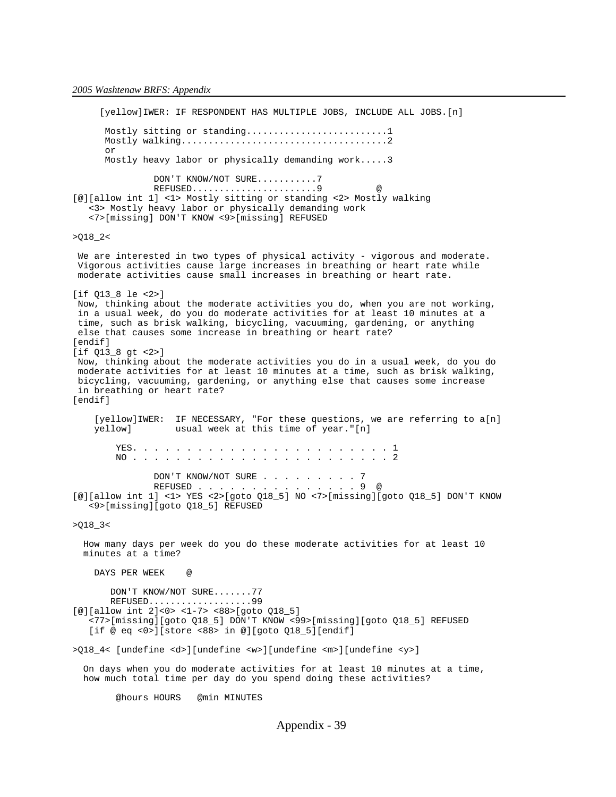[yellow]IWER: IF RESPONDENT HAS MULTIPLE JOBS, INCLUDE ALL JOBS.[n] Mostly sitting or standing............................1 Mostly walking......................................2 or Mostly heavy labor or physically demanding work.....3 DON'T KNOW/NOT SURE...........7 REFUSED......................9 [@][allow int 1] <1> Mostly sitting or standing <2> Mostly walking <3> Mostly heavy labor or physically demanding work <7>[missing] DON'T KNOW <9>[missing] REFUSED  $>Q18_2$ We are interested in two types of physical activity - vigorous and moderate. Vigorous activities cause large increases in breathing or heart rate while moderate activities cause small increases in breathing or heart rate. [if Q13\_8 le <2>] Now, thinking about the moderate activities you do, when you are not working, in a usual week, do you do moderate activities for at least 10 minutes at a time, such as brisk walking, bicycling, vacuuming, gardening, or anything else that causes some increase in breathing or heart rate? [endif] [if Q13\_8 gt <2>] Now, thinking about the moderate activities you do in a usual week, do you do moderate activities for at least 10 minutes at a time, such as brisk walking, bicycling, vacuuming, gardening, or anything else that causes some increase in breathing or heart rate? [endif] [yellow]IWER: IF NECESSARY, "For these questions, we are referring to a[n] yellow] usual week at this time of year."[n] YES. . . . . . . . . . . . . . . . . . . . . . . . 1 NO . . . . . . . . . . . . . . . . . . . . . . . . 2 DON'T KNOW/NOT SURE . . . . . . . . . 7<br>REFIISED 9 @ REFUSED . . . . . . . . [@][allow int 1] <1> YES <2>[goto Q18\_5] NO <7>[missing][goto Q18\_5] DON'T KNOW <9>[missing][goto Q18\_5] REFUSED  $>Q18_3$  How many days per week do you do these moderate activities for at least 10 minutes at a time? DAYS PER WEEK @ DON'T KNOW/NOT SURE.......77 REFUSED...................99 [@][allow int 2]<0> <1-7> <88>[goto Q18\_5] <77>[missing][goto Q18\_5] DON'T KNOW <99>[missing][goto Q18\_5] REFUSED [if @ eq <0>][store <88> in @][goto Q18\_5][endif] >Q18\_4< [undefine <d>][undefine <w>][undefine <m>][undefine <y>] On days when you do moderate activities for at least 10 minutes at a time, how much total time per day do you spend doing these activities? @hours HOURS @min MINUTES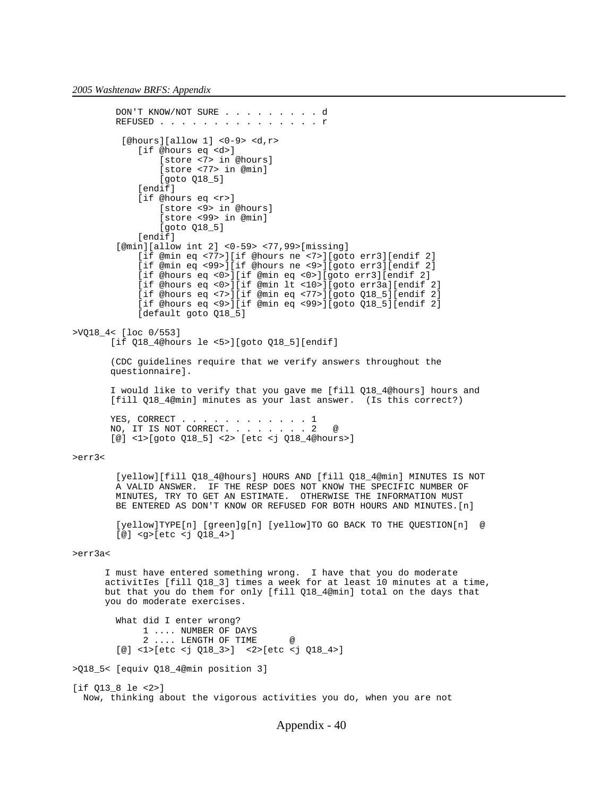```
 DON'T KNOW/NOT SURE . . . . . . . . . d
        REFUSED . . . . . . . . . . . . . . r
         [<i>@hours</i>][<i>allow 1</i>] <i><0-9</i> <i><</i> <i><</i>d</i>,<i>r</i> <i><</i> [if @hours eq <d>]
                 [store <7> in @hours]
                  [store <77> in @min]
                 [goto Q18_5]
             [endif]
             [if @hours eq <r>]
                 [store <9> in @hours]
                  [store <99> in @min]
                 [goto Q18_5]
            [endif]
         [@min][allow int 2] <0-59> <77,99>[missing]
             [if @min eq <77>][if @hours ne <7>][goto err3][endif 2]
             [if @min eq <99>][if @hours ne <9>][goto err3][endif 2]
             [if @hours eq <0>][if @min eq <0>][goto err3][endif 2]
             [if @hours eq <0>][if @min lt <10>][goto err3a][endif 2]
             [if @hours eq <7>][if @min eq <77>][goto Q18_5][endif 2]
             [if @hours eq <9>][if @min eq <99>][goto Q18_5][endif 2]
            [default goto 018 5]
>VQ18_4< [loc 0/553]
        [if Q18_4@hours le <5>][goto Q18_5][endif]
        (CDC guidelines require that we verify answers throughout the
        questionnaire].
        I would like to verify that you gave me [fill Q18_4@hours] hours and
       [fill Q18 4@min] minutes as your last answer. (Is this correct?)
YES, CORRECT . . . . . . . . . . . 1
NO, IT IS NOT CORRECT. . . . . . . 2 @
        [@] <1>[goto Q18_5] <2> [etc <j Q18_4@hours>]
>err3< 
         [yellow][fill Q18_4@hours] HOURS AND [fill Q18_4@min] MINUTES IS NOT
         A VALID ANSWER. IF THE RESP DOES NOT KNOW THE SPECIFIC NUMBER OF
         MINUTES, TRY TO GET AN ESTIMATE. OTHERWISE THE INFORMATION MUST
        BE ENTERED AS DON'T KNOW OR REFUSED FOR BOTH HOURS AND MINUTES. [n]
         [yellow]TYPE[n] [green]g[n] [yellow]TO GO BACK TO THE QUESTION[n] @
         [@] <g>[etc <j Q18_4>]
>err3a<
       I must have entered something wrong. I have that you do moderate
       activitIes [fill Q18_3] times a week for at least 10 minutes at a time,
       but that you do them for only [fill Q18_4@min] total on the days that
       you do moderate exercises.
         What did I enter wrong?
              1 .... NUMBER OF DAYS
              2 .... LENGTH OF TIME @
         [@] <1>[etc <j Q18_3>] <2>[etc <j Q18_4>]
>Q18_5< [equiv Q18_4@min position 3]
[if 013 8 le <2>]
   Now, thinking about the vigorous activities you do, when you are not
```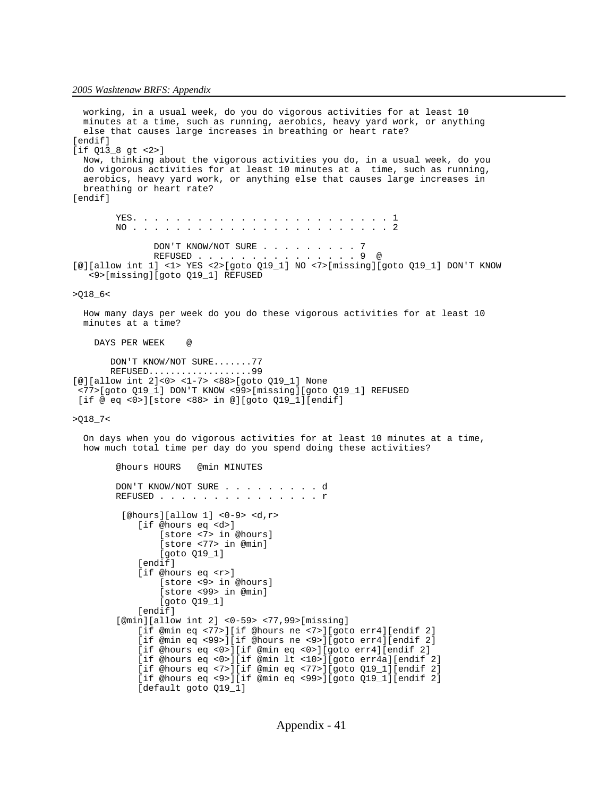```
 working, in a usual week, do you do vigorous activities for at least 10
   minutes at a time, such as running, aerobics, heavy yard work, or anything
   else that causes large increases in breathing or heart rate?
[endif]
[if Q13_8 gt <2>]
  Now, thinking about the vigorous activities you do, in a usual week, do you
   do vigorous activities for at least 10 minutes at a time, such as running,
   aerobics, heavy yard work, or anything else that causes large increases in
   breathing or heart rate?
[endif]
         YES. . . . . . . . . . . . . . . . . . . . . . . . 1
         NO . . . . . . . . . . . . . . . . . . . . . . . . 2
               DON'T KNOW/NOT SURE . . . . . . . . 7
                REFUSED . . . . . . . . . . . . . . . 9 @
[@][allow int 1] <1> YES <2>[goto Q19_1] NO <7>[missing][goto Q19_1] DON'T KNOW
    <9>[missing][goto Q19_1] REFUSED
>Q18_6< 
   How many days per week do you do these vigorous activities for at least 10
   minutes at a time?
     DAYS PER WEEK @ 
        DON'T KNOW/NOT SURE.......77
        REFUSED...................99
[@][allow int 2]<0> <1-7> <88>[goto Q19_1] None
  <77>[goto Q19_1] DON'T KNOW <99>[missing][goto Q19_1] REFUSED
  [if @ eq <0>][store <88> in @][goto Q19_1][endif]
>Q18_7<
   On days when you do vigorous activities for at least 10 minutes at a time,
   how much total time per day do you spend doing these activities?
         @hours HOURS @min MINUTES
        DON'T KNOW/NOT SURE . . . . . . . . d
        REFUSED . . . . . . . . . . . . . . r
          [@hours][allow 1] <0-9> <d,r>
             [if @hours eq <d>]
                 [store <7> in @hours]
                 [store <77> in @min]
                 [goto Q19_1]
            [endif]
             [if @hours eq <r>]
                 [store <9> in @hours]
                 [store <99> in @min]
                 [goto Q19_1]
            [endif]
         [@min][allow int 2] <0-59> <77,99>[missing]
             [if @min eq <77>][if @hours ne <7>][goto err4][endif 2]
             [if @min eq <99>][if @hours ne <9>][goto err4][endif 2]
             [if @hours eq <0>][if @min eq <0>][goto err4][endif 2]
             [if @hours eq <0>][if @min lt <10>][goto err4a][endif 2]
             [if @hours eq <7>][if @min eq <77>][goto Q19_1][endif 2]
             [if @hours eq <9>][if @min eq <99>][goto Q19_1][endif 2]
             [default goto Q19_1]
```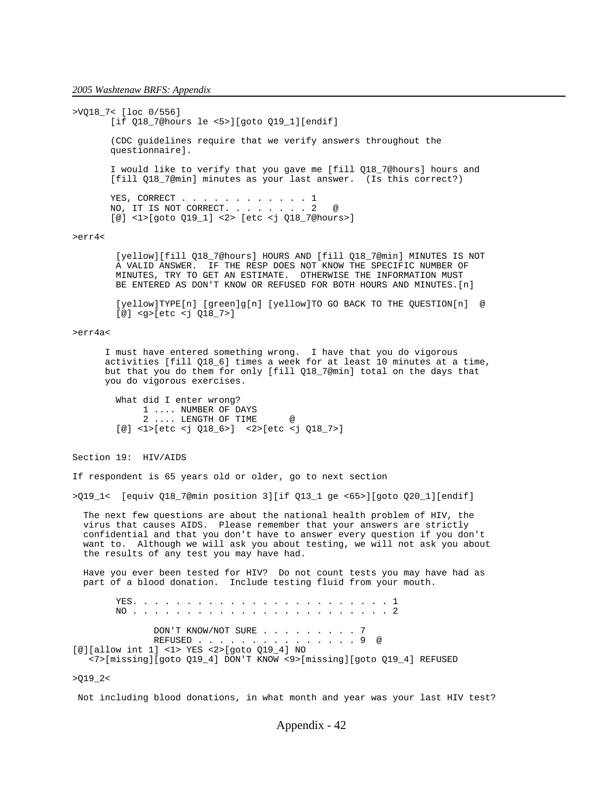>VQ18\_7< [loc 0/556] [if Q18\_7@hours le <5>][goto Q19\_1][endif] (CDC guidelines require that we verify answers throughout the questionnaire]. I would like to verify that you gave me [fill Q18\_7@hours] hours and [fill Q18\_7@min] minutes as your last answer. (Is this correct?) YES, CORRECT . . . . . . . . . . . 1 NO, IT IS NOT CORRECT. . . . . . . 2 @ [@] <1>[goto Q19\_1] <2> [etc <j Q18\_7@hours>] >err4< [yellow][fill Q18\_7@hours] HOURS AND [fill Q18\_7@min] MINUTES IS NOT A VALID ANSWER. IF THE RESP DOES NOT KNOW THE SPECIFIC NUMBER OF

 MINUTES, TRY TO GET AN ESTIMATE. OTHERWISE THE INFORMATION MUST BE ENTERED AS DON'T KNOW OR REFUSED FOR BOTH HOURS AND MINUTES. [n]

 [yellow]TYPE[n] [green]g[n] [yellow]TO GO BACK TO THE QUESTION[n] @ [@] <g>[etc <j Q18\_7>]

## >err4a<

 I must have entered something wrong. I have that you do vigorous activities [fill Q18\_6] times a week for at least 10 minutes at a time, but that you do them for only [fill Q18\_7@min] total on the days that you do vigorous exercises.

 What did I enter wrong? 1 .... NUMBER OF DAYS 2 .... LENGTH OF TIME @ [@] <1>[etc <j Q18\_6>] <2>[etc <j Q18\_7>]

Section 19: HIV/AIDS

If respondent is 65 years old or older, go to next section

>Q19\_1< [equiv Q18\_7@min position 3][if Q13\_1 ge <65>][goto Q20\_1][endif]

 The next few questions are about the national health problem of HIV, the virus that causes AIDS. Please remember that your answers are strictly confidential and that you don't have to answer every question if you don't want to. Although we will ask you about testing, we will not ask you about the results of any test you may have had.

 Have you ever been tested for HIV? Do not count tests you may have had as part of a blood donation. Include testing fluid from your mouth.

 YES. . . . . . . . . . . . . . . . . . . . . . . . 1 NO . . . . . . . . . . . . . . . . . . . . . . . . 2 DON'T KNOW/NOT SURE . . . . . . . . 7 REFUSED . . . . . . . . . . . . . . 9 [@][allow int 1] <1> YES <2>[goto Q19\_4] NO <7>[missing][goto Q19\_4] DON'T KNOW <9>[missing][goto Q19\_4] REFUSED

 $>Q19_2$ 

Not including blood donations, in what month and year was your last HIV test?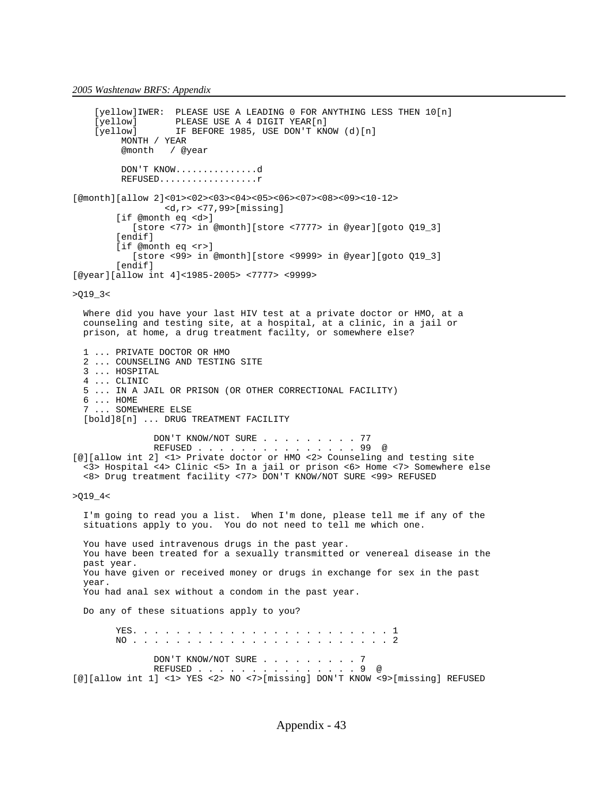```
[yellow]IWER: PLEASE USE A LEADING 0 FOR ANYTHING LESS THEN 10[n]<br>[yellow] PLEASE USE A 4 DIGIT YEAR[n]
                    PLEASE USE A 4 DIGIT YEAR[n]
    [yellow] Franch our r Free PON'T KNOW (d)[n]<br>[yellow] IF BEFORE 1985, USE DON'T KNOW (d)[n]
          MONTH / YEAR 
          @month / @year
          DON'T KNOW...............d
          REFUSED..................r
[@month][allow 2]<01><02><03><04><05><06><07><08><09><10-12>
                   <d,r> <77,99>[missing]
         [if @month eq <d>]
             [store <77> in @month][store <7777> in @year][goto Q19_3]
        [endif]
         [if @month eq <r>]
            [store <99> in @month][store <9999> in @year][goto Q19_3]
         [endif]
[@year][allow int 4]<1985-2005> <7777> <9999>
>Q19_3<
   Where did you have your last HIV test at a private doctor or HMO, at a
   counseling and testing site, at a hospital, at a clinic, in a jail or
   prison, at home, a drug treatment facilty, or somewhere else?
   1 ... PRIVATE DOCTOR OR HMO
   2 ... COUNSELING AND TESTING SITE
   3 ... HOSPITAL
   4 ... CLINIC
   5 ... IN A JAIL OR PRISON (OR OTHER CORRECTIONAL FACILITY)
   6 ... HOME
   7 ... SOMEWHERE ELSE
  [bold]8[n] ... DRUG TREATMENT FACILITY
                 DON'T KNOW/NOT SURE . . . . . . . . . 77
                 REFUSED . . . . . . . . . . . . . . . 99 @
[@][allow int 2] <1> Private doctor or HMO <2> Counseling and testing site
   <3> Hospital <4> Clinic <5> In a jail or prison <6> Home <7> Somewhere else 
   <8> Drug treatment facility <77> DON'T KNOW/NOT SURE <99> REFUSED
>019 4< I'm going to read you a list. When I'm done, please tell me if any of the
 situations apply to you. You do not need to tell me which one.
   You have used intravenous drugs in the past year.
   You have been treated for a sexually transmitted or venereal disease in the
   past year.
   You have given or received money or drugs in exchange for sex in the past
   year.
   You had anal sex without a condom in the past year.
   Do any of these situations apply to you?
         YES. . . . . . . . . . . . . . . . . . . . . . . . 1
         NO . . . . . . . . . . . . . . . . . . . . . . . . 2
                DON'T KNOW/NOT SURE . . . . . . . . . 7<br>REFUSED . . . . . . . . . . . . . . . 9 @
                REFUSED . . . . . . . . . . .
[@][allow int 1] <1> YES <2> NO <7>[missing] DON'T KNOW <9>[missing] REFUSED
```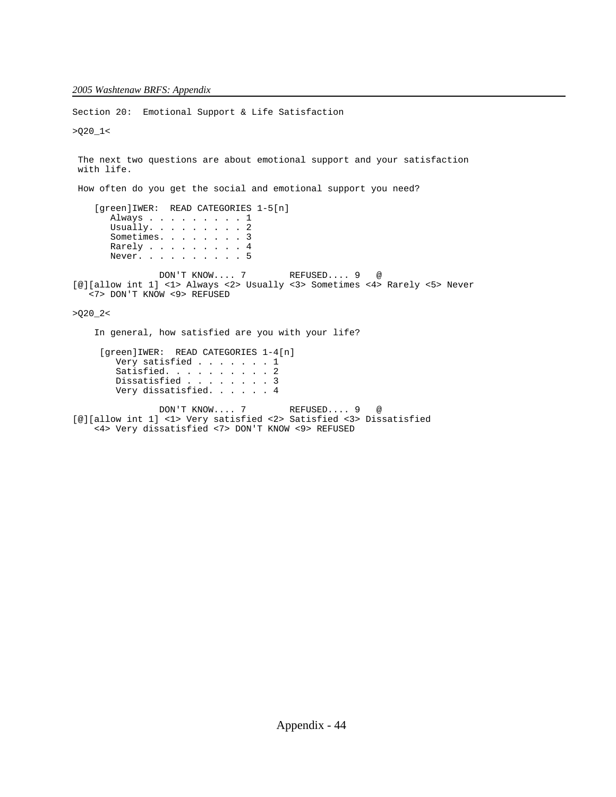Section 20: Emotional Support & Life Satisfaction >Q20\_1< The next two questions are about emotional support and your satisfaction with life. How often do you get the social and emotional support you need? [green]IWER: READ CATEGORIES 1-5[n] Always . . . . . . . . . 1 Usually. . . . . . . . . 2 Sometimes. . . . . . . . 3 Rarely . . . . . . . . 4 Never. . . . . . . . . . 5 DON'T KNOW.... 7 REFUSED.... 9 @ [@][allow int 1] <1> Always <2> Usually <3> Sometimes <4> Rarely <5> Never <7> DON'T KNOW <9> REFUSED  $>020$  2< In general, how satisfied are you with your life? [green]IWER: READ CATEGORIES 1-4[n] Very satisfied . . . . . . . 1 Satisfied. . . . . . . . . 2 Dissatisfied . . . . . . . 3 Very dissatisfied. . . . . . 4 DON'T KNOW.... 7 REFUSED.... 9 @ [@][allow int 1] <1> Very satisfied <2> Satisfied <3> Dissatisfied <4> Very dissatisfied <7> DON'T KNOW <9> REFUSED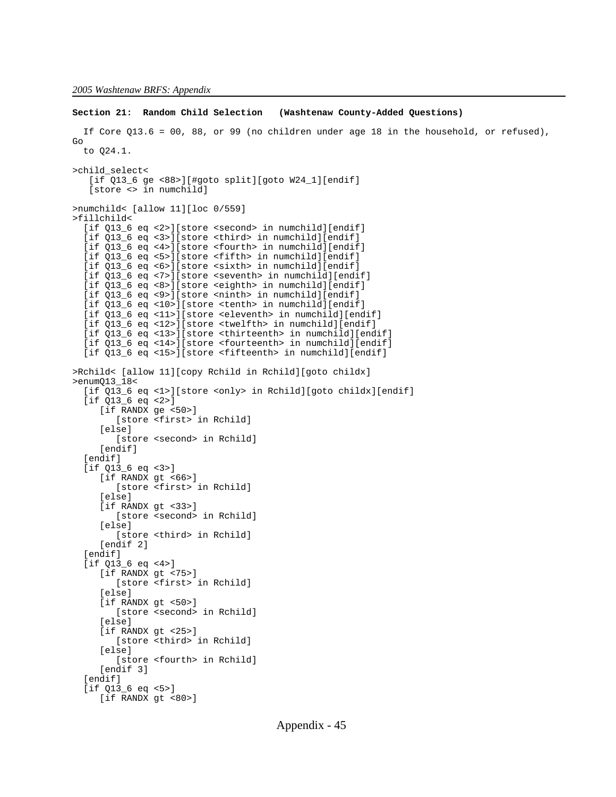```
Section 21: Random Child Selection (Washtenaw County-Added Questions)
   If Core Q13.6 = 00, 88, or 99 (no children under age 18 in the household, or refused),
Go
   to Q24.1.
>child_select<
    [if Q13_6 ge <88>][#goto split][goto W24_1][endif]
    [store <> in numchild]
>numchild< [allow 11][loc 0/559]
>fillchild<
   [if Q13_6 eq <2>][store <second> in numchild][endif]
   [if Q13_6 eq <3>][store <third> in numchild][endif]
  [if 013 6 eq <4>][store <fourth> in numchild][endif]
   [if Q13_6 eq <5>][store <fifth> in numchild][endif]
  [if Q13_6 eq <6>][store <sixth> in numchild][endif]
   [if Q13_6 eq <7>][store <seventh> in numchild][endif]
   [if Q13_6 eq <8>][store <eighth> in numchild][endif]
  [if Q13_6 eq <9>][store <ninth> in numchild][endif]
   [if Q13_6 eq <10>][store <tenth> in numchild][endif]
   [if Q13_6 eq <11>][store <eleventh> in numchild][endif]
   [if Q13_6 eq <12>][store <twelfth> in numchild][endif]
   [if Q13_6 eq <13>][store <thirteenth> in numchild][endif]
   [if Q13_6 eq <14>][store <fourteenth> in numchild][endif]
   [if Q13_6 eq <15>][store <fifteenth> in numchild][endif]
>Rchild< [allow 11][copy Rchild in Rchild][goto childx]
>enumQ13_18<
   [if Q13_6 eq <1>][store <only> in Rchild][goto childx][endif]
   [if Q13_6 eq <2>]
      [if RANDX ge <50>]
         [store <first> in Rchild]
      [else]
         [store <second> in Rchild]
     [endif]
  [endif]
   [if Q13_6 eq <3>]
      [if RANDX gt <66>]
         [store <first> in Rchild]
      [else]
      [if RANDX gt <33>]
         [store <second> in Rchild]
      [else]
         [store <third> in Rchild]
      [endif 2]
   [endif]
   [if Q13_6 eq <4>]
      [if RANDX gt <75>]
         [store <first> in Rchild]
      [else]
     [if RANDX gt <50>]
         [store <second> in Rchild]
      [else]
      [if RANDX gt <25>]
         [store <third> in Rchild]
      [else]
         [store <fourth> in Rchild]
      [endif 3]
   [endif]
  [if 013 6 eq < 5>]</math>[if RANDX gt <80>]
```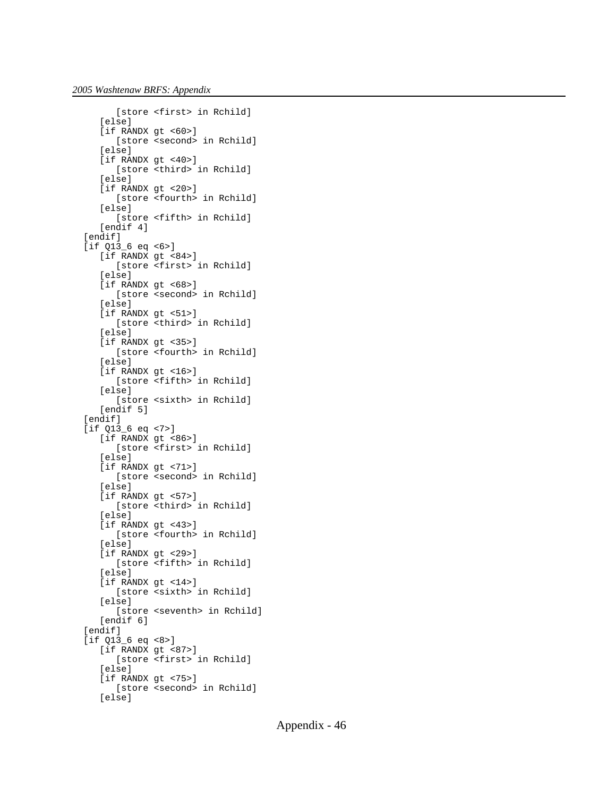```
 [store <first> in Rchild]
    [else]
   [if RANDX gt <60>]
       [store <second> in Rchild]
    [else]
   [if RANDX gt <40>]
       [store <third> in Rchild]
    [else]
   [if RANDX gt <20>]
       [store <fourth> in Rchild]
    [else]
       [store <fifth> in Rchild]
    [endif 4]
 [endif]
 [if Q13_6 eq <6>]
   [if RANDX gt <84>]
       [store <first> in Rchild]
    [else]
    [if RANDX gt <68>]
       [store <second> in Rchild]
    [else]
    [if RANDX gt <51>]
       [store <third> in Rchild]
    [else]
    [if RANDX gt <35>]
       [store <fourth> in Rchild]
    [else]
    [if RANDX gt <16>]
       [store <fifth> in Rchild]
    [else]
       [store <sixth> in Rchild]
   [endif 5]
[endif]
 [if Q13_6 eq <7>]
   [if RANDX gt <86>]
       [store <first> in Rchild]
    [else]
    [if RANDX gt <71>]
       [store <second> in Rchild]
    [else]
    [if RANDX gt <57>]
       [store <third> in Rchild]
    [else]
   [if RANDX gt <43>]
       [store <fourth> in Rchild]
    [else]
   [if RANDX gt <29>]
       [store <fifth> in Rchild]
    [else]
    [if RANDX gt <14>]
       [store <sixth> in Rchild]
    [else]
       [store <seventh> in Rchild]
    [endif 6]
 [endif]
 [if Q13_6 eq <8>]
    [if RANDX gt <87>]
       [store <first> in Rchild]
    [else]
    [if RANDX gt <75>]
       [store <second> in Rchild]
    [else]
```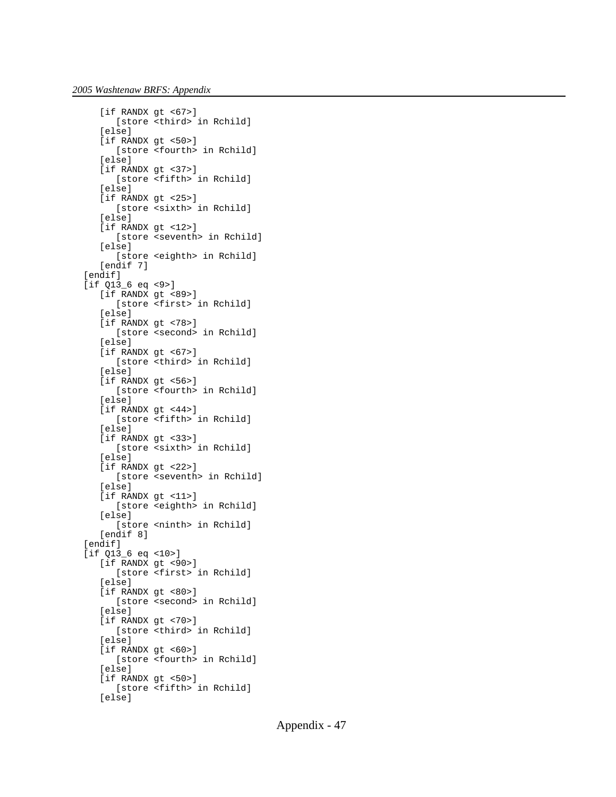```
 [if RANDX gt <67>]
       [store <third> in Rchild]
    [else]
    [if RANDX gt <50>]
       [store <fourth> in Rchild]
    [else]
    [if RANDX gt <37>]
       [store <fifth> in Rchild]
    [else]
    [if RANDX gt <25>]
       [store <sixth> in Rchild]
    [else]
    [if RANDX gt <12>]
       [store <seventh> in Rchild]
    [else]
       [store <eighth> in Rchild]
    [endif 7]
 [endif]
[if 013 6 eq < 9>]</math>[if RANDX gt <89>]
       [store <first> in Rchild]
    [else]
    [if RANDX gt <78>]
       [store <second> in Rchild]
    [else]
    [if RANDX gt <67>]
       [store <third> in Rchild]
    [else]
   [if RANDX gt <56>]
       [store <fourth> in Rchild]
    [else]
    [if RANDX gt <44>]
       [store <fifth> in Rchild]
    [else]
    [if RANDX gt <33>]
       [store <sixth> in Rchild]
    [else]
    [if RANDX gt <22>]
       [store <seventh> in Rchild]
    [else]
    [if RANDX gt <11>]
       [store <eighth> in Rchild]
    [else]
       [store <ninth> in Rchild]
    [endif 8]
 [endif]
 [if Q13_6 eq <10>]
   [if RANDX gt <90>]
       [store <first> in Rchild]
    [else]
   [if RANDX gt <80>]
       [store <second> in Rchild]
   [else]
    [if RANDX gt <70>]
       [store <third> in Rchild]
    [else]
    [if RANDX gt <60>]
       [store <fourth> in Rchild]
    [else]
    [if RANDX gt <50>]
       [store <fifth> in Rchild]
    [else]
```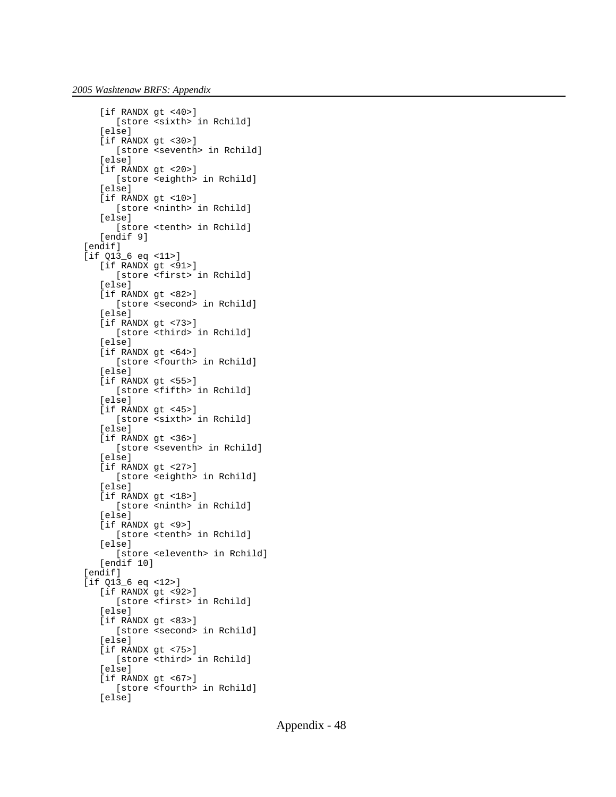```
[if RANDX gt <40>]
       [store <sixth> in Rchild]
    [else]
    [if RANDX gt <30>]
       [store <seventh> in Rchild]
    [else]
    [if RANDX gt <20>]
       [store <eighth> in Rchild]
    [else]
    [if RANDX gt <10>]
       [store <ninth> in Rchild]
    [else]
       [store <tenth> in Rchild]
    [endif 9]
 [endif]
 [if Q13_6 eq <11>]
   [if RANDX gt <91>]
       [store <first> in Rchild]
   [else]
   [if RANDX gt <82>]
       [store <second> in Rchild]
    [else]
    [if RANDX gt <73>]
       [store <third> in Rchild]
    [else]
    [if RANDX gt <64>]
       [store <fourth> in Rchild]
    [else]
    [if RANDX gt <55>]
       [store <fifth> in Rchild]
    [else]
    [if RANDX gt <45>]
       [store <sixth> in Rchild]
    [else]
    [if RANDX gt <36>]
       [store <seventh> in Rchild]
    [else]
    [if RANDX gt <27>]
       [store <eighth> in Rchild]
    [else]
    [if RANDX gt <18>]
       [store <ninth> in Rchild]
    [else]
    [if RANDX gt <9>]
       [store <tenth> in Rchild]
    [else]
       [store <eleventh> in Rchild]
    [endif 10]
 [endif]
 [if Q13_6 eq <12>]
    [if RANDX gt <92>]
       [store <first> in Rchild]
   [else]
   [if RANDX gt <83>]
      [store <second> in Rchild]
    [else]
    [if RANDX gt <75>]
       [store <third> in Rchild]
    [else]
    [if RANDX gt <67>]
       [store <fourth> in Rchild]
    [else]
```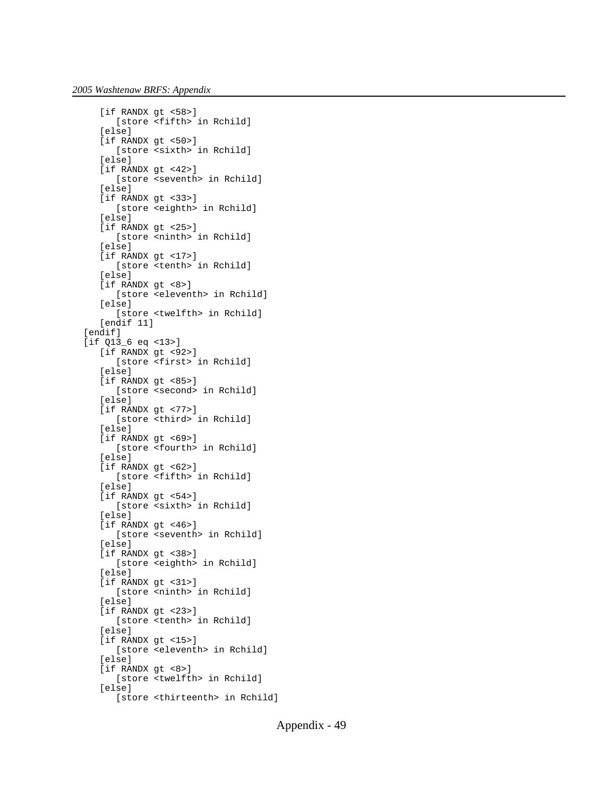```
 [if RANDX gt <58>]
       [store <fifth> in Rchild]
    [else]
    [if RANDX gt <50>]
       [store <sixth> in Rchild]
    [else]
    [if RANDX gt <42>]
       [store <seventh> in Rchild]
    [else]
   [if RANDX gt <33>]
       [store <eighth> in Rchild]
    [else]
    [if RANDX gt <25>]
       [store <ninth> in Rchild]
    [else]
    [if RANDX gt <17>]
       [store <tenth> in Rchild]
    [else]
    [if RANDX gt <8>]
       [store <eleventh> in Rchild]
    [else]
       [store <twelfth> in Rchild]
    [endif 11]
 [endif]
 [if Q13_6 eq <13>]
    [if RANDX gt <92>]
       [store <first> in Rchild]
    [else]
   [if RANDX gt <85>]
       [store <second> in Rchild]
    [else]
    [if RANDX gt <77>]
       [store <third> in Rchild]
    [else]
    [if RANDX gt <69>]
       [store <fourth> in Rchild]
    [else]
    [if RANDX gt <62>]
       [store <fifth> in Rchild]
    [else]
   [if RANDX gt <54>]
       [store <sixth> in Rchild]
    [else]
   [if RANDX gt <46>]
       [store <seventh> in Rchild]
    [else]
    [if RANDX gt <38>]
       [store <eighth> in Rchild]
    [else]
   [if RANDX gt <31>]
      [store <ninth> in Rchild]
    [else]
    [if RANDX gt <23>]
       [store <tenth> in Rchild]
   [else]
    [if RANDX gt <15>]
       [store <eleventh> in Rchild]
    [else]
    [if RANDX gt <8>]
       [store <twelfth> in Rchild]
    [else]
       [store <thirteenth> in Rchild]
```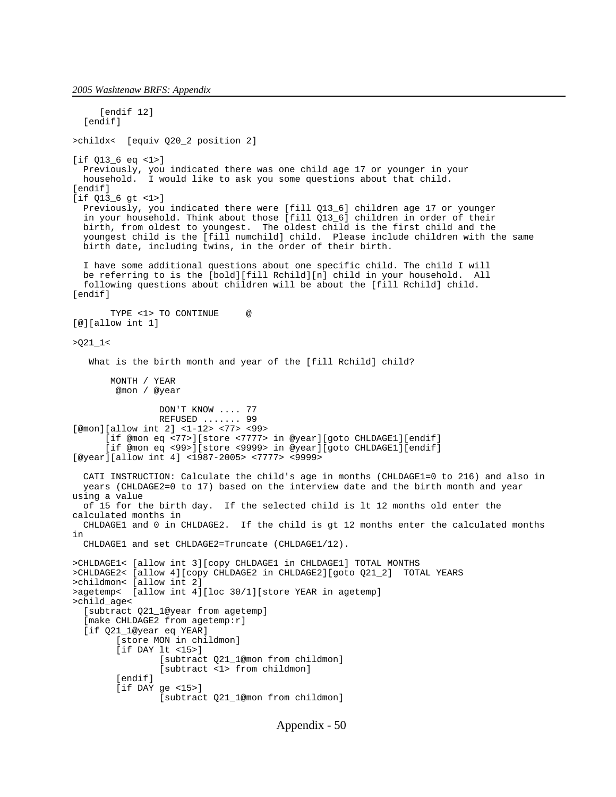*2005 Washtenaw BRFS: Appendix*

[endif 12] [endif] >childx< [equiv Q20\_2 position 2] [if Q13\_6 eq <1>] Previously, you indicated there was one child age 17 or younger in your household. I would like to ask you some questions about that child. [endif] [if Q13\_6 gt <1>] Previously, you indicated there were [fill Q13\_6] children age 17 or younger in your household. Think about those [fill Q13\_6] children in order of their birth, from oldest to youngest. The oldest child is the first child and the youngest child is the [fill numchild] child. Please include children with the same birth date, including twins, in the order of their birth. I have some additional questions about one specific child. The child I will be referring to is the [bold][fill Rchild][n] child in your household. All following questions about children will be about the [fill Rchild] child. [endif] TYPE <1> TO CONTINUE @ [@][allow int 1]  $>021$   $1$  < What is the birth month and year of the [fill Rchild] child? MONTH / YEAR @mon / @year DON'T KNOW .... 77 REFUSED ....... 99 [@mon][allow int 2] <1-12> <77> <99> [if @mon eq <77>][store <7777> in @year][goto CHLDAGE1][endif] [if @mon eq <99>][store <9999> in @year][goto CHLDAGE1][endif] [@year][allow int 4] <1987-2005> <7777> <9999> CATI INSTRUCTION: Calculate the child's age in months (CHLDAGE1=0 to 216) and also in years (CHLDAGE2=0 to 17) based on the interview date and the birth month and year using a value of 15 for the birth day. If the selected child is lt 12 months old enter the calculated months in CHLDAGE1 and 0 in CHLDAGE2. If the child is gt 12 months enter the calculated months in CHLDAGE1 and set CHLDAGE2=Truncate (CHLDAGE1/12). >CHLDAGE1< [allow int 3][copy CHLDAGE1 in CHLDAGE1] TOTAL MONTHS >CHLDAGE2< [allow 4][copy CHLDAGE2 in CHLDAGE2][goto Q21\_2] TOTAL YEARS >childmon< [allow int 2] >agetemp< [allow int 4][loc 30/1][store YEAR in agetemp] >child\_age< [subtract Q21\_1@year from agetemp] [make CHLDAGE2 from agetemp:r] [if Q21\_1@year eq YEAR] [store MON in childmon] [if DAY lt <15>] [subtract Q21\_1@mon from childmon] [subtract <1> from childmon] [endif] [if DAY ge <15>] [subtract Q21\_1@mon from childmon]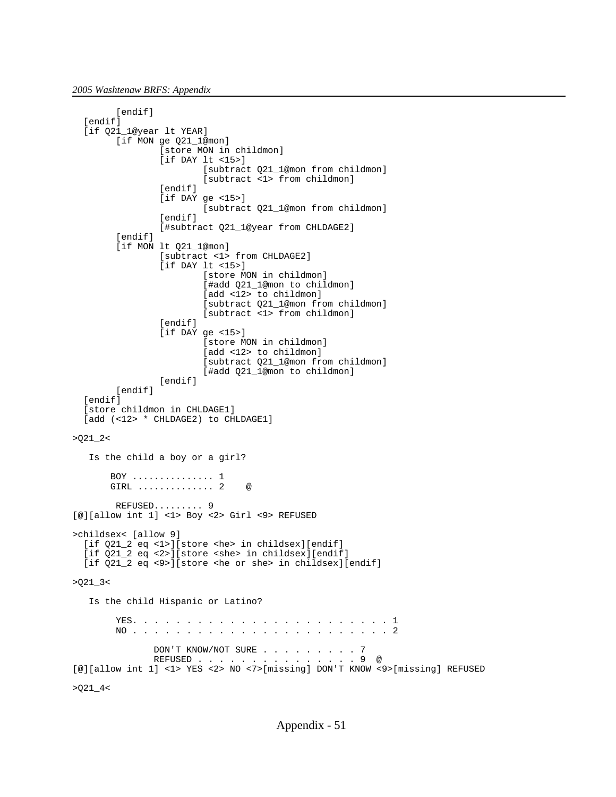```
[endif]
   [endif]
   [if Q21_1@year lt YEAR]
       [if MON ge 021 1@mon]
                [store MON in childmon]
                [if DAY lt <15>]
 [subtract Q21_1@mon from childmon]
 [subtract <1> from childmon]
                [endif]
                [if DAY ge <15>]
                        [subtract Q21_1@mon from childmon]
                [endif]
                [#subtract Q21_1@year from CHLDAGE2]
       [endif]
        [if MON lt Q21_1@mon]
                [subtract <1> from CHLDAGE2]
                [if DAY lt <15>]
                        [store MON in childmon]
                       [#add Q21_1@mon to childmon]
                       [add <12> to childmon]
 [subtract Q21_1@mon from childmon]
 [subtract <1> from childmon]
                [endif]
                [if DAY ge <15>]
                        [store MON in childmon]
                       [add <12> to childmon]
                        [subtract Q21_1@mon from childmon]
                       [#add Q21_1@mon to childmon]
               [endif]
       [endif]
  [endif]
   [store childmon in CHLDAGE1]
  [add (<12> * CHLDAGE2) to CHLDAGE1]
>021 2< Is the child a boy or a girl?
       BOY ............... 1
      GIRL .............. 2 @
        REFUSED......... 9
[@][allow int 1] <1> Boy <2> Girl <9> REFUSED 
>childsex< [allow 9]
  [if Q21_2 eq <1>][store <he> in childsex][endif]
  [if Q21_2 eq <2>][store <she> in childsex][endif]
  [if Q21_2 eq <9>][store <he or she> in childsex][endif]
>Q21-3< Is the child Hispanic or Latino?
        YES. . . . . . . . . . . . . . . . . . . . . . . . 1
        NO . . . . . . . . . . . . . . . . . . . . . . . . 2
              DON'T KNOW/NOT SURE . . . . . . . . . 7
               REFUSED . . . . . . . . . . . . . . . 9 @
[@][allow int 1] <1> YES <2> NO <7>[missing] DON'T KNOW <9>[missing] REFUSED
>021 - 4<
```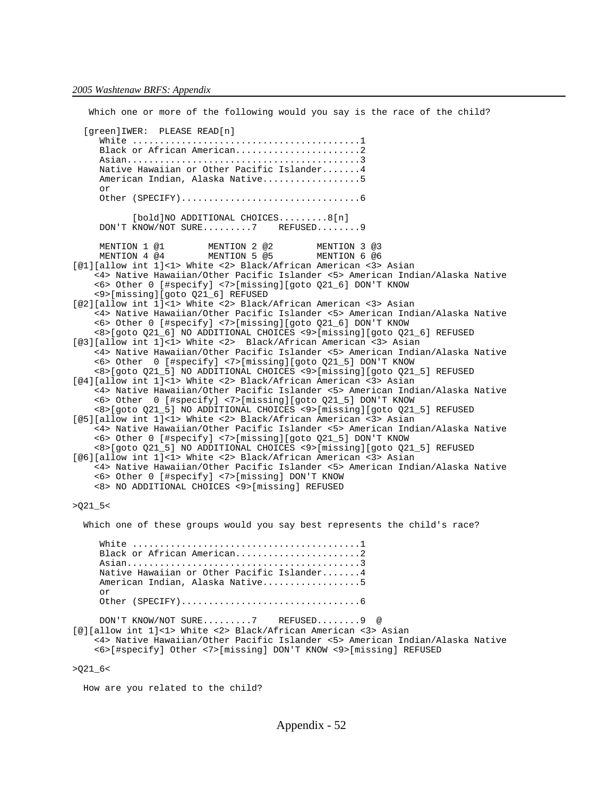Which one or more of the following would you say is the race of the child? [green]IWER: PLEASE READ[n] White ..........................................1 Black or African American...........................2 Asian...........................................3 Native Hawaiian or Other Pacific Islander.......4 American Indian, Alaska Native..................5 or Other (SPECIFY).................................6 [bold]NO ADDITIONAL CHOICES.........8[n] DON'T KNOW/NOT SURE.........7 REFUSED........9 MENTION 1 @1 MENTION 2 @2 MENTION 3 @3<br>MENTION 4 @4 MENTION 5 @5 MENTION 6 @6 MENTION 5 @5 [@1][allow int 1]<1> White <2> Black/African American <3> Asian <4> Native Hawaiian/Other Pacific Islander <5> American Indian/Alaska Native <6> Other 0 [#specify] <7>[missing][goto Q21\_6] DON'T KNOW <9>[missing][goto Q21\_6] REFUSED [@2][allow int 1]<1> White <2> Black/African American <3> Asian <4> Native Hawaiian/Other Pacific Islander <5> American Indian/Alaska Native <6> Other 0 [#specify] <7>[missing][goto Q21\_6] DON'T KNOW <8>[goto Q21\_6] NO ADDITIONAL CHOICES <9>[missing][goto Q21\_6] REFUSED [@3][allow int 1]<1> White <2> Black/African American <3> Asian <4> Native Hawaiian/Other Pacific Islander <5> American Indian/Alaska Native <6> Other 0 [#specify] <7>[missing][goto Q21\_5] DON'T KNOW <8>[goto Q21\_5] NO ADDITIONAL CHOICES <9>[missing][goto Q21\_5] REFUSED [@4][allow int 1]<1> White <2> Black/African American <3> Asian <4> Native Hawaiian/Other Pacific Islander <5> American Indian/Alaska Native <6> Other 0 [#specify] <7>[missing][goto Q21\_5] DON'T KNOW <8>[goto Q21\_5] NO ADDITIONAL CHOICES <9>[missing][goto Q21\_5] REFUSED [@5][allow int 1]<1> White <2> Black/African American <3> Asian <4> Native Hawaiian/Other Pacific Islander <5> American Indian/Alaska Native <6> Other 0 [#specify] <7>[missing][goto Q21\_5] DON'T KNOW <8>[goto Q21\_5] NO ADDITIONAL CHOICES <9>[missing][goto Q21\_5] REFUSED [@6][allow int 1]<1> White <2> Black/African American <3> Asian <4> Native Hawaiian/Other Pacific Islander <5> American Indian/Alaska Native <6> Other 0 [#specify] <7>[missing] DON'T KNOW <8> NO ADDITIONAL CHOICES <9>[missing] REFUSED

>Q21\_5<

Which one of these groups would you say best represents the child's race?

 White ..........................................1 Black or African American..........................2 Asian...........................................3 Native Hawaiian or Other Pacific Islander.......4 American Indian, Alaska Native..................5 or Other (SPECIFY).................................6 DON'T KNOW/NOT SURE.........7 REFUSED........9 @ [@][allow int 1]<1> White <2> Black/African American <3> Asian <4> Native Hawaiian/Other Pacific Islander <5> American Indian/Alaska Native <6>[#specify] Other <7>[missing] DON'T KNOW <9>[missing] REFUSED >Q21\_6<

How are you related to the child?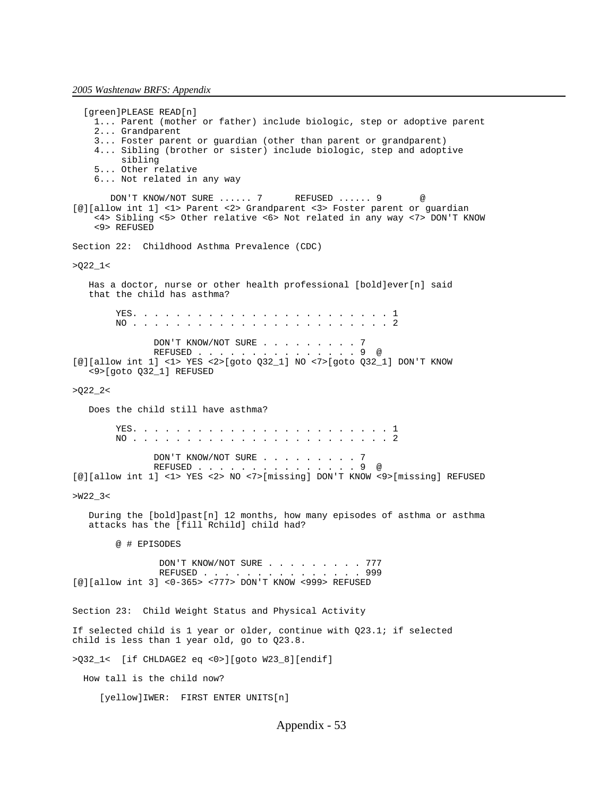[green]PLEASE READ[n] 1... Parent (mother or father) include biologic, step or adoptive parent 2... Grandparent 3... Foster parent or guardian (other than parent or grandparent) 4... Sibling (brother or sister) include biologic, step and adoptive sibling 5... Other relative 6... Not related in any way DON'T KNOW/NOT SURE ...... 7 REFUSED ...... 9 @ [@][allow int 1] <1> Parent <2> Grandparent <3> Foster parent or guardian <4> Sibling <5> Other relative <6> Not related in any way <7> DON'T KNOW <9> REFUSED Section 22: Childhood Asthma Prevalence (CDC) >Q22\_1< Has a doctor, nurse or other health professional [bold]ever[n] said that the child has asthma? YES. . . . . . . . . . . . . . . . . . . . . . . . 1 NO . . . . . . . . . . . . . . . . . . . . . . . . 2 DON'T KNOW/NOT SURE . . . . . . . . . 7 REFUSED . . . . . . [@][allow int 1] <1> YES <2>[goto Q32\_1] NO <7>[goto Q32\_1] DON'T KNOW <9>[goto Q32\_1] REFUSED  $>022$   $2<$  Does the child still have asthma? YES. . . . . . . . . . . . . . . . . . . . . . . . 1 NO . . . . . . . . . . . . . . . . . . . . . . . . 2 DON'T KNOW/NOT SURE . . . . . . . . . 7 REFUSED . . . . . . . . . . . . . . . 9 @ [@][allow int 1] <1> YES <2> NO <7>[missing] DON'T KNOW <9>[missing] REFUSED >W22\_3< During the [bold]past[n] 12 months, how many episodes of asthma or asthma attacks has the [fill Rchild] child had? @ # EPISODES DON'T KNOW/NOT SURE . . . . . . . . 777 REFUSED . . . . . . . . . . . . . . . 999 [@][allow int 3] <0-365> <777> DON'T KNOW <999> REFUSED Section 23: Child Weight Status and Physical Activity If selected child is 1 year or older, continue with Q23.1; if selected child is less than 1 year old, go to Q23.8. >Q32\_1< [if CHLDAGE2 eq <0>][goto W23\_8][endif] How tall is the child now? [yellow]IWER: FIRST ENTER UNITS[n]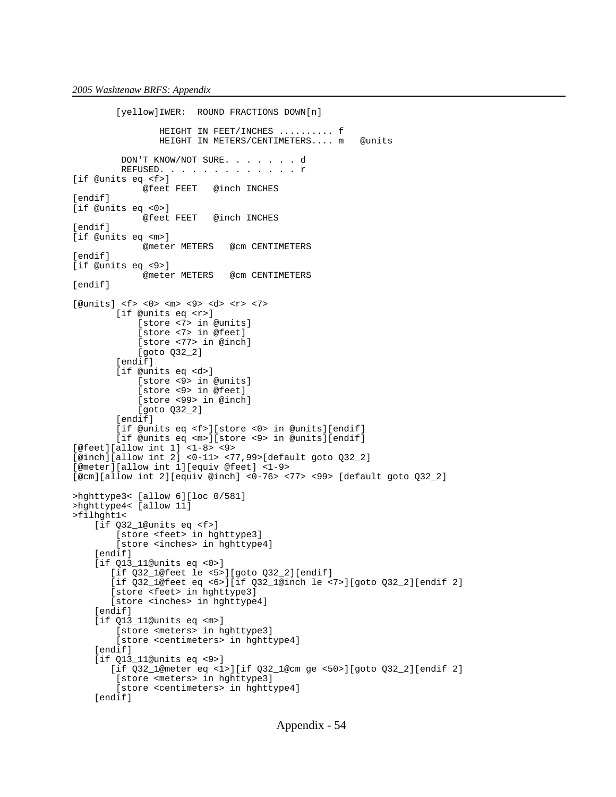```
 [yellow]IWER: ROUND FRACTIONS DOWN[n]
                 HEIGHT IN FEET/INCHES .......... f
                HEIGHT IN METERS/CENTIMETERS.... m @units
          DON'T KNOW/NOT SURE. . . . . . . d
         REFUSED. . . . . . . . . . . . r
[if @units eq <f>]
                         @inch INCHES
[endif]
[if @units eq <0>]
              @feet FEET @inch INCHES
[endif]
[if @units eq <m>]
              @meter METERS @cm CENTIMETERS
[endif]
[if @units eq <9>]
              @meter METERS @cm CENTIMETERS
[endif]
[@units] <f> <0> <m> <9> <d> <r> <7>
         [if @units eq <r>]
             [store <7> in @units]
             [store <7> in @feet]
             [store <77> in @inch]
             [goto Q32_2]
         [endif]
         [if @units eq <d>]
             [store <9> in @units]
             [store <9> in @feet]
             [store <99> in @inch]
             [goto Q32_2]
        [endif]
         [if @units eq <f>][store <0> in @units][endif]
         [if @units eq <m>][store <9> in @units][endif]
[@feet][allow int 1] <1-8> <9>
[@inch][allow int 2] <0-11> <77,99>[default goto Q32_2]
[@meter][allow int 1][equiv @feet] <1-9>
[@cm][allow int 2][equiv @inch] <0-76> <77> <99> [default goto Q32_2]
>hghttype3< [allow 6][loc 0/581]
>hghttype4< [allow 11]
>filhght1< 
     [if Q32_1@units eq <f>]
         [store <feet> in hghttype3]
         [store <inches> in hghttype4]
    [endif]
     [if Q13_11@units eq <0>]
        [if Q32_1@feet le <5>][goto Q32_2][endif]
        [if Q32_1@feet eq <6>][if Q32_1@inch le <7>][goto Q32_2][endif 2]
        [store <feet> in hghttype3]
        [store <inches> in hghttype4]
    [endif]
     [if Q13_11@units eq <m>]
         [store <meters> in hghttype3]
         [store <centimeters> in hghttype4]
     [endif]
     [if Q13_11@units eq <9>]
        [if Q32_1@meter eq <1>][if Q32_1@cm ge <50>][goto Q32_2][endif 2]
         [store <meters> in hghttype3]
         [store <centimeters> in hghttype4]
     [endif]
```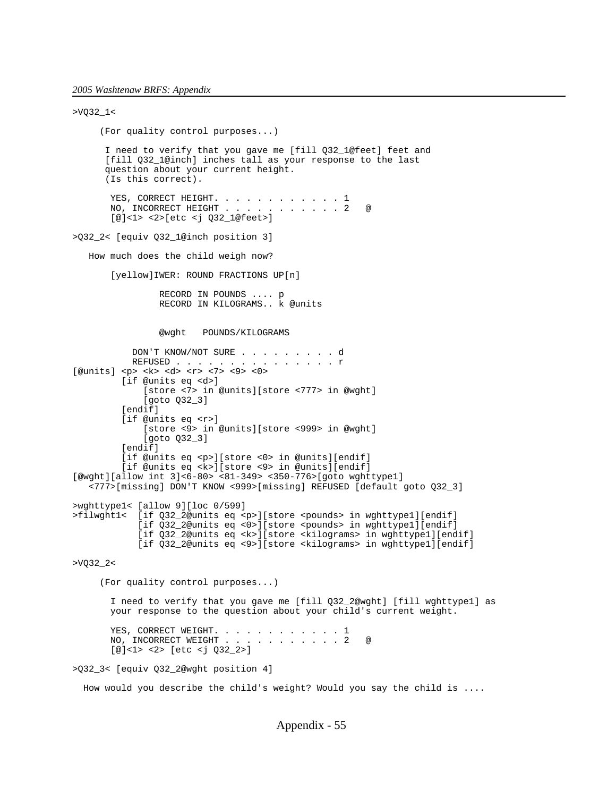```
>VQ32_1< 
      (For quality control purposes...)
       I need to verify that you gave me [fill Q32_1@feet] feet and
       [fill Q32_1@inch] inches tall as your response to the last
       question about your current height.
       (Is this correct).
       YES, CORRECT HEIGHT. . . . . . . . . . . . 1<br>NO, INCORRECT HEIGHT . . . . . . . . . . . 2
       NO, INCORRECT HEIGHT . . . . . . . . . . 2 @
        [@]<1> <2>[etc <j Q32_1@feet>]
>Q32_2< [equiv Q32_1@inch position 3]
    How much does the child weigh now?
        [yellow]IWER: ROUND FRACTIONS UP[n]
                 RECORD IN POUNDS .... p
                 RECORD IN KILOGRAMS.. k @units
                 @wght POUNDS/KILOGRAMS
            DON'T KNOW/NOT SURE . . . . . . . . . d
           REFUSED . . . . . . . . . . . . . . r
[@units] <p> <k> <d> <r> <7> <9> <0>
          [if @units eq <d>]
              [store <7> in @units][store <777> in @wght]
              [goto Q32_3]
          [endif]
          [if @units eq <r>]
              [store <9> in @units][store <999> in @wght]
              [goto Q32_3]
          [endif]
          [if @units eq <p>][store <0> in @units][endif]
          [if @units eq <k>][store <9> in @units][endif]
[@wght][allow int 3]<6-80> <81-349> <350-776>[goto wghttype1]
    <777>[missing] DON'T KNOW <999>[missing] REFUSED [default goto Q32_3]
>wghttype1< [allow 9][loc 0/599]
>filwght1< [if Q32_2@units eq <p>][store <pounds> in wghttype1][endif]
 [if Q32_2@units eq <0>][store <pounds> in wghttype1][endif]
            [if Q32_2@units eq <k>][store <kilograms> in wghttype1][endif]
             [if Q32_2@units eq <9>][store <kilograms> in wghttype1][endif]
>VQ32_2< 
      (For quality control purposes...)
        I need to verify that you gave me [fill Q32_2@wght] [fill wghttype1] as
        your response to the question about your child's current weight.
       YES, CORRECT WEIGHT. . . . . . . . . . . 1
       NO, INCORRECT WEIGHT \ldots . . . . . . . . 2
        [@]<1> <2> [etc <j Q32_2>]
>Q32_3< [equiv Q32_2@wght position 4]
```
How would you describe the child's weight? Would you say the child is ....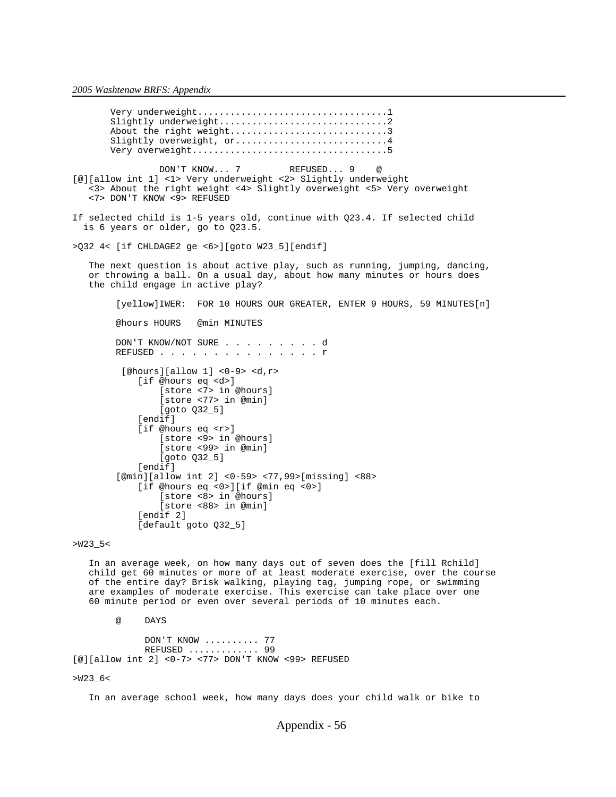Very underweight...................................1 Slightly underweight...............................2 About the right weight.................................3 Slightly overweight, or................................4 Very overweight....................................5 DON'T KNOW... 7 REFUSED... 9 [@][allow int 1] <1> Very underweight <2> Slightly underweight <3> About the right weight <4> Slightly overweight <5> Very overweight <7> DON'T KNOW <9> REFUSED If selected child is 1-5 years old, continue with Q23.4. If selected child is 6 years or older, go to Q23.5. >Q32\_4< [if CHLDAGE2 ge <6>][goto W23\_5][endif] The next question is about active play, such as running, jumping, dancing, or throwing a ball. On a usual day, about how many minutes or hours does the child engage in active play? [yellow]IWER: FOR 10 HOURS OUR GREATER, ENTER 9 HOURS, 59 MINUTES[n] @hours HOURS @min MINUTES DON'T KNOW/NOT SURE . . . . . . . . . d REFUSED . . . . . . . . . . . . . . r [@hours][allow 1] <0-9> <d,r> [if @hours eq <d>] [store <7> in @hours] [store <77> in @min] [goto Q32\_5] [endif] [if @hours eq <r>] [store <9> in @hours] [store <99> in @min] [goto Q32\_5] [endif] [@min][allow int 2] <0-59> <77,99>[missing] <88> [if @hours eq <0>][if @min eq <0>] [store <8> in @hours] [store <88> in @min] [endif 2] [default goto Q32\_5]

>W23\_5<

 In an average week, on how many days out of seven does the [fill Rchild] child get 60 minutes or more of at least moderate exercise, over the course of the entire day? Brisk walking, playing tag, jumping rope, or swimming are examples of moderate exercise. This exercise can take place over one 60 minute period or even over several periods of 10 minutes each.

@ DAYS

 DON'T KNOW .......... 77 REFUSED ............. 99 [@][allow int 2] <0-7> <77> DON'T KNOW <99> REFUSED

>W23\_6<

In an average school week, how many days does your child walk or bike to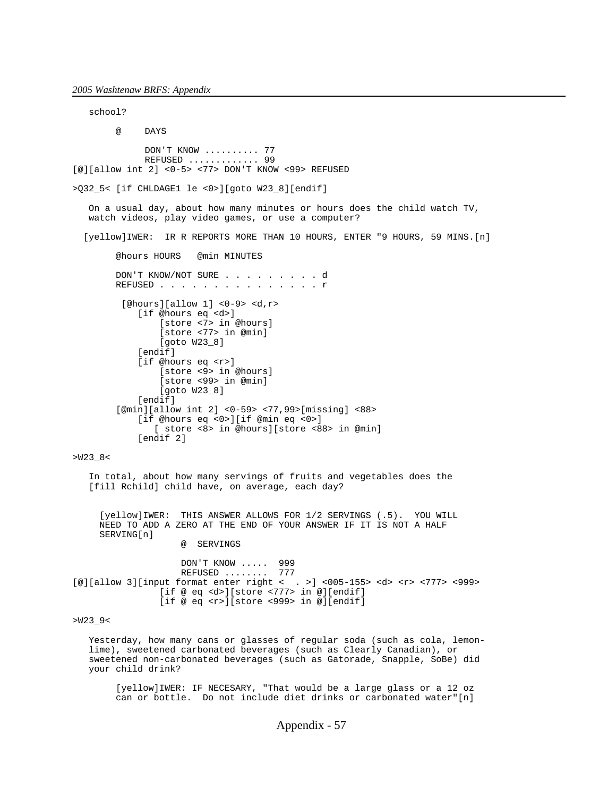school? @ DAYS DON'T KNOW .......... 77 REFUSED ............. 99 [@][allow int 2] <0-5> <77> DON'T KNOW <99> REFUSED >Q32\_5< [if CHLDAGE1 le <0>][goto W23\_8][endif] On a usual day, about how many minutes or hours does the child watch TV, watch videos, play video games, or use a computer? [yellow]IWER: IR R REPORTS MORE THAN 10 HOURS, ENTER "9 HOURS, 59 MINS.[n] @hours HOURS @min MINUTES DON'T KNOW/NOT SURE . . . . . . . . . d REFUSED . . . . . . . . . . . . . . r [@hours][allow 1] <0-9> <d,r> [if @hours eq <d>] [store <7> in @hours] [store <77> in @min] [goto W23\_8] [endif] [if @hours eq <r>] [store <9> in @hours] [store <99> in @min] [goto W23\_8] [endif] [@min][allow int 2] <0-59> <77,99>[missing] <88> [if @hours eq <0>][if @min eq <0>] [ store <8> in @hours][store <88> in @min] [endif 2] >W23\_8< In total, about how many servings of fruits and vegetables does the [fill Rchild] child have, on average, each day? [yellow]IWER: THIS ANSWER ALLOWS FOR 1/2 SERVINGS (.5). YOU WILL NEED TO ADD A ZERO AT THE END OF YOUR ANSWER IF IT IS NOT A HALF SERVING[n] @ SERVINGS DON'T KNOW ..... 999 REFUSED ........ 777 [@][allow 3][input format enter right < . >] <005-155> <d> <r> <777> <999> [if @ eq <d>][store <777> in @][endif] [if @ eq <r>][store <999> in @][endif]

>W23\_9<

 Yesterday, how many cans or glasses of regular soda (such as cola, lemon lime), sweetened carbonated beverages (such as Clearly Canadian), or sweetened non-carbonated beverages (such as Gatorade, Snapple, SoBe) did your child drink?

 [yellow]IWER: IF NECESARY, "That would be a large glass or a 12 oz can or bottle. Do not include diet drinks or carbonated water"[n]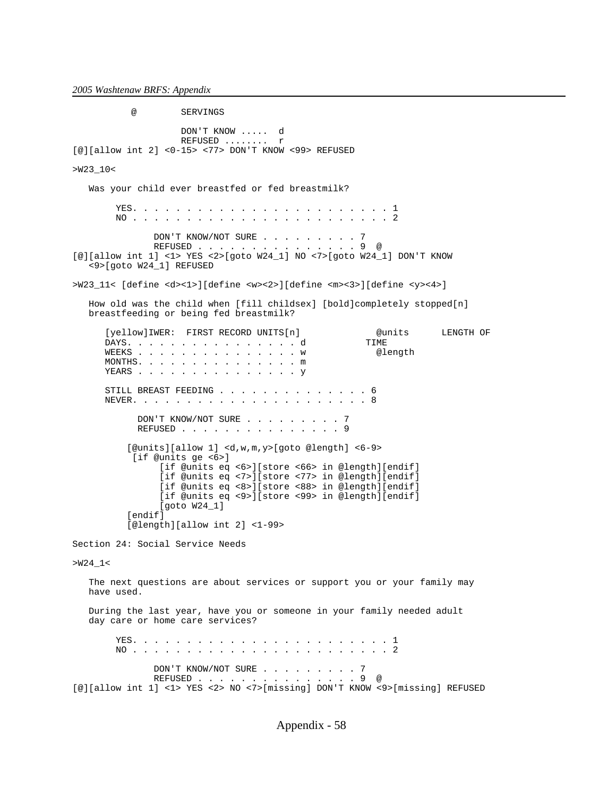@ SERVINGS DON'T KNOW ..... d REFUSED ........ r [@][allow int 2] <0-15> <77> DON'T KNOW <99> REFUSED >W23\_10< Was your child ever breastfed or fed breastmilk? YES. . . . . . . . . . . . . . . . . . . . . . . . 1 NO . . . . . . . . . . . . . . . . . . . . . . . . 2 DON'T KNOW/NOT SURE . . . . . . . . 7 REFUSED . . . . . . . . . . . . . . . 9 @ [@][allow int 1] <1> YES <2>[goto W24\_1] NO <7>[goto W24\_1] DON'T KNOW <9>[goto W24\_1] REFUSED >W23\_11< [define <d><1>][define <w><2>][define <m><3>][define <y><4>] How old was the child when [fill childsex] [bold]completely stopped[n] breastfeeding or being fed breastmilk? [yellow]IWER: FIRST RECORD UNITS[n] @units LENGTH OF DAYS. . . . . . . . . . . . . . . . d WEEKS . . . . . . . . . . . . . . . w @length MONTHS. . . . . . . . . . . . . . . m YEARS . . . . . . . . . . . . . . . . Y STILL BREAST FEEDING . . . . . . . . . . . . . . 6 NEVER. . . . . . . . . . . . . . . . . . . . . . 8 DON'T KNOW/NOT SURE . . . . . . . . 7 REFUSED . . . . . . . . . . . . . . 9 [@units][allow 1] <d,w,m,y>[goto @length] <6-9> [if @units ge <6>] [if @units eq <6>][store <66> in @length][endif] [if @units eq <7>][store <77> in @length][endif] [if @units eq <8>][store <88> in @length][endif] [if @units eq <9>][store <99> in @length][endif] [goto W24\_1] [endif] [@length][allow int 2] <1-99> Section 24: Social Service Needs  $>W24_1<$  The next questions are about services or support you or your family may have used. During the last year, have you or someone in your family needed adult day care or home care services? YES. . . . . . . . . . . . . . . . . . . . . . . . 1 NO . . . . . . . . . . . . . . . . . . . . . . . . 2 DON'T KNOW/NOT SURE . . . . . . . . . 7<br>REFUSED  $REFUSED$  . . . . . . . . . . . . [@][allow int 1] <1> YES <2> NO <7>[missing] DON'T KNOW <9>[missing] REFUSED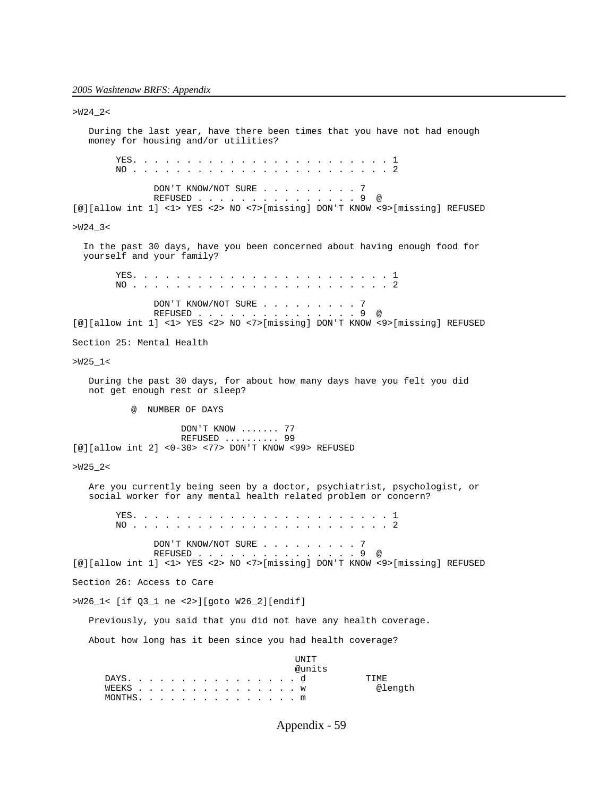>W24\_2<

 During the last year, have there been times that you have not had enough money for housing and/or utilities? YES. . . . . . . . . . . . . . . . . . . . . . . . 1 NO . . . . . . . . . . . . . . . . . . . . . . . . 2 DON'T KNOW/NOT SURE . . . . . . . . 7 REFUSED . . . . . . . . . . . . . . . 9 @ [@][allow int 1] <1> YES <2> NO <7>[missing] DON'T KNOW <9>[missing] REFUSED  $>W24-3<$  In the past 30 days, have you been concerned about having enough food for yourself and your family? YES. . . . . . . . . . . . . . . . . . . . . . . . 1 NO . . . . . . . . . . . . . . . . . . . . . . . . 2 DON'T KNOW/NOT SURE . . . . . . . . 7 REFUSED . . . . . . . . . . . . . . . 9 @ [@][allow int 1] <1> YES <2> NO <7>[missing] DON'T KNOW <9>[missing] REFUSED Section 25: Mental Health  $>W25_1 <$  During the past 30 days, for about how many days have you felt you did not get enough rest or sleep? @ NUMBER OF DAYS DON'T KNOW ....... 77 REFUSED .......... 99 [@][allow int 2] <0-30> <77> DON'T KNOW <99> REFUSED  $>W25_2$  Are you currently being seen by a doctor, psychiatrist, psychologist, or social worker for any mental health related problem or concern? YES. . . . . . . . . . . . . . . . . . . . . . . . 1 NO . . . . . . . . . . . . . . . . . . . . . . . . 2 DON'T KNOW/NOT SURE . . . . . . . . 7 REFUSED . . . . . . . . . . . . . . . 9 @ [@][allow int 1] <1> YES <2> NO <7>[missing] DON'T KNOW <9>[missing] REFUSED Section 26: Access to Care >W26\_1< [if Q3\_1 ne <2>][goto W26\_2][endif] Previously, you said that you did not have any health coverage. About how long has it been since you had health coverage? UNIT @units DAYS. . . . . . . . . . . . . . . . d TIME<br>WEEKS . . . . . . . . . . . . . . . . . W @length WEEKS . . . . . . . . . . . . . . .  $w$ MONTHS. . . . . . . . . . . . . . . m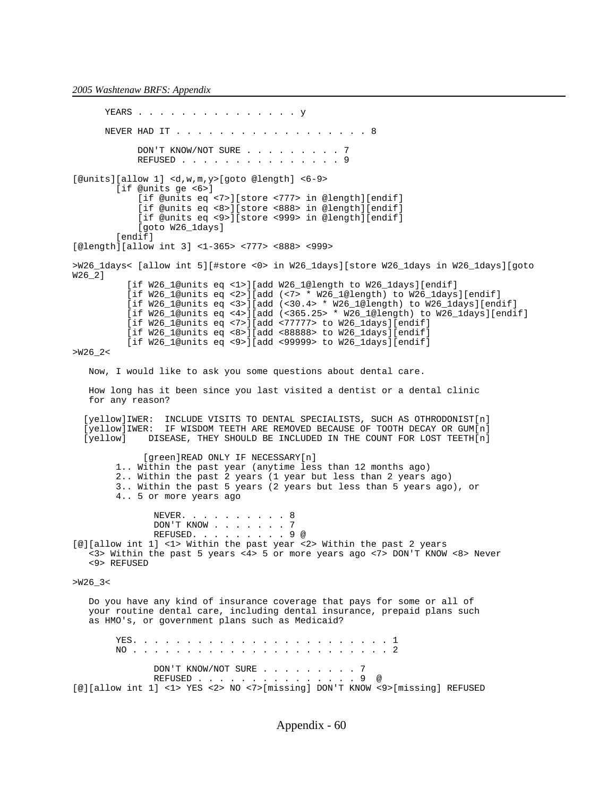YEARS . . . . . . . . . . . . . . . . Y NEVER HAD IT . . . . . . . . . . . . . . . . . . 8 DON'T KNOW/NOT SURE . . . . . . . . . 7 REFUSED . . . . . . . . . . . . . . 9 [@units][allow 1] <d,w,m,y>[goto @length] <6-9> [if @units ge <6>] [if @units eq <7>][store <777> in @length][endif] [if @units eq <8>][store <888> in @length][endif] [if @units eq <9>][store <999> in @length][endif] [goto W26\_1days] [endif] [@length][allow int 3] <1-365> <777> <888> <999> >W26\_1days< [allow int 5][#store <0> in W26\_1days][store W26\_1days in W26\_1days][goto W26\_2] [if W26 l@units eq <1>][add W26 l@length to W26 ldays][endif] [if W26\_1@units eq <2>][add (<7> \* W26\_1@length) to W26\_1days][endif] [if W26\_1@units eq <3>][add (<30.4> \* W26\_1@length) to W26\_1days][endif] [if W26\_1@units eq <4>][add (<365.25> \* W26\_1@length) to W26\_1days][endif] [if W26\_1@units eq <7>][add <77777> to W26\_1days][endif] [if W26\_1@units eq <8>][add <88888> to W26\_1days][endif] [if W26\_1@units eq <9>][add <99999> to W26\_1days][endif]  $>W26$  2< Now, I would like to ask you some questions about dental care. How long has it been since you last visited a dentist or a dental clinic for any reason? [yellow]IWER: INCLUDE VISITS TO DENTAL SPECIALISTS, SUCH AS OTHRODONIST[n] [yellow]IWER: IF WISDOM TEETH ARE REMOVED BECAUSE OF TOOTH DECAY OR GUM[n] DISEASE, THEY SHOULD BE INCLUDED IN THE COUNT FOR LOST TEETH $[n]$  [green]READ ONLY IF NECESSARY[n] 1.. Within the past year (anytime less than 12 months ago) 2.. Within the past 2 years (1 year but less than 2 years ago) 3.. Within the past 5 years (2 years but less than 5 years ago), or 4.. 5 or more years ago NEVER. . . . . . . . . 8 DON'T KNOW . . . . . . 7 REFUSED. . . . . . . . . 9 @ [@][allow int 1] <1> Within the past year <2> Within the past 2 years <3> Within the past 5 years <4> 5 or more years ago <7> DON'T KNOW <8> Never <9> REFUSED  $>W26-3<$  Do you have any kind of insurance coverage that pays for some or all of your routine dental care, including dental insurance, prepaid plans such as HMO's, or government plans such as Medicaid? YES. . . . . . . . . . . . . . . . . . . . . . . . 1 NO . . . . . . . . . . . . . . . . . . . . . . . . 2 DON'T KNOW/NOT SURE . . . . . . . . . 7<br>REFUSED  $REFUSED$  . . . . . . . . . . . . [@][allow int 1] <1> YES <2> NO <7>[missing] DON'T KNOW <9>[missing] REFUSED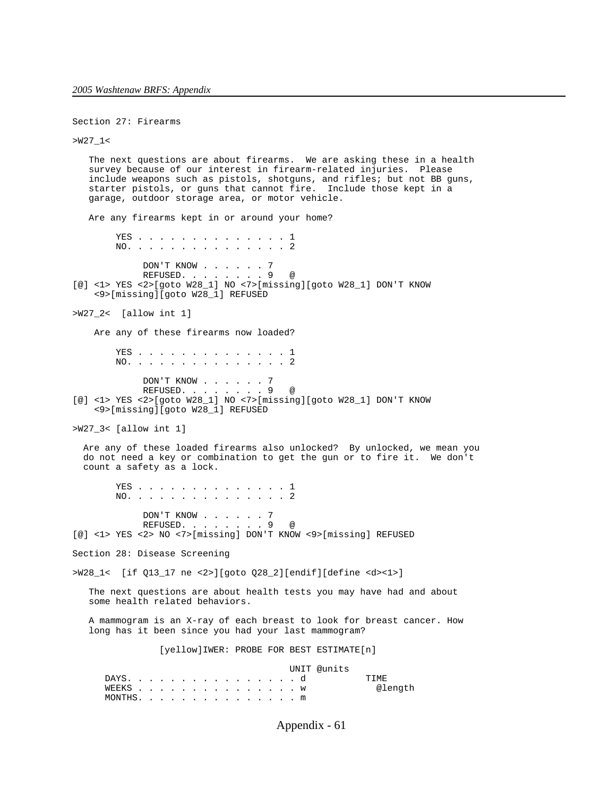Section 27: Firearms

>W27\_1<

```
 The next questions are about firearms. We are asking these in a health
    survey because of our interest in firearm-related injuries. Please
    include weapons such as pistols, shotguns, and rifles; but not BB guns,
    starter pistols, or guns that cannot fire. Include those kept in a
    garage, outdoor storage area, or motor vehicle.
    Are any firearms kept in or around your home?
        YES . . . . . . . . . . . . . . 1
         NO. . . . . . . . . . . . . . . 2
             DON'T KNOW . . . . . . 7<br>REFUSED. . . . . . . . 9
REFUSED. . . . . . . 9 @
[@] <1> YES <2>[goto W28_1] NO <7>[missing][goto W28_1] DON'T KNOW
     <9>[missing][goto W28_1] REFUSED
>W27_2< [allow int 1]
    Are any of these firearms now loaded?
        YES . . . . . . . . . . . . . . 1
         NO. . . . . . . . . . . . . . . 2
              DON'T KNOW . . . . . . 7
              REFUSED. . . . . . . . 9 @
[@] <1> YES <2>[goto W28_1] NO <7>[missing][goto W28_1] DON'T KNOW
     <9>[missing][goto W28_1] REFUSED
>W27_3< [allow int 1]
   Are any of these loaded firearms also unlocked? By unlocked, we mean you
   do not need a key or combination to get the gun or to fire it. We don't
   count a safety as a lock.
        YES . . . . . . . . . . . . . . 1
         NO. . . . . . . . . . . . . . . 2
DON'T KNOW . . . . . . 7
REFUSED. . . . . . . 9 @
[@] <1> YES <2> NO <7>[missing] DON'T KNOW <9>[missing] REFUSED
Section 28: Disease Screening
>W28_1< [if Q13_17 ne <2>][goto Q28_2][endif][define <d><1>]
    The next questions are about health tests you may have had and about
    some health related behaviors.
    A mammogram is an X-ray of each breast to look for breast cancer. How
    long has it been since you had your last mammogram?
                 [yellow]IWER: PROBE FOR BEST ESTIMATE[n]
                                         UNIT @units
      DAYS. . . . . . . . . . . . . . . . d TIME<br>WEEKS . . . . . . . . . . . . . . . . . W @length
      WEEKS . . . . . . . . . . . . . . . w MONTHS. . . . . . . . . . . . . . . m
```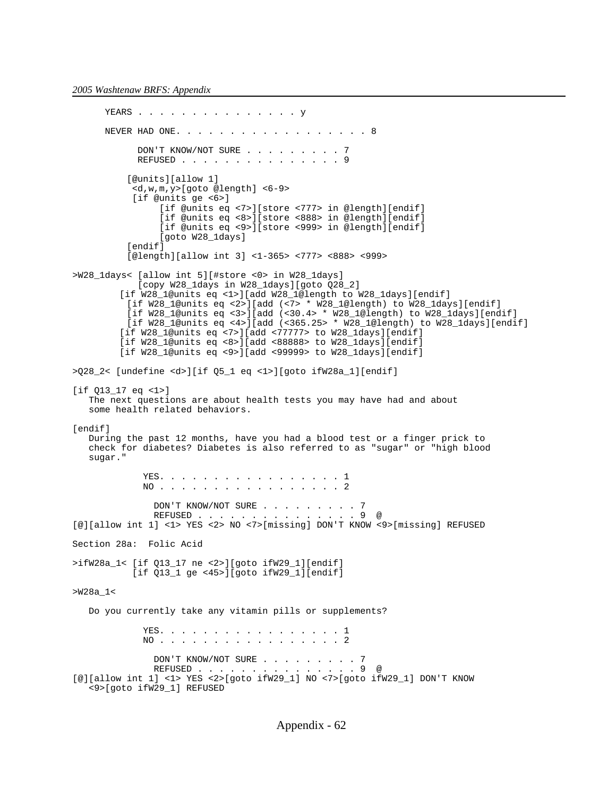```
YEARS . . . . . . . . . . . . . . . . Y
      NEVER HAD ONE. . . . . . . . . . . . . . . . . 8
            DON'T KNOW/NOT SURE . . . . . . . . . 7
             REFUSED . . . . . . . . . . . . . . . 9
           [@units][allow 1]
            <d,w,m,y>[goto @length] <6-9> 
            [if @units ge <6>]
                 [if @units eq <7>][store <777> in @length][endif]
                 [if @units eq <8>][store <888> in @length][endif]
                 [if @units eq <9>][store <999> in @length][endif]
                 [goto W28_1days]
          [endif]
           [@length][allow int 3] <1-365> <777> <888> <999>
>W28_1days< [allow int 5][#store <0> in W28_1days]
             [copy W28_1days in W28_1days][goto Q28_2]
          [if W28_1@units eq <1>][add W28_1@length to W28_1days][endif]
          [if W28_1@units eq <2>][add (<7> * W28_1@length) to W28_1days][endif]
           [if W28_1@units eq <3>][add (<30.4> * W28_1@length) to W28_1days][endif]
          [if W28_1@units eq <4>][add (<365.25> * W28_1@length) to W28_1days][endif]
          [if W28_1@units eq <7>][add <77777> to W28_1days][endif]
          [if W28_1@units eq <8>][add <88888> to W28_1days][endif]
          [if W28_1@units eq <9>][add <99999> to W28_1days][endif]
>Q28_2< [undefine <d>][if Q5_1 eq <1>][goto ifW28a_1][endif]
[if Q13_17 eq <1>]
    The next questions are about health tests you may have had and about
   some health related behaviors.
[endif]
   During the past 12 months, have you had a blood test or a finger prick to
    check for diabetes? Diabetes is also referred to as "sugar" or "high blood
    sugar."
             YES. . . . . . . . . . . . . . . . . 1
             NO . . . . . . . . . . . . . . . . 2
               DON'T KNOW/NOT SURE . . . . . . . . . 7
 REFUSED . . . . . . . . . . . . . . . 9 @
[@][allow int 1] <1> YES <2> NO <7>[missing] DON'T KNOW <9>[missing] REFUSED
Section 28a: Folic Acid
>ifW28a_1< [if Q13_17 ne <2>][goto ifW29_1][endif]
            [if Q13_1 ge <45>][goto ifW29_1][endif]
>W28a_1<
   Do you currently take any vitamin pills or supplements?
             YES. . . . . . . . . . . . . . . . 1
             NO . . . . . . . . . . . . . . . . 2
               DON'T KNOW/NOT SURE . . . . . . . . . 7<br>REFUSED . . . . . . . . . . . . . . . 9 @
               REFUSED . . . . . . . . .
[@][allow int 1] <1> YES <2>[goto ifW29_1] NO <7>[goto ifW29_1] DON'T KNOW
    <9>[goto ifW29_1] REFUSED
```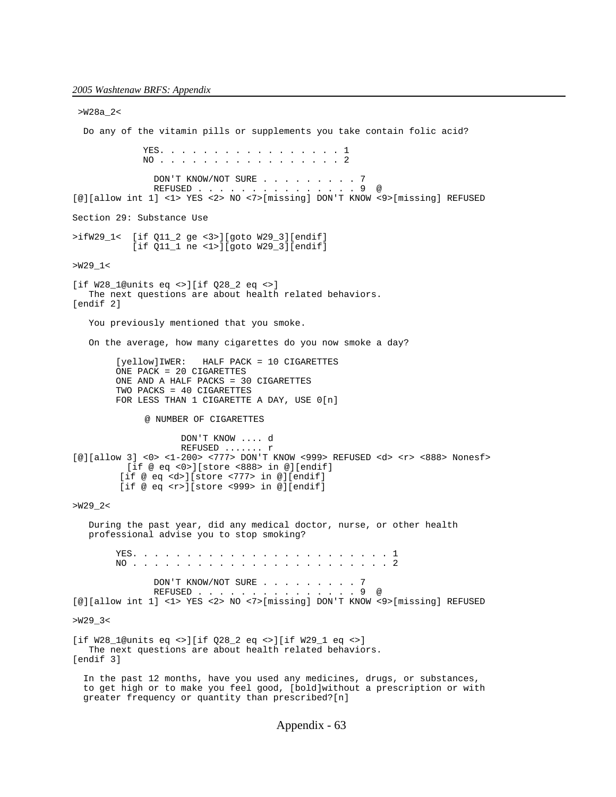>W28a\_2< Do any of the vitamin pills or supplements you take contain folic acid? YES. . . . . . . . . . . . . . . . . 1 NO . . . . . . . . . . . . . . . . . 2 DON'T KNOW/NOT SURE . . . . . . . . 7 REFUSED . . . . . . . . . . . . . . . 9 @ [@][allow int 1] <1> YES <2> NO <7>[missing] DON'T KNOW <9>[missing] REFUSED Section 29: Substance Use >ifW29\_1< [if Q11\_2 ge <3>][goto W29\_3][endif] [if Q11\_1 ne <1>][goto W29\_3][endif] >W29\_1< [if W28 1@units eq <>][if  $028$  2 eq <>] The next questions are about health related behaviors. [endif 2] You previously mentioned that you smoke. On the average, how many cigarettes do you now smoke a day? [yellow]IWER: HALF PACK = 10 CIGARETTES ONE PACK = 20 CIGARETTES ONE AND A HALF PACKS = 30 CIGARETTES TWO PACKS = 40 CIGARETTES FOR LESS THAN 1 CIGARETTE A DAY, USE 0[n] @ NUMBER OF CIGARETTES DON'T KNOW .... d REFUSED ....... r [@][allow 3] <0> <1-200> <777> DON'T KNOW <999> REFUSED <d> <r> <888> Nonesf> [if  $@$  eq <0>][store <888> in  $@$ ][endif] [if @ eq <d>][store <777> in @][endif] [if @ eq <r>][store <999> in @][endif] >W29\_2< During the past year, did any medical doctor, nurse, or other health professional advise you to stop smoking? YES. . . . . . . . . . . . . . . . . . . . . . . . 1 NO . . . . . . . . . . . . . . . . . . . . . . . . 2 DON'T KNOW/NOT SURE . . . . . . . . 7 REFUSED . . . . . . . . . . . . . . . 9 @ [@][allow int 1] <1> YES <2> NO <7>[missing] DON'T KNOW <9>[missing] REFUSED >W29\_3< [if W28\_1@units eq <>][if Q28\_2 eq <>][if W29\_1 eq <>] The next questions are about health related behaviors. [endif 3] In the past 12 months, have you used any medicines, drugs, or substances, to get high or to make you feel good, [bold]without a prescription or with greater frequency or quantity than prescribed?[n]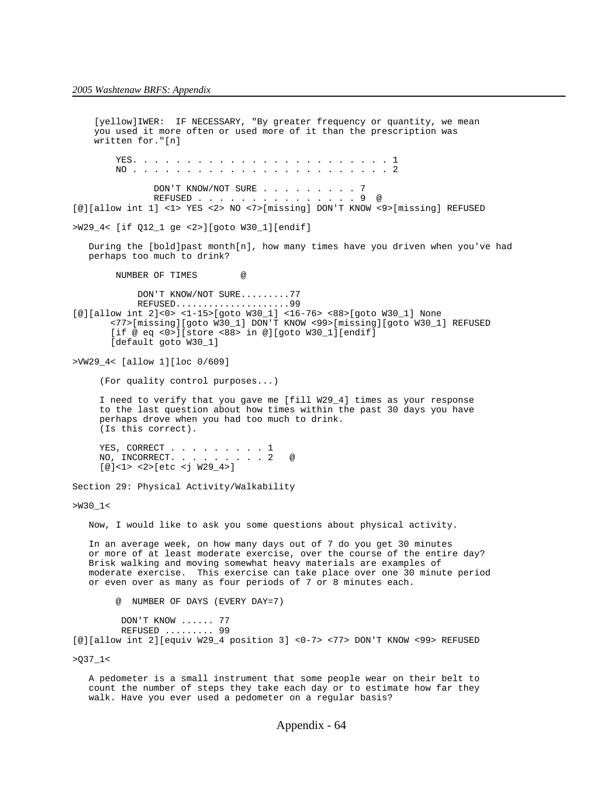[yellow]IWER: IF NECESSARY, "By greater frequency or quantity, we mean you used it more often or used more of it than the prescription was written for."[n] YES. . . . . . . . . . . . . . . . . . . . . . . . 1 NO . . . . . . . . . . . . . . . . . . . . . . . . 2 DON'T KNOW/NOT SURE . . . . . . . . 7 REFUSED . . . . . . . . . . . . . . . 9 @ [@][allow int 1] <1> YES <2> NO <7>[missing] DON'T KNOW <9>[missing] REFUSED >W29\_4< [if Q12\_1 ge <2>][goto W30\_1][endif] During the [bold]past month[n], how many times have you driven when you've had perhaps too much to drink? NUMBER OF TIMES DON'T KNOW/NOT SURE.........77 REFUSED.....................99 [@][allow int 2]<0> <1-15>[goto W30\_1] <16-76> <88>[goto W30\_1] None <77>[missing][goto W30\_1] DON'T KNOW <99>[missing][goto W30\_1] REFUSED [if @ eq <0>][store <88> in @][goto W30\_1][endif] [default goto W30\_1] >VW29\_4< [allow 1][loc 0/609] (For quality control purposes...) I need to verify that you gave me [fill W29\_4] times as your response to the last question about how times within the past 30 days you have perhaps drove when you had too much to drink. (Is this correct). YES, CORRECT . . . . . . . . 1 NO, INCORRECT. . . . . . . . . 2 @ [@]<1> <2>[etc <j W29\_4>] Section 29: Physical Activity/Walkability  $>W30_1<$  Now, I would like to ask you some questions about physical activity. In an average week, on how many days out of 7 do you get 30 minutes or more of at least moderate exercise, over the course of the entire day? Brisk walking and moving somewhat heavy materials are examples of moderate exercise. This exercise can take place over one 30 minute period or even over as many as four periods of 7 or 8 minutes each. @ NUMBER OF DAYS (EVERY DAY=7) DON'T KNOW ...... 77 REFUSED ......... 99 [@][allow int 2][equiv W29\_4 position 3] <0-7> <77> DON'T KNOW <99> REFUSED  $>Q37_1$  < A pedometer is a small instrument that some people wear on their belt to

count the number of steps they take each day or to estimate how far they

walk. Have you ever used a pedometer on a regular basis?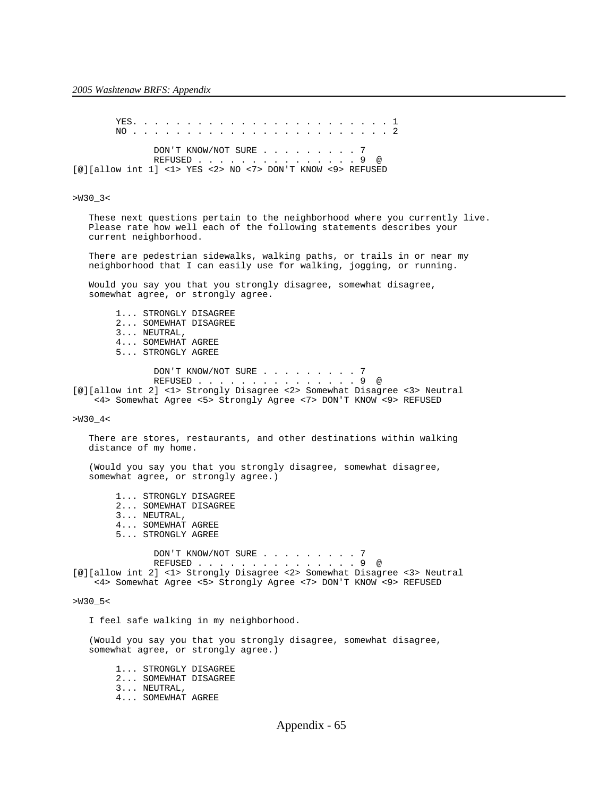YES. . . . . . . . . . . . . . . . . . . . . . . . 1 NO . . . . . . . . . . . . . . . . . . . . . . . . 2 DON'T KNOW/NOT SURE . . . . . . . . . 7 REFUSED . . . . . . . . . . . . . . . 9 @ [@][allow int 1] <1> YES <2> NO <7> DON'T KNOW <9> REFUSED

### >W30\_3<

 These next questions pertain to the neighborhood where you currently live. Please rate how well each of the following statements describes your current neighborhood.

 There are pedestrian sidewalks, walking paths, or trails in or near my neighborhood that I can easily use for walking, jogging, or running.

 Would you say you that you strongly disagree, somewhat disagree, somewhat agree, or strongly agree.

 1... STRONGLY DISAGREE 2... SOMEWHAT DISAGREE 3... NEUTRAL, 4... SOMEWHAT AGREE 5... STRONGLY AGREE

DON'T KNOW/NOT SURE . . . . . . . . 7 REFUSED . . . . . . . . . . . . . . . 9 @ [@][allow int 2] <1> Strongly Disagree <2> Somewhat Disagree <3> Neutral <4> Somewhat Agree <5> Strongly Agree <7> DON'T KNOW <9> REFUSED

>W30\_4<

 There are stores, restaurants, and other destinations within walking distance of my home.

 (Would you say you that you strongly disagree, somewhat disagree, somewhat agree, or strongly agree.)

 1... STRONGLY DISAGREE 2... SOMEWHAT DISAGREE 3... NEUTRAL, 4... SOMEWHAT AGREE 5... STRONGLY AGREE

DON'T KNOW/NOT SURE . . . . . . . . . 7 REFUSED . . . . . . . . . . . . . . . 9 @ [@][allow int 2] <1> Strongly Disagree <2> Somewhat Disagree <3> Neutral <4> Somewhat Agree <5> Strongly Agree <7> DON'T KNOW <9> REFUSED

>W30\_5<

I feel safe walking in my neighborhood.

 (Would you say you that you strongly disagree, somewhat disagree, somewhat agree, or strongly agree.)

 1... STRONGLY DISAGREE 2... SOMEWHAT DISAGREE 3... NEUTRAL, 4... SOMEWHAT AGREE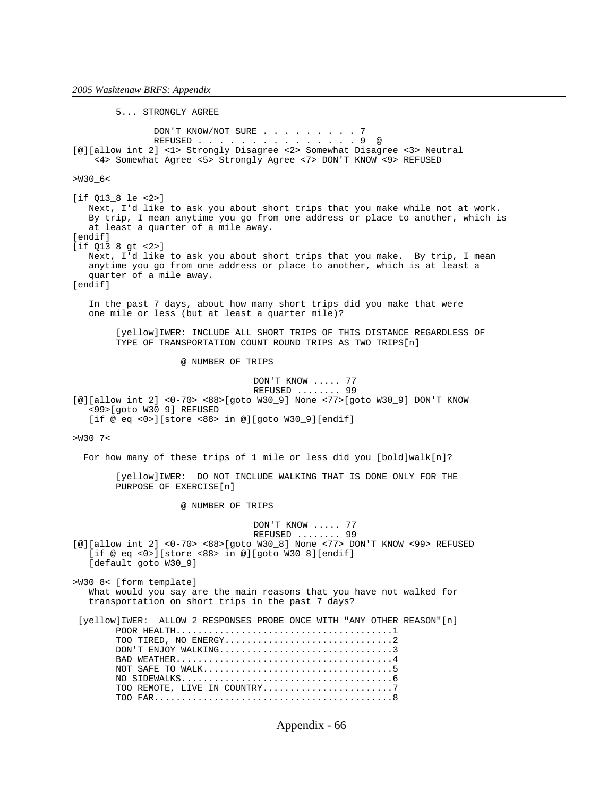5... STRONGLY AGREE DON'T KNOW/NOT SURE . . . . . . . . 7 REFUSED . . . . . . . . . . . . . . . 9 @ [@][allow int 2] <1> Strongly Disagree <2> Somewhat Disagree <3> Neutral <4> Somewhat Agree <5> Strongly Agree <7> DON'T KNOW <9> REFUSED >W30\_6< [if Q13\_8 le <2>] Next, I'd like to ask you about short trips that you make while not at work. By trip, I mean anytime you go from one address or place to another, which is at least a quarter of a mile away. [endif] [if Q13\_8 gt <2>] Next, I'd like to ask you about short trips that you make. By trip, I mean anytime you go from one address or place to another, which is at least a quarter of a mile away. [endif] In the past 7 days, about how many short trips did you make that were one mile or less (but at least a quarter mile)? [yellow]IWER: INCLUDE ALL SHORT TRIPS OF THIS DISTANCE REGARDLESS OF TYPE OF TRANSPORTATION COUNT ROUND TRIPS AS TWO TRIPS[n] @ NUMBER OF TRIPS DON'T KNOW ..... 77 REFUSED ........ 99 [@][allow int 2] <0-70> <88>[goto W30\_9] None <77>[goto W30\_9] DON'T KNOW <99>[goto W30\_9] REFUSED [if @ eq <0>][store <88> in @][goto W30\_9][endif] >W30\_7< For how many of these trips of 1 mile or less did you [bold]walk[n]? [yellow]IWER: DO NOT INCLUDE WALKING THAT IS DONE ONLY FOR THE PURPOSE OF EXERCISE[n] @ NUMBER OF TRIPS DON'T KNOW ..... 77 REFUSED ........ 99 [@][allow int 2] <0-70> <88>[goto W30\_8] None <77> DON'T KNOW <99> REFUSED [if @ eq <0>][store <88> in @][goto W30\_8][endif] [default goto W30\_9] >W30\_8< [form template] What would you say are the main reasons that you have not walked for transportation on short trips in the past 7 days? [yellow]IWER: ALLOW 2 RESPONSES PROBE ONCE WITH "ANY OTHER REASON"[n] POOR HEALTH........................................1 TOO TIRED, NO ENERGY...............................2 DON'T ENJOY WALKING................................3 BAD WEATHER........................................4 NOT SAFE TO WALK...................................5 NO SIDEWALKS.......................................6 TOO REMOTE, LIVE IN COUNTRY..............................7 TOO FAR............................................8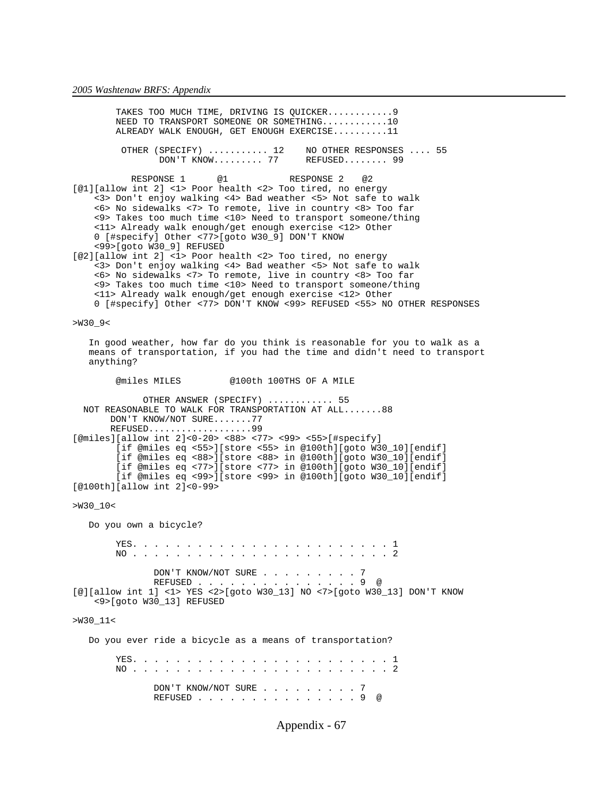TAKES TOO MUCH TIME, DRIVING IS QUICKER............9 NEED TO TRANSPORT SOMEONE OR SOMETHING............10 ALREADY WALK ENOUGH, GET ENOUGH EXERCISE..........11 OTHER (SPECIFY) ........... 12 NO OTHER RESPONSES .... 55<br>DON'T KNOW......... 77 REFUSED........ 99  $DON'T KNOW... \ldots 77$ RESPONSE 1 @1 RESPONSE 2 @2 [@1][allow int 2] <1> Poor health <2> Too tired, no energy <3> Don't enjoy walking <4> Bad weather <5> Not safe to walk <6> No sidewalks <7> To remote, live in country <8> Too far <9> Takes too much time <10> Need to transport someone/thing <11> Already walk enough/get enough exercise <12> Other 0 [#specify] Other <77>[goto W30\_9] DON'T KNOW <99>[goto W30\_9] REFUSED [@2][allow int 2] <1> Poor health <2> Too tired, no energy <3> Don't enjoy walking <4> Bad weather <5> Not safe to walk <6> No sidewalks <7> To remote, live in country <8> Too far <9> Takes too much time <10> Need to transport someone/thing <11> Already walk enough/get enough exercise <12> Other 0 [#specify] Other <77> DON'T KNOW <99> REFUSED <55> NO OTHER RESPONSES >W30\_9< In good weather, how far do you think is reasonable for you to walk as a means of transportation, if you had the time and didn't need to transport anything? @miles MILES @100th 100THS OF A MILE OTHER ANSWER (SPECIFY) ............ 55 NOT REASONABLE TO WALK FOR TRANSPORTATION AT ALL.......88 DON'T KNOW/NOT SURE.......77 REFUSED...................99 [@miles][allow int 2]<0-20> <88> <77> <99> <55>[#specify] [if @miles eq <55>][store <55> in @100th][goto W30\_10][endif] [if @miles eq <88>][store <88> in @100th][goto W30\_10][endif] [if @miles eq <77>][store <77> in @100th][goto W30\_10][endif] [if @miles eq <99>][store <99> in @100th][goto W30\_10][endif]  $[@100th][allow int 2]<0-99>$ >W30\_10< Do you own a bicycle? YES. . . . . . . . . . . . . . . . . . . . . . . . 1 NO . . . . . . . . . . . . . . . . . . . . . . . . 2 DON'T KNOW/NOT SURE . . . . . . . . 7 REFUSED . . . . . . . . . . . . . . . 9 @ [@][allow int 1] <1> YES <2>[goto W30\_13] NO <7>[goto W30\_13] DON'T KNOW <9>[goto W30\_13] REFUSED >W30\_11< Do you ever ride a bicycle as a means of transportation? YES. . . . . . . . . . . . . . . . . . . . . . . . 1 NO . . . . . . . . . . . . . . . . . . . . . . . . 2 DON'T KNOW/NOT SURE . . . . . . . . . 7 REFUSED . . . . . . . . . . . . . . . 9 @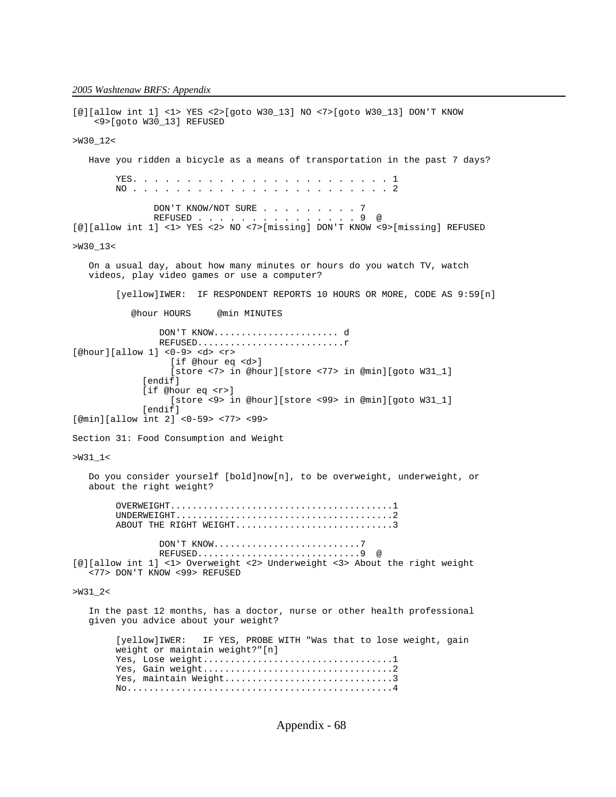[@][allow int 1] <1> YES <2>[goto W30\_13] NO <7>[goto W30\_13] DON'T KNOW <9>[goto W30\_13] REFUSED >W30\_12< Have you ridden a bicycle as a means of transportation in the past 7 days? YES. . . . . . . . . . . . . . . . . . . . . . . . 1 NO . . . . . . . . . . . . . . . . . . . . . . . . 2 DON'T KNOW/NOT SURE . . . . . . . . 7 REFUSED . . . . . . . . . . . . . . . 9 @ [@][allow int 1] <1> YES <2> NO <7>[missing] DON'T KNOW <9>[missing] REFUSED >W30\_13< On a usual day, about how many minutes or hours do you watch TV, watch videos, play video games or use a computer? [yellow]IWER: IF RESPONDENT REPORTS 10 HOURS OR MORE, CODE AS 9:59[n] @hour HOURS @min MINUTES DON'T KNOW....................... d REFUSED...........................r [@hour][allow 1] <0-9> <d> <r> [if @hour eq <d>] [store <7> in @hour][store <77> in @min][goto W31\_1] [endif] [if @hour eq <r>] [store <9> in @hour][store <99> in @min][goto W31\_1] [endif] [@min][allow int 2] <0-59> <77> <99> Section 31: Food Consumption and Weight >W31\_1< Do you consider yourself [bold]now[n], to be overweight, underweight, or about the right weight? OVERWEIGHT.........................................1 UNDERWEIGHT........................................2 ABOUT THE RIGHT WEIGHT................................3 DON'T KNOW...........................7 REFUSED..............................9 @ [@][allow int 1] <1> Overweight <2> Underweight <3> About the right weight <77> DON'T KNOW <99> REFUSED >W31\_2< In the past 12 months, has a doctor, nurse or other health professional given you advice about your weight? [yellow]IWER: IF YES, PROBE WITH "Was that to lose weight, gain weight or maintain weight?"[n] Yes, Lose weight...................................1 Yes, Gain weight...................................2 Yes, maintain Weight...................................3 No.................................................4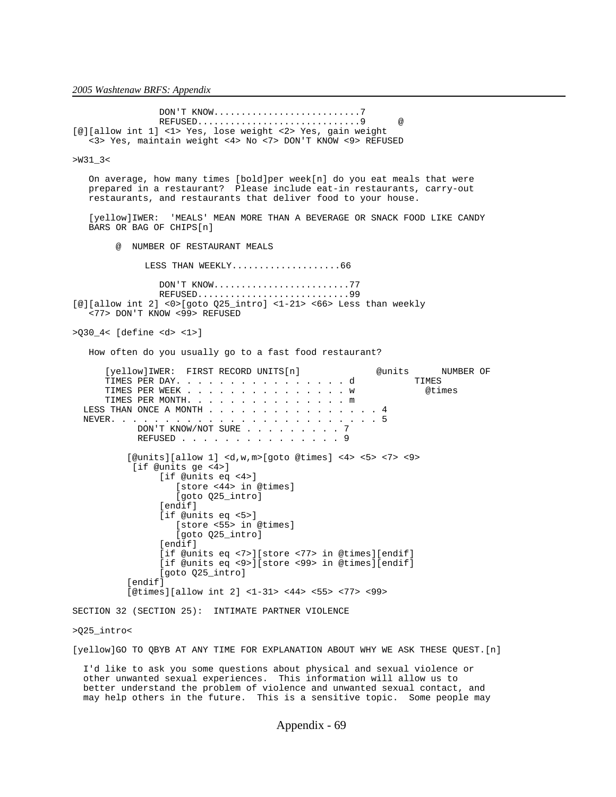DON'T KNOW...........................7 REFUSED..................................9 [@][allow int 1] <1> Yes, lose weight <2> Yes, gain weight <3> Yes, maintain weight <4> No <7> DON'T KNOW <9> REFUSED >W31\_3< On average, how many times [bold]per week[n] do you eat meals that were prepared in a restaurant? Please include eat-in restaurants, carry-out restaurants, and restaurants that deliver food to your house. [yellow]IWER: 'MEALS' MEAN MORE THAN A BEVERAGE OR SNACK FOOD LIKE CANDY BARS OR BAG OF CHIPS[n] @ NUMBER OF RESTAURANT MEALS LESS THAN WEEKLY........................66 DON'T KNOW.........................77 REFUSED..............................99 [@][allow int 2] <0>[goto Q25\_intro] <1-21> <66> Less than weekly <77> DON'T KNOW <99> REFUSED >Q30\_4< [define <d> <1>] How often do you usually go to a fast food restaurant? [yellow]IWER: FIRST RECORD UNITS[n] @units NUMBER OF<br>TIMES PER DAY, . . . . . . . . . . . . . . . . . d TIMES PER DAY. . . . . . . . . . . . . . . . d TIMES TIMES PER WEEK . . . . . . . . . . . . . . . w @times TIMES PER MONTH. . . . . . . . . . . . . . . m LESS THAN ONCE A MONTH . . . . . . . . . . . . . . . 4 NEVER. . . . . . . . . . . . . . . . . . . . . . . . . 5 DON'T KNOW/NOT SURE . . . . . . . . 7 REFUSED . . . . . . . . . . . . . . 9 [@units][allow 1] <d,w,m>[goto @times] <4> <5> <7> <9> [if @units ge <4>] [if @units eq <4>] [store <44> in @times] [goto Q25\_intro] [endif] [if @units eq <5>] [store <55> in @times] [goto Q25\_intro] [endif] [if @units eq <7>][store <77> in @times][endif] [if @units eq <9>][store <99> in @times][endif] [goto Q25\_intro] [endif] [@times][allow int 2] <1-31> <44> <55> <77> <99> SECTION 32 (SECTION 25): INTIMATE PARTNER VIOLENCE >Q25\_intro< [yellow]GO TO QBYB AT ANY TIME FOR EXPLANATION ABOUT WHY WE ASK THESE QUEST.[n]

 I'd like to ask you some questions about physical and sexual violence or other unwanted sexual experiences. This information will allow us to better understand the problem of violence and unwanted sexual contact, and may help others in the future. This is a sensitive topic. Some people may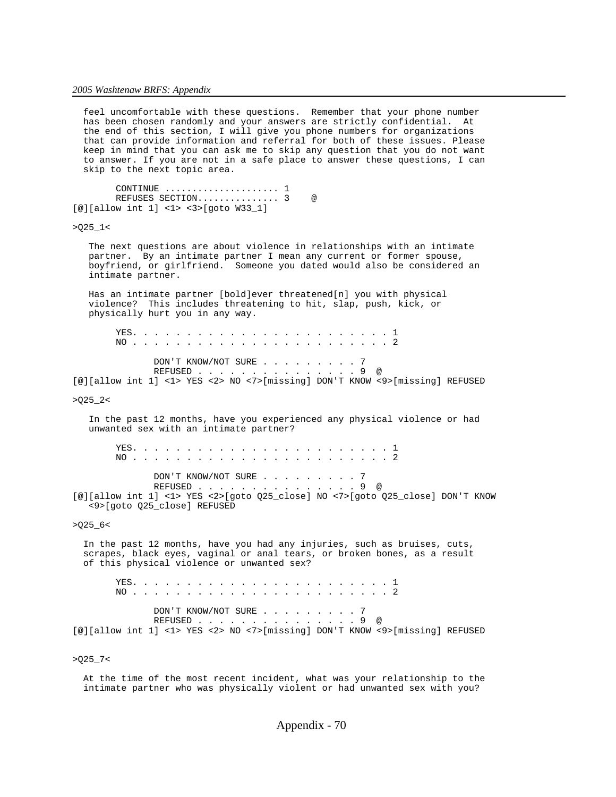feel uncomfortable with these questions. Remember that your phone number has been chosen randomly and your answers are strictly confidential. At the end of this section, I will give you phone numbers for organizations that can provide information and referral for both of these issues. Please keep in mind that you can ask me to skip any question that you do not want to answer. If you are not in a safe place to answer these questions, I can skip to the next topic area. CONTINUE ..................... 1 REFUSES SECTION............... 3 @ [@][allow int 1] <1> <3>[goto W33\_1]  $>Q25_1 <$  The next questions are about violence in relationships with an intimate partner. By an intimate partner I mean any current or former spouse, boyfriend, or girlfriend. Someone you dated would also be considered an intimate partner. Has an intimate partner [bold]ever threatened[n] you with physical violence? This includes threatening to hit, slap, push, kick, or physically hurt you in any way. YES. . . . . . . . . . . . . . . . . . . . . . . . 1 NO . . . . . . . . . . . . . . . . . . . . . . . . 2 DON'T KNOW/NOT SURE . . . . . . . . . 7 REFUSED . . . . . . . . . . . . . . . 9 @ [@][allow int 1] <1> YES <2> NO <7>[missing] DON'T KNOW <9>[missing] REFUSED  $>025$   $2<$  In the past 12 months, have you experienced any physical violence or had unwanted sex with an intimate partner? YES. . . . . . . . . . . . . . . . . . . . . . . . 1 NO . . . . . . . . . . . . . . . . . . . . . . . . 2 DON'T KNOW/NOT SURE . . . . . . . . 7 REFUSED . . . . . . . . . . . . . . . 9 @ [@][allow int 1] <1> YES <2>[goto Q25\_close] NO <7>[goto Q25\_close] DON'T KNOW <9>[goto Q25\_close] REFUSED  $>0.25-6$  In the past 12 months, have you had any injuries, such as bruises, cuts, scrapes, black eyes, vaginal or anal tears, or broken bones, as a result of this physical violence or unwanted sex? YES. . . . . . . . . . . . . . . . . . . . . . . . 1 NO . . . . . . . . . . . . . . . . . . . . . . . . 2 DON'T KNOW/NOT SURE . . . . . . . . . 7 REFUSED . . . . . . . . . . . . . . . 9 @ [@][allow int 1] <1> YES <2> NO <7>[missing] DON'T KNOW <9>[missing] REFUSED  $>$  Q25\_7<

 At the time of the most recent incident, what was your relationship to the intimate partner who was physically violent or had unwanted sex with you?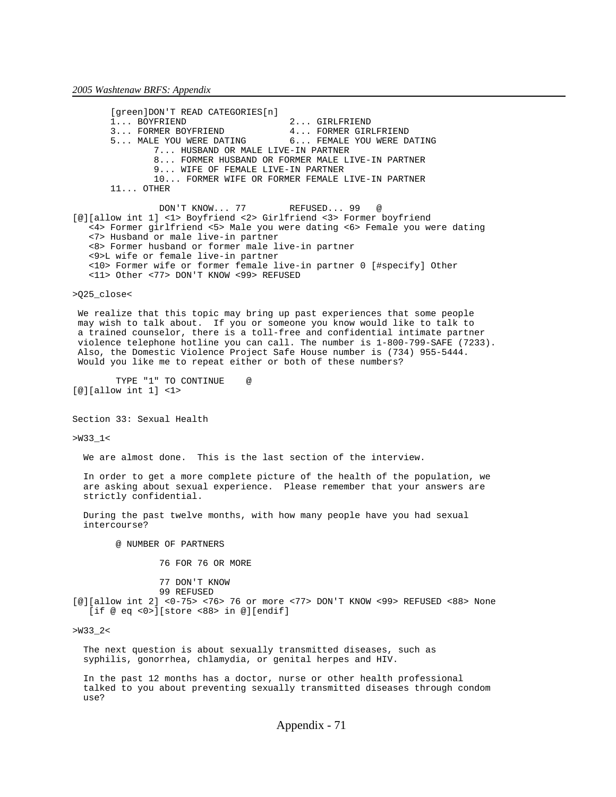[green]DON'T READ CATEGORIES[n]<br>1... BOYFRIEND 1... BOYFRIEND 2... GIRLFRIEND<br>3... FORMER BOYFRIEND 4... FORMER GIR 4... FORMER GIRLFRIEND 5... MALE YOU WERE DATING 6... FEMALE YOU WERE DATING 7... HUSBAND OR MALE LIVE-IN PARTNER 8... FORMER HUSBAND OR FORMER MALE LIVE-IN PARTNER 9... WIFE OF FEMALE LIVE-IN PARTNER 10... FORMER WIFE OR FORMER FEMALE LIVE-IN PARTNER 11... OTHER DON'T KNOW... 77 REFUSED... 99 @ [@][allow int 1] <1> Boyfriend <2> Girlfriend <3> Former boyfriend <4> Former girlfriend <5> Male you were dating <6> Female you were dating <7> Husband or male live-in partner <8> Former husband or former male live-in partner <9>L wife or female live-in partner <10> Former wife or former female live-in partner 0 [#specify] Other <11> Other <77> DON'T KNOW <99> REFUSED >Q25\_close<

 We realize that this topic may bring up past experiences that some people may wish to talk about. If you or someone you know would like to talk to a trained counselor, there is a toll-free and confidential intimate partner violence telephone hotline you can call. The number is 1-800-799-SAFE (7233). Also, the Domestic Violence Project Safe House number is (734) 955-5444. Would you like me to repeat either or both of these numbers?

 TYPE "1" TO CONTINUE @ [@][allow int 1] <1>

Section 33: Sexual Health

>W33\_1<

We are almost done. This is the last section of the interview.

 In order to get a more complete picture of the health of the population, we are asking about sexual experience. Please remember that your answers are strictly confidential.

 During the past twelve months, with how many people have you had sexual intercourse?

@ NUMBER OF PARTNERS

76 FOR 76 OR MORE

77 DON'T KNOW

 99 REFUSED [@][allow int 2] <0-75> <76> 76 or more <77> DON'T KNOW <99> REFUSED <88> None [if @ eq <0>][store <88> in @][endif]

>W33\_2<

 The next question is about sexually transmitted diseases, such as syphilis, gonorrhea, chlamydia, or genital herpes and HIV.

 In the past 12 months has a doctor, nurse or other health professional talked to you about preventing sexually transmitted diseases through condom use?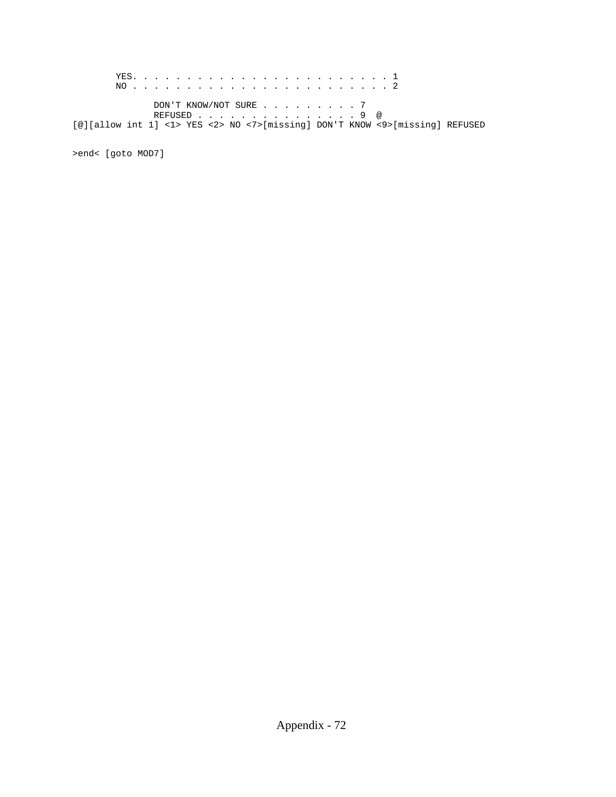YES. . . . . . . . . . . . . . . . . . . . . . . . 1 NO . . . . . . . . . . . . . . . . . . . . . . . . 2 DON'T KNOW/NOT SURE . . . . . . . . 7 REFUSED . . . . . . . . . . . . . . . 9 @ [@][allow int 1] <1> YES <2> NO <7>[missing] DON'T KNOW <9>[missing] REFUSED

>end< [goto MOD7]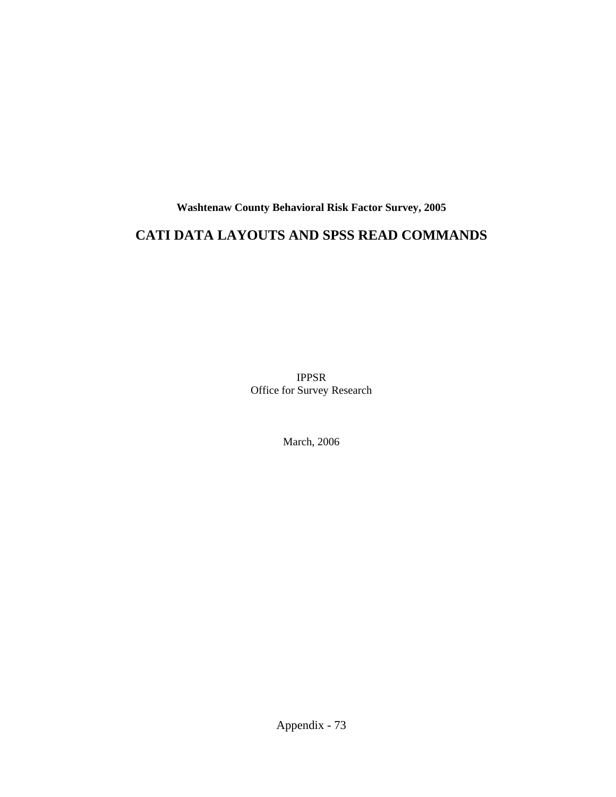**Washtenaw County Behavioral Risk Factor Survey, 2005**

# **CATI DATA LAYOUTS AND SPSS READ COMMANDS**

IPPSR Office for Survey Research

March, 2006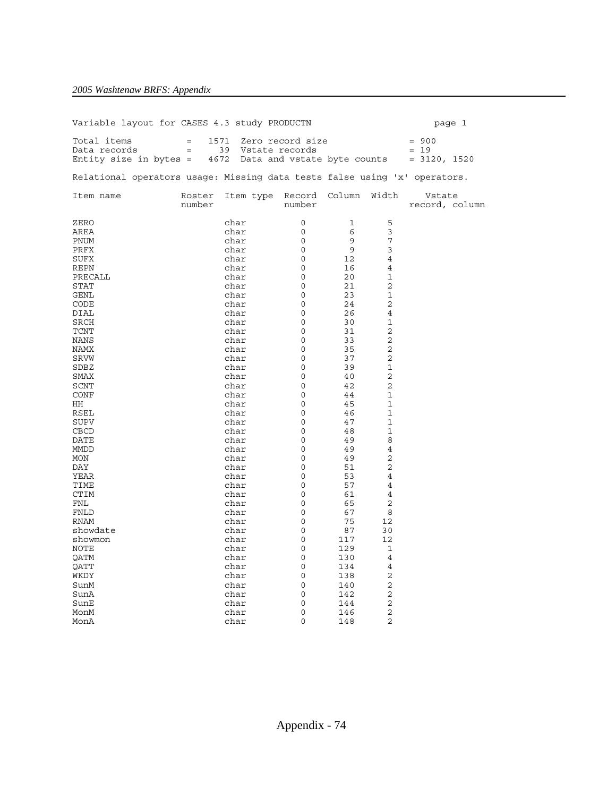| Variable layout for CASES 4.3 study PRODUCTN                              |        |              |                                                                                       |                |                              |                          | page 1 |
|---------------------------------------------------------------------------|--------|--------------|---------------------------------------------------------------------------------------|----------------|------------------------------|--------------------------|--------|
| Total items<br>Data records                                               |        |              | = 1571 Zero record size = 900<br>= 39 Vstate records = 19 = 19<br>= 39 Vstate records |                |                              | $= 19$                   |        |
| Entity size in bytes = $4672$ Data and vstate byte counts = $3120$ , 1520 |        |              |                                                                                       |                |                              |                          |        |
| Relational operators usage: Missing data tests false using 'x' operators. |        |              |                                                                                       |                |                              |                          |        |
| Item name                                                                 | number |              | Roster Item type Record Column Width<br>number                                        |                |                              | Vstate<br>record, column |        |
| ZERO                                                                      |        | char         | $\circ$                                                                               | $\overline{1}$ | 5                            |                          |        |
| AREA                                                                      |        | char         | 0                                                                                     | 6              | 3                            |                          |        |
| PNUM                                                                      |        | char         | $\begin{bmatrix} 0 \\ 0 \end{bmatrix}$                                                | 9              | $\overline{7}$               |                          |        |
| PRFX                                                                      |        | char         |                                                                                       | 9 <sup>°</sup> | 3                            |                          |        |
| SUFX                                                                      |        | char         | $\circ$                                                                               | 12             | $\overline{4}$               |                          |        |
| REPN                                                                      |        | char         | 0                                                                                     | 16             | $\overline{4}$               |                          |        |
| PRECALL                                                                   |        | char         | $\overline{0}$                                                                        | 20             | $\mathbf 1$                  |                          |        |
| STAT                                                                      |        | char         | $\overline{0}$                                                                        | 21             | $\overline{c}$               |                          |        |
| GENL                                                                      |        | char         | $\overline{0}$                                                                        | 23             | $\mathbf 1$                  |                          |        |
| CODE                                                                      |        | char         | $\overline{0}$                                                                        | 24             | 2                            |                          |        |
| DIAL                                                                      |        | char         | $\begin{matrix} 0 \\ 0 \end{matrix}$                                                  | 26             | $\overline{4}$               |                          |        |
| <b>SRCH</b>                                                               |        | char         |                                                                                       | 30             | 1                            |                          |        |
| TCNT                                                                      |        | char         | $\overline{0}$                                                                        | 31             | 2                            |                          |        |
| NANS                                                                      |        | char         | $\circ$                                                                               | 33             | $\overline{2}$               |                          |        |
| NAMX                                                                      |        | char         | 0                                                                                     | 35             | $\overline{2}$               |                          |        |
| SRVW                                                                      |        | char         | $\circ$                                                                               | 37             | 2                            |                          |        |
| SDBZ                                                                      |        | char         | $\circ$                                                                               | 39             | $\mathbf 1$                  |                          |        |
| SMAX                                                                      |        | char         | 0                                                                                     | 40             | $\overline{2}$               |                          |        |
| SCNT                                                                      |        | char         | $\circ$                                                                               | 42             | $\overline{c}$               |                          |        |
| CONF                                                                      |        | char         | $\circ$                                                                               | 44             | $\mathbf 1$                  |                          |        |
| HH                                                                        |        | char         | $\overline{0}$<br>$\circ$                                                             | 45             | $\mathbf{1}$<br>$\mathbf{1}$ |                          |        |
| RSEL<br><b>SUPV</b>                                                       |        | char         | $\circ$                                                                               | 46<br>47       | $\mathbf{1}$                 |                          |        |
|                                                                           |        | char<br>char | $\overline{0}$                                                                        | 48             | 1                            |                          |        |
| CBCD<br>DATE                                                              |        | char         | $\circ$                                                                               | 49             | 8                            |                          |        |
| MMDD                                                                      |        | char         | $\mathbf 0$                                                                           | 49             | $\overline{4}$               |                          |        |
| MON                                                                       |        | char         | $\overline{0}$                                                                        | 49             | $\overline{2}$               |                          |        |
| DAY                                                                       |        | char         | $\circ$                                                                               | 51             | 2                            |                          |        |
| YEAR                                                                      |        | char         | $\circ$                                                                               | 53             | 4                            |                          |        |
| TIME                                                                      |        | char         | 0                                                                                     | 57             | $\overline{4}$               |                          |        |
| <b>CTIM</b>                                                               |        | char         | $\mathbf{0}$                                                                          | 61             | 4                            |                          |        |
| FNL                                                                       |        | char         | 0                                                                                     | 65             | $\overline{c}$               |                          |        |
| FNLD                                                                      |        | char         | $\overline{0}$                                                                        | 67             | 8                            |                          |        |
| <b>RNAM</b>                                                               |        | char         | $\circ$                                                                               | 75             | 12                           |                          |        |
| showdate                                                                  |        | char         | 0                                                                                     | 87             | 30                           |                          |        |
| showmon                                                                   |        | char         | $\circ$                                                                               | 117            | 12                           |                          |        |
| NOTE                                                                      |        | char         | $\circ$                                                                               | 129            | 1                            |                          |        |
| OATM                                                                      |        | char         | 0                                                                                     | 130            | $\overline{4}$               |                          |        |
| OATT                                                                      |        | char         | $\overline{0}$                                                                        | 134            | $\overline{4}$               |                          |        |
| WKDY                                                                      |        | char         | $\circ$                                                                               | 138            | $\overline{c}$               |                          |        |
| SunM                                                                      |        | char         | $\mathsf{O}$                                                                          | 140            | 2                            |                          |        |
| SunA                                                                      |        | char         | $\mathsf{O}$                                                                          | 142            | $\overline{2}$               |                          |        |
| SunE                                                                      |        | char         | 0                                                                                     | 144            | $\overline{2}$               |                          |        |
| MonM                                                                      |        | char         | 0                                                                                     | 146            | $\overline{2}$               |                          |        |
| MonA                                                                      |        | char         | $\Omega$                                                                              | 148            | 2                            |                          |        |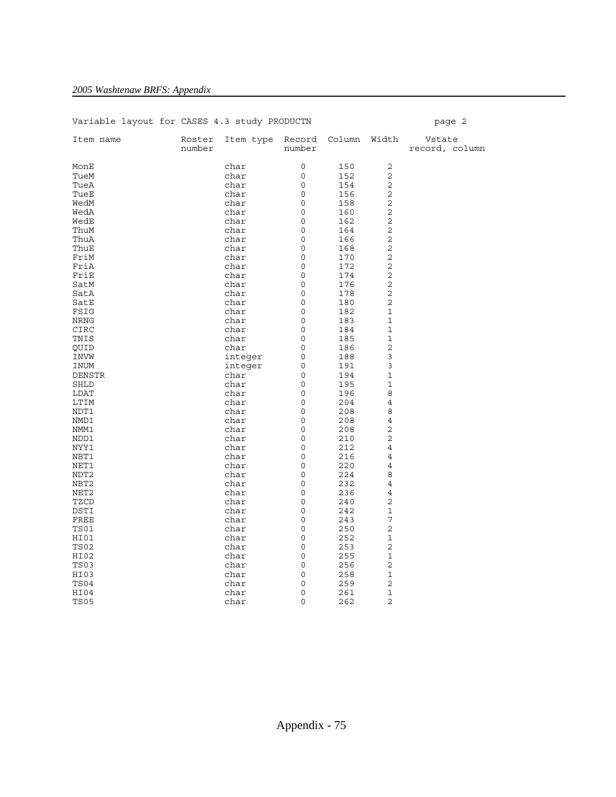| Variable layout for CASES 4.3 study PRODUCTN |                  |              |                  |              |                               | page 2                   |
|----------------------------------------------|------------------|--------------|------------------|--------------|-------------------------------|--------------------------|
| Item name                                    | Roster<br>number | Item type    | Record<br>number | Column Width |                               | Vstate<br>record, column |
| MonE                                         |                  | char         | 0                | 150          | 2                             |                          |
| TueM                                         |                  | char         | 0                | 152          | 2                             |                          |
| TueA                                         |                  | char         | $\circ$          | 154          | 2                             |                          |
| TueE                                         |                  | char         | 0                | 156          | $\overline{2}$                |                          |
| WedM                                         |                  | char         | 0                | 158          | $\sqrt{2}$                    |                          |
| WedA                                         |                  | char         | 0                | 160          | $\sqrt{2}$                    |                          |
| WedE                                         |                  | char         | 0                | 162          | 2                             |                          |
| ThuM                                         |                  | char         | 0                | 164          | 2                             |                          |
| ThuA                                         |                  | char         | 0                | 166          | 2                             |                          |
| ThuE                                         |                  | char         | 0                | 168          | $\overline{c}$                |                          |
| FriM                                         |                  | char         | 0                | 170          | $\overline{c}$                |                          |
| FriA                                         |                  | char         | 0                | 172          | $\overline{c}$                |                          |
| FriE                                         |                  | char         | 0                | 174          | $\overline{2}$                |                          |
| SatM                                         |                  | char         | 0                | 176          | $\sqrt{2}$                    |                          |
| SatA                                         |                  | char         | 0                | 178          | $\mathbf 2$                   |                          |
| SatE                                         |                  | char         | 0                | 180          | $\sqrt{2}$                    |                          |
| FSIG                                         |                  | char         | 0                | 182          | $\mathbf 1$                   |                          |
| NRNG                                         |                  | char         | 0                | 183          | 1                             |                          |
| CIRC                                         |                  | char         | $\circ$          | 184          | $\mathbf 1$                   |                          |
| TNIS                                         |                  | char         | 0                | 185          | $\mathbf 1$                   |                          |
| QUID                                         |                  | char         | 0                | 186          | $\overline{c}$                |                          |
| INVW                                         |                  | integer      | 0                | 188          | 3                             |                          |
| INUM                                         |                  | integer      | 0                | 191          | $\mathsf 3$                   |                          |
| DENSTR                                       |                  | char         | 0                | 194          | $\mathbf 1$                   |                          |
| SHLD                                         |                  | char         | 0                | 195          | $\mathbf 1$                   |                          |
| LDAT                                         |                  | char         | 0                | 196          | 8                             |                          |
| LTIM                                         |                  | char         | 0                | 204          | 4                             |                          |
| NDT1                                         |                  | char         | 0                | 208          | 8                             |                          |
| NMD1                                         |                  | char         | 0                | 208          | $\overline{4}$                |                          |
| NMM1                                         |                  | char         | 0                | 208          | $\overline{2}$                |                          |
| NDD1                                         |                  | char         | 0                | 210          | 2                             |                          |
| NYY1                                         |                  | char         | $\circ$          | 212          | $\overline{4}$                |                          |
| NBT1                                         |                  | char         | 0                | 216          | $\overline{4}$                |                          |
| NET1                                         |                  | char         | 0                | 220          | $\overline{4}$                |                          |
| NDT <sub>2</sub>                             |                  | char         | 0                | 224          | 8                             |                          |
| NBT2                                         |                  | char         | 0                | 232          | $\overline{4}$                |                          |
| NET <sub>2</sub>                             |                  | char         | 0                | 236          | 4                             |                          |
| TZCD                                         |                  | char         | 0                | 240          | $\overline{2}$                |                          |
| DSTI                                         |                  | char         | 0                | 242          | $\mathbf 1$                   |                          |
| FREE                                         |                  | char         | $\Omega$         | 243          | 7                             |                          |
| TS01                                         |                  | char         | $\circ$          | 250          | 2                             |                          |
| HI01                                         |                  | char         | 0                | 252          | $\mathbf 1$                   |                          |
| <b>TS02</b>                                  |                  | char         | 0                | 253          | 2                             |                          |
| HI02                                         |                  | char         | 0                | 255          | $\mathbf 1$                   |                          |
| TS03                                         |                  | char         | 0                | 256          | 2                             |                          |
| HI03                                         |                  | char         | 0                | 258          | $\mathbf 1$<br>2              |                          |
| TS04                                         |                  | char         | 0                | 259          |                               |                          |
| HI04<br><b>TS05</b>                          |                  | char<br>char | 0<br>$\mathsf 0$ | 261<br>262   | $\mathbf 1$<br>$\overline{2}$ |                          |
|                                              |                  |              |                  |              |                               |                          |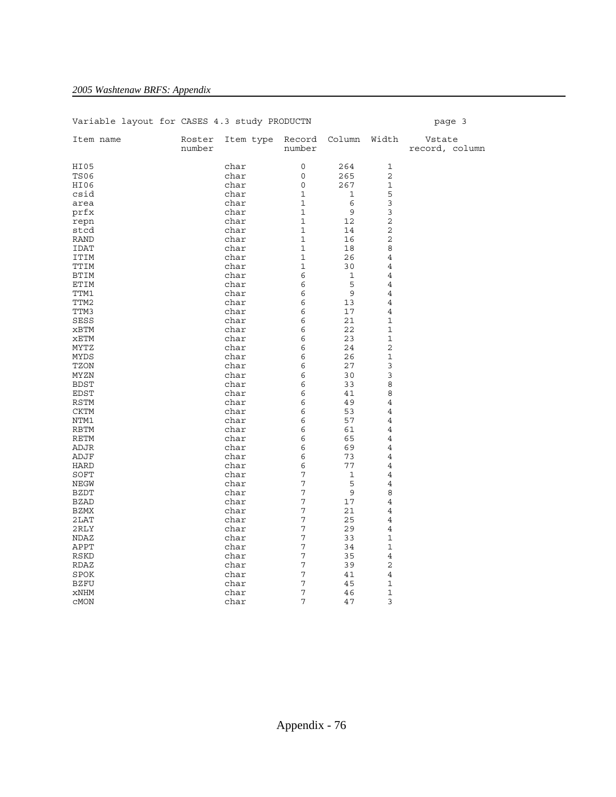| variable layout for cases 4.3 study PRODUCIN |                  |                               |              |             |                | paye s                   |
|----------------------------------------------|------------------|-------------------------------|--------------|-------------|----------------|--------------------------|
| Item name                                    | Roster<br>number | Item type Record Column Width | number       |             |                | Vstate<br>record, column |
| HI05                                         |                  | char                          | 0            | 264         | $\mathbf 1$    |                          |
| <b>TS06</b>                                  |                  | char                          | $\circ$      | 265         | $\overline{2}$ |                          |
| HI06                                         |                  | char                          | 0            | 267         | $\mathbf 1$    |                          |
| csid                                         |                  | char                          | $\mathbf{1}$ | 1           | 5              |                          |
| area                                         |                  | char                          | $\mathbf{1}$ | 6           | 3              |                          |
| prfx                                         |                  | char                          | $\mathbf{1}$ | $\mathsf 9$ | 3              |                          |
| repn                                         |                  | char                          | $\mathbf{1}$ | 12          | $\overline{c}$ |                          |
| stcd                                         |                  | char                          | $\mathbf{1}$ | 14          | $\overline{c}$ |                          |
| <b>RAND</b>                                  |                  | char                          | $\mathbf{1}$ | 16          | $\mathbf 2$    |                          |
| IDAT                                         |                  | char                          | $\mathbf{1}$ | 18          | 8              |                          |
| ITIM                                         |                  | char                          | $\mathbf{1}$ | 26          | $\,4$          |                          |
| TTIM                                         |                  | char                          | $\mathbf 1$  | 30          | $\overline{4}$ |                          |
| BTIM                                         |                  | char                          | 6            | 1           | 4              |                          |
| ETIM                                         |                  | char                          | 6            | 5           | 4              |                          |
| TTM1                                         |                  | char                          | 6            | 9           | 4              |                          |
| TTM2                                         |                  | char                          | 6            | 13          | $\overline{4}$ |                          |
| TTM3                                         |                  | char                          | 6            | 17          | 4              |                          |
| <b>SESS</b>                                  |                  | char                          | 6            | 21          | 1              |                          |
| xBTM                                         |                  | char                          | 6            | 22          | $\mathbf 1$    |                          |
| xETM                                         |                  | char                          | 6            | 23          | $\mathbf 1$    |                          |
| MYTZ                                         |                  | char                          | 6            | 24          | $\overline{2}$ |                          |
| MYDS                                         |                  | char                          | 6            | 26          | $\mathbf 1$    |                          |
| TZON                                         |                  | char                          | 6            | 27          | 3              |                          |
| MYZN                                         |                  | char                          | 6            | 30          | 3              |                          |
| <b>BDST</b>                                  |                  | char                          | 6            | 33          | 8              |                          |
| <b>EDST</b>                                  |                  | char                          | 6            | 41          | 8              |                          |
| <b>RSTM</b>                                  |                  | char                          | 6            | 49          | $\,4$          |                          |
| <b>CKTM</b>                                  |                  | char                          | 6            | 53          | $\overline{4}$ |                          |
| NTM1                                         |                  | char                          | 6            | 57          | 4              |                          |
| <b>RBTM</b>                                  |                  | char                          | 6            | 61          | 4              |                          |
| <b>RETM</b>                                  |                  | char                          | 6            | 65          | 4              |                          |
| ADJR                                         |                  | char                          | 6            | 69          | 4              |                          |
| ADJF                                         |                  | char                          | 6            | 73          | 4              |                          |
| <b>HARD</b>                                  |                  | char                          | 6            | 77          | 4              |                          |
| SOFT                                         |                  | char                          | 7            | 1           | $\overline{4}$ |                          |
| NEGW                                         |                  | char                          | 7            | 5           | 4              |                          |
| BZDT                                         |                  | char                          | 7            | 9           | 8              |                          |
| <b>BZAD</b>                                  |                  | char                          | 7            | 17          | 4              |                          |
| <b>BZMX</b>                                  |                  | char                          | $\sqrt{ }$   | 21          | 4              |                          |
| 2LAT                                         |                  | char                          | 7            | 25          | $\overline{4}$ |                          |
| 2RLY                                         |                  | char                          | 7            | 29          | $\overline{4}$ |                          |
| NDAZ                                         |                  | char                          | 7            | 33          | $\mathbf 1$    |                          |
| APPT                                         |                  | char                          | 7            | 34          | 1              |                          |
| RSKD                                         |                  | char                          | 7            | 35          | $\overline{4}$ |                          |
| RDAZ                                         |                  | char                          | 7            | 39          | $\overline{c}$ |                          |
| SPOK                                         |                  | char                          | 7            | 41          | $\,4$          |                          |
| <b>BZFU</b>                                  |                  | char                          | 7            | 45          | $\mathbf 1$    |                          |
| xNHM                                         |                  | char                          | 7            | 46          | $\mathbf 1$    |                          |
| CMON                                         |                  | char                          | 7            | 47          | 3              |                          |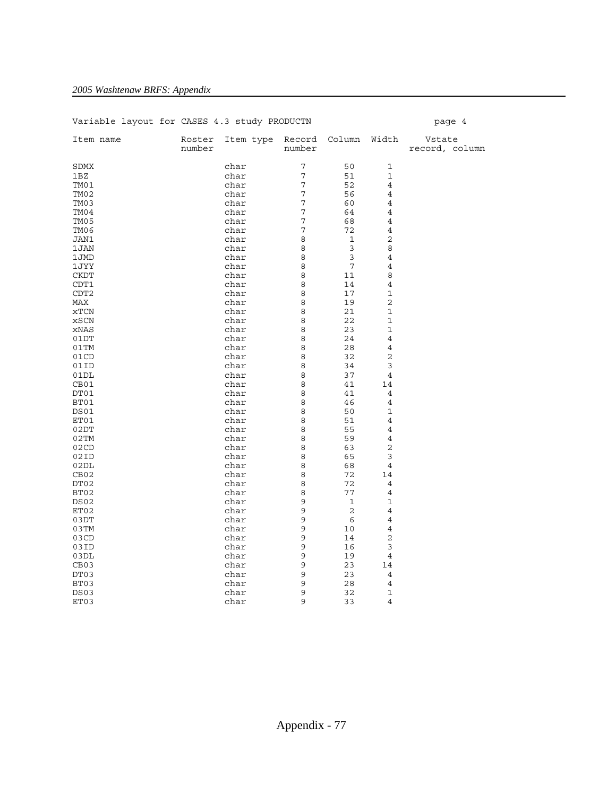| Variable layout for CASES 4.3 study PRODUCTN |                  |                         |        |              |                | page 4                   |
|----------------------------------------------|------------------|-------------------------|--------|--------------|----------------|--------------------------|
| Item name                                    | Roster<br>number | Item type Record Column | number |              | Width          | Vstate<br>record, column |
| SDMX                                         |                  | char                    | 7      | 50           | 1              |                          |
| 1BZ                                          |                  | char                    | 7      | 51           | $\mathbf 1$    |                          |
| TM01                                         |                  | char                    | 7      | 52           | 4              |                          |
| TM02                                         |                  | char                    | 7      | 56           | 4              |                          |
| TM03                                         |                  | char                    | 7      | 60           | 4              |                          |
| TM04                                         |                  | char                    | 7      | 64           | 4              |                          |
| TM05                                         |                  | char                    | 7      | 68           | 4              |                          |
| TM06                                         |                  | char                    | 7      | 72           | $\overline{4}$ |                          |
| JAN1                                         |                  | char                    | 8      | 1            | $\overline{c}$ |                          |
| 1JAN                                         |                  | char                    | 8      | 3            | 8              |                          |
| 1JMD                                         |                  | char                    | 8      | $\mathbf{3}$ | $\overline{4}$ |                          |
| 1JYY                                         |                  | char                    | 8      | 7            | $\overline{4}$ |                          |
| <b>CKDT</b>                                  |                  | char                    | 8      | 11           | 8              |                          |
| CDT1                                         |                  | char                    | 8      | 14           | $\overline{4}$ |                          |
| CDT <sub>2</sub>                             |                  | char                    | 8      | 17           | 1              |                          |
| MAX                                          |                  | char                    | 8      | 19           | $\mathbf 2$    |                          |
| xTCN                                         |                  | char                    | 8      | 21           | $\mathbf 1$    |                          |
| xSCN                                         |                  | char                    | 8      | 22           | 1              |                          |
| xNAS                                         |                  | char                    | 8      | 23           | $\mathbf 1$    |                          |
| 01DT                                         |                  | char                    | 8      | 24           | 4              |                          |
| 01TM                                         |                  | char                    | 8      | 28           | $\overline{4}$ |                          |
| 01CD                                         |                  | char                    | 8      | 32           | $\overline{2}$ |                          |
| 01ID                                         |                  | char                    | 8      | 34           | 3              |                          |
| 01DL                                         |                  | char                    | 8      | 37           | $\overline{4}$ |                          |
| CB01                                         |                  | char                    | 8      | 41           | 14             |                          |
| DT01                                         |                  | char                    | 8      | 41           | 4              |                          |
| BT01                                         |                  | char                    | 8<br>8 | 46           | $\overline{4}$ |                          |
| DS01<br>ET01                                 |                  | char<br>char            | 8      | 50<br>51     | 1<br>4         |                          |
| 02DT                                         |                  | char                    | 8      | 55           | $\overline{4}$ |                          |
| 02TM                                         |                  | char                    | 8      | 59           | 4              |                          |
| 02CD                                         |                  | char                    | 8      | 63           | $\overline{c}$ |                          |
| 02ID                                         |                  | char                    | 8      | 65           | 3              |                          |
| 02DL                                         |                  | char                    | 8      | 68           | $\overline{4}$ |                          |
| CB <sub>02</sub>                             |                  | char                    | 8      | 72           | 14             |                          |
| DT02                                         |                  | char                    | 8      | 72           | $\overline{4}$ |                          |
| BT02                                         |                  | char                    | 8      | 77           | $\overline{4}$ |                          |
| DS02                                         |                  | char                    | 9      | $\mathbf 1$  | $\mathbf 1$    |                          |
| ET02                                         |                  | char                    | 9      | 2            | $\overline{4}$ |                          |
| 03DT                                         |                  | char                    | 9      | 6            | 4              |                          |
| 03TM                                         |                  | char                    | 9      | 10           | 4              |                          |
| 03CD                                         |                  | char                    | 9      | 14           | $\overline{2}$ |                          |
| 03ID                                         |                  | char                    | 9      | 16           | 3              |                          |
| 03DL                                         |                  | char                    | 9      | 19           | $\overline{4}$ |                          |
| CB <sub>03</sub>                             |                  | char                    | 9      | 23           | 14             |                          |
| DT03                                         |                  | char                    | 9      | 23           | $\overline{4}$ |                          |
| BT03                                         |                  | char                    | 9      | 28           | $\overline{4}$ |                          |
| DS03                                         |                  | char                    | 9      | 32           | $\mathbf 1$    |                          |
| ET03                                         |                  | char                    | 9      | 33           | 4              |                          |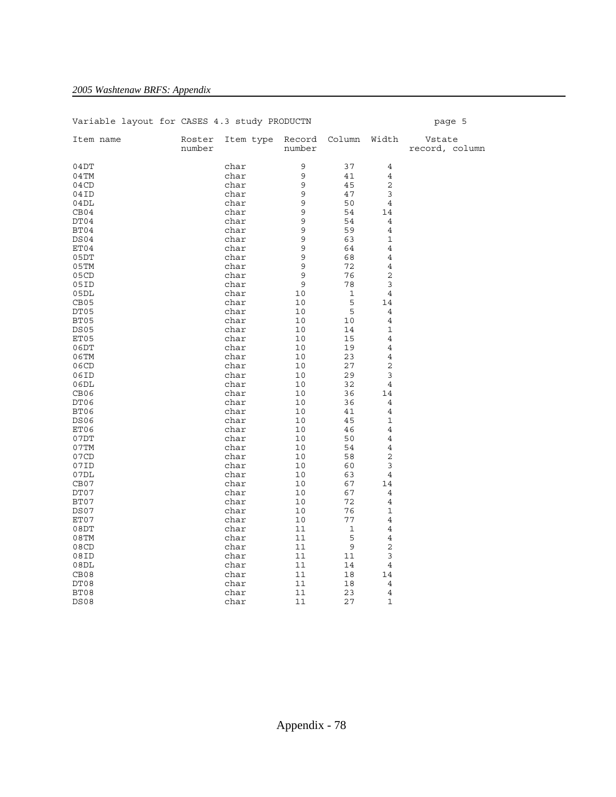| Variable layout for CASES 4.3 study PRODUCTN |                  |                         |          |             |                | page 5                   |
|----------------------------------------------|------------------|-------------------------|----------|-------------|----------------|--------------------------|
| Item name                                    | Roster<br>number | Item type Record Column | number   |             | Width          | Vstate<br>record, column |
| 04DT                                         |                  | char                    | 9        | 37          | 4              |                          |
| $04$ TM                                      |                  | char                    | 9        | 41          | 4              |                          |
| 04CD                                         |                  | char                    | 9        | 45          | $\overline{c}$ |                          |
| 04ID                                         |                  | char                    | 9        | 47          | 3              |                          |
| 04DL                                         |                  | char                    | 9        | 50          | 4              |                          |
| CB04                                         |                  | char                    | 9        | 54          | 14             |                          |
| DT04                                         |                  | char                    | 9        | 54          | 4              |                          |
| BT04                                         |                  | char                    | 9        | 59          | 4              |                          |
| DS04                                         |                  | char                    | 9        | 63          | 1              |                          |
| ET04                                         |                  | char                    | 9        | 64          | 4              |                          |
| 05DT                                         |                  | char                    | 9        | 68          | 4              |                          |
| 05TM                                         |                  | char                    | 9        | 72          | 4              |                          |
| 05CD                                         |                  | char                    | 9        | 76          | 2              |                          |
| 05ID                                         |                  | char                    | 9        | 78          | 3              |                          |
| 05DL                                         |                  | char                    | 10       | $\mathbf 1$ | 4              |                          |
| CB <sub>05</sub>                             |                  | char                    | 10       | $\mathsf S$ | 14             |                          |
| DT05                                         |                  | char                    | 10       | 5           | 4              |                          |
| BT05                                         |                  | char                    | 10       | 10          | 4              |                          |
| <b>DS05</b>                                  |                  | char                    | 10       | 14          | 1              |                          |
| ET05                                         |                  | char                    | 10       | 15          | 4              |                          |
| 06DT                                         |                  | char                    | 10       | 19          | 4              |                          |
| 06TM                                         |                  | char                    | 10       | 23          | 4              |                          |
| 06CD                                         |                  | char                    | 10       | 27          | 2<br>3         |                          |
| 06ID                                         |                  | char                    | 10       | 29          |                |                          |
| 06DL<br>CB <sub>06</sub>                     |                  | char                    | 10<br>10 | 32<br>36    | 4              |                          |
| DT06                                         |                  | char<br>char            | 10       | 36          | 14<br>4        |                          |
| BT06                                         |                  | char                    | 10       | 41          | 4              |                          |
| DS06                                         |                  | char                    | 10       | 45          | 1              |                          |
| ET06                                         |                  | char                    | 10       | 46          | 4              |                          |
| 07DT                                         |                  | char                    | 10       | 50          | 4              |                          |
| 07TM                                         |                  | char                    | 10       | 54          | 4              |                          |
| 07CD                                         |                  | char                    | 10       | 58          | 2              |                          |
| 07ID                                         |                  | char                    | 10       | 60          | 3              |                          |
| 07DL                                         |                  | char                    | 10       | 63          | 4              |                          |
| CB07                                         |                  | char                    | 10       | 67          | 14             |                          |
| DT07                                         |                  | char                    | 10       | 67          | 4              |                          |
| BT07                                         |                  | char                    | 10       | 72          | 4              |                          |
| DS07                                         |                  | char                    | 10       | 76          | 1              |                          |
| ET07                                         |                  | char                    | 10       | 77          | 4              |                          |
| 08DT                                         |                  | char                    | 11       | 1           | 4              |                          |
| $08$ TM                                      |                  | char                    | 11       | $\mathsf S$ | 4              |                          |
| 08CD                                         |                  | char                    | 11       | $\mathsf 9$ | $\overline{c}$ |                          |
| 08ID                                         |                  | char                    | 11       | 11          | 3              |                          |
| 08DL                                         |                  | char                    | 11       | 14          | 4              |                          |
| CB <sub>08</sub>                             |                  | char                    | 11       | 18          | 14             |                          |
| DT08                                         |                  | char                    | 11       | 18          | 4              |                          |
| BT08                                         |                  | char                    | 11       | 23          | 4              |                          |
| <b>DS08</b>                                  |                  | char                    | 11       | 27          | 1              |                          |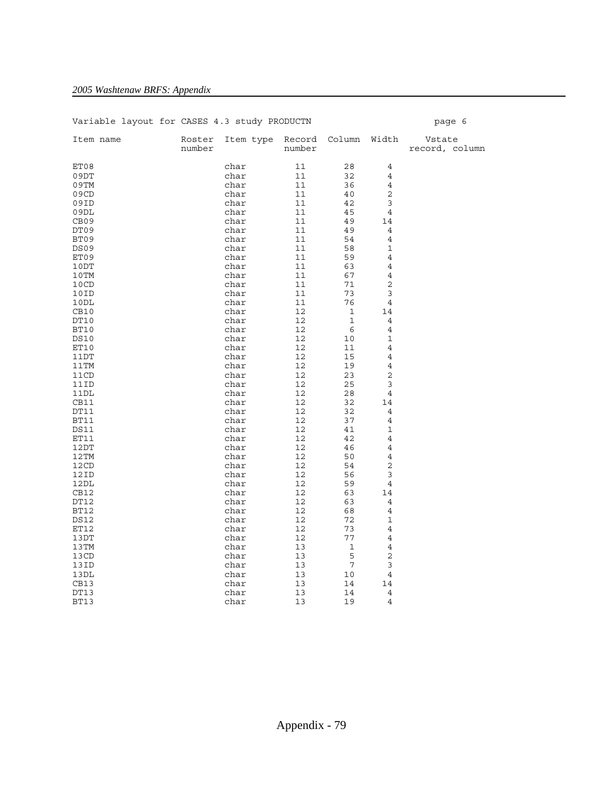| Variable layout for CASES 4.3 study PRODUCTN |                  |           |        |               |                | page 6                   |
|----------------------------------------------|------------------|-----------|--------|---------------|----------------|--------------------------|
| Item name                                    | Roster<br>number | Item type | number | Record Column | Width          | Vstate<br>record, column |
| ET08                                         |                  | char      | 11     | 28            | 4              |                          |
| 09DT                                         |                  | char      | 11     | 32            | $\overline{4}$ |                          |
| 09TM                                         |                  | char      | 11     | 36            | $\overline{4}$ |                          |
| 09CD                                         |                  | char      | 11     | 40            | $\overline{2}$ |                          |
| 09ID                                         |                  | char      | 11     | 42            | 3              |                          |
| 09DL                                         |                  | char      | 11     | 45            | 4              |                          |
| CB <sub>09</sub>                             |                  | char      | 11     | 49            | 14             |                          |
| DT09                                         |                  | char      | 11     | 49            | 4              |                          |
| BT09                                         |                  | char      | 11     | 54            | $\overline{4}$ |                          |
| DS09                                         |                  | char      | 11     | 58            | $\mathbf 1$    |                          |
| ET09                                         |                  | char      | 11     | 59            | $\overline{4}$ |                          |
| 10DT                                         |                  | char      | 11     | 63            | $\overline{4}$ |                          |
| 10TM                                         |                  | char      | 11     | 67            | $\overline{4}$ |                          |
| 10CD                                         |                  | char      | 11     | 71            | $\sqrt{2}$     |                          |
| 10ID                                         |                  | char      | 11     | 73            | 3              |                          |
| 10DL                                         |                  | char      | 11     | 76            | 4              |                          |
| CB10                                         |                  | char      | 12     | 1             | 14             |                          |
| DT10                                         |                  | char      | 12     | 1             | 4              |                          |
| BT10                                         |                  | char      | 12     | 6             | $\overline{4}$ |                          |
| <b>DS10</b>                                  |                  | char      | 12     | 10            | $\mathbf 1$    |                          |
| ET10                                         |                  | char      | 12     | 11            | 4              |                          |
| 11DT                                         |                  | char      | 12     | 15            | $\overline{4}$ |                          |
| 11TM                                         |                  | char      | 12     | 19            | $\overline{4}$ |                          |
| 11CD                                         |                  | char      | 12     | 23            | 2              |                          |
| 11ID                                         |                  | char      | 12     | 25            | 3              |                          |
| 11DL                                         |                  | char      | 12     | 28            | 4              |                          |
| CB11                                         |                  | char      | 12     | 32            | 14             |                          |
| DT11                                         |                  | char      | 12     | 32            | 4              |                          |
| BT11                                         |                  | char      | 12     | 37            | $\overline{4}$ |                          |
| <b>DS11</b>                                  |                  | char      | 12     | 41            | $\mathbf 1$    |                          |
| ET11                                         |                  | char      | 12     | 42            | 4              |                          |
| 12DT                                         |                  | char      | 12     | 46            | $\overline{4}$ |                          |
| 12TM                                         |                  | char      | 12     | 50            | $\overline{4}$ |                          |
| 12CD                                         |                  | char      | 12     | 54            | $\overline{2}$ |                          |
| 12ID                                         |                  | char      | 12     | 56            | 3              |                          |
| 12DL                                         |                  | char      | 12     | 59            | 4              |                          |
| CB12                                         |                  | char      | 12     | 63            | 14             |                          |
| DT12                                         |                  | char      | 12     | 63            | $\overline{4}$ |                          |
| BT12                                         |                  | char      | 12     | 68            | $\overline{4}$ |                          |
| <b>DS12</b>                                  |                  | char      | 12     | 72            | $\mathbf 1$    |                          |
| ET12                                         |                  | char      | 12     | 73            | $\overline{4}$ |                          |
| 13DT                                         |                  | char      | 12     | 77            | 4              |                          |
| 13TM                                         |                  | char      | 13     | $\mathbf 1$   | $\overline{4}$ |                          |
| 13CD                                         |                  | char      | 13     | 5             | $\sqrt{2}$     |                          |
| 13ID                                         |                  | char      | 13     | 7             | 3              |                          |
| 13DL                                         |                  | char      | 13     | 10            | 4              |                          |
| CB13                                         |                  | char      | 13     | 14            | 14             |                          |
| DT13                                         |                  | char      | 13     | 14            | $\overline{4}$ |                          |
| <b>BT13</b>                                  |                  | char      | 13     | 19            | $\overline{4}$ |                          |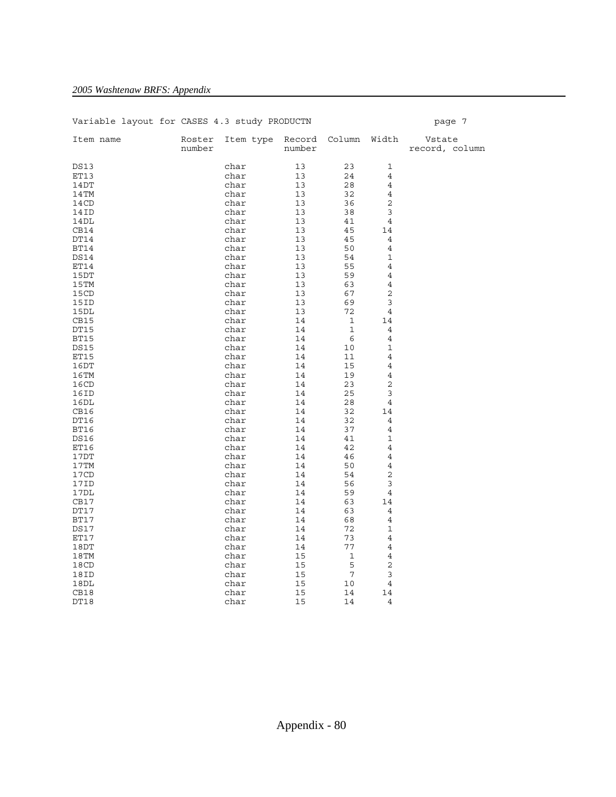| Variable layout for CASES 4.3 study PRODUCTN |                  |           |        |                     |                | page 7                   |
|----------------------------------------------|------------------|-----------|--------|---------------------|----------------|--------------------------|
| Item name                                    | Roster<br>number | Item type | number | Record Column Width |                | Vstate<br>record, column |
| <b>DS13</b>                                  |                  | char      | 13     | 23                  | 1              |                          |
| ET13                                         |                  | char      | 13     | 24                  | $\overline{4}$ |                          |
| 14DT                                         |                  | char      | 13     | 28                  | $\overline{4}$ |                          |
| 14TM                                         |                  | char      | 13     | 32                  | 4              |                          |
| 14CD                                         |                  | char      | 13     | 36                  | 2              |                          |
| 14ID                                         |                  | char      | 13     | 38                  | 3              |                          |
| 14DL                                         |                  | char      | 13     | 41                  | $\overline{4}$ |                          |
| CB14                                         |                  | char      | 13     | 45                  | 14             |                          |
| DT14                                         |                  | char      | 13     | 45                  | $\overline{4}$ |                          |
| <b>BT14</b>                                  |                  | char      | 13     | 50                  | $\overline{4}$ |                          |
| <b>DS14</b>                                  |                  | char      | 13     | 54                  | $\mathbf{1}$   |                          |
| ET14                                         |                  | char      | 13     | 55                  | $\overline{4}$ |                          |
| 15DT                                         |                  | char      | 13     | 59                  | $\overline{4}$ |                          |
| 15TM                                         |                  | char      | 13     | 63                  | 4              |                          |
| 15CD                                         |                  | char      | 13     | 67                  | $\overline{2}$ |                          |
| 15ID                                         |                  | char      | 13     | 69                  | 3              |                          |
| 15DL                                         |                  | char      | 13     | 72                  | 4              |                          |
| CB15                                         |                  | char      | 14     | $\mathbf{1}$        | 14             |                          |
| DT15                                         |                  | char      | 14     | $\mathbf{1}$        | $\overline{4}$ |                          |
| <b>BT15</b>                                  |                  | char      | 14     | 6                   | $\overline{4}$ |                          |
| <b>DS15</b>                                  |                  | char      | 14     | 10                  | 1              |                          |
| ET15                                         |                  | char      | 14     | 11                  | 4              |                          |
| 16DT                                         |                  | char      | 14     | 15                  | 4              |                          |
| 16TM                                         |                  | char      | 14     | 19                  | $\overline{4}$ |                          |
| 16CD                                         |                  | char      | 14     | 23                  | 2              |                          |
| 16ID                                         |                  | char      | 14     | 25                  | 3              |                          |
| 16DL                                         |                  | char      | 14     | 28                  | 4              |                          |
| CB16                                         |                  | char      | 14     | 32                  | 14             |                          |
| DT16                                         |                  | char      | 14     | 32                  | 4              |                          |
| BT16                                         |                  | char      | 14     | 37                  | $\overline{4}$ |                          |
| <b>DS16</b>                                  |                  | char      | 14     | 41                  | 1              |                          |
| ET16                                         |                  | char      | 14     | 42                  | 4              |                          |
| 17DT                                         |                  | char      | 14     | 46                  | $\overline{4}$ |                          |
| 17TM                                         |                  | char      | 14     | 50                  | 4              |                          |
| 17CD                                         |                  | char      | 14     | 54                  | 2              |                          |
| 17ID                                         |                  | char      | 14     | 56                  | 3              |                          |
| 17DL                                         |                  | char      | 14     | 59                  | 4              |                          |
| CB17                                         |                  | char      | 14     | 63                  | 14             |                          |
| DT17                                         |                  | char      | 14     | 63                  | 4              |                          |
| BT17                                         |                  | char      | 14     | 68                  | 4              |                          |
| <b>DS17</b>                                  |                  | char      | 14     | 72                  | $\mathbf 1$    |                          |
| ET17                                         |                  | char      | 14     | 73                  | $\overline{4}$ |                          |
| 18DT                                         |                  | char      | 14     | 77                  | $\overline{4}$ |                          |
| 18TM                                         |                  | char      | 15     | $\mathbf{1}$        | $\overline{4}$ |                          |
| 18CD                                         |                  | char      | 15     | 5                   | $\overline{2}$ |                          |
| 18ID                                         |                  | char      | 15     | $7\phantom{.0}$     | 3              |                          |
| 18DL                                         |                  | char      | 15     | 10                  | 4              |                          |
| CB18                                         |                  | char      | 15     | 14                  | 14             |                          |
| DT18                                         |                  | char      | 15     | 14                  | $\overline{4}$ |                          |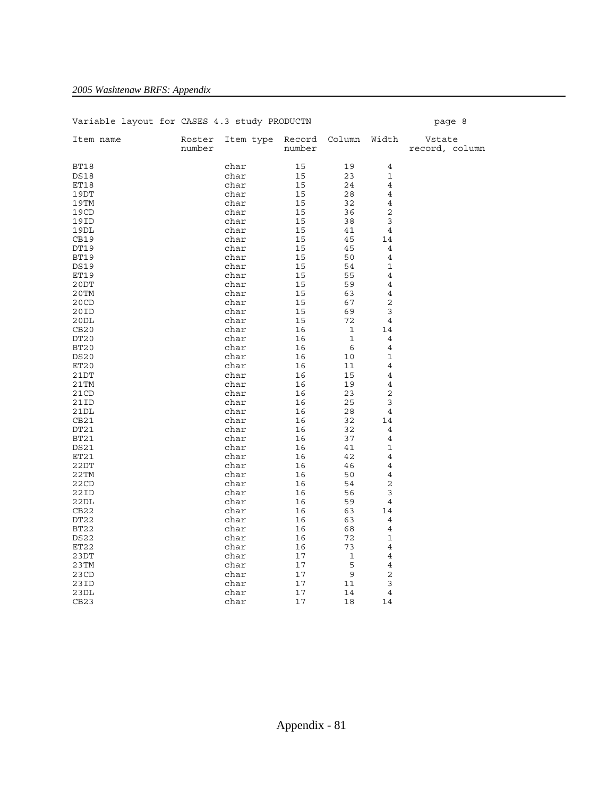| Variable layout for CASES 4.3 study PRODUCTN |                  |                               |          |                    |                | page 8                   |
|----------------------------------------------|------------------|-------------------------------|----------|--------------------|----------------|--------------------------|
| Item name                                    | Roster<br>number | Item type Record Column Width | number   |                    |                | Vstate<br>record, column |
| BT18                                         |                  | char                          | 15       | 19                 | $\overline{4}$ |                          |
| <b>DS18</b>                                  |                  | char                          | 15       | 23                 | $\mathbf 1$    |                          |
| ET18                                         |                  | char                          | 15       | 24                 | $\overline{4}$ |                          |
| 19DT                                         |                  | char                          | 15       | 28                 | 4              |                          |
| 19TM                                         |                  | char                          | 15       | 32                 | 4              |                          |
| 19CD                                         |                  | char                          | 15       | 36                 | 2              |                          |
| 19ID                                         |                  | char                          | 15       | 38                 | 3              |                          |
| 19DL                                         |                  | char                          | 15       | 41                 | 4              |                          |
| CB19                                         |                  | char                          | 15       | 45                 | 14             |                          |
| DT19                                         |                  | char                          | 15       | 45                 | 4              |                          |
| <b>BT19</b>                                  |                  | char                          | 15       | 50                 | $\overline{4}$ |                          |
| <b>DS19</b>                                  |                  | char                          | 15       | 54                 | $\mathbf 1$    |                          |
| ET19                                         |                  | char                          | 15       | 55                 | $\overline{4}$ |                          |
| 20DT                                         |                  | char                          | 15       | 59                 | 4              |                          |
| $20$ TM                                      |                  | char                          | 15       | 63                 | $\overline{4}$ |                          |
| 20CD                                         |                  | char                          | 15       | 67                 | $\sqrt{2}$     |                          |
| 20ID                                         |                  | char                          | 15       | 69                 | 3              |                          |
|                                              |                  |                               |          |                    |                |                          |
| 20DL<br>CB20                                 |                  | char<br>char                  | 15<br>16 | 72<br>$\mathbf{1}$ | 4              |                          |
|                                              |                  |                               |          |                    | 14             |                          |
| DT <sub>20</sub>                             |                  | char                          | 16       | $\mathbf{1}$       | 4              |                          |
| BT20                                         |                  | char                          | 16       | 6                  | 4              |                          |
| <b>DS20</b>                                  |                  | char                          | 16       | 10                 | $\mathbf 1$    |                          |
| ET20                                         |                  | char                          | 16       | 11                 | 4              |                          |
| 21DT                                         |                  | char                          | 16       | 15                 | $\overline{4}$ |                          |
| 21TM                                         |                  | char                          | 16       | 19                 | $\overline{4}$ |                          |
| 21CD                                         |                  | char                          | 16       | 23                 | $\overline{c}$ |                          |
| 21ID                                         |                  | char                          | 16       | 25                 | 3              |                          |
| 21DL                                         |                  | char                          | 16       | 28                 | 4              |                          |
| CB21                                         |                  | char                          | 16       | 32                 | 14             |                          |
| DT21                                         |                  | char                          | 16       | 32                 | 4              |                          |
| BT21                                         |                  | char                          | 16       | 37                 | 4              |                          |
| DS21                                         |                  | char                          | 16       | 41                 | 1              |                          |
| ET21                                         |                  | char                          | 16       | 42                 | $\overline{4}$ |                          |
| 22DT                                         |                  | char                          | 16       | 46                 | 4              |                          |
| 22TM                                         |                  | char                          | 16       | 50                 | $\overline{4}$ |                          |
| 22CD                                         |                  | char                          | 16       | 54                 | $\overline{2}$ |                          |
| 22ID                                         |                  | char                          | 16       | 56                 | 3              |                          |
| 22DL                                         |                  | char                          | 16       | 59                 | 4              |                          |
| CB22                                         |                  | char                          | 16       | 63                 | 14             |                          |
| DT22                                         |                  | char                          | 16       | 63                 | 4              |                          |
| BT22                                         |                  | char                          | 16       | 68                 | $\overline{4}$ |                          |
| DS22                                         |                  | char                          | 16       | 72                 | 1              |                          |
| ET22                                         |                  | char                          | 16       | 73                 | $\overline{4}$ |                          |
| 23DT                                         |                  | char                          | 17       | $\mathbf{1}$       | $\overline{4}$ |                          |
| 23TM                                         |                  | char                          | 17       | 5                  | $\overline{4}$ |                          |
| 23CD                                         |                  | char                          | 17       | $\mathsf 9$        | $\overline{2}$ |                          |
| 23ID                                         |                  | char                          | 17       | 11                 | 3              |                          |
| 23DL                                         |                  | char                          | 17       | 14                 | 4              |                          |
| CB23                                         |                  | char                          | 17       | 18                 | 14             |                          |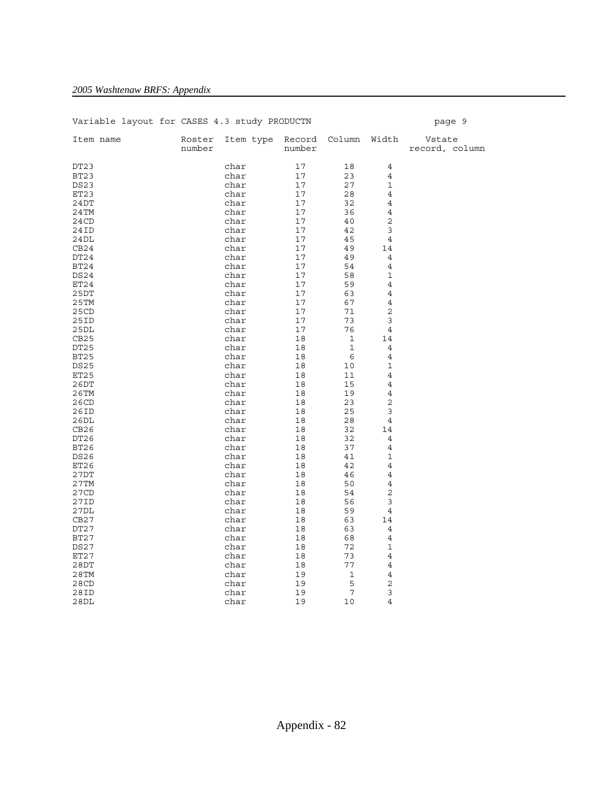| Variable layout for CASES 4.3 study PRODUCTN |                  |           |        |                     |                | page 9                   |
|----------------------------------------------|------------------|-----------|--------|---------------------|----------------|--------------------------|
| Item name                                    | Roster<br>number | Item type | number | Record Column Width |                | Vstate<br>record, column |
| DT <sub>23</sub>                             |                  | char      | 17     | 18                  | 4              |                          |
| BT23                                         |                  | char      | 17     | 23                  | 4              |                          |
| <b>DS23</b>                                  |                  | char      | 17     | 27                  | $\mathbf 1$    |                          |
| ET23                                         |                  | char      | 17     | 28                  | $\overline{4}$ |                          |
| 24DT                                         |                  | char      | 17     | 32                  | 4              |                          |
| 24TM                                         |                  | char      | 17     | 36                  | 4              |                          |
| 24CD                                         |                  | char      | 17     | 40                  | 2              |                          |
| 24ID                                         |                  | char      | 17     | 42                  | 3              |                          |
| 24DL                                         |                  | char      | 17     | 45                  | 4              |                          |
| CB24                                         |                  | char      | 17     | 49                  | 14             |                          |
| DT24                                         |                  | char      | 17     | 49                  | 4              |                          |
| BT24                                         |                  | char      | 17     | 54                  | $\overline{4}$ |                          |
| DS24                                         |                  | char      | 17     | 58                  | $\mathbf 1$    |                          |
| ET24                                         |                  | char      | 17     | 59                  | 4              |                          |
| 25DT                                         |                  | char      | 17     | 63                  | 4              |                          |
| 25TM                                         |                  | char      | 17     | 67                  | 4              |                          |
| 25CD                                         |                  | char      | 17     | 71                  | 2              |                          |
| 25ID                                         |                  | char      | 17     | 73                  | 3              |                          |
| 25DL                                         |                  | char      | 17     | 76                  | $\overline{4}$ |                          |
| CB25                                         |                  | char      | 18     | $\mathbf 1$         | 14             |                          |
| DT <sub>25</sub>                             |                  | char      | 18     | $\mathbf{1}$        | 4              |                          |
| <b>BT25</b>                                  |                  | char      | 18     | 6                   | $\overline{4}$ |                          |
| <b>DS25</b>                                  |                  | char      | 18     | 10                  | $\mathbf 1$    |                          |
| ET25                                         |                  | char      | 18     | 11                  | $\overline{4}$ |                          |
| 26DT                                         |                  | char      | 18     | 15                  | 4              |                          |
| 26TM                                         |                  | char      | 18     | 19                  | 4              |                          |
| 26CD                                         |                  | char      | 18     | 23                  | 2              |                          |
| 26ID                                         |                  | char      | 18     | 25                  | 3              |                          |
| 26DL                                         |                  | char      | 18     | 28                  | 4              |                          |
| CB26                                         |                  | char      | 18     | 32                  | 14             |                          |
| DT <sub>26</sub>                             |                  | char      | 18     | 32                  | 4              |                          |
| <b>BT26</b>                                  |                  | char      | 18     | 37                  | $\overline{4}$ |                          |
| DS <sub>26</sub>                             |                  | char      | 18     | 41                  | $\mathbf 1$    |                          |
| ET26                                         |                  | char      | 18     | 42                  | 4              |                          |
| 27DT                                         |                  | char      | 18     | 46                  | 4              |                          |
| 27TM                                         |                  | char      | 18     | 50                  | $\overline{4}$ |                          |
| 27CD                                         |                  | char      | 18     | 54                  | 2              |                          |
| 27ID                                         |                  | char      | 18     | 56                  | 3              |                          |
| 27DL                                         |                  | char      | 18     | 59                  | 4              |                          |
| CB27                                         |                  | char      | 18     | 63                  | 14             |                          |
| DT27                                         |                  | char      | 18     | 63                  | $\overline{4}$ |                          |
| BT27                                         |                  | char      | 18     | 68                  | 4              |                          |
| DS27                                         |                  | char      | 18     | 72                  | $\mathbf 1$    |                          |
| ET27                                         |                  | char      | 18     | 73                  | $\overline{4}$ |                          |
| 28DT                                         |                  | char      | 18     | 77                  | $\overline{4}$ |                          |
| $28$ TM                                      |                  | char      | 19     | 1                   | $\overline{4}$ |                          |
| 28CD                                         |                  | char      | 19     | 5                   | $\overline{c}$ |                          |
| 28ID                                         |                  | char      | 19     | 7                   | 3              |                          |
| 28DL                                         |                  | char      | 19     | 10                  | $\overline{4}$ |                          |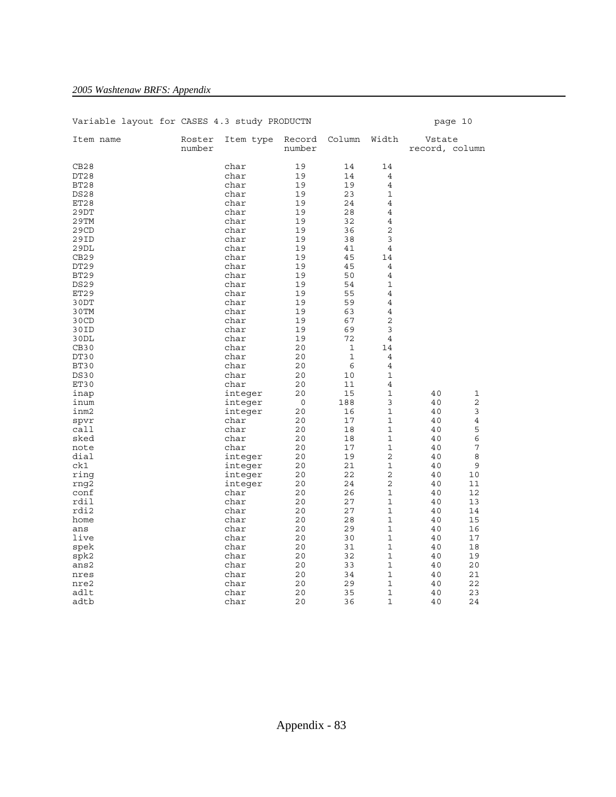| Variable layout for CASES 4.3 study PRODUCTN |                  |           |                  |             |                |                          | page 10     |
|----------------------------------------------|------------------|-----------|------------------|-------------|----------------|--------------------------|-------------|
| Item name                                    | Roster<br>number | Item type | Record<br>number | Column      | Width          | Vstate<br>record, column |             |
| CB28                                         |                  | char      | 19               | 14          | 14             |                          |             |
| DT <sub>28</sub>                             |                  | char      | 19               | 14          | 4              |                          |             |
| BT28                                         |                  | char      | 19               | 19          | $\overline{4}$ |                          |             |
| <b>DS28</b>                                  |                  | char      | 19               | 23          | $\mathbf 1$    |                          |             |
| ET28                                         |                  | char      | 19               | 24          | $\overline{4}$ |                          |             |
| 29DT                                         |                  | char      | 19               | 28          | 4              |                          |             |
| 29TM                                         |                  | char      | 19               | 32          | $\overline{4}$ |                          |             |
| 29CD                                         |                  | char      | 19               | 36          | 2              |                          |             |
| 29ID                                         |                  | char      | 19               | 38          | 3              |                          |             |
| 29DL                                         |                  | char      | 19               | 41          | $\overline{4}$ |                          |             |
| CB29                                         |                  | char      | 19               | 45          | 14             |                          |             |
| DT <sub>29</sub>                             |                  | char      | 19               | 45          | 4              |                          |             |
| BT29                                         |                  | char      | 19               | 50          | $\overline{4}$ |                          |             |
| <b>DS29</b>                                  |                  | char      | 19               | 54          | 1              |                          |             |
| ET29                                         |                  | char      | 19               | 55          | 4              |                          |             |
| 30DT                                         |                  | char      | 19               | 59          | $\overline{4}$ |                          |             |
| 30TM                                         |                  | char      | 19               | 63          | $\overline{4}$ |                          |             |
| 30CD                                         |                  | char      | 19               | 67          | $\overline{c}$ |                          |             |
| 30ID                                         |                  | char      | 19               | 69          | 3              |                          |             |
| 30DL                                         |                  | char      | 19               | 72          | $\overline{4}$ |                          |             |
| CB <sub>30</sub>                             |                  | char      | 20               | 1           | 14             |                          |             |
| DT30                                         |                  | char      | 20               | $\mathbf 1$ | 4              |                          |             |
| BT30                                         |                  | char      | 20               | 6           | 4              |                          |             |
| <b>DS30</b>                                  |                  | char      | 20               | 10          | $\mathbf 1$    |                          |             |
| ET30                                         |                  | char      | 20               | 11          | 4              |                          |             |
| inap                                         |                  | integer   | 20               | 15          | $\mathbf{1}$   | 40                       | 1           |
| inum                                         |                  | integer   | 0                | 188         | 3              | 40                       | $\mathbf 2$ |
| inm2                                         |                  | integer   | 20               | 16          | $\mathbf 1$    | 40                       | 3           |
| spvr                                         |                  | char      | 20               | 17          | 1              | 40                       | 4           |
| call                                         |                  | char      | 20               | 18          | 1              | 40                       | 5           |
| sked                                         |                  | char      | 20               | 18          | 1              | 40                       | 6           |
| note                                         |                  | char      | 20               | 17          | 1              | 40                       | 7           |
| dial                                         |                  | integer   | 20               | 19          | 2              | 40                       | 8           |
| ck1                                          |                  | integer   | 20               | 21          | $\mathbf 1$    | 40                       | 9           |
| ring                                         |                  | integer   | 20               | 22          | 2              | 40                       | 10          |
| rnq2                                         |                  | integer   | 20               | 24          | $\overline{2}$ | 40                       | 11          |
| conf                                         |                  | char      | 20               | 26          | 1              | 40                       | 12          |
| rdil                                         |                  | char      | 20               | 27          | 1              | 40                       | 13          |
| rdi2                                         |                  | char      | 20               | 27          | 1              | 40                       | 14          |
| home                                         |                  | char      | 20               | 28          | 1              | 40                       | 15          |
| ans                                          |                  | char      | 20               | 29          | $\mathbf 1$    | 40                       | 16          |
| live                                         |                  | char      | 20               | 30          | 1              | 40                       | 17          |
| spek                                         |                  | char      | 20               | 31          | $\mathbf{1}$   | 40                       | 18          |
| spk2                                         |                  | char      | 20               | 32          | $\mathbf 1$    | 40                       | 19          |
| ans2                                         |                  | char      | 20               | 33          | $\mathbf{1}$   | 40                       | 20          |
| nres                                         |                  | char      | 20               | 34          | 1              | 40                       | 21          |
| nre2<br>adlt                                 |                  | char      | 20               | 29          | 1<br>1         | 40<br>40                 | 22<br>23    |
| adtb                                         |                  | char      | 20<br>20         | 35<br>36    | $\mathbf 1$    | 40                       | 24          |
|                                              |                  | char      |                  |             |                |                          |             |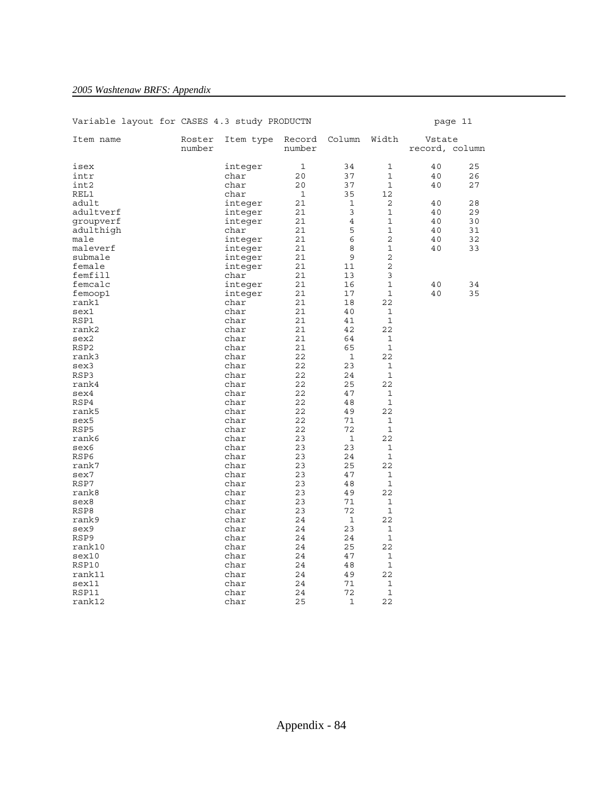| Variable layout for CASES 4.3 Study PRODUCTN |                  |              |                  |                |                | page 11                  |    |
|----------------------------------------------|------------------|--------------|------------------|----------------|----------------|--------------------------|----|
| Item name                                    | Roster<br>number | Item type    | Record<br>number | Column         | Width          | Vstate<br>record, column |    |
| isex                                         |                  | integer      | 1                | 34             | 1              | 40                       | 25 |
| intr                                         |                  | char         | 20               | 37             | $\mathbf 1$    | 40                       | 26 |
| int2                                         |                  | char         | 20               | 37             | $\mathbf 1$    | 40                       | 27 |
| REL1                                         |                  | char         | $\mathbf{1}$     | 35             | 12             |                          |    |
| adult                                        |                  | integer      | 21               | 1              | 2              | 40                       | 28 |
| adultverf                                    |                  | integer      | 21               | 3              | $\mathbf{1}$   | 40                       | 29 |
| groupverf                                    |                  | integer      | 21               | $\overline{4}$ | $\mathbf 1$    | 40                       | 30 |
| adulthigh                                    |                  | char         | 21               | 5              | 1              | 40                       | 31 |
| male                                         |                  | integer      | 21               | 6              | 2              | 40                       | 32 |
| maleverf                                     |                  | integer      | 21               | 8              | 1              | 40                       | 33 |
| submale                                      |                  | integer      | 21               | 9              | $\overline{2}$ |                          |    |
| female                                       |                  | integer      | 21               | 11             | 2              |                          |    |
| femfill                                      |                  | char         | 21               | 13             | 3              |                          |    |
| femcalc                                      |                  | integer      | 21               | 16             | $\mathbf 1$    | 40                       | 34 |
| femoop1                                      |                  | integer      | 21               | 17             | 1              | 40                       | 35 |
| rank1                                        |                  | char         | 21               | 18             | 22             |                          |    |
| sex1                                         |                  | char         | 21               | 40             | 1              |                          |    |
| RSP1                                         |                  | char         | 21               | 41             | $\mathbf{1}$   |                          |    |
| rank2                                        |                  | char         | 21               | 42             | 22             |                          |    |
| sex2                                         |                  | char         | 21               | 64             | 1              |                          |    |
| RSP2                                         |                  | char         | 21               | 65             | 1              |                          |    |
| rank3                                        |                  | char         | 22               | $\mathbf 1$    | 22             |                          |    |
| sex3                                         |                  | char         | 22               | 23             | 1              |                          |    |
| RSP3                                         |                  | char         | 22               | 24             | 1              |                          |    |
| rank4                                        |                  | char         | 22               | 25             | 22             |                          |    |
| sex4                                         |                  | char         | 22               | 47             | 1              |                          |    |
| RSP4                                         |                  | char         | 22               | 48             | 1              |                          |    |
| rank5                                        |                  | char         | 22               | 49             | 22             |                          |    |
| sex5                                         |                  | char         | 22               | 71             | 1              |                          |    |
| RSP5                                         |                  | char         | 22               | 72             | 1              |                          |    |
| rank6                                        |                  | char         | 23               | $\mathbf{1}$   | 22             |                          |    |
| sex6                                         |                  | char         | 23               | 23             | 1              |                          |    |
| RSP6                                         |                  | char         | 23               | 24             | 1              |                          |    |
| rank7                                        |                  | char         | 23               | 25             | 22             |                          |    |
| sex7                                         |                  | char         | 23               | 47             | 1              |                          |    |
| RSP7                                         |                  | char         | 23               | 48             | 1              |                          |    |
| rank8                                        |                  | char         | 23               | 49             | 22             |                          |    |
| sex8                                         |                  | char         | 23               | 71             | 1              |                          |    |
| RSP8                                         |                  | char         | 23               | 72             | $\mathbf 1$    |                          |    |
| rank9                                        |                  | char         | 24               | $\mathbf{1}$   | 22             |                          |    |
| sex9                                         |                  | char         | 24               | 23             | 1              |                          |    |
| RSP9                                         |                  | char         | 24               | 24             | $\mathbf 1$    |                          |    |
| rank10                                       |                  | char         | 24               | 25             | 22             |                          |    |
| sex10                                        |                  | char         | 24               | 47             | 1              |                          |    |
| RSP10                                        |                  | char         | 24               | 48             | $\mathbf 1$    |                          |    |
| rank11<br>sex11                              |                  | char<br>char | 24<br>24         | 49<br>71       | 22<br>1        |                          |    |
| RSP11                                        |                  | char         | 24               | 72             | $\mathbf{1}$   |                          |    |
| rank12                                       |                  | char         | 25               | 1              | 22             |                          |    |
|                                              |                  |              |                  |                |                |                          |    |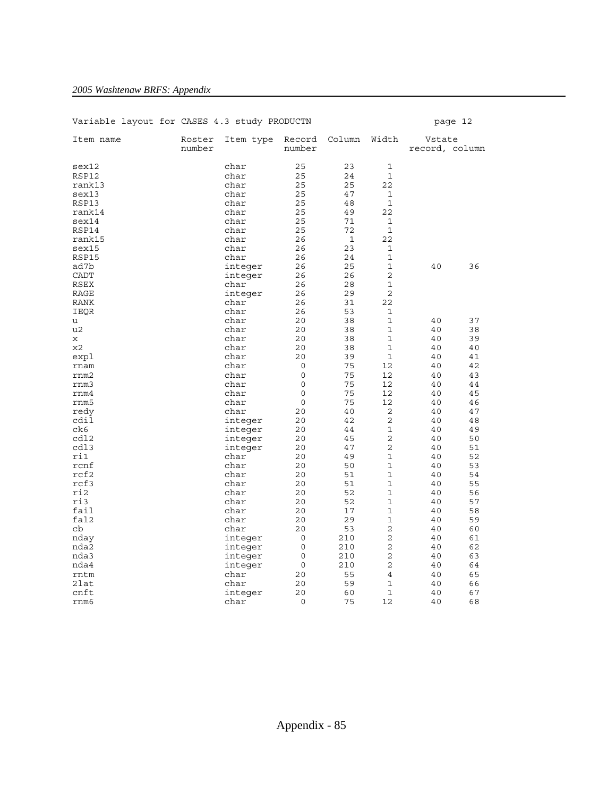| Variable layout for CASES 4.3 study PRODUCTN |                  |           |                  |              |                |                          | page 12 |
|----------------------------------------------|------------------|-----------|------------------|--------------|----------------|--------------------------|---------|
| Item name                                    | Roster<br>number | Item type | Record<br>number | Column       | Width          | Vstate<br>record, column |         |
| sex12                                        |                  | char      | 25               | 23           | 1              |                          |         |
| RSP12                                        |                  | char      | 25               | 24           | $\mathbf 1$    |                          |         |
| rank13                                       |                  | char      | 25               | 25           | 22             |                          |         |
| sex13                                        |                  | char      | 25               | 47           | 1              |                          |         |
| RSP13                                        |                  | char      | 25               | 48           | 1              |                          |         |
| rank14                                       |                  | char      | 25               | 49           | 22             |                          |         |
| sex14                                        |                  | char      | 25               | 71           | 1              |                          |         |
| RSP14                                        |                  | char      | 25               | 72           | $\mathbf 1$    |                          |         |
| rank15                                       |                  | char      | 26               | $\mathbf{1}$ | 22             |                          |         |
| sex15                                        |                  | char      | 26               | 23           | 1              |                          |         |
| RSP15                                        |                  | char      | 26               | 24           | $\mathbf 1$    |                          |         |
| ad7b                                         |                  | integer   | 26               | 25           | 1              | 40                       | 36      |
| <b>CADT</b>                                  |                  | integer   | 26               | 26           | $\overline{a}$ |                          |         |
| RSEX                                         |                  | char      | 26               | 28           | 1              |                          |         |
| RAGE                                         |                  | integer   | 26               | 29           | 2              |                          |         |
| RANK                                         |                  | char      | 26               | 31           | 22             |                          |         |
| IEQR                                         |                  | char      | 26               | 53           | 1              |                          |         |
| u                                            |                  | char      | 20               | 38           | 1              | 40                       | 37      |
| u2                                           |                  | char      | 20               | 38           | $\mathbf 1$    | 40                       | 38      |
| X                                            |                  | char      | 20               | 38           | 1              | 40                       | 39      |
| x2                                           |                  | char      | 20               | 38           | 1              | 40                       | 40      |
| expl                                         |                  | char      | 20               | 39           | 1              | 40                       | 41      |
| rnam                                         |                  | char      | 0                | 75           | 12             | 40                       | 42      |
| rnm2                                         |                  | char      | $\mathsf 0$      | 75           | 12             | 40                       | 43      |
| rnm3                                         |                  | char      | 0                | 75           | 12             | 40                       | 44      |
| rm4                                          |                  | char      | $\mathbf 0$      | 75           | 12             | 40                       | 45      |
| rnm5                                         |                  | char      | 0                | 75           | 12             | 40                       | 46      |
| redy                                         |                  | char      | 20               | 40           | 2              | 40                       | 47      |
| cdil                                         |                  | integer   | 20               | 42           | 2              | 40                       | 48      |
| ck6                                          |                  | integer   | 20               | 44           | 1              | 40                       | 49      |
| cd12                                         |                  | integer   | 20               | 45           | 2              | 40                       | 50      |
| cdl3                                         |                  | integer   | 20               | 47           | 2              | 40                       | 51      |
| ri1                                          |                  | char      | 20               | 49           | 1              | 40                       | 52      |
| rcnf                                         |                  | char      | 20               | 50           | $\mathbf 1$    | 40                       | 53      |
| rcf2                                         |                  | char      | 20               | 51           | $\mathbf 1$    | 40                       | 54      |
| rcf3                                         |                  | char      | 20               | 51           | $\mathbf 1$    | 40                       | 55      |
| ri2                                          |                  | char      | 20               | 52           | $\mathbf 1$    | 40                       | 56      |
| ri3                                          |                  | char      | 20               | 52           | 1              | 40                       | 57      |
| fail                                         |                  | char      | 20               | 17           | 1              | 40                       | 58      |
| fal2                                         |                  | char      | 20               | 29           | 1              | 40                       | 59      |
| cb                                           |                  | char      | 20               | 53           | 2              | 40                       | 60      |
| nday                                         |                  | integer   | 0                | 210          | 2              | 40                       | 61      |
| nda2                                         |                  | integer   | 0                | 210          | $\overline{a}$ | 40                       | 62      |
| nda3                                         |                  | integer   | 0                | 210          | 2              | 40                       | 63      |
| nda4                                         |                  | integer   | 0                | 210          | 2              | 40                       | 64      |
| rntm                                         |                  | char      | 20               | 55           | 4              | 40                       | 65      |
| 2lat                                         |                  | char      | 20               | 59           | 1              | 40                       | 66      |
| cnft                                         |                  | integer   | 20               | 60           | 1              | 40                       | 67      |
| rnm6                                         |                  | char      | 0                | 75           | 12             | 40                       | 68      |
|                                              |                  |           |                  |              |                |                          |         |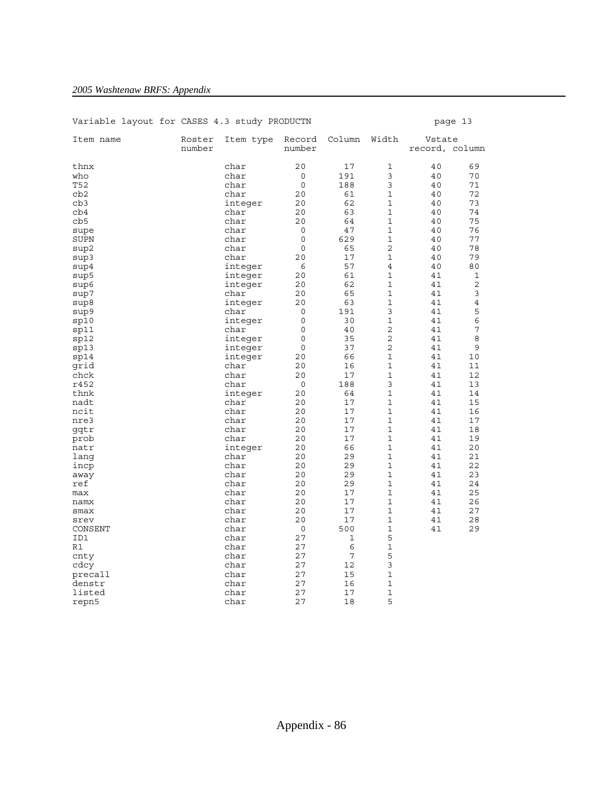| Variable layout for CASES 4.3 study PRODUCTN |        |              |             |        |              |                | page 13        |
|----------------------------------------------|--------|--------------|-------------|--------|--------------|----------------|----------------|
| Item name                                    | Roster | Item type    | Record      | Column | Width        | Vstate         |                |
|                                              | number |              | number      |        |              | record, column |                |
| thnx                                         |        | char         | 20          | 17     | 1            | 40             | 69             |
| who                                          |        | char         | 0           | 191    | 3            | 40             | 70             |
| T52                                          |        | char         | $\mathbf 0$ | 188    | 3            | 40             | 71             |
| cb2                                          |        | char         | 20          | 61     | $\mathbf 1$  | 40             | 72             |
| cb3                                          |        | integer      | 20          | 62     | $\mathbf{1}$ | 40             | 73             |
| cb4                                          |        | char         | 20          | 63     | 1            | 40             | 74             |
| cb5                                          |        | char         | 20          | 64     | $\mathbf 1$  | 40             | 75             |
| supe                                         |        | char         | 0           | 47     | 1            | 40             | 76             |
| SUPN                                         |        | char         | 0           | 629    | $\mathbf 1$  | 40             | 77             |
| sup2                                         |        | char         | 0           | 65     | 2            | 40             | 78             |
| sup3                                         |        | char         | 20          | 17     | $\mathbf 1$  | 40             | 79             |
| sup4                                         |        | integer      | 6           | 57     | 4            | 40             | 80             |
| sup5                                         |        | integer      | 20          | 61     | $\mathbf 1$  | 41             | 1              |
| sup6                                         |        | integer      | 20          | 62     | $\mathbf{1}$ | 41             | 2              |
| sup7                                         |        | char         | 20          | 65     | 1            | 41             | 3              |
| sup8                                         |        | integer      | 20          | 63     | $\mathbf 1$  | 41             | $\overline{4}$ |
| sup9                                         |        | char         | 0           | 191    | 3            | 41             | 5              |
| sp10                                         |        | integer      | $\mathbf 0$ | 30     | $\mathbf 1$  | 41             | 6              |
| sp11                                         |        | char         | 0           | 40     | 2            | 41             | 7              |
| sp12                                         |        | integer      | $\mathbf 0$ | 35     | 2            | 41             | 8              |
| sp13                                         |        | integer      | 0           | 37     | 2            | 41             | 9              |
| sp14                                         |        | integer      | 20          | 66     | $\mathbf 1$  | 41             | 10             |
| qrid                                         |        | char         | 20          | 16     | $\mathbf{1}$ | 41             | 11             |
| chck                                         |        | char         | 20          | 17     | $\mathbf 1$  | 41             | 12             |
| r452                                         |        | char         | $\circ$     | 188    | 3            | 41             | 13             |
| thnk                                         |        | integer      | 20          | 64     | 1            | 41             | 14             |
| nadt                                         |        | char         | 20          | 17     | $\mathbf 1$  | 41             | 15             |
| ncit                                         |        | char         | 20          | 17     | $\mathbf 1$  | 41             | 16             |
| nre3                                         |        | char         | 20          | 17     | $\mathbf 1$  | 41             | 17             |
| gqtr                                         |        | char         | 20          | 17     | 1            | 41             | 18             |
| prob                                         |        | char         | 20          | 17     | 1            | 41             | 19             |
| natr                                         |        | integer      | 20          | 66     | $\mathbf 1$  | 41             | 20             |
| lang                                         |        | char         | 20          | 29     | $\mathbf{1}$ | 41             | 21             |
| incp                                         |        | char         | 20          | 29     | $\mathbf 1$  | 41             | 22             |
| away                                         |        | char         | 20          | 29     | 1            | 41             | 23             |
| ref                                          |        | char         | 20          | 29     | $\mathbf{1}$ | 41             | 24             |
| max                                          |        | char         | 20          | 17     | 1            | 41             | 25             |
| namx                                         |        | char         | 20          | 17     | $\mathbf 1$  | 41             | 26             |
| smax                                         |        | char         | 20          | 17     | 1            | 41             | 27             |
| srev                                         |        | char         | 20          | 17     | 1            | 41             | 28             |
| CONSENT                                      |        | char         | 0           | 500    | 1<br>5       | 41             | 29             |
| ID1<br>R1                                    |        | char<br>char | 27<br>27    | 1<br>6 | $\mathbf 1$  |                |                |
|                                              |        | char         | 27          | 7      | 5            |                |                |
| cnty                                         |        |              | 27          | 12     | 3            |                |                |
| cdcy                                         |        | char<br>char | 27          | 15     | $\mathbf 1$  |                |                |
| precall<br>denstr                            |        | char         | 27          | 16     | $\mathbf 1$  |                |                |
| listed                                       |        | char         | 27          | 17     | 1            |                |                |
| repn5                                        |        | char         | 27          | 18     | 5            |                |                |
|                                              |        |              |             |        |              |                |                |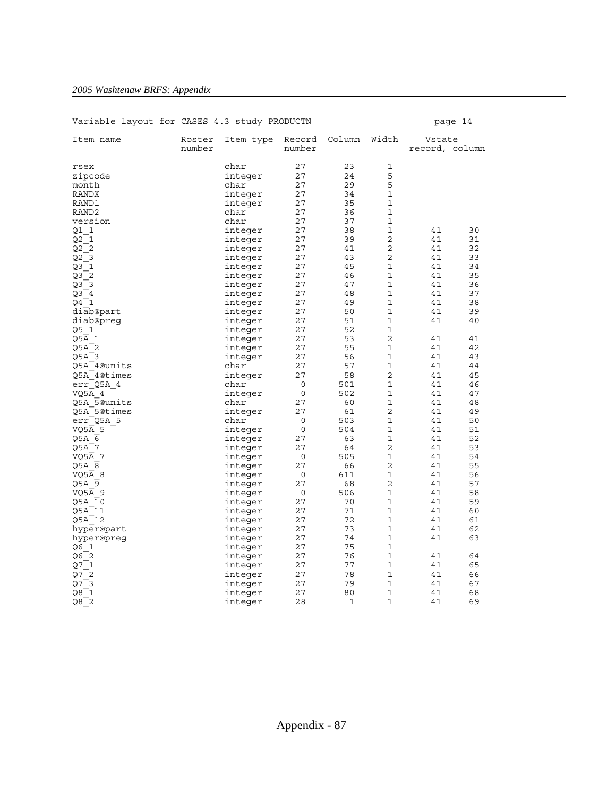| Variable layout for CASES 4.3 study PRODUCTN |                  |              |                  |          |                |                          | page 14 |
|----------------------------------------------|------------------|--------------|------------------|----------|----------------|--------------------------|---------|
| Item name                                    | Roster<br>number | Item type    | Record<br>number | Column   | Width          | Vstate<br>record, column |         |
| rsex                                         |                  | char         | 27               | 23       | 1              |                          |         |
| zipcode                                      |                  | integer      | 27               | 24       | 5              |                          |         |
| month                                        |                  | char         | 27               | 29       | 5              |                          |         |
| RANDX                                        |                  |              | 27               | 34       | $\mathbf 1$    |                          |         |
| RAND1                                        |                  | integer      | 27               | 35       | 1              |                          |         |
|                                              |                  | integer      |                  |          | 1              |                          |         |
| RAND <sub>2</sub><br>version                 |                  | char<br>char | 27<br>27         | 36<br>37 | $\mathbf 1$    |                          |         |
|                                              |                  |              |                  |          | 1              | 41                       |         |
| Q1 1                                         |                  | integer      | 27               | 38<br>39 | 2              |                          | 30      |
| Q2 1                                         |                  | integer      | 27               |          |                | 41                       | 31      |
| Q2 2                                         |                  | integer      | 27               | 41       | 2              | 41                       | 32      |
| Q2 <sub>3</sub>                              |                  | integer      | 27               | 43       | $\overline{2}$ | 41                       | 33      |
| Q3 1                                         |                  | integer      | 27               | 45       | 1              | 41                       | 34      |
| Q32                                          |                  | integer      | 27               | 46       | $\mathbf 1$    | 41                       | 35      |
| $Q3$ 3                                       |                  | integer      | 27               | 47       | 1              | 41                       | 36      |
| Q3 4                                         |                  | integer      | 27               | 48       | 1              | 41                       | 37      |
| 04 1                                         |                  | integer      | 27               | 49       | $\mathbf 1$    | 41                       | 38      |
| diab@part                                    |                  | integer      | 27               | 50       | 1              | 41                       | 39      |
| diab@preg                                    |                  | integer      | 27               | 51       | 1              | 41                       | 40      |
| Q5 1                                         |                  | integer      | 27               | 52       | 1              |                          |         |
| Q5A 1                                        |                  | integer      | 27               | 53       | 2              | 41                       | 41      |
| Q5A 2                                        |                  | integer      | 27               | 55       | 1              | 41                       | 42      |
| Q5A 3                                        |                  | integer      | 27               | 56       | 1              | 41                       | 43      |
| 05A 4@units                                  |                  | char         | 27               | 57       | 1              | 41                       | 44      |
| Q5A 4@times                                  |                  | integer      | 27               | 58       | $\overline{2}$ | 41                       | 45      |
| err Q5A 4                                    |                  | char         | 0                | 501      | 1              | 41                       | 46      |
| VQ5A 4                                       |                  | integer      | 0                | 502      | 1              | 41                       | 47      |
| Q5A 5@units                                  |                  | char         | 27               | 60       | 1              | 41                       | 48      |
| Q5A 5@times                                  |                  | integer      | 27               | 61       | 2              | 41                       | 49      |
| err Q5A 5                                    |                  | char         | 0                | 503      | $\mathbf 1$    | 41                       | 50      |
| VQ5A 5                                       |                  | integer      | 0                | 504      | 1              | 41                       | 51      |
| O5A 6                                        |                  | integer      | 27               | 63       | 1              | 41                       | 52      |
| Q5A 7                                        |                  | integer      | 27               | 64       | 2              | 41                       | 53      |
| VQ5A 7                                       |                  | integer      | 0                | 505      | 1              | 41                       | 54      |
| Q5A 8                                        |                  | integer      | 27               | 66       | 2              | 41                       | 55      |
| VQ5A 8                                       |                  | integer      | 0                | 611      | $\mathbf 1$    | 41                       | 56      |
| Q5A 9                                        |                  | integer      | 27               | 68       | 2              | 41                       | 57      |
| VQ5A 9                                       |                  | integer      | $\mathbf 0$      | 506      | $\mathbf 1$    | 41                       | 58      |
| Q5A 10                                       |                  | integer      | 27               | 70       | 1              | 41                       | 59      |
| Q5A 11                                       |                  | integer      | 27               | 71       | 1              | 41                       | 60      |
| Q5A 12                                       |                  | integer      | 27               | 72       | 1              | 41                       | 61      |
| hyper@part                                   |                  | integer      | 27               | 73       | 1              | 41                       | 62      |
| hyper@preq                                   |                  | integer      | 27               | 74       | 1              | 41                       | 63      |
| Q6 1                                         |                  | integer      | 27               | 75       | 1              |                          |         |
| Q6 2                                         |                  | integer      | 27               | 76       | 1              | 41                       | 64      |
| Q7 1                                         |                  | integer      | 27               | 77       | 1              | 41                       | 65      |
| Q7 2                                         |                  | integer      | 27               | 78       | 1              | 41                       | 66      |
| Q7 3                                         |                  | integer      | 27               | 79       | 1              | 41                       | 67      |
| Q8 1                                         |                  | integer      | 27               | 80       | 1              | 41                       | 68      |
| Q82                                          |                  | integer      | 28               | 1        | 1              | 41                       | 69      |
|                                              |                  |              |                  |          |                |                          |         |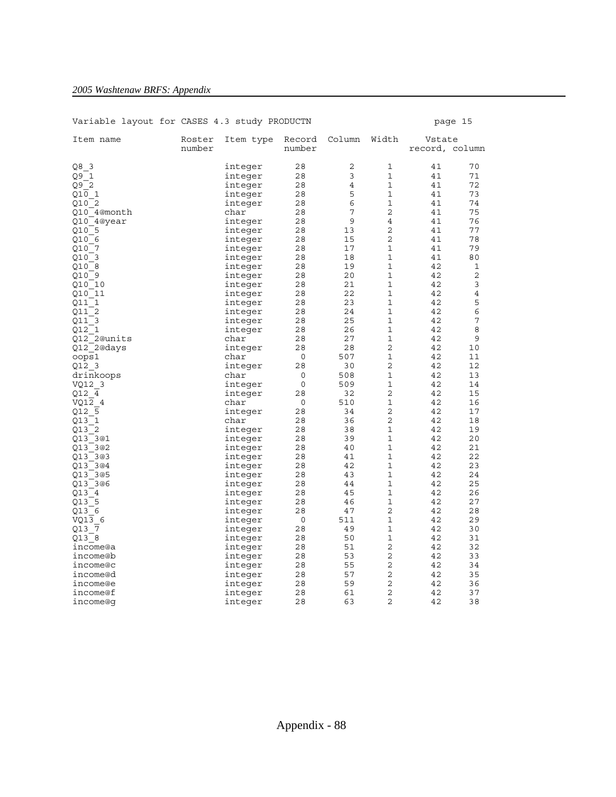### Variable layout for CASES 4.3 study PRODUCTN page 15 Item name Roster Item type Record Column Width Vstate number number record, column Q8\_3 integer 28 2 1 41 70 integer 28 3 1 41 71  $Q9^{\overline{\phantom{1}}}2$  integer 28 4 1 41 72 Q10<sup>1</sup> 1 integer 28 5 1 41 73 Q10\_2 integer 28 6 1 41 74  $Q10$ <sup>-</sup>4@month char char 28 7 2 41 75 Q10\_4@year integer 28 9 4 41 76 Q10\_5 integer 28 13 2 41 77 Q10\_6 integer 28 15 2 41 78 Q10\_7 integer 28 17 1 41 79 Q10\_3 integer 28 18 1 41 80 Q10\_8 integer 28 19 1 42 1 Q10\_9 integer 28 20 1 42 2 Q10<sup>-</sup>9 integer 28 20 1 42 2<br>Q10<sup>-10</sup> integer 28 21 1 42 3 010<sup>-11</sup> integer 28 22 1 42 4<br>
011<sup>-1</sup> integer 28 23 1 42 5<br>
011<sup>-2</sup> integer 28 24 1 42 6 integer 28 23 1 42 5<br>
integer 28 24 1 42 6<br>
28 24 1 42 integer 28 24 1 42 6 911\_3 integer 28 25 1 42 7<br>
912\_1 integer 28 26 1 42 8<br>
912\_2@units char 28 27 1 42 9<br>
912\_2@days integer 28 28 2 42 10 Q12\_1 integer 28 26 1 42 8 Q12\_2@units char 28 27 1 42 9 Q12\_2@days integer 28 28 2 42 10<br>
oops1 char 0 507 1 42 11<br>
cops1 2 2 2 12 oops1 char 0 507 1 42 11 000951 char 0 507 1 42 11<br>
012\_3 integer 28 30 2 42 12<br>
drinkoops char 0 508 1 42 13 drinkoops char 0 508 1 42 13<br>VQ12\_3 1 integer 0 509 1 42 14 VQ12\_3 integer 0 509 1 42 14 integer 28 32 2 42 15<br>
char 0 510 1 42 16 VQ1 $\overline{2}$  4 char 0 510 1 42 16 Q12\_5 integer 28 34 2 42 17  $Q13$ <sup>-1</sup> char 28 36 2 42 18 013\_1<br>
013\_1 char 28 36 2 42 18<br>
013\_2 integer 28 38 1 42 19<br>
013\_3@1 integer 28 39 1 42 20  $\begin{tabular}{lcccccc} integer & 28 & 39 & 1 & 42 & 20\\ integer & 28 & 40 & 1 & 42 & 21\\ integer & 28 & 41 & 1 & 42 & 22\\ integer & 28 & 42 & 1 & 42 & 23\\ \end{tabular}$ 013\_3@2 integer 28 40 1 42 21<br>013\_3@3 integer 28 41 1 42 22<br>013\_3@4 integer 28 42 1 42 23 Q13\_3@3 integer 28 41 1 42 22 111 integer 28 42 1 42 23 213\_3@5<br>213\_3@6 integer 28 43 1 42 24<br>213\_3@6 integer 28 44 1 42 25<br>213\_4 integer 28 45 1 42 26 Q13\_3@6 integer 28 44 1 42 25 013\_3@6 integer 28 44 1 42 25<br>013\_4 integer 28 45 1 42 26<br>013\_5 integer 28 46 1 42 27 013<sup>-5</sup><br>013<sup>-6</sup> integer 28 46 1 42 27<br>013-6 integer 28 47 2 42 28 Q13\_6 integer 28 47 2 42 28  $VQ1\overline{3}$  6 integer 0 511 1 42 29<br> $Q13\overline{7}$  integer 28 49 1 42 30 integer 28 49 1 42 30<br>integer 28 50 1 42 31 Q13\_8 integer 28 50 1 42 31 income@a integer 28 51 2 42 32 income®b integer 28 53 2 42 33<br>income®c integer 28 55 2 42 34 income@c integer 28 55 2 42 34<br>income@d integer 28 57 2 42 35 integer 28 57 2 42 35 income@e integer 28 59 2 42 36 income@f integer 28 61 2 42 37 income@g integer 28 63 2 42 38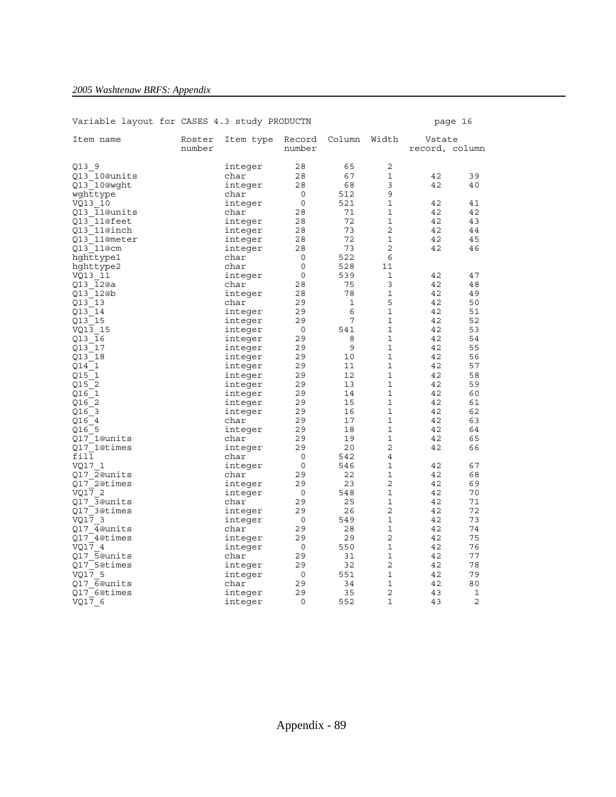| Item name    | Roster<br>number | Item type | Record<br>number | Column | Width          | Vstate<br>record, column |    |
|--------------|------------------|-----------|------------------|--------|----------------|--------------------------|----|
| Q13 9        |                  | integer   | 28               | 65     | 2              |                          |    |
| Q13 10@units |                  | char      | 28               | 67     | $\mathbf{1}$   | 42                       | 39 |
| Q13 10@wght  |                  | integer   | 28               | 68     | 3              | 42                       | 40 |
| wghttype     |                  | char      | 0                | 512    | 9              |                          |    |
| VQ13 10      |                  | integer   | 0                | 521    | $\mathbf 1$    | 42                       | 41 |
| Q13 11@units |                  | char      | 28               | 71     | 1              | 42                       | 42 |
| Q13 11@feet  |                  | integer   | 28               | 72     | 1              | 42                       | 43 |
| 013 11@inch  |                  | integer   | 28               | 73     | $\overline{2}$ | 42                       | 44 |
| Q13 11@meter |                  | integer   | 28               | 72     | 1              | 42                       | 45 |
| Q13 11@cm    |                  | integer   | 28               | 73     | 2              | 42                       | 46 |
| hghttype1    |                  | char      | 0                | 522    | 6              |                          |    |
| hghttype2    |                  | char      | 0                | 528    | 11             |                          |    |
| VQ13 11      |                  | integer   | 0                | 539    | 1              | 42                       | 47 |
| 013 12@a     |                  | char      | 28               | 75     | 3              | 42                       | 48 |
| 013 12@b     |                  | integer   | 28               | 78     | $\mathbf{1}$   | 42                       | 49 |
| Q13 13       |                  | char      | 29               | 1      | 5              | 42                       | 50 |
| 013 14       |                  | integer   | 29               | 6      | $\mathbf{1}$   | 42                       | 51 |
| Q13 15       |                  | integer   | 29               | 7      | $\mathbf{1}$   | 42                       | 52 |
| VO13 15      |                  | integer   | $\mathbf 0$      | 541    | $\mathbf{1}$   | 42                       | 53 |
| Q13 16       |                  | integer   | 29               | 8      | 1              | 42                       | 54 |
| Q13 17       |                  | integer   | 29               | 9      | 1              | 42                       | 55 |
| Q13 18       |                  | integer   | 29               | 10     | 1              | 42                       | 56 |
| 014 1        |                  | integer   | 29               | 11     | 1              | 42                       | 57 |
| Q15 1        |                  | integer   | 29               | 12     | 1              | 42                       | 58 |
| 015 2        |                  | integer   | 29               | 13     | $\mathbf{1}$   | 42                       | 59 |
| Q16 1        |                  | integer   | 29               | 14     | $\mathbf{1}$   | 42                       | 60 |
| Q16 2        |                  | integer   | 29               | 15     | $\mathbf{1}$   | 42                       | 61 |
| Q16 3        |                  | integer   | 29               | 16     | 1              | 42                       | 62 |
| Q16 4        |                  | char      | 29               | 17     | $\mathbf{1}$   | 42                       | 63 |
| 016 5        |                  | integer   | 29               | 18     | 1              | 42                       | 64 |
| 017 1@units  |                  | char      | 29               | 19     | 1              | 42                       | 65 |
| Q17 1@times  |                  | integer   | 29               | 20     | 2              | 42                       | 66 |
| fil1         |                  | char      | 0                | 542    | 4              |                          |    |
| VQ17 1       |                  | integer   | 0                | 546    | 1              | 42                       | 67 |
| 017 2@units  |                  | char      | 29               | 22     | $\mathbf{1}$   | 42                       | 68 |
| Q17 2@times  |                  | integer   | 29               | 23     | 2              | 42                       | 69 |
| VO17 2       |                  | integer   | 0                | 548    | $\mathbf{1}$   | 42                       | 70 |
| Q17 3@units  |                  | char      | 29               | 25     | 1              | 42                       | 71 |
| Q17 3@times  |                  | integer   | 29               | 26     | 2              | 42                       | 72 |
| VQ17 3       |                  | integer   | 0                | 549    | $\mathbf{1}$   | 42                       | 73 |
| O17 4@units  |                  | char      | 29               | 28     | 1              | 42                       | 74 |
| Q17 4@times  |                  | integer   | 29               | 29     | 2              | 42                       | 75 |
| VQ17 4       |                  | integer   | 0                | 550    | $\mathbf{1}$   | 42                       | 76 |
| 017 5@units  |                  | char      | 29               | 31     | $\mathbf{1}$   | 42                       | 77 |
| Q17 5@times  |                  | integer   | 29               | 32     | $\overline{2}$ | 42                       | 78 |
| VO17 5       |                  | integer   | 0                | 551    | $\mathbf{1}$   | 42                       | 79 |
| 017 6@units  |                  | char      | 29               | 34     | 1              | 42                       | 80 |
| 017 6@times  |                  | integer   | 29               | 35     | $\overline{2}$ | 43                       | 1  |
| VQ17 6       |                  | integer   | 0                | 552    | 1              | 43                       | 2  |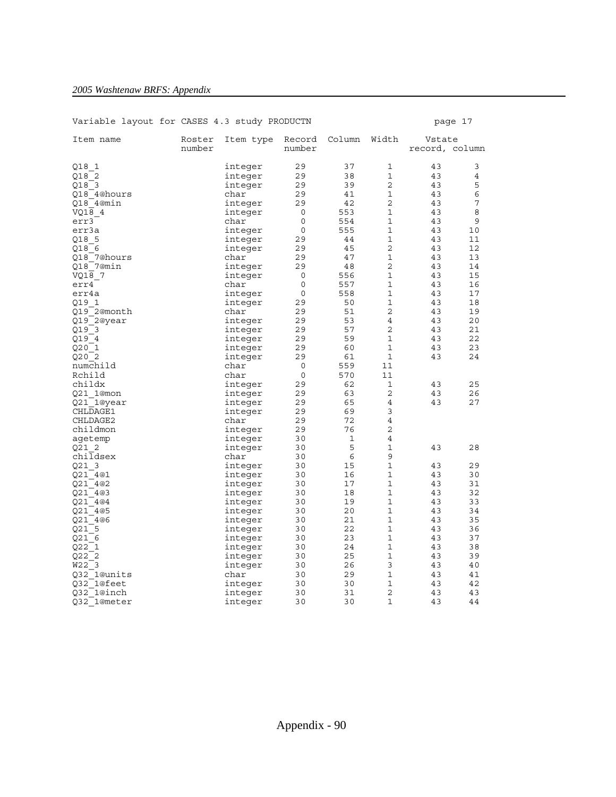| Item name              | Roster<br>number | Item type | Record<br>number | Column | Width          | Vstate<br>record, column |    |
|------------------------|------------------|-----------|------------------|--------|----------------|--------------------------|----|
|                        |                  |           |                  |        |                |                          |    |
| Q18 1                  |                  | integer   | 29               | 37     | 1              | 43                       | 3  |
| 018 2                  |                  | integer   | 29               | 38     | $\mathbf{1}$   | 43                       | 4  |
| Q18 3                  |                  | integer   | 29               | 39     | $\overline{a}$ | 43                       | 5  |
| 018 4@hours            |                  | char      | 29               | 41     | 1              | 43                       | 6  |
| Q18 4@min              |                  | integer   | 29               | 42     | 2              | 43                       | 7  |
| VQ18 4                 |                  | integer   | 0                | 553    | 1              | 43                       | 8  |
| err3                   |                  | char      | $\mathbf 0$      | 554    | 1              | 43                       | 9  |
| err3a                  |                  | integer   | 0                | 555    | 1              | 43                       | 10 |
| 018 5                  |                  | integer   | 29               | 44     | 1              | 43                       | 11 |
| Q18 6                  |                  | integer   | 29               | 45     | 2              | 43                       | 12 |
| 018 7@hours            |                  | char      | 29               | 47     | 1              | 43                       | 13 |
| Q18 7@min              |                  | integer   | 29               | 48     | 2              | 43                       | 14 |
| VO18 7                 |                  | integer   | 0                | 556    | $\mathbf{1}$   | 43                       | 15 |
| err4                   |                  | char      | 0                | 557    | 1              | 43                       | 16 |
| err4a                  |                  | integer   | 0                | 558    | 1              | 43                       | 17 |
| Q19 1                  |                  | integer   | 29               | 50     | 1              | 43                       | 18 |
| Q19 2@month            |                  | char      | 29               | 51     | 2              | 43                       | 19 |
| Q19 2@year             |                  | integer   | 29               | 53     | $\overline{4}$ | 43                       | 20 |
| Q19 3                  |                  | integer   | 29               | 57     | 2              | 43                       | 21 |
| Q19 4                  |                  | integer   | 29               | 59     | 1              | 43                       | 22 |
| Q20 1                  |                  | integer   | 29               | 60     | 1              | 43                       | 23 |
| 020 2                  |                  | integer   | 29               | 61     | $\mathbf{1}$   | 43                       | 24 |
| numchild               |                  | char      | 0                | 559    | 11             |                          |    |
| Rchild                 |                  | char      | 0                | 570    | 11             |                          |    |
| childx                 |                  | integer   | 29               | 62     | 1              | 43                       | 25 |
| Q21 1@mon              |                  | integer   | 29               | 63     | 2              | 43                       | 26 |
|                        |                  |           | 29               | 65     | 4              | 43                       | 27 |
| Q21 1@year<br>CHLDAGE1 |                  | integer   | 29               | 69     | 3              |                          |    |
|                        |                  | integer   |                  | 72     |                |                          |    |
| CHLDAGE2               |                  | char      | 29               |        | 4              |                          |    |
| childmon               |                  | integer   | 29               | 76     | 2              |                          |    |
| agetemp                |                  | integer   | 30               | 1      | 4              |                          |    |
| Q21 2                  |                  | integer   | 30               | 5      | 1              | 43                       | 28 |
| childsex               |                  | char      | 30               | 6      | 9              |                          |    |
| Q21 3                  |                  | integer   | 30               | 15     | 1              | 43                       | 29 |
| O21 4@1                |                  | integer   | 30               | 16     | 1              | 43                       | 30 |
| Q21 4@2                |                  | integer   | 30               | 17     | 1              | 43                       | 31 |
| Q21 4@3                |                  | integer   | 30               | 18     | 1              | 43                       | 32 |
| Q21 4@4                |                  | integer   | 30               | 19     | 1              | 43                       | 33 |
| Q21 4@5                |                  | integer   | 30               | 20     | 1              | 43                       | 34 |
| Q21 4@6                |                  | integer   | 30               | 21     | $\mathbf{1}$   | 43                       | 35 |
| 021 5                  |                  | integer   | 30               | 22     | 1              | 43                       | 36 |
| Q21 6                  |                  | integer   | 30               | 23     | 1              | 43                       | 37 |
| Q22 1                  |                  | integer   | 30               | 24     | 1              | 43                       | 38 |
| Q222                   |                  | integer   | 30               | 25     | 1              | 43                       | 39 |
| W22 3                  |                  | integer   | 30               | 26     | 3              | 43                       | 40 |
| 032 1@units            |                  | char      | 30               | 29     | $\mathbf{1}$   | 43                       | 41 |
| 032 1@feet             |                  | integer   | 30               | 30     | 1              | 43                       | 42 |
| 032 1@inch             |                  | integer   | 30               | 31     | $\overline{2}$ | 43                       | 43 |
| Q32_1@meter            |                  | integer   | 30               | 30     | 1              | 43                       | 44 |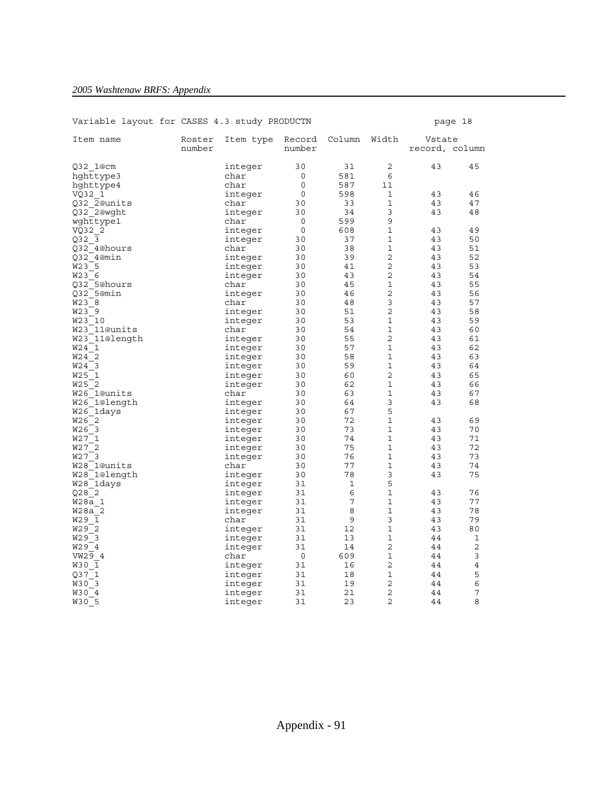| Item name                                | Roster<br>number | Item type | Record<br>number | Column | Width          | Vstate<br>record, column |                |
|------------------------------------------|------------------|-----------|------------------|--------|----------------|--------------------------|----------------|
|                                          |                  |           |                  |        |                |                          |                |
| Q32 1@cm                                 |                  | integer   | 30               | 31     | 2              | 43                       | 45             |
| hghttype3                                |                  | char      | 0                | 581    | 6              |                          |                |
| hghttype4                                |                  | char      | 0                | 587    | 11             |                          |                |
| VQ32 1                                   |                  | integer   | $\Omega$         | 598    | 1              | 43                       | 46             |
| Q32 2@units                              |                  | char      | 30               | 33     | 1              | 43                       | 47             |
| Q32 2@wqht                               |                  | integer   | 30               | 34     | 3              | 43                       | 48             |
| wghttype1                                |                  | char      | 0                | 599    | 9              |                          |                |
| VQ32 2                                   |                  | integer   | $\mathbf 0$      | 608    | 1              | 43                       | 49             |
| Q32 3                                    |                  | integer   | 30               | 37     | 1              | 43                       | 50             |
| Q32 4@hours                              |                  | char      | 30               | 38     | 1              | 43                       | 51             |
| 032 4@min                                |                  | integer   | 30               | 39     | $\overline{2}$ | 43                       | 52             |
| W23 5                                    |                  | integer   | 30               | 41     | 2              | 43                       | 53             |
| W23 6                                    |                  | integer   | 30               | 43     | $\overline{2}$ | 43                       | 54             |
| 032 5@hours                              |                  | char      | 30               | 45     | 1              | 43                       | 55             |
| 032 5@min                                |                  | integer   | 30               | 46     | 2              | 43                       | 56             |
| W23 8                                    |                  | char      | 30               | 48     | 3              | 43                       | 57             |
| W23 9                                    |                  | integer   | 30               | 51     | 2              | 43                       | 58             |
| W23 10                                   |                  | integer   | 30               | 53     | 1              | 43                       | 59             |
| W23 11@units                             |                  | char      | 30               | 54     | 1              | 43                       | 60             |
| W23 11@length                            |                  | integer   | 30               | 55     | 2              | 43                       | 61             |
| W24 1                                    |                  | integer   | 30               | 57     | $\mathbf{1}$   | 43                       | 62             |
| W24 2                                    |                  | integer   | 30               | 58     | 1              | 43                       | 63             |
| W24 3                                    |                  | integer   | 30               | 59     | 1              | 43                       | 64             |
| W25 1                                    |                  | integer   | 30               | 60     | 2              | 43                       | 65             |
| <b>W25</b><br>$\overline{\phantom{0}}^2$ |                  | integer   | 30               | 62     | 1              | 43                       | 66             |
| W26 1@units                              |                  | char      | 30               | 63     | 1              | 43                       | 67             |
| W26 1@length                             |                  | integer   | 30               | 64     | 3              | 43                       | 68             |
| W26 1days                                |                  | integer   | 30               | 67     | 5              |                          |                |
| W26 2                                    |                  | integer   | 30               | 72     | 1              | 43                       | 69             |
| W26 3                                    |                  | integer   | 30               | 73     | 1              | 43                       | 70             |
| W27 1                                    |                  | integer   | 30               | 74     | 1              | 43                       | 71             |
| W27 2                                    |                  | integer   | 30               | 75     | 1              | 43                       | 72             |
| W27 3                                    |                  | integer   | 30               | 76     | $\mathbf{1}$   | 43                       | 73             |
| W28 1@units                              |                  | char      | 30               | 77     | 1              | 43                       | 74             |
| W28 1@length                             |                  | integer   | 30               | 78     | 3              | 43                       | 75             |
| W28 1days                                |                  | integer   | 31               | 1      | 5              |                          |                |
| 028 2                                    |                  | integer   | 31               | 6      | 1              | 43                       | 76             |
| W28a 1                                   |                  | integer   | 31               | 7      | 1              | 43                       | 77             |
| W28a 2                                   |                  | integer   | 31               | 8      | 1              | 43                       | 78             |
| W29 1                                    |                  | char      | 31               | 9      | 3              | 43                       | 79             |
| W29 2                                    |                  | integer   | 31               | 12     | 1              | 43                       | 80             |
| W29 3                                    |                  | integer   | 31               | 13     | 1              | 44                       | 1              |
| W29 4                                    |                  | integer   | 31               | 14     | 2              | 44                       | 2              |
| VW29 4                                   |                  | char      | $\mathbf 0$      | 609    | 1              | 44                       | 3              |
| W30 1                                    |                  | integer   | 31               | 16     | $\overline{2}$ | 44                       | $\overline{4}$ |
| Q37 1                                    |                  | integer   | 31               | 18     | 1              | 44                       | 5              |
| W30 3                                    |                  | integer   | 31               | 19     | 2              | 44                       | 6              |
| W30 4                                    |                  | integer   | 31               | 21     | 2              | 44                       | 7              |
| W30 5                                    |                  | integer   | 31               | 23     | 2              | 44                       | 8              |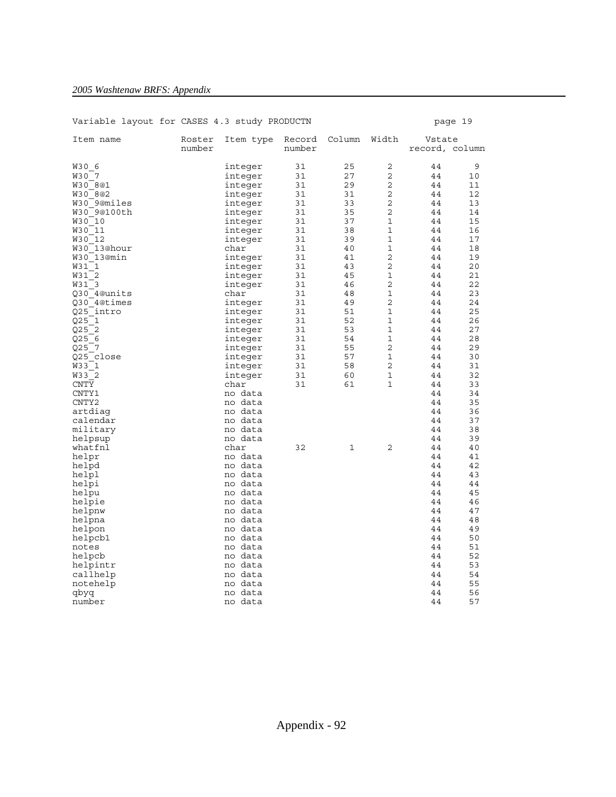| Item name        | Roster<br>number | Item type          | Record<br>number | Column   | Width          | Vstate<br>record, column |          |
|------------------|------------------|--------------------|------------------|----------|----------------|--------------------------|----------|
| W30 6            |                  | integer            | 31               | 25<br>27 | 2<br>2         | 44<br>44                 | 9        |
| W30 7<br>W30 8@1 |                  | integer            | 31<br>31         | 29       | 2              | 44                       | 10<br>11 |
| W30 8@2          |                  | integer            | 31               | 31       | 2              | 44                       | 12       |
| W30 9@miles      |                  | integer<br>integer | 31               | 33       | 2              | 44                       | 13       |
| W30 9@100th      |                  | integer            | 31               | 35       | 2              | 44                       | 14       |
| W30 10           |                  | integer            | 31               | 37       | 1              | 44                       | 15       |
| W30 11           |                  | integer            | 31               | 38       | 1              | 44                       | 16       |
| W30 12           |                  | integer            | 31               | 39       | 1              | 44                       | 17       |
| W30 13@hour      |                  | char               | 31               | 40       | 1              | 44                       | 18       |
| W30 13@min       |                  | integer            | 31               | 41       | 2              | 44                       | 19       |
| W31 1            |                  | integer            | 31               | 43       | $\overline{2}$ | 44                       | 20       |
| W31 2            |                  | integer            | 31               | 45       | 1              | 44                       | 21       |
| W31 3            |                  | integer            | 31               | 46       | 2              | 44                       | 22       |
| Q30 4@units      |                  | char               | 31               | 48       | 1              | 44                       | 23       |
| 030 4@times      |                  | integer            | 31               | 49       | 2              | 44                       | 24       |
| Q25 intro        |                  | integer            | 31               | 51       | 1              | 44                       | 25       |
| Q25<br>- 1       |                  | integer            | 31               | 52       | 1              | 44                       | 26       |
| 025 2            |                  | integer            | 31               | 53       | 1              | 44                       | 27       |
| Q25 6            |                  | integer            | 31               | 54       | 1              | 44                       | 28       |
| Q25 7            |                  | integer            | 31               | 55       | 2              | 44                       | 29       |
| Q25 close        |                  | integer            | 31               | 57       | 1              | 44                       | 30       |
| W33 1            |                  | integer            | 31               | 58       | 2              | 44                       | 31       |
| W33 2            |                  | integer            | 31               | 60       | 1              | 44                       | 32       |
| <b>CNTY</b>      |                  | char               | 31               | 61       | 1              | 44                       | 33       |
| CNTY1            |                  | no data            |                  |          |                | 44                       | 34       |
| CNTY2            |                  | no data            |                  |          |                | 44                       | 35       |
| artdiaq          |                  | no data            |                  |          |                | 44                       | 36       |
| calendar         |                  | no data            |                  |          |                | 44                       | 37       |
| military         |                  | no data            |                  |          |                | 44                       | 38       |
| helpsup          |                  | no data            |                  |          |                | 44                       | 39       |
| whatfnl          |                  | char               | 32               | 1        | 2              | 44                       | 40       |
| helpr            |                  | no data            |                  |          |                | 44                       | 41       |
| helpd            |                  | no data            |                  |          |                | 44                       | 42       |
| helpl            |                  | no data            |                  |          |                | 44                       | 43       |
| helpi            |                  | no data            |                  |          |                | 44                       | 44       |
| helpu            |                  | no data            |                  |          |                | 44                       | 45       |
| helpie           |                  | no data            |                  |          |                | 44                       | 46       |
| helpnw           |                  | no data            |                  |          |                | 44                       | 47       |
| helpna           |                  | no data            |                  |          |                | 44                       | 48       |
| helpon           |                  | no data            |                  |          |                | 44                       | 49       |
| helpcb1          |                  | no data            |                  |          |                | 44                       | 50       |
| notes            |                  | no data            |                  |          |                | 44                       | 51       |
| helpcb           |                  | no data            |                  |          |                | 44                       | 52       |
| helpintr         |                  | no data            |                  |          |                | 44                       | 53       |
| callhelp         |                  | no data            |                  |          |                | 44                       | 54       |
| notehelp         |                  | no data            |                  |          |                | 44                       | 55       |
| qbyq             |                  | no data            |                  |          |                | 44                       | 56       |
| number           |                  | no data            |                  |          |                | 44                       | 57       |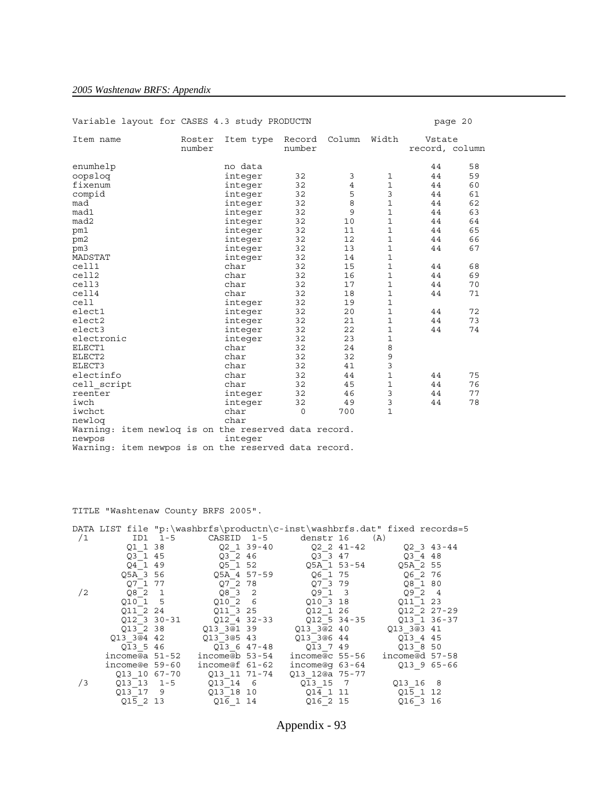## *2005 Washtenaw BRFS: Appendix*

| Variable layout for CASES 4.3 study PRODUCTN                   |                  |           |                  |        |              |                          | page 20 |
|----------------------------------------------------------------|------------------|-----------|------------------|--------|--------------|--------------------------|---------|
| Item name                                                      | Roster<br>number | Item type | Record<br>number | Column | Width        | Vstate<br>record, column |         |
| enumhelp                                                       |                  | no data   |                  |        |              | 44                       | 58      |
| oopslog                                                        |                  | integer   | 32               | 3      | 1            | 44                       | 59      |
| fixenum                                                        |                  | integer   | 32               | 4      | $\mathbf{1}$ | 44                       | 60      |
| compid                                                         |                  | integer   | 32               | 5      | 3            | 44                       | 61      |
| mad                                                            |                  | integer   | 32               | 8      | $\mathbf{1}$ | 44                       | 62      |
| mad1                                                           |                  | integer   | 32               | 9      | $\mathbf{1}$ | 44                       | 63      |
| mad2                                                           |                  | integer   | 32               | 10     | 1            | 44                       | 64      |
| pm1                                                            |                  | integer   | 32               | 11     | 1            | 44                       | 65      |
| pm2                                                            |                  | integer   | 32               | 12     | 1            | 44                       | 66      |
| pm3                                                            |                  | integer   | 32               | 13     | 1            | 44                       | 67      |
| MADSTAT                                                        |                  | integer   | 32               | 14     | 1            |                          |         |
| cell1                                                          |                  | char      | 32               | 15     | 1            | 44                       | 68      |
| cell2                                                          |                  | char      | 32               | 16     | 1            | 44                       | 69      |
| cell3                                                          |                  | char      | 32               | 17     | 1            | 44                       | 70      |
| cell4                                                          |                  | char      | 32               | 18     | 1            | 44                       | 71      |
| cell                                                           |                  | integer   | 32               | 19     | 1            |                          |         |
| elect1                                                         |                  | integer   | 32               | 20     | 1            | 44                       | 72      |
| elect2                                                         |                  | integer   | 32               | 21     | 1            | 44                       | 73      |
| elect3                                                         |                  | integer   | 32               | 22     | 1            | 44                       | 74      |
| electronic                                                     |                  | integer   | 32               | 23     | 1            |                          |         |
| ELECT1                                                         |                  | char      | 32               | 24     | 8            |                          |         |
| ELECT2                                                         |                  | char      | 32               | 32     | 9            |                          |         |
| ELECT3                                                         |                  | char      | 32               | 41     | 3            |                          |         |
| electinfo                                                      |                  | char      | 32               | 44     | $\mathbf{1}$ | 44                       | 75      |
| cell script                                                    |                  | char      | 32               | 45     | $\mathbf{1}$ | 44                       | 76      |
| reenter                                                        |                  | integer   | 32               | 46     | 3            | 44                       | 77      |
| iwch                                                           |                  | integer   | 32               | 49     | 3            | 44                       | 78      |
| iwchct                                                         |                  | char      | $\Omega$         | 700    | $\mathbf{1}$ |                          |         |
| newlog                                                         |                  | char      |                  |        |              |                          |         |
| Warning: item newlog is on the reserved data record.<br>newpos |                  | integer   |                  |        |              |                          |         |
| Warning: item newpos is on the reserved data record.           |                  |           |                  |        |              |                          |         |

TITLE "Washtenaw County BRFS 2005".

|    |                |                      |                       | DATA LIST file "p:\washbrfs\productn\c-inst\washbrfs.dat" fixed records=5 |                       |                      |  |
|----|----------------|----------------------|-----------------------|---------------------------------------------------------------------------|-----------------------|----------------------|--|
| /1 |                | ID1 1-5              | CASEID 1-5            | denstr 16                                                                 | (A)                   |                      |  |
|    |                | Q1 1 38              |                       | Q2 1 39-40 Q2 2 41-42 Q2 3 43-44                                          |                       |                      |  |
|    |                | 03 1 45              | Q3 2 46               | $Q3$ 3 47                                                                 |                       | Q3448                |  |
|    | 04 1 49        |                      | Q5 1 52               | Q5A 1 53-54 Q5A 2 55                                                      |                       |                      |  |
|    |                |                      | Q5A 3 56 Q5A 4 57-59  | Q6 1 75                                                                   |                       | Q6 2 76              |  |
|    |                | Q7 1 77              | Q7 2 78               | Q7 3 79                                                                   |                       | Q8 1 80              |  |
| /2 |                | $Q8$ <sup>-2</sup> 1 | $Q8$ <sup>-3</sup> 2  | $Q9$ 1 3                                                                  |                       | $Q9$ <sup>-2</sup> 4 |  |
|    | 010 1 5        |                      | Q1026                 | 010 3 18                                                                  |                       | Q11 1 23             |  |
|    | 011 2 24       |                      | 011 3 25              | 012 1 26                                                                  |                       | 012 2 27-29          |  |
|    | 012 3 30-31    |                      | Q12 4 32-33           | $Q12$ 5 34-35                                                             |                       | 013 1 36-37          |  |
|    |                |                      | Q13 2 38 Q13 3@1 39   |                                                                           | Q13 3@2 40 Q13 3@3 41 |                      |  |
|    |                |                      | Q13 3@4 42 Q13 3@5 43 | Q13 3@6 44                                                                |                       | Q13 4 45             |  |
|    | $Q\bar{1}3546$ |                      | Q13 6 47-48           |                                                                           | Q13 7 49              | Q13 8 50             |  |
|    | income@a 51-52 |                      | income@b 53-54        | income@c 55-56                                                            |                       | income@d 57-58       |  |
|    | income@e 59-60 |                      | income@f 61-62        |                                                                           | income@q 63-64        | Q13 9 65-66          |  |
|    | Q13 10 67-70   |                      | 013 11 71-74          | Q13 12@a 75-77                                                            |                       |                      |  |
| /3 |                |                      | Q13 13 1-5 Q13 14 6   | Q13 15 7                                                                  |                       | Q13 16 8             |  |
|    | Q13 17 9       |                      | Q13 18 10             | $Q1\overline{4}$ 1 11                                                     |                       | Q15 1 12             |  |
|    | Q15 2 13       |                      | Q16 1 14              | Q16 2 15                                                                  |                       | Q16 3 16             |  |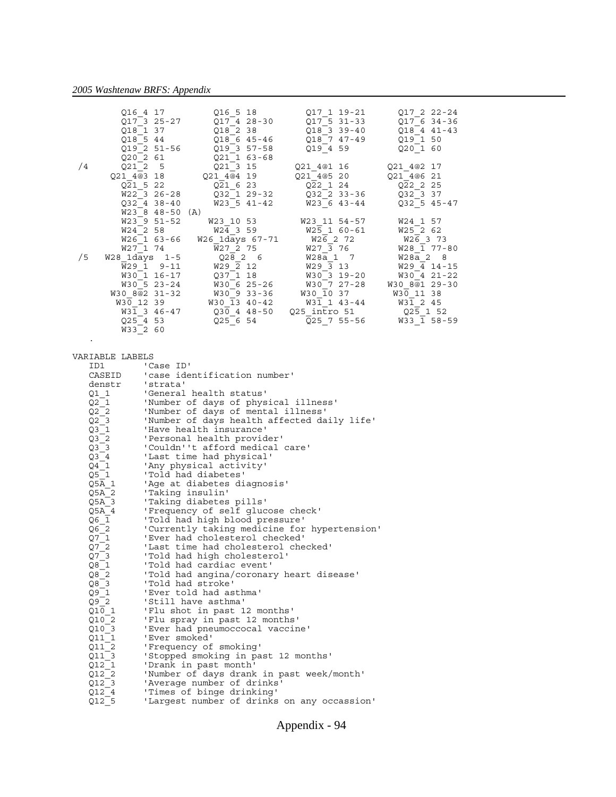.

|    | Q16 4 17<br>Q17 3 25-27<br>Q18 1 37<br>Q18 5 44<br>Q19 2 51-56<br>Q20 2 61 | Q16 5 18<br>Q17 4 28-30<br>Q18 2 38<br>Q18 6 45-46<br>Q19 3 57-58<br>$Q21$ 1 63-68 | Q17 1 19-21<br>Q17 5 31-33<br>Q18 3 39-40<br>Q18 7 47-49<br>Q19 4 59 | Q17 2 22-24<br>Q17 6 34-36<br>Q18 4 41-43<br>Q19 1 50<br>Q20 1 60 |
|----|----------------------------------------------------------------------------|------------------------------------------------------------------------------------|----------------------------------------------------------------------|-------------------------------------------------------------------|
| /4 | Q2125                                                                      | $Q21$ 3 15                                                                         | Q21 4@1 16                                                           | Q21 4@2 17                                                        |
|    |                                                                            | Q21 4@3 18 021 4@4 19 021 4@5 20 021 4@6 21                                        |                                                                      |                                                                   |
|    | Q21 5 22                                                                   | Q21 6 23                                                                           | Q22 1 24                                                             | Q22 2 25                                                          |
|    | W22 3 26-28                                                                | $Q32$ <sup>-1</sup> 29-32 $Q32$ <sup>-2</sup> 33-36 $Q32$ <sup>-3</sup> 37         |                                                                      |                                                                   |
|    | Q32 4 38-40                                                                | W23 5 41-42                                                                        | W23 6 43-44                                                          | Q32 5 45-47                                                       |
|    | W23 8 48-50 (A)                                                            |                                                                                    |                                                                      |                                                                   |
|    | W23 9 51-52                                                                |                                                                                    | W23 10 53 W23 11 54-57                                               | W24 1 57                                                          |
|    | W24 2 58                                                                   | W24 3 59 W25 1 60-61                                                               |                                                                      | W25 2 62                                                          |
|    |                                                                            | W26 1 63-66 W26 1days 67-71 W26 2 72                                               |                                                                      | W26 3 73                                                          |
|    | W27 1 74                                                                   | W27 2 75                                                                           | $W27\overline{3}76$                                                  | $W28$ <sup>1</sup> 77-80                                          |
| /5 | W28 1days 1-5                                                              | Q2826                                                                              | W28a 1 7                                                             | W28a 2 8                                                          |
|    | W29 1 9-11                                                                 | $W29\overline{2}12$                                                                | W29 3 13                                                             | $W29 \overline{4} 14-15$                                          |
|    | W30 1 16-17                                                                | $Q37$ 1 18                                                                         | W30 3 19-20                                                          | $W30$ <sup>-4</sup> 21-22                                         |
|    | W30 5 23-24                                                                |                                                                                    | W30 6 25-26 W30 7 27-28                                              | W30 8@1 29-30                                                     |
|    | W30 8@2 31-32                                                              | W30 9 33-36                                                                        | $W30\ \overline{1}0\ 37$                                             | W30 11 38                                                         |
|    |                                                                            | W30 12 39 W30 13 40-42                                                             | W31 1 43-44                                                          | W31 2 45                                                          |
|    |                                                                            | W31 3 46-47 Q30 4 48-50                                                            | Q25 intro 51                                                         | Q25 1 52                                                          |
|    | Q25 4 53                                                                   | $Q25$ 6 54                                                                         | Q25 7 55-56                                                          | W33 1 58-59                                                       |
|    | W33 2 60                                                                   |                                                                                    |                                                                      |                                                                   |

| VARIABLE LABELS      |                                              |
|----------------------|----------------------------------------------|
| ID1                  | 'Case ID'                                    |
| CASEID               | 'case identification number'                 |
| denstr               | 'strata'                                     |
| Q1 1                 | 'General health status'                      |
| Q2 1                 | 'Number of days of physical illness'         |
| $Q2$ 2               | 'Number of days of mental illness'           |
| $Q2$ 3               | 'Number of days health affected daily life'  |
| Q3 1                 | 'Have health insurance'                      |
| $Q3$ <sup>-2</sup>   | 'Personal health provider'                   |
| Q3 <sub>3</sub>      | 'Couldn''t afford medical care'              |
| Q3 4                 | 'Last time had physical'                     |
| $Q4^-1$              | 'Any physical activity'                      |
| Q5 1                 | 'Told had diabetes'                          |
| Q5A 1                | 'Age at diabetes diagnosis'                  |
| Q5A 2                | 'Taking insulin'                             |
| Q5A 3                | 'Taking diabetes pills'                      |
| Q5A 4                | 'Frequency of self glucose check'            |
| Q6 1                 | 'Told had high blood pressure'               |
| Q6 2                 | 'Currently taking medicine for hypertension' |
| $Q7_1$               | 'Ever had cholesterol checked'               |
| Q7 2                 | 'Last time had cholesterol checked'          |
| Q7 <sub>3</sub>      | 'Told had high cholesterol'                  |
| $Q8$ <sup>-1</sup>   | 'Told had cardiac event'                     |
| $Q8$ <sup>-2</sup>   | 'Told had angina/coronary heart disease'     |
| $Q8 - 3$<br>$Q9 - 1$ | 'Told had stroke'                            |
|                      | 'Ever told had asthma'                       |
| $Q9$ <sup>-2</sup>   | 'Still have asthma'                          |
| Q10 1                | 'Flu shot in past 12 months'                 |
| Q10 2                | 'Flu spray in past 12 months'                |
| Q10 3                | 'Ever had pneumoccocal vaccine'              |
| Q11 1                | 'Ever smoked'                                |
| Q11 2                | 'Frequency of smoking'                       |
| Q11 3                | 'Stopped smoking in past 12 months'          |
| $Q12\_1$             | 'Drank in past month'                        |
| $Q12_2$              | 'Number of days drank in past week/month'    |
| $Q12_3$              | 'Average number of drinks'                   |
| $Q12^-4$             | 'Times of binge drinking'                    |
| $Q12$ <sup>-</sup> 5 | 'Largest number of drinks on any occassion'  |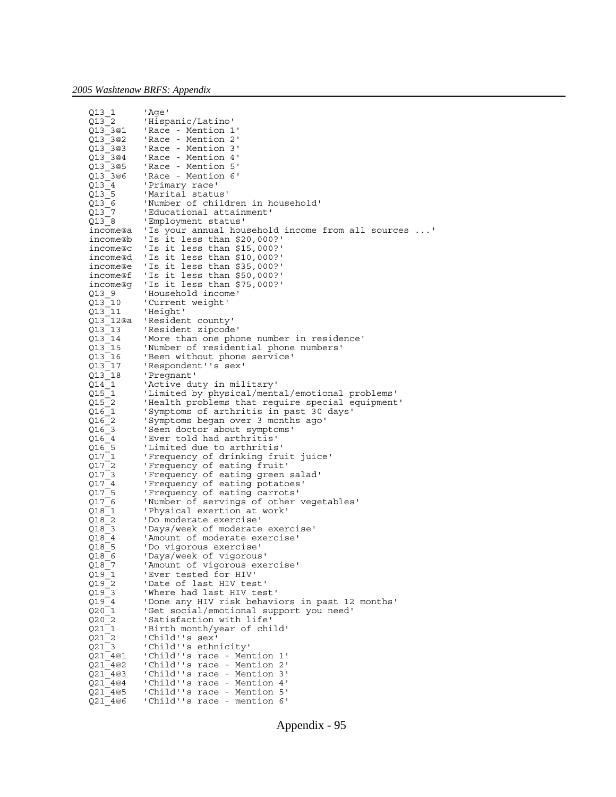| $Q13_1$              | 'Age'                                                                               |
|----------------------|-------------------------------------------------------------------------------------|
| Q13 2                | 'Hispanic/Latino'                                                                   |
| $Q13$ 3@1            | 'Race - Mention 1'                                                                  |
| Q13_3@2              | 'Race - Mention 2'                                                                  |
| $Q13$ 3@3            | 'Race - Mention 3'                                                                  |
| Q13_3@4              | 'Race - Mention 4'                                                                  |
| Q13_3@5              | 'Race - Mention 5'                                                                  |
| Q13_3@6              | 'Race - Mention 6'                                                                  |
| Q13 4                | 'Primary race'                                                                      |
| Q13 5                | 'Marital status'                                                                    |
| Q13 6                | 'Number of children in household'                                                   |
| Q13 7                | 'Educational attainment'                                                            |
| $Q13_8$              | 'Employment status'<br>income@a 'Is your annual household income from all sources ' |
| income@b             | 'Is it less than \$20,000?'                                                         |
| income@c             | 'Is it less than \$15,000?'                                                         |
| income@d             | 'Is it less than \$10,000?'                                                         |
| income@e             | 'Is it less than \$35,000?'                                                         |
| income@f             | 'Is it less than \$50,000?'                                                         |
| income@g             | 'Is it less than \$75,000?'                                                         |
| Q139                 | 'Household income'                                                                  |
| $Q13_10$             | 'Current weight'                                                                    |
| $Q13_11$             | 'Height'                                                                            |
| Q13_12@a             | 'Resident county'                                                                   |
| $Q13_13$             | 'Resident zipcode'                                                                  |
| $Q13_14$             | 'More than one phone number in residence'                                           |
| Q13 15               | 'Number of residential phone numbers'                                               |
| Q13_16               | 'Been without phone service'                                                        |
| Q13 17               | 'Respondent''s sex'                                                                 |
| Q13_18               | 'Pregnant'                                                                          |
| Q14 1                | 'Active duty in military'<br>'Limited by physical/mental/emotional problems'        |
| Q15_1<br>Q15 2       | 'Health problems that require special equipment'                                    |
| $Q16_1$              | 'Symptoms of arthritis in past 30 days'                                             |
| Q16 2                | 'Symptoms began over 3 months ago'                                                  |
| Q16_3                | 'Seen doctor about symptoms'                                                        |
| Q16 4                | 'Ever told had arthritis'                                                           |
| $Q16\_5$             | 'Limited due to arthritis'                                                          |
| $Q17$ <sup>-1</sup>  | 'Frequency of drinking fruit juice'                                                 |
| $Q17_2$              | 'Frequency of eating fruit'                                                         |
| $Q17$ <sup>3</sup>   | 'Frequency of eating green salad'                                                   |
| $Q17_4$              | 'Frequency of eating potatoes'                                                      |
| $Q17\_5$             | 'Frequency of eating carrots'                                                       |
| Q17_6                | 'Number of servings of other vegetables'                                            |
| $Q18_1$              | 'Physical exertion at work'                                                         |
| $Q18_2$              | 'Do moderate exercise'                                                              |
| $Q18$ <sup>3</sup>   | 'Days/week of moderate exercise'                                                    |
| Q18 4<br>Q18 5       | 'Amount of moderate exercise'<br>'Do vigorous exercise'                             |
| Q18 6                | 'Days/week of vigorous'                                                             |
| $Q18$ 7              | 'Amount of vigorous exercise'                                                       |
| $Q19_1$              | 'Ever tested for HIV'                                                               |
| $Q19_2$              | 'Date of last HIV test'                                                             |
| $Q19$ <sup>-</sup> 3 | 'Where had last HIV test'                                                           |
| Q19 4                | 'Done any HIV risk behaviors in past 12 months'                                     |
| Q201                 | 'Get social/emotional support you need'                                             |
| Q20 2                | 'Satisfaction with life'                                                            |
| Q211                 | 'Birth month/year of child'                                                         |
| Q21 2                | 'Child''s sex'                                                                      |
| Q213                 | 'Child''s ethnicity'                                                                |
| Q21 4@1              | 'Child''s race - Mention 1'                                                         |
| Q21 4@2              | 'Child''s race - Mention 2'                                                         |
| Q21 4@3              | 'Child''s race - Mention 3'                                                         |
| Q21 4@4              | 'Child''s race - Mention 4'                                                         |
| Q21 4@5              | 'Child''s race - Mention 5'                                                         |
| Q21 4@6              | 'Child''s race - mention 6'                                                         |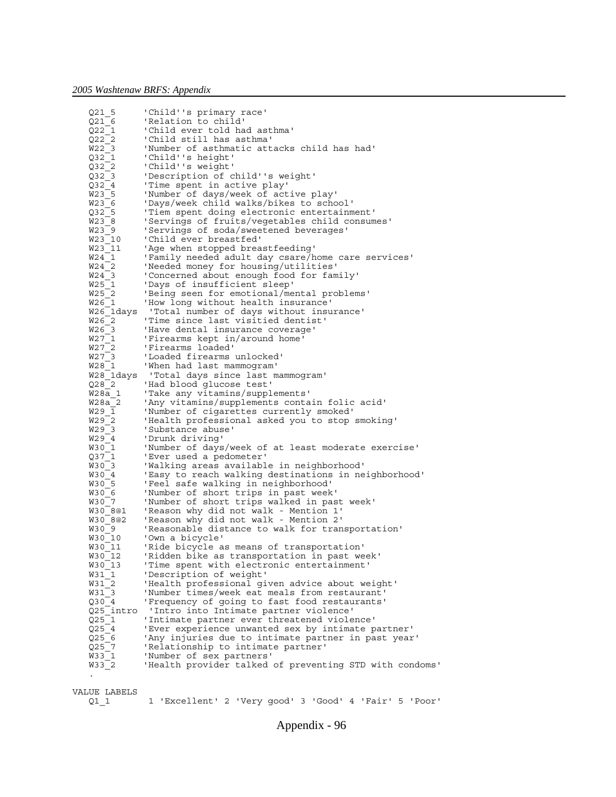```
 Q21_5 'Child''s primary race'
    Q21_6 'Relation to child'
    Q22_1 'Child ever told had asthma'
    Q22_2 'Child still has asthma'
    W22_3 'Number of asthmatic attacks child has had'
    Q32_1 'Child''s height'
    Q32_2 'Child''s weight'
    Q32_3 'Description of child''s weight'
   Q32_4     'Time spent in active play'<br>W23 5     'Number of days/week of act
                  'Number of days/week of active play'
    W23_6 'Days/week child walks/bikes to school'
   Q32_5 Tiem spent doing electronic entertainment'<br>W23_8 Tervings of fruits/vegetables child consum
                  'Servings of fruits/vegetables child consumes'
   W23<sup>-</sup>9     'Servings of soda/sweetened beverages'<br>W23<sup>-</sup>10    'Child ever breastfed'<br>W23<sup>-</sup>11    'Age when stopped breastfeeding'
                  'Child ever breastfed'
                  'Age when stopped breastfeeding'
   W24<sup>-1</sup> 'Family needed adult day csare/home care services'
    W24_2 'Needed money for housing/utilities'
    W24_3 'Concerned about enough food for family'
   W25<sup>-1</sup> 'Days of insufficient sleep'
   W25_2      'Being seen for emotional/mental problems'<br>W26_1     'How long without health insurance'<br>W26_1days  'Total number of days without insurance'
                  'How long without health insurance'
                  'Total number of days without insurance'
   W26\overline{\phantom{0}}2 'Time since last visitied dentist'<br>W26\overline{\phantom{0}}3 'Have dental insurance coverage'<br>W27\overline{\phantom{0}}1 'Firearms kept in/around home'
                  'Have dental insurance coverage'
   W27_1     'Firearms kept in/around home'<br>W27_2    'Firearms loaded'
   W27<sup>-</sup>2 'Firearms loaded'<br>W27<sup>-3</sup> 'Loaded firearms
                  'Loaded firearms unlocked'
    W28_1 'When had last mammogram'
                   'Total days since last mammogram'
    Q28_2 'Had blood glucose test'
    W28a_1 'Take any vitamins/supplements'
    W28a_2 'Any vitamins/supplements contain folic acid'
   W29 \overline{1} 'Number of cigarettes currently smoked'
    W29_2 'Health professional asked you to stop smoking'
   W29\overline{\smash{\big)}3} 'Substance abuse'<br>W29\overline{\smash{\big)}4} 'Drunk driving'
   W<sub>29</sub><sup>-4</sup> 'Drunk driving'<br>W<sub>30</sub><sup>-1</sup> 'Number of days
                  'Number of days/week of at least moderate exercise'
   Q37_1     'Ever used a pedometer'<br>W30_3     'Walking areas availabl
                  'Walking areas available in neighborhood'
   W30<sup>4</sup> 'Easy to reach walking destinations in neighborhood'
    W30_5 'Feel safe walking in neighborhood'
    W30_6 'Number of short trips in past week'
   W30<sup>-7</sup> 'Number of short trips walked in past week'<br>W30<sup>-8@1</sup> 'Reason why did not walk - Mention 1'
                  'Reason why did not walk - Mention 1'
    W30_8@2 'Reason why did not walk - Mention 2'
   W30<sup>-9</sup> 'Reasonable distance to walk for transportation'
   W30_10 'Own a bicycle'<br>W30_11 'Ride bicycle a<br>W30_12 'Ridden bike as
                  'Ride bicycle as means of transportation'
                  'Ridden bike as transportation in past week'
    W30_13 'Time spent with electronic entertainment'
    W31_1 'Description of weight'
   W31_2     'Health professional given advice about weight'<br>W31_3     'Number times/week eat meals from restaurant'
                  'Number times/week eat meals from restaurant'
   Q30_4     'Frequency of going to fast food restaurants'<br>Q25_intro  'Intro into Intimate partner violence'<br>Q25_1     'Intimate partner ever threatened violence'
 Q25_intro 'Intro into Intimate partner violence'
 Q25_1 'Intimate partner ever threatened violence'
   Q25<sup>-4</sup> 'Ever experience unwanted sex by intimate partner'<br>Q25<sup>-6</sup> 'Any injuries due to intimate partner in past year<br>Q25<sup>-7</sup> 'Relationship to intimate partner'
                  'Any injuries due to intimate partner in past year'
                  'Relationship to intimate partner'
   W33 1 'Number of sex partners'
   W33<sup>-</sup>2 <sup>'Health</sup> provider talked of preventing STD with condoms'
 .
```

```
VALUE LABELS
```

```
 Q1_1 1 'Excellent' 2 'Very good' 3 'Good' 4 'Fair' 5 'Poor'
```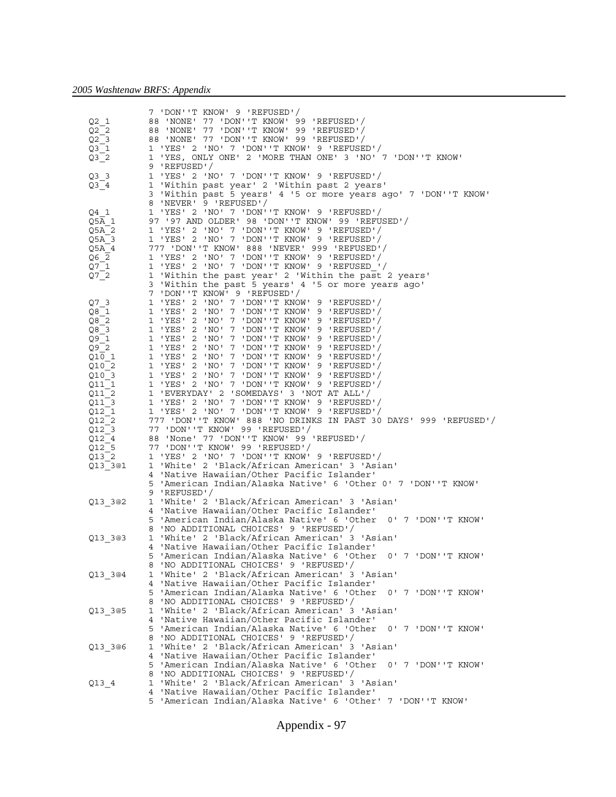|                             | 7 'DON''T KNOW' 9 'REFUSED'/                                                                              |
|-----------------------------|-----------------------------------------------------------------------------------------------------------|
| Q2 1                        | 88 'NONE' 77 'DON''T KNOW' 99 'REFUSED'/                                                                  |
| $Q2$ 2                      | 88 'NONE' 77 'DON''T KNOW' 99 'REFUSED'/                                                                  |
| $Q2$ 3                      | 88 'NONE' 77 'DON''T KNOW' 99 'REFUSED'/                                                                  |
| $Q3-1$                      | 1 'YES' 2 'NO' 7 'DON''T KNOW' 9 'REFUSED'/                                                               |
| $Q3$ <sup>-2</sup>          | 1 'YES, ONLY ONE' 2 'MORE THAN ONE' 3 'NO' 7 'DON''T KNOW'                                                |
|                             | 9 'REFUSED'/                                                                                              |
| $Q3$ 3                      | 1 'YES' 2 'NO' 7 'DON''T KNOW' 9 'REFUSED'/                                                               |
| $Q3_4$                      | 1 'Within past year' 2 'Within past 2 years'                                                              |
|                             | 3 'Within past 5 years' 4 '5 or more years ago' 7 'DON''T KNOW'                                           |
|                             | 8 'NEVER' 9 'REFUSED'/                                                                                    |
| $Q4$ 1                      | 1 'YES' 2 'NO' 7 'DON''T KNOW' 9 'REFUSED'/                                                               |
| Q5 $\overline{A}$ 1         | 97 '97 AND OLDER' 98 'DON''T KNOW' 99 'REFUSED'/                                                          |
| Q5A 2                       | 1 'YES' 2 'NO' 7 'DON''T KNOW' 9 'REFUSED'/                                                               |
| 05A 3                       | 1 'YES' 2 'NO' 7 'DON''T KNOW' 9 'REFUSED'/                                                               |
| Q5A 4                       | 777 'DON''T KNOW' 888 'NEVER' 999 'REFUSED'/                                                              |
| Q6 2                        | 1 'YES' 2 'NO' 7 'DON''T KNOW' 9 'REFUSED'/                                                               |
| $Q7$ <sup>-1</sup>          | 1 'YES' 2 'NO' 7 'DON''T KNOW' 9 'REFUSED '/                                                              |
| $Q7$ <sup>-2</sup>          | 1 'Within the past year' 2 'Within the past 2 years'                                                      |
|                             | 3 'Within the past 5 years' 4 '5 or more years ago'                                                       |
|                             | 7 'DON''T KNOW' 9 'REFUSED'/                                                                              |
| Q7 <sub>3</sub>             | 1 'YES' 2 'NO' 7 'DON''T KNOW' 9 'REFUSED'/                                                               |
| Q8 1                        | 1 'YES' 2 'NO' 7 'DON''T KNOW' 9 'REFUSED'/                                                               |
| Q8 2                        | 1 'YES' 2 'NO' 7 'DON''T KNOW' 9 'REFUSED'/                                                               |
| $Q8$ 3                      | 1 'YES' 2 'NO' 7 'DON''T KNOW' 9 'REFUSED'/                                                               |
| $Q9$ <sup>-1</sup>          | 1 'YES' 2 'NO' 7 'DON''T KNOW' 9 'REFUSED'/                                                               |
| Q92                         | 1 'YES' 2 'NO' 7 'DON''T KNOW' 9 'REFUSED'/                                                               |
| Q10 1                       | 1 'YES' 2 'NO' 7 'DON''T KNOW' 9 'REFUSED'/                                                               |
| Q10 2                       | 1 'YES' 2 'NO' 7 'DON''T KNOW' 9 'REFUSED'/                                                               |
| Q10 3                       | 1 'YES' 2 'NO' 7 'DON''T KNOW' 9 'REFUSED'/                                                               |
| Q11 1                       | 1 'YES' 2 'NO' 7 'DON''T KNOW' 9 'REFUSED'/                                                               |
| Q11 2                       | 1 'EVERYDAY' 2 'SOMEDAYS' 3 'NOT AT ALL'/                                                                 |
| Q11 3                       | 1 'YES' 2 'NO' 7 'DON''T KNOW' 9 'REFUSED'/                                                               |
|                             |                                                                                                           |
|                             |                                                                                                           |
| Q12 1                       | 1 'YES' 2 'NO' 7 'DON''T KNOW' 9 'REFUSED'/                                                               |
| Q12 2                       | 777 'DON' T KNOW' 888 'NO DRINKS IN PAST 30 DAYS' 999 'REFUSED'/                                          |
| Q12 3                       | 77 'DON''T KNOW' 99 'REFUSED'/                                                                            |
| Q12 4                       | 88 'None' 77 'DON''T KNOW' 99 'REFUSED'/                                                                  |
| $Q12$ <sup>5</sup><br>Q13 2 | 77 'DON''T KNOW' 99 'REFUSED'/                                                                            |
|                             | 1 'YES' 2 'NO' 7 'DON''T KNOW' 9 'REFUSED'/<br>1 'White' 2 'Black/African American' 3 'Asian'             |
| Q13_3@1                     |                                                                                                           |
|                             | 4 'Native Hawaiian/Other Pacific Islander'                                                                |
|                             | 5 'American Indian/Alaska Native' 6 'Other 0' 7 'DON''T KNOW'<br>9 'REFUSED'/                             |
| Q13_3@2                     | 1 'White' 2 'Black/African American' 3 'Asian'                                                            |
|                             | 4 'Native Hawaiian/Other Pacific Islander'                                                                |
|                             | 5 'American Indian/Alaska Native' 6 'Other 0' 7 'DON''T KNOW'                                             |
|                             | 8 'NO ADDITIONAL CHOICES' 9 'REFUSED'/                                                                    |
| Q13_3@3                     | 1 'White' 2 'Black/African American' 3 'Asian'                                                            |
|                             | 4 'Native Hawaiian/Other Pacific Islander'                                                                |
|                             | 5 'American Indian/Alaska Native' 6 'Other 0' 7 'DON''T KNOW'                                             |
|                             | 8 'NO ADDITIONAL CHOICES' 9 'REFUSED'/                                                                    |
| Q13 3@4                     | 1 'White' 2 'Black/African American' 3 'Asian'                                                            |
|                             | 4 'Native Hawaiian/Other Pacific Islander'                                                                |
|                             | 5 'American Indian/Alaska Native' 6 'Other<br>0' 7 'DON''T KNOW'                                          |
|                             | 8 'NO ADDITIONAL CHOICES' 9 'REFUSED'/                                                                    |
| Q13_3@5                     | 1 'White' 2 'Black/African American' 3 'Asian'                                                            |
|                             | 4 'Native Hawaiian/Other Pacific Islander'                                                                |
|                             | 5 'American Indian/Alaska Native' 6 'Other<br>0' 7 'DON''T KNOW'                                          |
|                             | 8 'NO ADDITIONAL CHOICES' 9 'REFUSED'/                                                                    |
| Q13 3@6                     | 1 'White' 2 'Black/African American' 3 'Asian'                                                            |
|                             | 4 'Native Hawaiian/Other Pacific Islander'                                                                |
|                             | 5 'American Indian/Alaska Native' 6 'Other<br>0' 7 'DON''T KNOW'                                          |
|                             | 8 'NO ADDITIONAL CHOICES' 9 'REFUSED'/                                                                    |
| Q13 4                       | 1 'White' 2 'Black/African American' 3 'Asian'                                                            |
|                             | 4 'Native Hawaiian/Other Pacific Islander'<br>5 'American Indian/Alaska Native' 6 'Other' 7 'DON''T KNOW' |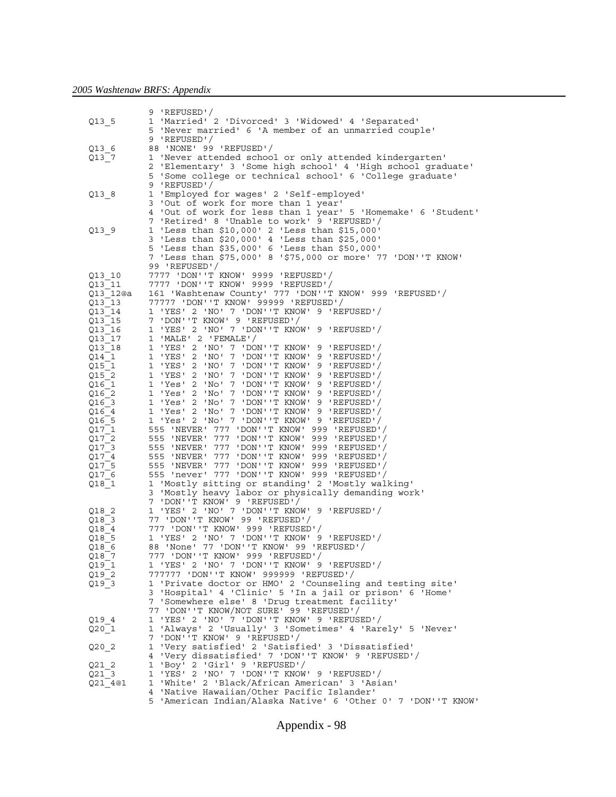|          | 9 'REFUSED'/                                                  |
|----------|---------------------------------------------------------------|
| Q13 5    | 1 'Married' 2 'Divorced' 3 'Widowed' 4 'Separated'            |
|          | 5 'Never married' 6 'A member of an unmarried couple'         |
|          |                                                               |
|          | 9 'REFUSED'/                                                  |
| Q13 6    | 88 'NONE' 99 'REFUSED'/                                       |
| Q13 7    | 1 'Never attended school or only attended kindergarten'       |
|          | 2 'Elementary' 3 'Some high school' 4 'High school graduate'  |
|          | 5 'Some college or technical school' 6 'College graduate'     |
|          | 9 'REFUSED'/                                                  |
|          |                                                               |
| Q13 8    | 1 'Employed for wages' 2 'Self-employed'                      |
|          | 3 'Out of work for more than 1 year'                          |
|          | 4 'Out of work for less than 1 year' 5 'Homemake' 6 'Student' |
|          | 7 'Retired' 8 'Unable to work' 9 'REFUSED'/                   |
| Q13 9    | 1 'Less than \$10,000' 2 'Less than \$15,000'                 |
|          | 3 'Less than \$20,000' 4 'Less than \$25,000'                 |
|          | 5 'Less than \$35,000' 6 'Less than \$50,000'                 |
|          | 7 'Less than \$75,000' 8 '\$75,000 or more' 77 'DON''T KNOW'  |
|          |                                                               |
|          | 99 'REFUSED'/                                                 |
| Q13 10   |                                                               |
| Q13 11   | 7777    VDON''T KNOW'    9999    'REFUSED'/                   |
| Q13 12@a | 161 'Washtenaw County' 777 'DON''T KNOW' 999 'REFUSED'/       |
| Q13 13   | 77777    VDON''T KNOW'    99999    'REFUSED'/                 |
| Q13 14   | 1 'YES' 2 'NO' 7 'DON''T KNOW' 9 'REFUSED'/                   |
| Q13 15   | 7 'DON''T KNOW' 9 'REFUSED'/                                  |
|          |                                                               |
| Q13 16   | 1 'YES' 2 'NO' 7 'DON''T KNOW' 9 'REFUSED'/                   |
| Q13 17   | 1 'MALE' 2 'FEMALE'/                                          |
| Q13 18   | 1 'YES' 2 'NO' 7 'DON''T KNOW' 9 'REFUSED'/                   |
| 014 1    | 1 'YES' 2 'NO' 7 'DON''T KNOW' 9 'REFUSED'/                   |
| Q15 1    | 1 'YES' 2 'NO' 7 'DON''T KNOW' 9 'REFUSED'/                   |
| Q15 2    | 1 'YES' 2 'NO' 7 'DON''T KNOW' 9 'REFUSED'/                   |
| 016 1    | 1 'Yes' 2 'No' 7 'DON''T KNOW' 9 'REFUSED'/                   |
| Q16 2    | 1 'Yes' 2 'No' 7 'DON''T KNOW' 9 'REFUSED'/                   |
|          |                                                               |
| 016 3    | 1 'Yes' 2 'No' 7 'DON''T KNOW' 9 'REFUSED'/                   |
| Q16 4    | 1 'Yes' 2 'No' 7 'DON''T KNOW' 9 'REFUSED'/                   |
| Q16 5    | 1 'Yes' 2 'No' 7 'DON''T KNOW' 9 'REFUSED'/                   |
| Q17 1    | 555 'NEVER' 777 'DON''T KNOW' 999 'REFUSED'/                  |
| Q17 2    | 555 'NEVER' 777 'DON''T KNOW' 999 'REFUSED'/                  |
| Q17 3    | 555 'NEVER' 777 'DON''T KNOW' 999 'REFUSED'/                  |
| Q17 4    | 555 'NEVER' 777 'DON''T KNOW' 999 'REFUSED'/                  |
| Q17 5    | 555 'NEVER' 777 'DON''T KNOW' 999 'REFUSED'/                  |
|          | 555 'never' 777 'DON''T KNOW' 999 'REFUSED'/                  |
| Q17 6    |                                                               |
| $Q18_1$  | 1 'Mostly sitting or standing' 2 'Mostly walking'             |
|          | 3 'Mostly heavy labor or physically demanding work'           |
|          | 7 'DON''T KNOW' 9 'REFUSED'/                                  |
| 018 2    | 1 'YES' 2 'NO' 7 'DON''T KNOW' 9 'REFUSED'/                   |
| Q18 3    | 77 'DON''T KNOW' 99 'REFUSED'/                                |
| Q18 4    | 777 UON'T KNOW' 999 'REFUSED'/                                |
| 018 5    | 1 'YES' 2 'NO' 7 'DON''T KNOW' 9 'REFUSED'/                   |
| Q18 6    | 88 'None' 77 'DON''T KNOW' 99 'REFUSED'/                      |
| Q18 7    | 777    VON ''T KNOW'    999    'REFUSED' /                    |
|          |                                                               |
| Q19 1    | 1 'YES' 2 'NO' 7 'DON''T KNOW' 9 'REFUSED'/                   |
| Q19 2    | 777777    VDON''T KNOW'    999999    'REFUSED' /              |
| $Q19_3$  | 1 'Private doctor or HMO' 2 'Counseling and testing site'     |
|          | 3 'Hospital' 4 'Clinic' 5 'In a jail or prison' 6 'Home'      |
|          | 7 'Somewhere else' 8 'Drug treatment facility'                |
|          | 77 'DON''T KNOW/NOT SURE' 99 'REFUSED'/                       |
| Q19 4    | 1 'YES' 2 'NO' 7 'DON''T KNOW' 9 'REFUSED'/                   |
| Q201     | 1 'Always' 2 'Usually' 3 'Sometimes' 4 'Rarely' 5 'Never'     |
|          |                                                               |
|          | 7 'DON''T KNOW' 9 'REFUSED'/                                  |
| Q20 2    | 1 'Very satisfied' 2 'Satisfied' 3 'Dissatisfied'             |
|          | 4 'Very dissatisfied' 7 'DON''T KNOW' 9 'REFUSED'/            |
| Q21 2    | 1 'Boy' 2 'Girl' 9 'REFUSED'/                                 |
| Q21 3    | 'YES' 2 'NO' 7 'DON''T KNOW' 9 'REFUSED'/<br>1                |
| Q21 4@1  | 1 'White' 2 'Black/African American' 3 'Asian'                |
|          | 4 'Native Hawaiian/Other Pacific Islander'                    |
|          | 5 'American Indian/Alaska Native' 6 'Other 0' 7 'DON''T KNOW' |
|          |                                                               |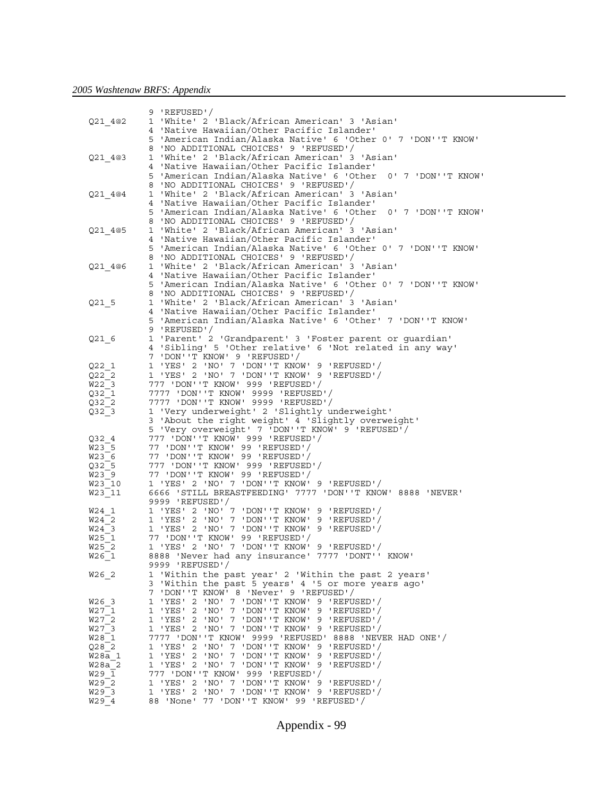|                              | 9 'REFUSED'/                                                                            |
|------------------------------|-----------------------------------------------------------------------------------------|
| Q21 4@2                      | 'White' 2 'Black/African American' 3 'Asian'<br>1                                       |
|                              | 'Native Hawaiian/Other Pacific Islander'<br>4                                           |
|                              | 5 'American Indian/Alaska Native' 6 'Other 0' 7 'DON''T KNOW'                           |
|                              |                                                                                         |
|                              | 'NO ADDITIONAL CHOICES' 9 'REFUSED'/<br>8                                               |
| Q21 4@3                      | 'White' 2 'Black/African American' 3 'Asian'<br>1                                       |
|                              | 'Native Hawaiian/Other Pacific Islander'<br>4                                           |
|                              | 'American Indian/Alaska Native' 6 'Other 0' 7 'DON''T KNOW'<br>5                        |
|                              | 'NO ADDITIONAL CHOICES' 9 'REFUSED'/<br>8                                               |
|                              | 'White' 2 'Black/African American' 3 'Asian'                                            |
| Q21 4@4                      | 1                                                                                       |
|                              | 'Native Hawaiian/Other Pacific Islander'<br>4                                           |
|                              | 5<br>'American Indian/Alaska Native' 6 'Other 0' 7 'DON''T KNOW'                        |
|                              | 'NO ADDITIONAL CHOICES' 9 'REFUSED'/<br>8                                               |
| Q21 4@5                      | 'White' 2 'Black/African American' 3 'Asian'<br>1                                       |
|                              | 'Native Hawaiian/Other Pacific Islander'<br>4                                           |
|                              | 'American Indian/Alaska Native' 6 'Other 0' 7 'DON''T KNOW'<br>5                        |
|                              | 'NO ADDITIONAL CHOICES' 9 'REFUSED'/<br>8                                               |
|                              |                                                                                         |
| Q21 4@6                      | 'White' 2 'Black/African American' 3 'Asian'<br>1                                       |
|                              | 'Native Hawaiian/Other Pacific Islander'<br>4                                           |
|                              | 'American Indian/Alaska Native' 6 'Other 0' 7 'DON''T KNOW'<br>5                        |
|                              | 'NO ADDITIONAL CHOICES' 9 'REFUSED'/<br>8                                               |
| $Q21$ 5                      | 'White' 2 'Black/African American' 3 'Asian'<br>1                                       |
|                              | 'Native Hawaiian/Other Pacific Islander'<br>4                                           |
|                              | 5 'American Indian/Alaska Native' 6 'Other' 7 'DON''T KNOW'                             |
|                              |                                                                                         |
|                              | 9 'REFUSED'/                                                                            |
| Q21 6                        | 1 'Parent' 2 'Grandparent' 3 'Foster parent or guardian'                                |
|                              | 4 'Sibling' 5 'Other relative' 6 'Not related in any way'                               |
|                              | 7 'DON''T KNOW' 9 'REFUSED'/                                                            |
| Q221                         | 1 'YES' 2 'NO' 7 'DON''T KNOW' 9 'REFUSED'/                                             |
| Q22 2                        | 1 'YES' 2 'NO' 7 'DON''T KNOW' 9 'REFUSED'/                                             |
| W22 3                        | 777 'DON''T KNOW' 999 'REFUSED'/                                                        |
|                              |                                                                                         |
| Q32 1                        | 7777 'DON''T KNOW' 9999 'REFUSED'/                                                      |
| Q32 2                        | 7777    VDON''T KNOW'    9999    'REFUSED' /                                            |
| Q32 3                        | 1 'Very underweight' 2 'Slightly underweight'                                           |
|                              | 3 'About the right weight' 4 'Slightly overweight'                                      |
|                              | 5 'Very overweight' 7 'DON''T KNOW' 9 'REFUSED'/                                        |
| Q32 4                        |                                                                                         |
| W23 5                        | 77 'DON''T KNOW' 99 'REFUSED'/                                                          |
|                              |                                                                                         |
|                              |                                                                                         |
| W23 6                        | 77 'DON''T KNOW' 99 'REFUSED'/                                                          |
| Q32 5                        | 777    VDON''T KNOW'    999    'REFUSED' /                                              |
| W23 9                        | 77 'DON''T KNOW' 99 'REFUSED'/                                                          |
| $W23$ 10                     | 1 'YES' 2 'NO' 7 'DON''T KNOW' 9 'REFUSED'/                                             |
| W23 11                       | 6666 'STILL BREASTFEEDING' 7777 'DON''T KNOW' 8888 'NEVER'                              |
|                              |                                                                                         |
|                              | 9999 'REFUSED'/                                                                         |
| W24 1                        | 1 'YES' 2 'NO' 7 'DON''T KNOW' 9 'REFUSED'/                                             |
| W24 2                        | 1 'YES' 2 'NO' 7 'DON''T KNOW' 9 'REFUSED'/                                             |
| W24 3                        | 1 'YES' 2 'NO' 7 'DON''T KNOW' 9 'REFUSED'/                                             |
| W25 1                        | 77 'DON''T KNOW' 99 'REFUSED'/                                                          |
| W25 2                        | 1 'YES' 2 'NO' 7 'DON''T KNOW' 9 'REFUSED'/                                             |
| W26 1                        | 8888 'Never had any insurance' 7777 'DONT'' KNOW'                                       |
|                              | 9999 'REFUSED'/                                                                         |
| W26 2                        |                                                                                         |
|                              | 1 'Within the past year' 2 'Within the past 2 years'                                    |
|                              | 3 'Within the past 5 years' 4 '5 or more years ago'                                     |
|                              | 7 'DON''T KNOW' 8 'Never' 9 'REFUSED'/                                                  |
| W26 3                        | 1 'YES' 2 'NO' 7 'DON''T KNOW' 9 'REFUSED'/                                             |
| W27 1                        | 1 'YES' 2 'NO' 7 'DON''T KNOW' 9 'REFUSED'/                                             |
| W27 2                        | 1 'YES' 2 'NO' 7 'DON''T KNOW' 9 'REFUSED'/                                             |
| W27 3                        | 1 'YES' 2 'NO' 7 'DON''T KNOW' 9 'REFUSED'/                                             |
| W28 1                        | 7777 'DON''T KNOW' 9999 'REFUSED' 8888 'NEVER HAD ONE'/                                 |
| Q282                         | 1 'YES' 2 'NO' 7 'DON''T KNOW' 9 'REFUSED'/                                             |
| W28a 1                       | 1 'YES' 2 'NO' 7 'DON''T KNOW' 9 'REFUSED'/                                             |
|                              |                                                                                         |
| W28a 2                       | 1 'YES' 2 'NO' 7 'DON''T KNOW' 9 'REFUSED'/                                             |
| W29 1                        |                                                                                         |
| W29 2                        | 1 'YES' 2 'NO' 7 'DON''T KNOW' 9 'REFUSED'/                                             |
| W29 3<br>$W29$ <sup>-4</sup> | 1 'YES' 2 'NO' 7 'DON''T KNOW' 9 'REFUSED'/<br>88 'None' 77 'DON''T KNOW' 99 'REFUSED'/ |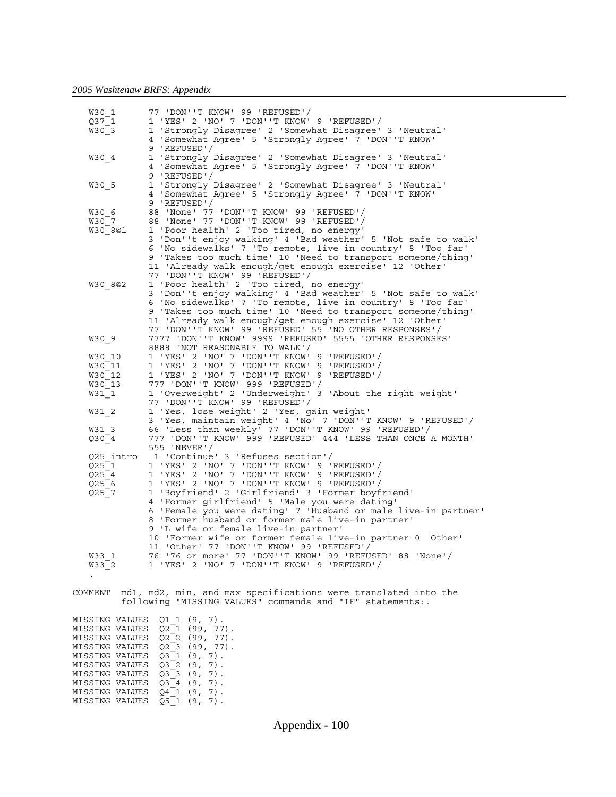MISSING VALUES  $Q3^{-}3$  (9, 7). MISSING VALUES  $Q3^{-}4$  (9, 7). MISSING VALUES  $Q4^{-}1$  (9, 7).  $MISSING$  VALUES  $Q5^-1$  (9, 7).

| W30 1                            | 77 'DON''T KNOW' 99 'REFUSED'/                                                                                                                                                                                                                                                                                                        |
|----------------------------------|---------------------------------------------------------------------------------------------------------------------------------------------------------------------------------------------------------------------------------------------------------------------------------------------------------------------------------------|
| Q37 1                            | 1 'YES' 2 'NO' 7 'DON''T KNOW' 9 'REFUSED'/                                                                                                                                                                                                                                                                                           |
| W30 3                            | 1 'Strongly Disagree' 2 'Somewhat Disagree' 3 'Neutral'<br>4 'Somewhat Agree' 5 'Strongly Agree' 7 'DON''T KNOW'<br>9 'REFUSED'/                                                                                                                                                                                                      |
| W30 4                            | 'Strongly Disagree' 2 'Somewhat Disagree' 3 'Neutral'<br>1<br>4 'Somewhat Agree' 5 'Strongly Agree' 7 'DON''T KNOW'<br>9 'REFUSED'/                                                                                                                                                                                                   |
| W30 5                            | 1 'Strongly Disagree' 2 'Somewhat Disagree' 3 'Neutral'<br>'Somewhat Agree' 5 'Strongly Agree' 7 'DON''T KNOW'<br>4<br>9 'REFUSED'/                                                                                                                                                                                                   |
| W30 6                            | 88 'None' 77 'DON''T KNOW' 99 'REFUSED'/                                                                                                                                                                                                                                                                                              |
| W30 7                            | 88 'None' 77 'DON''T KNOW' 99 'REFUSED'/                                                                                                                                                                                                                                                                                              |
| W30 8@1                          | 1 'Poor health' 2 'Too tired, no energy'<br>3 'Don''t enjoy walking' 4 'Bad weather' 5 'Not safe to walk'<br>6 'No sidewalks' 7 'To remote, live in country' 8 'Too far'<br>9 'Takes too much time' 10 'Need to transport someone/thing'<br>11 'Already walk enough/get enough exercise' 12 'Other'<br>77 'DON''T KNOW' 99 'REFUSED'/ |
| W30 8@2                          | 1 'Poor health' 2 'Too tired, no energy'                                                                                                                                                                                                                                                                                              |
|                                  | 3 'Don''t enjoy walking' 4 'Bad weather' 5 'Not safe to walk'                                                                                                                                                                                                                                                                         |
|                                  | 6 'No sidewalks' 7 'To remote, live in country' 8 'Too far'<br>9 'Takes too much time' 10 'Need to transport someone/thing'<br>11 'Already walk enough/get enough exercise' 12 'Other'<br>77 'DON''T KNOW' 99 'REFUSED' 55 'NO OTHER RESPONSES'/                                                                                      |
| W30 9                            | 7777 'DON''T KNOW' 9999 'REFUSED' 5555 'OTHER RESPONSES'<br>8888 'NOT REASONABLE TO WALK'/                                                                                                                                                                                                                                            |
| W30 10                           | 1 'YES' 2 'NO' 7 'DON''T KNOW' 9 'REFUSED'/                                                                                                                                                                                                                                                                                           |
| W30 11                           | 1 'YES' 2 'NO' 7 'DON''T KNOW' 9 'REFUSED'/                                                                                                                                                                                                                                                                                           |
| W30 12                           | 1 'YES' 2 'NO' 7 'DON''T KNOW' 9 'REFUSED'/                                                                                                                                                                                                                                                                                           |
| W30 13                           |                                                                                                                                                                                                                                                                                                                                       |
| W31 1                            | 1 'Overweight' 2 'Underweight' 3 'About the right weight'<br>77 'DON''T KNOW' 99 'REFUSED'/                                                                                                                                                                                                                                           |
| W31 2                            | 1 'Yes, lose weight' 2 'Yes, gain weight'<br>3 'Yes, maintain weight' 4 'No' 7 'DON''T KNOW' 9 'REFUSED'/                                                                                                                                                                                                                             |
| W31 3                            | 66 'Less than weekly' 77 'DON''T KNOW' 99 'REFUSED'/                                                                                                                                                                                                                                                                                  |
| Q30 4                            | 777 'DON''T KNOW' 999 'REFUSED' 444 'LESS THAN ONCE A MONTH'<br>555 'NEVER'/                                                                                                                                                                                                                                                          |
| Q25 intro                        | 1 'Continue' 3 'Refuses section'/                                                                                                                                                                                                                                                                                                     |
| Q25 1                            | 1 'YES' 2 'NO' 7 'DON''T KNOW' 9 'REFUSED'/                                                                                                                                                                                                                                                                                           |
| Q254                             | 1 'YES' 2 'NO' 7 'DON''T KNOW' 9 'REFUSED'/                                                                                                                                                                                                                                                                                           |
| Q25 6                            | 'YES' 2 'NO' 7 'DON''T KNOW' 9 'REFUSED'/<br>$\mathbf{1}$                                                                                                                                                                                                                                                                             |
| Q25 7                            | 1 'Boyfriend' 2 'Girlfriend' 3 'Former boyfriend'                                                                                                                                                                                                                                                                                     |
|                                  | 4 'Former girlfriend' 5 'Male you were dating'                                                                                                                                                                                                                                                                                        |
|                                  | 6 'Female you were dating' 7 'Husband or male live-in partner'<br>8 'Former husband or former male live-in partner'                                                                                                                                                                                                                   |
|                                  | 9 'L wife or female live-in partner'                                                                                                                                                                                                                                                                                                  |
|                                  | 10 'Former wife or former female live-in partner 0 Other'<br>11 'Other' 77 'DON''T KNOW' 99 'REFUSED'/                                                                                                                                                                                                                                |
| W33 1                            | 76 '76 or more' 77 'DON''T KNOW' 99 'REFUSED' 88 'None'/                                                                                                                                                                                                                                                                              |
| W33 2<br>$\ddot{\phantom{0}}$    | 1 'YES' 2 'NO' 7 'DON''T KNOW' 9 'REFUSED'/                                                                                                                                                                                                                                                                                           |
|                                  |                                                                                                                                                                                                                                                                                                                                       |
| COMMENT                          | mdl, md2, min, and max specifications were translated into the<br>following "MISSING VALUES" commands and "IF" statements:.                                                                                                                                                                                                           |
|                                  |                                                                                                                                                                                                                                                                                                                                       |
| MISSING VALUES<br>MISSING VALUES | Q1 1 (9, 7).<br>Q2 1 (99, 77).                                                                                                                                                                                                                                                                                                        |
| MISSING VALUES                   | $Q2 \t2 \t(99, 77)$ .                                                                                                                                                                                                                                                                                                                 |
| MISSING VALUES                   | Q2 3 (99, 77).                                                                                                                                                                                                                                                                                                                        |
| MISSING VALUES                   | Q3 1 (9, 7).                                                                                                                                                                                                                                                                                                                          |
| MISSING VALUES                   | Q3_2 (9, 7).                                                                                                                                                                                                                                                                                                                          |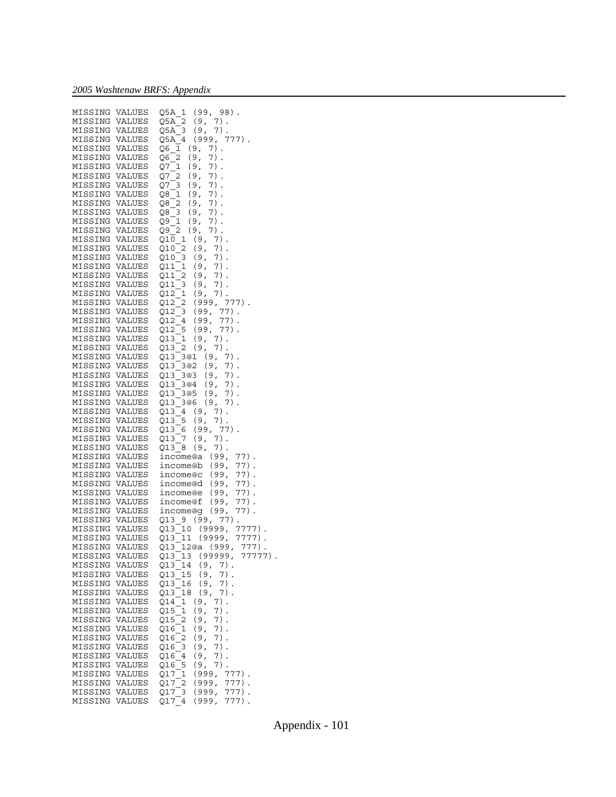|                                  |        | MISSING VALUES Q5A_1 (99, 98).<br>MISSING VALUES Q5A_2 (9, 7).                                                                                                                                                                                                  |
|----------------------------------|--------|-----------------------------------------------------------------------------------------------------------------------------------------------------------------------------------------------------------------------------------------------------------------|
|                                  |        | MISSING VALUES Q5A_3 (9, 7).<br>MISSING VALUES Q5A_4 (999, 777).                                                                                                                                                                                                |
|                                  |        |                                                                                                                                                                                                                                                                 |
|                                  |        |                                                                                                                                                                                                                                                                 |
| MISSING VALUES                   |        | $Q6_1$ (9, 7).                                                                                                                                                                                                                                                  |
| MISSING VALUES                   |        | $Q6_2$<br>(9,<br>$7)$ .                                                                                                                                                                                                                                         |
|                                  |        |                                                                                                                                                                                                                                                                 |
| MISSING VALUES                   |        | Q7_1 (9, 7).<br>Q7_2 (9, 7).                                                                                                                                                                                                                                    |
| MISSING VALUES                   |        |                                                                                                                                                                                                                                                                 |
| MISSING VALUES                   |        | $Q7-3$ (9, 7).<br>$Q8-1$ (9, 7).                                                                                                                                                                                                                                |
|                                  |        |                                                                                                                                                                                                                                                                 |
| MISSING VALUES                   |        |                                                                                                                                                                                                                                                                 |
| MISSING VALUES                   |        |                                                                                                                                                                                                                                                                 |
|                                  |        |                                                                                                                                                                                                                                                                 |
| MISSING VALUES                   |        | $\overline{Q8}$ $\overline{2}$ (9, 7).<br>$Q8$ $\overline{3}$ (9, 7).                                                                                                                                                                                           |
| MISSING VALUES                   |        | $Q9-1$ (9, 7).<br>$Q9-2$ (9, 7).<br>$Q9 - 2$<br>$Q9 - 2$                                                                                                                                                                                                        |
| MISSING VALUES                   |        | $7)$ .                                                                                                                                                                                                                                                          |
|                                  |        |                                                                                                                                                                                                                                                                 |
|                                  |        |                                                                                                                                                                                                                                                                 |
|                                  |        |                                                                                                                                                                                                                                                                 |
|                                  |        |                                                                                                                                                                                                                                                                 |
|                                  |        |                                                                                                                                                                                                                                                                 |
|                                  |        | MISSING VALUES $\begin{array}{cc} 010 & 1 & (9, 7) \ . \ \text{MISSING VALUES} & 010 & 2 & (9, 7) \ . \ \text{MISSING VALUES} & 010 & 3 & (9, 7) \ . \ \text{MISSING VALUES} & 011 & 1 & (9, 7) \ . \ \text{MISSING VALUES} & 011 & 1 & (9, 7) \ . \end{array}$ |
|                                  |        |                                                                                                                                                                                                                                                                 |
|                                  |        | MISSING VALUES $Q11$ <sup>2</sup> (9, 7).<br>MISSING VALUES $Q11$ <sup>3</sup> (9, 7).                                                                                                                                                                          |
|                                  |        |                                                                                                                                                                                                                                                                 |
|                                  |        | MISSING VALUES Q12 <sup>-1</sup> (9, 7).<br>MISSING VALUES Q12 <sup>-2</sup> (999, 777).                                                                                                                                                                        |
|                                  |        |                                                                                                                                                                                                                                                                 |
|                                  |        |                                                                                                                                                                                                                                                                 |
|                                  |        | MISSING VALUES $Q12^{-2}$ (99, 77).<br>MISSING VALUES $Q12^{-3}$ (99, 77).<br>MISSING VALUES $Q12^{-4}$ (99, 77).<br>MISSING VALUES $Q12^{-5}$ (99, 77).<br>MISSING VALUES $Q13^{-1}$ (9, 7).<br>MISSING VALUES $Q13^{-3}$ (9, 7).<br>MISSING VALUES $Q13^{-3$  |
|                                  |        |                                                                                                                                                                                                                                                                 |
|                                  |        |                                                                                                                                                                                                                                                                 |
|                                  |        |                                                                                                                                                                                                                                                                 |
|                                  |        |                                                                                                                                                                                                                                                                 |
|                                  |        |                                                                                                                                                                                                                                                                 |
|                                  |        |                                                                                                                                                                                                                                                                 |
|                                  |        |                                                                                                                                                                                                                                                                 |
|                                  |        |                                                                                                                                                                                                                                                                 |
|                                  |        |                                                                                                                                                                                                                                                                 |
|                                  |        |                                                                                                                                                                                                                                                                 |
|                                  |        |                                                                                                                                                                                                                                                                 |
|                                  |        |                                                                                                                                                                                                                                                                 |
|                                  |        |                                                                                                                                                                                                                                                                 |
|                                  |        | MISSING VALUES $Q13\_3@2$ (9, 7).<br>MISSING VALUES $Q13\_3@2$ (9, 7).<br>MISSING VALUES $Q13\_3@3$ (9, 7).<br>MISSING VALUES $Q13\_3@4$ (9, 7).<br>MISSING VALUES $Q13\_3@5$ (9, 7).<br>MISSING VALUES $Q13\_3@6$ (9, 7).                                      |
|                                  |        | MISSING VALUES $Q13$ <sup>-3@6</sup> (9, 7)<br>MISSING VALUES $Q13$ <sup>-4</sup> (9, 7).                                                                                                                                                                       |
|                                  |        |                                                                                                                                                                                                                                                                 |
|                                  |        | MISSING VALUES $\begin{array}{cc} 0.13 \overline{\smash{\big)} 5} & (9, 7) \\ \text{MISSING VALUES} & 0.13 \overline{\smash{\big)} 6} & (99, 77) \end{array}$ .                                                                                                 |
|                                  |        |                                                                                                                                                                                                                                                                 |
|                                  |        | MISSING VALUES Q13 <sup>-7</sup> (9, 7).<br>MISSING VALUES Q13 <sup>-8</sup> (9, 7).                                                                                                                                                                            |
|                                  |        |                                                                                                                                                                                                                                                                 |
|                                  |        |                                                                                                                                                                                                                                                                 |
|                                  |        |                                                                                                                                                                                                                                                                 |
|                                  |        | MISSING VALUES income@a (99, 77).<br>MISSING VALUES income@b (99, 77).                                                                                                                                                                                          |
|                                  |        |                                                                                                                                                                                                                                                                 |
|                                  |        |                                                                                                                                                                                                                                                                 |
|                                  |        |                                                                                                                                                                                                                                                                 |
|                                  |        |                                                                                                                                                                                                                                                                 |
|                                  |        | MISSING VALUES income@c (99, 77).<br>MISSING VALUES income@d (99, 77).                                                                                                                                                                                          |
|                                  |        | $77)$ .                                                                                                                                                                                                                                                         |
|                                  |        | MISSING VALUES income@e (99,<br>MISSING VALUES income@e (99,<br>$77)$ .                                                                                                                                                                                         |
|                                  |        |                                                                                                                                                                                                                                                                 |
|                                  |        |                                                                                                                                                                                                                                                                 |
|                                  |        |                                                                                                                                                                                                                                                                 |
|                                  |        |                                                                                                                                                                                                                                                                 |
|                                  |        |                                                                                                                                                                                                                                                                 |
| MISSING VALUES                   |        | MISSING VALUES income@g (99, 77).<br>MISSING VALUES Q13_9 (99, 77).<br>MISSING VALUES Q13_10 (9999, 7777).<br>MISSING VALUES Q13_11 (9999, 7777).                                                                                                               |
|                                  |        | Q13_12@a (999, 777).                                                                                                                                                                                                                                            |
|                                  |        | MISSING VALUES Q13_13 (99999,<br>77777)                                                                                                                                                                                                                         |
| MISSING                          | VALUES | $^{-14}$ (9,<br>$7)$ .<br>Q13                                                                                                                                                                                                                                   |
|                                  |        |                                                                                                                                                                                                                                                                 |
| MISSING                          | VALUES | 15 (9,<br>Q13<br>7).                                                                                                                                                                                                                                            |
| MISSING                          | VALUES | Q13<br>16<br>(9,<br>7).                                                                                                                                                                                                                                         |
| MISSING                          | VALUES | 18<br>Q13<br>(9,<br>7).                                                                                                                                                                                                                                         |
|                                  |        |                                                                                                                                                                                                                                                                 |
| MISSING                          | VALUES | 7).<br>Q14<br>$\mathbf 1$<br>(9,                                                                                                                                                                                                                                |
| MISSING                          | VALUES | 1<br>Q15<br>(9,<br>7).                                                                                                                                                                                                                                          |
| MISSING                          | VALUES | Q15<br>2<br>(9,<br>7).                                                                                                                                                                                                                                          |
|                                  |        |                                                                                                                                                                                                                                                                 |
| MISSING                          | VALUES | 1<br>Q16<br>(9,<br>7).                                                                                                                                                                                                                                          |
| MISSING                          | VALUES | 2<br>(9,<br>7).<br>Q16                                                                                                                                                                                                                                          |
| MISSING                          | VALUES | Q16<br>3<br>(9,<br>7).                                                                                                                                                                                                                                          |
|                                  |        |                                                                                                                                                                                                                                                                 |
| MISSING                          | VALUES | (9,<br>7).<br>Q16<br>4                                                                                                                                                                                                                                          |
| MISSING                          | VALUES | 5<br>Q16<br>(9,<br>7)                                                                                                                                                                                                                                           |
| MISSING                          | VALUES | $777)$ .<br>Q17<br>(999,<br>$\mathbf{1}$                                                                                                                                                                                                                        |
|                                  |        |                                                                                                                                                                                                                                                                 |
| MISSING                          | VALUES | 2<br>$777)$ .<br>Q17<br>(999,                                                                                                                                                                                                                                   |
| MISSING VALUES<br>MISSING VALUES |        | Q17 3<br>(999,<br>777).<br>(999,<br>$777)$ .<br>Q17<br>4                                                                                                                                                                                                        |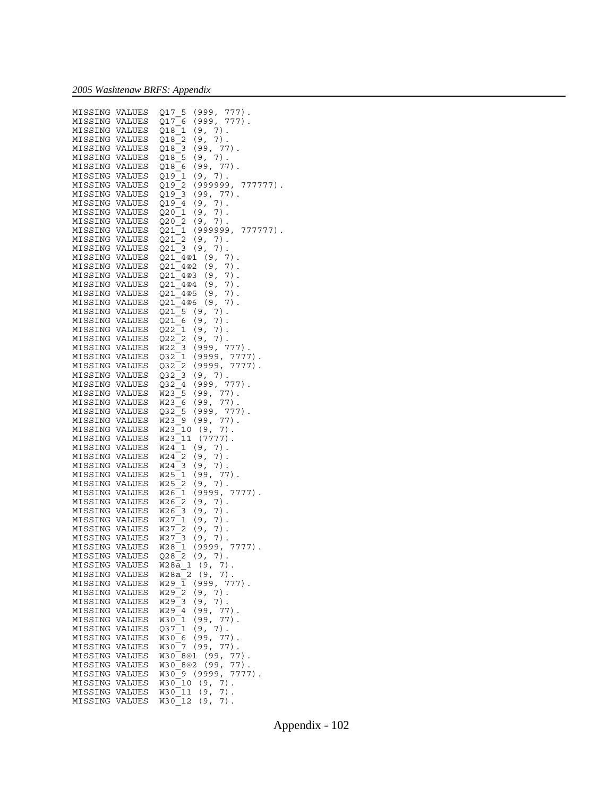| MISSING        | VALUES | 5<br>(999, 777).<br>Q17                            |
|----------------|--------|----------------------------------------------------|
|                |        |                                                    |
| MISSING VALUES |        | (999,<br>Q17<br>$777)$ .<br>6                      |
| MISSING VALUES |        | (9, 7).<br>Q18<br>$\mathbf{1}$                     |
| MISSING        | VALUES | $\overline{\mathbf{c}}$<br>$7)$ .<br>Q18<br>(9,    |
| MISSING VALUES |        | (99,<br>$77)$ .<br>Q18<br>3                        |
| MISSING        | VALUES | $7)$ .<br>5<br>Q18<br>(9,                          |
|                |        | $77)$ .                                            |
| MISSING VALUES |        | (99,<br>Q18<br>- 6                                 |
| MISSING        | VALUES | (9,<br>7).<br>Q19<br>$\mathbf{1}$                  |
| MISSING        | VALUES | 2<br>(999999,<br>Q19<br>777777).                   |
| MISSING        | VALUES | $(99, 77)$ .<br>Q19 3                              |
| MISSING        | VALUES | $7)$ .<br>(9,<br>Q19<br>$\overline{4}$             |
| MISSING        |        |                                                    |
|                | VALUES | Q20 1<br>$7)$ .<br>(9,                             |
| MISSING        | VALUES | Q20<br>2<br>(9, 7).                                |
| MISSING        | VALUES | (999999,<br>Q21<br>$\mathbf{1}$<br>777777).        |
| MISSING VALUES |        | 2<br>(9,<br>$7)$ .<br>Q21                          |
| MISSING        | VALUES | (9,<br>$7)$ .<br>Q21<br>$\overline{\phantom{0}}^3$ |
|                | VALUES | (9,<br>$7)$ .                                      |
| MISSING        |        | Q21 4@1                                            |
| MISSING        | VALUES | (9,<br>7).<br>Q21 4@2                              |
| MISSING VALUES |        | Q21 4@3<br>$7)$ .<br>(9,                           |
| MISSING        | VALUES | Q21_4@4<br>$7)$ .<br>(9,                           |
| MISSING VALUES |        | Q21 4@5<br>$7)$ .<br>(9,                           |
| MISSING        | VALUES | Q21_4@6<br>(9,<br>$7)$ .                           |
|                |        |                                                    |
| MISSING VALUES |        | Q21 5<br>(9,<br>$7)$ .                             |
| MISSING        | VALUES | (9,<br>$7)$ .<br>Q21 6                             |
| MISSING VALUES |        | $\mathbf{1}$<br>(9,<br>$7)$ .<br>Q22               |
| MISSING        | VALUES | $\overline{\mathbf{c}}$<br>$7)$ .<br>Q22<br>(9,    |
| MISSING VALUES |        | $(999, 777)$ .<br>W22<br>3                         |
| MISSING        | VALUES | (9999,<br>$7777$ ).<br>Q32<br>1                    |
|                |        |                                                    |
| MISSING VALUES |        | 2<br>(9999,<br>Q32<br>7777).                       |
| MISSING        | VALUES | (9, 7).<br>Q32<br>3                                |
| MISSING VALUES |        | (999, 777).<br>Q32<br>$\overline{4}$               |
| MISSING        | VALUES | $77)$ .<br>5<br>(99,<br>W23                        |
| MISSING VALUES |        | W23<br>(99,<br>$77)$ .<br>- 6                      |
| MISSING        | VALUES | $(999, 777)$ .<br>5<br>Q32                         |
| MISSING        | VALUES | $77)$ .<br>(99,<br>W23<br>9                        |
| MISSING        | VALUES | (9,<br>$7)$ .<br>W23<br>10                         |
|                |        | <b>W23</b>                                         |
| MISSING        | VALUES | 11<br>$(7777)$ .                                   |
| MISSING        | VALUES | (9, 7).<br>W24<br>1                                |
| MISSING        | VALUES | 2<br>$7)$ .<br>W24<br>(9,                          |
| MISSING        | VALUES | $7)$ .<br>W24<br>3<br>(9,                          |
| MISSING        | VALUES | (99,<br>77)<br>W25<br>1                            |
| MISSING        | VALUES | $7)$ .<br><b>W25</b><br>2<br>(9,                   |
| MISSING        | VALUES | 1<br>$(9999, 7777)$ .<br>W26                       |
| MISSING        |        | W26<br>2<br>$7)$ .                                 |
|                | VALUES | (9,                                                |
| MISSING VALUES |        | (9,<br>$7)$ .<br>W26<br>3                          |
| MISSING VALUES |        | W27<br>$7)$ .<br>1<br>(9,                          |
| MISSING VALUES |        | 2<br>(9,<br>$7)$ .<br>W27                          |
| MISSING VALUES |        | $\overline{\phantom{a}}^3$<br>W27<br>7).<br>(9,    |
| MISSING VALUES |        | (9999,<br>W28<br>1<br>$7777$ ).                    |
| MISSING VALUES |        | Q28<br>$\overline{c}^2$<br>(9, 7).                 |
| MISSING        | VALUES | $\mathbf 1$<br>(9,<br>W28a<br>7).                  |
|                |        |                                                    |
| MISSING        | VALUES | 2<br>(9,<br>$7)$ .<br>W28a                         |
| MISSING        | VALUES | W29<br>(999,<br>1<br>777).                         |
| MISSING        | VALUES | W29<br>2<br>(9,<br>$7)$ .                          |
| MISSING        | VALUES | W29<br>3<br>(9,<br>7).                             |
| MISSING        | VALUES | W29<br>(99,<br>77).<br>4                           |
| MISSING        | VALUES | (99,<br>77).<br>W30<br>1                           |
| MISSING        | VALUES | $7)$ .<br>(9,<br>Q37<br>1                          |
|                |        |                                                    |
| MISSING        | VALUES | (99,<br>77).<br>W30<br>6                           |
| MISSING        | VALUES | 7<br>(99,<br>77).<br>W30                           |
| MISSING        | VALUES | 8@1 (99,<br>$77)$ .<br>W30                         |
| MISSING        | VALUES | (99,<br>8@2<br>77).<br>W30                         |
| MISSING        | VALUES | (9999,<br>7777).<br><b>W30</b><br>9                |
| MISSING        | VALUES | 10<br>(9,<br>7).<br>W30                            |
| MISSING        | VALUES | $7)$ .<br>11<br>(9,<br>W30                         |
| MISSING        | VALUES | <b>W30</b><br>12<br>7).<br>(9,                     |
|                |        |                                                    |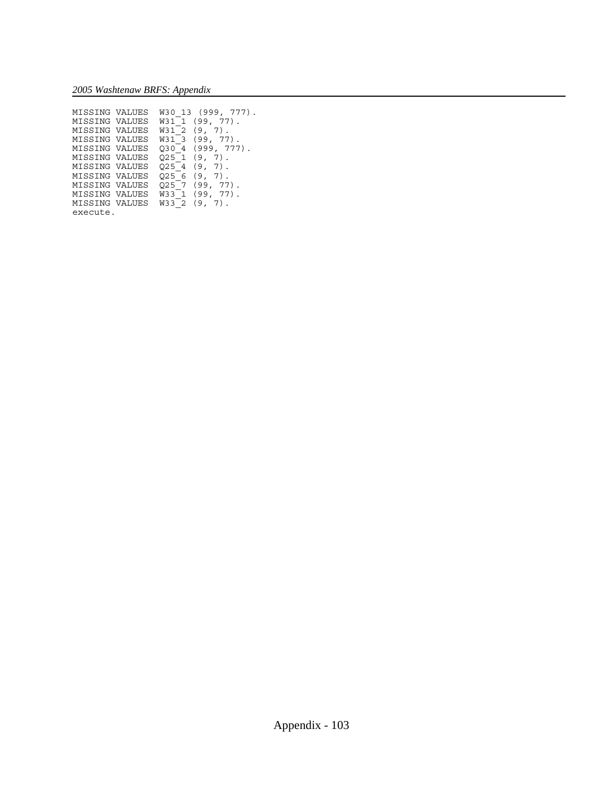| MISSING VALUES | -13<br>W3 0 | (999, 777)      |
|----------------|-------------|-----------------|
| MISSING VALUES | W31         | 77).<br>(99,    |
| MISSING VALUES | W31 2       | (9,<br>7)       |
| MISSING VALUES | W31         | $77)$ .<br>(99. |
| MISSING VALUES | O3 0<br>4   | (999, 777)      |
| MISSING VALUES | O25 1       | (9,<br>7)       |
| MISSING VALUES | 025         | (9.<br>7)       |
| MISSING VALUES | 025<br>6    | (9.<br>7)       |
| MISSING VALUES | 025         | 77)<br>(99,     |
| MISSING VALUES | W33         | (99,<br>77)     |
| MISSING VALUES | <b>W33</b>  | (9,             |
| execute.       |             |                 |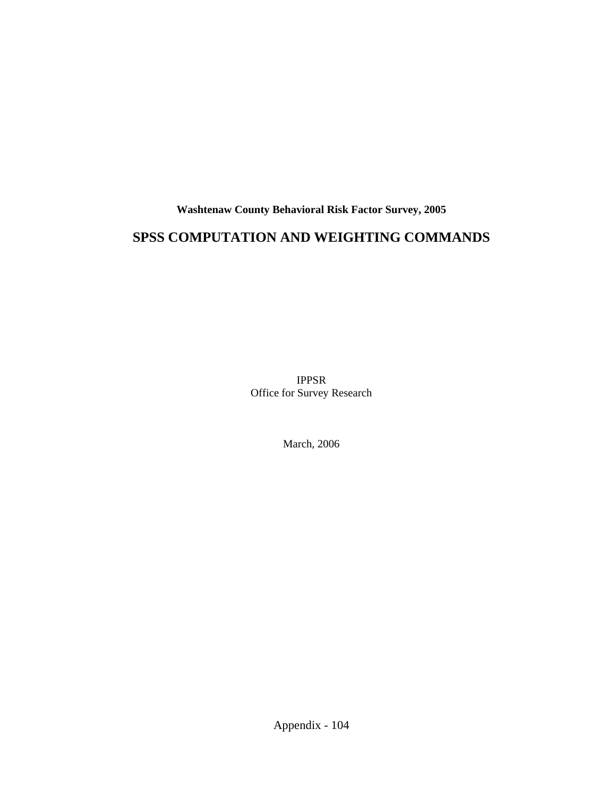**Washtenaw County Behavioral Risk Factor Survey, 2005**

# **SPSS COMPUTATION AND WEIGHTING COMMANDS**

IPPSR Office for Survey Research

March, 2006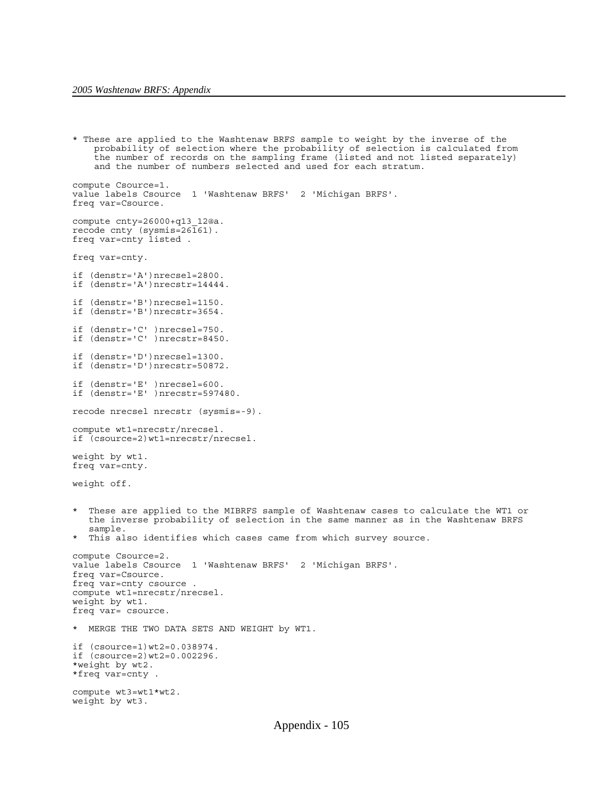```
* These are applied to the Washtenaw BRFS sample to weight by the inverse of the
     probability of selection where the probability of selection is calculated from 
    the number of records on the sampling frame (listed and not listed separately)
     and the number of numbers selected and used for each stratum.
compute Csource=1.
value labels Csource 1 'Washtenaw BRFS' 2 'Michigan BRFS'.
freq var=Csource.
compute cnty=26000+q13_12@a.
recode cnty (sysmis=26\overline{1}61).
freq var=cnty listed .
freq var=cnty.
if (denstr='A')nrecsel=2800.
if (denstr='A')nrecstr=14444.
if (denstr='B')nrecsel=1150.
if (denstr='B')nrecstr=3654.
if (denstr='C' )nrecsel=750.
if (denstr='C' )nrecstr=8450.
if (denstr='D')nrecsel=1300.
if (denstr='D')nrecstr=50872.
if (denstr='E' )nrecsel=600.
if (denstr='E' )nrecstr=597480.
recode nrecsel nrecstr (sysmis=-9).
compute wt1=nrecstr/nrecsel.
if (csource=2)wt1=nrecstr/nrecsel.
weight by wt1.
freq var=cnty.
weight off.
  These are applied to the MIBRFS sample of Washtenaw cases to calculate the WT1 or
    the inverse probability of selection in the same manner as in the Washtenaw BRFS
    sample. 
* This also identifies which cases came from which survey source.
compute Csource=2.
value labels Csource 1 'Washtenaw BRFS' 2 'Michigan BRFS'.
freq var=Csource.
freq var=cnty csource .
compute wt1=nrecstr/nrecsel.
weight by wt1.
freq var= csource.
* MERGE THE TWO DATA SETS AND WEIGHT by WT1.
if (csource=1)wt2=0.038974.
if (csource=2)wt2=0.002296.
*weight by wt2.
*freq var=cnty .
compute wt3=wt1*wt2.
weight by wt3.
```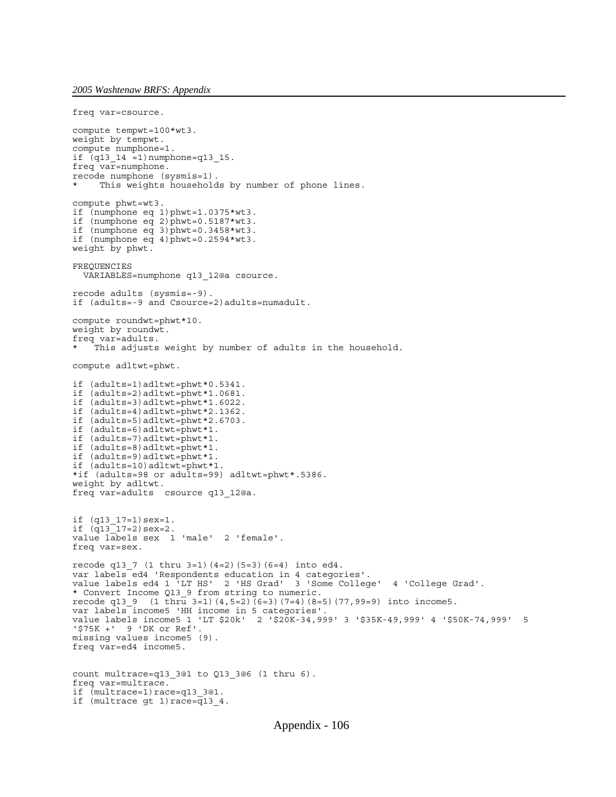```
freq var=csource.
compute tempwt=100*wt3.
weight by tempwt.
compute numphone=1.
if (q13_14 =1)numphone=q13 15.
freq var=numphone.
recode numphone (sysmis=1).
     This weights households by number of phone lines.
compute phwt=wt3.
if (numphone eq 1)phwt=1.0375*wt3. 
if (numphone eq 2)phwt=0.5187*wt3.
if (numphone eq 3)phwt=0.3458*wt3. 
if (numphone eq 4) phwt=0.2594*wt3.
weight by phwt. 
FREQUENCIES
   VARIABLES=numphone q13_12@a csource.
recode adults (sysmis=-9).
if (adults=-9 and Csource=2)adults=numadult.
compute roundwt=phwt*10.
weight by roundwt.
freq var=adults. 
    This adjusts weight by number of adults in the household.
compute adltwt=phwt. 
if (adults=1)adltwt=phwt*0.5341. 
if (adults=2)adltwt=phwt*1.0681. 
if (adults=3)adltwt=phwt*1.6022. 
if (adults=4)adltwt=phwt*2.1362. 
if (adults=5)adltwt=phwt*2.6703. 
if (adults=6)adltwt=phwt*1.
if (adults=7)adltwt=phwt*1.
if (adults=8)adltwt=phwt*1.
if (adults=9)adltwt=phwt*1.
if (adults=10)adltwt=phwt*1.
*if (adults=98 or adults=99) adltwt=phwt*.5386.
weight by adltwt.
freq var=adults csource q13_12@a.
if (q13_17=1)sex=1.
if (q13^-17=2) sex=2.
value labels sex 1 'male' 2 'female'.
freq var=sex.
recode q13_7 (1 thru 3=1)(4=2)(5=3)(6=4) into ed4.
var labels ed4 'Respondents education in 4 categories'.
value labels ed4 1 'LT HS' 2 'HS Grad' 3 'Some College' 4 'College Grad'.
* Convert Income Q13_9 from string to numeric.
recode q13_9 (1 thru 3=1)(4,5=2)(6=3)(7=4)(8=5)(77,99=9) into income5.
var labels income5 'HH income in 5 categories'.
value labels income5 1 'LT $20k' 2 '$20K-34,999' 3 '$35K-49,999' 4 '$50K-74,999' 5
'$75K +' 9 'DK or Ref'.
missing values income5 (9).
freq var=ed4 income5.
count multrace=q13_3@1 to Q13_3@6 (1 thru 6).
freq var=multrace.
if (multrace=1)race=q13_3@1.
if (multrace gt 1) race=\overline{q}13_4.
```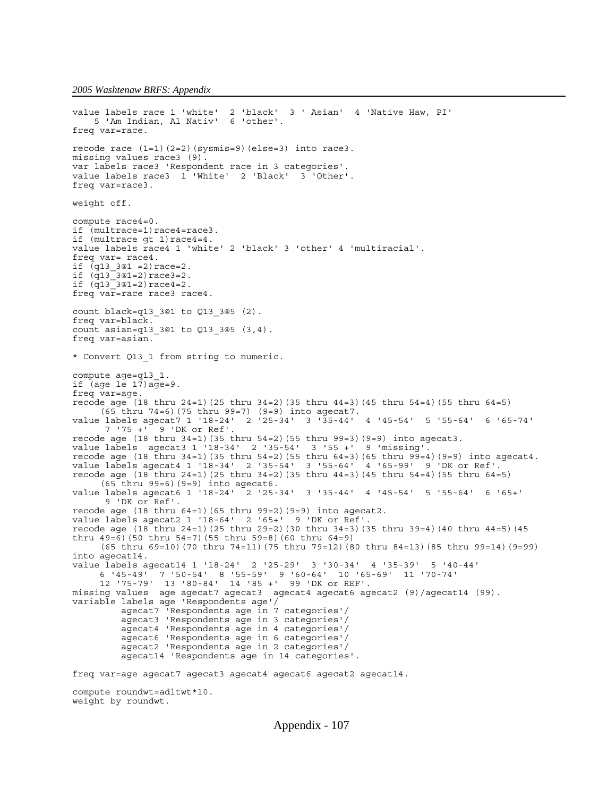```
value labels race 1 'white' 2 'black' 3 ' Asian' 4 'Native Haw, PI' 
 5 'Am Indian, Al Nativ' 6 'other'.
freq var=race.
recode race (1=1)(2=2)(sysmis=9)(else=3) into race3.
missing values race3 (9).
var labels race3 'Respondent race in 3 categories'.
value labels race3 1 'White' 2 'Black' 3 'Other'.
freq var=race3.
weight off.
compute race4=0.
if (multrace=1)race4=race3.
if (multrace gt 1) race4=4.
value labels race4 1 'white' 2 'black' 3 'other' 4 'multiracial'.
freq var= race4.
if (q13 3@1 = 2) \text{race}=2.if (q13^{\text{-}}3@1=2)\text{race3}=2.if (q13^{\text{-}}3@1=2)\text{race4}=2.freq var=race race3 race4.
count black=q13_3@1 to Q13_3@5 (2).
freq var=black.
count asian=q13_3@1 to Q13_3@5 (3,4).
freq var=asian.
* Convert Q13_1 from string to numeric. 
compute age=q13_1.
if (age le 17)age=9. 
freq var=age. 
recode age (18 thru 24=1)(25 thru 34=2)(35 thru 44=3)(45 thru 54=4)(55 thru 64=5)
     (65 thru 74=6)(75 thru 99=7) (9=9) into agecat7.
value labels agecat7 1 '18-24' 2 '25-34' 3 '35-44' 4 '45-54' 5 '55-64' 6 '65-74' 
       7 '75 +' 9 'DK or Ref'.
recode age (18 thru 34=1)(35 thru 54=2)(55 thru 99=3)(9=9) into agecat3.
value labels agecat3 1 '18-34' 2 '35-54' 3 '55 +' 9 'missing'.
recode age (18 thru 34=1)(35 thru 54=2)(55 thru 64=3)(65 thru 99=4)(9=9) into agecat4.
value labels agecat4 1 '18-34' 2 '35-54' 3 '55-64' 4 '65-99' 9 'DK or Ref'.
recode age (18 thru 24=1)(25 thru 34=2)(35 thru 44=3)(45 thru 54=4)(55 thru 64=5)
     (65 thru 99=6)(9=9) into agecat6.
value labels agecat6 1 '18-24' 2 '25-34' 3 '35-44' 4 '45-54' 5 '55-64' 6 '65+' 
       9 'DK or Ref'.
recode age (18 thru 64=1)(65 thru 99=2)(9=9) into agecat2.
value labels agecat2 1 '18-64' 2 '65+' 9 'DK or Ref'.
recode age (18 thru 24=1)(25 thru 29=2)(30 thru 34=3)(35 thru 39=4)(40 thru 44=5)(45
thru 49=6)(50 thru 54=7)(55 thru 59=8)(60 thru 64=9)
      (65 thru 69=10)(70 thru 74=11)(75 thru 79=12)(80 thru 84=13)(85 thru 99=14)(9=99)
into agecat14.
value labels agecat14 1 '18-24' 2 '25-29' 3 '30-34' 4 '35-39' 5 '40-44' 
 6 '45-49' 7 '50-54' 8 '55-59' 9 '60-64' 10 '65-69' 11 '70-74'
 12 '75-79' 13 '80-84' 14 '85 +' 99 'DK or REF'.
missing values age agecat7 agecat3 agecat4 agecat6 agecat2 (9)/agecat14 (99).
variable labels age 'Respondents age'/
          agecat7 'Respondents age in 7 categories'/
          agecat3 'Respondents age in 3 categories'/
          agecat4 'Respondents age in 4 categories'/
          agecat6 'Respondents age in 6 categories'/
          agecat2 'Respondents age in 2 categories'/
          agecat14 'Respondents age in 14 categories'.
freq var=age agecat7 agecat3 agecat4 agecat6 agecat2 agecat14.
compute roundwt=adltwt*10.
```

```
weight by roundwt.
```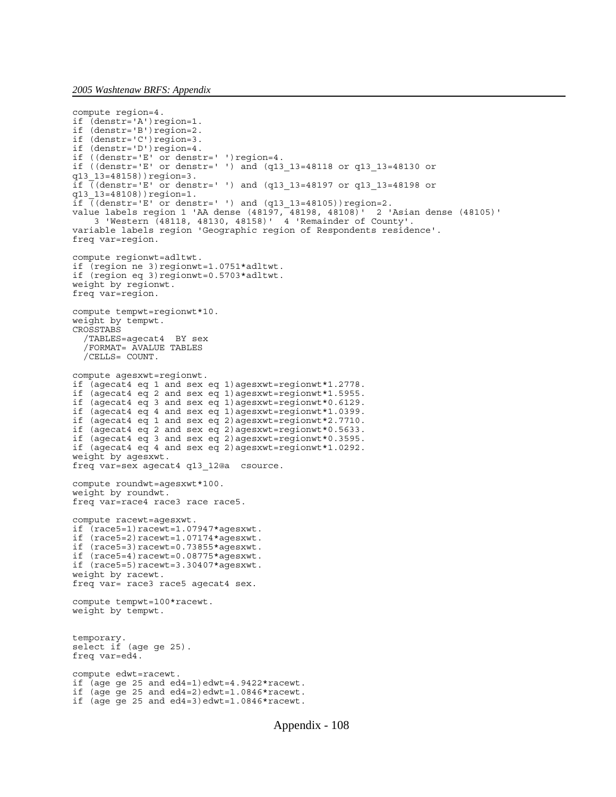```
compute region=4.
if (denstr='A')region=1.
if (denstr='B')region=2.
if (denstr='C')region=3.
if (denstr='D')region=4.
if ((denstr='E' or denstr=' ')region=4.
if ((denstr='E' or denstr=' ') and (q13_13=48118 or q13_13=48130 or
q13_13=48158))region=3.
if \overline{(\text{density} - E)} or denstr=' ') and (q13 13=48197 or q13 13=48198 or
q13_13=48108))region=1.
\text{if } ((\text{density} - 1) \text{ or } \text{density} - 1) and (q13_13=48105)) region=2.
value labels region 1 'AA dense (48197, 48198, 48108)' 2 'Asian dense (48105)'
 3 'Western (48118, 48130, 48158)' 4 'Remainder of County'.
variable labels region 'Geographic region of Respondents residence'.
freq var=region.
compute regionwt=adltwt.
if (region ne 3)regionwt=1.0751*adltwt.
if (region eq 3)regionwt=0.5703*adltwt.
weight by regionwt.
freq var=region.
compute tempwt=regionwt*10.
weight by tempwt.
CROSSTABS
   /TABLES=agecat4 BY sex 
   /FORMAT= AVALUE TABLES
   /CELLS= COUNT.
compute agesxwt=regionwt.
if (agecat4 eq 1 and sex eq 1)agesxwt=regionwt*1.2778.
if (agecat4 eq 2 and sex eq 1)agesxwt=regionwt*1.5955. 
if (agecat4 eq 3 and sex eq 1)agesxwt=regionwt*0.6129.
if (agecat4 eq 4 and sex eq 1)agesxwt=regionwt*1.0399.
if (agecat4 eq 1 and sex eq 2)agesxwt=regionwt*2.7710. 
if (agecat4 eq 2 and sex eq 2)agesxwt=regionwt*0.5633. 
if (agecat4 eq 3 and sex eq 2)agesxwt=regionwt*0.3595. 
if (agecat4 eq 4 and sex eq 2)agesxwt=regionwt*1.0292.
weight by agesxwt.
freq var=sex agecat4 q13_12@a csource.
compute roundwt=agesxwt*100.
weight by roundwt.
freq var=race4 race3 race race5.
compute racewt=agesxwt.
if (race5=1)racewt=1.07947*agesxwt.
if (race5=2)racewt=1.07174*agesxwt.
if (race5=3)racewt=0.73855*agesxwt.
if (race5=4)racewt=0.08775*agesxwt.
if (race5=5)racewt=3.30407*agesxwt.
weight by racewt.
freq var= race3 race5 agecat4 sex.
compute tempwt=100*racewt.
weight by tempwt.
temporary.
select if (age ge 25).
freq var=ed4.
compute edwt=racewt.
if (age ge 25 and ed4=1)edwt=4.9422*racewt.
if (age ge 25 and ed4=2)edwt=1.0846*racewt.
if (age ge 25 and ed4=3)edwt=1.0846*racewt.
```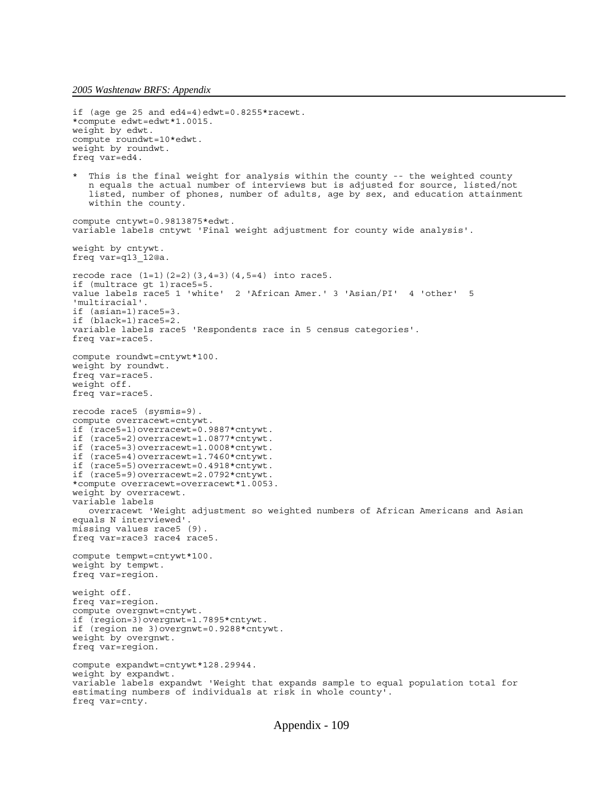```
if (age ge 25 and ed4=4)edwt=0.8255*racewt.
*compute edwt=edwt*1.0015.
weight by edwt.
compute roundwt=10*edwt.
weight by roundwt.
freq var=ed4.
  This is the final weight for analysis within the county -- the weighted county
    n equals the actual number of interviews but is adjusted for source, listed/not
   listed, number of phones, number of adults, age by sex, and education attainment
   within the county.
compute cntywt=0.9813875*edwt.
variable labels cntywt 'Final weight adjustment for county wide analysis'.
weight by cntywt.
freq var=q13_12@a.
recode race (1=1)(2=2)(3,4=3)(4,5=4) into race5.
if (multrace gt 1) race5=5.
value labels race5 1 'white' 2 'African Amer.' 3 'Asian/PI' 4 'other' 5
'multiracial'.
if (asian=1)race5=3.
if (black=1)race5=2.
variable labels race5 'Respondents race in 5 census categories'.
freq var=race5.
compute roundwt=cntywt*100.
weight by roundwt.
freq var=race5.
weight off.
freq var=race5.
recode race5 (sysmis=9).
compute overracewt=cntywt.
if (race5=1)overracewt=0.9887*cntywt.
if (race5=2)overracewt=1.0877*cntywt.
if (race5=3)overracewt=1.0008*cntywt.
if (race5=4)overracewt=1.7460*cntywt.
if (race5=5)overracewt=0.4918*cntywt.
if (race5=9)overracewt=2.0792*cntywt.
*compute overracewt=overracewt*1.0053.
weight by overracewt.
variable labels 
   overracewt 'Weight adjustment so weighted numbers of African Americans and Asian
equals N interviewed'.
missing values race5 (9).
freq var=race3 race4 race5.
compute tempwt=cntywt*100.
weight by tempwt.
freq var=region.
weight off.
freq var=region.
compute overgnwt=cntywt.
if (region=3)overgnwt=1.7895*cntywt.
if (region ne 3)overgnwt=0.9288*cntywt.
weight by overgnwt.
freq var=region.
compute expandwt=cntywt*128.29944.
weight by expandwt.
variable labels expandwt 'Weight that expands sample to equal population total for
estimating numbers of individuals at risk in whole county'.
freq var=cnty.
```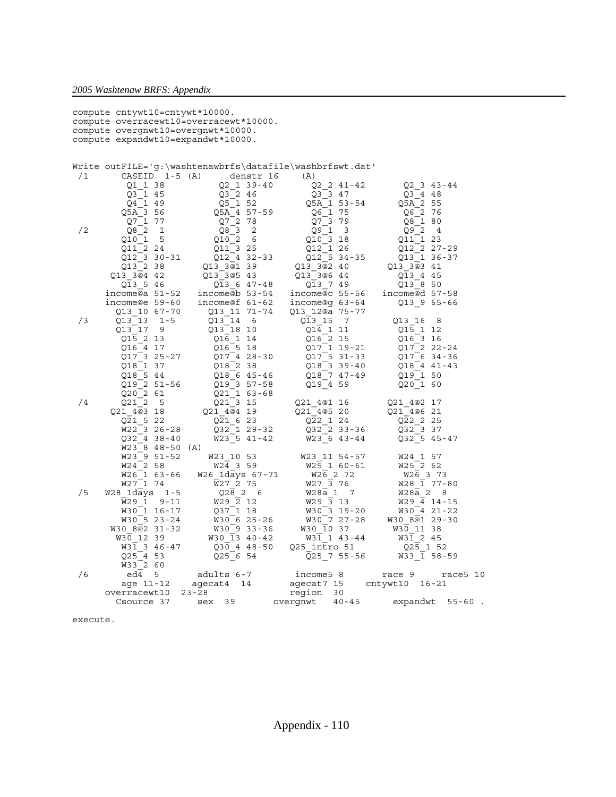|                                        |                                    | compute cntywt10=cntywt*10000. |                                                                      |                                             |  |  |  |  |  |  |
|----------------------------------------|------------------------------------|--------------------------------|----------------------------------------------------------------------|---------------------------------------------|--|--|--|--|--|--|
| compute overracewt10=overracewt*10000. |                                    |                                |                                                                      |                                             |  |  |  |  |  |  |
|                                        | compute overgnwt10=overgnwt*10000. |                                |                                                                      |                                             |  |  |  |  |  |  |
|                                        | compute expandwt10=expandwt*10000. |                                |                                                                      |                                             |  |  |  |  |  |  |
|                                        |                                    |                                |                                                                      |                                             |  |  |  |  |  |  |
|                                        |                                    |                                | Write outFILE='q:\washtenawbrfs\datafile\washbrfswt.dat'             |                                             |  |  |  |  |  |  |
| /1                                     | CASEID $1-5(A)$                    | denstr 16                      | (A)                                                                  |                                             |  |  |  |  |  |  |
|                                        | Q1 1 38                            | $Q2 \quad 1 \quad 39-40$       | Q2 2 41-42                                                           | $Q2 \t3 \t43-44$                            |  |  |  |  |  |  |
|                                        | Q3 1 45                            | $Q3$ <sup>-2</sup> 46          | $Q3$ <sup>3</sup> 47                                                 | $Q3 - 4$ 48                                 |  |  |  |  |  |  |
|                                        | Q4 1 49                            | Q5 1 52                        | Q5A 1 53-54                                                          | Q5A 2 55                                    |  |  |  |  |  |  |
|                                        | Q5A 3 56                           | Q5A 4 57-59                    | Q6 1 75                                                              | Q6 2 76                                     |  |  |  |  |  |  |
|                                        | Q7 1 77                            | Q7 2 78                        | Q7 3 79                                                              | Q8 1 80                                     |  |  |  |  |  |  |
| /2                                     | $Q8$ 2<br>1                        | Q8 <sub>3</sub><br>2           | Q9 1<br>$\overline{\mathbf{3}}$                                      | Q92<br>$\overline{4}$                       |  |  |  |  |  |  |
|                                        | 5<br>Q10 1                         | Q1026                          | Q10 3 18                                                             | Q11 1 23                                    |  |  |  |  |  |  |
|                                        | 011 2 24                           | Q11 3 25                       | 012 1 26                                                             | Q12 2 27-29                                 |  |  |  |  |  |  |
|                                        | Q12 3 30-31                        | Q12 4 32-33                    | Q12_5 34-35                                                          | Q13 1 36-37                                 |  |  |  |  |  |  |
|                                        | Q13 2 38                           | Q13 3@1 39                     | Q13 3@2 40                                                           | Q13 3@3 41                                  |  |  |  |  |  |  |
|                                        | Q13 3@4 42                         | Q13 3@5 43                     | Q13 3@6 44                                                           | Q13 4 45                                    |  |  |  |  |  |  |
|                                        | Q13 5 46                           | Q13 6 47-48                    | Q13 7 49                                                             | Q13 8 50<br>income@d 57-58                  |  |  |  |  |  |  |
|                                        | income@e 59-60                     | income@f 61-62                 | income@a $51-52$ income@b $53-54$ income@c $55-56$<br>income@g 63-64 |                                             |  |  |  |  |  |  |
|                                        | Q13 10 67-70                       | Q13 11 71-74                   | Q13 12@a 75-77                                                       | $Q13$ 9 65-66                               |  |  |  |  |  |  |
| /3                                     | 1-5<br>Q13 13                      | Q13 14 6                       | Q13 15<br>$\overline{7}$                                             | Q13 16<br>- 8                               |  |  |  |  |  |  |
|                                        | Q13 17<br>- 9                      | Q13 18 10                      | Q14 1 11                                                             | Q15 1 12                                    |  |  |  |  |  |  |
|                                        | Q15 2 13                           | Q16 1 14                       | Q16 2 15                                                             | Q16 3 16                                    |  |  |  |  |  |  |
|                                        | Q16 4 17                           | Q16 5 18                       | Q17 1 19-21                                                          | Q17 2 22-24                                 |  |  |  |  |  |  |
|                                        | Q17 3 25-27                        | Q17 4 28-30                    | Q17 5 31-33                                                          | Q17 6 34-36                                 |  |  |  |  |  |  |
|                                        | Q18 1 37                           | Q18_2 38                       | Q18 3 39-40                                                          | Q18 4 41-43                                 |  |  |  |  |  |  |
|                                        | Q18 5 44                           | Q18 6 45-46                    | Q18 7 47-49                                                          | Q19 1 50                                    |  |  |  |  |  |  |
|                                        | 019 2 51-56                        | Q19 3 57-58                    | Q19 4 59                                                             | Q20 1 60                                    |  |  |  |  |  |  |
|                                        | Q20 2 61                           | Q21 1 63-68                    |                                                                      |                                             |  |  |  |  |  |  |
| /4                                     | Q21 2<br>$-5$                      | Q21 3 15                       | Q21 4@1 16                                                           | Q21 4@2 17                                  |  |  |  |  |  |  |
|                                        | Q21 4@3 18                         | Q21 4@4 19                     | Q21 4@5 20                                                           | Q21 4@6 21                                  |  |  |  |  |  |  |
|                                        | Q21 5 22                           | Q21 6 23                       | Q22 1 24                                                             | Q22 2 25                                    |  |  |  |  |  |  |
|                                        | W22 3 26-28                        | Q32 1 29-32                    | Q32 2 33-36                                                          | Q32 3 37                                    |  |  |  |  |  |  |
|                                        | Q32 4 38-40<br>$W23$ 8 48-50 (A)   | $W23$ 5 41-42                  | W23 6 43-44                                                          | $Q32 \ 5 \ 45 - 47$                         |  |  |  |  |  |  |
|                                        | W23 9 51-52                        | W23 10 53                      | W23 11 54-57                                                         | W24 1 57                                    |  |  |  |  |  |  |
|                                        | W24 2 58                           | W24 3 59                       | W25 1 60-61                                                          | W25 2 62                                    |  |  |  |  |  |  |
|                                        | W26 1 63-66                        | W26 1days 67-71                | W26 2 72                                                             | W26 3 73                                    |  |  |  |  |  |  |
|                                        | W27 1 74                           | W27 2 75                       | W27 3 76                                                             | W28 1 77-80                                 |  |  |  |  |  |  |
| /5                                     | W28 1days 1-5                      | Q2826                          | W28a 1 7                                                             | W28a 2<br>- 8                               |  |  |  |  |  |  |
|                                        | W29 1 9-11                         | W29 2 12                       | W29 3 13                                                             | W29 4 14-15                                 |  |  |  |  |  |  |
|                                        | W30 1 16-17                        | 037 1 18                       | W30 3 19-20                                                          | W30 4 21-22                                 |  |  |  |  |  |  |
|                                        | W30 5 23-24                        | W30 6 25-26                    | W30 7 27-28                                                          | W30 8@1 29-30                               |  |  |  |  |  |  |
|                                        | W30 8@2 31-32                      | W30 9 33-36                    | W30 10 37                                                            | W30 11 38                                   |  |  |  |  |  |  |
|                                        | W30 12 39                          | W30 13 40-42                   | W31 1 43-44                                                          | W31 2 45                                    |  |  |  |  |  |  |
|                                        | W31 3 46-47                        | Q30 4 48-50                    | Q25 intro 51                                                         | Q25 1 52                                    |  |  |  |  |  |  |
|                                        | Q25 4 53                           | Q25 6 54                       | Q25 7 55-56                                                          | W33 1 58-59                                 |  |  |  |  |  |  |
| /6                                     | W33 2 60<br>ed4                    |                                |                                                                      |                                             |  |  |  |  |  |  |
|                                        | 5<br>age 11-12                     | adults 6-7<br>agecat4<br>14    | income5 8<br>agecat7 15                                              | race5 10<br>race 9<br>cntywt10<br>$16 - 21$ |  |  |  |  |  |  |
|                                        | overracewt10                       | $23 - 28$                      | region<br>30                                                         |                                             |  |  |  |  |  |  |
|                                        | Csource 37                         | 39<br>sex                      | $40 - 45$<br>overgnwt                                                | expandwt<br>$55 - 60$ .                     |  |  |  |  |  |  |
|                                        |                                    |                                |                                                                      |                                             |  |  |  |  |  |  |

execute.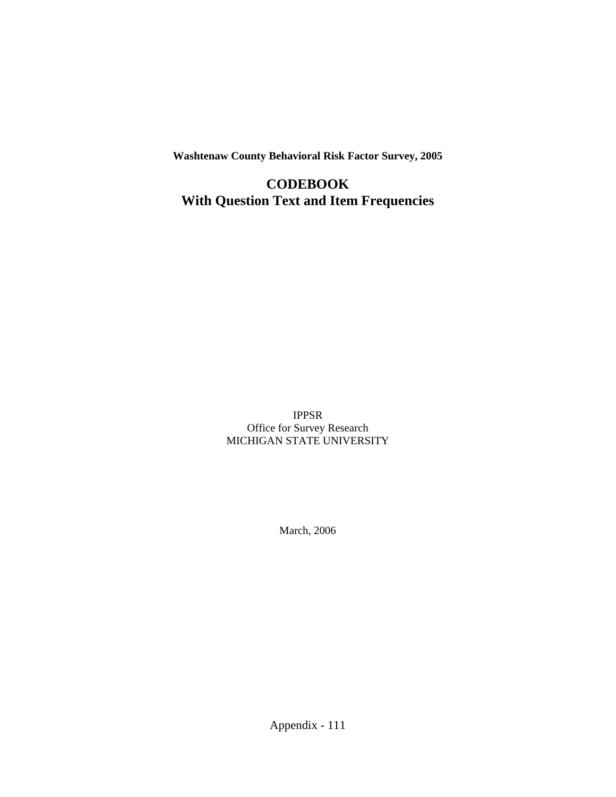**Washtenaw County Behavioral Risk Factor Survey, 2005**

**CODEBOOK With Question Text and Item Frequencies**

> IPPSR Office for Survey Research MICHIGAN STATE UNIVERSITY

> > March, 2006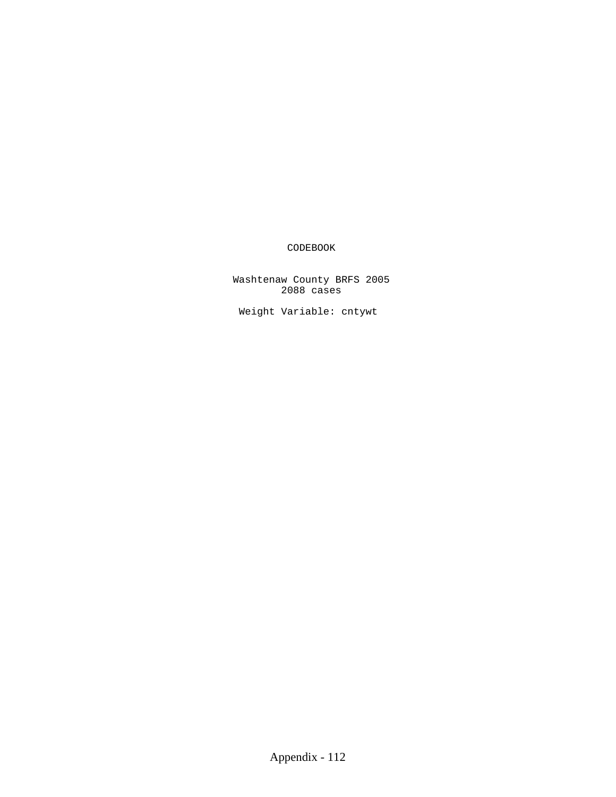### CODEBOOK

 Washtenaw County BRFS 2005 2088 cases

Weight Variable: cntywt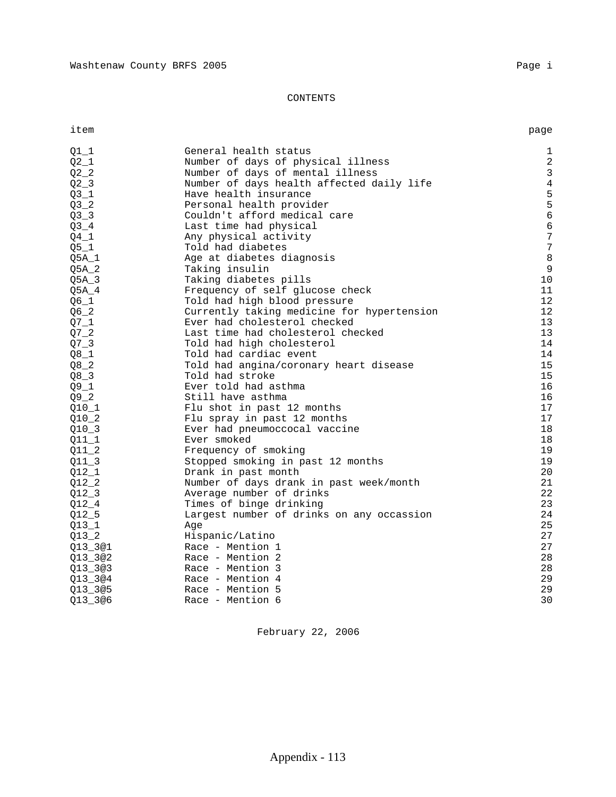#### CONTENTS

item page

| $Q1_1$             | General health status                      | $\mathbf 1$    |
|--------------------|--------------------------------------------|----------------|
| $Q2_1$             | Number of days of physical illness         | $\overline{a}$ |
| $Q^2$ <sup>2</sup> | Number of days of mental illness           | 3              |
| $Q2 - 3$           | Number of days health affected daily life  | $\overline{4}$ |
| $Q3_1$             | Have health insurance                      | 5              |
| Q3 <sub>2</sub>    | Personal health provider                   | 5              |
| Q3 <sub>2</sub>    | Couldn't afford medical care               | 6              |
| $Q3-4$             | Last time had physical                     | 6              |
| $Q4_1$             | Any physical activity                      | 7              |
| $Q5_1$             | Told had diabetes                          | 7              |
| $Q5A_1$            | Age at diabetes diagnosis                  | 8              |
| $Q5A_2$            | Taking insulin                             | 9              |
| $Q5A_3$            | Taking diabetes pills                      | 10             |
| $Q5A_4$            | Frequency of self glucose check            | 11             |
| $Q6_1$             | Told had high blood pressure               | 12             |
| $Q6_2$             | Currently taking medicine for hypertension | 12             |
| $Q7_1$             | Ever had cholesterol checked               | 13             |
| $Q7_{2}$           | Last time had cholesterol checked          | 13             |
| $Q7 - 3$           | Told had high cholesterol                  | 14             |
| $Q8_1$             | Told had cardiac event                     | 14             |
| $Q8_2$             | Told had angina/coronary heart disease     | 15             |
| $Q8 - 3$           | Told had stroke                            | 15             |
| $Q9_1$             | Ever told had asthma                       | 16             |
| $Q9 - 2$           | Still have asthma                          | 16             |
| $Q10_1$            | Flu shot in past 12 months                 | 17             |
| $Q10_2$            | Flu spray in past 12 months                | 17             |
| $Q10-3$            | Ever had pneumoccocal vaccine              | 18             |
| $Q11_1$            | Ever smoked                                | 18             |
| $Q11_2$            | Frequency of smoking                       | 19             |
| $Q11_3$            | Stopped smoking in past 12 months          | 19             |
| $Q12_1$            | Drank in past month                        | 20             |
| $Q12_2$            | Number of days drank in past week/month    | 21             |
| $Q12-3$            | Average number of drinks                   | 22             |
| $Q12 - 4$          | Times of binge drinking                    | 23             |
| $Q12\_5$           | Largest number of drinks on any occassion  | 24             |
| $Q13_1$            | Age                                        | 25             |
| $Q13_2$            | Hispanic/Latino                            | 27             |
| Q13_3@1            | Race - Mention 1                           | 27             |
| Q13_3@2            | Race - Mention 2                           | 28             |
| Q13_3@3            | Race - Mention 3                           | 28             |
| Q13 3@4            | Race - Mention 4                           | 29             |
| Q13 3@5            | Race - Mention 5                           | 29             |
| Q13 3@6            | Race - Mention 6                           | 30             |
|                    |                                            |                |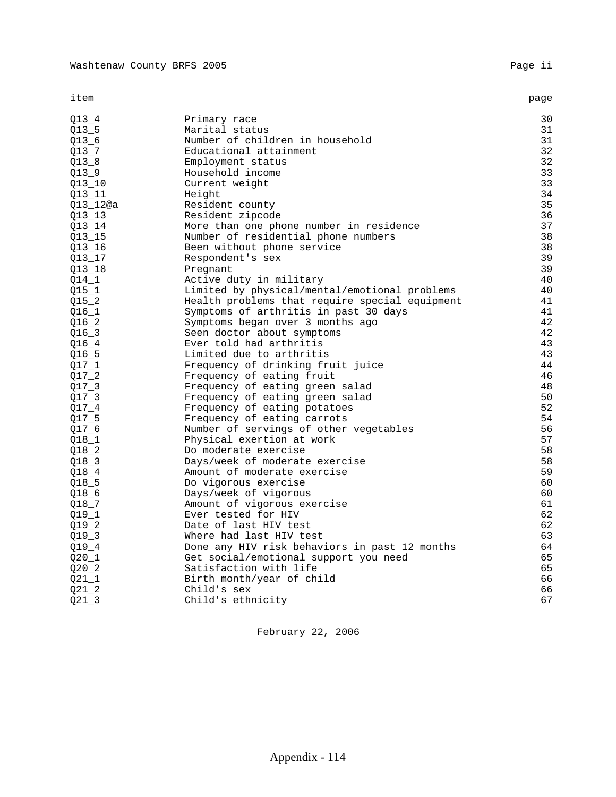item page

| Q13 4     | Primary race                                   | 30 |
|-----------|------------------------------------------------|----|
| $Q13 - 5$ | Marital status                                 | 31 |
| $Q13_6$   | Number of children in household                | 31 |
| $Q13 - 7$ | Educational attainment                         | 32 |
| 013 8     | Employment status                              | 32 |
| $Q13 - 9$ | Household income                               | 33 |
| $Q13_10$  | Current weight                                 | 33 |
| Q13_11    | Height                                         | 34 |
| Q13_12@a  | Resident county                                | 35 |
| 013 13    | Resident zipcode                               | 36 |
| $Q13_14$  | More than one phone number in residence        | 37 |
| Q13_15    | Number of residential phone numbers            | 38 |
| Q13_16    | Been without phone service                     | 38 |
| Q13_17    | Respondent's sex                               | 39 |
| $Q13_18$  | Pregnant                                       | 39 |
| $Q14\_1$  | Active duty in military                        | 40 |
| $Q15_1$   | Limited by physical/mental/emotional problems  | 40 |
| $Q15_2$   | Health problems that require special equipment | 41 |
| $Q16_1$   | Symptoms of arthritis in past 30 days          | 41 |
| $Q16_2$   | Symptoms began over 3 months ago               | 42 |
| Q16 3     | Seen doctor about symptoms                     | 42 |
| $Q16 - 4$ | Ever told had arthritis                        | 43 |
| $Q16_5$   | Limited due to arthritis                       | 43 |
| $Q17_1$   | Frequency of drinking fruit juice              | 44 |
| $Q17 - 2$ | Frequency of eating fruit                      | 46 |
| $Q17 - 3$ | Frequency of eating green salad                | 48 |
| $Q17 - 3$ | Frequency of eating green salad                | 50 |
| Q17 4     | Frequency of eating potatoes                   | 52 |
| $Q17\_5$  | Frequency of eating carrots                    | 54 |
| $Q17\_6$  | Number of servings of other vegetables         | 56 |
| $Q18_1$   | Physical exertion at work                      | 57 |
| Q18 2     | Do moderate exercise                           | 58 |
| Q18 3     | Days/week of moderate exercise                 | 58 |
| Q18 4     | Amount of moderate exercise                    | 59 |
| $Q18-5$   | Do vigorous exercise                           | 60 |
| $Q18_6$   | Days/week of vigorous                          | 60 |
| $Q18 - 7$ | Amount of vigorous exercise                    | 61 |
| $Q19_1$   | Ever tested for HIV                            | 62 |
| Q19 2     | Date of last HIV test                          | 62 |
| $Q19-3$   | Where had last HIV test                        | 63 |
| $Q19_4$   | Done any HIV risk behaviors in past 12 months  | 64 |
| $Q20_1$   | Get social/emotional support you need          | 65 |
| $Q20 - 2$ | Satisfaction with life                         | 65 |
| $Q21_1$   | Birth month/year of child                      | 66 |
| Q21 2     | Child's sex                                    | 66 |
| $Q21 - 3$ | Child's ethnicity                              | 67 |
|           |                                                |    |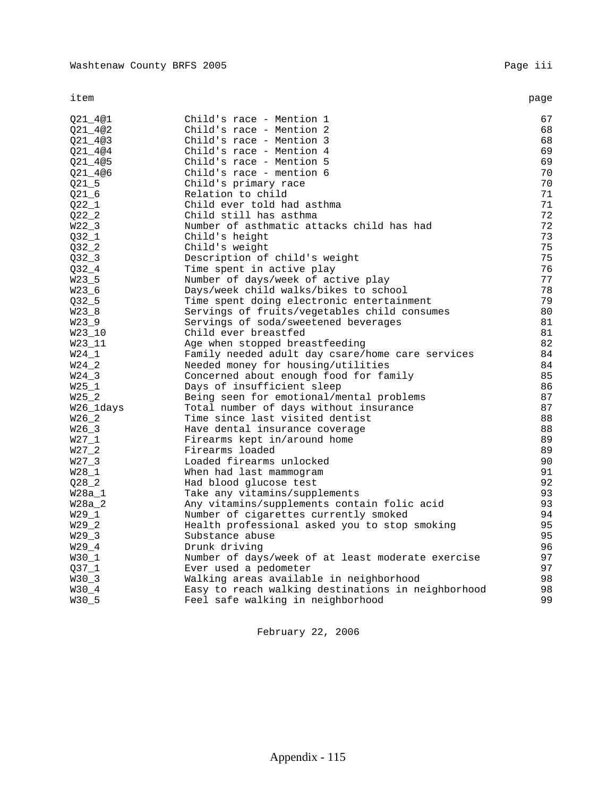item page

| Q21 4@1   | Child's race - Mention 1                           | 67 |
|-----------|----------------------------------------------------|----|
| Q21_4@2   | Child's race - Mention 2                           | 68 |
| Q21_4@3   | Child's race - Mention 3                           | 68 |
| Q21 4@4   | Child's race - Mention 4                           | 69 |
| Q21 4@5   | Child's race - Mention 5                           | 69 |
| Q21_4@6   | Child's race - mention 6                           | 70 |
| $Q21\_5$  | Child's primary race                               | 70 |
| $Q21_6$   | Relation to child                                  | 71 |
| $Q22_1$   | Child ever told had asthma                         | 71 |
|           | Child still has asthma                             | 72 |
| $Q22_2$   |                                                    | 72 |
| $W22-3$   | Number of asthmatic attacks child has had          |    |
| $Q32_1$   | Child's height                                     | 73 |
| $Q32 - 2$ | Child's weight                                     | 75 |
| Q32 3     | Description of child's weight                      | 75 |
| $Q32 - 4$ | Time spent in active play                          | 76 |
| $W23-5$   | Number of days/week of active play                 | 77 |
| $W23_6$   | Days/week child walks/bikes to school              | 78 |
| $Q32 - 5$ | Time spent doing electronic entertainment          | 79 |
| $W23_8$   | Servings of fruits/vegetables child consumes       | 80 |
| $W23-9$   | Servings of soda/sweetened beverages               | 81 |
| W23_10    | Child ever breastfed                               | 81 |
| W23_11    | Age when stopped breastfeeding                     | 82 |
| $W24_1$   | Family needed adult day csare/home care services   | 84 |
| W24 2     | Needed money for housing/utilities                 | 84 |
| $W24-3$   | Concerned about enough food for family             | 85 |
| $W25_1$   | Days of insufficient sleep                         | 86 |
| $W25_2$   | Being seen for emotional/mental problems           | 87 |
| W26_1days | Total number of days without insurance             | 87 |
| $W26_2$   | Time since last visited dentist                    | 88 |
| $W26-3$   | Have dental insurance coverage                     | 88 |
| $W27_1$   | Firearms kept in/around home                       | 89 |
| $W27_2$   | Firearms loaded                                    | 89 |
| $W27-3$   | Loaded firearms unlocked                           | 90 |
| W28 1     | When had last mammogram                            | 91 |
| $Q28 - 2$ | Had blood glucose test                             | 92 |
| W28a_1    | Take any vitamins/supplements                      | 93 |
|           |                                                    | 93 |
| W28a 2    | Any vitamins/supplements contain folic acid        | 94 |
| $W29_1$   | Number of cigarettes currently smoked              |    |
| $W29-2$   | Health professional asked you to stop smoking      | 95 |
| $W29-3$   | Substance abuse                                    | 95 |
| $W29-4$   | Drunk driving                                      | 96 |
| $W30_1$   | Number of days/week of at least moderate exercise  | 97 |
| Q37 1     | Ever used a pedometer                              | 97 |
| $W30-3$   | Walking areas available in neighborhood            | 98 |
| W30_4     | Easy to reach walking destinations in neighborhood | 98 |
| W30_5     | Feel safe walking in neighborhood                  | 99 |
|           |                                                    |    |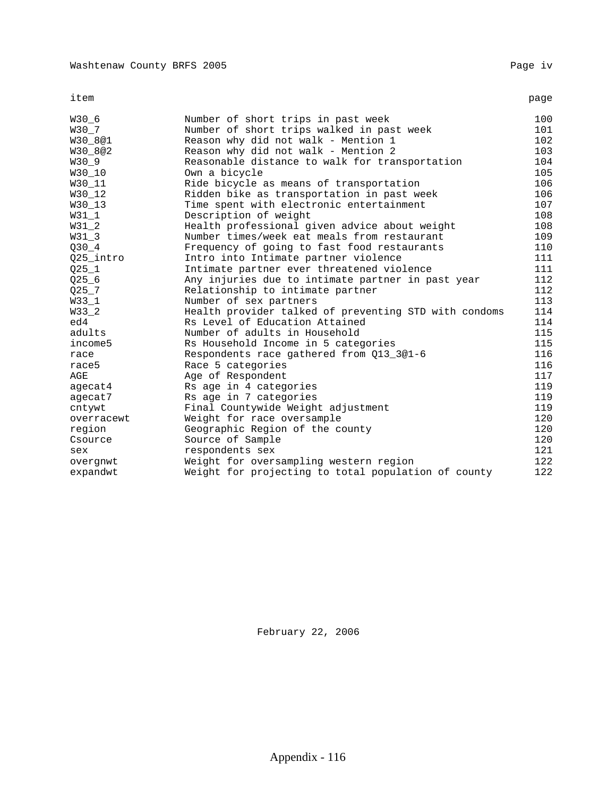item page

| W30_6      | Number of short trips in past week                    | 100 |
|------------|-------------------------------------------------------|-----|
| W30 7      | Number of short trips walked in past week             | 101 |
| W30 8@1    | Reason why did not walk - Mention 1                   | 102 |
| W30_8@2    | Reason why did not walk - Mention 2                   | 103 |
| W30 9      | Reasonable distance to walk for transportation        | 104 |
| W30_10     | Own a bicycle                                         | 105 |
| W30_11     | Ride bicycle as means of transportation               | 106 |
| W30 12     | Ridden bike as transportation in past week            | 106 |
| W30_13     | Time spent with electronic entertainment              | 107 |
| $W31_1$    | Description of weight                                 | 108 |
| $W31_2$    | Health professional given advice about weight         | 108 |
| $W31_3$    | Number times/week eat meals from restaurant           | 109 |
| $Q30 - 4$  | Frequency of going to fast food restaurants           | 110 |
| 025 intro  | Intro into Intimate partner violence                  | 111 |
| $Q25_1$    | Intimate partner ever threatened violence             | 111 |
| $Q25 - 6$  | Any injuries due to intimate partner in past year     | 112 |
| $Q25 - 7$  | Relationship to intimate partner                      | 112 |
| $W33_1$    | Number of sex partners                                | 113 |
| W33_2      | Health provider talked of preventing STD with condoms | 114 |
| ed4        | Rs Level of Education Attained                        | 114 |
| adults     | Number of adults in Household                         | 115 |
| income5    | Rs Household Income in 5 categories                   | 115 |
| race       | Respondents race gathered from Q13_3@1-6              | 116 |
| race5      | Race 5 categories                                     | 116 |
| AGE        | Age of Respondent                                     | 117 |
| agecat4    | Rs age in 4 categories                                | 119 |
| agecat7    | Rs age in 7 categories                                | 119 |
| cntywt     | Final Countywide Weight adjustment                    | 119 |
| overracewt | Weight for race oversample                            | 120 |
| region     | Geographic Region of the county                       | 120 |
| Csource    | Source of Sample                                      | 120 |
| sex        | respondents sex                                       | 121 |
| overgnwt   | Weight for oversampling western region                | 122 |
| expandwt   | Weight for projecting to total population of county   | 122 |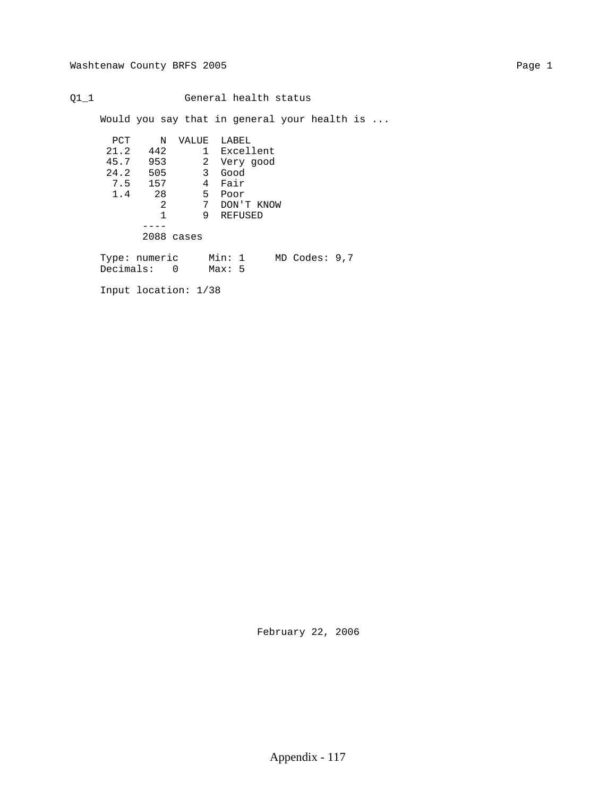Q1\_1 General health status

Would you say that in general your health is ...

| PCT           | N          | VALUE | LABEL                                      |
|---------------|------------|-------|--------------------------------------------|
| 21.2          | 442        | 1     | Excellent                                  |
| 45.7          | 953        | 2     | Very good                                  |
| 24.2          | 505        | 3     | Good                                       |
| 7.5           | 157        | 4     | Fair                                       |
| 1.4           | 28         | 5     | Poor                                       |
|               | 2          | 7     | DON'T KNOW                                 |
|               |            | 9     | REFUSED                                    |
|               |            |       |                                            |
|               | 2088 cases |       |                                            |
| Tyme: numeric |            |       | Min: 1<br>$MD$ $C$ <sub>0</sub> $AC$ : 9 7 |

 Type: numeric Min: 1 MD Codes: 9,7 Decimals: 0 Max: 5

Input location: 1/38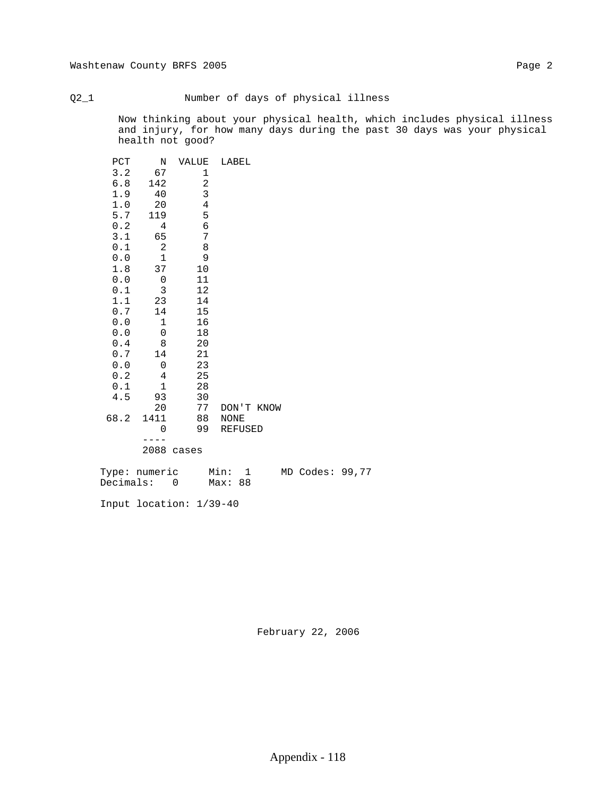#### Q2\_1 Number of days of physical illness

 Now thinking about your physical health, which includes physical illness and injury, for how many days during the past 30 days was your physical health not good?

| PCT<br>3.2<br>6.8<br>1.9<br>$1\,.\,0$<br>5.7<br>0.2<br>3.1<br>0.1<br>0.0<br>1.8<br>0.0<br>0.1<br>1.1<br>0.7<br>0.0<br>0.0<br>0.4<br>0.7<br>0.0<br>0.2<br>0.1 | Ν<br>67<br>142<br>40<br>20<br>119<br>4<br>65<br>$\sqrt{2}$<br>$\mathbf 1$<br>37<br>0<br>$\mathbf{3}$<br>23<br>14<br>1<br>$\mathsf{O}\xspace$<br>8<br>14<br>0<br>$\bf 4$<br>$\mathbf 1$ | VALUE<br>1<br>$\overline{\mathbf{c}}$<br>3<br>$\bf 4$<br>5<br>$\epsilon$<br>7<br>8<br>9<br>10<br>11<br>12<br>14<br>15<br>16<br>18<br>20<br>21<br>23<br>25<br>28 | LABEL          |
|--------------------------------------------------------------------------------------------------------------------------------------------------------------|----------------------------------------------------------------------------------------------------------------------------------------------------------------------------------------|-----------------------------------------------------------------------------------------------------------------------------------------------------------------|----------------|
|                                                                                                                                                              |                                                                                                                                                                                        |                                                                                                                                                                 |                |
| 4.5                                                                                                                                                          | 93                                                                                                                                                                                     | 30                                                                                                                                                              |                |
|                                                                                                                                                              | 20                                                                                                                                                                                     | 77                                                                                                                                                              | DON'T KNOW     |
| 68.2                                                                                                                                                         | 1411                                                                                                                                                                                   | 88                                                                                                                                                              | NONE           |
|                                                                                                                                                              | 0                                                                                                                                                                                      | 99                                                                                                                                                              | <b>REFUSED</b> |
|                                                                                                                                                              | 2088                                                                                                                                                                                   | cases                                                                                                                                                           |                |
|                                                                                                                                                              |                                                                                                                                                                                        |                                                                                                                                                                 |                |

| Type: numeric | Min:    |  | MD Codes: 99,77 |  |
|---------------|---------|--|-----------------|--|
| Decimals:     | Max: 88 |  |                 |  |

Input location: 1/39-40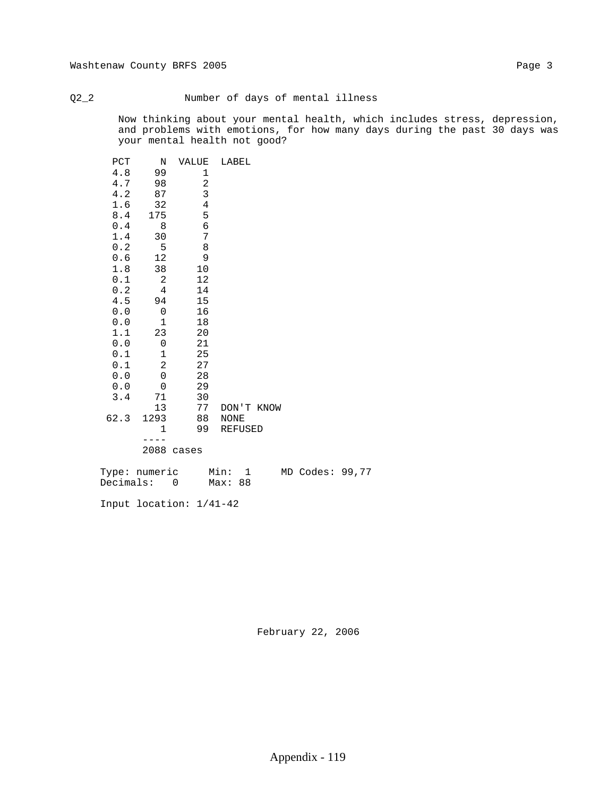#### Q2\_2 Number of days of mental illness

 Now thinking about your mental health, which includes stress, depression, and problems with emotions, for how many days during the past 30 days was your mental health not good?

| PCT<br>4.8<br>4.7<br>4.2<br>1.6<br>8.4<br>0.4<br>1.4<br>0.2<br>0.6<br>1.8<br>0.1<br>0.2<br>4.5<br>0.0<br>0.0<br>1.1<br>0.0<br>0.1<br>0.1<br>0.0<br>0.0<br>3.4<br>62.3 | N<br>99<br>98<br>87<br>32<br>175<br>8<br>30<br>5<br>12<br>38<br>2<br>$\overline{4}$<br>94<br>0<br>1<br>23<br>$\mathbf 0$<br>1<br>$\overline{c}$<br>$\mbox{O}$<br>0<br>71<br>13<br>1293<br>$\mathbf 1$<br>2088 | VALUE<br>1<br>$\sqrt{2}$<br>3<br>$\,4$<br>5<br>6<br>7<br>8<br>9<br>10<br>12<br>14<br>15<br>16<br>18<br>20<br>21<br>25<br>27<br>28<br>29<br>30<br>77<br>88<br>99<br>cases | LABEL<br>DON'T KNOW<br><b>NONE</b><br><b>REFUSED</b> |
|-----------------------------------------------------------------------------------------------------------------------------------------------------------------------|---------------------------------------------------------------------------------------------------------------------------------------------------------------------------------------------------------------|--------------------------------------------------------------------------------------------------------------------------------------------------------------------------|------------------------------------------------------|
|                                                                                                                                                                       |                                                                                                                                                                                                               |                                                                                                                                                                          |                                                      |

| Type: numeric | Min:    |  | MD Codes: 99,77 |  |
|---------------|---------|--|-----------------|--|
| Decimals:     | Max: 88 |  |                 |  |

Input location: 1/41-42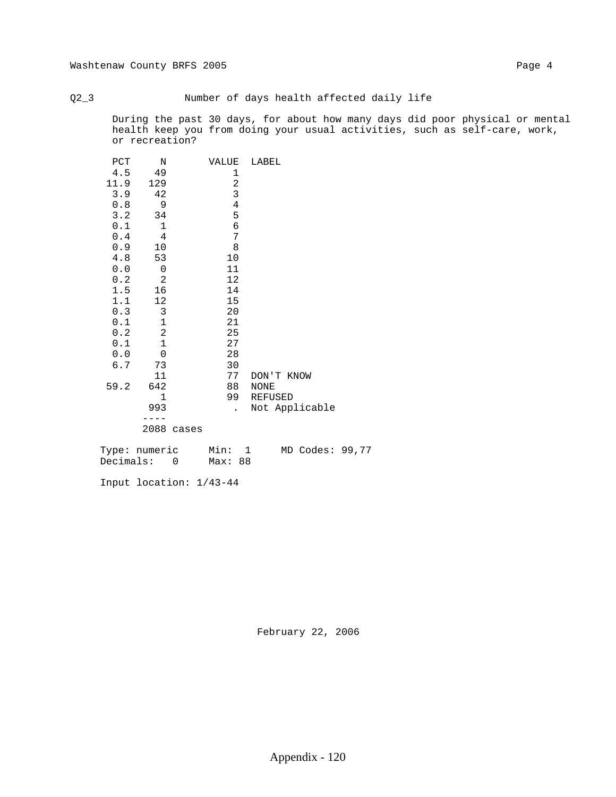Q2\_3 Number of days health affected daily life

 During the past 30 days, for about how many days did poor physical or mental health keep you from doing your usual activities, such as self-care, work, or recreation?

| PCT  | N                        |       | VALUE                   | LABEL          |
|------|--------------------------|-------|-------------------------|----------------|
| 4.5  | 49                       |       | 1                       |                |
| 11.9 | 129                      |       | $\overline{c}$          |                |
| 3.9  | 42                       |       | $\overline{\mathbf{3}}$ |                |
| 0.8  | 9                        |       | $\overline{4}$          |                |
| 3.2  | 34                       |       | 5                       |                |
| 0.1  | 1                        |       | 6                       |                |
| 0.4  | $\overline{4}$           |       | 7                       |                |
| 0.9  | 10                       |       | 8                       |                |
| 4.8  | 53                       |       | $10$                    |                |
| 0.0  | $\overline{\phantom{0}}$ |       | 11                      |                |
| 0.2  | $\overline{c}$           |       | 12                      |                |
| 1.5  | 16                       |       | 14                      |                |
| 1.1  | 12                       |       | 15                      |                |
| 0.3  | $\mathbf{3}$             |       | 20                      |                |
| 0.1  | $\mathbf 1$              |       | 21                      |                |
| 0.2  | $\overline{c}$           |       | 25                      |                |
| 0.1  | $\mathbf{1}$             |       | 27                      |                |
| 0.0  | $\overline{0}$           |       | 28                      |                |
| 6.7  | 73                       |       | 30                      |                |
|      | 11                       |       | 77                      | DON'T KNOW     |
| 59.2 | 642                      |       | 88                      | NONE           |
|      | $\mathbf{1}$             |       | 99                      | REFUSED        |
|      |                          |       |                         |                |
|      | 993                      |       |                         | Not Applicable |
|      |                          |       |                         |                |
|      | 2088                     | cases |                         |                |
|      |                          |       |                         |                |

 Type: numeric Min: 1 MD Codes: 99,77 Decimals: 0 Max: 88

Input location: 1/43-44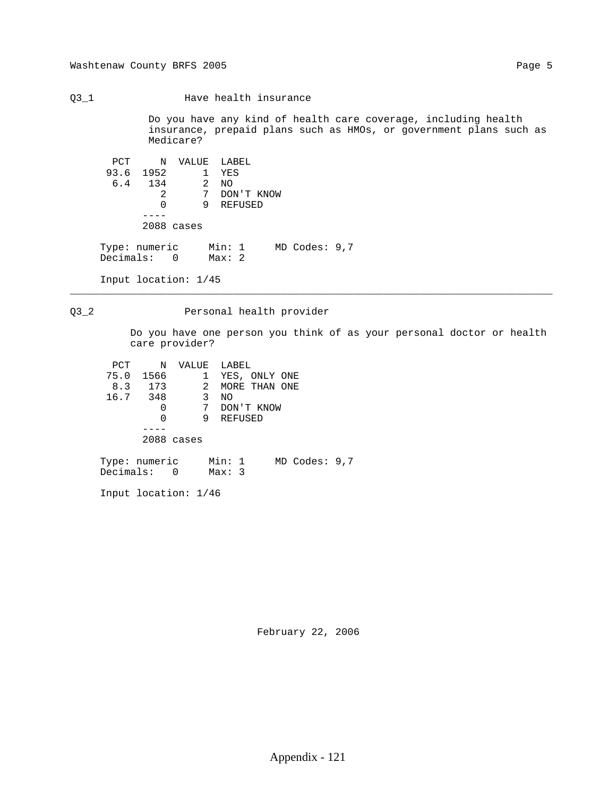Q3\_1 Have health insurance

 Do you have any kind of health care coverage, including health insurance, prepaid plans such as HMOs, or government plans such as Medicare?

 PCT N VALUE LABEL 93.6 1952 1 YES 6.4 134 2 NO 2 7 DON'T KNOW 0 9 REFUSED ---- 2088 cases Type: numeric Min: 1 MD Codes: 9,7 Decimals: 0 Max: 2 Input location: 1/45

#### Q3\_2 Personal health provider

\_\_\_\_\_\_\_\_\_\_\_\_\_\_\_\_\_\_\_\_\_\_\_\_\_\_\_\_\_\_\_\_\_\_\_\_\_\_\_\_\_\_\_\_\_\_\_\_\_\_\_\_\_\_\_\_\_\_\_\_\_\_\_\_\_\_\_\_\_\_\_\_\_\_\_\_\_\_\_\_

 Do you have one person you think of as your personal doctor or health care provider?

| PCT           | $\mathbb N$ |                         |              | VALUE LABEL   |  |                   |  |
|---------------|-------------|-------------------------|--------------|---------------|--|-------------------|--|
| 75.0 1566     |             |                         | $\mathbf{1}$ | YES, ONLY ONE |  |                   |  |
|               | 8.3 173     |                         | 2            | MORE THAN ONE |  |                   |  |
| 16.7 348      |             | $\overline{\mathbf{3}}$ |              | NO            |  |                   |  |
|               | 0           |                         | 7            | DON'T KNOW    |  |                   |  |
|               | 0           |                         | 9            | REFUSED       |  |                   |  |
|               |             |                         |              |               |  |                   |  |
|               | 2088 cases  |                         |              |               |  |                   |  |
|               |             |                         |              |               |  |                   |  |
| Type: numeric |             |                         |              | Min: 1        |  | $MD$ Codes: $9,7$ |  |
| Decimals: 0   |             |                         |              | Max: 3        |  |                   |  |

Input location: 1/46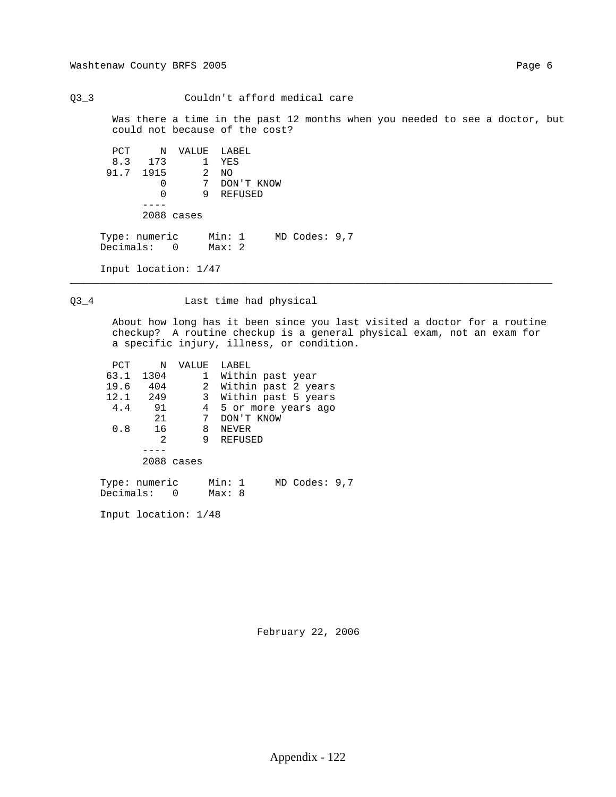Q3\_3 Couldn't afford medical care

 Was there a time in the past 12 months when you needed to see a doctor, but could not because of the cost?

 PCT N VALUE LABEL 8.3 173 1 YES 91.7 1915<br>0 915 2 NO<br>0 7 DON'T KNOW<br>0 9 REFUSED 0 9 REFUSED ---- 2088 cases Type: numeric Min: 1 MD Codes: 9,7 Decimals: 0 Max: 2

Input location: 1/47

Q3\_4 Last time had physical

\_\_\_\_\_\_\_\_\_\_\_\_\_\_\_\_\_\_\_\_\_\_\_\_\_\_\_\_\_\_\_\_\_\_\_\_\_\_\_\_\_\_\_\_\_\_\_\_\_\_\_\_\_\_\_\_\_\_\_\_\_\_\_\_\_\_\_\_\_\_\_\_\_\_\_\_\_\_\_\_

 About how long has it been since you last visited a doctor for a routine checkup? A routine checkup is a general physical exam, not an exam for a specific injury, illness, or condition.

| PCT  | N    | VALUE        | LABEL               |
|------|------|--------------|---------------------|
| 63.1 | 1304 | 1            | Within past year    |
| 19.6 | 404  | 2            | Within past 2 years |
| 12.1 | 249  | 3            | Within past 5 years |
| 4.4  | 91   | 4            | 5 or more years ago |
|      | 21   |              | DON'T KNOW          |
| 0.8  | 16   | 8            | NEVER               |
|      | 2    | 9            | REFUSED             |
|      |      |              |                     |
|      |      | $2088$ cases |                     |
|      |      |              |                     |

 Type: numeric Min: 1 MD Codes: 9,7 Decimals: 0 Max: 8

Input location: 1/48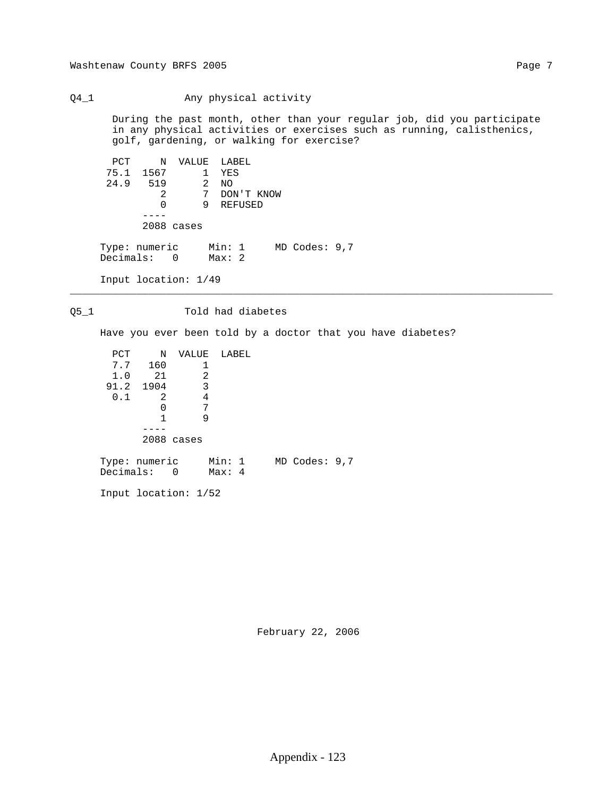Q4\_1 Any physical activity

 During the past month, other than your regular job, did you participate in any physical activities or exercises such as running, calisthenics, golf, gardening, or walking for exercise?

 PCT N VALUE LABEL 75.1 1567 1 YES 24.9 519 2 NO 2 7 DON'T KNOW 0 9 REFUSED ---- 2088 cases Type: numeric Min: 1 MD Codes: 9,7 Decimals: 0 Max: 2 Input location: 1/49

#### Q5\_1 Told had diabetes

Have you ever been told by a doctor that you have diabetes?

\_\_\_\_\_\_\_\_\_\_\_\_\_\_\_\_\_\_\_\_\_\_\_\_\_\_\_\_\_\_\_\_\_\_\_\_\_\_\_\_\_\_\_\_\_\_\_\_\_\_\_\_\_\_\_\_\_\_\_\_\_\_\_\_\_\_\_\_\_\_\_\_\_\_\_\_\_\_\_\_

| PCT                          | Ν          | VALUE | LABEL            |  |                   |  |
|------------------------------|------------|-------|------------------|--|-------------------|--|
| 7.7                          | 160        | 1     |                  |  |                   |  |
| 1.0                          | 21         | 2     |                  |  |                   |  |
| 91.2 1904                    |            | 3     |                  |  |                   |  |
| 0.1                          | 2          | 4     |                  |  |                   |  |
|                              | 0          | 7     |                  |  |                   |  |
|                              |            | 9     |                  |  |                   |  |
|                              |            |       |                  |  |                   |  |
|                              | 2088 cases |       |                  |  |                   |  |
| Type: numeric<br>Decimals: 0 |            |       | Min: 1<br>Max: 4 |  | $MD$ Codes: $9,7$ |  |

Input location: 1/52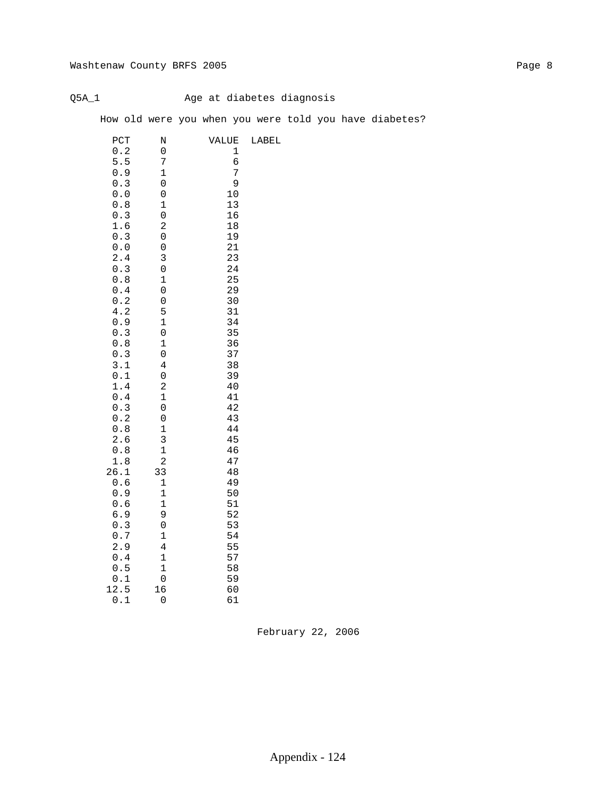### Q5A\_1 Age at diabetes diagnosis

How old were you when you were told you have diabetes?

| PCT        | N                   | VALUE    | LABEL |
|------------|---------------------|----------|-------|
| 0.2        | $\boldsymbol{0}$    | 1        |       |
| 5.5        | 7                   | б        |       |
| 0.9        | $\mathbf 1$         | 7        |       |
| 0.3        | 0                   | 9        |       |
| 0.0        | $\boldsymbol{0}$    | 10       |       |
| 0.8        | $\mathbf 1$         | 13       |       |
| 0.3        | 0                   | 16       |       |
| 1.6        | $\overline{c}$      | 18       |       |
| 0.3        | 0                   | 19       |       |
| 0.0        | 0                   | 21       |       |
| 2.4        | 3                   | 23       |       |
| 0.3        | 0                   | 24       |       |
| 0.8        | $\mathbf 1$         | 25       |       |
| 0.4        | 0                   | 29       |       |
| 0.2        | 0                   | 30       |       |
| 4.2        | 5                   | 31       |       |
| 0.9        | $\mathbf 1$         | 34       |       |
| 0.3        | $\boldsymbol{0}$    | 35       |       |
| 0.8        | $\mathbf 1$         | 36       |       |
| 0.3        | 0                   | 37       |       |
| 3.1        | 4                   | 38       |       |
| 0.1<br>1.4 | 0<br>$\overline{c}$ | 39<br>40 |       |
| 0.4        | $\mathbf 1$         | 41       |       |
| 0.3        | 0                   | 42       |       |
| 0.2        | 0                   | 43       |       |
| 0.8        | $\mathbf 1$         | 44       |       |
| 2.6        | 3                   | 45       |       |
| 0.8        | $\mathbf 1$         | 46       |       |
| 1.8        | $\overline{c}$      | 47       |       |
| 26.1       | 33                  | 48       |       |
| 0.6        | 1                   | 49       |       |
| 0.9        | $\mathbf 1$         | 50       |       |
| 0.6        | $\mathbf 1$         | 51       |       |
| 6.9        | 9                   | 52       |       |
| 0.3        | 0                   | 53       |       |
| 0.7        | $\mathbf 1$         | 54       |       |
| 2.9        | 4                   | 55       |       |
| 0.4        | $\mathbf 1$         | 57       |       |
| 0.5        | $\mathbf 1$         | 58       |       |
| 0.1        | $\pmb{0}$           | 59       |       |
| 12.5       | 16                  | 60       |       |
| 0.1        | 0                   | 61       |       |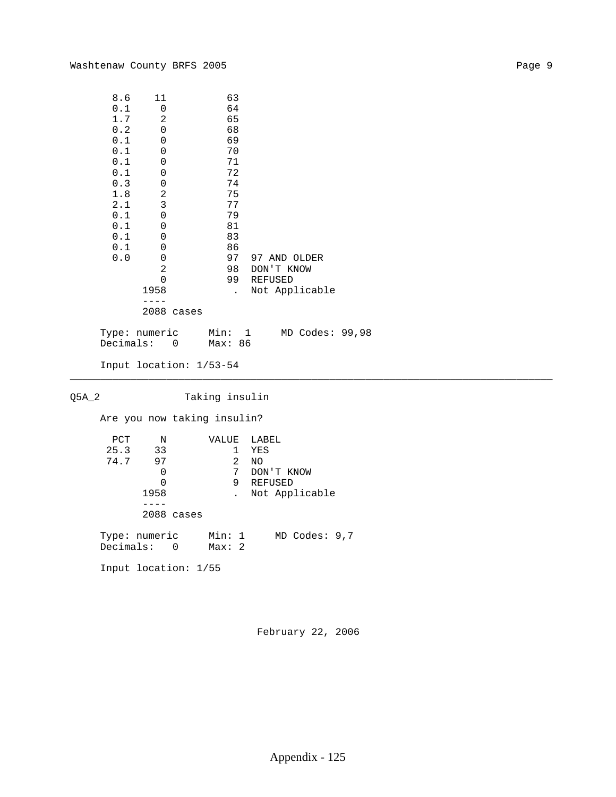| 8.6     | 11   |       | 63                   |                |
|---------|------|-------|----------------------|----------------|
| 0.1     | 0    |       | 64                   |                |
| 1.7     | 2    |       | 65                   |                |
| 0.2     | 0    |       | 68                   |                |
| 0.1     | 0    |       | 69                   |                |
| $0.1\,$ | 0    |       | 70                   |                |
| 0.1     | 0    |       | 71                   |                |
| 0.1     | 0    |       | 72                   |                |
| 0.3     | 0    |       | 74                   |                |
| 1.8     | 2    |       | 75                   |                |
| 2.1     | 3    |       | 77                   |                |
| 0.1     | 0    |       | 79                   |                |
| 0.1     | 0    |       | 81                   |                |
| 0.1     | 0    |       | 83                   |                |
| 0.1     | 0    |       | 86                   |                |
| 0.0     | 0    |       | 97                   | 97 AND OLDER   |
|         | 2    |       | 98                   | DON'T KNOW     |
|         | 0    |       | 99                   | REFUSED        |
|         | 1958 |       | $\ddot{\phantom{a}}$ | Not Applicable |
|         |      |       |                      |                |
|         | 2088 | cases |                      |                |

 Type: numeric Min: 1 MD Codes: 99,98 Decimals: 0 Max: 86

\_\_\_\_\_\_\_\_\_\_\_\_\_\_\_\_\_\_\_\_\_\_\_\_\_\_\_\_\_\_\_\_\_\_\_\_\_\_\_\_\_\_\_\_\_\_\_\_\_\_\_\_\_\_\_\_\_\_\_\_\_\_\_\_\_\_\_\_\_\_\_\_\_\_\_\_\_\_\_\_

Input location: 1/53-54

Q5A\_2 Taking insulin

Are you now taking insulin?

| PCT                          | N       |            | VALUE           |   | LABEL      |                   |  |
|------------------------------|---------|------------|-----------------|---|------------|-------------------|--|
|                              | 25.3 33 |            |                 | 1 | YES        |                   |  |
| 74.7                         | 97      |            |                 | 2 | ΝO         |                   |  |
|                              | 0       |            |                 | 7 | DON'T KNOW |                   |  |
|                              | 0       |            |                 | 9 | REFUSED    |                   |  |
|                              | 1958    |            |                 |   |            | Not Applicable    |  |
|                              |         |            |                 |   |            |                   |  |
|                              |         | 2088 cases |                 |   |            |                   |  |
| Type: numeric<br>Decimals: 0 |         |            | Min: 1<br>Max:2 |   |            | $MD$ Codes: $9,7$ |  |
| Input location: 1/55         |         |            |                 |   |            |                   |  |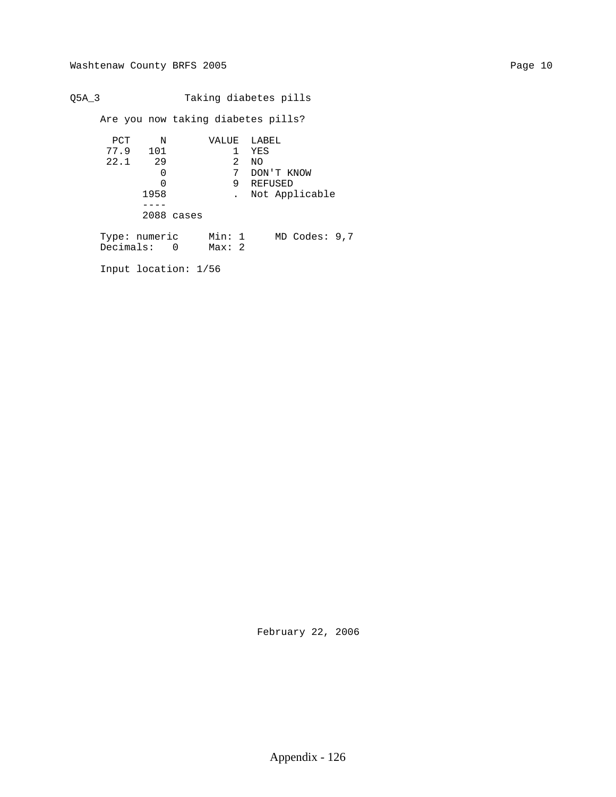Q5A\_3 Taking diabetes pills Are you now taking diabetes pills? PCT N VALUE LABEL 77.9 101 1 YES 22.1 29 2 NO 0 7 DON'T KNOW 0 9 REFUSED 1958 . Not Applicable ---- 2088 cases Type: numeric Min: 1 MD Codes: 9,7 Decimals: 0 Max: 2 Input location: 1/56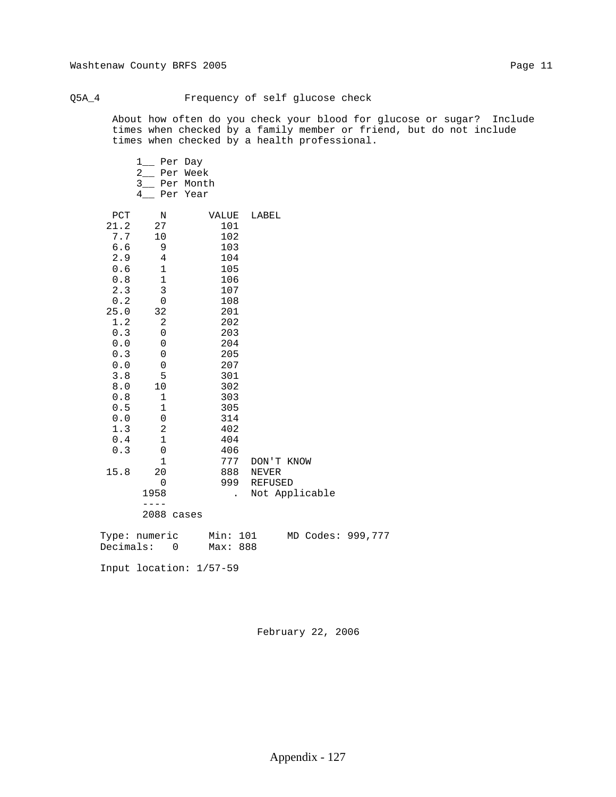#### Q5A\_4 Frequency of self glucose check

 About how often do you check your blood for glucose or sugar? Include times when checked by a family member or friend, but do not include times when checked by a health professional.

|                          | Per Day<br>1<br>$\overline{2}$<br>Per Week<br>$3_{-}$<br>Per Month<br>4<br>Per Year |                      |                   |  |
|--------------------------|-------------------------------------------------------------------------------------|----------------------|-------------------|--|
| PCT<br>21.2<br>7.7       | Ν<br>27                                                                             | VALUE<br>101         | LABEL             |  |
| $6.6$                    | 10<br>9                                                                             | 102<br>103           |                   |  |
| 2.9                      | 4                                                                                   | 104                  |                   |  |
| 0.6                      | $1\,$                                                                               | 105                  |                   |  |
| 0.8                      | $\mathbf 1$                                                                         | 106                  |                   |  |
| 2.3                      | $\mathsf 3$                                                                         | 107                  |                   |  |
| $0.2\,$                  | 0                                                                                   | 108                  |                   |  |
| 25.0                     | 32                                                                                  | 201                  |                   |  |
| 1.2                      | $\sqrt{2}$                                                                          | 202                  |                   |  |
| 0.3                      | 0                                                                                   | 203                  |                   |  |
| 0.0                      | 0                                                                                   | 204                  |                   |  |
| 0.3                      | 0                                                                                   | 205                  |                   |  |
| 0.0                      | 0                                                                                   | 207                  |                   |  |
| 3.8<br>$\bf 8$ . $\bf 0$ | 5<br>10                                                                             | 301<br>302           |                   |  |
| $0.8$                    | $\mathbf 1$                                                                         | 303                  |                   |  |
| $0.5$                    | $\mathbf 1$                                                                         | 305                  |                   |  |
| $0.0$                    | $\mathsf{O}\xspace$                                                                 | 314                  |                   |  |
| 1.3                      | $\sqrt{2}$                                                                          | 402                  |                   |  |
| 0.4                      | $1\,$                                                                               | 404                  |                   |  |
| 0.3                      | 0                                                                                   | 406                  |                   |  |
|                          | 1                                                                                   | 777                  | DON'T KNOW        |  |
| 15.8                     | 20                                                                                  | 888                  | NEVER             |  |
|                          | $\mathbf 0$                                                                         | 999                  | <b>REFUSED</b>    |  |
|                          | 1958                                                                                | $\ddot{\phantom{a}}$ | Not Applicable    |  |
|                          | $ -$                                                                                |                      |                   |  |
|                          | 2088 cases                                                                          |                      |                   |  |
|                          | Type: numeric                                                                       | Min: 101             | MD Codes: 999,777 |  |

Decimals: 0 Max: 888

Input location: 1/57-59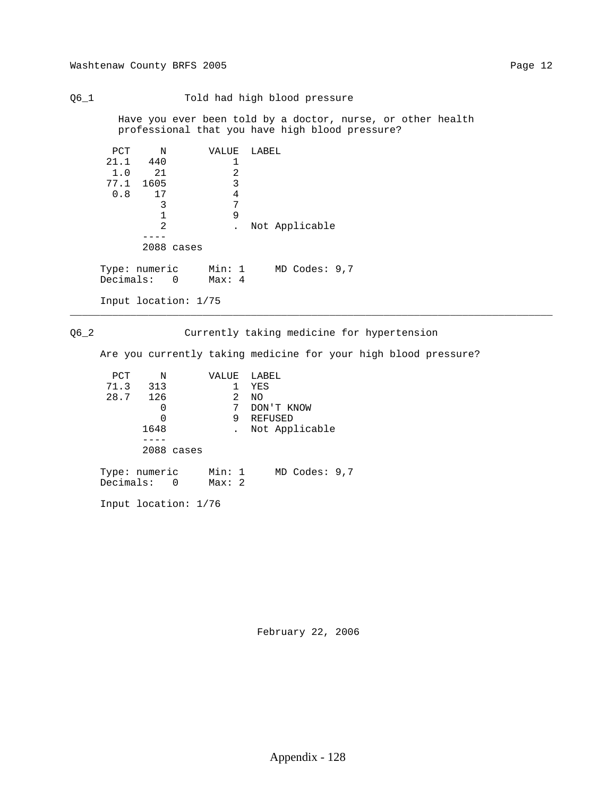Q6\_1 Told had high blood pressure Have you ever been told by a doctor, nurse, or other health professional that you have high blood pressure? PCT N VALUE LABEL<br>21.1 440 1  $21.1$   $440$   $1$ <br> $1.0$   $21$   $2$  $\begin{array}{cccc} 1.0 & 21 & 2 \\ 77.1 & 1605 & 3 \end{array}$  77.1 1605 3  $0.8$  17 4<br>3 7 3 7 1 9 2 . Not Applicable ---- 2088 cases Type: numeric Min: 1 MD Codes: 9,7 Decimals: 0 Max: 4 Input location: 1/75 \_\_\_\_\_\_\_\_\_\_\_\_\_\_\_\_\_\_\_\_\_\_\_\_\_\_\_\_\_\_\_\_\_\_\_\_\_\_\_\_\_\_\_\_\_\_\_\_\_\_\_\_\_\_\_\_\_\_\_\_\_\_\_\_\_\_\_\_\_\_\_\_\_\_\_\_\_\_\_\_ Q6\_2 Currently taking medicine for hypertension Are you currently taking medicine for your high blood pressure? ד<br>דים מאיד ישדד *הז*ד

| PCT.                         | N    |            | VALUE           |   | LABEL          |
|------------------------------|------|------------|-----------------|---|----------------|
| 71.3                         | 313  |            |                 |   | YES            |
| 28.7 126                     |      |            |                 | 2 | NO.            |
|                              | 0    |            |                 | 7 | DON'T KNOW     |
|                              | 0    |            |                 | 9 | REFUSED        |
|                              | 1648 |            |                 |   | Not Applicable |
|                              |      |            |                 |   |                |
|                              |      | 2088 cases |                 |   |                |
| Type: numeric<br>Decimals: 0 |      |            | Min: 1<br>Max:2 |   | MD Codes: 9,7  |
|                              |      |            |                 |   |                |

Input location: 1/76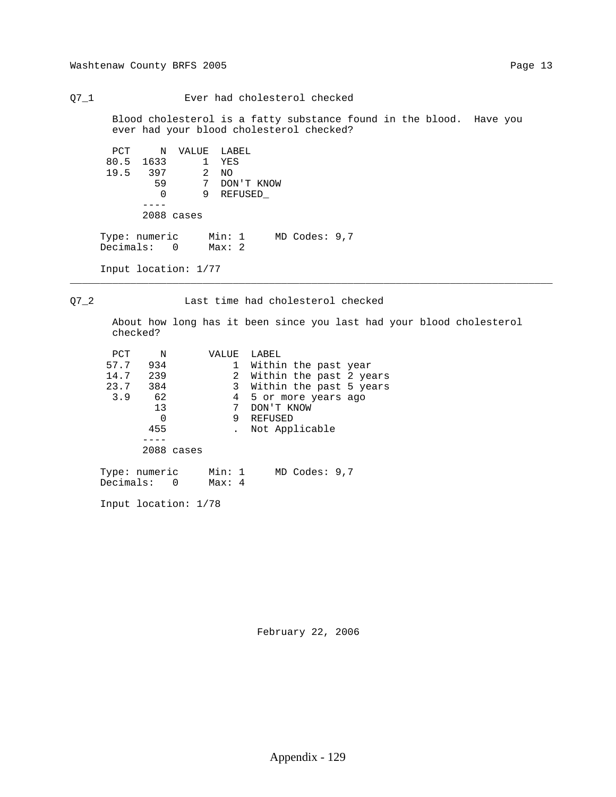Blood cholesterol is a fatty substance found in the blood. Have you ever had your blood cholesterol checked? PCT N VALUE LABEL 80.5 1633 1 YES 19.5 397 2 NO 59 7 DON'T KNOW 0 9 REFUSED\_ ----

2088 cases

 Type: numeric Min: 1 MD Codes: 9,7 Decimals: 0 Max: 2

Q7\_1 Ever had cholesterol checked

Input location: 1/77

Q7\_2 Last time had cholesterol checked

\_\_\_\_\_\_\_\_\_\_\_\_\_\_\_\_\_\_\_\_\_\_\_\_\_\_\_\_\_\_\_\_\_\_\_\_\_\_\_\_\_\_\_\_\_\_\_\_\_\_\_\_\_\_\_\_\_\_\_\_\_\_\_\_\_\_\_\_\_\_\_\_\_\_\_\_\_\_\_\_

 About how long has it been since you last had your blood cholesterol checked?

| PCT           | Ν   |            | VALUE          | LABEL |            |                      |                         |
|---------------|-----|------------|----------------|-------|------------|----------------------|-------------------------|
| 57.7          | 934 |            | 1              |       |            | Within the past year |                         |
| 14.7          | 239 |            | $\overline{2}$ |       |            |                      | Within the past 2 years |
| 23.7          | 384 |            | 3              |       |            |                      | Within the past 5 years |
| 3.9           | 62  |            | 4              |       |            | 5 or more years ago  |                         |
|               | 13  |            | 7              |       | DON'T KNOW |                      |                         |
|               | 0   |            | 9              |       | REFUSED    |                      |                         |
|               | 455 |            |                |       |            | Not Applicable       |                         |
|               |     |            |                |       |            |                      |                         |
|               |     | 2088 cases |                |       |            |                      |                         |
|               |     |            |                |       |            |                      |                         |
| Type: numeric |     |            | Min: 1         |       |            | $MD$ Codes: $9,7$    |                         |
| Decimals: 0   |     |            | Max: 4         |       |            |                      |                         |

Input location: 1/78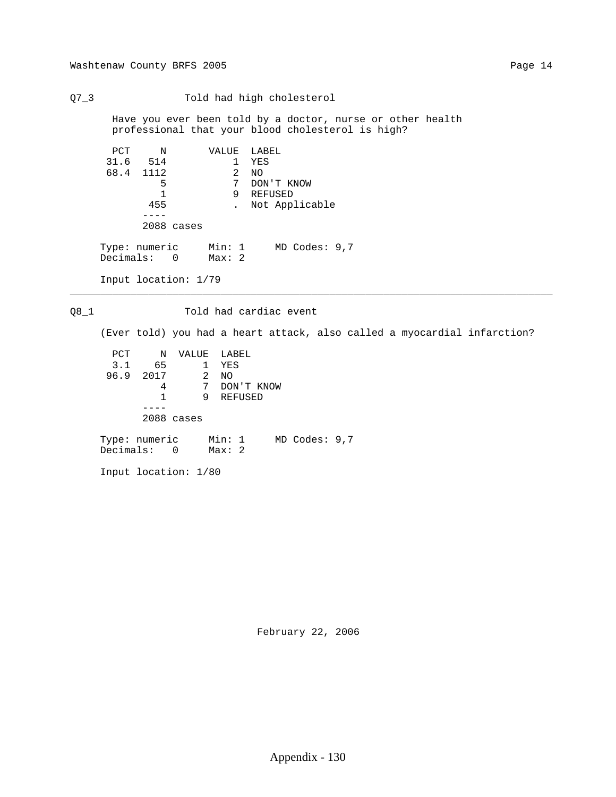Q7\_3 Told had high cholesterol

 Have you ever been told by a doctor, nurse or other health professional that your blood cholesterol is high?

\_\_\_\_\_\_\_\_\_\_\_\_\_\_\_\_\_\_\_\_\_\_\_\_\_\_\_\_\_\_\_\_\_\_\_\_\_\_\_\_\_\_\_\_\_\_\_\_\_\_\_\_\_\_\_\_\_\_\_\_\_\_\_\_\_\_\_\_\_\_\_\_\_\_\_\_\_\_\_\_

| PCT                          | $\mathbf N$ |                      | VALUE           |   | LABEL   |                   |
|------------------------------|-------------|----------------------|-----------------|---|---------|-------------------|
|                              | 31.6 514    |                      |                 | 1 | YES     |                   |
|                              | 68.4 1112   |                      |                 | 2 | NO      |                   |
|                              | 5           |                      |                 | 7 |         | DON'T KNOW        |
|                              | 1           |                      |                 | 9 | REFUSED |                   |
|                              | 455         |                      |                 |   |         | Not Applicable    |
|                              |             |                      |                 |   |         |                   |
|                              |             | 2088 cases           |                 |   |         |                   |
| Type: numeric<br>Decimals: 0 |             |                      | Min: 1<br>Max:2 |   |         | $MD$ Codes: $9,7$ |
|                              |             | Input location: 1/79 |                 |   |         |                   |

Q8\_1 Told had cardiac event

(Ever told) you had a heart attack, also called a myocardial infarction?

 PCT N VALUE LABEL 3.1 65 1 YES 96.9 2017 2 NO 4 7 DON'T KNOW 1 9 REFUSED ---- 2088 cases Type: numeric Min: 1 MD Codes: 9,7 Decimals: 0 Max: 2

Input location: 1/80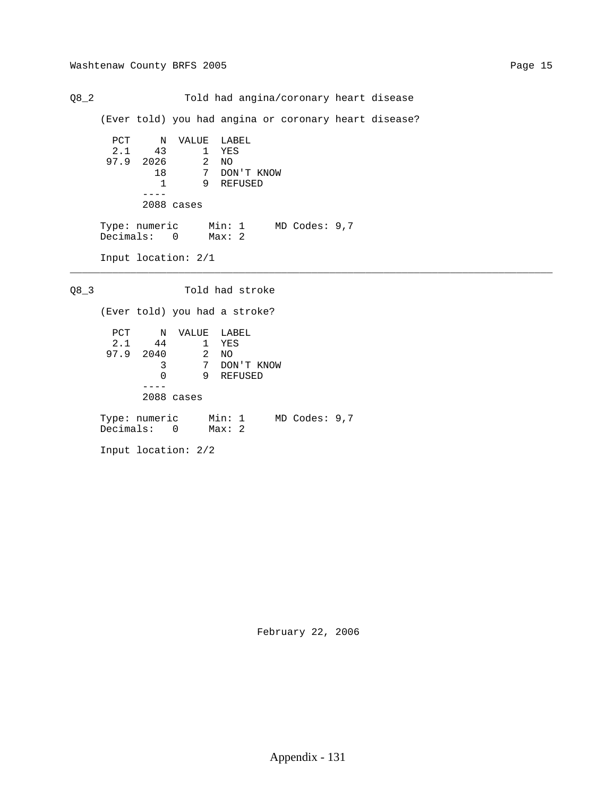Q8\_2 Told had angina/coronary heart disease (Ever told) you had angina or coronary heart disease? PCT N VALUE LABEL 2.1 43 1 YES 97.9 2026 2 NO 18 7 DON'T KNOW 1 9 REFUSED ---- 2088 cases Type: numeric Min: 1 MD Codes: 9,7 Decimals: 0 Max: 2 Input location: 2/1 \_\_\_\_\_\_\_\_\_\_\_\_\_\_\_\_\_\_\_\_\_\_\_\_\_\_\_\_\_\_\_\_\_\_\_\_\_\_\_\_\_\_\_\_\_\_\_\_\_\_\_\_\_\_\_\_\_\_\_\_\_\_\_\_\_\_\_\_\_\_\_\_\_\_\_\_\_\_\_\_ Q8\_3 Told had stroke (Ever told) you had a stroke?

PCT N VALUE LABEL 2.1 44 1 YES 97.9 2040 2 NO 3 7 DON'T KNOW 0 9 REFUSED ---- 2088 cases Type: numeric Min: 1 MD Codes: 9,7 Decimals: 0 Max: 2

Input location: 2/2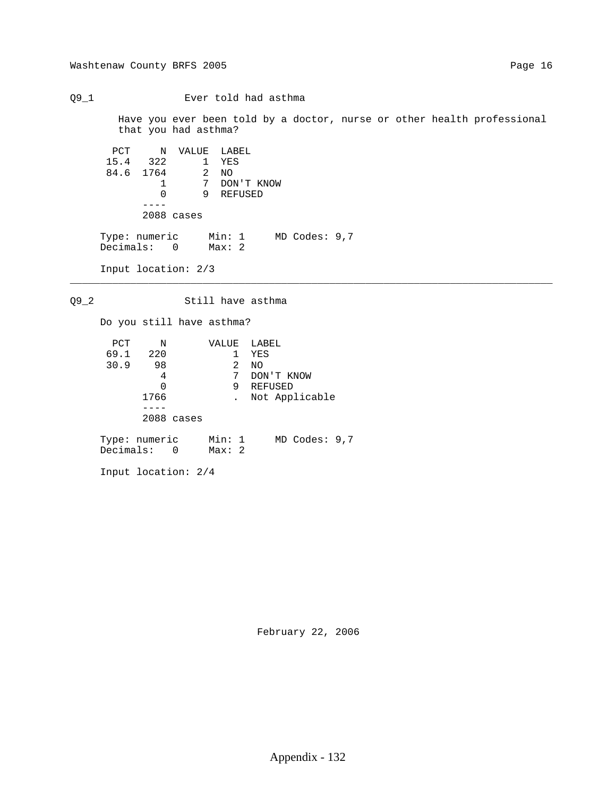Q9\_1 Ever told had asthma

 Have you ever been told by a doctor, nurse or other health professional that you had asthma?

```
 PCT N VALUE LABEL
 15.4 322 1 YES
 84.6 1764 2 NO
 1 7 DON'T KNOW
 0 9 REFUSED
 ----
          2088 cases
 Type: numeric Min: 1 MD Codes: 9,7
 Decimals: 0 Max: 2
```
Input location: 2/3

Q9\_2 Still have asthma

\_\_\_\_\_\_\_\_\_\_\_\_\_\_\_\_\_\_\_\_\_\_\_\_\_\_\_\_\_\_\_\_\_\_\_\_\_\_\_\_\_\_\_\_\_\_\_\_\_\_\_\_\_\_\_\_\_\_\_\_\_\_\_\_\_\_\_\_\_\_\_\_\_\_\_\_\_\_\_\_

Do you still have asthma?

| PCT                          | N          | VALUE           | LABEL             |
|------------------------------|------------|-----------------|-------------------|
| 69.1                         | 220        |                 | YES               |
| 30.9                         | 98         | 2               | NO.               |
|                              | 4          | 7               | DON'T KNOW        |
|                              | 0          | 9               | REFUSED           |
|                              | 1766       |                 | Not Applicable    |
|                              |            |                 |                   |
|                              | 2088 cases |                 |                   |
| Type: numeric<br>Decimals: 0 |            | Min: 1<br>Max:2 | $MD$ Codes: $9,7$ |

Input location: 2/4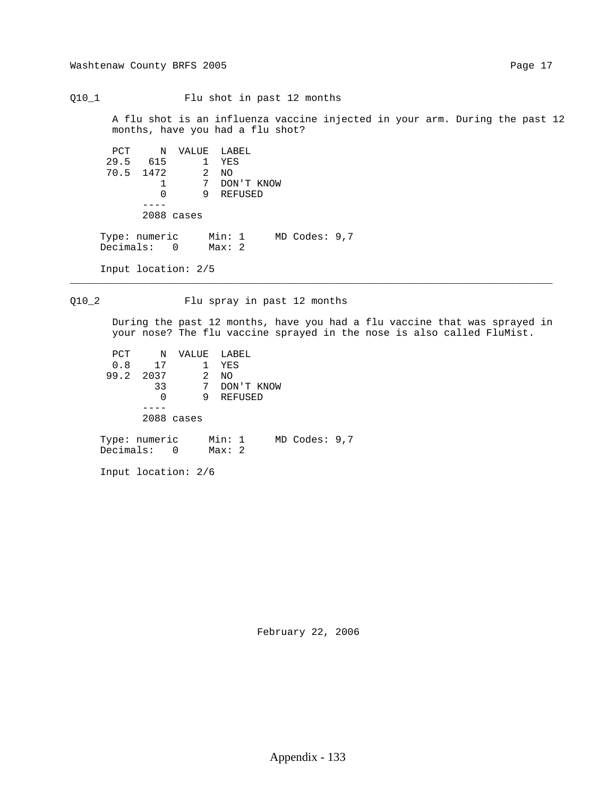Q10\_1 Flu shot in past 12 months

 A flu shot is an influenza vaccine injected in your arm. During the past 12 months, have you had a flu shot?

 PCT N VALUE LABEL 29.5 615 1 YES 70.5 1472<br>1 172 2 NO<br>1 7 DON'T KNOW<br>0 9 REFUSED 0 9 REFUSED ---- 2088 cases Type: numeric Min: 1 MD Codes: 9,7

Input location: 2/5

Decimals: 0 Max: 2

Q10\_2 Flu spray in past 12 months

\_\_\_\_\_\_\_\_\_\_\_\_\_\_\_\_\_\_\_\_\_\_\_\_\_\_\_\_\_\_\_\_\_\_\_\_\_\_\_\_\_\_\_\_\_\_\_\_\_\_\_\_\_\_\_\_\_\_\_\_\_\_\_\_\_\_\_\_\_\_\_\_\_\_\_\_\_\_\_\_

 During the past 12 months, have you had a flu vaccine that was sprayed in your nose? The flu vaccine sprayed in the nose is also called FluMist.

 PCT N VALUE LABEL 0.8 17 1 YES 99.2 2037 2 NO 33 7 DON'T KNOW 0 9 REFUSED ---- 2088 cases Type: numeric Min: 1 MD Codes: 9,7 Decimals: 0 Max: 2

Input location: 2/6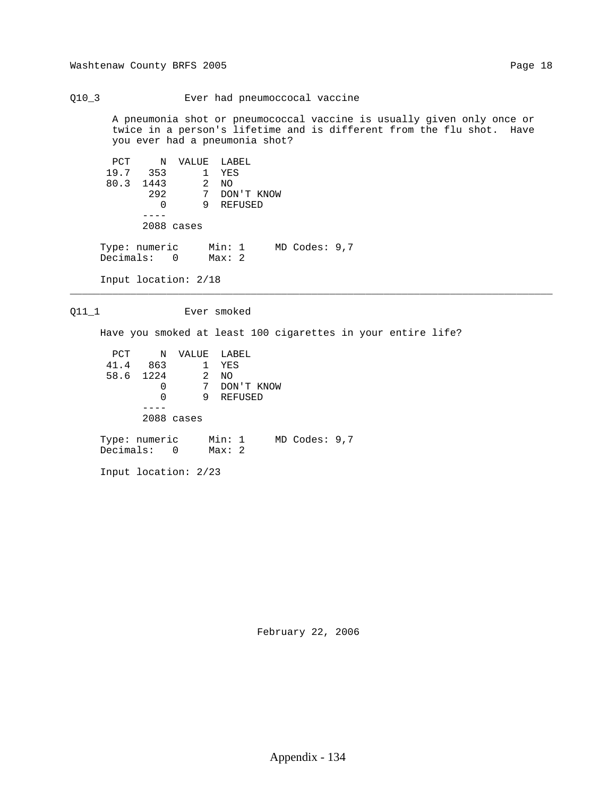Q10\_3 Ever had pneumoccocal vaccine

 A pneumonia shot or pneumococcal vaccine is usually given only once or twice in a person's lifetime and is different from the flu shot. Have you ever had a pneumonia shot?

 PCT N VALUE LABEL 19.7 353 1 YES 80.3 1443 2 NO 292 7 DON'T KNOW 0 9 REFUSED ---- 2088 cases Type: numeric Min: 1 MD Codes: 9,7 Decimals: 0 Max: 2 Input location: 2/18

Q11\_1 Ever smoked

Have you smoked at least 100 cigarettes in your entire life?

\_\_\_\_\_\_\_\_\_\_\_\_\_\_\_\_\_\_\_\_\_\_\_\_\_\_\_\_\_\_\_\_\_\_\_\_\_\_\_\_\_\_\_\_\_\_\_\_\_\_\_\_\_\_\_\_\_\_\_\_\_\_\_\_\_\_\_\_\_\_\_\_\_\_\_\_\_\_\_\_

 PCT N VALUE LABEL 41.4 863 1 YES 58.6 1224 2 NO 0 7 DON'T KNOW 0 9 REFUSED ---- 2088 cases Type: numeric Min: 1 MD Codes: 9,7 Decimals: 0 Max: 2

Input location: 2/23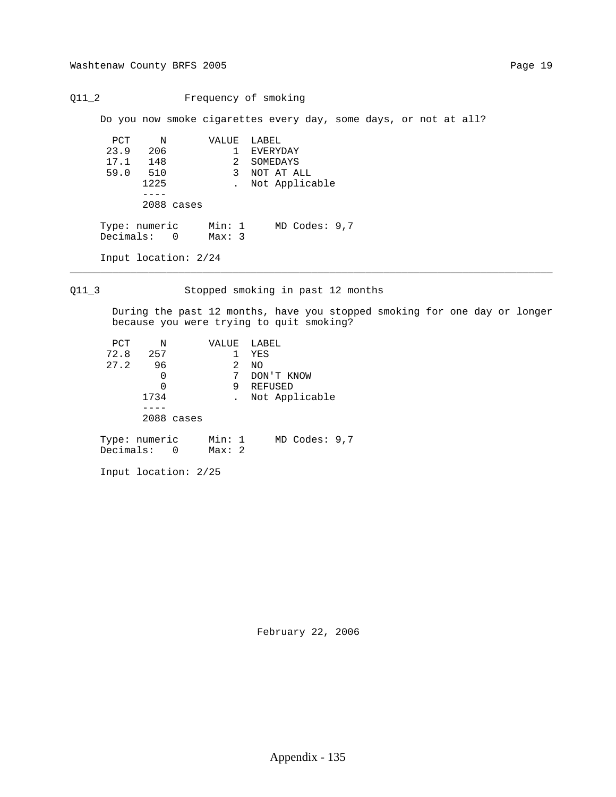Q11\_2 Frequency of smoking

Do you now smoke cigarettes every day, some days, or not at all?

 PCT N VALUE LABEL 23.9 206 1 EVERYDAY 17.1 148 2 SOMEDAYS 59.0 510 3 NOT AT ALL 1225 . Not Applicable  $----$  2088 cases Type: numeric Min: 1 MD Codes: 9,7 Decimals: 0 Max: 3

 Input location: 2/24 \_\_\_\_\_\_\_\_\_\_\_\_\_\_\_\_\_\_\_\_\_\_\_\_\_\_\_\_\_\_\_\_\_\_\_\_\_\_\_\_\_\_\_\_\_\_\_\_\_\_\_\_\_\_\_\_\_\_\_\_\_\_\_\_\_\_\_\_\_\_\_\_\_\_\_\_\_\_\_\_

Q11\_3 Stopped smoking in past 12 months

 During the past 12 months, have you stopped smoking for one day or longer because you were trying to quit smoking?

| PCT                          | N    |            | VALUE           |   | LABEL      |                   |  |
|------------------------------|------|------------|-----------------|---|------------|-------------------|--|
| 72.8                         | 257  |            |                 |   | YES        |                   |  |
| 27.2                         | 96   |            |                 | 2 | NO.        |                   |  |
|                              | 0    |            |                 | 7 | DON'T KNOW |                   |  |
|                              | 0    |            |                 | 9 | REFUSED    |                   |  |
|                              | 1734 |            |                 |   |            | Not Applicable    |  |
|                              |      |            |                 |   |            |                   |  |
|                              |      | 2088 cases |                 |   |            |                   |  |
| Type: numeric<br>Decimals: 0 |      |            | Min: 1<br>Max:2 |   |            | $MD$ Codes: $9,7$ |  |

Input location: 2/25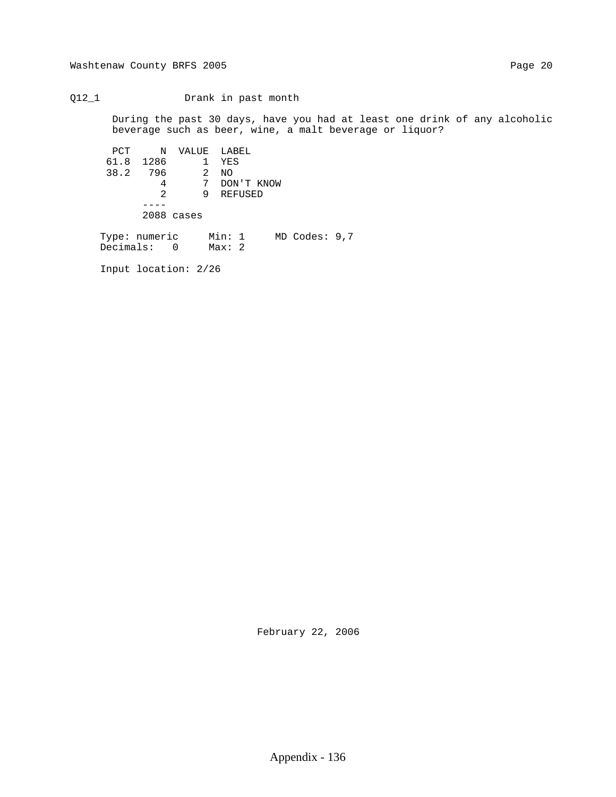### Q12\_1 Drank in past month

 During the past 30 days, have you had at least one drink of any alcoholic beverage such as beer, wine, a malt beverage or liquor?

 PCT N VALUE LABEL 61.8 1286 1 YES 38.2 796 2 NO 4 7 DON'T KNOW 2 9 REFUSED ---- 2088 cases Type: numeric Min: 1 MD Codes: 9,7 Decimals: 0 Max: 2

Input location: 2/26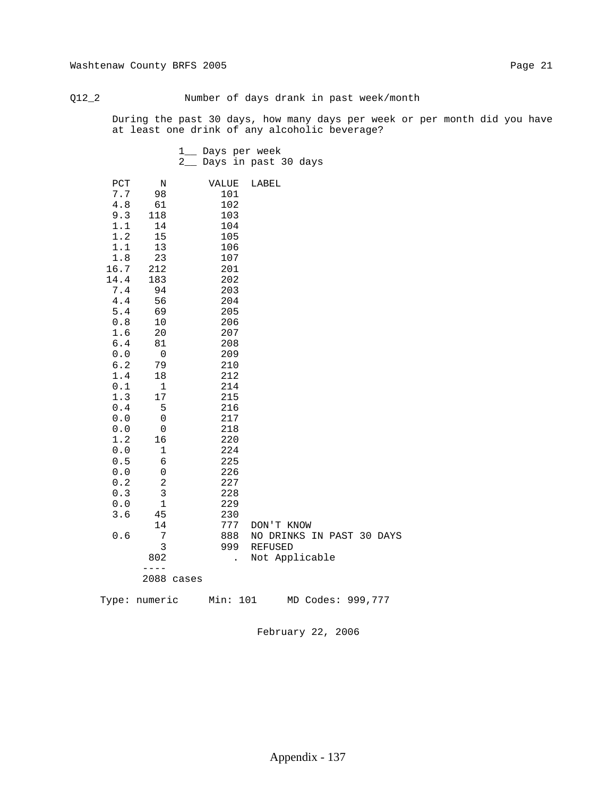# Q12\_2 Number of days drank in past week/month

 During the past 30 days, how many days per week or per month did you have beverage?

|                       | at least one drink of any alcoholic beverage? |                         |            |                           |  |  |
|-----------------------|-----------------------------------------------|-------------------------|------------|---------------------------|--|--|
|                       |                                               | 1__ Days per week       |            |                           |  |  |
|                       |                                               | 2_ Days in past 30 days |            |                           |  |  |
| PCT                   | $\mathbf N$                                   | VALUE                   | LABEL      |                           |  |  |
| 7.7                   | 98                                            | 101                     |            |                           |  |  |
| 4.8                   | 61                                            | 102                     |            |                           |  |  |
| 9.3                   | 118                                           | 103                     |            |                           |  |  |
| 1.1                   | 14                                            | 104                     |            |                           |  |  |
| 1.2                   | 15                                            | 105                     |            |                           |  |  |
| 1.1                   | 13                                            | 106                     |            |                           |  |  |
| 1.8                   | 23                                            | 107                     |            |                           |  |  |
| 16.7                  | 212                                           | 201                     |            |                           |  |  |
| 14.4                  | 183                                           | 202                     |            |                           |  |  |
| 7.4                   | 94                                            | 203                     |            |                           |  |  |
| 4.4                   | 56                                            | 204                     |            |                           |  |  |
| 5.4                   | 69                                            | 205                     |            |                           |  |  |
| 0.8                   | 10                                            | 206                     |            |                           |  |  |
| 1.6                   | 20                                            | 207                     |            |                           |  |  |
| $6.4$                 | 81                                            | 208                     |            |                           |  |  |
| 0.0                   | $\overline{0}$                                | 209                     |            |                           |  |  |
| 6.2                   | 79                                            | 210                     |            |                           |  |  |
| 1.4                   | 18                                            | 212                     |            |                           |  |  |
| $0.1\,$               | $\mathbf{1}$                                  | 214                     |            |                           |  |  |
| 1.3                   | $17$                                          | 215                     |            |                           |  |  |
| 0.4                   | 5                                             | 216                     |            |                           |  |  |
| $0.0$                 | 0                                             | 217                     |            |                           |  |  |
| ${\bf 0}$ . ${\bf 0}$ | $\mathsf 0$                                   | 218                     |            |                           |  |  |
| 1.2                   | 16                                            | 220                     |            |                           |  |  |
| $0.0$                 | $\mathbf 1$                                   | 224                     |            |                           |  |  |
| 0.5                   | 6                                             | 225                     |            |                           |  |  |
| 0.0                   | 0                                             | 226                     |            |                           |  |  |
| $0.2\,$               | $\overline{c}$                                | 227                     |            |                           |  |  |
| 0.3                   | $\mathsf 3$                                   | 228                     |            |                           |  |  |
| 0.0                   | $1\,$                                         | 229                     |            |                           |  |  |
| 3.6                   | 45                                            | 230                     |            |                           |  |  |
|                       | 14                                            | 777                     | DON'T KNOW |                           |  |  |
| $0.6$                 | 7                                             | 888                     |            | NO DRINKS IN PAST 30 DAYS |  |  |
|                       | 3                                             | 999                     | REFUSED    |                           |  |  |
|                       | 802<br>$- - - -$                              | $\sim$                  |            | Not Applicable            |  |  |
|                       | 2088 cases                                    |                         |            |                           |  |  |
|                       |                                               |                         |            |                           |  |  |
|                       | Type: numeric                                 | Min: 101                |            | MD Codes: 999,777         |  |  |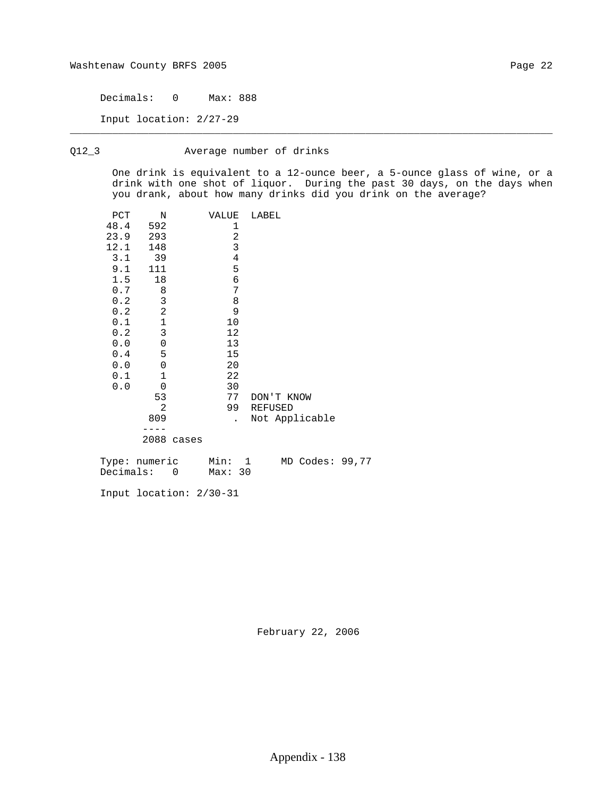Decimals: 0 Max: 888

Input location: 2/27-29

## Q12\_3 Average number of drinks

 One drink is equivalent to a 12-ounce beer, a 5-ounce glass of wine, or a drink with one shot of liquor. During the past 30 days, on the days when you drank, about how many drinks did you drink on the average?

\_\_\_\_\_\_\_\_\_\_\_\_\_\_\_\_\_\_\_\_\_\_\_\_\_\_\_\_\_\_\_\_\_\_\_\_\_\_\_\_\_\_\_\_\_\_\_\_\_\_\_\_\_\_\_\_\_\_\_\_\_\_\_\_\_\_\_\_\_\_\_\_\_\_\_\_\_\_\_\_

| PCT  | Ν              |       | VALUE                | LABEL          |
|------|----------------|-------|----------------------|----------------|
| 48.4 | 592            |       | 1                    |                |
| 23.9 | 293            |       | 2                    |                |
| 12.1 | 148            |       | 3                    |                |
| 3.1  | -39            |       | 4                    |                |
| 9.1  | 111            |       | 5                    |                |
| 1.5  | 18             |       | 6                    |                |
| 0.7  | 8              |       | 7                    |                |
| 0.2  | 3              |       | 8                    |                |
| 0.2  | $\overline{a}$ |       | 9                    |                |
| 0.1  | $\mathbf 1$    |       | 10                   |                |
| 0.2  | 3              |       | 12                   |                |
| 0.0  | $\mathbf 0$    |       | 13                   |                |
| 0.4  | 5              |       | 15                   |                |
| 0.0  | $\mathbf 0$    |       | 20                   |                |
| 0.1  | 1              |       | 22                   |                |
| 0.0  | $\overline{0}$ |       | 30                   |                |
|      | 53             |       | 77                   | DON'T KNOW     |
|      | $\overline{2}$ |       | 99                   | <b>REFUSED</b> |
|      | 809            |       | $\ddot{\phantom{0}}$ | Not Applicable |
|      |                |       |                      |                |
|      | 2088           | cases |                      |                |

| Type: numeric | Min:    |  | MD Codes: 99,77 |  |
|---------------|---------|--|-----------------|--|
| Decimals:     | Max: 30 |  |                 |  |

Input location: 2/30-31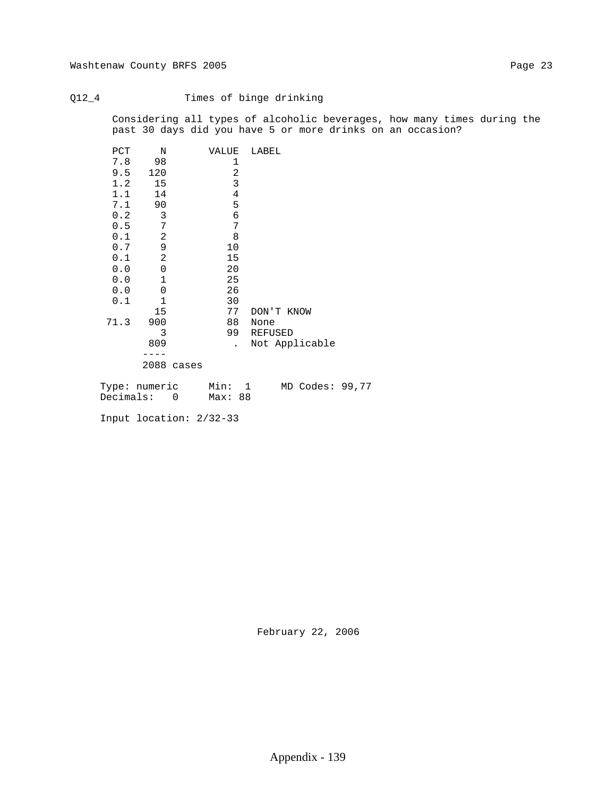# Q12\_4 Times of binge drinking

 Considering all types of alcoholic beverages, how many times during the past 30 days did you have 5 or more drinks on an occasion?

| PCT | Ν              |            | VALUE           |                | LABEL      |                 |  |
|-----|----------------|------------|-----------------|----------------|------------|-----------------|--|
| 7.8 | 98             |            |                 | 1              |            |                 |  |
| 9.5 | 120            |            |                 | $\overline{c}$ |            |                 |  |
| 1.2 | 15             |            |                 | 3              |            |                 |  |
| 1.1 | 14             |            |                 | $\sqrt{4}$     |            |                 |  |
| 7.1 | 90             |            |                 | 5              |            |                 |  |
| 0.2 | 3              |            |                 | б              |            |                 |  |
| 0.5 | 7              |            |                 | 7              |            |                 |  |
| 0.1 | $\overline{c}$ |            | 8               |                |            |                 |  |
| 0.7 | 9              |            | 10              |                |            |                 |  |
| 0.1 | $\overline{c}$ |            | 15              |                |            |                 |  |
| 0.0 | $\mathsf 0$    |            | 20              |                |            |                 |  |
| 0.0 | $1\,$          |            | 25              |                |            |                 |  |
| 0.0 | 0              |            | 26              |                |            |                 |  |
| 0.1 | $\mathbf{1}$   |            | 30              |                |            |                 |  |
|     | 15             |            | 77              |                | DON'T KNOW |                 |  |
|     | 71.3 900       |            | 88              |                | None       |                 |  |
|     | 3              |            | 99              |                | REFUSED    |                 |  |
|     | 809            |            |                 |                |            | Not Applicable  |  |
|     |                |            |                 |                |            |                 |  |
|     |                | 2088 cases |                 |                |            |                 |  |
|     | Type: numeric  |            |                 | $\overline{1}$ |            | MD Codes: 99,77 |  |
|     | Decimals:      | 0          | Min:<br>Max: 88 |                |            |                 |  |
|     |                |            |                 |                |            |                 |  |

Input location: 2/32-33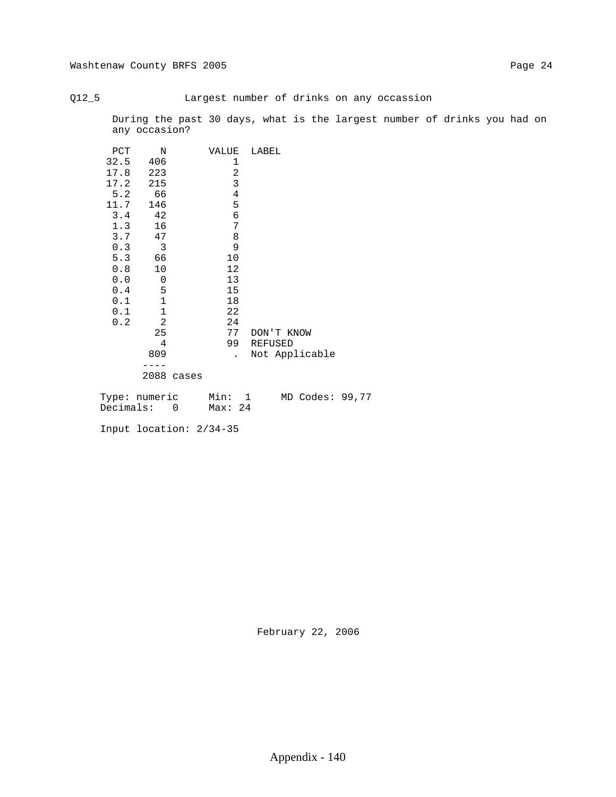## Q12\_5 Largest number of drinks on any occassion

 During the past 30 days, what is the largest number of drinks you had on any occasion?

| PCT | $\mathbb N$                          |            | VALUE |                | LABEL |            |                |  |
|-----|--------------------------------------|------------|-------|----------------|-------|------------|----------------|--|
|     | 32.5 406                             |            |       | 1              |       |            |                |  |
|     | 17.8 223                             |            |       | $\sqrt{2}$     |       |            |                |  |
|     | 17.2 215                             |            |       | $\mathbf{3}$   |       |            |                |  |
|     | 5.2 66                               |            |       | $\overline{4}$ |       |            |                |  |
|     | 11.7 146                             |            |       | 5              |       |            |                |  |
|     | $3.4$ 42                             |            |       | $\epsilon$     |       |            |                |  |
| 1.3 | 16                                   |            |       | 7              |       |            |                |  |
|     | $3.7$ 47                             |            |       | $\,8\,$        |       |            |                |  |
| 0.3 | $\overline{\mathbf{3}}$              |            |       | 9              |       |            |                |  |
|     | 5.3 66                               |            | 10    |                |       |            |                |  |
| 0.8 | 10                                   |            | 12    |                |       |            |                |  |
|     | 0.0 0                                |            | 13    |                |       |            |                |  |
|     | 5<br>0.4                             |            | 15    |                |       |            |                |  |
|     | $\mathbf{1}$<br>0.1                  |            | 18    |                |       |            |                |  |
| 0.1 | $\mathbf 1$                          |            | 22    |                |       |            |                |  |
| 0.2 | $\overline{2}$                       |            | 24    |                |       |            |                |  |
|     | 25                                   |            |       | 77             |       | DON'T KNOW |                |  |
|     | 4                                    |            |       |                |       | 99 REFUSED |                |  |
|     | 809                                  |            |       | $\mathbf{L}$   |       |            | Not Applicable |  |
|     |                                      |            |       |                |       |            |                |  |
|     |                                      | 2088 cases |       |                |       |            |                |  |
|     | Type: numeric Min: 1 MD Codes: 99,77 |            |       |                |       |            |                |  |
|     | Decimals: 0 Max: 24                  |            |       |                |       |            |                |  |
|     | Input location: 2/34-35              |            |       |                |       |            |                |  |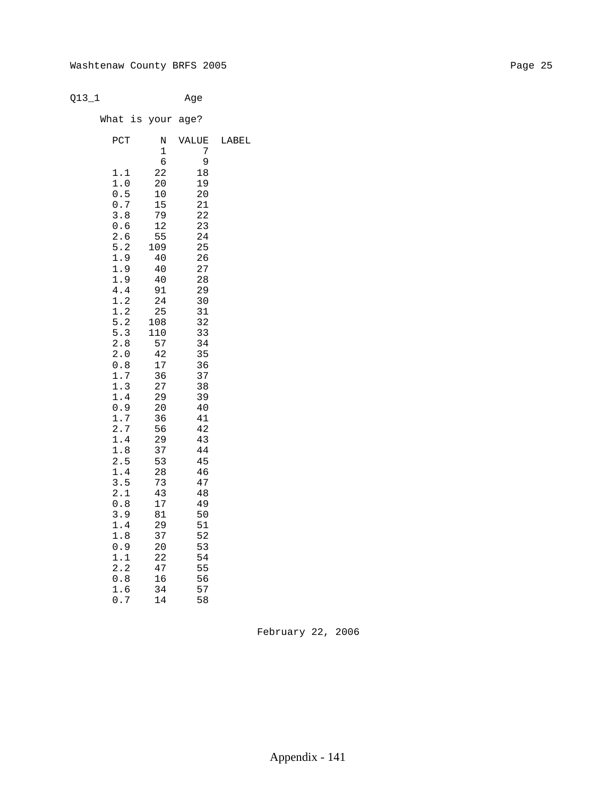Q13\_1 Age

What is your age?

| PCT        | Ν   | VALUE | LABEL |
|------------|-----|-------|-------|
|            | 1   | 7     |       |
|            | б   | 9     |       |
| 1.1        | 22  | 18    |       |
| 1.0        | 20  | 19    |       |
| 0.5        | 10  | 20    |       |
| 0.7        | 15  | 21    |       |
| 3.8        | 79  | 22    |       |
| 0.6        | 12  | 23    |       |
| 2.6        | 55  | 24    |       |
| 5.2        | 109 | 25    |       |
| 1.9        | 40  | 26    |       |
| 1.9        | 40  | 27    |       |
| 1.9        | 40  | 28    |       |
| 4.4        | 91  | 29    |       |
| 1.2        | 24  | 30    |       |
| 1.2        | 25  | 31    |       |
| 5.2        | 108 | 32    |       |
| 5.3        | 110 | 33    |       |
| 2.8        | 57  | 34    |       |
| 2.0        | 42  | 35    |       |
| 0.8        | 17  | 36    |       |
| 1.7        | 36  | 37    |       |
| 1.3        | 27  | 38    |       |
| 1.4        | 29  | 39    |       |
| 0.9        | 20  | 40    |       |
| 1.7        | 36  | 41    |       |
| 2.7        | 56  | 42    |       |
| 1.4        | 29  | 43    |       |
| 1.8        | 37  | 44    |       |
| 2.5        | 53  | 45    |       |
| 1.4        | 28  | 46    |       |
| 3.5        | 73  | 47    |       |
| 2.1        | 43  | 48    |       |
| 0.8        | 17  | 49    |       |
| 3.9        | 81  | 50    |       |
| 1.4        | 29  | 51    |       |
| 1.8        | 37  | 52    |       |
| 0.9        | 20  | 53    |       |
| 1.1<br>2.2 | 22  | 54    |       |
|            | 47  | 55    |       |
| 0.8        | 16  | 56    |       |
| 1.6        | 34  | 57    |       |
| 0.7        | 14  | 58    |       |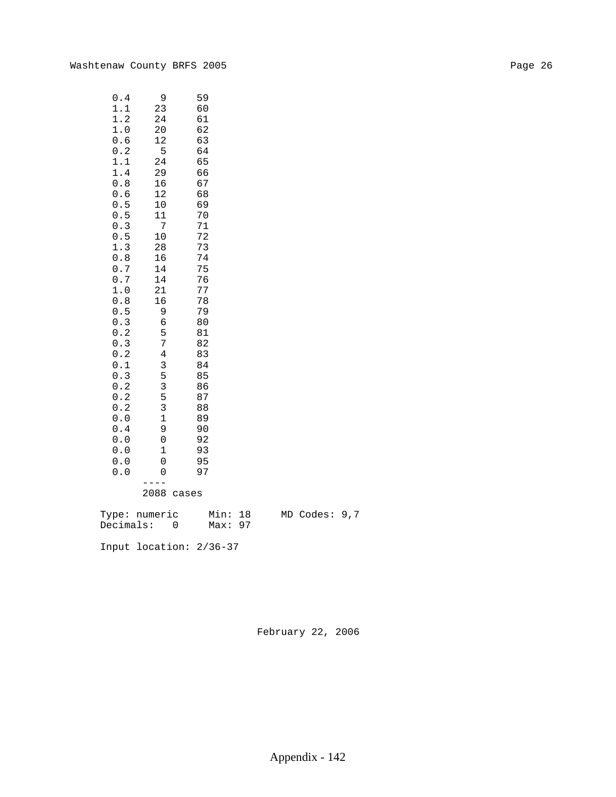| 0.4              | 9                | 59                        |  |               |  |
|------------------|------------------|---------------------------|--|---------------|--|
| 1.1              | 23               | 60                        |  |               |  |
| 1.2              | 24               | 61                        |  |               |  |
| $1\,.$ $0\,$     | $20$             | 62                        |  |               |  |
| $0.6$            | 12               | 63                        |  |               |  |
| $0\,.2$          | 5                | 64                        |  |               |  |
| $1.1\,$          | 24               | 65                        |  |               |  |
| 1.4              | 29               | 66                        |  |               |  |
| $0.8$            | 16               | 67                        |  |               |  |
| 0.6              | 12               | 68                        |  |               |  |
| $0.5$            | 10               | 69                        |  |               |  |
| 0.5              | 11               | 70                        |  |               |  |
| $0.3$            | $\boldsymbol{7}$ | 71                        |  |               |  |
| $0.5$            | $10$             | 72                        |  |               |  |
| 1.3              | 28               | 73                        |  |               |  |
| $0.8\,$          | 16               | 74                        |  |               |  |
| $0\,.7$          | 14               | 75                        |  |               |  |
| $0\,.7$          | 14               | 76                        |  |               |  |
| $1\,.\,0$        | 21               | 77                        |  |               |  |
| $0.8$            | 16               | 78                        |  |               |  |
| $0.5\,$          | $\mathsf 9$      | 79                        |  |               |  |
| $0.3$            | 6                | 80                        |  |               |  |
| 0.2              | 5                | 81                        |  |               |  |
| 0.3              | 7                | 82                        |  |               |  |
| 0.2              | $\bf 4$          | 83                        |  |               |  |
| $0.1\,$          | $\mathsf 3$      | 84                        |  |               |  |
| 0.3              | 5                | 85                        |  |               |  |
| $0\,.2$          | $\mathsf{3}$     | 86                        |  |               |  |
| $0.2$            | 5                | 87                        |  |               |  |
| $0.2\,$          | $\mathbf{3}$     | 88                        |  |               |  |
| $0.0$            | $\mathbf 1$      | 89                        |  |               |  |
| 0.4              | 9                | 90                        |  |               |  |
| $0.0$            | $\mathbf 0$      | 92                        |  |               |  |
| $0.0$            | $1\,$            | 93                        |  |               |  |
| $0.0$            | $\mathbf 0$      | 95                        |  |               |  |
| 0.0              | 0                | 97                        |  |               |  |
|                  | 2088 cases       |                           |  |               |  |
| Type: numeric    |                  | Min: 18                   |  | MD Codes: 9,7 |  |
| $Domain: \Omega$ |                  | $M \cap \mathbf{v}$ : 0.7 |  |               |  |

Decimals: 0 Max: 97

Input location: 2/36-37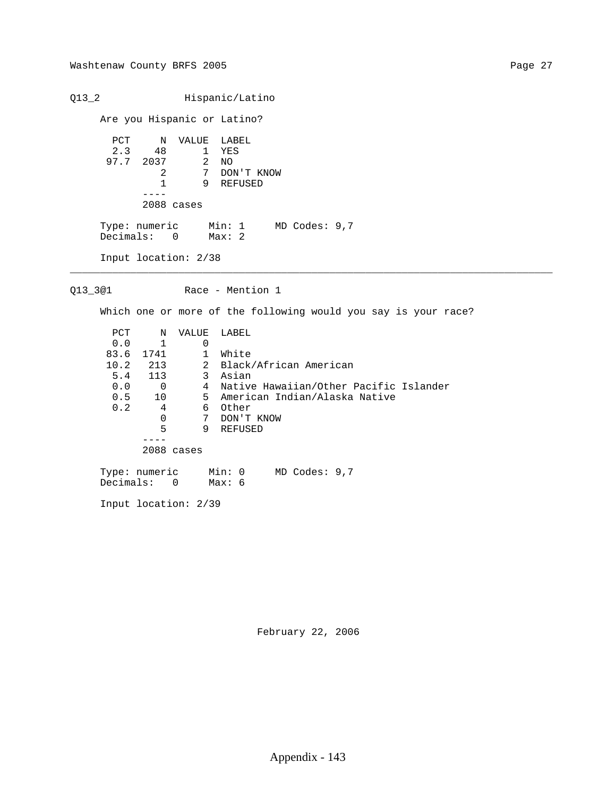Q13\_2 Hispanic/Latino Are you Hispanic or Latino? PCT N VALUE LABEL 2.3 48 1 YES 97.7 2037 2 NO 2 7 DON'T KNOW 1 9 REFUSED ---- 2088 cases Type: numeric Min: 1 MD Codes: 9,7 Decimals: 0 Max: 2 Input location: 2/38 \_\_\_\_\_\_\_\_\_\_\_\_\_\_\_\_\_\_\_\_\_\_\_\_\_\_\_\_\_\_\_\_\_\_\_\_\_\_\_\_\_\_\_\_\_\_\_\_\_\_\_\_\_\_\_\_\_\_\_\_\_\_\_\_\_\_\_\_\_\_\_\_\_\_\_\_\_\_\_\_ Q13\_3@1 Race - Mention 1 Which one or more of the following would you say is your race? PCT N VALUE LABEL 0.0 1 0 83.6 1741 1 White 10.2 213 2 Black/African American 5.4 113 3 Asian 0.0 0 4 Native Hawaiian/Other Pacific Islander 0.5 10 5 American Indian/Alaska Native 0.2 4 6 Other 0 7 DON'T KNOW 5 9 REFUSED  $-5$ 

2088 cases

| Type: numeric | Min: 0 |  | MD Codes: 9,7 |  |
|---------------|--------|--|---------------|--|
| Decimals:     | Мах: б |  |               |  |

Input location: 2/39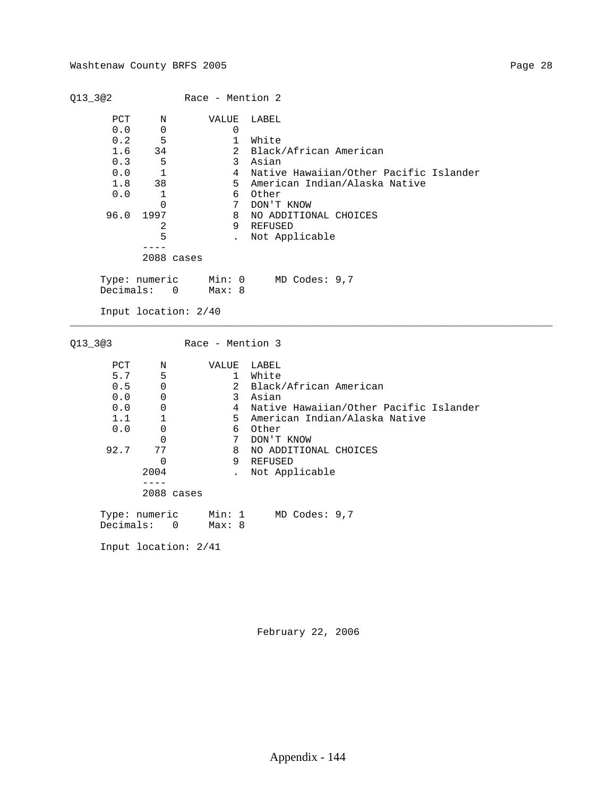|                                                              |                                                                                                | Race - Mention 2                                                                           |                                                                                                                                                                                                           |
|--------------------------------------------------------------|------------------------------------------------------------------------------------------------|--------------------------------------------------------------------------------------------|-----------------------------------------------------------------------------------------------------------------------------------------------------------------------------------------------------------|
| PCT<br>0.0<br>0.2<br>1.6<br>0.3<br>0.0<br>1.8<br>0.0<br>96.0 | Ν<br>0<br>5<br>34<br>5<br>$\mathbf{1}$<br>38<br>1<br>0<br>1997<br>2<br>5<br>----<br>2088 cases | VALUE<br>0<br>$\mathbf{1}$<br>2<br>$\mathbf{3}$<br>$\overline{4}$<br>5<br>6<br>7<br>8<br>9 | LABEL<br>White<br>Black/African American<br>Asian<br>Native Hawaiian/Other Pacific Islander<br>American Indian/Alaska Native<br>Other<br>DON'T KNOW<br>NO ADDITIONAL CHOICES<br>REFUSED<br>Not Applicable |
| Decimals:                                                    | Type: numeric<br>$\Omega$<br>Input location: 2/40                                              | Min: 0<br>Max: 8                                                                           | MD Codes: 9,7                                                                                                                                                                                             |
|                                                              |                                                                                                |                                                                                            |                                                                                                                                                                                                           |
| $Q13 - 3@3$                                                  |                                                                                                | Race - Mention 3                                                                           |                                                                                                                                                                                                           |
|                                                              |                                                                                                |                                                                                            |                                                                                                                                                                                                           |
| PCT                                                          | Ν                                                                                              | VALUE                                                                                      | LABEL                                                                                                                                                                                                     |
| 5.7                                                          | 5                                                                                              | $\mathbf{1}$                                                                               | White                                                                                                                                                                                                     |
| 0.5                                                          | 0                                                                                              | $\overline{a}$                                                                             | Black/African American                                                                                                                                                                                    |
| 0.0                                                          | 0                                                                                              | 3                                                                                          | Asian                                                                                                                                                                                                     |
| 0.0                                                          | $\mathsf{O}\xspace$                                                                            | $\overline{4}$                                                                             | Native Hawaiian/Other Pacific Islander                                                                                                                                                                    |
| 1.1                                                          | 1                                                                                              | 5                                                                                          | American Indian/Alaska Native                                                                                                                                                                             |
| 0.0                                                          | $\mathbf 0$                                                                                    | 6                                                                                          | Other                                                                                                                                                                                                     |
|                                                              | $\Omega$                                                                                       | $7\overline{ }$                                                                            | DON'T KNOW                                                                                                                                                                                                |
| 92.7                                                         | 77                                                                                             | 8                                                                                          | NO ADDITIONAL CHOICES                                                                                                                                                                                     |
|                                                              | $\mathbf 0$                                                                                    | 9                                                                                          | REFUSED                                                                                                                                                                                                   |
|                                                              | 2004<br>$- - - -$                                                                              | $\ddot{\phantom{a}}$                                                                       | Not Applicable                                                                                                                                                                                            |
|                                                              | $2088$ cases                                                                                   |                                                                                            |                                                                                                                                                                                                           |
|                                                              | Type: numeric                                                                                  | Min: 1                                                                                     | MD Codes: 9,7                                                                                                                                                                                             |
| Decimals:                                                    | $\mathbf 0$                                                                                    | Max: 8                                                                                     |                                                                                                                                                                                                           |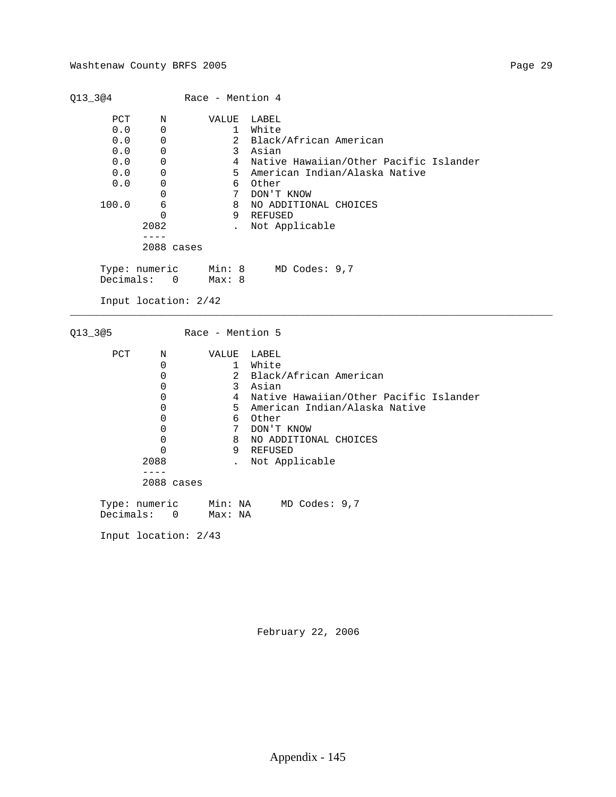| PCT<br>LABEL<br>VALUE<br>Ν<br>0.0<br>White<br>0<br>1<br>$\overline{a}$<br>0.0<br>Black/African American<br>0<br>0.0<br>3<br>0<br>Asian<br>$\overline{4}$<br>0.0<br>Native Hawaiian/Other Pacific Islander<br>0<br>0.0<br>5<br>American Indian/Alaska Native<br>0<br>0.0<br>6<br>Other<br>0<br>$7\phantom{.0}$<br>0<br>DON'T KNOW<br>100.0<br>6<br>8<br>NO ADDITIONAL CHOICES<br>$\Omega$<br>9<br>REFUSED<br>2082<br>Not Applicable<br>$\ddot{\phantom{a}}$<br>$- - - -$<br>2088 cases<br>MD Codes: 9,7<br>Type: numeric<br>Min: 8<br>Decimals:<br>Max: 8<br>$\overline{\phantom{0}}$<br>Input location: 2/42<br>Q13_3@5<br>Race - Mention 5<br>PCT<br>LABEL<br>VALUE<br>Ν<br>$\mathbf 0$<br>White<br>1<br>0<br>$\overline{a}$<br>Black/African American<br>0<br>3<br>Asian<br>$\overline{4}$<br>0<br>Native Hawaiian/Other Pacific Islander<br>0<br>5<br>American Indian/Alaska Native<br>$6\overline{6}$<br>0<br>Other<br>7<br>0<br>DON'T KNOW<br>8<br>NO ADDITIONAL CHOICES<br>0<br>9<br>REFUSED<br>0<br>2088<br>Not Applicable<br>$\ddot{\phantom{a}}$<br>$- - - -$<br>2088 cases |  | Race - Mention 4 |  |
|--------------------------------------------------------------------------------------------------------------------------------------------------------------------------------------------------------------------------------------------------------------------------------------------------------------------------------------------------------------------------------------------------------------------------------------------------------------------------------------------------------------------------------------------------------------------------------------------------------------------------------------------------------------------------------------------------------------------------------------------------------------------------------------------------------------------------------------------------------------------------------------------------------------------------------------------------------------------------------------------------------------------------------------------------------------------------------------|--|------------------|--|
|                                                                                                                                                                                                                                                                                                                                                                                                                                                                                                                                                                                                                                                                                                                                                                                                                                                                                                                                                                                                                                                                                      |  |                  |  |
|                                                                                                                                                                                                                                                                                                                                                                                                                                                                                                                                                                                                                                                                                                                                                                                                                                                                                                                                                                                                                                                                                      |  |                  |  |
|                                                                                                                                                                                                                                                                                                                                                                                                                                                                                                                                                                                                                                                                                                                                                                                                                                                                                                                                                                                                                                                                                      |  |                  |  |
|                                                                                                                                                                                                                                                                                                                                                                                                                                                                                                                                                                                                                                                                                                                                                                                                                                                                                                                                                                                                                                                                                      |  |                  |  |
|                                                                                                                                                                                                                                                                                                                                                                                                                                                                                                                                                                                                                                                                                                                                                                                                                                                                                                                                                                                                                                                                                      |  |                  |  |
|                                                                                                                                                                                                                                                                                                                                                                                                                                                                                                                                                                                                                                                                                                                                                                                                                                                                                                                                                                                                                                                                                      |  |                  |  |
|                                                                                                                                                                                                                                                                                                                                                                                                                                                                                                                                                                                                                                                                                                                                                                                                                                                                                                                                                                                                                                                                                      |  |                  |  |
|                                                                                                                                                                                                                                                                                                                                                                                                                                                                                                                                                                                                                                                                                                                                                                                                                                                                                                                                                                                                                                                                                      |  |                  |  |
|                                                                                                                                                                                                                                                                                                                                                                                                                                                                                                                                                                                                                                                                                                                                                                                                                                                                                                                                                                                                                                                                                      |  |                  |  |
|                                                                                                                                                                                                                                                                                                                                                                                                                                                                                                                                                                                                                                                                                                                                                                                                                                                                                                                                                                                                                                                                                      |  |                  |  |
|                                                                                                                                                                                                                                                                                                                                                                                                                                                                                                                                                                                                                                                                                                                                                                                                                                                                                                                                                                                                                                                                                      |  |                  |  |
|                                                                                                                                                                                                                                                                                                                                                                                                                                                                                                                                                                                                                                                                                                                                                                                                                                                                                                                                                                                                                                                                                      |  |                  |  |
|                                                                                                                                                                                                                                                                                                                                                                                                                                                                                                                                                                                                                                                                                                                                                                                                                                                                                                                                                                                                                                                                                      |  |                  |  |
|                                                                                                                                                                                                                                                                                                                                                                                                                                                                                                                                                                                                                                                                                                                                                                                                                                                                                                                                                                                                                                                                                      |  |                  |  |
|                                                                                                                                                                                                                                                                                                                                                                                                                                                                                                                                                                                                                                                                                                                                                                                                                                                                                                                                                                                                                                                                                      |  |                  |  |
|                                                                                                                                                                                                                                                                                                                                                                                                                                                                                                                                                                                                                                                                                                                                                                                                                                                                                                                                                                                                                                                                                      |  |                  |  |
|                                                                                                                                                                                                                                                                                                                                                                                                                                                                                                                                                                                                                                                                                                                                                                                                                                                                                                                                                                                                                                                                                      |  |                  |  |
|                                                                                                                                                                                                                                                                                                                                                                                                                                                                                                                                                                                                                                                                                                                                                                                                                                                                                                                                                                                                                                                                                      |  |                  |  |
|                                                                                                                                                                                                                                                                                                                                                                                                                                                                                                                                                                                                                                                                                                                                                                                                                                                                                                                                                                                                                                                                                      |  |                  |  |
|                                                                                                                                                                                                                                                                                                                                                                                                                                                                                                                                                                                                                                                                                                                                                                                                                                                                                                                                                                                                                                                                                      |  |                  |  |
|                                                                                                                                                                                                                                                                                                                                                                                                                                                                                                                                                                                                                                                                                                                                                                                                                                                                                                                                                                                                                                                                                      |  |                  |  |
|                                                                                                                                                                                                                                                                                                                                                                                                                                                                                                                                                                                                                                                                                                                                                                                                                                                                                                                                                                                                                                                                                      |  |                  |  |
|                                                                                                                                                                                                                                                                                                                                                                                                                                                                                                                                                                                                                                                                                                                                                                                                                                                                                                                                                                                                                                                                                      |  |                  |  |
|                                                                                                                                                                                                                                                                                                                                                                                                                                                                                                                                                                                                                                                                                                                                                                                                                                                                                                                                                                                                                                                                                      |  |                  |  |
|                                                                                                                                                                                                                                                                                                                                                                                                                                                                                                                                                                                                                                                                                                                                                                                                                                                                                                                                                                                                                                                                                      |  |                  |  |
|                                                                                                                                                                                                                                                                                                                                                                                                                                                                                                                                                                                                                                                                                                                                                                                                                                                                                                                                                                                                                                                                                      |  |                  |  |
|                                                                                                                                                                                                                                                                                                                                                                                                                                                                                                                                                                                                                                                                                                                                                                                                                                                                                                                                                                                                                                                                                      |  |                  |  |
| Min: NA MD Codes: 9,7<br>Type: numeric                                                                                                                                                                                                                                                                                                                                                                                                                                                                                                                                                                                                                                                                                                                                                                                                                                                                                                                                                                                                                                               |  |                  |  |
| Decimals:<br>0<br>Max: NA                                                                                                                                                                                                                                                                                                                                                                                                                                                                                                                                                                                                                                                                                                                                                                                                                                                                                                                                                                                                                                                            |  |                  |  |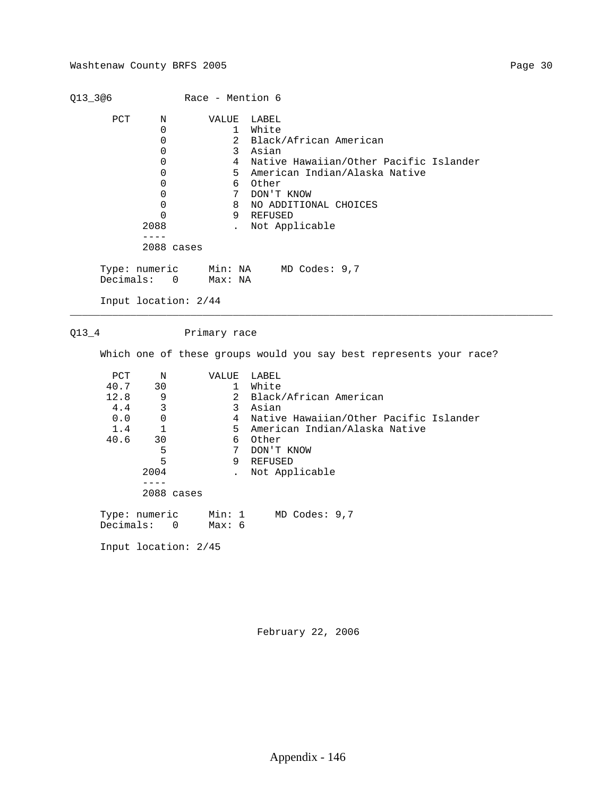| Q13_3@6      |                                                                                                                                  | Race - Mention 6                                                                                                                                       |                                                                                                                                                                                                           |
|--------------|----------------------------------------------------------------------------------------------------------------------------------|--------------------------------------------------------------------------------------------------------------------------------------------------------|-----------------------------------------------------------------------------------------------------------------------------------------------------------------------------------------------------------|
| PCT          | Ν<br>$\Omega$<br>$\mathbf 0$<br>$\mathbf 0$<br>$\Omega$<br>0<br>0<br>$\mathbf 0$<br>$\mathbf 0$<br>$\Omega$<br>2088<br>$- - - -$ | VALUE<br>$\mathbf{1}$<br>$\overline{2}$<br>$\mathbf{3}$<br>$4\overline{ }$<br>5 <sup>5</sup><br>6<br>$7\overline{ }$<br>8<br>9<br>$\ddot{\phantom{a}}$ | LABEL<br>White<br>Black/African American<br>Asian<br>Native Hawaiian/Other Pacific Islander<br>American Indian/Alaska Native<br>Other<br>DON'T KNOW<br>NO ADDITIONAL CHOICES<br>REFUSED<br>Not Applicable |
|              | 2088 cases                                                                                                                       |                                                                                                                                                        |                                                                                                                                                                                                           |
| Decimals:    | Type: numeric<br>$\overline{0}$                                                                                                  | Max: NA                                                                                                                                                | Min: NA MD Codes: 9,7                                                                                                                                                                                     |
|              | Input location: 2/44                                                                                                             |                                                                                                                                                        |                                                                                                                                                                                                           |
|              |                                                                                                                                  |                                                                                                                                                        |                                                                                                                                                                                                           |
| $Q13_4$      |                                                                                                                                  | Primary race                                                                                                                                           |                                                                                                                                                                                                           |
|              |                                                                                                                                  |                                                                                                                                                        | Which one of these groups would you say best represents your race?                                                                                                                                        |
| $_{\rm PCT}$ | N                                                                                                                                | VALUE                                                                                                                                                  | LABEL                                                                                                                                                                                                     |
| 40.7         | 30                                                                                                                               | $\mathbf{1}$                                                                                                                                           | White                                                                                                                                                                                                     |
| 12.8         | 9                                                                                                                                | $\overline{2}$                                                                                                                                         | Black/African American                                                                                                                                                                                    |
| 4.4          | 3                                                                                                                                | 3                                                                                                                                                      | Asian                                                                                                                                                                                                     |
| 0.0          | 0                                                                                                                                | $4\overline{ }$                                                                                                                                        | Native Hawaiian/Other Pacific Islander                                                                                                                                                                    |
| 1.4          | 1                                                                                                                                | 5                                                                                                                                                      | American Indian/Alaska Native                                                                                                                                                                             |
| 40.6         | 30                                                                                                                               | 6                                                                                                                                                      | Other                                                                                                                                                                                                     |
|              | 5                                                                                                                                | $7\phantom{.0}$                                                                                                                                        | DON'T KNOW                                                                                                                                                                                                |
|              | 5                                                                                                                                | 9                                                                                                                                                      | REFUSED                                                                                                                                                                                                   |
|              | 2004                                                                                                                             | $\ddot{\phantom{a}}$                                                                                                                                   | Not Applicable                                                                                                                                                                                            |
|              | $- - - - -$<br>$2088$ cases                                                                                                      |                                                                                                                                                        |                                                                                                                                                                                                           |
|              |                                                                                                                                  |                                                                                                                                                        |                                                                                                                                                                                                           |
| Decimals:    | Type: numeric<br>$\overline{0}$                                                                                                  | Min: 1<br>Max: 6                                                                                                                                       | MD Codes: 9,7                                                                                                                                                                                             |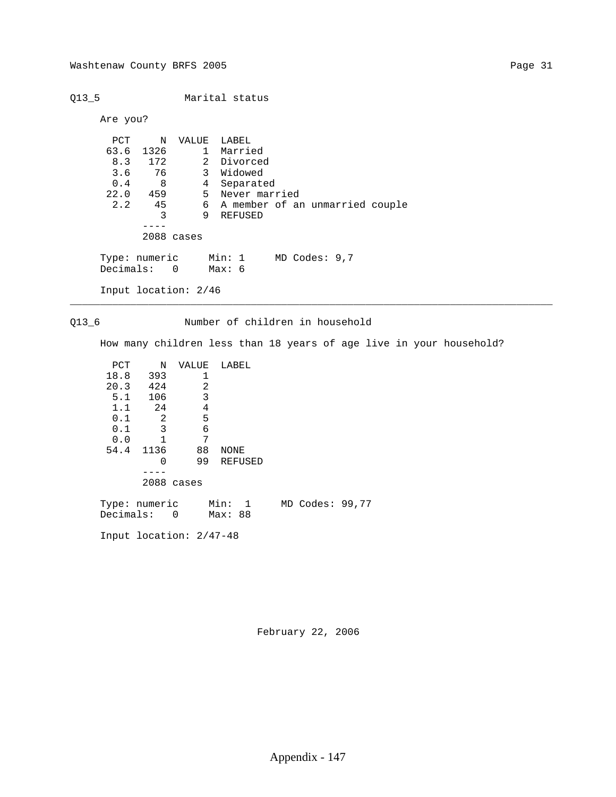Are you?

Q13\_5 Marital status

```
 PCT N VALUE LABEL
 63.6 1326 1 Married
 8.3 172 2 Divorced
 3.6 76 3 Widowed
0.4 8 4 Separated
 22.0 459 5 Never married
 2.2 45 6 A member of an unmarried couple
 3 9 REFUSED
 ----
           2088 cases
 Type: numeric Min: 1 MD Codes: 9,7
 Decimals: 0 Max: 6
```
Input location: 2/46

Q13\_6 Number of children in household

\_\_\_\_\_\_\_\_\_\_\_\_\_\_\_\_\_\_\_\_\_\_\_\_\_\_\_\_\_\_\_\_\_\_\_\_\_\_\_\_\_\_\_\_\_\_\_\_\_\_\_\_\_\_\_\_\_\_\_\_\_\_\_\_\_\_\_\_\_\_\_\_\_\_\_\_\_\_\_\_

How many children less than 18 years of age live in your household?

| PCT           | N    | VALUE                    | LABEL                |                 |
|---------------|------|--------------------------|----------------------|-----------------|
| 18.8          | 393  |                          |                      |                 |
| 20.3          | 424  | 2                        |                      |                 |
| 5.1           | 106  | 3                        |                      |                 |
| 1.1           | 24   | 4                        |                      |                 |
| 0.1           | 2    | 5                        |                      |                 |
| 0.1           | 3    | 6                        |                      |                 |
| 0.0           | 1    | 7                        |                      |                 |
| 54.4          | 1136 | 88                       | NONE                 |                 |
|               | 0    | 99                       | <b>REFUSED</b>       |                 |
|               |      |                          |                      |                 |
|               |      | 2088 cases               |                      |                 |
|               |      |                          |                      |                 |
| Type: numeric |      |                          | Min:<br>$\mathbf{1}$ | MD Codes: 99,77 |
| Decimals:     |      | $\overline{\phantom{0}}$ | Max: 88              |                 |

Input location: 2/47-48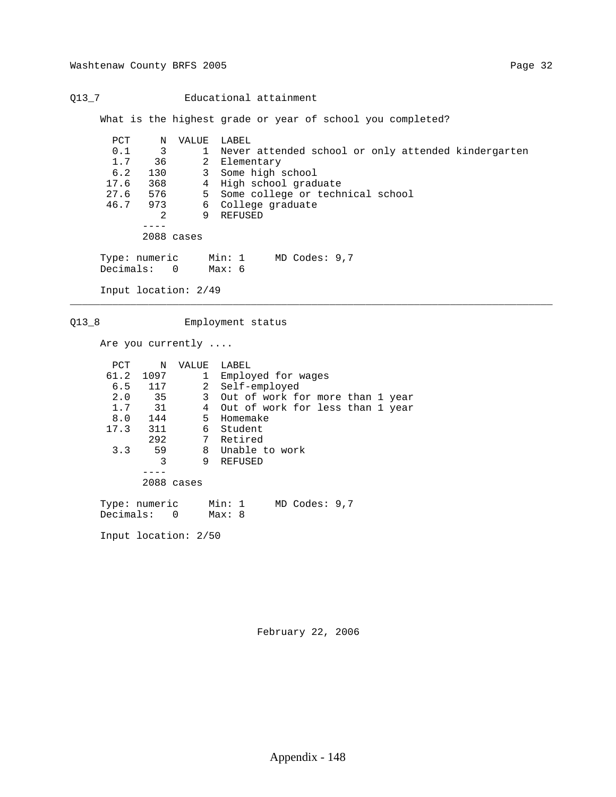Q13\_7 Educational attainment

What is the highest grade or year of school you completed?

\_\_\_\_\_\_\_\_\_\_\_\_\_\_\_\_\_\_\_\_\_\_\_\_\_\_\_\_\_\_\_\_\_\_\_\_\_\_\_\_\_\_\_\_\_\_\_\_\_\_\_\_\_\_\_\_\_\_\_\_\_\_\_\_\_\_\_\_\_\_\_\_\_\_\_\_\_\_\_\_

| PCT           | Ν              | VALUE        | LABEL                                               |
|---------------|----------------|--------------|-----------------------------------------------------|
| 0.1           | 3              | $\mathbf{1}$ | Never attended school or only attended kindergarten |
| 1.7           | 36             | 2            | Elementary                                          |
| 6.2           | 130            | 3            | Some high school                                    |
| 17.6          | 368            | 4            | High school graduate                                |
| 27.6          | 576            | 5            | Some college or technical school                    |
| 46.7          | 973            | 6            | College graduate                                    |
|               | 2              | 9            | REFUSED                                             |
|               |                |              |                                                     |
|               |                | 2088 cases   |                                                     |
|               |                |              |                                                     |
| Type: numeric |                |              | Min: 1<br>$MD$ Codes: $9,7$                         |
| Decimals:     | $\overline{0}$ |              | Мах: б                                              |
|               |                |              |                                                     |

Input location: 2/49

Q13\_8 Employment status

Are you currently ....

| PCT  | N             | VALUE        | LABEL                              |
|------|---------------|--------------|------------------------------------|
| 61.2 | 1097          | $\mathbf{1}$ | Employed for wages                 |
|      | 6.5 117       |              | 2 Self-employed                    |
| 2.0  | 35            | $\mathbf{3}$ | Out of work for more than 1 year   |
| 1.7  | 31            |              | 4 Out of work for less than 1 year |
|      | 8.0 144       |              | 5 Homemake                         |
|      | 17.3 311      | 6            | Student                            |
|      | 292           |              | 7 Retired                          |
| 3.3  | 59            |              | 8 Unable to work                   |
|      | 3             | 9            | REFUSED                            |
|      |               |              |                                    |
|      | 2088 cases    |              |                                    |
|      |               |              |                                    |
|      | Type: numeric |              | Min: 1<br>$MD$ Codes: $9,7$        |
|      | Decimals: 0   |              | Max: 8                             |
|      |               |              |                                    |
|      |               |              |                                    |

Input location: 2/50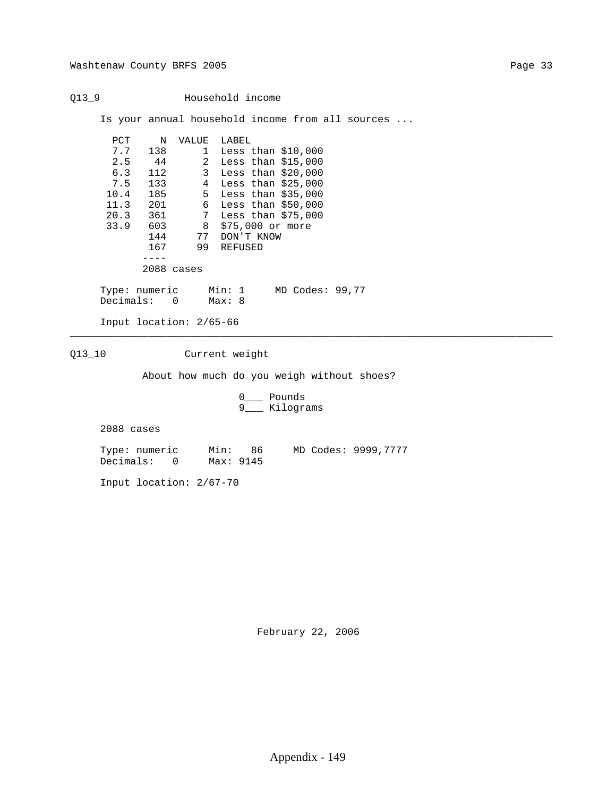Q13\_9 Household income Is your annual household income from all sources ... PCT N VALUE LABEL<br>7.7 138 1 Less 7.7 138 1 Less than \$10,000 2.5 44 2 Less than \$15,000 6.3 112 3 Less than \$20,000 7.5 133 4 Less than \$25,000 10.4 185 5 Less than \$35,000 11.3 201 6 Less than \$50,000 20.3 361 7 Less than \$75,000 33.9 603 8 \$75,000 or more 144 77 DON'T KNOW 167 99 REFUSED ---- 2088 cases Type: numeric Min: 1 MD Codes: 99,77<br>Decimals: 0 Max: 8 Decimals: 0 Input location: 2/65-66 \_\_\_\_\_\_\_\_\_\_\_\_\_\_\_\_\_\_\_\_\_\_\_\_\_\_\_\_\_\_\_\_\_\_\_\_\_\_\_\_\_\_\_\_\_\_\_\_\_\_\_\_\_\_\_\_\_\_\_\_\_\_\_\_\_\_\_\_\_\_\_\_\_\_\_\_\_\_\_\_ Q13\_10 Current weight About how much do you weigh without shoes? 0\_\_\_ Pounds 9\_\_\_ Kilograms 2088 cases

 Type: numeric Min: 86 MD Codes: 9999,7777 Decimals: 0 Max: 9145

Input location: 2/67-70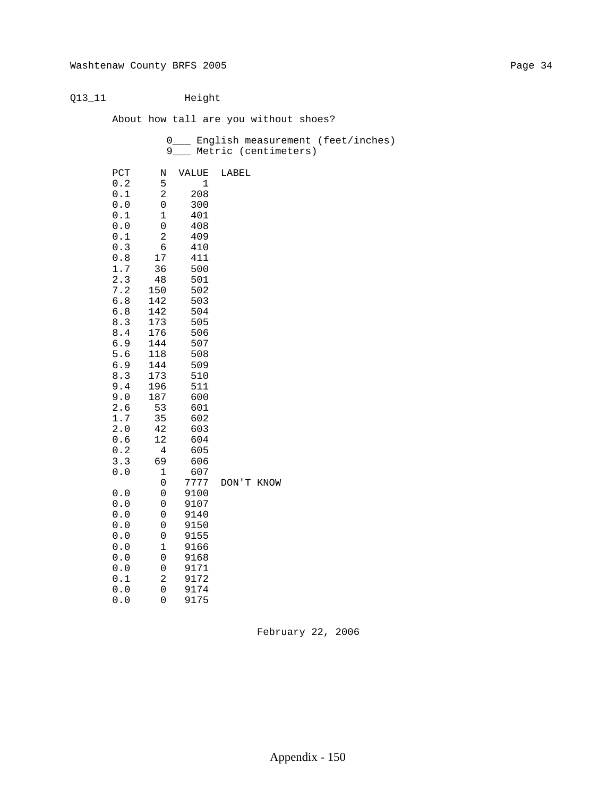# Q13\_11 Height

About how tall are you without shoes?

|                                                       |                     |       | 0___ English measurement (feet/inches)<br>9___ Metric (centimeters) |
|-------------------------------------------------------|---------------------|-------|---------------------------------------------------------------------|
| $_{\rm PCT}$                                          | Ν                   | VALUE | LABEL                                                               |
| $0\,.2$                                               | 5                   | $1\,$ |                                                                     |
| $0.1\,$                                               | $\sqrt{2}$          | 208   |                                                                     |
| $0.0$                                                 | 0                   | 300   |                                                                     |
| 0.1                                                   | 1                   | 401   |                                                                     |
| ${\bf 0}$ . ${\bf 0}$                                 | $\mathsf{O}\xspace$ | 408   |                                                                     |
| $0.1$                                                 | $\sqrt{2}$          | 409   |                                                                     |
| $0.3$                                                 | $\epsilon$          | 410   |                                                                     |
| $\ensuremath{\mathbf{0}}$ . $\ensuremath{\mathbf{8}}$ | 17                  | 411   |                                                                     |
| 1.7                                                   | 36                  | 500   |                                                                     |
| 2.3                                                   | 48                  | 501   |                                                                     |
| 7.2                                                   | 150                 | 502   |                                                                     |
| $6.8$                                                 | 142                 | 503   |                                                                     |
| $6.8\,$                                               | 142                 | 504   |                                                                     |
| $8.3$                                                 | 173                 | 505   |                                                                     |
| $\bf 8.4$                                             | 176                 | 506   |                                                                     |
| 6.9                                                   | 144                 | 507   |                                                                     |
| 5.6                                                   | 118                 | 508   |                                                                     |
| 6.9                                                   | 144                 | 509   |                                                                     |
| $8.3$                                                 | 173                 | 510   |                                                                     |
| 9.4                                                   | 196                 | 511   |                                                                     |
| 9.0                                                   | 187                 | 600   |                                                                     |
| 2.6                                                   | 53                  | 601   |                                                                     |
| 1.7                                                   | 35                  | 602   |                                                                     |
| $2.0$                                                 | 42                  | 603   |                                                                     |
| 0.6                                                   | $1\,2$              | 604   |                                                                     |
| 0.2                                                   | $\bf 4$             | 605   |                                                                     |
| 3.3                                                   | 69                  | 606   |                                                                     |
| $0.0$                                                 | $1\,$               | 607   |                                                                     |
|                                                       | 0                   | 7777  | DON'T KNOW                                                          |
| $0.0$                                                 | 0                   | 9100  |                                                                     |
| 0.0                                                   | 0                   | 9107  |                                                                     |
| $0.0$                                                 | $\mathsf{O}\xspace$ | 9140  |                                                                     |
| $0.0$                                                 | $\mathsf{O}\xspace$ | 9150  |                                                                     |
| $0.0$                                                 | $\mathsf{O}\xspace$ | 9155  |                                                                     |
| $0.0$                                                 | $\mathbf 1$         | 9166  |                                                                     |
| $0.0$                                                 | $\mathsf{O}\xspace$ | 9168  |                                                                     |
| $0.0$                                                 | 0                   | 9171  |                                                                     |
| $0.1\,$                                               | $\overline{c}$      | 9172  |                                                                     |
| $0.0$                                                 | $\mbox{O}$          | 9174  |                                                                     |
| 0.0                                                   | $\mathbf 0$         | 9175  |                                                                     |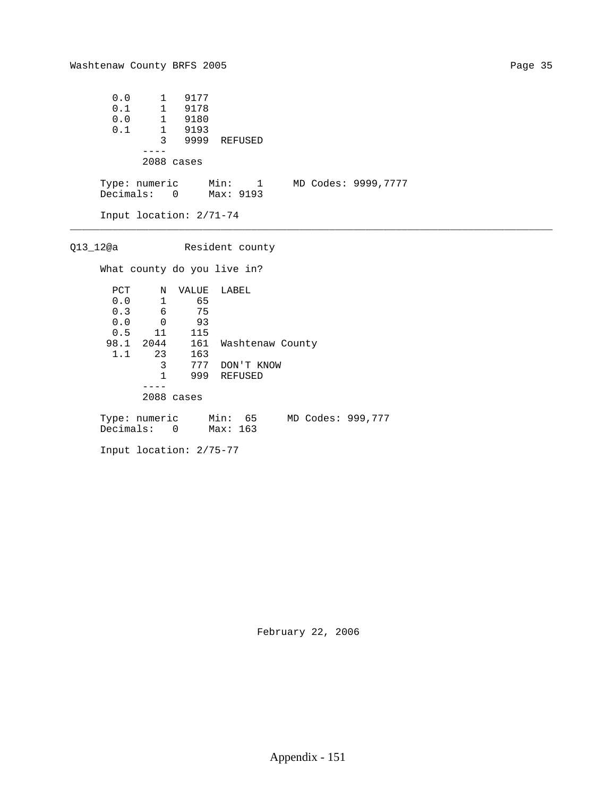| 0.0                     |                | 1 9177 |                       |  |                     |
|-------------------------|----------------|--------|-----------------------|--|---------------------|
| 0.1                     |                | 1 9178 |                       |  |                     |
| 0.0                     | $\overline{1}$ | 9180   |                       |  |                     |
| 0.1                     | $1 \quad$      | 9193   |                       |  |                     |
|                         | 3              | 9999   | REFUSED               |  |                     |
|                         |                |        |                       |  |                     |
|                         | 2088 cases     |        |                       |  |                     |
|                         |                |        |                       |  |                     |
| Type: numeric           |                |        | Min: 1                |  | MD Codes: 9999,7777 |
|                         |                |        | Decimals: 0 Max: 9193 |  |                     |
|                         |                |        |                       |  |                     |
| Input location: 2/71-74 |                |        |                       |  |                     |

\_\_\_\_\_\_\_\_\_\_\_\_\_\_\_\_\_\_\_\_\_\_\_\_\_\_\_\_\_\_\_\_\_\_\_\_\_\_\_\_\_\_\_\_\_\_\_\_\_\_\_\_\_\_\_\_\_\_\_\_\_\_\_\_\_\_\_\_\_\_\_\_\_\_\_\_\_\_\_\_

 Q13\_12@a Resident county What county do you live in? PCT N VALUE LABEL 0.0 1 65 0.3 6 75 0.0 0 93 0.5 11 115 98.1 2044 161 Washtenaw County 1.1 23 163 3 777 DON'T KNOW 1 999 REFUSED ---- 2088 cases Type: numeric Min: 65 MD Codes: 999,777 Decimals: 0 Max: 163

Input location: 2/75-77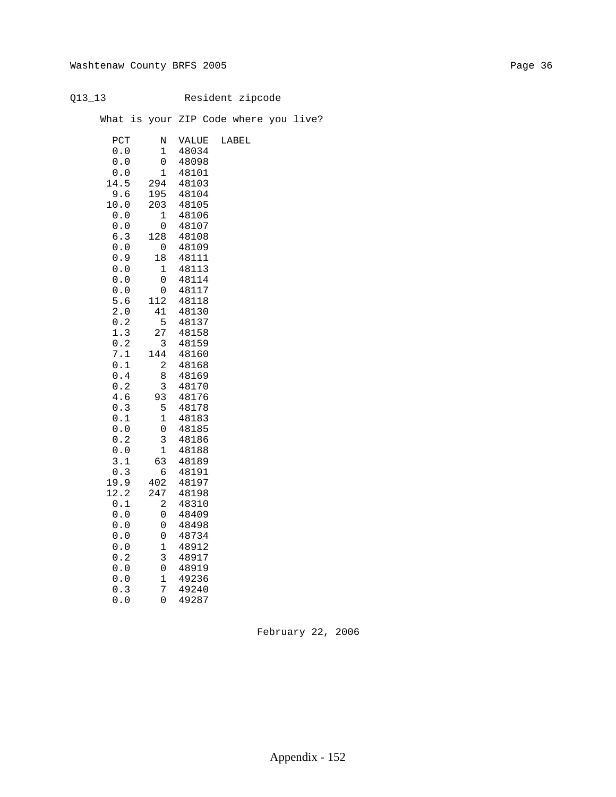# Q13\_13 Resident zipcode

What is your ZIP Code where you live?

| PCT        | Ν           | VALUE          | LABEL |
|------------|-------------|----------------|-------|
| 0.0        | 1           | 48034          |       |
| 0.0        | 0           | 48098          |       |
| 0.0        | 1           | 48101          |       |
| 14.5       | 294         | 48103          |       |
| 9.6        | 195         | 48104          |       |
| 10.0       | 203         | 48105          |       |
| 0.0        | 1           | 48106          |       |
| 0.0        | 0           | 48107          |       |
| 6.3        | 128         | 48108          |       |
| 0.0        | 0           | 48109          |       |
| 0.9        | 18          | 48111          |       |
| 0.0        | 1           | 48113          |       |
| 0.0        | 0           | 48114          |       |
| 0.0<br>5.6 | 0<br>112    | 48117          |       |
| 2.0        | 41          | 48118<br>48130 |       |
| 0.2        | 5           | 48137          |       |
| 1.3        | 27          | 48158          |       |
| 0.2        | 3           | 48159          |       |
| 7.1        | 144         | 48160          |       |
| 0.1        | 2           | 48168          |       |
| 0.4        | 8           | 48169          |       |
| 0.2        | 3           | 48170          |       |
| 4.6        | 93          | 48176          |       |
| 0.3        | 5           | 48178          |       |
| 0.1        | $\mathbf 1$ | 48183          |       |
| 0.0        | 0           | 48185          |       |
| 0.2        | 3           | 48186          |       |
| 0.0        | 1           | 48188          |       |
| 3.1        | 63          | 48189          |       |
| 0.3        | б           | 48191          |       |
| 19.9       | 402         | 48197          |       |
| 12.2       | 247         | 48198          |       |
| 0.1        | 2           | 48310          |       |
| 0.0        | 0           | 48409          |       |
| 0.0        | 0           | 48498          |       |
| 0.0        | 0           | 48734          |       |
| 0.0        | 1           | 48912          |       |
| 0.2        | 3           | 48917          |       |
| 0.0        | 0           | 48919          |       |
| 0.0        | 1           | 49236          |       |
| 0.3        | 7           | 49240          |       |
| 0.0        | 0           | 49287          |       |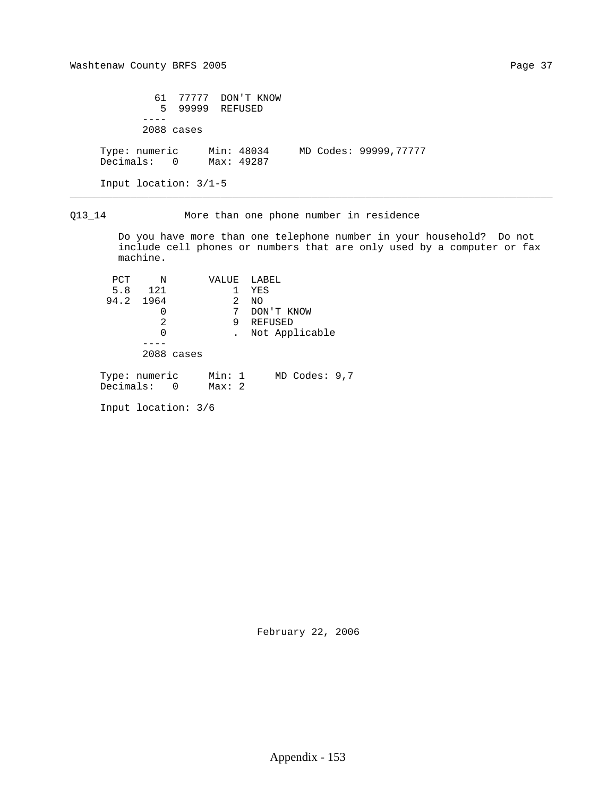|                                                    | 61 77777 DON'T KNOW<br>5 99999 REFUSED |  |                       |
|----------------------------------------------------|----------------------------------------|--|-----------------------|
|                                                    | $2088$ cases                           |  |                       |
| Type: numeric Min: 48034<br>Decimals: 0 Max: 49287 |                                        |  | MD Codes: 99999,77777 |
| Input location: $3/1-5$                            |                                        |  |                       |

Q13\_14 More than one phone number in residence

\_\_\_\_\_\_\_\_\_\_\_\_\_\_\_\_\_\_\_\_\_\_\_\_\_\_\_\_\_\_\_\_\_\_\_\_\_\_\_\_\_\_\_\_\_\_\_\_\_\_\_\_\_\_\_\_\_\_\_\_\_\_\_\_\_\_\_\_\_\_\_\_\_\_\_\_\_\_\_\_

 Do you have more than one telephone number in your household? Do not include cell phones or numbers that are only used by a computer or fax machine.

| PCT                          | N   |            |                 |   | VALUE LABEL       |
|------------------------------|-----|------------|-----------------|---|-------------------|
| 5.8                          | 121 |            |                 | 1 | YES               |
| 94.2 1964                    |     |            |                 | 2 | NO.               |
|                              |     |            |                 | 7 | DON'T KNOW        |
|                              | 2   |            |                 | 9 | REFUSED           |
|                              | 0   |            |                 |   | Not Applicable    |
|                              |     |            |                 |   |                   |
|                              |     | 2088 cases |                 |   |                   |
| Type: numeric<br>Decimals: 0 |     |            | Min: 1<br>Max:2 |   | $MD$ Codes: $9,7$ |
|                              |     |            |                 |   |                   |

Input location: 3/6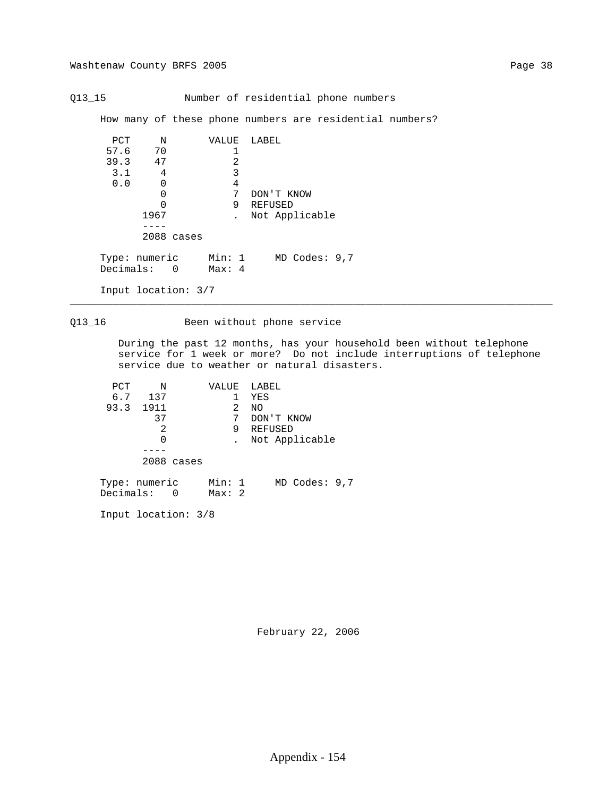Q13\_15 Number of residential phone numbers

How many of these phone numbers are residential numbers?

| PCT                          | N        |            | VALUE            |   | LABEL           |
|------------------------------|----------|------------|------------------|---|-----------------|
| 57.6                         | 70       |            |                  |   |                 |
| 39.3                         | 47       |            |                  | 2 |                 |
| 3.1                          | 4        |            |                  | 3 |                 |
| 0.0                          | $\Omega$ |            |                  | 4 |                 |
|                              | 0        |            |                  | 7 | DON'T KNOW      |
|                              | Ω        |            |                  | 9 | REFUSED         |
|                              | 1967     |            |                  |   | Not Applicable  |
|                              |          |            |                  |   |                 |
|                              |          | 2088 cases |                  |   |                 |
| Type: numeric<br>Decimals: 0 |          |            | Min: 1<br>Max: 4 |   | MD Codes: $9,7$ |
|                              |          |            |                  |   |                 |

Input location: 3/7

## Q13\_16 Been without phone service

\_\_\_\_\_\_\_\_\_\_\_\_\_\_\_\_\_\_\_\_\_\_\_\_\_\_\_\_\_\_\_\_\_\_\_\_\_\_\_\_\_\_\_\_\_\_\_\_\_\_\_\_\_\_\_\_\_\_\_\_\_\_\_\_\_\_\_\_\_\_\_\_\_\_\_\_\_\_\_\_

 During the past 12 months, has your household been without telephone service for 1 week or more? Do not include interruptions of telephone service due to weather or natural disasters.

| PCT | N             | VALUE  |    | LABEL      |                |  |
|-----|---------------|--------|----|------------|----------------|--|
| 6.7 | 137           |        |    | YES        |                |  |
|     | 93.3 1911     | 2      | NO |            |                |  |
|     | 37            | 7      |    | DON'T KNOW |                |  |
|     | 2             | 9      |    | REFUSED    |                |  |
|     | 0             |        |    |            | Not Applicable |  |
|     |               |        |    |            |                |  |
|     | 2088 cases    |        |    |            |                |  |
|     | Type: numeric | Min: 1 |    |            | MD Codes: 9,7  |  |

Input location: 3/8

Decimals: 0 Max: 2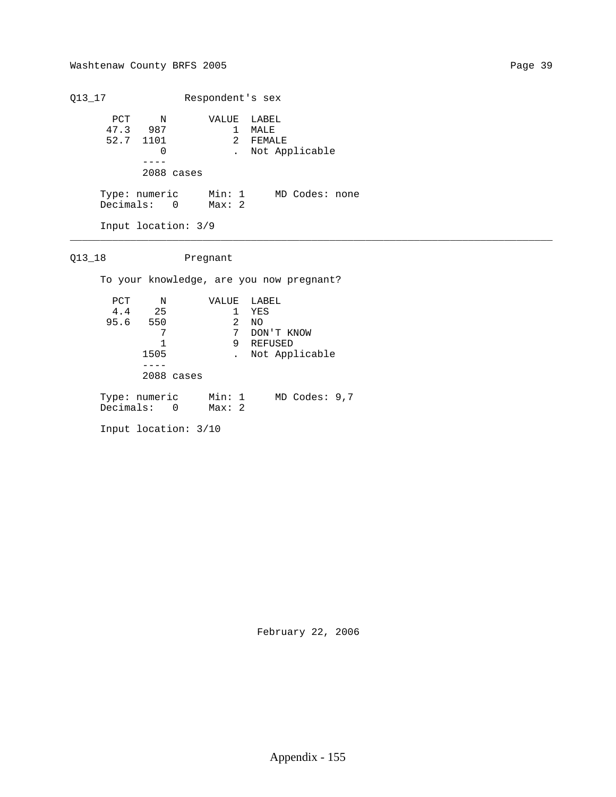Q13\_17 Respondent's sex PCT N VALUE LABEL 47.3 987 1 MALE 52.7 1101 2 FEMALE 0 . Not Applicable ---- 2088 cases Type: numeric Min: 1 MD Codes: none Decimals: 0 Max: 2 Input location: 3/9

Q13\_18 Pregnant

To your knowledge, are you now pregnant?

\_\_\_\_\_\_\_\_\_\_\_\_\_\_\_\_\_\_\_\_\_\_\_\_\_\_\_\_\_\_\_\_\_\_\_\_\_\_\_\_\_\_\_\_\_\_\_\_\_\_\_\_\_\_\_\_\_\_\_\_\_\_\_\_\_\_\_\_\_\_\_\_\_\_\_\_\_\_\_\_

| PCT | N                            | VALUE            | LABEL             |
|-----|------------------------------|------------------|-------------------|
|     | 4.4 25                       | 1                | YES               |
|     | 95.6 550                     | 2                | NO.               |
|     |                              | 7                | DON'T KNOW        |
|     |                              | 9                | REFUSED           |
|     | 1505                         |                  | Not Applicable    |
|     |                              |                  |                   |
|     | 2088 cases                   |                  |                   |
|     | Type: numeric<br>Decimals: 0 | Min: 1<br>Max: 2 | $MD$ Codes: $9,7$ |
|     | Input location: $3/10$       |                  |                   |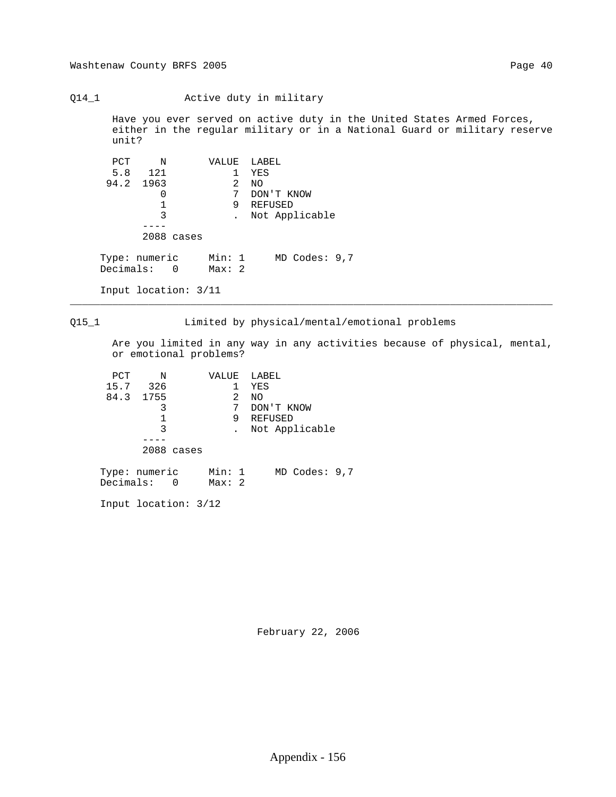Q14\_1 Active duty in military

 Have you ever served on active duty in the United States Armed Forces, either in the regular military or in a National Guard or military reserve unit?

| PCT                          | Ν         |            | VALUE           |   | LABEL             |
|------------------------------|-----------|------------|-----------------|---|-------------------|
|                              | 5.8 121   |            |                 |   | YES               |
|                              | 94.2 1963 |            |                 | 2 | NO                |
|                              | 0         |            |                 | 7 | DON'T KNOW        |
|                              |           |            |                 | 9 | REFUSED           |
|                              | 3         |            |                 |   | Not Applicable    |
|                              |           |            |                 |   |                   |
|                              |           | 2088 cases |                 |   |                   |
| Type: numeric<br>Decimals: 0 |           |            | Min: 1<br>Max:2 |   | $MD$ Codes: $9,7$ |

Input location: 3/11

Q15\_1 Limited by physical/mental/emotional problems

\_\_\_\_\_\_\_\_\_\_\_\_\_\_\_\_\_\_\_\_\_\_\_\_\_\_\_\_\_\_\_\_\_\_\_\_\_\_\_\_\_\_\_\_\_\_\_\_\_\_\_\_\_\_\_\_\_\_\_\_\_\_\_\_\_\_\_\_\_\_\_\_\_\_\_\_\_\_\_\_

 Are you limited in any way in any activities because of physical, mental, or emotional problems?

| PCT  | N             | VALUE  | LABEL           |
|------|---------------|--------|-----------------|
| 15.7 | 326           |        | YES             |
|      | 84.3 1755     | 2      | NO              |
|      | 3             | 7      | DON'T KNOW      |
|      |               | 9      | REFUSED         |
|      | 3             |        | Not Applicable  |
|      |               |        |                 |
|      | 2088 cases    |        |                 |
|      | Type: numeric | Min: 1 | MD Codes: $9,7$ |

Input location: 3/12

Decimals: 0 Max: 2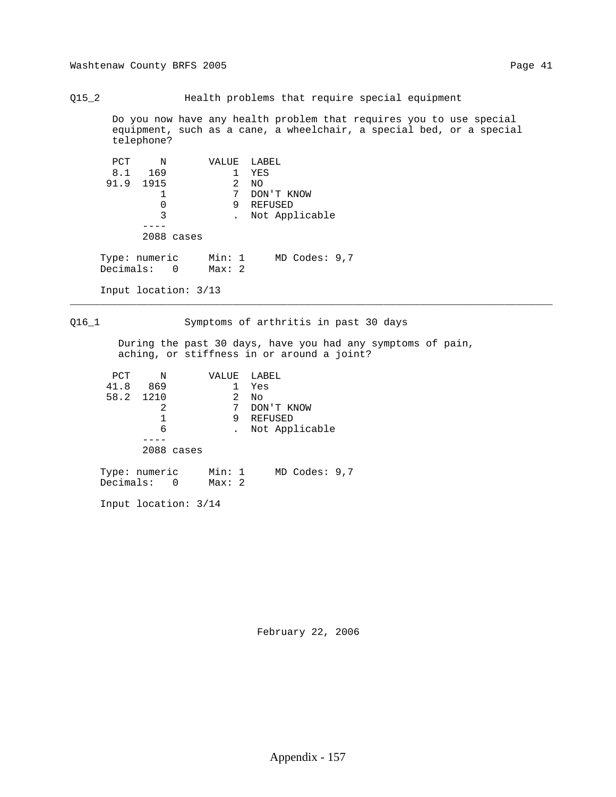Q15\_2 Health problems that require special equipment Do you now have any health problem that requires you to use special equipment, such as a cane, a wheelchair, a special bed, or a special telephone? PCT N VALUE LABEL<br>8.1 169 1 YES 8.1 169 1 YES<br>31.9 1915 2 NO 91.9 1915<br>1 1 7 DON'T KNOW<br>0 9 REFUSED 0 9 REFUSED . Not Applicable ---- 2088 cases Type: numeric Min: 1 MD Codes: 9,7 Decimals: 0 Max: 2 Input location: 3/13 \_\_\_\_\_\_\_\_\_\_\_\_\_\_\_\_\_\_\_\_\_\_\_\_\_\_\_\_\_\_\_\_\_\_\_\_\_\_\_\_\_\_\_\_\_\_\_\_\_\_\_\_\_\_\_\_\_\_\_\_\_\_\_\_\_\_\_\_\_\_\_\_\_\_\_\_\_\_\_\_ Q16\_1 Symptoms of arthritis in past 30 days During the past 30 days, have you had any symptoms of pain, aching, or stiffness in or around a joint? PCT N VALUE LABEL<br>11.8 869 1 Yes 41.8 869 1 Yes 58.2 1210 2 7 DON'T KNOW 1 9 REFUSED 6 . Not Applicable

2088 cases

 Type: numeric Min: 1 MD Codes: 9,7 Decimals: 0 Max: 2

Input location: 3/14

----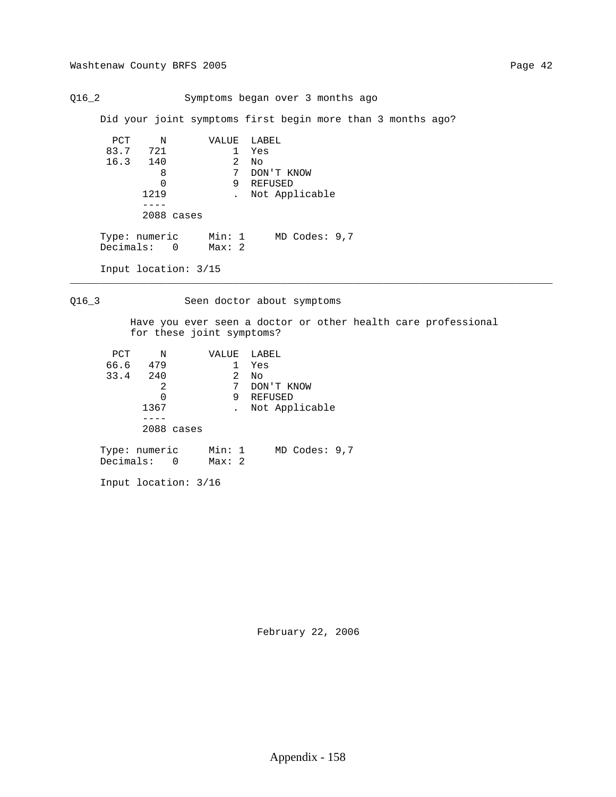Q16\_2 Symptoms began over 3 months ago

Did your joint symptoms first begin more than 3 months ago?

```
PCT N VALUE LABEL<br>83.7 721 1 Yes
                           1 Yes<br>2 No
            16.3 140 8<br>0
                              8 7 DON'T KNOW
                 0 9 REFUSED<br>1219 . Not App.
                           . Not Applicable
                   ----
                  2088 cases
 Type: numeric Min: 1 MD Codes: 9,7
 Decimals: 0 Max: 2
```
Input location: 3/15

Q16\_3 Seen doctor about symptoms

\_\_\_\_\_\_\_\_\_\_\_\_\_\_\_\_\_\_\_\_\_\_\_\_\_\_\_\_\_\_\_\_\_\_\_\_\_\_\_\_\_\_\_\_\_\_\_\_\_\_\_\_\_\_\_\_\_\_\_\_\_\_\_\_\_\_\_\_\_\_\_\_\_\_\_\_\_\_\_\_

 Have you ever seen a doctor or other health care professional for these joint symptoms?

| PCT                        | N    |                | VALUE           |   | LABEL             |
|----------------------------|------|----------------|-----------------|---|-------------------|
| 66.6                       | 479  |                |                 |   | Yes               |
| 33.4 240                   |      |                |                 | 2 | No                |
|                            | 2    |                |                 | 7 | DON'T KNOW        |
|                            | 0    |                |                 | 9 | REFUSED           |
|                            | 1367 |                |                 |   | Not Applicable    |
|                            |      |                |                 |   |                   |
|                            |      | 2088 cases     |                 |   |                   |
| Type: numeric<br>Decimals: |      | $\overline{0}$ | Min: 1<br>Max:2 |   | $MD$ Codes: $9,7$ |

Input location: 3/16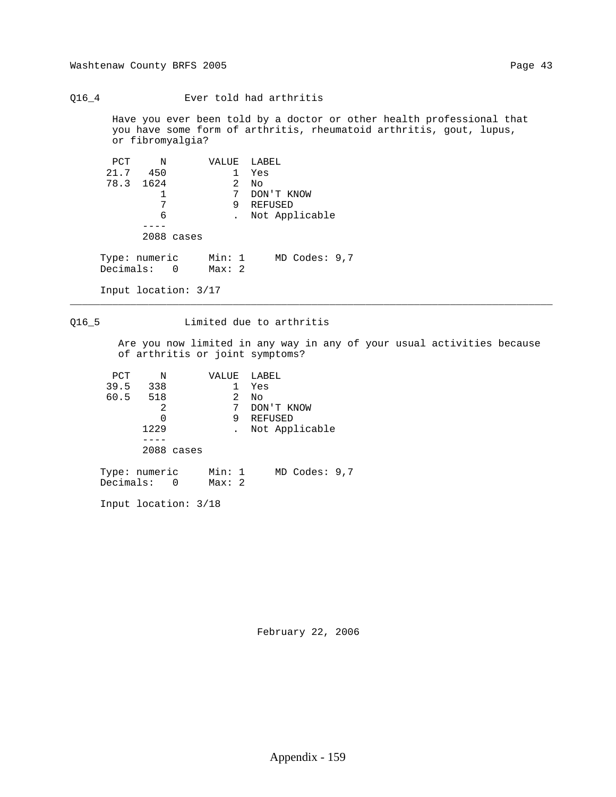Q16\_4 Ever told had arthritis

 Have you ever been told by a doctor or other health professional that you have some form of arthritis, rheumatoid arthritis, gout, lupus, or fibromyalgia?

| PCT           | $\mathbb N$ |            | VALUE  |   | LABEL             |
|---------------|-------------|------------|--------|---|-------------------|
| 21.7          | 450         |            |        |   | Yes               |
| 78.3 1624     |             |            |        | 2 | No                |
|               |             |            |        | 7 | DON'T KNOW        |
|               | 7           |            |        | 9 | REFUSED           |
|               | 6           |            |        |   | Not Applicable    |
|               |             |            |        |   |                   |
|               |             | 2088 cases |        |   |                   |
|               |             |            |        |   |                   |
| Type: numeric |             |            | Min: 1 |   | $MD$ Codes: $9,7$ |
| Decimals: 0   |             |            | Max:2  |   |                   |
|               |             |            |        |   |                   |

Input location: 3/17

## Q16\_5 Limited due to arthritis

\_\_\_\_\_\_\_\_\_\_\_\_\_\_\_\_\_\_\_\_\_\_\_\_\_\_\_\_\_\_\_\_\_\_\_\_\_\_\_\_\_\_\_\_\_\_\_\_\_\_\_\_\_\_\_\_\_\_\_\_\_\_\_\_\_\_\_\_\_\_\_\_\_\_\_\_\_\_\_\_

 Are you now limited in any way in any of your usual activities because of arthritis or joint symptoms?

| PCT  | N             | VALUE  | LABEL           |
|------|---------------|--------|-----------------|
| 39.5 | 338           |        | Yes             |
|      | 60.5 518      | 2      | No              |
|      | 2             | 7      | DON'T KNOW      |
|      |               | 9      | REFUSED         |
|      | 1229          |        | Not Applicable  |
|      |               |        |                 |
|      | 2088 cases    |        |                 |
|      | Type: numeric | Min: 1 | MD Codes: $9,7$ |

Input location: 3/18

Decimals: 0 Max: 2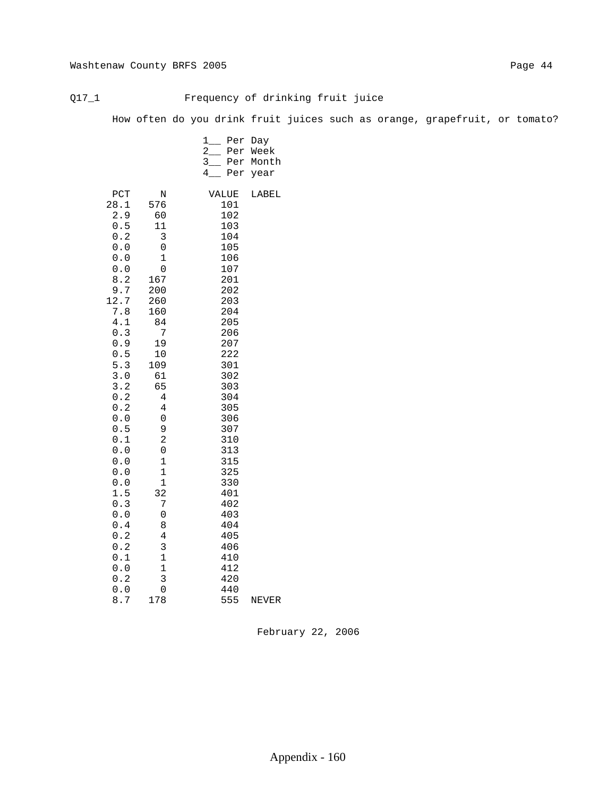## Q17\_1 Frequency of drinking fruit juice

How often do you drink fruit juices such as orange, grapefruit, or tomato?

|                                                                                                                                                                                                                                                                  |                                                                                                                                                                                                                                              | 1<br>Per<br>Day<br>2<br>Per<br>Week<br>3<br>Per<br>Month<br>4.<br>Per<br>year                                                                                                                                                                                       |  |
|------------------------------------------------------------------------------------------------------------------------------------------------------------------------------------------------------------------------------------------------------------------|----------------------------------------------------------------------------------------------------------------------------------------------------------------------------------------------------------------------------------------------|---------------------------------------------------------------------------------------------------------------------------------------------------------------------------------------------------------------------------------------------------------------------|--|
| PCT<br>28.1<br>2.9<br>0.5<br>0.2<br>0.0<br>0.0<br>0.0<br>8.2<br>9.7<br>12.7<br>7.8<br>4.1<br>0.3<br>0.9<br>0.5<br>5.3<br>$3.0$<br>3.2<br>0.2<br>0.2<br>0.0<br>0.5<br>0.1<br>$0.0$<br>0.0<br>0.0<br>$0.0$<br>1.5<br>0.3<br>0.0<br>0.4<br>0.2<br>0.2<br>0.1<br>0.0 | Ν<br>576<br>60<br>11<br>3<br>0<br>1<br>0<br>167<br>200<br>260<br>160<br>84<br>7<br>19<br>10<br>109<br>61<br>65<br>4<br>4<br>0<br>9<br>2<br>0<br>$\mathbf 1$<br>$\mathbf 1$<br>$\mathbf 1$<br>32<br>7<br>0<br>8<br>4<br>3<br>1<br>$\mathbf 1$ | VALUE<br>LABEL<br>101<br>102<br>103<br>104<br>105<br>106<br>107<br>201<br>202<br>203<br>204<br>205<br>206<br>207<br>222<br>301<br>302<br>303<br>304<br>305<br>306<br>307<br>310<br>313<br>315<br>325<br>330<br>401<br>402<br>403<br>404<br>405<br>406<br>410<br>412 |  |
| 0.2<br>0.0<br>8.7                                                                                                                                                                                                                                                | 3<br>0<br>178                                                                                                                                                                                                                                | 420<br>440<br>555<br>NEVER                                                                                                                                                                                                                                          |  |
|                                                                                                                                                                                                                                                                  |                                                                                                                                                                                                                                              |                                                                                                                                                                                                                                                                     |  |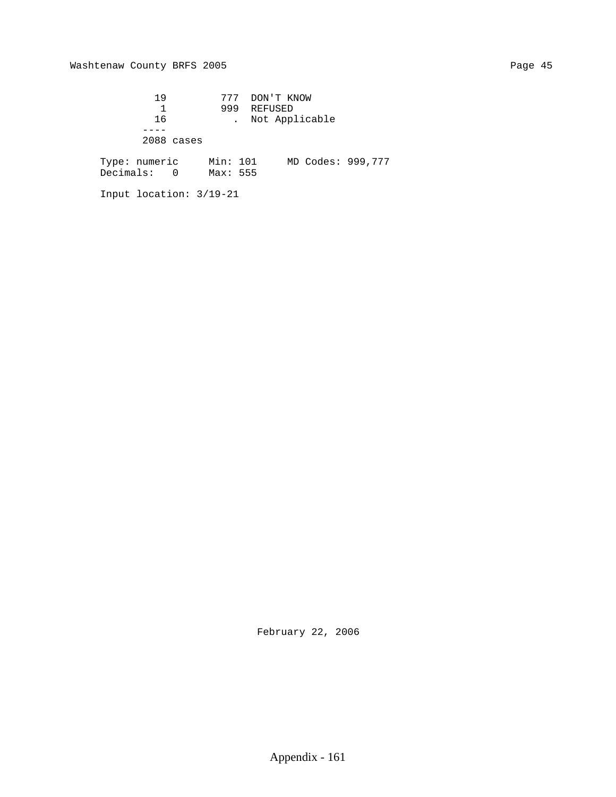19 777 DON'T KNOW 1 999 REFUSED 16 . Not Applicable ---- 2088 cases Type: numeric Min: 101 MD Codes: 999,777 Decimals: 0 Max: 555

Input location: 3/19-21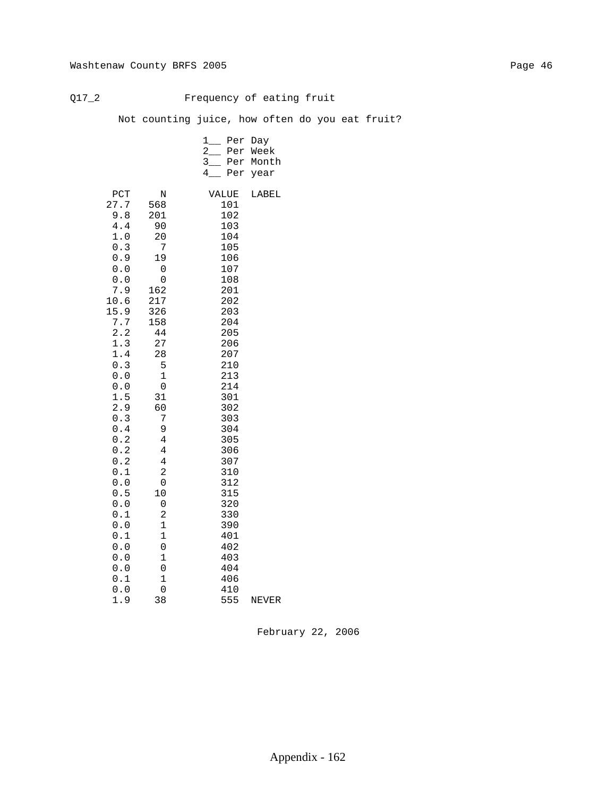## Q17\_2 Frequency of eating fruit

Not counting juice, how often do you eat fruit?

|                      |                                                                                                                                                                                                                                                                                                      | ı<br>2<br>$3_{-}$<br>4                                                                                                                                                      | Per<br>Per<br>Per<br>Per                                                                                                                                                                                                                                                        | Day<br>Week<br>Month<br>year |
|----------------------|------------------------------------------------------------------------------------------------------------------------------------------------------------------------------------------------------------------------------------------------------------------------------------------------------|-----------------------------------------------------------------------------------------------------------------------------------------------------------------------------|---------------------------------------------------------------------------------------------------------------------------------------------------------------------------------------------------------------------------------------------------------------------------------|------------------------------|
| 27.7<br>10.6<br>15.9 | PCT<br>568<br>9.8<br>201<br>4.4<br>$1.0$<br>0.3<br>0.9<br>0.0<br>0.0<br>7.9<br>162<br>217<br>326<br>7.7<br>158<br>2.2<br>1.3<br>1.4<br>0.3<br>0.0<br>0.0<br>1.5<br>2.9<br>0.3<br>0.4<br>0.2<br>0.2<br>0.2<br>0.1<br>0.0<br>0.5<br>0.0<br>0.1<br>0.0<br>0.1<br>0.0<br>0.0<br>0.0<br>0.1<br>0.0<br>1.9 | Ν<br>90<br>20<br>7<br>19<br>0<br>0<br>44<br>27<br>28<br>5<br>1<br>0<br>31<br>60<br>7<br>9<br>4<br>4<br>4<br>2<br>0<br>10<br>0<br>2<br>1<br>1<br>0<br>1<br>0<br>1<br>0<br>38 | VALUE<br>101<br>102<br>103<br>104<br>105<br>106<br>107<br>108<br>201<br>202<br>203<br>204<br>205<br>206<br>207<br>210<br>213<br>214<br>301<br>302<br>303<br>304<br>305<br>306<br>307<br>310<br>312<br>315<br>320<br>330<br>390<br>401<br>402<br>403<br>404<br>406<br>410<br>555 | LABEL<br>NEVER               |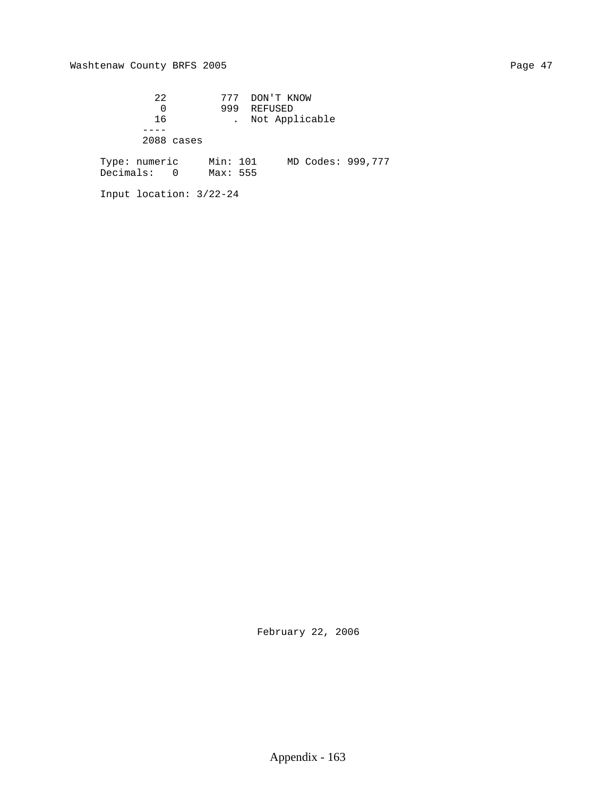22 777 DON'T KNOW 0 999 REFUSED 16 . Not Applicable ---- 2088 cases Type: numeric Min: 101 MD Codes: 999,777 Decimals: 0 Max: 555

Input location: 3/22-24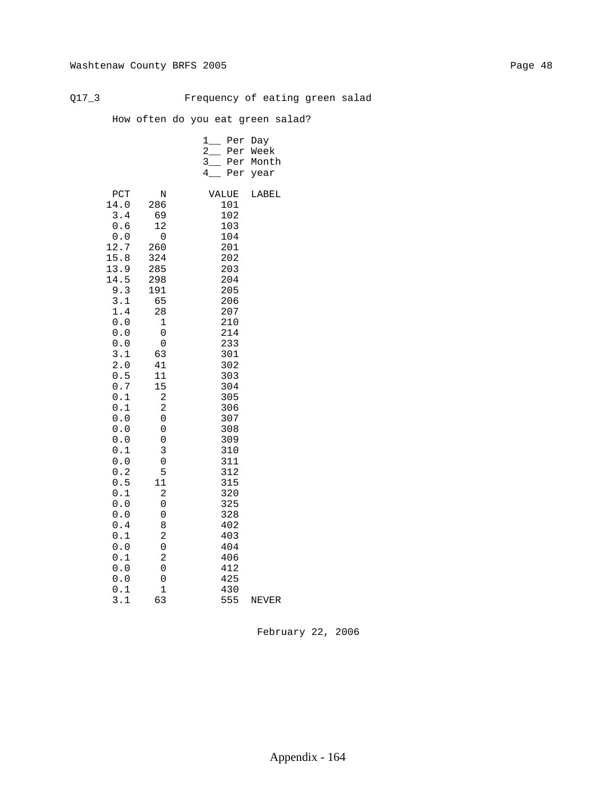Q17\_3 Frequency of eating green salad

How often do you eat green salad?

|  | 1 Per Day |             |
|--|-----------|-------------|
|  |           | 2 Per Week  |
|  |           | 3 Per Month |
|  |           | 4 Per year  |
|  |           |             |

| PCT<br>14.0           | N<br>286       | VALUE<br>101 | LABEL |
|-----------------------|----------------|--------------|-------|
| 3.4                   | 69             | 102          |       |
| 0.6                   | 12             | 103          |       |
| ${\bf 0}$ . ${\bf 0}$ | 0              | 104          |       |
| 12.7                  | 260            | 201          |       |
| 15.8                  | 324            | 202          |       |
| 13.9                  | 285            | 203          |       |
| 14.5                  | 298            | 204          |       |
| 9.3                   | 191            | 205          |       |
| 3.1                   | 65             | 206          |       |
| 1.4                   | 28             | 207          |       |
| $0.0$                 | 1              | 210          |       |
| ${\bf 0}$ . ${\bf 0}$ | 0              | 214          |       |
| ${\bf 0}$ . ${\bf 0}$ | 0              | 233          |       |
| 3.1                   | 63             | 301          |       |
| 2.0                   | 41             | 302          |       |
| 0.5                   | 11             | 303          |       |
| $0\,.\,7$             | 15             | 304          |       |
| 0.1                   | 2              | 305          |       |
| 0.1                   | 2              | 306          |       |
| 0.0<br>$0.0$          | 0<br>0         | 307          |       |
| 0.0                   | 0              | 308<br>309   |       |
| 0.1                   | 3              | 310          |       |
| 0.0                   | 0              | 311          |       |
| 0.2                   | 5              | 312          |       |
| 0.5                   | 11             | 315          |       |
| $0.1$                 | $\overline{c}$ | 320          |       |
| $0.0$                 | 0              | 325          |       |
| $0.0$                 | 0              | 328          |       |
| 0.4                   | 8              | 402          |       |
| 0.1                   | 2              | 403          |       |
| 0.0                   | 0              | 404          |       |
| 0.1                   | $\overline{c}$ | 406          |       |
| 0.0                   | 0              | 412          |       |
| 0.0                   | 0              | 425          |       |
| 0.1                   | 1              | 430          |       |
| 3.1                   | 63             | 555          | NEVER |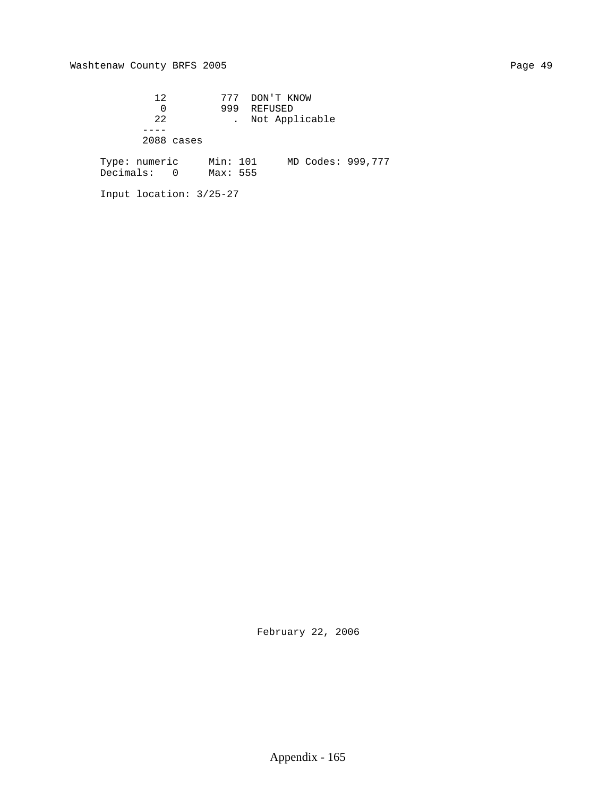# Washtenaw County BRFS 2005 Page 49

 12 777 DON'T KNOW 0 999 REFUSED 22 . Not Applicable ---- 2088 cases Type: numeric Min: 101 MD Codes: 999,777 Decimals: 0 Max: 555

Input location: 3/25-27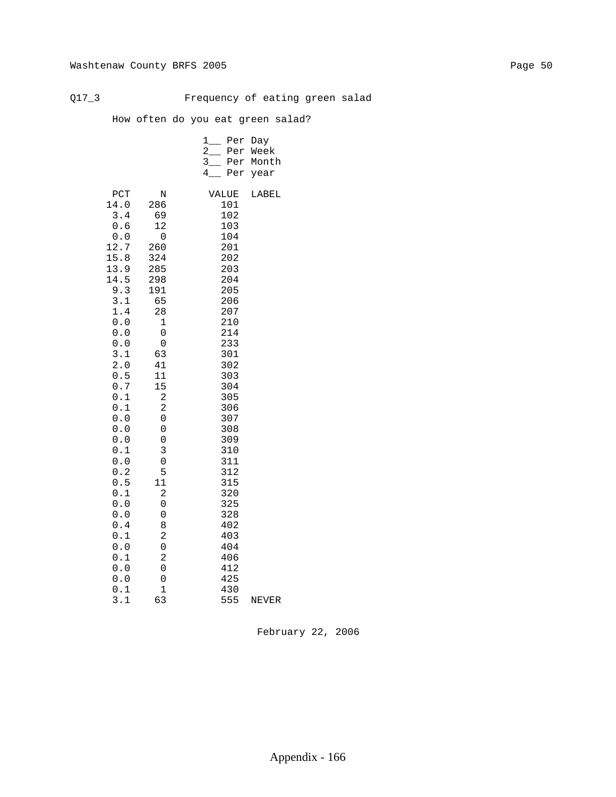Q17\_3 Frequency of eating green salad

How often do you eat green salad?

|  | 1 Per Day |             |
|--|-----------|-------------|
|  |           | 2 Per Week  |
|  |           | 3 Per Month |
|  |           | 4 Per year  |
|  |           |             |

| PCT<br>14.0           | N<br>286       | VALUE<br>101 | LABEL |
|-----------------------|----------------|--------------|-------|
| 3.4                   | 69             | 102          |       |
| 0.6                   | 12             | 103          |       |
| ${\bf 0}$ . ${\bf 0}$ | 0              | 104          |       |
| 12.7                  | 260            | 201          |       |
| 15.8                  | 324            | 202          |       |
| 13.9                  | 285            | 203          |       |
| 14.5                  | 298            | 204          |       |
| 9.3                   | 191            | 205          |       |
| 3.1                   | 65             | 206          |       |
| 1.4                   | 28             | 207          |       |
| $0.0$                 | 1              | 210          |       |
| ${\bf 0}$ . ${\bf 0}$ | 0              | 214          |       |
| ${\bf 0}$ . ${\bf 0}$ | 0              | 233          |       |
| 3.1                   | 63             | 301          |       |
| 2.0                   | 41             | 302          |       |
| 0.5                   | 11             | 303          |       |
| $0\,.\,7$             | 15             | 304          |       |
| 0.1<br>0.1            | 2<br>2         | 305          |       |
| 0.0                   | 0              | 306<br>307   |       |
| $0.0$                 | 0              | 308          |       |
| 0.0                   | 0              | 309          |       |
| 0.1                   | 3              | 310          |       |
| 0.0                   | 0              | 311          |       |
| 0.2                   | 5              | 312          |       |
| 0.5                   | 11             | 315          |       |
| $0.1$                 | $\overline{c}$ | 320          |       |
| $0.0$                 | 0              | 325          |       |
| $0.0$                 | 0              | 328          |       |
| 0.4                   | 8              | 402          |       |
| 0.1                   | 2              | 403          |       |
| 0.0                   | 0              | 404          |       |
| 0.1                   | $\overline{c}$ | 406          |       |
| 0.0                   | 0              | 412          |       |
| 0.0                   | 0              | 425          |       |
| 0.1                   | 1              | 430          |       |
| 3.1                   | 63             | 555          | NEVER |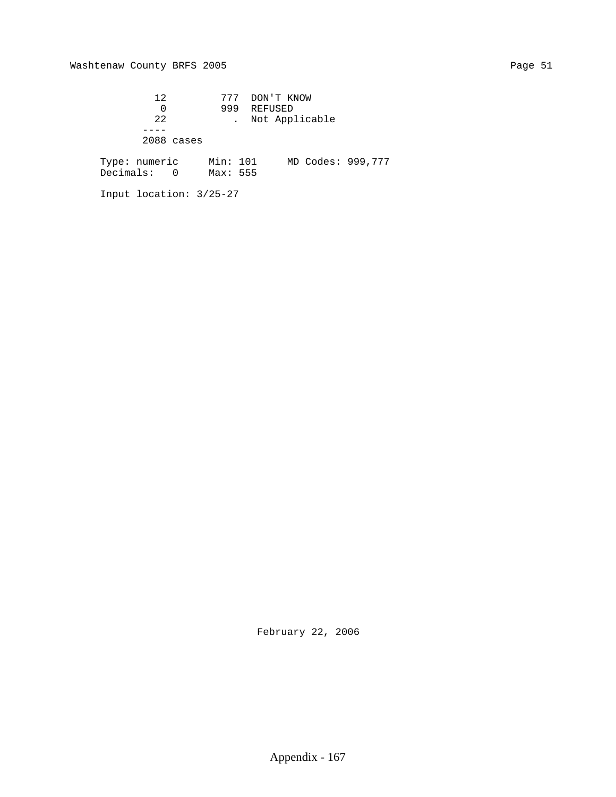# Washtenaw County BRFS 2005 Page 51

Input location: 3/25-27

 12 777 DON'T KNOW 0 999 REFUSED 22 . Not Applicable ---- 2088 cases Type: numeric Min: 101 MD Codes: 999,777 Decimals: 0 Max: 555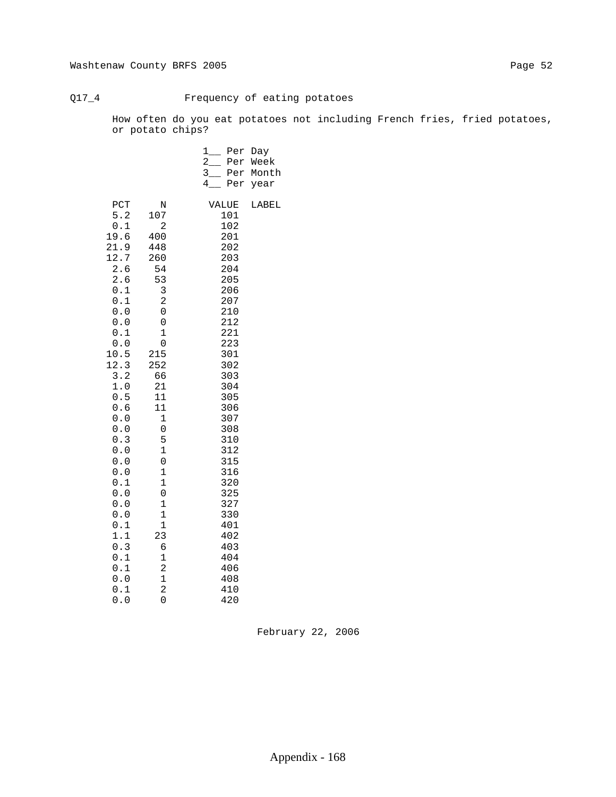# Q17\_4 Frequency of eating potatoes

 How often do you eat potatoes not including French fries, fried potatoes, or potato chips?

|                                                                                                                                                                                                                                                                         |                                                                                                                                                                                                                                                                                                                   | $1$ <sub>——</sub><br>Per<br>$\overline{2}$<br>Per<br>$3$ <sub>__</sub><br>Per<br>4<br>Per                                                                                                                                                    | Day<br>Week<br>Month<br>year |
|-------------------------------------------------------------------------------------------------------------------------------------------------------------------------------------------------------------------------------------------------------------------------|-------------------------------------------------------------------------------------------------------------------------------------------------------------------------------------------------------------------------------------------------------------------------------------------------------------------|----------------------------------------------------------------------------------------------------------------------------------------------------------------------------------------------------------------------------------------------|------------------------------|
| PCT<br>5.2<br>0.1<br>19.6<br>21.9<br>12.7<br>2.6<br>2.6<br>0.1<br>0.1<br>$0.0$<br>0.0<br>0.1<br>0.0<br>10.5<br>12.3<br>3.2<br>1.0<br>0.5<br>0.6<br>${\bf 0}$ . ${\bf 0}$<br>$0.0$<br>0.3<br>0.0<br>$0.0$<br>0.0<br>0.1<br>0.0<br>0.0<br>0.0<br>0.1<br>1.1<br>0.3<br>0.1 | N<br>107<br>2<br>400<br>448<br>260<br>54<br>53<br>3<br>2<br>0<br>0<br>$\mathbf 1$<br>0<br>215<br>252<br>66<br>21<br>11<br>11<br>$\mathbf 1$<br>$\boldsymbol{0}$<br>5<br>$\mathbf 1$<br>$\boldsymbol{0}$<br>$\mathbf 1$<br>$\mathbf 1$<br>$\mathsf 0$<br>1<br>$\mathbf 1$<br>$\mathbf 1$<br>23<br>6<br>$\mathbf 1$ | VALUE<br>101<br>102<br>201<br>202<br>203<br>204<br>205<br>206<br>207<br>210<br>212<br>221<br>223<br>301<br>302<br>303<br>304<br>305<br>306<br>307<br>308<br>310<br>312<br>315<br>316<br>320<br>325<br>327<br>330<br>401<br>402<br>403<br>404 | LABEL                        |
| 0.1<br>0.0<br>0.1<br>0.0                                                                                                                                                                                                                                                | $\overline{\mathbf{c}}$<br>$\mathbf 1$<br>$\overline{c}$<br>0                                                                                                                                                                                                                                                     | 406<br>408<br>410<br>420                                                                                                                                                                                                                     |                              |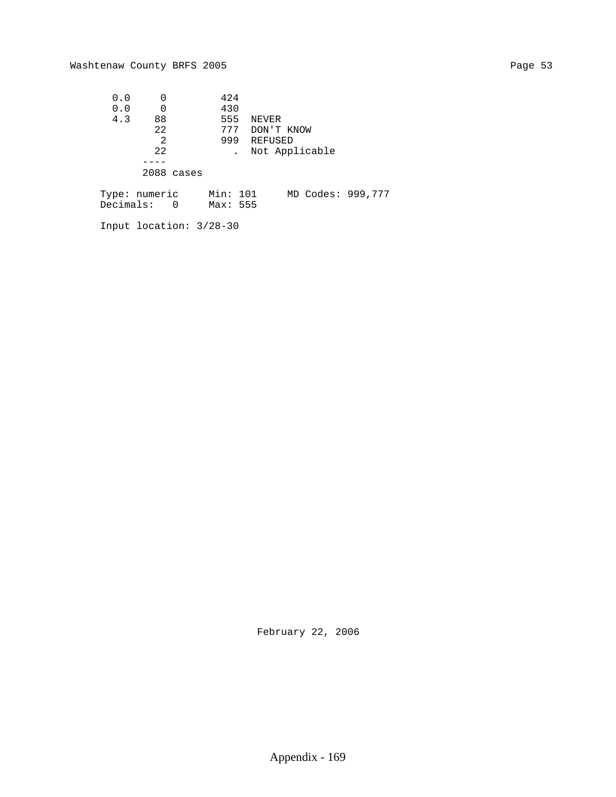| 0.0 |               |            | 424      |       |                |  |
|-----|---------------|------------|----------|-------|----------------|--|
| 0.0 |               |            | 430      |       |                |  |
| 4.3 | 88            |            | 555      | NEVER |                |  |
|     | 22            |            | 777      |       | DON'T KNOW     |  |
|     | 2             |            | 999      |       | REFUSED        |  |
|     | 22            |            |          |       | Not Applicable |  |
|     |               |            |          |       |                |  |
|     |               | 2088 cases |          |       |                |  |
|     |               |            |          |       |                |  |
|     | Tyne: numeric |            | Min: 101 |       | MD Codes: 99   |  |

 Type: numeric Min: 101 MD Codes: 999,777 Decimals: 0 Max: 555

Input location: 3/28-30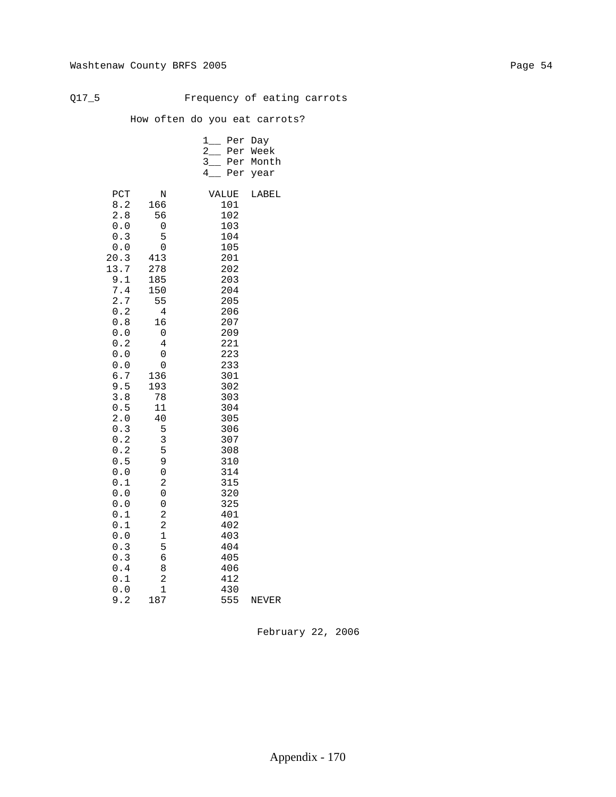# Q17\_5 Frequency of eating carrots

How often do you eat carrots?

|  | 1 Per Day |             |
|--|-----------|-------------|
|  |           | 2 Per Week  |
|  |           | 3 Per Month |
|  |           | 4 Per year  |
|  |           |             |

| PCT            | N                             | VALUE      | LABEL |
|----------------|-------------------------------|------------|-------|
| 8.2<br>2.8     | 166<br>56                     | 101<br>102 |       |
| 0.0            | 0                             | 103        |       |
| 0.3            | 5                             | 104        |       |
| $0.0$          | 0                             | 105        |       |
| 20.3           | 413                           | 201        |       |
| 13.7           | 278                           | 202        |       |
| 9.1            | 185                           | 203        |       |
| $7.4\,$<br>2.7 | 150<br>55                     | 204<br>205 |       |
| 0.2            | 4                             | 206        |       |
| 0.8            | 16                            | 207        |       |
| 0.0            | 0                             | 209        |       |
| 0.2            | 4                             | 221        |       |
| 0.0            | 0                             | 223        |       |
| $0.0$          | 0                             | 233        |       |
| $6.7$<br>9.5   | 136<br>193                    | 301<br>302 |       |
| 3.8            | 78                            | 303        |       |
| 0.5            | 11                            | 304        |       |
| 2.0            | 40                            | 305        |       |
| 0.3            | 5                             | 306        |       |
| 0.2            | 3                             | 307        |       |
| 0.2            | 5                             | 308        |       |
| 0.5            | 9                             | 310        |       |
| 0.0<br>$0.1\,$ | $\mathbf 0$<br>$\overline{c}$ | 314<br>315 |       |
| $0.0$          | 0                             | 320        |       |
| 0.0            | 0                             | 325        |       |
| $0.1\,$        | 2                             | 401        |       |
| $0.1\,$        | $\overline{c}$                | 402        |       |
| 0.0            | 1                             | 403        |       |
| 0.3            | 5                             | 404        |       |
| 0.3<br>$0.4$   | б<br>8                        | 405<br>406 |       |
| $0.1\,$        | $\overline{a}$                | 412        |       |
| $0.0$          | 1                             | 430        |       |
| 9.2            | 187                           | 555        | NEVER |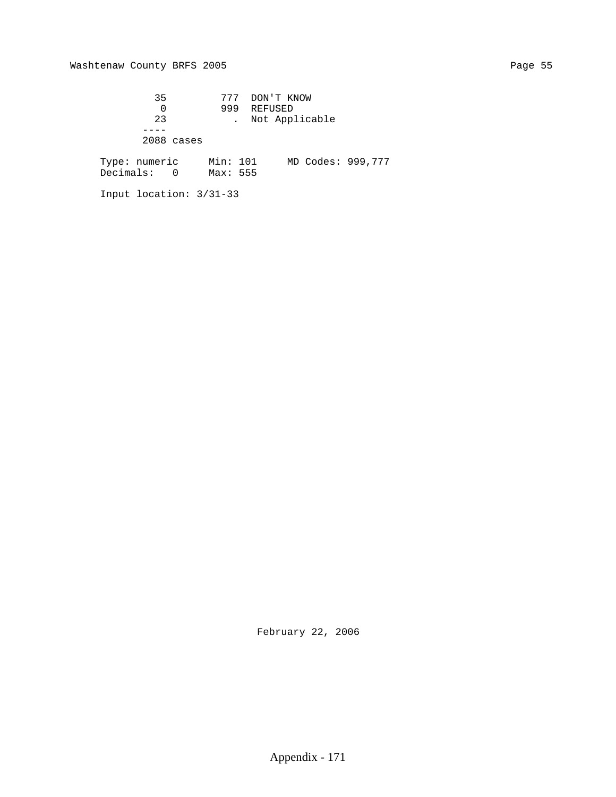# Washtenaw County BRFS 2005 Page 55

 35 777 DON'T KNOW 0 999 REFUSED 23 . Not Applicable ---- 2088 cases Type: numeric Min: 101 MD Codes: 999,777 Decimals: 0 Max: 555

Input location: 3/31-33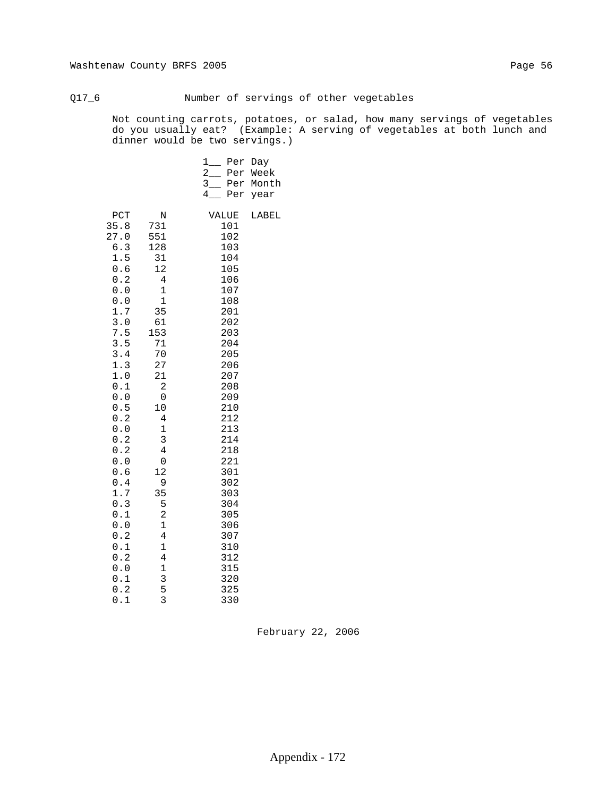# Q17\_6 Number of servings of other vegetables

 Not counting carrots, potatoes, or salad, how many servings of vegetables do you usually eat? (Example: A serving of vegetables at both lunch and dinner would be two servings.)

|                                                                                                                                                                                                                                                     |                                                                                                                                                                                                                                                                                                                                                             | 1<br>Per<br>$\mathbf{2}$<br>Per<br>$3$ <sub>—</sub><br>Per<br>4<br>Per                                                                                                                                                                              | Day<br>Week<br>Month<br>year |
|-----------------------------------------------------------------------------------------------------------------------------------------------------------------------------------------------------------------------------------------------------|-------------------------------------------------------------------------------------------------------------------------------------------------------------------------------------------------------------------------------------------------------------------------------------------------------------------------------------------------------------|-----------------------------------------------------------------------------------------------------------------------------------------------------------------------------------------------------------------------------------------------------|------------------------------|
| PCT<br>35.8<br>27.0<br>6.3<br>1.5<br>0.6<br>0.2<br>0.0<br>0.0<br>1.7<br>3.0<br>7.5<br>3.5<br>3.4<br>1.3<br>1.0<br>0.1<br>0.0<br>0.5<br>0.2<br>0.0<br>0.2<br>0.2<br>0.0<br>0.6<br>0.4<br>1.7<br>0.3<br>0.1<br>0.0<br>0.2<br>0.1<br>0.2<br>0.0<br>0.1 | N<br>731<br>551<br>128<br>31<br>12<br>$\overline{4}$<br>$\mathbf 1$<br>$\mathbf 1$<br>35<br>61<br>153<br>71<br>70<br>27<br>21<br>$\overline{c}$<br>$\mathsf 0$<br>10<br>$\bf 4$<br>$\mathbf 1$<br>3<br>$\overline{4}$<br>$\mathsf 0$<br>12<br>9<br>35<br>5<br>$\overline{\mathbf{c}}$<br>$\mathbf 1$<br>$\,4$<br>$\mathbf 1$<br>$\bf 4$<br>$\mathbf 1$<br>3 | VALUE<br>101<br>102<br>103<br>104<br>105<br>106<br>107<br>108<br>201<br>202<br>203<br>204<br>205<br>206<br>207<br>208<br>209<br>210<br>212<br>213<br>214<br>218<br>221<br>301<br>302<br>303<br>304<br>305<br>306<br>307<br>310<br>312<br>315<br>320 | LABEL                        |
| 0.2<br>0.1                                                                                                                                                                                                                                          | 5<br>3                                                                                                                                                                                                                                                                                                                                                      | 325<br>330                                                                                                                                                                                                                                          |                              |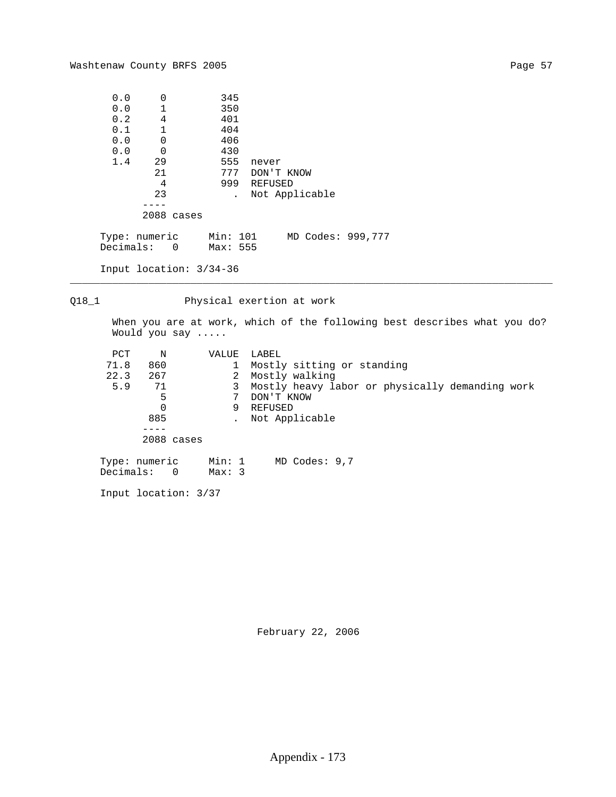| 0.0 | $\Omega$                              | 345      |       |                   |  |
|-----|---------------------------------------|----------|-------|-------------------|--|
| 0.0 | $\mathbf 1$                           | 350      |       |                   |  |
| 0.2 | 4                                     | 401      |       |                   |  |
| 0.1 | $\mathbf 1$                           | 404      |       |                   |  |
| 0.0 | $\mathbf 0$                           | 406      |       |                   |  |
| 0.0 | $\mathbf 0$                           | 430      |       |                   |  |
| 1.4 | 29                                    | 555      | never |                   |  |
|     | 21                                    | 777      |       | DON'T KNOW        |  |
|     | 4                                     | 999      |       | REFUSED           |  |
|     | 23                                    |          |       | Not Applicable    |  |
|     |                                       |          |       |                   |  |
|     | 2088 cases                            |          |       |                   |  |
|     | Type: numeric Min: 101<br>Decimals: 0 | Max: 555 |       | MD Codes: 999,777 |  |
|     | Input location: $3/34-36$             |          |       |                   |  |

Q18\_1 Physical exertion at work

\_\_\_\_\_\_\_\_\_\_\_\_\_\_\_\_\_\_\_\_\_\_\_\_\_\_\_\_\_\_\_\_\_\_\_\_\_\_\_\_\_\_\_\_\_\_\_\_\_\_\_\_\_\_\_\_\_\_\_\_\_\_\_\_\_\_\_\_\_\_\_\_\_\_\_\_\_\_\_\_

 When you are at work, which of the following best describes what you do? Would you say .....

| PCT<br>N                      |                | VALUE  |   | LABEL                                           |
|-------------------------------|----------------|--------|---|-------------------------------------------------|
| 71.8<br>860                   |                |        |   | Mostly sitting or standing                      |
| 22.3<br>267                   |                |        | 2 | Mostly walking                                  |
| 5.9<br>71                     |                |        | 3 | Mostly heavy labor or physically demanding work |
|                               | 5              |        |   | DON'T KNOW                                      |
|                               |                | 9      |   | REFUSED                                         |
| 885                           |                |        |   | Not Applicable                                  |
|                               |                |        |   |                                                 |
|                               | 2088 cases     |        |   |                                                 |
| Type: numeric<br>$Decimals$ : | $\overline{0}$ | Max: 3 |   | Min: 1 MD Codes: 9,7                            |

Input location: 3/37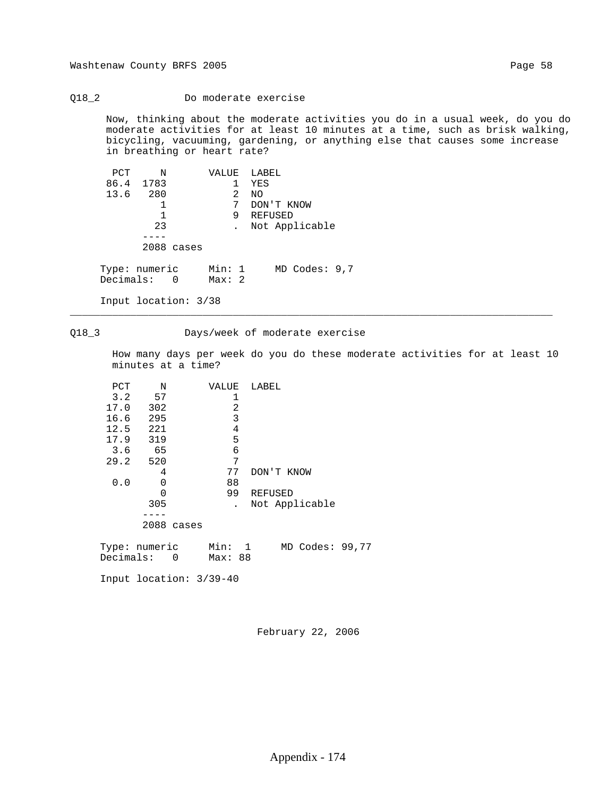## Q18\_2 Do moderate exercise

 Now, thinking about the moderate activities you do in a usual week, do you do moderate activities for at least 10 minutes at a time, such as brisk walking, bicycling, vacuuming, gardening, or anything else that causes some increase in breathing or heart rate?

| PCT                          | Ν         |            |                 |   | VALUE LABEL |                   |  |
|------------------------------|-----------|------------|-----------------|---|-------------|-------------------|--|
|                              | 86.4 1783 |            |                 |   | YES         |                   |  |
| 13.6 280                     |           |            |                 | 2 | NO.         |                   |  |
|                              |           |            |                 | 7 | DON'T KNOW  |                   |  |
|                              |           |            |                 | 9 | REFUSED     |                   |  |
|                              | 23        |            |                 |   |             | . Not Applicable  |  |
|                              |           |            |                 |   |             |                   |  |
|                              |           | 2088 cases |                 |   |             |                   |  |
| Type: numeric<br>Decimals: 0 |           |            | Min: 1<br>Max:2 |   |             | $MD$ Codes: $9,7$ |  |
| Input location: 3/38         |           |            |                 |   |             |                   |  |

## Q18\_3 Days/week of moderate exercise

\_\_\_\_\_\_\_\_\_\_\_\_\_\_\_\_\_\_\_\_\_\_\_\_\_\_\_\_\_\_\_\_\_\_\_\_\_\_\_\_\_\_\_\_\_\_\_\_\_\_\_\_\_\_\_\_\_\_\_\_\_\_\_\_\_\_\_\_\_\_\_\_\_\_\_\_\_\_\_\_

 How many days per week do you do these moderate activities for at least 10 minutes at a time?

| PCT      | N                         | VALUE   |   | LABEL |            |                 |  |
|----------|---------------------------|---------|---|-------|------------|-----------------|--|
|          | $3.2$ 57                  | 1       |   |       |            |                 |  |
| 17.0 302 |                           |         | 2 |       |            |                 |  |
| 16.6 295 |                           | 3       |   |       |            |                 |  |
| 12.5 221 |                           |         | 4 |       |            |                 |  |
| 17.9 319 |                           | 5       |   |       |            |                 |  |
| 3.6      | 65                        | 6       |   |       |            |                 |  |
| 29.2 520 |                           | 7       |   |       |            |                 |  |
|          | 4                         | 77      |   |       | DON'T KNOW |                 |  |
| 0.0      | 0                         | 88      |   |       |            |                 |  |
|          | $\Omega$                  | 99      |   |       | REFUSED    |                 |  |
|          | 305                       |         |   |       |            | Not Applicable  |  |
|          |                           |         |   |       |            |                 |  |
|          | 2088 cases                |         |   |       |            |                 |  |
|          | Type: numeric Min: 1      |         |   |       |            | MD Codes: 99,77 |  |
|          | Decimals: 0               | Max: 88 |   |       |            |                 |  |
|          | Input location: $3/39-40$ |         |   |       |            |                 |  |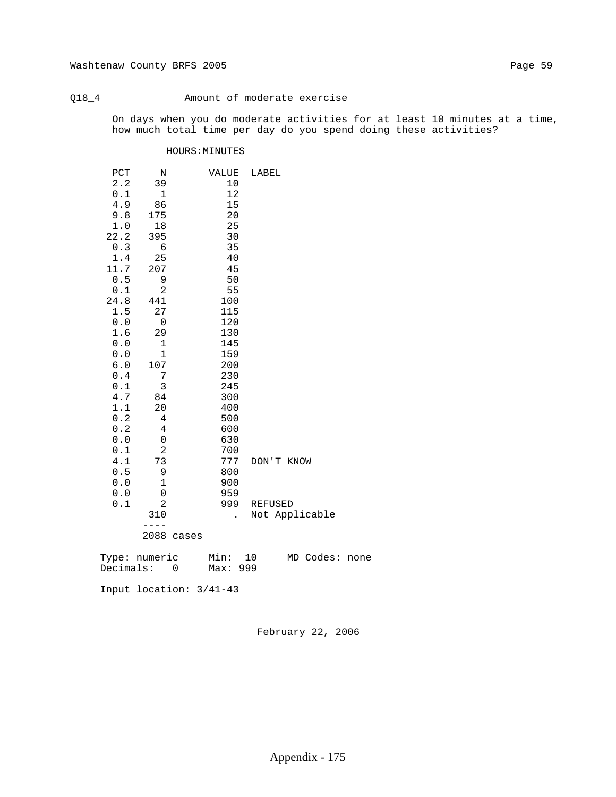# Q18\_4 Amount of moderate exercise

 On days when you do moderate activities for at least 10 minutes at a time, how much total time per day do you spend doing these activities?

## HOURS:MINUTES

| PCT          | Ν            | VALUE | LABEL          |
|--------------|--------------|-------|----------------|
| 2.2          | 39           | $10$  |                |
| $0.1\,$      | $\mathbf{1}$ | 12    |                |
| 4.9          | 86           | 15    |                |
| 9.8          | 175          | 20    |                |
| $1\, . \, 0$ | 18           | 25    |                |
| 22.2         | 395          | 30    |                |
| $0.3$        | 6            | 35    |                |
| $1\,.4$      | 25           | 40    |                |
| 11.7         | 207          | 45    |                |
| $0.5$        | 9            | 50    |                |
| $0.1$        | $\mathbf{2}$ | 55    |                |
| 24.8         | 441          | 100   |                |
| 1.5          | 27           | 115   |                |
| 0.0          | $\mathbf 0$  | 120   |                |
| 1.6          | 29           | 130   |                |
| $0.0$        | 1            | 145   |                |
| $0.0$        | 1            | 159   |                |
| $6.0$        | 107          | 200   |                |
| $0.4\,$      | 7            | 230   |                |
| 0.1          | 3            | 245   |                |
| 4.7          | 84           | 300   |                |
| 1.1          | 20           | 400   |                |
| 0.2          | 4            | 500   |                |
| $0.2$        | 4            | 600   |                |
| $0.0$        | $\mbox{O}$   | 630   |                |
| $0.1\,$      | 2            | 700   |                |
| 4.1          | 73           | 777   | DON'T KNOW     |
| $0.5$        | 9            | 800   |                |
| 0.0          | $\mathbf 1$  | 900   |                |
| 0.0          | 0            | 959   |                |
| 0.1          | 2            | 999   | <b>REFUSED</b> |
|              | 310          |       | Not Applicable |
|              |              |       |                |
|              | 2088 cases   |       |                |
|              |              |       |                |

| Type: numeric |  | Min: 10  |  | MD Codes: none |  |
|---------------|--|----------|--|----------------|--|
| Decimals:     |  | Max: 999 |  |                |  |

Input location: 3/41-43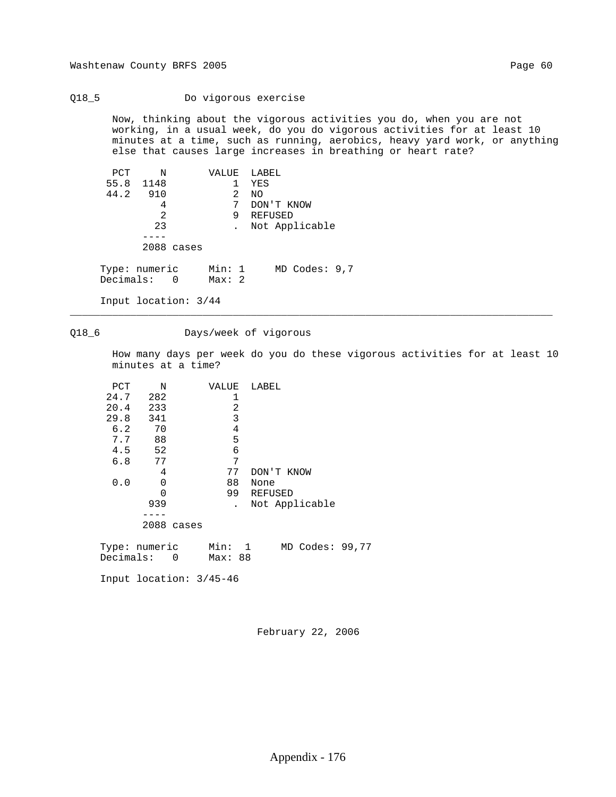## Q18\_5 Do vigorous exercise

 Now, thinking about the vigorous activities you do, when you are not working, in a usual week, do you do vigorous activities for at least 10 minutes at a time, such as running, aerobics, heavy yard work, or anything else that causes large increases in breathing or heart rate?

| PCT | Ν                            | VALUE LABEL     |                   |
|-----|------------------------------|-----------------|-------------------|
|     | 55.8 1148                    |                 | YES               |
|     | 44.2 910                     | 2               | NO                |
|     | 4                            | 7               | DON'T KNOW        |
|     | 2                            | 9               | REFUSED           |
|     | 23                           |                 | Not Applicable    |
|     |                              |                 |                   |
|     | 2088 cases                   |                 |                   |
|     | Type: numeric<br>Decimals: 0 | Min: 1<br>Max:2 | $MD$ Codes: $9,7$ |
|     | Input location: 3/44         |                 |                   |

# Q18\_6 Days/week of vigorous

\_\_\_\_\_\_\_\_\_\_\_\_\_\_\_\_\_\_\_\_\_\_\_\_\_\_\_\_\_\_\_\_\_\_\_\_\_\_\_\_\_\_\_\_\_\_\_\_\_\_\_\_\_\_\_\_\_\_\_\_\_\_\_\_\_\_\_\_\_\_\_\_\_\_\_\_\_\_\_\_

 How many days per week do you do these vigorous activities for at least 10 minutes at a time?

| PCT      | N                       | VALUE   |    | LABEL |            |                 |  |
|----------|-------------------------|---------|----|-------|------------|-----------------|--|
| 24.7     | 282                     | 1       |    |       |            |                 |  |
| 20.4 233 |                         |         | 2  |       |            |                 |  |
| 29.8 341 |                         | 3       |    |       |            |                 |  |
| 6.2      | 70                      |         | 4  |       |            |                 |  |
|          | 7.7 88                  | 5       |    |       |            |                 |  |
|          | 4.5 52                  | 6       |    |       |            |                 |  |
| 6.8      | 77                      |         | 7  |       |            |                 |  |
|          | 4                       | 77      |    |       | DON'T KNOW |                 |  |
| 0.0      | $\mathbf 0$             | 88      |    | None  |            |                 |  |
|          | $\Omega$                |         | 99 |       | REFUSED    |                 |  |
|          | 939                     |         |    |       |            | Not Applicable  |  |
|          |                         |         |    |       |            |                 |  |
|          | 2088 cases              |         |    |       |            |                 |  |
|          | Type: numeric Min: 1    |         |    |       |            | MD Codes: 99,77 |  |
|          | Decimals: 0             | Max: 88 |    |       |            |                 |  |
|          | Input location: 3/45-46 |         |    |       |            |                 |  |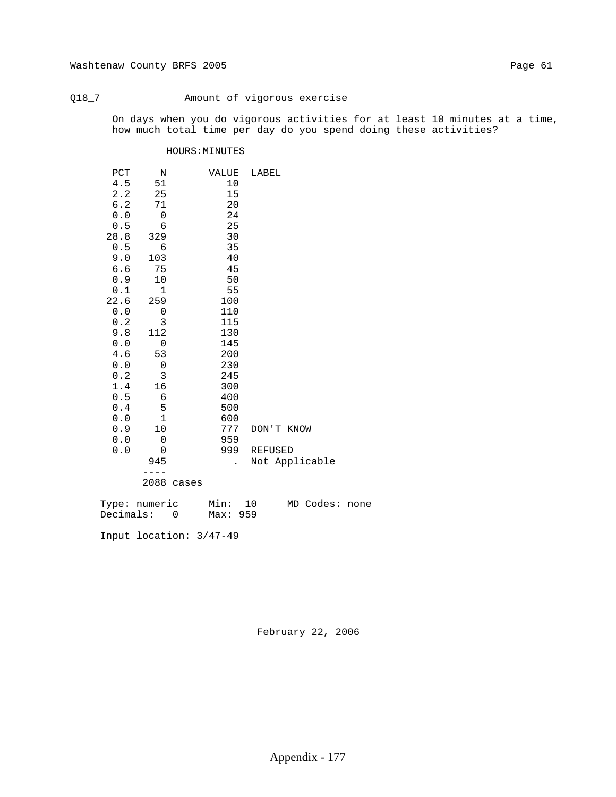# Q18\_7 Amount of vigorous exercise

 On days when you do vigorous activities for at least 10 minutes at a time, how much total time per day do you spend doing these activities?

### HOURS:MINUTES

| PCT   | N            |       | VALUE | LABEL          |
|-------|--------------|-------|-------|----------------|
| 4.5   | 51           |       | 10    |                |
| 2.2   | 25           |       | 15    |                |
| $6.2$ | 71           |       | 20    |                |
| 0.0   | $\mathbf 0$  |       | 24    |                |
| $0.5$ | 6            |       | 25    |                |
| 28.8  | 329          |       | 30    |                |
| $0.5$ | 6            |       | 35    |                |
| 9.0   | 103          |       | 40    |                |
| 6.6   | 75           |       | 45    |                |
| 0.9   | 10           |       | 50    |                |
| 0.1   | $\mathbf 1$  |       | 55    |                |
| 22.6  | 259          |       | 100   |                |
| $0.0$ | 0            |       | 110   |                |
| 0.2   | 3            |       | 115   |                |
| 9.8   | 112          |       | 130   |                |
| $0.0$ | $\mathbf 0$  |       | 145   |                |
| 4.6   | 53           |       | 200   |                |
| $0.0$ | $\mathbf 0$  |       | 230   |                |
| 0.2   | 3            |       | 245   |                |
| 1.4   | 16           |       | 300   |                |
| 0.5   | 6            |       | 400   |                |
| 0.4   | 5            |       | 500   |                |
| 0.0   | $\mathbf{1}$ |       | 600   |                |
| 0.9   | 10           |       | 777   | DON'T KNOW     |
| 0.0   | $\mathbf 0$  |       | 959   |                |
| 0.0   | 0            |       | 999   | <b>REFUSED</b> |
|       | 945          |       |       | Not Applicable |
|       |              |       |       |                |
|       | 2088         | cases |       |                |

| Type: numeric | Min: 10  |  | MD Codes: none |  |
|---------------|----------|--|----------------|--|
| Decimals:     | Max: 959 |  |                |  |

Input location: 3/47-49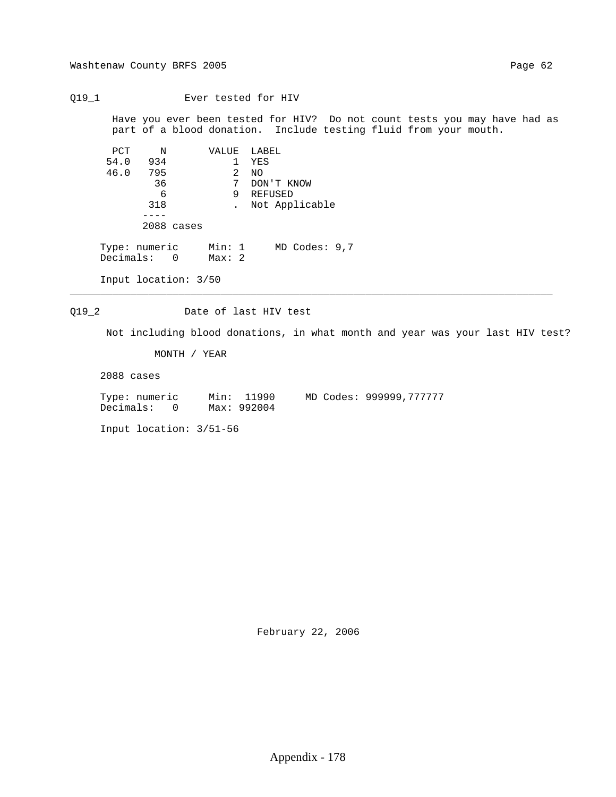Washtenaw County BRFS 2005 Page 62

Q19\_1 Ever tested for HIV

 Have you ever been tested for HIV? Do not count tests you may have had as part of a blood donation. Include testing fluid from your mouth.

| PCT                          | N   |                      |                 |    | VALUE LABEL |                   |  |
|------------------------------|-----|----------------------|-----------------|----|-------------|-------------------|--|
| 54.0                         | 934 |                      |                 | 1. | YES         |                   |  |
| 46.0                         | 795 |                      |                 | 2  | NO.         |                   |  |
|                              | 36  |                      |                 | 7  |             | DON'T KNOW        |  |
|                              | 6   |                      |                 | 9  | REFUSED     |                   |  |
|                              | 318 |                      |                 |    |             | Not Applicable    |  |
|                              |     |                      |                 |    |             |                   |  |
|                              |     | 2088 cases           |                 |    |             |                   |  |
| Type: numeric<br>Decimals: 0 |     |                      | Min: 1<br>Max:2 |    |             | $MD$ Codes: $9,7$ |  |
|                              |     | Input location: 3/50 |                 |    |             |                   |  |

Q19\_2 Date of last HIV test

Not including blood donations, in what month and year was your last HIV test?

MONTH / YEAR

2088 cases

 Type: numeric Min: 11990 MD Codes: 999999,777777 Decimals: 0 Max: 992004

\_\_\_\_\_\_\_\_\_\_\_\_\_\_\_\_\_\_\_\_\_\_\_\_\_\_\_\_\_\_\_\_\_\_\_\_\_\_\_\_\_\_\_\_\_\_\_\_\_\_\_\_\_\_\_\_\_\_\_\_\_\_\_\_\_\_\_\_\_\_\_\_\_\_\_\_\_\_\_\_

Input location: 3/51-56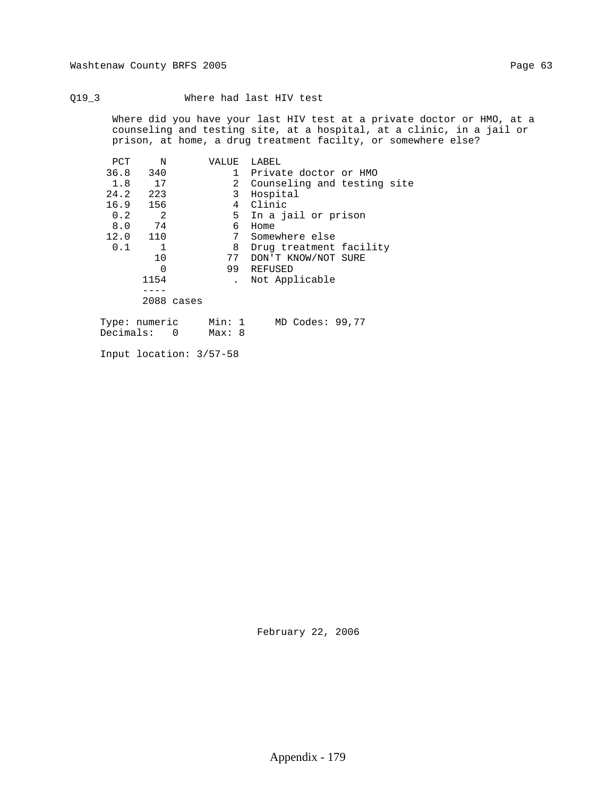## Q19\_3 Where had last HIV test

 Where did you have your last HIV test at a private doctor or HMO, at a counseling and testing site, at a hospital, at a clinic, in a jail or prison, at home, a drug treatment facilty, or somewhere else?

| PCT  | N              | VALUE | LABEL                                                                           |
|------|----------------|-------|---------------------------------------------------------------------------------|
| 36.8 | 340            |       | 1 Private doctor or HMO                                                         |
| 1.8  | 17             |       | 2 Counseling and testing site                                                   |
| 24.2 | 223            | 3     | Hospital                                                                        |
| 16.9 | 156            |       | 4 Clinic                                                                        |
| 0.2  | 2              |       | 5 In a jail or prison                                                           |
| 8.0  | 74             | 6     | Home                                                                            |
| 12.0 | 110            | 7     | Somewhere else                                                                  |
| 0.1  | $\overline{1}$ | 8     | Drug treatment facility                                                         |
|      | 10             |       | 77 DON'T KNOW/NOT SURE                                                          |
|      | $\Omega$       | 99    | REFUSED                                                                         |
|      | 1154           |       | Not Applicable                                                                  |
|      |                |       |                                                                                 |
|      | 2088 cases     |       |                                                                                 |
|      |                |       |                                                                                 |
|      |                |       | $\pi_{\text{max}}$ , $\ldots$ , $\ldots$ , $\ldots$ , $\ldots$ , $\ldots$<br>77 |

| Type: numeric | Min: 1 |  | MD Codes: 99,77 |  |
|---------------|--------|--|-----------------|--|
| Decimals:     | Max: 8 |  |                 |  |

Input location: 3/57-58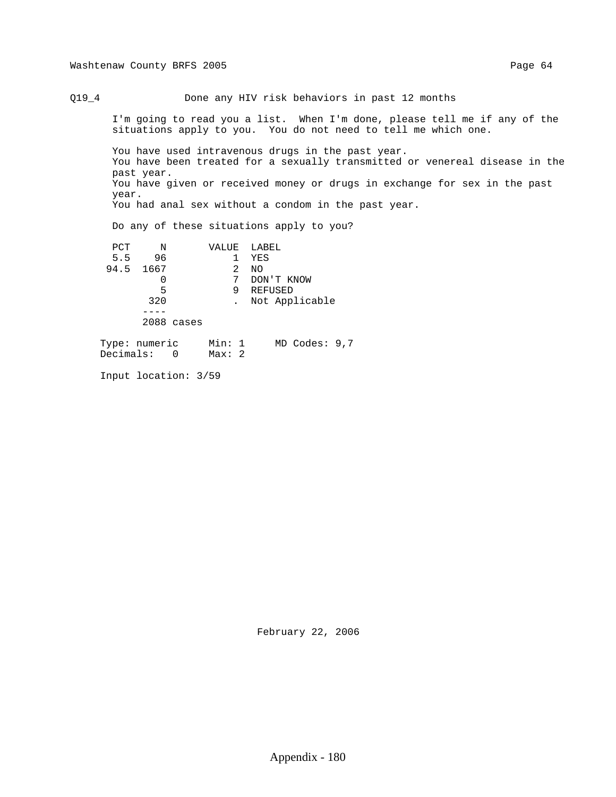Q19\_4 Done any HIV risk behaviors in past 12 months

 I'm going to read you a list. When I'm done, please tell me if any of the situations apply to you. You do not need to tell me which one.

 You have used intravenous drugs in the past year. You have been treated for a sexually transmitted or venereal disease in the past year. You have given or received money or drugs in exchange for sex in the past year. You had anal sex without a condom in the past year.

Do any of these situations apply to you?

| PCT  | Ν    |            | VALUE | LABEL          |
|------|------|------------|-------|----------------|
| 5.5  | 96   |            |       | YES            |
| 94.5 | 1667 |            | 2     | NO.            |
|      |      |            | 7     | DON'T KNOW     |
|      | 5    |            | 9     | <b>REFUSED</b> |
|      | 320  |            |       | Not Applicable |
|      |      |            |       |                |
|      |      | 2088 cases |       |                |
|      | . .  |            |       |                |

 Type: numeric Min: 1 MD Codes: 9,7 Decimals: 0 Max: 2

Input location: 3/59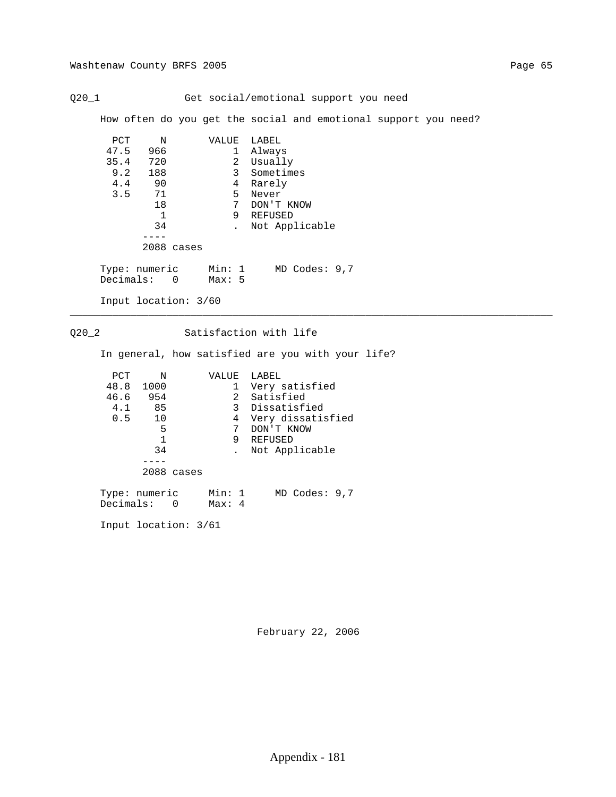Q20\_1 Get social/emotional support you need

How often do you get the social and emotional support you need?

\_\_\_\_\_\_\_\_\_\_\_\_\_\_\_\_\_\_\_\_\_\_\_\_\_\_\_\_\_\_\_\_\_\_\_\_\_\_\_\_\_\_\_\_\_\_\_\_\_\_\_\_\_\_\_\_\_\_\_\_\_\_\_\_\_\_\_\_\_\_\_\_\_\_\_\_\_\_\_\_

| PCT  | N                            | VALUE            | LABEL             |
|------|------------------------------|------------------|-------------------|
| 47.5 | 966                          | 1                | Always            |
|      | 720<br>35.4                  | 2                | Usually           |
|      | 9.2<br>188                   | 3                | Sometimes         |
|      | 4.4<br>90                    | 4                | Rarely            |
|      | 71<br>3.5                    | 5.               | Never             |
|      | 18                           | 7                | DON'T KNOW        |
|      | $\mathbf{1}$                 | 9                | REFUSED           |
|      | 34                           |                  | Not Applicable    |
|      |                              |                  |                   |
|      | 2088 cases                   |                  |                   |
|      | Type: numeric<br>Decimals: 0 | Min: 1<br>Max: 5 | $MD$ Codes: $9,7$ |
|      | Input location: 3/60         |                  |                   |

Q20\_2 Satisfaction with life

In general, how satisfied are you with your life?

| PCT  | N                            | VALUE            | LABEL             |
|------|------------------------------|------------------|-------------------|
| 48.8 | 1000                         | 1                | Very satisfied    |
| 46.6 | 954                          | $\mathbf{2}$     | Satisfied         |
| 4.1  | 85                           | 3                | Dissatisfied      |
| 0.5  | 10                           | 4                | Very dissatisfied |
|      | 5                            | 7                | DON'T KNOW        |
|      | $\mathbf{1}$                 | 9                | REFUSED           |
|      | 34                           |                  | Not Applicable    |
|      |                              |                  |                   |
|      | 2088 cases                   |                  |                   |
|      | Type: numeric<br>Decimals: 0 | Min: 1<br>Max: 4 | $MD$ Codes: $9,7$ |

Input location: 3/61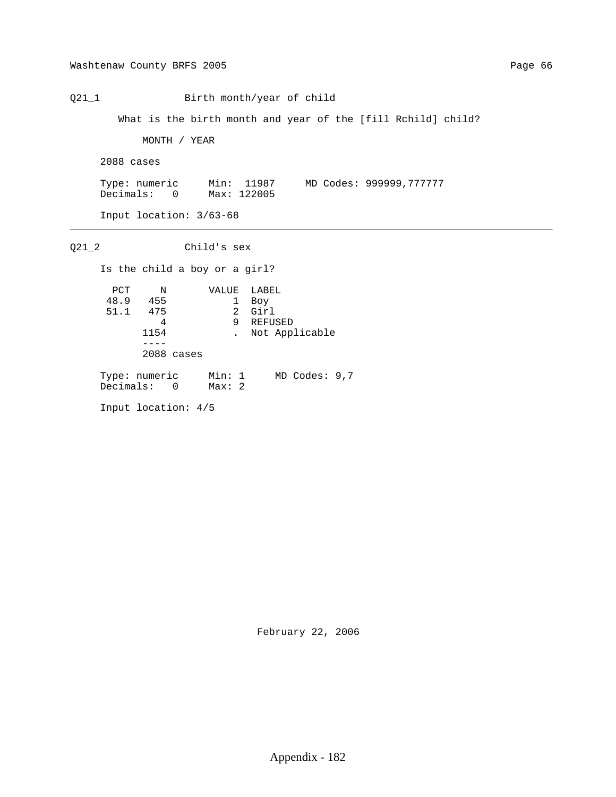Q21\_1 Birth month/year of child

What is the birth month and year of the [fill Rchild] child?

MONTH / YEAR

2088 cases

 Type: numeric Min: 11987 MD Codes: 999999,777777 Decimals: 0 Max: 122005

\_\_\_\_\_\_\_\_\_\_\_\_\_\_\_\_\_\_\_\_\_\_\_\_\_\_\_\_\_\_\_\_\_\_\_\_\_\_\_\_\_\_\_\_\_\_\_\_\_\_\_\_\_\_\_\_\_\_\_\_\_\_\_\_\_\_\_\_\_\_\_\_\_\_\_\_\_\_\_\_

Input location: 3/63-68

 Q21\_2 Child's sex Is the child a boy or a girl? PCT N VALUE LABEL 48.9 455 1 Boy 51.1 475 2 Girl 4 9 REFUSED 1154 . Not Applicable  $---$  2088 cases Type: numeric Min: 1 MD Codes: 9,7 Decimals: 0 Max: 2 Input location: 4/5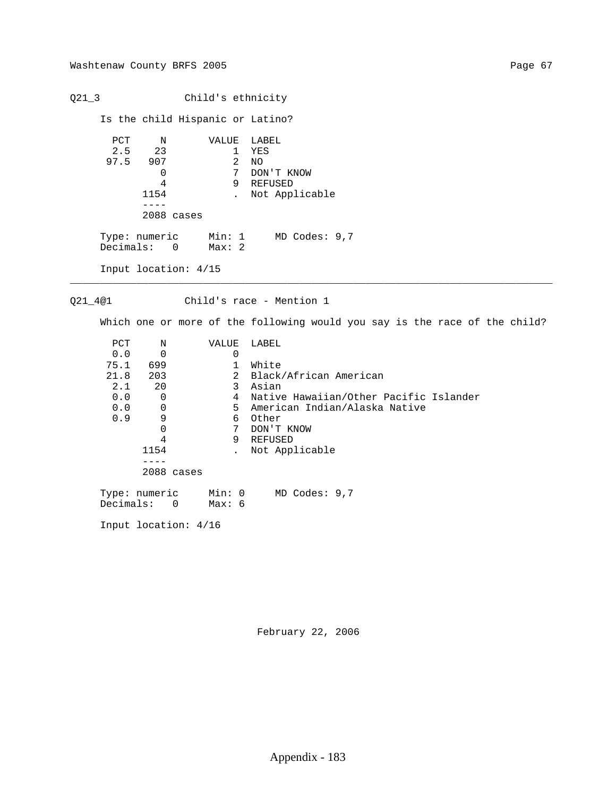Q21\_3 Child's ethnicity Is the child Hispanic or Latino? PCT N VALUE LABEL<br>2.5 23 1 YES 1 YES<br>2 NO 97.5 907<br>0 0 7 DON'T KNOW<br>4 9 REFUSED 4 9 REFUSED<br>1154 . Not App. . Not Applicable ---- 2088 cases Type: numeric Min: 1 MD Codes: 9,7 Decimals: 0 Max: 2 Input location: 4/15 \_\_\_\_\_\_\_\_\_\_\_\_\_\_\_\_\_\_\_\_\_\_\_\_\_\_\_\_\_\_\_\_\_\_\_\_\_\_\_\_\_\_\_\_\_\_\_\_\_\_\_\_\_\_\_\_\_\_\_\_\_\_\_\_\_\_\_\_\_\_\_\_\_\_\_\_\_\_\_\_ Q21\_4@1 Child's race - Mention 1 Which one or more of the following would you say is the race of the child? PCT N VALUE LABEL  $0.0$  0 0 75.1 699 1 White<br>21.8 203 2 Black

2 Black/African American<br>3 Asian 2.1 20 3 Asian 4 Native Hawaiian/Other Pacific Islander 5 American Indian/Alaska Native<br>6 Other 0.9 9 6 Other 0 7 DON'T KNOW 4 9 REFUSED<br>1154 . Not App. 1154 . Not Applicable ---- 2088 cases Type: numeric Min: 0 MD Codes: 9,7 Decimals: 0 Max: 6

Input location: 4/16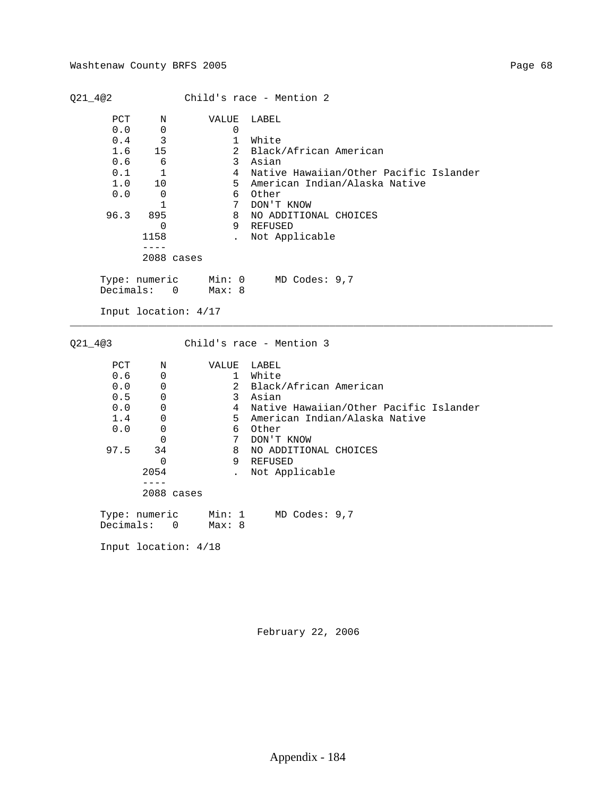| Q21_4@2                                                      |                                                                                                                           |                                                                                                                    | Child's race - Mention 2                                                                                                                                                                                  |
|--------------------------------------------------------------|---------------------------------------------------------------------------------------------------------------------------|--------------------------------------------------------------------------------------------------------------------|-----------------------------------------------------------------------------------------------------------------------------------------------------------------------------------------------------------|
| PCT<br>0.0<br>0.4<br>1.6<br>0.6<br>0.1<br>1.0<br>0.0<br>96.3 | Ν<br>0<br>3<br>15<br>6<br>$\mathbf{1}$<br>10<br>$\mathbf 0$<br>1<br>895<br>$\mathbf 0$<br>1158<br>$- - - -$<br>2088 cases | VALUE<br>0<br>$\mathbf{1}$<br>2<br>$\mathbf{3}$<br>$\overline{4}$<br>5<br>6<br>7<br>8<br>9<br>$\ddot{\phantom{a}}$ | LABEL<br>White<br>Black/African American<br>Asian<br>Native Hawaiian/Other Pacific Islander<br>American Indian/Alaska Native<br>Other<br>DON'T KNOW<br>NO ADDITIONAL CHOICES<br>REFUSED<br>Not Applicable |
| Decimals:                                                    | Type: numeric<br>$\Omega$<br>Input location: 4/17                                                                         | Min: 0<br>Max: 8                                                                                                   | MD Codes: 9,7                                                                                                                                                                                             |
| $Q21 - 4@3$                                                  |                                                                                                                           |                                                                                                                    | Child's race - Mention 3                                                                                                                                                                                  |
| PCT<br>0.6<br>0.0<br>0.5<br>0.0<br>1.4<br>0.0<br>97.5        | N<br>0<br>0<br>0<br>0<br>0<br>0<br>$\Omega$<br>34<br>$\mathbf 0$<br>2054<br>$- - - -$<br>$2088$ cases                     | VALUE<br>$\mathbf{1}$<br>$\overline{2}$<br>3<br>$\overline{4}$<br>5<br>6<br>7<br>8<br>9<br>$\ddot{\phantom{a}}$    | LABEL<br>White<br>Black/African American<br>Asian<br>Native Hawaiian/Other Pacific Islander<br>American Indian/Alaska Native<br>Other<br>DON'T KNOW<br>NO ADDITIONAL CHOICES<br>REFUSED<br>Not Applicable |
| Decimals:                                                    | Type: numeric<br>$\mathbf 0$                                                                                              | Min: 1<br>Max: 8                                                                                                   | MD Codes: 9,7                                                                                                                                                                                             |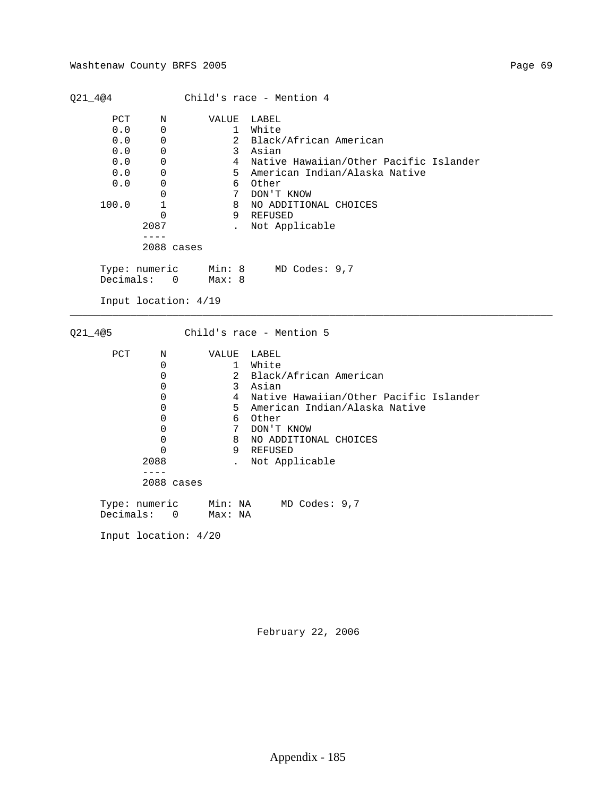|                                                        |                                                                                                     |                                                                                                                                          | Child's race - Mention 4                                                                                                                                                                                  |
|--------------------------------------------------------|-----------------------------------------------------------------------------------------------------|------------------------------------------------------------------------------------------------------------------------------------------|-----------------------------------------------------------------------------------------------------------------------------------------------------------------------------------------------------------|
| PCT<br>0.0<br>0.0<br>0.0<br>0.0<br>0.0<br>0.0<br>100.0 | Ν<br>$\mathbf 0$<br>0<br>$\mathbf 0$<br>0<br>0<br>0<br>$\Omega$<br>$\mathbf{1}$<br>$\Omega$<br>2087 | VALUE<br>$\mathbf{1}$<br>$\overline{a}$<br>$\mathbf{3}$<br>$\overline{4}$<br>5<br>6<br>$7\overline{ }$<br>8<br>9<br>$\ddot{\phantom{a}}$ | LABEL<br>White<br>Black/African American<br>Asian<br>Native Hawaiian/Other Pacific Islander<br>American Indian/Alaska Native<br>Other<br>DON'T KNOW<br>NO ADDITIONAL CHOICES<br>REFUSED<br>Not Applicable |
|                                                        | $- - - -$<br>2088 cases                                                                             |                                                                                                                                          |                                                                                                                                                                                                           |
| Decimals:                                              | Type: numeric<br>$\overline{0}$                                                                     | Min: 8<br>Max: 8                                                                                                                         | MD Codes: 9,7                                                                                                                                                                                             |
|                                                        | Input location: 4/19                                                                                |                                                                                                                                          |                                                                                                                                                                                                           |
|                                                        |                                                                                                     |                                                                                                                                          |                                                                                                                                                                                                           |
| $Q21 - 4@5$                                            |                                                                                                     |                                                                                                                                          | Child's race - Mention 5                                                                                                                                                                                  |
| PCT                                                    | Ν                                                                                                   | VALUE                                                                                                                                    | LABEL                                                                                                                                                                                                     |
|                                                        | 0                                                                                                   | $\mathbf{1}$                                                                                                                             | White                                                                                                                                                                                                     |
|                                                        | $\mathsf 0$                                                                                         | $\overline{2}$<br>3                                                                                                                      | Black/African American                                                                                                                                                                                    |
|                                                        | 0<br>$\mathbf 0$                                                                                    | $\overline{4}$                                                                                                                           | Asian<br>Native Hawaiian/Other Pacific Islander                                                                                                                                                           |
|                                                        | $\mathbf 0$                                                                                         | 5                                                                                                                                        | American Indian/Alaska Native                                                                                                                                                                             |
|                                                        | 0                                                                                                   | $6\overline{6}$                                                                                                                          | Other                                                                                                                                                                                                     |
|                                                        | 0                                                                                                   | $7\phantom{.0}$                                                                                                                          | DON'T KNOW                                                                                                                                                                                                |
|                                                        | 0                                                                                                   | 8                                                                                                                                        | NO ADDITIONAL CHOICES                                                                                                                                                                                     |
|                                                        | $\Omega$                                                                                            | 9                                                                                                                                        | REFUSED                                                                                                                                                                                                   |
|                                                        | 2088<br>$- - - -$                                                                                   | $\ddot{\phantom{0}}$                                                                                                                     | Not Applicable                                                                                                                                                                                            |
|                                                        | 2088 cases                                                                                          |                                                                                                                                          |                                                                                                                                                                                                           |
|                                                        | Type: numeric                                                                                       |                                                                                                                                          | Min: NA MD Codes: 9,7                                                                                                                                                                                     |
| Decimals:                                              | $\mathbf 0$                                                                                         | Max: NA                                                                                                                                  |                                                                                                                                                                                                           |
|                                                        | Input location: 4/20                                                                                |                                                                                                                                          |                                                                                                                                                                                                           |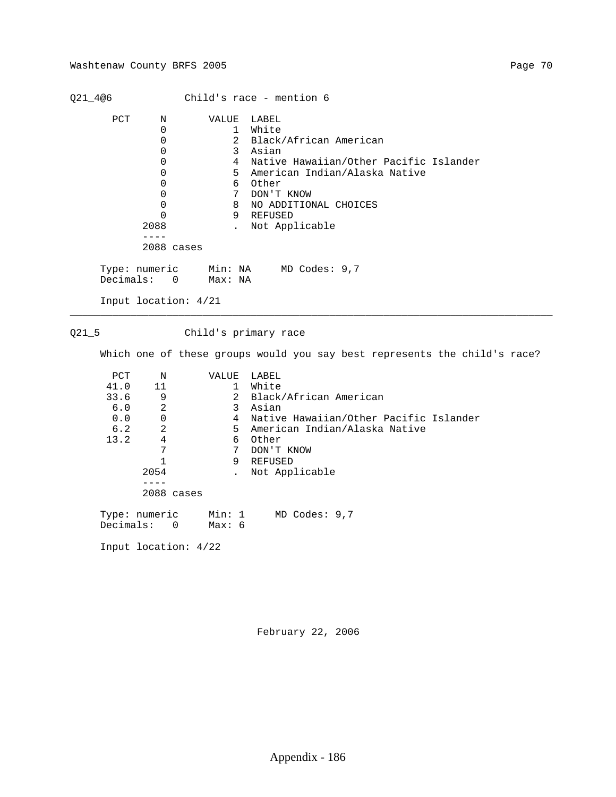# Washtenaw County BRFS 2005 Page 70

| Q21_4@6                                          |                                                                                                                            |                                                                                                | Child's race - mention 6                                                                                                                                                                                  |
|--------------------------------------------------|----------------------------------------------------------------------------------------------------------------------------|------------------------------------------------------------------------------------------------|-----------------------------------------------------------------------------------------------------------------------------------------------------------------------------------------------------------|
| PCT                                              | N<br>$\mathsf 0$<br>0<br>$\Omega$<br>$\mathbf 0$<br>0<br>0<br>$\Omega$<br>0<br>$\Omega$<br>2088<br>$- - - -$<br>2088 cases | VALUE<br>$\mathbf{1}$<br>$\overline{2}$<br>3<br>$\overline{4}$<br>5<br>6<br>7<br>8<br>9        | LABEL<br>White<br>Black/African American<br>Asian<br>Native Hawaiian/Other Pacific Islander<br>American Indian/Alaska Native<br>Other<br>DON'T KNOW<br>NO ADDITIONAL CHOICES<br>REFUSED<br>Not Applicable |
| Decimals:                                        | Type: numeric<br>$\overline{0}$                                                                                            | Max: NA                                                                                        | Min: NA MD Codes: 9,7                                                                                                                                                                                     |
|                                                  | Input location: 4/21                                                                                                       |                                                                                                |                                                                                                                                                                                                           |
| $Q21-5$                                          |                                                                                                                            |                                                                                                | Child's primary race                                                                                                                                                                                      |
|                                                  |                                                                                                                            |                                                                                                | Which one of these groups would you say best represents the child's race?                                                                                                                                 |
| PCT<br>41.0<br>33.6<br>6.0<br>0.0<br>6.2<br>13.2 | Ν<br>11<br>9<br>$\overline{a}$<br>$\mathbf 0$<br>$\overline{2}$<br>$\overline{4}$<br>7                                     | VALUE<br>$\mathbf{1}$<br>$\overline{a}$<br>$\mathbf{3}$<br>4<br>5<br>6<br>$7\overline{ }$<br>9 | LABEL<br>White<br>Black/African American<br>Asian<br>Native Hawaiian/Other Pacific Islander<br>American Indian/Alaska Native<br>Other<br>DON'T KNOW<br><b>REFUSED</b>                                     |
|                                                  | $\mathbf{1}$<br>2054<br>$- - - -$<br>2088 cases                                                                            | $\ddot{\phantom{a}}$                                                                           | Not Applicable                                                                                                                                                                                            |
| Decimals:                                        | Type: numeric<br>$\Omega$                                                                                                  | Min: 1<br>Max: 6                                                                               | MD Codes: 9,7                                                                                                                                                                                             |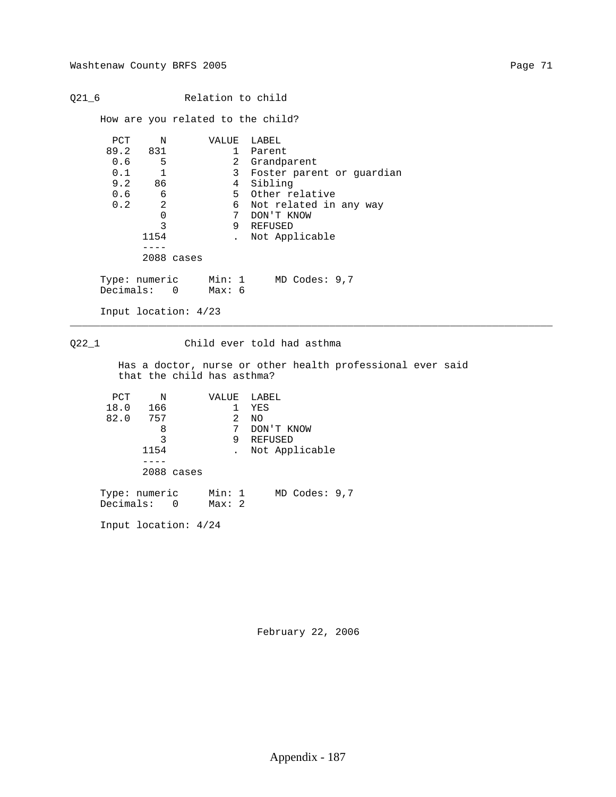Q21\_6 Relation to child

How are you related to the child?

| PCT<br>N      |            | VALUE  | LABEL                     |
|---------------|------------|--------|---------------------------|
| 89.2 831      |            |        | Parent                    |
| 0.6<br>5      |            |        | 2 Grandparent             |
| 0.1           |            | 3      | Foster parent or quardian |
| 9.2<br>86     |            | 4      | Sibling                   |
| 0.6<br>6      |            |        | 5 Other relative          |
| 2<br>0.2      |            | 6      | Not related in any way    |
|               |            | 7      | DON'T KNOW                |
| 3             |            | 9      | REFUSED                   |
| 1154          |            |        | Not Applicable            |
|               |            |        |                           |
|               | 2088 cases |        |                           |
| Type: numeric |            | Min: 1 | $MD$ Codes: $9,7$         |
| Decimals: 0   |            | Мах: б |                           |

Input location: 4/23

Input location: 4/24

# Q22\_1 Child ever told had asthma

 Has a doctor, nurse or other health professional ever said that the child has asthma?

\_\_\_\_\_\_\_\_\_\_\_\_\_\_\_\_\_\_\_\_\_\_\_\_\_\_\_\_\_\_\_\_\_\_\_\_\_\_\_\_\_\_\_\_\_\_\_\_\_\_\_\_\_\_\_\_\_\_\_\_\_\_\_\_\_\_\_\_\_\_\_\_\_\_\_\_\_\_\_\_

| PCT           | N    |            | VALUE  |   | LABEL             |
|---------------|------|------------|--------|---|-------------------|
| 18.0          | 166  |            |        |   | YES               |
| 82.0          | 757  |            |        | 2 | NO                |
|               | 8    |            |        | 7 | DON'T KNOW        |
|               | 3    |            |        | 9 | REFUSED           |
|               | 1154 |            |        |   | Not Applicable    |
|               |      |            |        |   |                   |
|               |      | 2088 cases |        |   |                   |
|               |      |            |        |   |                   |
| Type: numeric |      |            | Min: 1 |   | $MD$ Codes: $9,7$ |
| Decimals: 0   |      |            | Max:2  |   |                   |
|               |      |            |        |   |                   |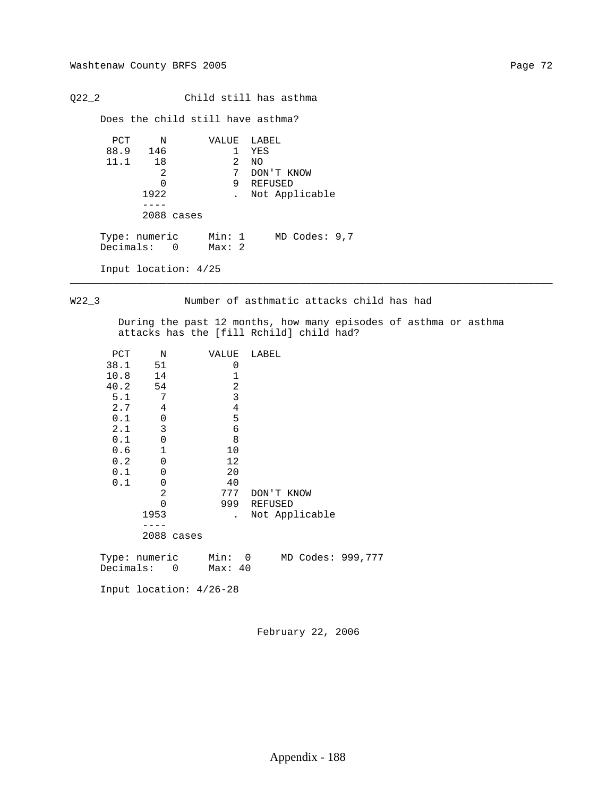Q22\_2 Child still has asthma

Does the child still have asthma?

```
PCT N VALUE LABEL<br>88.9 146 1 YES
                        \begin{array}{cc} 1 & \text{YES} \\ 2 & \text{NO} \end{array}11.1 18 \frac{2}{3} 0
2 7 DON'T KNOW
0 9 REFUSED
                1922 . Not Applicable
                 ----
                2088 cases
Type: numeric Min: 1 MD Codes: 9,7
Decimals: 0 Max: 2
          Input location: 4/25
```
## W22\_3 Number of asthmatic attacks child has had

\_\_\_\_\_\_\_\_\_\_\_\_\_\_\_\_\_\_\_\_\_\_\_\_\_\_\_\_\_\_\_\_\_\_\_\_\_\_\_\_\_\_\_\_\_\_\_\_\_\_\_\_\_\_\_\_\_\_\_\_\_\_\_\_\_\_\_\_\_\_\_\_\_\_\_\_\_\_\_\_

 During the past 12 months, how many episodes of asthma or asthma attacks has the [fill Rchild] child had?

| PCT  | N             |            | VALUE   |   | LABEL |             |                |                   |
|------|---------------|------------|---------|---|-------|-------------|----------------|-------------------|
| 38.1 | 51            |            | 0       |   |       |             |                |                   |
| 10.8 | 14            |            | 1       |   |       |             |                |                   |
|      | 40.2 54       |            |         | 2 |       |             |                |                   |
| 5.1  | 7             |            |         | 3 |       |             |                |                   |
| 2.7  | 4             |            |         | 4 |       |             |                |                   |
| 0.1  | $\mathbf 0$   |            | 5       |   |       |             |                |                   |
| 2.1  | 3             |            | 6       |   |       |             |                |                   |
| 0.1  | 0             |            | 8       |   |       |             |                |                   |
| 0.6  | 1             |            | 10      |   |       |             |                |                   |
| 0.2  | 0             |            | 12      |   |       |             |                |                   |
| 0.1  | 0             |            | 20      |   |       |             |                |                   |
| 0.1  | 0             |            | 40      |   |       |             |                |                   |
|      | 2             |            | 777     |   |       | DON'T KNOW  |                |                   |
|      | Ω             |            |         |   |       | 999 REFUSED |                |                   |
|      | 1953          |            |         |   |       |             | Not Applicable |                   |
|      |               |            |         |   |       |             |                |                   |
|      |               | 2088 cases |         |   |       |             |                |                   |
|      | Type: numeric |            | Min: 0  |   |       |             |                | MD Codes: 999,777 |
|      | Decimals: 0   |            | Max: 40 |   |       |             |                |                   |
|      |               |            |         |   |       |             |                |                   |

Input location: 4/26-28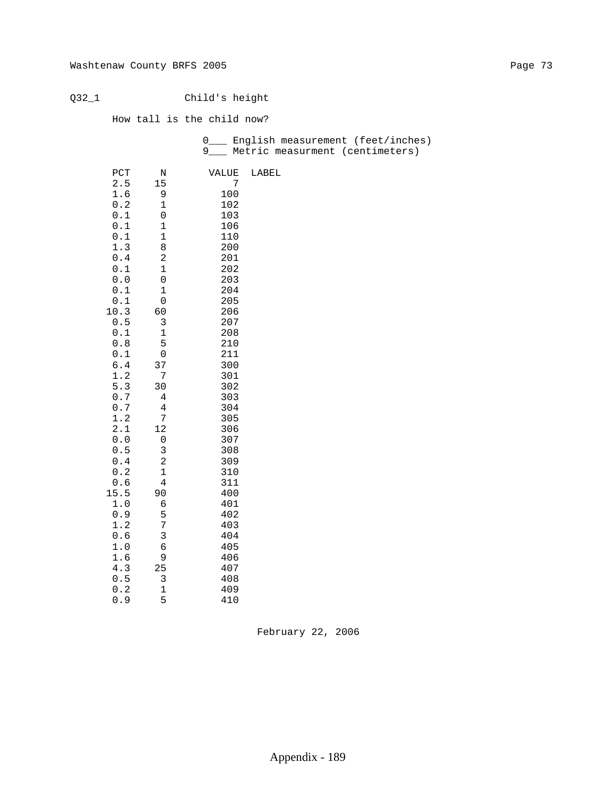Q32\_1 Child's height

How tall is the child now?

 0\_\_\_ English measurement (feet/inches) 9\_\_\_ Metric measurment (centimeters)

| PCT        | N                   | VALUE      | LABEL |
|------------|---------------------|------------|-------|
| 2.5        | 15                  | 7          |       |
| 1.6        | 9                   | 100        |       |
| 0.2        | 1                   | 102        |       |
| 0.1        | 0                   | 103        |       |
| 0.1        | $\mathbf 1$         | 106        |       |
| 0.1        | $\mathbf 1$         | 110        |       |
| 1.3        | 8                   | 200        |       |
| 0.4        | 2                   | 201        |       |
| 0.1        | $\mathbf 1$         | 202        |       |
| 0.0        | 0                   | 203        |       |
| 0.1        | 1                   | 204        |       |
| 0.1        | 0                   | 205        |       |
| 10.3       | 60                  | 206        |       |
| 0.5        | 3                   | 207        |       |
| 0.1        | $\mathbf 1$         | 208        |       |
| 0.8        | 5                   | 210        |       |
| 0.1        | $\mathbf 0$         | 211        |       |
| 6.4        | 37                  | 300        |       |
| 1.2        | 7                   | 301        |       |
| 5.3        | 30                  | 302        |       |
| 0.7        | 4                   | 303        |       |
| 0.7        | $\overline{4}$      | 304        |       |
| 1.2        | 7                   | 305        |       |
| 2.1        | 12                  | 306        |       |
| 0.0<br>0.5 | 0                   | 307        |       |
| 0.4        | 3<br>$\overline{c}$ | 308        |       |
| 0.2        | $\mathbf 1$         | 309<br>310 |       |
| 0.6        | 4                   | 311        |       |
| 15.5       | 90                  | 400        |       |
| 1.0        | 6                   | 401        |       |
| 0.9        | 5                   | 402        |       |
| 1.2        | 7                   | 403        |       |
| 0.6        | 3                   | 404        |       |
| 1.0        | б                   | 405        |       |
| 1.6        | 9                   | 406        |       |
| 4.3        | 25                  | 407        |       |
| 0.5        | 3                   | 408        |       |
| 0.2        | $\mathbf 1$         | 409        |       |
| 0.9        | 5                   | 410        |       |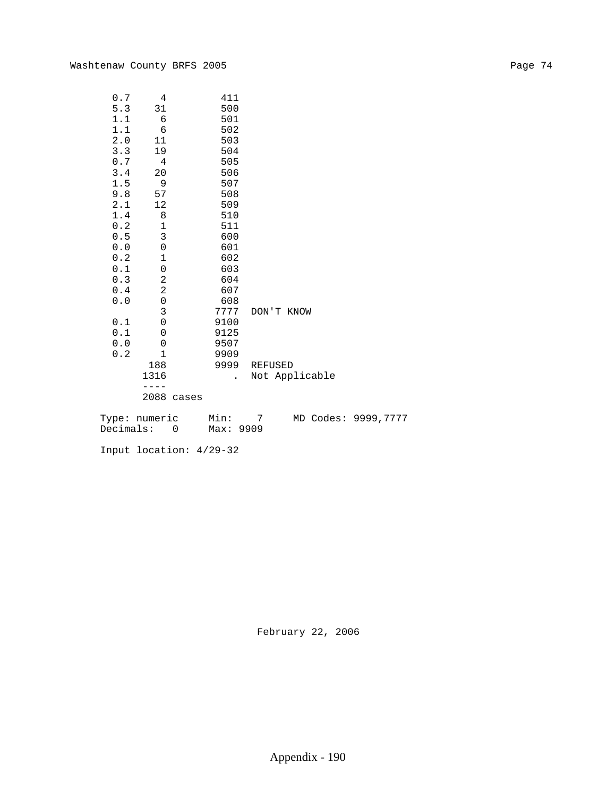| 0.7                   | 4                        | 411       |            |                |                      |
|-----------------------|--------------------------|-----------|------------|----------------|----------------------|
| 5.3                   | 31                       | 500       |            |                |                      |
| 1.1                   | 6                        | 501       |            |                |                      |
| 1.1                   | 6                        | 502       |            |                |                      |
| 2.0                   | 11                       | 503       |            |                |                      |
| 3.3                   | 19                       | 504       |            |                |                      |
| 0.7                   | 4                        | 505       |            |                |                      |
| 3.4                   | 20                       | 506       |            |                |                      |
| 1.5                   | 9                        | 507       |            |                |                      |
| 9.8                   | 57                       | 508       |            |                |                      |
| 2.1                   | 12                       | 509       |            |                |                      |
| $1.4$                 | 8                        | 510       |            |                |                      |
| $0.2\,$               | $\mathbf 1$              | 511       |            |                |                      |
| 0.5                   | $\mathsf 3$              | 600       |            |                |                      |
| ${\bf 0}$ . ${\bf 0}$ | 0                        | 601       |            |                |                      |
| 0.2                   | 1                        | 602       |            |                |                      |
| 0.1                   | 0                        | 603       |            |                |                      |
| $0.3$                 | $\sqrt{2}$               | 604       |            |                |                      |
| 0.4                   | $\sqrt{2}$               | 607       |            |                |                      |
| 0.0                   | $\mbox{O}$               | 608       |            |                |                      |
|                       | $\mathbf{3}$             | 7777      | DON'T KNOW |                |                      |
| 0.1                   | $\mbox{O}$               | 9100      |            |                |                      |
| 0.1                   | 0                        | 9125      |            |                |                      |
| ${\bf 0}$ . ${\bf 0}$ | 0                        | 9507      |            |                |                      |
| 0.2                   | $\mathbf 1$              | 9909      |            |                |                      |
|                       | 188                      | 9999      | REFUSED    |                |                      |
|                       | 1316                     |           |            | Not Applicable |                      |
|                       |                          |           |            |                |                      |
|                       | 2088 cases               |           |            |                |                      |
|                       |                          |           |            |                |                      |
|                       | Type: numeric            | Min:      | 7          |                | MD Codes: 9999, 7777 |
|                       | Decimals:<br>$\mathbf 0$ | Max: 9909 |            |                |                      |
|                       |                          |           |            |                |                      |

Input location: 4/29-32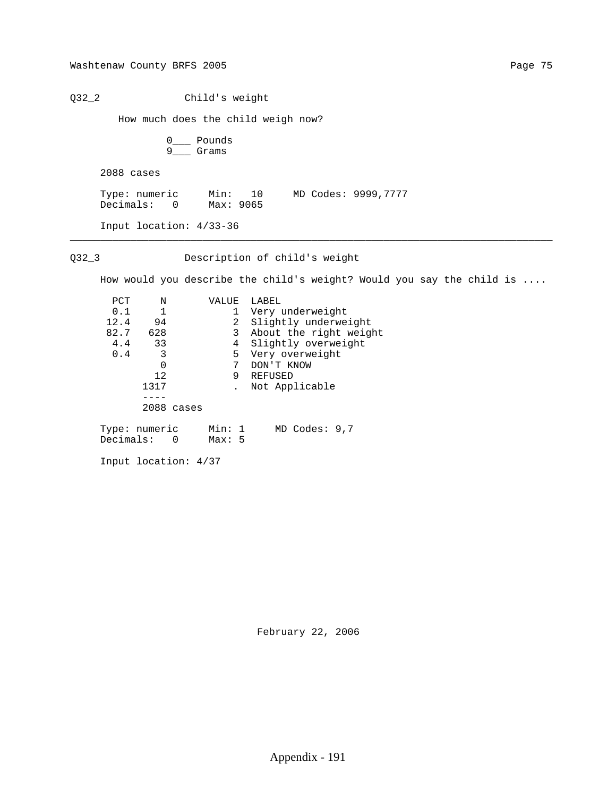Q32\_2 Child's weight

How much does the child weigh now?

|  | Pounds |
|--|--------|
|  | Grams  |

2088 cases

 Type: numeric Min: 10 MD Codes: 9999,7777 Decimals: 0 Max: 9065

\_\_\_\_\_\_\_\_\_\_\_\_\_\_\_\_\_\_\_\_\_\_\_\_\_\_\_\_\_\_\_\_\_\_\_\_\_\_\_\_\_\_\_\_\_\_\_\_\_\_\_\_\_\_\_\_\_\_\_\_\_\_\_\_\_\_\_\_\_\_\_\_\_\_\_\_\_\_\_\_

Input location: 4/33-36

Q32\_3 Description of child's weight

How would you describe the child's weight? Would you say the child is ....

| PCT       | N             |            | VALUE  |   | LABEL                  |
|-----------|---------------|------------|--------|---|------------------------|
| 0.1       | $\mathbf{1}$  |            |        |   | Very underweight       |
| 12.4      | 94            |            |        | 2 | Slightly underweight   |
| 82.7      | 628           |            |        | 3 | About the right weight |
| 4.4       | 33            |            |        | 4 | Slightly overweight    |
| 0.4       | -3            |            |        | 5 | Very overweight        |
|           | 0             |            |        | 7 | DON'T KNOW             |
|           | 12            |            |        | 9 | REFUSED                |
|           | 1317          |            |        |   | Not Applicable         |
|           |               |            |        |   |                        |
|           |               | 2088 cases |        |   |                        |
|           | Type: numeric |            | Min: 1 |   | $MD$ Codes: 9,7        |
| Decimals: |               | $\Omega$   | Max:5  |   |                        |

Input location: 4/37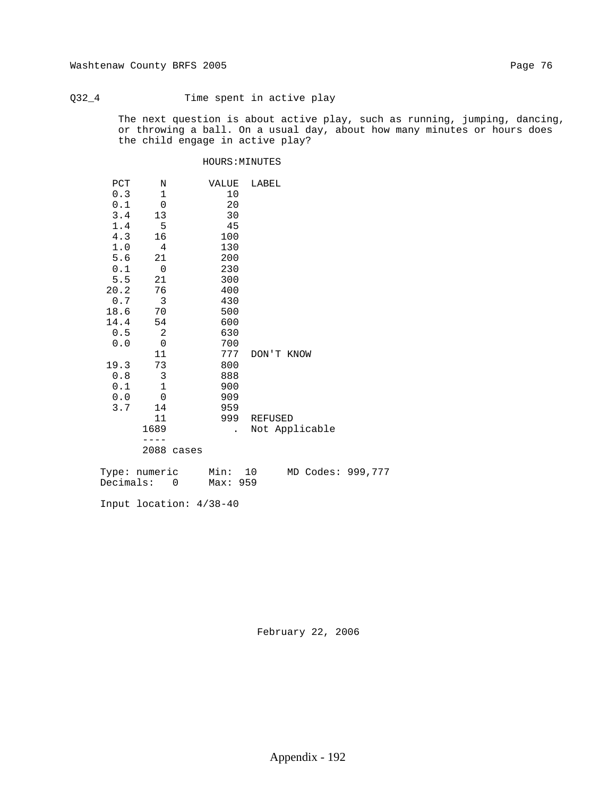# Q32\_4 Time spent in active play

 The next question is about active play, such as running, jumping, dancing, or throwing a ball. On a usual day, about how many minutes or hours does the child engage in active play?

## HOURS:MINUTES

| PCT  | Ν                       |       | VALUE                | LABEL          |
|------|-------------------------|-------|----------------------|----------------|
|      |                         |       |                      |                |
| 0.3  | 1                       |       | 10                   |                |
| 0.1  | $\mathsf 0$             |       | 20                   |                |
| 3.4  | 13                      |       | 30                   |                |
| 1.4  | $5^{\circ}$             |       | 45                   |                |
| 4.3  | 16                      |       | 100                  |                |
| 1.0  | 4                       |       | 130                  |                |
| 5.6  | 21                      |       | 200                  |                |
| 0.1  | $\mathbf 0$             |       | 230                  |                |
| 5.5  | 21                      |       | 300                  |                |
| 20.2 | 76                      |       | 400                  |                |
| 0.7  | $\overline{\mathbf{3}}$ |       | 430                  |                |
| 18.6 | 70                      |       | 500                  |                |
| 14.4 | 54                      |       | 600                  |                |
| 0.5  | $\sqrt{2}$              |       | 630                  |                |
| 0.0  | $\mathsf{O}\xspace$     |       | 700                  |                |
|      | 11                      |       | 777                  | DON'T KNOW     |
| 19.3 | 73                      |       | 800                  |                |
| 0.8  | $\mathsf{3}$            |       | 888                  |                |
| 0.1  | $\mathbf 1$             |       | 900                  |                |
| 0.0  | $\mathsf 0$             |       | 909                  |                |
|      |                         |       |                      |                |
| 3.7  | 14                      |       | 959                  |                |
|      | 11                      |       | 999                  | REFUSED        |
|      | 1689                    |       | $\ddot{\phantom{0}}$ | Not Applicable |
|      |                         |       |                      |                |
|      | 2088                    | cases |                      |                |
|      |                         |       |                      |                |

| Type: numeric | Min: 10  |  | MD Codes: 999,777 |
|---------------|----------|--|-------------------|
| Decimals: 0   | Max: 959 |  |                   |

Input location: 4/38-40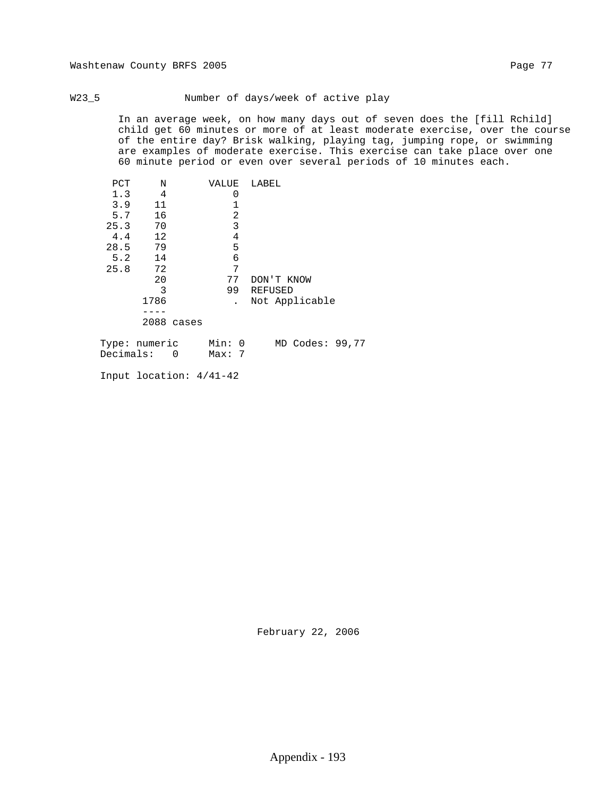### W23\_5 Number of days/week of active play

 In an average week, on how many days out of seven does the [fill Rchild] child get 60 minutes or more of at least moderate exercise, over the course of the entire day? Brisk walking, playing tag, jumping rope, or swimming are examples of moderate exercise. This exercise can take place over one 60 minute period or even over several periods of 10 minutes each.

| PCT  | N                                                                                                              | VALUE        | LABEL                                                                                                                                          |
|------|----------------------------------------------------------------------------------------------------------------|--------------|------------------------------------------------------------------------------------------------------------------------------------------------|
| 1.3  | 4                                                                                                              |              |                                                                                                                                                |
| 3.9  | 11                                                                                                             |              |                                                                                                                                                |
| 5.7  | 16                                                                                                             | 2            |                                                                                                                                                |
| 25.3 | 70                                                                                                             | 3            |                                                                                                                                                |
| 4.4  | 12                                                                                                             | 4            |                                                                                                                                                |
| 28.5 | 79                                                                                                             | 5            |                                                                                                                                                |
| 5.2  | 14                                                                                                             | 6            |                                                                                                                                                |
| 25.8 | 72                                                                                                             | 7            |                                                                                                                                                |
|      | 20                                                                                                             | 77           | DON'T KNOW                                                                                                                                     |
|      | 3                                                                                                              | 99           | <b>REFUSED</b>                                                                                                                                 |
|      | 1786                                                                                                           |              | Not Applicable                                                                                                                                 |
|      |                                                                                                                |              |                                                                                                                                                |
|      | 2088 cases                                                                                                     |              |                                                                                                                                                |
|      | mando de la companya de la companya de la companya de la companya de la companya de la companya de la companya | $\mathbf{A}$ | $\mathbf{M}$ $\mathbf{D}$ $\mathbf{A}$ $\mathbf{A}$ $\mathbf{A}$ $\mathbf{A}$ $\mathbf{A}$ $\mathbf{A}$ $\mathbf{A}$ $\mathbf{A}$ $\mathbf{A}$ |

| Type: numeric | Min: 0 |  | MD Codes: 99,77 |  |
|---------------|--------|--|-----------------|--|
| Decimals: 0   | Max: 7 |  |                 |  |

Input location: 4/41-42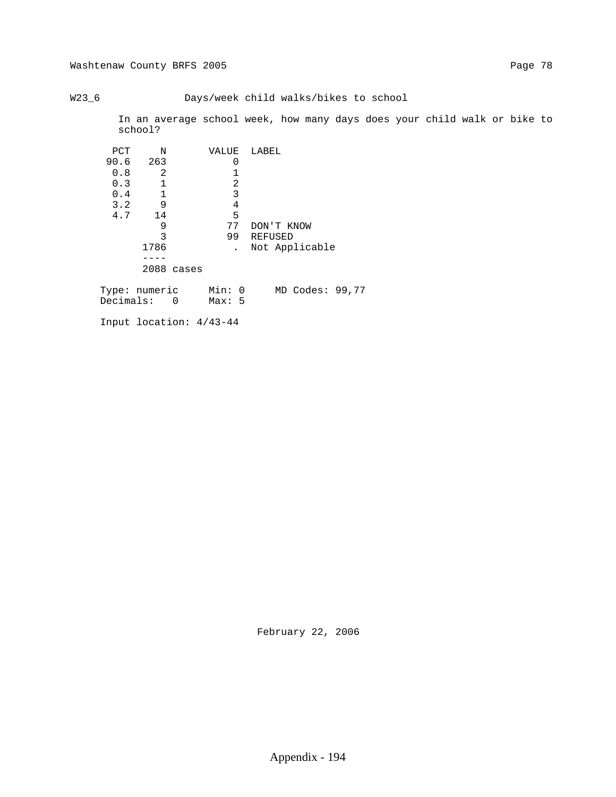# Washtenaw County BRFS 2005 Page 78

## W23\_6 Days/week child walks/bikes to school

 In an average school week, how many days does your child walk or bike to school?

| PCT  | N    | VALUE      | LABEL                                  |  |
|------|------|------------|----------------------------------------|--|
| 90.6 | 263  |            | 0                                      |  |
| 0.8  | 2    |            |                                        |  |
| 0.3  |      |            | 2                                      |  |
| 0.4  |      |            | 3                                      |  |
| 3.2  | 9    |            | 4                                      |  |
| 4.7  | 14   |            | 5                                      |  |
|      | 9    |            | 77<br>DON'T KNOW                       |  |
|      | 3    |            | 99<br>REFUSED                          |  |
|      | 1786 |            | Not Applicable<br>$\ddot{\phantom{0}}$ |  |
|      |      |            |                                        |  |
|      |      | 2088 cases |                                        |  |
|      |      |            |                                        |  |

 Type: numeric Min: 0 MD Codes: 99,77 Decimals: 0 Max: 5

Input location: 4/43-44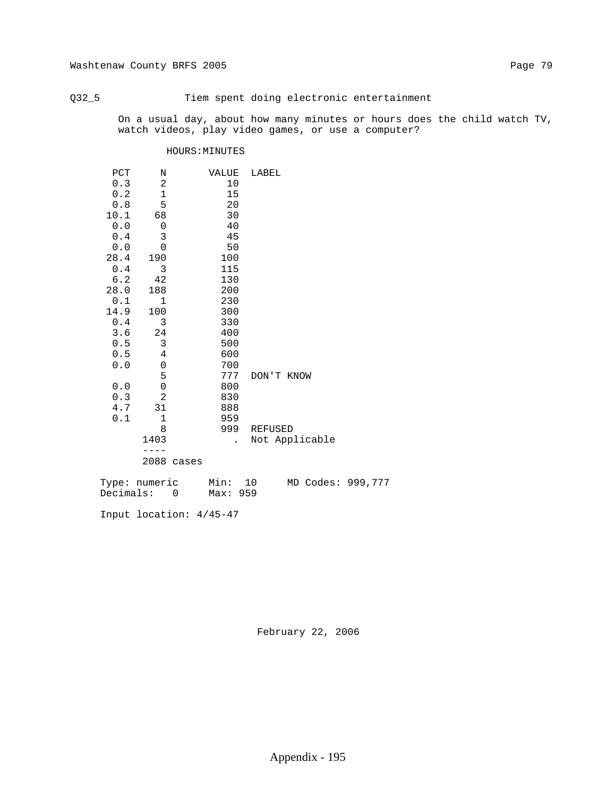# Q32\_5 Tiem spent doing electronic entertainment

 On a usual day, about how many minutes or hours does the child watch TV, watch videos, play video games, or use a computer?

## HOURS:MINUTES

| PCT     | N              |       | VALUE                | LABEL          |
|---------|----------------|-------|----------------------|----------------|
| 0.3     | 2              |       | 10                   |                |
| 0.2     | $\mathbf 1$    |       | 15                   |                |
| 0.8     | 5              |       | 20                   |                |
| 10.1    | 68             |       | 30                   |                |
| 0.0     | $\mathsf 0$    |       | 40                   |                |
| 0.4     | 3              |       | 45                   |                |
| 0.0     | $\overline{0}$ |       | 50                   |                |
| 28.4    | 190            |       | 100                  |                |
| 0.4     | 3              |       | 115                  |                |
| 6.2     | 42             |       | 130                  |                |
| 28.0    | 188            |       | 200                  |                |
| 0.1     | 1              |       | 230                  |                |
| 14.9    | 100            |       | 300                  |                |
| 0.4     | 3              |       | 330                  |                |
| 3.6     | 24             |       | 400                  |                |
| $0.5\,$ | 3              |       | 500                  |                |
| 0.5     | 4              |       | 600                  |                |
| 0.0     | $\mathbf 0$    |       | 700                  |                |
|         | 5              |       | 777                  | DON'T KNOW     |
| 0.0     | $\mathsf 0$    |       | 800                  |                |
| 0.3     | $\overline{2}$ |       | 830                  |                |
| 4.7     | 31             |       | 888                  |                |
| 0.1     | $\mathbf 1$    |       | 959                  |                |
|         | 8              |       | 999                  | <b>REFUSED</b> |
|         | 1403           |       | $\ddot{\phantom{0}}$ | Not Applicable |
|         |                |       |                      |                |
|         | 2088           | cases |                      |                |

| Type: numeric | Min: 10  |  | MD Codes: 999,777 |
|---------------|----------|--|-------------------|
| Decimals:     | Max: 959 |  |                   |

Input location: 4/45-47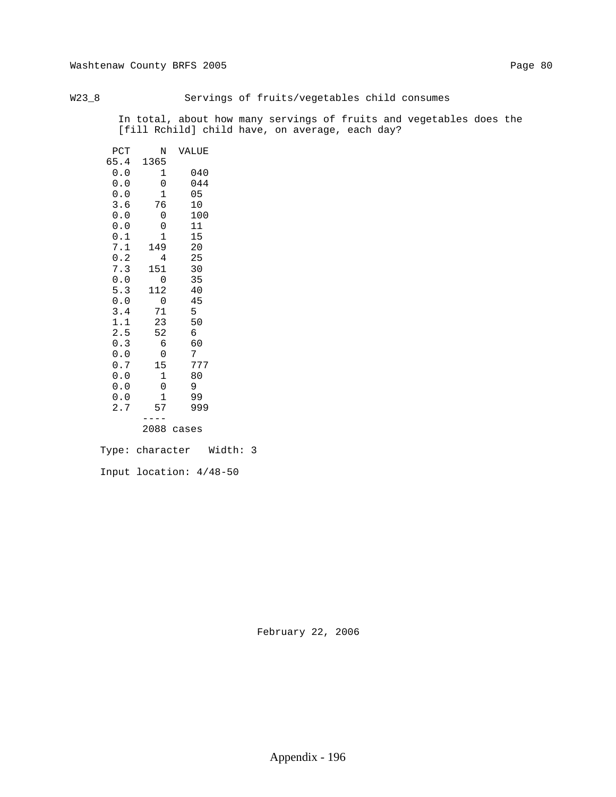W23\_8 Servings of fruits/vegetables child consumes

 In total, about how many servings of fruits and vegetables does the [fill Rchild] child have, on average, each day?

| PCT  | N    | VALUE |
|------|------|-------|
| 65.4 | 1365 |       |
| 0.0  | 1    | 040   |
| 0.0  | 0    | 044   |
| 0.0  | 1    | 05    |
| 3.6  | 76   | 10    |
| 0.0  | 0    | 100   |
| 0.0  | 0    | 11    |
| 0.1  | 1    | 15    |
| 7.1  | 149  | 20    |
| 0.2  | 4    | 25    |
| 7.3  | 151  | 30    |
| 0.0  | 0    | 35    |
| 5.3  | 112  | 40    |
| 0.0  | 0    | 45    |
| 3.4  | 71   | 5     |
| 1.1  | 23   | 50    |
| 2.5  | 52   | б     |
| 0.3  | 6    | 60    |
| 0.0  | 0    | 7     |
| 0.7  | 15   | 777   |
| 0.0  | 1    | 80    |
| 0.0  | 0    | 9     |
| 0.0  | 1    | 99    |
| 2.7  | 57   | 999   |
|      |      |       |
|      | 2088 | cases |
|      |      |       |

 Type: character Width: 3 Input location: 4/48-50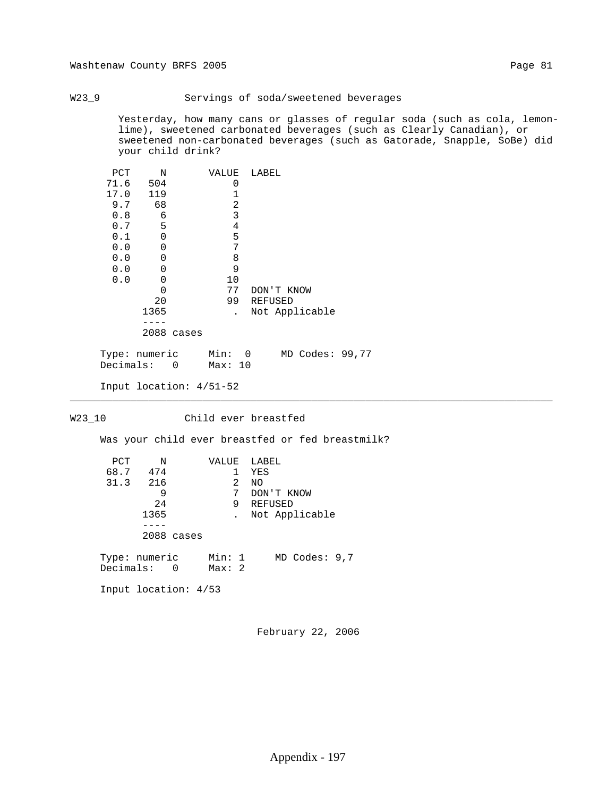### W23\_9 Servings of soda/sweetened beverages

 Yesterday, how many cans or glasses of regular soda (such as cola, lemon lime), sweetened carbonated beverages (such as Clearly Canadian), or sweetened non-carbonated beverages (such as Gatorade, Snapple, SoBe) did your child drink?

| PCT  | N    |       | VALUE | LABEL          |
|------|------|-------|-------|----------------|
| 71.6 | 504  |       | 0     |                |
| 17.0 | 119  |       |       |                |
| 9.7  | 68   |       | 2     |                |
| 0.8  | 6    |       | 3     |                |
| 0.7  | 5    |       | 4     |                |
| 0.1  | 0    |       | 5     |                |
| 0.0  | 0    |       | 7     |                |
| 0.0  | 0    |       | 8     |                |
| 0.0  | 0    |       | 9     |                |
| 0.0  | 0    |       | 10    |                |
|      | Ω    |       | 77    | DON'T KNOW     |
|      | 20   |       | 99    | <b>REFUSED</b> |
|      | 1365 |       |       | Not Applicable |
|      |      |       |       |                |
|      | 2088 | cases |       |                |

 Type: numeric Min: 0 MD Codes: 99,77 Decimals: 0 Max: 10

```
 Input location: 4/51-52
```
### W23\_10 Child ever breastfed

\_\_\_\_\_\_\_\_\_\_\_\_\_\_\_\_\_\_\_\_\_\_\_\_\_\_\_\_\_\_\_\_\_\_\_\_\_\_\_\_\_\_\_\_\_\_\_\_\_\_\_\_\_\_\_\_\_\_\_\_\_\_\_\_\_\_\_\_\_\_\_\_\_\_\_\_\_\_\_\_

Was your child ever breastfed or fed breastmilk?

| PCT<br>$\mathbb N$           |            | VALUE            | LABEL      |                   |  |
|------------------------------|------------|------------------|------------|-------------------|--|
| 68.7 474                     |            | 1                | YES        |                   |  |
| 31.3 216                     |            | 2                | NO.        |                   |  |
| 9                            |            | 7                | DON'T KNOW |                   |  |
| 24                           |            | 9                | REFUSED    |                   |  |
| 1365                         |            |                  |            | Not Applicable    |  |
|                              |            |                  |            |                   |  |
|                              | 2088 cases |                  |            |                   |  |
| Type: numeric<br>Decimals: 0 |            | Min: 1<br>Max: 2 |            | $MD$ Codes: $9,7$ |  |
| Input location: $4/53$       |            |                  |            |                   |  |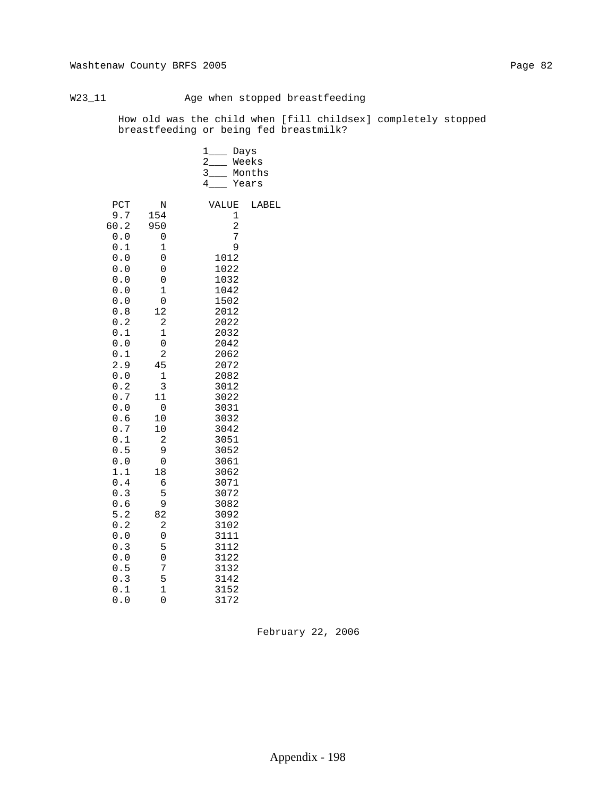# W23\_11 Age when stopped breastfeeding

 How old was the child when [fill childsex] completely stopped breastfeeding or being fed breastmilk?

|                                                                                                                                                                                                                                                                               |                                                                                                                                                                                                                                                                                          | $1$ <sub>____</sub><br>$2 \qquad \qquad$<br>3<br>4                                                                                                                                                                                                                                                             | Days<br>Weeks<br>Months<br>Years |
|-------------------------------------------------------------------------------------------------------------------------------------------------------------------------------------------------------------------------------------------------------------------------------|------------------------------------------------------------------------------------------------------------------------------------------------------------------------------------------------------------------------------------------------------------------------------------------|----------------------------------------------------------------------------------------------------------------------------------------------------------------------------------------------------------------------------------------------------------------------------------------------------------------|----------------------------------|
| PCT<br>9.7<br>60.2<br>0.0<br>0.1<br>$0.0$<br>0.0<br>0.0<br>0.0<br>$0.0$<br>$0.8$<br>0.2<br>0.1<br>0.0<br>0.1<br>2.9<br>0.0<br>0.2<br>0.7<br>0.0<br>0.6<br>0.7<br>0.1<br>0.5<br>0.0<br>1.1<br>0.4<br>0.3<br>0.6<br>5.2<br>0.2<br>0.0<br>0.3<br>0.0<br>0.5<br>0.3<br>0.1<br>0.0 | N<br>154<br>950<br>0<br>$\mathbf 1$<br>$\mathsf 0$<br>0<br>0<br>$\mathbf 1$<br>0<br>12<br>$\mathbf 2$<br>$\mathbf 1$<br>0<br>$\overline{c}$<br>45<br>$\mathbf 1$<br>3<br>11<br>0<br>10<br>10<br>2<br>9<br>0<br>18<br>6<br>5<br>9<br>82<br>2<br>0<br>5<br>0<br>7<br>5<br>$\mathbf 1$<br>0 | VALUE<br>1<br>$\overline{a}$<br>7<br>9<br>1012<br>1022<br>1032<br>1042<br>1502<br>2012<br>2022<br>2032<br>2042<br>2062<br>2072<br>2082<br>3012<br>3022<br>3031<br>3032<br>3042<br>3051<br>3052<br>3061<br>3062<br>3071<br>3072<br>3082<br>3092<br>3102<br>3111<br>3112<br>3122<br>3132<br>3142<br>3152<br>3172 | LABEL                            |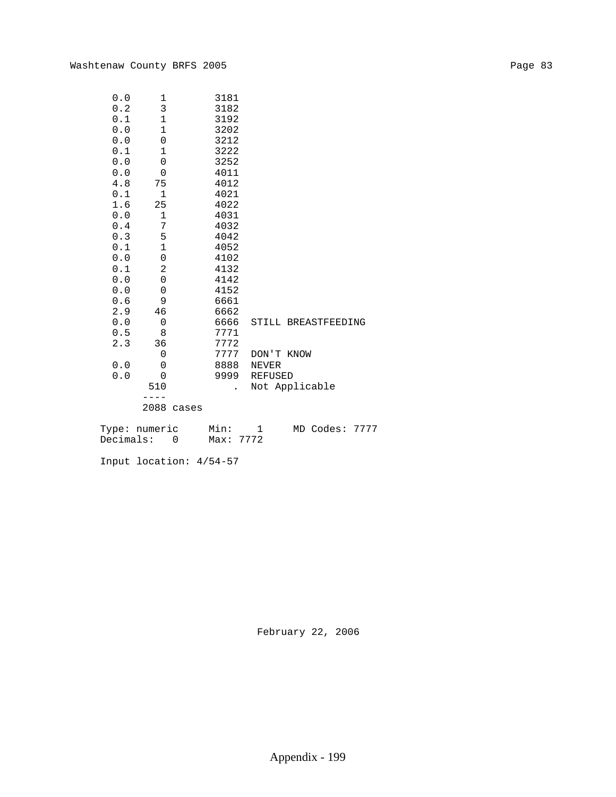| 0.0 | 1                   | 3181 |                     |
|-----|---------------------|------|---------------------|
| 0.2 | 3                   | 3182 |                     |
| 0.1 | $\mathbf 1$         | 3192 |                     |
| 0.0 | $\mathbf 1$         | 3202 |                     |
| 0.0 | 0                   | 3212 |                     |
| 0.1 | $\mathbf{1}$        | 3222 |                     |
| 0.0 | $\mathsf{O}\xspace$ | 3252 |                     |
| 0.0 | $\mathbf 0$         | 4011 |                     |
| 4.8 | 75                  | 4012 |                     |
| 0.1 | $\mathbf{1}$        | 4021 |                     |
| 1.6 | 25                  | 4022 |                     |
| 0.0 | $\mathbf 1$         | 4031 |                     |
| 0.4 | 7                   | 4032 |                     |
| 0.3 | 5                   | 4042 |                     |
| 0.1 | $\mathbf{1}$        | 4052 |                     |
| 0.0 | $\mathsf{O}\xspace$ | 4102 |                     |
| 0.1 | $\overline{c}$      | 4132 |                     |
| 0.0 | $\mathbf 0$         | 4142 |                     |
| 0.0 | 0                   | 4152 |                     |
| 0.6 | 9                   | 6661 |                     |
| 2.9 | 46                  | 6662 |                     |
| 0.0 | $\mathbf 0$         | 6666 | STILL BREASTFEEDING |
| 0.5 | 8                   | 7771 |                     |
| 2.3 | 36                  | 7772 |                     |
|     | $\mathbf 0$         | 7777 | DON'T KNOW          |
| 0.0 | 0                   | 8888 | <b>NEVER</b>        |
| 0.0 | $\mathbf 0$         | 9999 | <b>REFUSED</b>      |
|     | 510                 |      | Not Applicable      |
|     |                     |      |                     |
|     |                     |      |                     |

2088 cases

|           | Type: numeric | Min:      |  | MD Codes: 7777 |  |
|-----------|---------------|-----------|--|----------------|--|
| Decimals: |               | Max: 7772 |  |                |  |

Input location: 4/54-57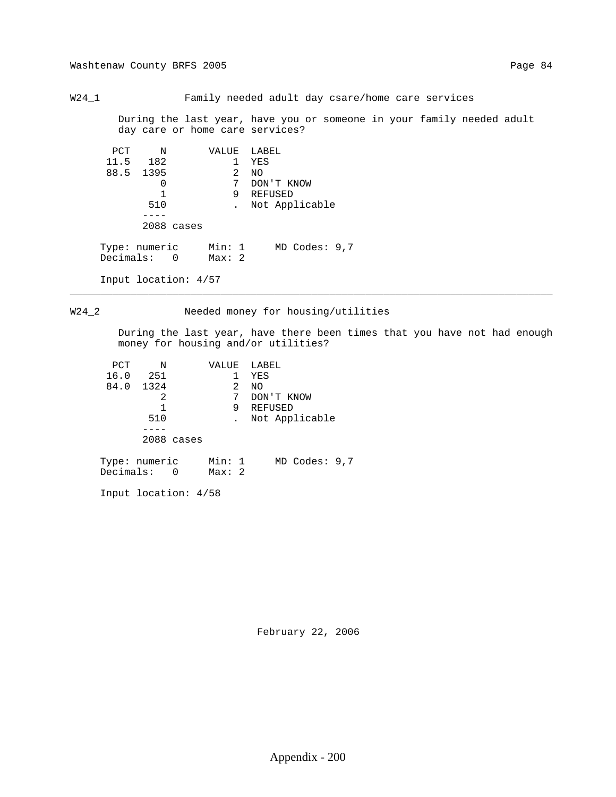Washtenaw County BRFS 2005 Page 84

W24\_1 Family needed adult day csare/home care services

 During the last year, have you or someone in your family needed adult day care or home care services?

| PCT  | N             | VALUE  | LABEL             |
|------|---------------|--------|-------------------|
| 11.5 | 182           | 1.     | YES               |
|      | 88.5 1395     | 2      | NO.               |
|      | 0             | 7      | DON'T KNOW        |
|      |               | 9      | REFUSED           |
|      | 510           |        | Not Applicable    |
|      |               |        |                   |
|      | 2088 cases    |        |                   |
|      |               |        |                   |
|      | Type: numeric | Min: 1 | $MD$ Codes: $9,7$ |
|      | Decimals: 0   | Max:2  |                   |
|      |               |        |                   |

Input location: 4/57

W24\_2 Needed money for housing/utilities

\_\_\_\_\_\_\_\_\_\_\_\_\_\_\_\_\_\_\_\_\_\_\_\_\_\_\_\_\_\_\_\_\_\_\_\_\_\_\_\_\_\_\_\_\_\_\_\_\_\_\_\_\_\_\_\_\_\_\_\_\_\_\_\_\_\_\_\_\_\_\_\_\_\_\_\_\_\_\_\_

 During the last year, have there been times that you have not had enough money for housing and/or utilities?

| PCT           | N   |            | VALUE  |     | LABEL      |                   |  |
|---------------|-----|------------|--------|-----|------------|-------------------|--|
| 16.0          | 251 |            |        |     | YES        |                   |  |
| 84.0 1324     |     |            |        | 2   | NO.        |                   |  |
|               | 2   |            |        | 7   | DON'T KNOW |                   |  |
|               |     |            |        | 9   | REFUSED    |                   |  |
|               | 510 |            |        |     |            | Not Applicable    |  |
|               |     |            |        |     |            |                   |  |
|               |     | 2088 cases |        |     |            |                   |  |
|               |     |            |        |     |            |                   |  |
| Type: numeric |     |            | Min: 1 |     |            | $MD$ Codes: $9,7$ |  |
| Decimals:     |     | 0          | Max:   | - 2 |            |                   |  |

Input location: 4/58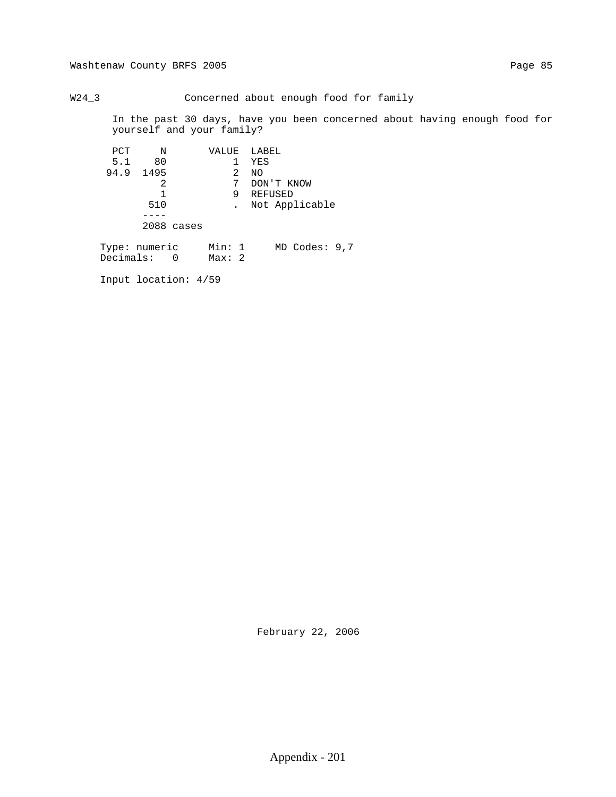W24\_3 Concerned about enough food for family

 In the past 30 days, have you been concerned about having enough food for yourself and your family?

| PCT                          | N         |                        |                 |    | VALUE LABEL       |
|------------------------------|-----------|------------------------|-----------------|----|-------------------|
| 5.1                          | 80        |                        |                 | 1  | YES               |
|                              | 94.9 1495 |                        |                 | 2. | NO.               |
|                              | 2         |                        |                 | 7  | DON'T KNOW        |
|                              | 1         |                        |                 | 9  | REFUSED           |
|                              | 510       |                        |                 |    | Not Applicable    |
|                              |           |                        |                 |    |                   |
|                              |           | 2088 cases             |                 |    |                   |
| Type: numeric<br>Decimals: 0 |           |                        | Min: 1<br>Max:2 |    | $MD$ Codes: $9,7$ |
|                              |           | Input location: $4/59$ |                 |    |                   |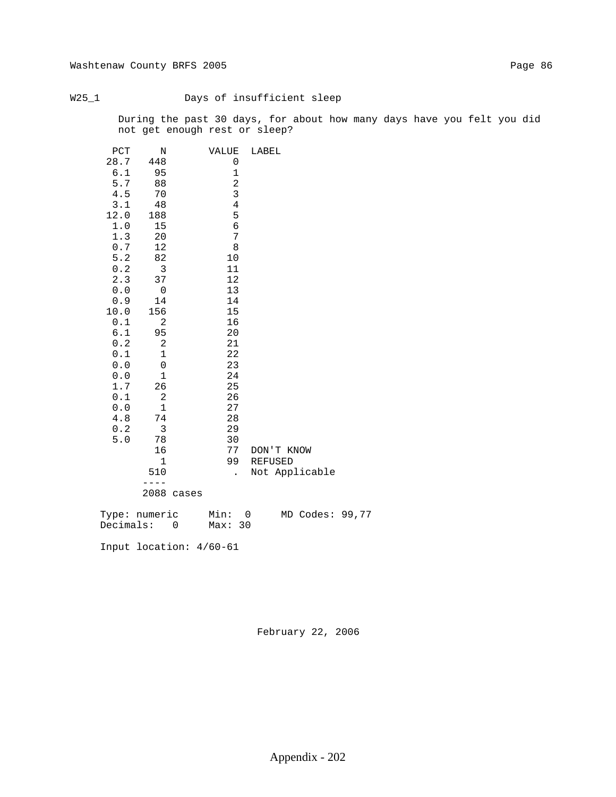## W25\_1 Days of insufficient sleep

 During the past 30 days, for about how many days have you felt you did not get enough rest or sleep?

| PCT        | Ν                       |            | VALUE    |                | LABEL |            |                 |  |
|------------|-------------------------|------------|----------|----------------|-------|------------|-----------------|--|
| 28.7       | 448                     |            |          | 0              |       |            |                 |  |
| 6.1        | 95                      |            |          | $\mathbf{1}$   |       |            |                 |  |
| 5.7        | 88                      |            |          | $\sqrt{2}$     |       |            |                 |  |
| 4.5        | 70                      |            |          | 3              |       |            |                 |  |
| 3.1        | 48                      |            |          | $\overline{4}$ |       |            |                 |  |
| 12.0       | 188                     |            |          | 5              |       |            |                 |  |
| $1.0\,$    | 15                      |            |          | $\sqrt{6}$     |       |            |                 |  |
| 1.3        | 20                      |            |          | $\overline{7}$ |       |            |                 |  |
| $0.7$      | 12                      |            |          | $\,8\,$        |       |            |                 |  |
| $5.2$      | 82                      |            | 10       |                |       |            |                 |  |
| 0.2        | $\overline{\mathbf{3}}$ |            | 11       |                |       |            |                 |  |
| 2.3        | 37                      |            | 12       |                |       |            |                 |  |
| 0.0        | $\overline{0}$          |            | 13       |                |       |            |                 |  |
| 0.9        | 14                      |            | 14       |                |       |            |                 |  |
| 10.0       | 156                     |            | 15       |                |       |            |                 |  |
| 0.1        | 2                       |            | 16       |                |       |            |                 |  |
| 6.1        | 95                      |            | 20       |                |       |            |                 |  |
| 0.2        | 2                       |            | 21       |                |       |            |                 |  |
| 0.1        | 1                       |            | 22       |                |       |            |                 |  |
| 0.0        | 0                       |            | 23       |                |       |            |                 |  |
| 0.0        | 1<br>26                 |            | 24<br>25 |                |       |            |                 |  |
| 1.7        |                         |            |          |                |       |            |                 |  |
| 0.1<br>0.0 | 2<br>1                  |            | 26<br>27 |                |       |            |                 |  |
| 4.8        | 74                      |            | 28       |                |       |            |                 |  |
| 0.2        | $\overline{3}$          |            | 29       |                |       |            |                 |  |
| 5.0        | 78                      |            | 30       |                |       |            |                 |  |
|            | 16                      |            | 77       |                |       | DON'T KNOW |                 |  |
|            | $\mathbf{1}$            |            | 99       |                |       | REFUSED    |                 |  |
|            | 510                     |            |          | $\sim$         |       |            | Not Applicable  |  |
|            | $- - - -$               |            |          |                |       |            |                 |  |
|            |                         | 2088 cases |          |                |       |            |                 |  |
|            |                         |            |          |                |       |            |                 |  |
|            | Type: numeric Min: 0    |            |          |                |       |            | MD Codes: 99,77 |  |
|            | Decimals: 0             |            | Max: 30  |                |       |            |                 |  |
|            | Input location: 4/60-61 |            |          |                |       |            |                 |  |
|            |                         |            |          |                |       |            |                 |  |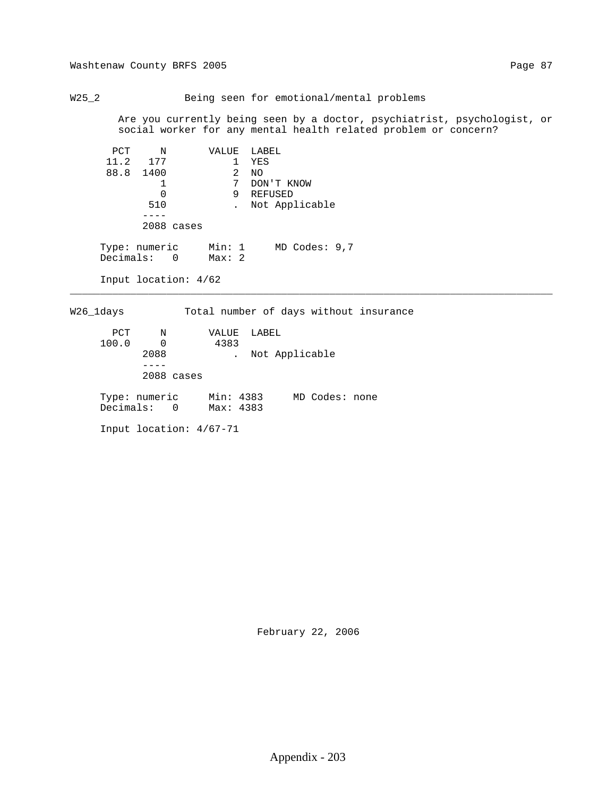Washtenaw County BRFS 2005 Page 87

 Are you currently being seen by a doctor, psychiatrist, psychologist, or social worker for any mental health related problem or concern?

| PCT | N                            | VALUE           | LABEL             |
|-----|------------------------------|-----------------|-------------------|
|     | 11.2 177                     |                 | YES               |
|     | 88.8 1400                    | 2               | NO.               |
|     |                              | 7               | DON'T KNOW        |
|     | 0                            | 9               | REFUSED           |
|     | 510                          |                 | Not Applicable    |
|     |                              |                 |                   |
|     | 2088 cases                   |                 |                   |
|     | Type: numeric<br>Decimals: 0 | Min: 1<br>Max:2 | $MD$ Codes: $9,7$ |
|     | Input location: $4/62$       |                 |                   |

W26\_1days Total number of days without insurance

\_\_\_\_\_\_\_\_\_\_\_\_\_\_\_\_\_\_\_\_\_\_\_\_\_\_\_\_\_\_\_\_\_\_\_\_\_\_\_\_\_\_\_\_\_\_\_\_\_\_\_\_\_\_\_\_\_\_\_\_\_\_\_\_\_\_\_\_\_\_\_\_\_\_\_\_\_\_\_\_

| PCT                                              | N            | VALUE | LABEL |                |  |
|--------------------------------------------------|--------------|-------|-------|----------------|--|
| 100.0                                            | $\Omega$     | 4383  |       |                |  |
| 2088                                             |              |       |       | Not Applicable |  |
|                                                  |              |       |       |                |  |
|                                                  | $2088$ cases |       |       |                |  |
| Type: numeric Min: 4383<br>Decimals: 0 Max: 4383 |              |       |       | MD Codes: none |  |
| Input location: 4/67-71                          |              |       |       |                |  |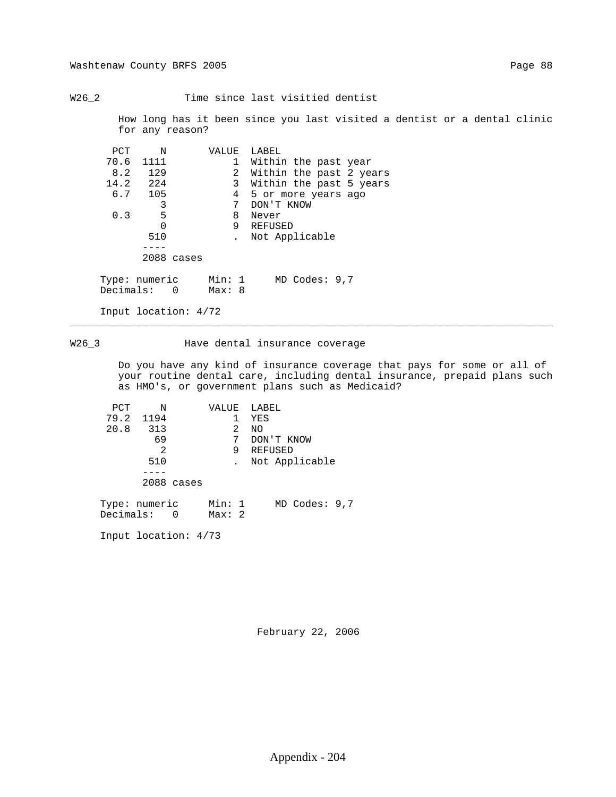W26\_2 Time since last visitied dentist

 How long has it been since you last visited a dentist or a dental clinic for any reason?

| PCT                          | N         |            | VALUE            | LABEL                |                |  |                         |
|------------------------------|-----------|------------|------------------|----------------------|----------------|--|-------------------------|
|                              | 70.6 1111 |            | $\mathbf{1}$     | Within the past year |                |  |                         |
|                              | 8.2 129   |            | $\overline{2}$   |                      |                |  | Within the past 2 years |
|                              | 14.2 224  |            | 3                |                      |                |  | Within the past 5 years |
|                              | $6.7$ 105 |            | 4                | 5 or more years ago  |                |  |                         |
|                              | 3         |            | 7                | DON'T KNOW           |                |  |                         |
| 0.3                          | 5         |            | 8                | Never                |                |  |                         |
|                              | $\Omega$  |            | 9                | REFUSED              |                |  |                         |
|                              | 510       |            |                  |                      | Not Applicable |  |                         |
|                              |           |            |                  |                      |                |  |                         |
|                              |           | 2088 cases |                  |                      |                |  |                         |
| Type: numeric<br>Decimals: 0 |           |            | Min: 1<br>Max: 8 |                      | MD Codes: 9,7  |  |                         |
| Input location: $4/72$       |           |            |                  |                      |                |  |                         |

## W26\_3 Mave dental insurance coverage

\_\_\_\_\_\_\_\_\_\_\_\_\_\_\_\_\_\_\_\_\_\_\_\_\_\_\_\_\_\_\_\_\_\_\_\_\_\_\_\_\_\_\_\_\_\_\_\_\_\_\_\_\_\_\_\_\_\_\_\_\_\_\_\_\_\_\_\_\_\_\_\_\_\_\_\_\_\_\_\_

 Do you have any kind of insurance coverage that pays for some or all of your routine dental care, including dental insurance, prepaid plans such as HMO's, or government plans such as Medicaid?

| PCT | N                            | VALUE           | LABEL           |
|-----|------------------------------|-----------------|-----------------|
|     | 79.2 1194                    |                 | YES             |
|     | 20.8 313                     | 2               | NO              |
|     | 69                           | 7               | DON'T KNOW      |
|     | 2                            | 9               | REFUSED         |
|     | 510                          |                 | Not Applicable  |
|     |                              |                 |                 |
|     | 2088 cases                   |                 |                 |
|     | Type: numeric<br>Decimals: 0 | Min: 1<br>Max:2 | MD Codes: $9,7$ |

Input location: 4/73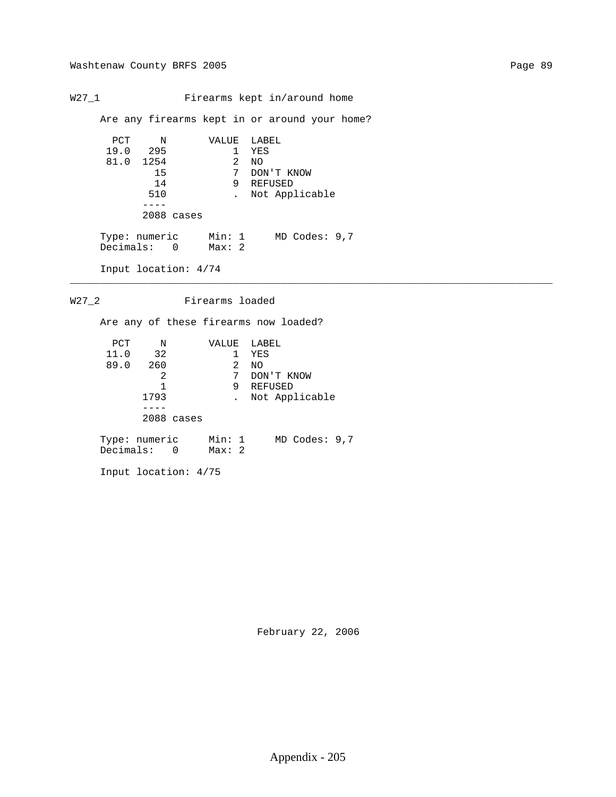W27\_1 Firearms kept in/around home

Are any firearms kept in or around your home?

```
 PCT N VALUE LABEL
19.0 295 1 YES
81.0 1254 2 NO
15 7 DON'T KNOW
14 9 REFUSED
510 . Not Applicable
----
         2088 cases
Type: numeric Min: 1 MD Codes: 9,7
Decimals: 0 Max: 2
     Input location: 4/74
```
\_\_\_\_\_\_\_\_\_\_\_\_\_\_\_\_\_\_\_\_\_\_\_\_\_\_\_\_\_\_\_\_\_\_\_\_\_\_\_\_\_\_\_\_\_\_\_\_\_\_\_\_\_\_\_\_\_\_\_\_\_\_\_\_\_\_\_\_\_\_\_\_\_\_\_\_\_\_\_\_

W27\_2 Firearms loaded

Are any of these firearms now loaded?

| PCT  | N                            |            | VALUE           |   | LABEL      |                   |  |
|------|------------------------------|------------|-----------------|---|------------|-------------------|--|
| 11.0 | 32                           |            |                 |   | YES        |                   |  |
| 89.0 | 260                          |            |                 | 2 | NO         |                   |  |
|      | 2                            |            |                 | 7 | DON'T KNOW |                   |  |
|      |                              |            |                 | 9 | REFUSED    |                   |  |
|      | 1793                         |            |                 |   |            | Not Applicable    |  |
|      |                              |            |                 |   |            |                   |  |
|      |                              | 2088 cases |                 |   |            |                   |  |
|      | Type: numeric<br>Decimals: 0 |            | Min: 1<br>Max:2 |   |            | $MD$ Codes: $9,7$ |  |

Input location: 4/75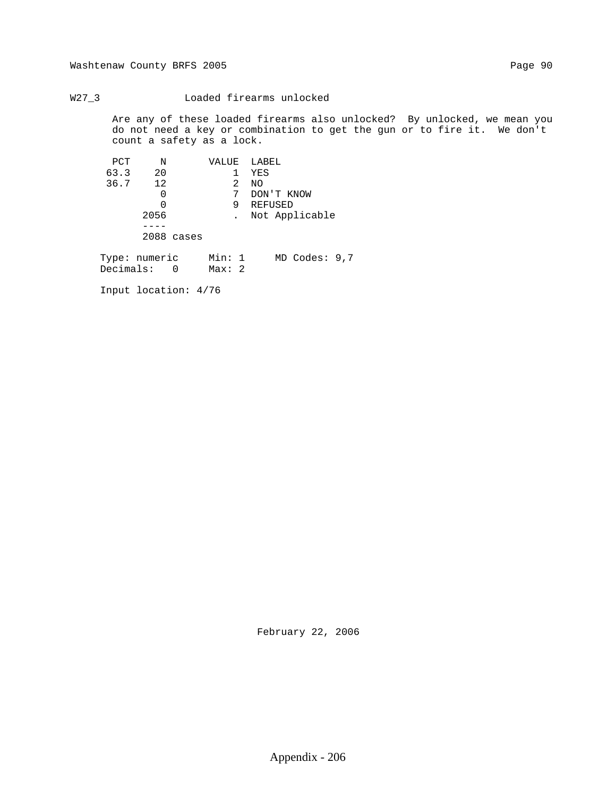Washtenaw County BRFS 2005 Page 90

W27\_3 Loaded firearms unlocked

 Are any of these loaded firearms also unlocked? By unlocked, we mean you do not need a key or combination to get the gun or to fire it. We don't count a safety as a lock.

| PCT                        | N    |            | VALUE           |   | LABEL             |
|----------------------------|------|------------|-----------------|---|-------------------|
| 63.3                       | 20   |            |                 |   | YES               |
| 36.7                       | 12   |            |                 | 2 | NO.               |
|                            | 0    |            |                 | 7 | DON'T KNOW        |
|                            | 0    |            |                 | 9 | REFUSED           |
|                            | 2056 |            |                 |   | Not Applicable    |
|                            |      |            |                 |   |                   |
|                            |      | 2088 cases |                 |   |                   |
| Type: numeric<br>Decimals: |      | $\Omega$   | Min: 1<br>Max:2 |   | $MD$ Codes: $9,7$ |

Input location: 4/76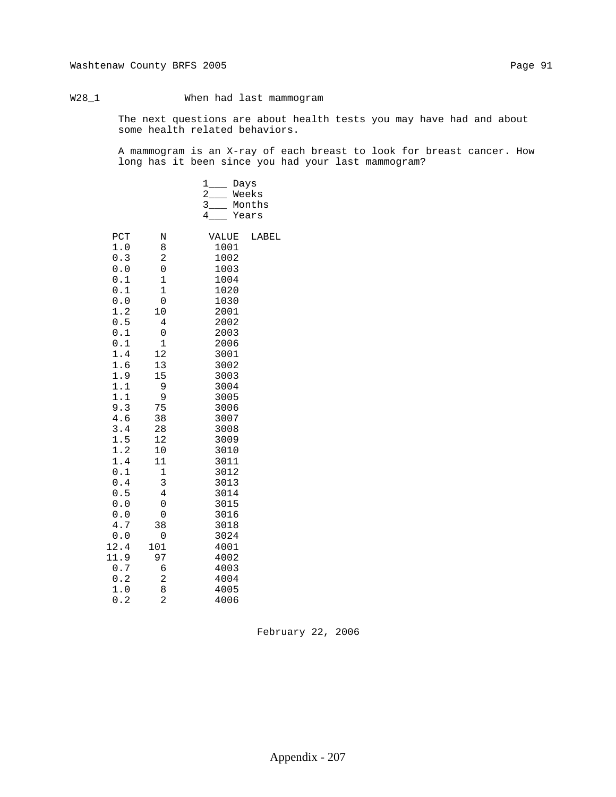## W28\_1 When had last mammogram

 The next questions are about health tests you may have had and about some health related behaviors.

 A mammogram is an X-ray of each breast to look for breast cancer. How long has it been since you had your last mammogram?

|                                                                                                                                                                                                                                                        |                                                                                                                                                                                                                                                        | $\mathbf{1}$<br>$\overline{a}$<br>$3_{-}$<br>4                                                                                                                                                                                                                                | Days<br>Weeks<br>Months<br>Years |
|--------------------------------------------------------------------------------------------------------------------------------------------------------------------------------------------------------------------------------------------------------|--------------------------------------------------------------------------------------------------------------------------------------------------------------------------------------------------------------------------------------------------------|-------------------------------------------------------------------------------------------------------------------------------------------------------------------------------------------------------------------------------------------------------------------------------|----------------------------------|
| PCT<br>1.0<br>0.3<br>0.0<br>$0.1\,$<br>0.1<br>0.0<br>1.2<br>0.5<br>0.1<br>0.1<br>1.4<br>1.6<br>1.9<br>1.1<br>1.1<br>9.3<br>$4.6\,$<br>3.4<br>1.5<br>1.2<br>1.4<br>$0.1$<br>0.4<br>0.5<br>0.0<br>0.0<br>4.7<br>0.0<br>12.4<br>11.9<br>0.7<br>0.2<br>1.0 | N<br>8<br>2<br>0<br>$\mathbf 1$<br>$\mathbf 1$<br>0<br>10<br>4<br>0<br>$\mathbf 1$<br>12<br>13<br>15<br>9<br>9<br>75<br>38<br>28<br>12<br>10<br>11<br>$\mathbf 1$<br>3<br>$\overline{4}$<br>0<br>0<br>38<br>0<br>101<br>97<br>б<br>$\overline{c}$<br>8 | VALUE<br>1001<br>1002<br>1003<br>1004<br>1020<br>1030<br>2001<br>2002<br>2003<br>2006<br>3001<br>3002<br>3003<br>3004<br>3005<br>3006<br>3007<br>3008<br>3009<br>3010<br>3011<br>3012<br>3013<br>3014<br>3015<br>3016<br>3018<br>3024<br>4001<br>4002<br>4003<br>4004<br>4005 | LABEL                            |
| 0.2                                                                                                                                                                                                                                                    | $\overline{a}$                                                                                                                                                                                                                                         | 4006                                                                                                                                                                                                                                                                          |                                  |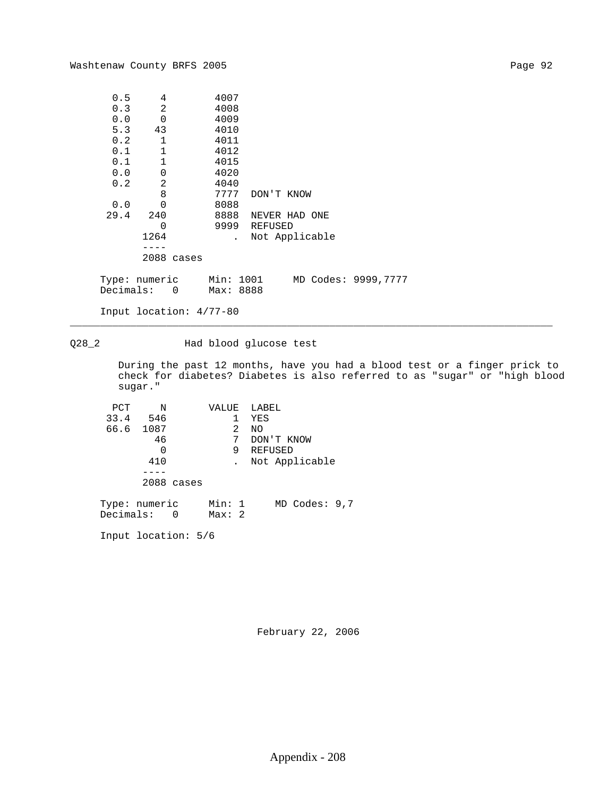| 0.5       | 4             | 4007      |            |                |                      |
|-----------|---------------|-----------|------------|----------------|----------------------|
| 0.3       | 2             | 4008      |            |                |                      |
| 0.0       | $\Omega$      | 4009      |            |                |                      |
| 5.3       | 43            | 4010      |            |                |                      |
| 0.2       | $\mathbf 1$   | 4011      |            |                |                      |
| 0.1       | 1             | 4012      |            |                |                      |
| 0.1       | 1             | 4015      |            |                |                      |
| 0.0       | $\mathbf 0$   | 4020      |            |                |                      |
| 0.2       | 2             | 4040      |            |                |                      |
|           | 8             | 7777      | DON'T KNOW |                |                      |
| 0.0       | $\Omega$      | 8088      |            |                |                      |
| 29.4      | 240           | 8888      |            | NEVER HAD ONE  |                      |
|           | 0             | 9999      | REFUSED    |                |                      |
|           | 1264          |           |            | Not Applicable |                      |
|           |               |           |            |                |                      |
|           | 2088 cases    |           |            |                |                      |
|           |               |           |            |                |                      |
|           | Type: numeric | Min: 1001 |            |                | MD Codes: 9999, 7777 |
| Decimals: | 0             | Max: 8888 |            |                |                      |
|           |               |           |            |                |                      |

\_\_\_\_\_\_\_\_\_\_\_\_\_\_\_\_\_\_\_\_\_\_\_\_\_\_\_\_\_\_\_\_\_\_\_\_\_\_\_\_\_\_\_\_\_\_\_\_\_\_\_\_\_\_\_\_\_\_\_\_\_\_\_\_\_\_\_\_\_\_\_\_\_\_\_\_\_\_\_\_

Input location: 4/77-80

Q28\_2 Had blood glucose test

 During the past 12 months, have you had a blood test or a finger prick to check for diabetes? Diabetes is also referred to as "sugar" or "high blood sugar."

| PCT                          | N         |            | VALUE           |   | LABEL   |                |  |
|------------------------------|-----------|------------|-----------------|---|---------|----------------|--|
|                              | 33.4 546  |            |                 | 1 | YES     |                |  |
|                              | 66.6 1087 |            |                 | 2 | NO      |                |  |
|                              | 46        |            |                 | 7 |         | DON'T KNOW     |  |
|                              | 0         |            |                 | 9 | REFUSED |                |  |
|                              | 410       |            |                 |   |         | Not Applicable |  |
|                              |           |            |                 |   |         |                |  |
|                              |           | 2088 cases |                 |   |         |                |  |
| Type: numeric<br>Decimals: 0 |           |            | Min: 1<br>Max:2 |   |         | MD Codes: 9,7  |  |
| Input location: 5/6          |           |            |                 |   |         |                |  |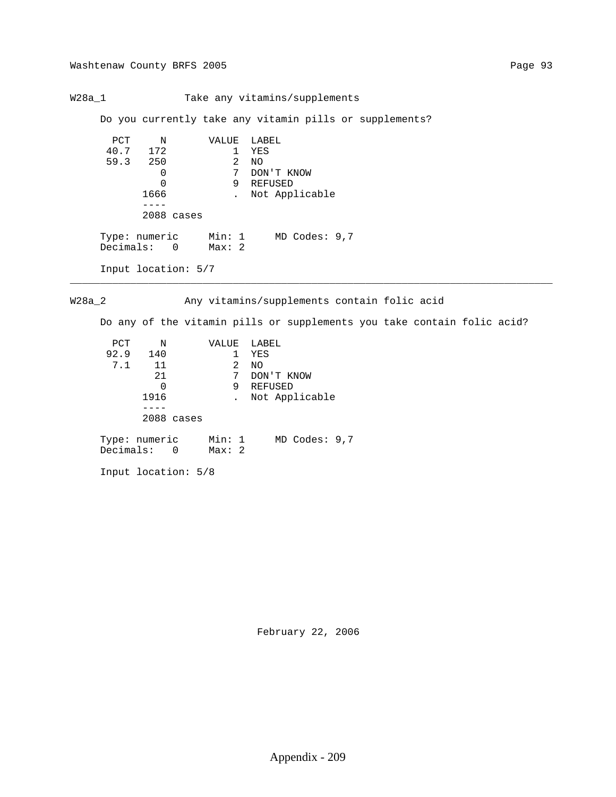W28a\_1 Take any vitamins/supplements

Do you currently take any vitamin pills or supplements?

```
PCT N VALUE LABEL<br>40.7 172 1 YES
                      1 YES<br>2 NO
59.3 250 2 NO
                       2 NO<br>7 DON'T KNOW<br>9 REFUSED
0 9 REFUSED
             1666 . Not Applicable
               ----
              2088 cases
Type: numeric Min: 1 MD Codes: 9,7
Decimals: 0 Max: 2
         Input location: 5/7
```
W28a\_2 Any vitamins/supplements contain folic acid

\_\_\_\_\_\_\_\_\_\_\_\_\_\_\_\_\_\_\_\_\_\_\_\_\_\_\_\_\_\_\_\_\_\_\_\_\_\_\_\_\_\_\_\_\_\_\_\_\_\_\_\_\_\_\_\_\_\_\_\_\_\_\_\_\_\_\_\_\_\_\_\_\_\_\_\_\_\_\_\_

Do any of the vitamin pills or supplements you take contain folic acid?

| PCT  | Ν                            | VALUE           | LABEL             |
|------|------------------------------|-----------------|-------------------|
| 92.9 | 140                          |                 | YES               |
| 7.1  | 11                           | 2               | NO.               |
|      | 21                           | 7               | DON'T KNOW        |
|      | 0                            | 9               | REFUSED           |
|      | 1916                         |                 | Not Applicable    |
|      |                              |                 |                   |
|      | 2088 cases                   |                 |                   |
|      | Type: numeric<br>Decimals: 0 | Min: 1<br>Max:2 | $MD$ Codes: $9,7$ |

Input location: 5/8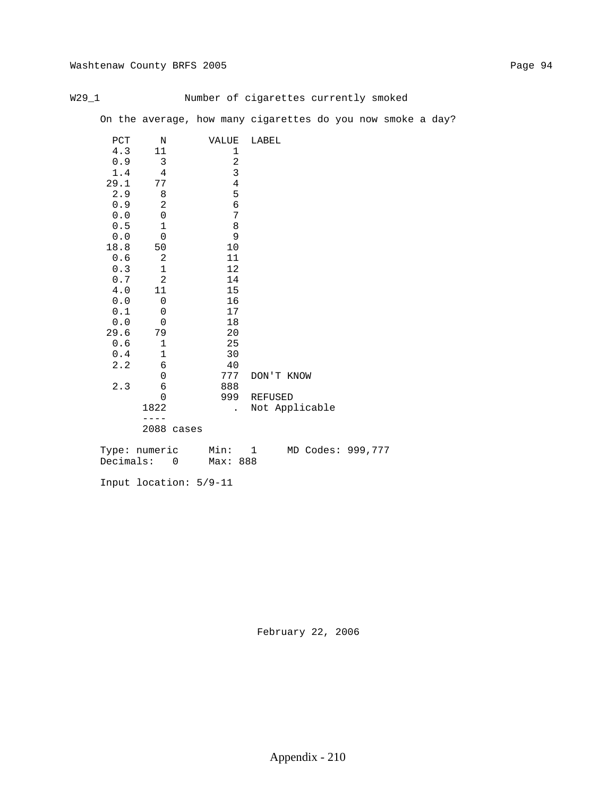## W29\_1 Mumber of cigarettes currently smoked

On the average, how many cigarettes do you now smoke a day?

| $_{\rm PCT}$ | N              |            | VALUE          | LABEL        |                |    |
|--------------|----------------|------------|----------------|--------------|----------------|----|
| 4.3          | 11             |            | 1              |              |                |    |
| 0.9          | $\mathfrak{Z}$ |            | $\sqrt{2}$     |              |                |    |
| 1.4          | $\overline{4}$ |            | $\mathbf{3}$   |              |                |    |
| 29.1         | 77             |            | $\overline{4}$ |              |                |    |
| 2.9          | 8              |            | 5              |              |                |    |
| 0.9          | $\overline{2}$ |            | $\epsilon$     |              |                |    |
| 0.0          | $\mathbf 0$    |            | 7              |              |                |    |
| $0.5$        | $\mathbf 1$    |            | $\,8\,$        |              |                |    |
| 0.0          | $\mathbf 0$    |            | 9              |              |                |    |
| 18.8         | 50             |            | $10$           |              |                |    |
| 0.6          | $\sqrt{2}$     |            | 11             |              |                |    |
| 0.3          | $\mathbf 1$    |            | 12             |              |                |    |
| 0.7          | $\sqrt{2}$     |            | 14             |              |                |    |
| 4.0          | 11             |            | 15             |              |                |    |
| 0.0          | $\mathbf 0$    |            | 16             |              |                |    |
| $0.1\,$      | $\mathbf 0$    |            | $17$           |              |                |    |
| 0.0          | $\mathbf 0$    |            | 18             |              |                |    |
| 29.6         | 79             |            | 20             |              |                |    |
| 0.6          | $1\,$          |            | 25             |              |                |    |
| 0.4          | $\mathbf 1$    |            | 30             |              |                |    |
| 2.2          | $\sqrt{6}$     |            | 40             |              |                |    |
|              | $\mathbf 0$    |            | 777            | DON'T KNOW   |                |    |
| 2.3          | 6              |            | 888            |              |                |    |
|              | $\mathbf 0$    |            | 999            | REFUSED      |                |    |
|              | 1822           |            | $\mathbf{r}$   |              | Not Applicable |    |
|              |                |            |                |              |                |    |
|              |                | 2088 cases |                |              |                |    |
|              | Tyme: numeric  |            | Min:           | $\mathbf{1}$ | MD Codes:      | QQ |

 Type: numeric Min: 1 MD Codes: 999,777 Decimals: 0 Max: 888

Input location: 5/9-11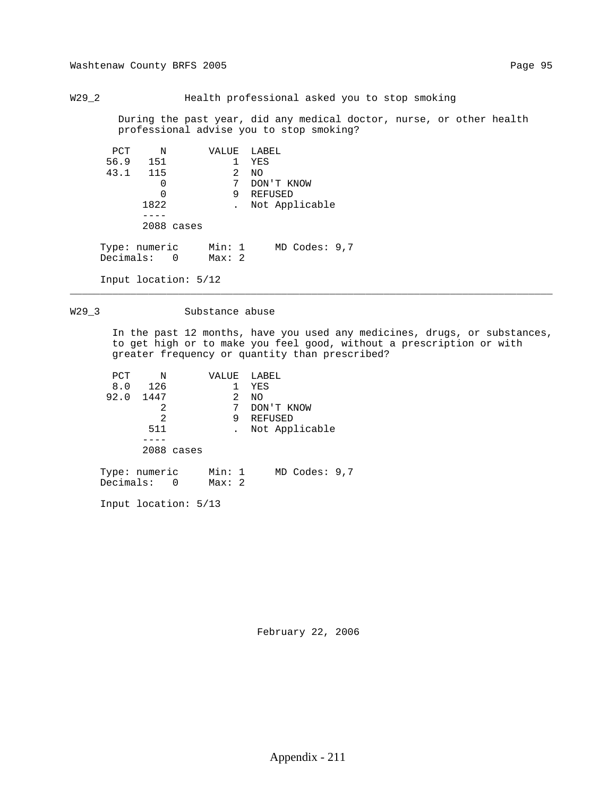Washtenaw County BRFS 2005 Page 95

W29\_2 Health professional asked you to stop smoking

 During the past year, did any medical doctor, nurse, or other health professional advise you to stop smoking?

| PCT | N                            | VALUE LABEL     |                |
|-----|------------------------------|-----------------|----------------|
|     | 56.9 151                     |                 | YES            |
|     | 43.1 115                     | $\overline{2}$  | NO.            |
|     | 0                            | 7               | DON'T KNOW     |
|     | 0                            | 9               | REFUSED        |
|     | 1822                         |                 | Not Applicable |
|     |                              |                 |                |
|     | $2088$ cases                 |                 |                |
|     | Type: numeric<br>Decimals: 0 | Min: 1<br>Max:2 | MD Codes: 9,7  |
|     | Input location: $5/12$       |                 |                |

## W29\_3 Substance abuse

 In the past 12 months, have you used any medicines, drugs, or substances, to get high or to make you feel good, without a prescription or with greater frequency or quantity than prescribed?

\_\_\_\_\_\_\_\_\_\_\_\_\_\_\_\_\_\_\_\_\_\_\_\_\_\_\_\_\_\_\_\_\_\_\_\_\_\_\_\_\_\_\_\_\_\_\_\_\_\_\_\_\_\_\_\_\_\_\_\_\_\_\_\_\_\_\_\_\_\_\_\_\_\_\_\_\_\_\_\_

| PCT | Ν             | VALUE  | LABEL             |
|-----|---------------|--------|-------------------|
| 8.0 | 126           |        | YES               |
|     | 92.0 1447     | 2      | NO.               |
|     | 2             | 7      | DON'T KNOW        |
|     | 2             | 9      | REFUSED           |
|     | 511           |        | . Not Applicable  |
|     |               |        |                   |
|     | 2088 cases    |        |                   |
|     | Type: numeric | Min: 1 | $MD$ Codes: $9,7$ |

Input location: 5/13

Decimals: 0 Max: 2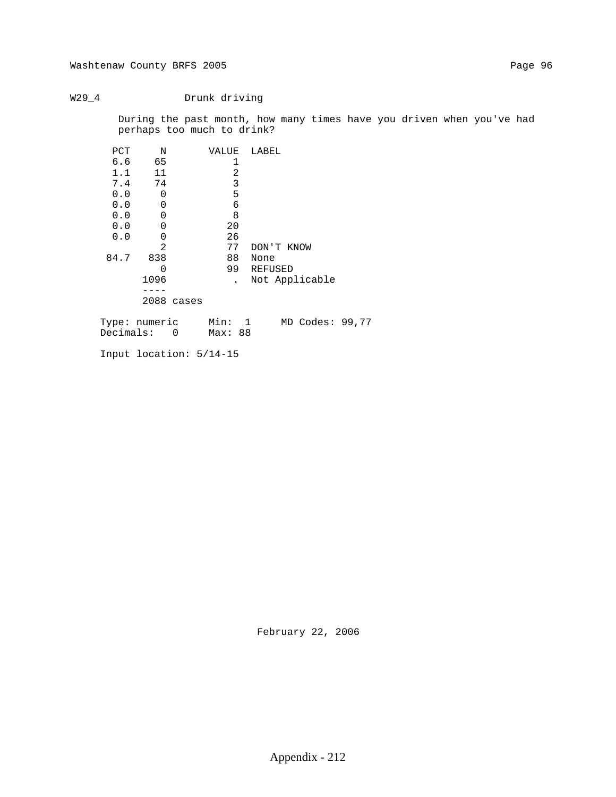## W29\_4 Drunk driving

 During the past month, how many times have you driven when you've had perhaps too much to drink?

| PCT  | N             | VALUE | LABEL                          |
|------|---------------|-------|--------------------------------|
| 6.6  | 65            | 1     |                                |
| 1.1  | 11            | 2     |                                |
| 7.4  | 74            | 3     |                                |
| 0.0  | 0             | 5     |                                |
| 0.0  | $\Omega$      | 6     |                                |
| 0.0  | $\Omega$      | 8     |                                |
| 0.0  | $\Omega$      | 20    |                                |
| 0.0  | 0             | 26    |                                |
|      | 2             | 77    | DON'T KNOW                     |
| 84.7 | 838           | 88    | None                           |
|      | O             | 99    | REFUSED                        |
|      | 1096          |       | Not Applicable                 |
|      |               |       |                                |
|      | 2088 cases    |       |                                |
|      | Tyne: numeric | Min:  | MD Codes: 99 7<br>$\mathbf{1}$ |

 Type: numeric Min: 1 MD Codes: 99,77 Decimals: 0 Max: 88

Input location: 5/14-15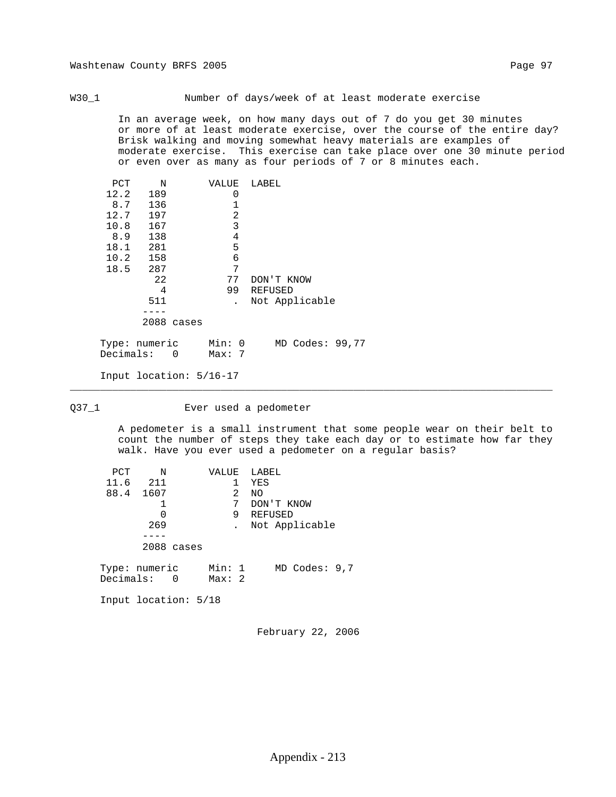W30\_1 Number of days/week of at least moderate exercise

 In an average week, on how many days out of 7 do you get 30 minutes or more of at least moderate exercise, over the course of the entire day? Brisk walking and moving somewhat heavy materials are examples of moderate exercise. This exercise can take place over one 30 minute period or even over as many as four periods of 7 or 8 minutes each.

| PCT  | N          | VALUE     | LABEL          |
|------|------------|-----------|----------------|
| 12.2 | 189        | 0         |                |
| 8.7  | 136        |           |                |
| 12.7 | 197        | 2         |                |
| 10.8 | 167        | 3         |                |
| 8.9  | 138        | 4         |                |
| 18.1 | 281        | 5         |                |
| 10.2 | 158        | 6         |                |
| 18.5 | 287        | 7         |                |
|      | 22         | 77        | DON'T KNOW     |
|      | 4          | 99        | <b>REFUSED</b> |
|      | 511        |           | Not Applicable |
|      |            |           |                |
|      | 2088 cases |           |                |
|      |            | $-1$ $-1$ | $\sim$ $\sim$  |

 Type: numeric Min: 0 MD Codes: 99,77 Decimals: 0 Max: 7

Input location: 5/16-17

### Q37\_1 Ever used a pedometer

\_\_\_\_\_\_\_\_\_\_\_\_\_\_\_\_\_\_\_\_\_\_\_\_\_\_\_\_\_\_\_\_\_\_\_\_\_\_\_\_\_\_\_\_\_\_\_\_\_\_\_\_\_\_\_\_\_\_\_\_\_\_\_\_\_\_\_\_\_\_\_\_\_\_\_\_\_\_\_\_

 A pedometer is a small instrument that some people wear on their belt to count the number of steps they take each day or to estimate how far they walk. Have you ever used a pedometer on a regular basis?

| PCT<br>$\mathbb N$           |            | VALUE            |   | LABEL             |
|------------------------------|------------|------------------|---|-------------------|
| 11.6 211                     |            |                  | 1 | YES               |
| 88.4 1607                    |            |                  | 2 | NO.               |
|                              |            |                  | 7 | DON'T KNOW        |
|                              | 0          |                  | 9 | REFUSED           |
| 269                          |            |                  |   | Not Applicable    |
|                              |            |                  |   |                   |
|                              | 2088 cases |                  |   |                   |
| Type: numeric<br>Decimals: 0 |            | Min: 1<br>Max: 2 |   | $MD$ Codes: $9,7$ |
| Input location: 5/18         |            |                  |   |                   |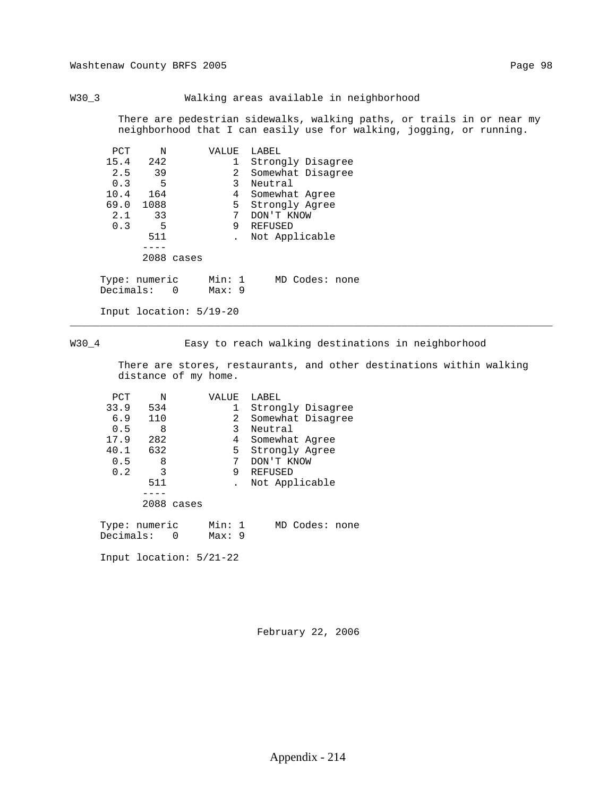## W30\_3 Walking areas available in neighborhood

 There are pedestrian sidewalks, walking paths, or trails in or near my neighborhood that I can easily use for walking, jogging, or running.

| PCT       | N                  | VALUE           | LABEL             |
|-----------|--------------------|-----------------|-------------------|
| 15.4      | 242                | 1               | Strongly Disagree |
| 2.5       | 39                 | 2               | Somewhat Disagree |
| 0.3       | 5                  | 3               | Neutral           |
| 10.4      | 164                | 4               | Somewhat Agree    |
| 69.0      | 1088               | 5               | Strongly Agree    |
| 2.1       | 33                 | 7               | DON'T KNOW        |
| 0.3       | 5                  | 9               | REFUSED           |
|           | 511                |                 | Not Applicable    |
|           |                    |                 |                   |
|           | 2088 cases         |                 |                   |
| Decimals: | Type: numeric<br>0 | Min: 1<br>Max:9 | MD Codes: none    |
|           |                    |                 |                   |

Input location: 5/19-20

W30\_4 Easy to reach walking destinations in neighborhood

 There are stores, restaurants, and other destinations within walking distance of my home.

\_\_\_\_\_\_\_\_\_\_\_\_\_\_\_\_\_\_\_\_\_\_\_\_\_\_\_\_\_\_\_\_\_\_\_\_\_\_\_\_\_\_\_\_\_\_\_\_\_\_\_\_\_\_\_\_\_\_\_\_\_\_\_\_\_\_\_\_\_\_\_\_\_\_\_\_\_\_\_\_

| PCT       | N             |   | VALUE          |              | LABEL             |
|-----------|---------------|---|----------------|--------------|-------------------|
| 33.9      | 534           |   |                | 1            | Strongly Disagree |
| 6.9       | 110           |   |                | $\mathbf{2}$ | Somewhat Disagree |
| 0.5       | 8             |   |                | 3            | Neutral           |
| 17.9      | 282           |   |                | 4            | Somewhat Agree    |
| 40.1      | 632           |   |                | 5            | Strongly Agree    |
| 0.5       | 8             |   |                | 7            | DON'T KNOW        |
| 0.2       | 3             |   |                | 9            | <b>REFUSED</b>    |
|           | 511           |   |                |              | Not Applicable    |
|           |               |   |                |              |                   |
|           | 2088 cases    |   |                |              |                   |
| Decimals: | Type: numeric | 0 | Min: 1<br>Max: | 9            | MD Codes: none    |
|           |               |   |                |              |                   |

Input location: 5/21-22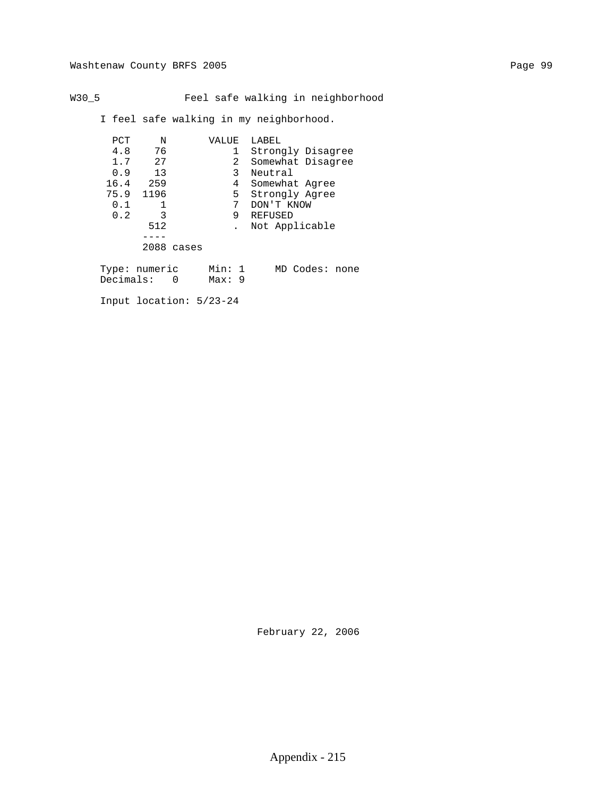# W30\_5 Feel safe walking in neighborhood

I feel safe walking in my neighborhood.

| PCT                        | N    |            | VALUE            |    | LABEL             |                |  |
|----------------------------|------|------------|------------------|----|-------------------|----------------|--|
| 4.8                        | 76   |            |                  |    | Strongly Disagree |                |  |
| 1.7                        | 27   |            |                  | 2  | Somewhat Disagree |                |  |
| 0.9                        | 13   |            |                  | 3  | Neutral           |                |  |
| 16.4                       | 259  |            |                  | 4  | Somewhat Agree    |                |  |
| 75.9                       | 1196 |            |                  | 5. | Strongly Agree    |                |  |
| 0.1                        |      |            |                  |    | DON'T KNOW        |                |  |
| 0.2                        | 3    |            |                  | 9  | REFUSED           |                |  |
|                            | 512  |            |                  |    | Not Applicable    |                |  |
|                            |      |            |                  |    |                   |                |  |
|                            |      | 2088 cases |                  |    |                   |                |  |
| Type: numeric<br>Decimals: |      | 0          | Min: 1<br>Max: 9 |    |                   | MD Codes: none |  |

Input location: 5/23-24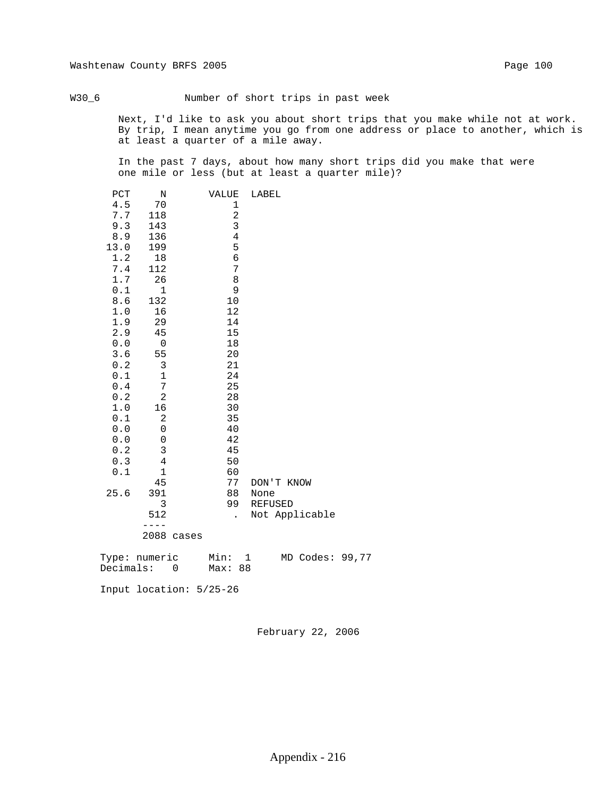W30\_6 Number of short trips in past week

 Next, I'd like to ask you about short trips that you make while not at work. By trip, I mean anytime you go from one address or place to another, which is at least a quarter of a mile away.

 In the past 7 days, about how many short trips did you make that were one mile or less (but at least a quarter mile)?

| PCT                                               | N              |       | VALUE          | LABEL          |
|---------------------------------------------------|----------------|-------|----------------|----------------|
| $4.5\,$                                           | 70             |       | 1              |                |
| 7.7                                               | 118            |       | $\sqrt{2}$     |                |
| 9.3                                               | 143            |       | 3              |                |
| 8.9                                               | 136            |       | $\overline{4}$ |                |
| 13.0                                              | 199            |       | 5              |                |
| 1.2                                               | 18             |       | б              |                |
| 7.4                                               | 112            |       | $\sqrt{ }$     |                |
| 1.7                                               | 26             |       | 8              |                |
| 0.1                                               | 1              |       | $\mathsf 9$    |                |
| 8.6                                               | 132            |       | 10             |                |
| 1.0                                               | 16             |       | 12             |                |
| 1.9                                               | 29             |       | 14             |                |
| 2.9                                               | 45             |       | 15             |                |
| $0.0$                                             | $\mathbf 0$    |       | 18             |                |
| 3.6                                               | 55             |       | 20             |                |
| 0.2                                               | $\mathsf 3$    |       | 21             |                |
| $0.1\,$                                           | $\mathbf 1$    |       | 24             |                |
| $\ensuremath{\text{0}}$ . $\ensuremath{\text{4}}$ | 7              |       | 25             |                |
| $0.2\,$                                           | $\sqrt{2}$     |       | 28             |                |
| 1.0                                               | 16             |       | 30             |                |
| 0.1                                               | $\overline{c}$ |       | 35             |                |
| ${\bf 0}$ . ${\bf 0}$                             | 0              |       | 40             |                |
| 0.0                                               | 0              |       | 42             |                |
| 0.2                                               | $\mathsf 3$    |       | 45             |                |
| $0.3$                                             | $\sqrt{4}$     |       | 50             |                |
| 0.1                                               | $\mathbf{1}$   |       | 60             |                |
|                                                   | 45             |       | 77             | DON'T KNOW     |
| 25.6                                              | 391            |       | 88             | None           |
|                                                   | 3              |       | 99             | REFUSED        |
|                                                   | 512            |       |                | Not Applicable |
|                                                   |                |       |                |                |
|                                                   | 2088           | cases |                |                |
|                                                   |                |       |                |                |

| Type: numeric | Min:    |  | MD Codes: 99,77 |  |
|---------------|---------|--|-----------------|--|
| Decimals:     | Max: 88 |  |                 |  |

Input location: 5/25-26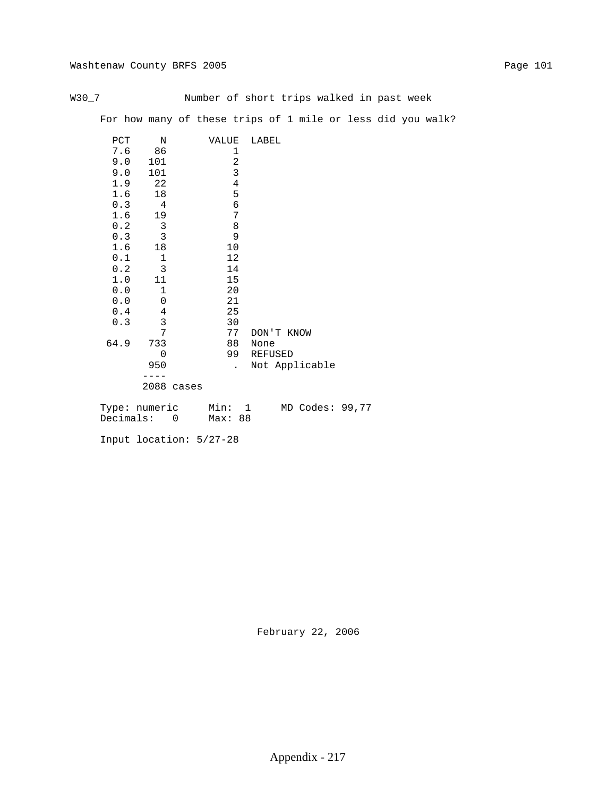|--|--|--|--|

Number of short trips walked in past week

For how many of these trips of 1 mile or less did you walk?

| PCT  | N                   | VALUE                | LABEL                               |
|------|---------------------|----------------------|-------------------------------------|
| 7.6  | 86                  | 1                    |                                     |
| 9.0  | 101                 | $\sqrt{2}$           |                                     |
| 9.0  | 101                 | $\mathbf{3}$         |                                     |
| 1.9  | 22                  | $\overline{4}$       |                                     |
| 1.6  | 18                  | 5                    |                                     |
| 0.3  | $\overline{4}$      | 6                    |                                     |
| 1.6  | 19                  | 7                    |                                     |
| 0.2  | $\mathbf{3}$        | $\,8\,$              |                                     |
| 0.3  | 3                   | 9                    |                                     |
| 1.6  | 18                  | 10                   |                                     |
| 0.1  | $\mathbf 1$         | 12                   |                                     |
| 0.2  | 3                   | 14                   |                                     |
| 1.0  | 11                  | 15                   |                                     |
| 0.0  | $\mathbf 1$         | 20                   |                                     |
| 0.0  | $\mathbf 0$         | 21                   |                                     |
| 0.4  | $\overline{4}$      | 25                   |                                     |
| 0.3  | 3                   | 30                   |                                     |
|      | 7                   | 77                   | DON'T KNOW                          |
| 64.9 | 733                 | 88                   | None                                |
|      | $\mathbf 0$         | 99                   | REFUSED                             |
|      | 950                 | $\ddot{\phantom{a}}$ | Not Applicable                      |
|      |                     |                      |                                     |
|      | 2088 cases          |                      |                                     |
|      |                     |                      |                                     |
|      | $T_1$ $ma:$ numeric | $Min \cdot$          | $MD C_0$ dec: 99.77<br>$\mathbf{1}$ |

| Type: numeric | Mın:    |  | MD Codes: 99,77 |  |
|---------------|---------|--|-----------------|--|
| Decimals:     | Max: 88 |  |                 |  |

Input location: 5/27-28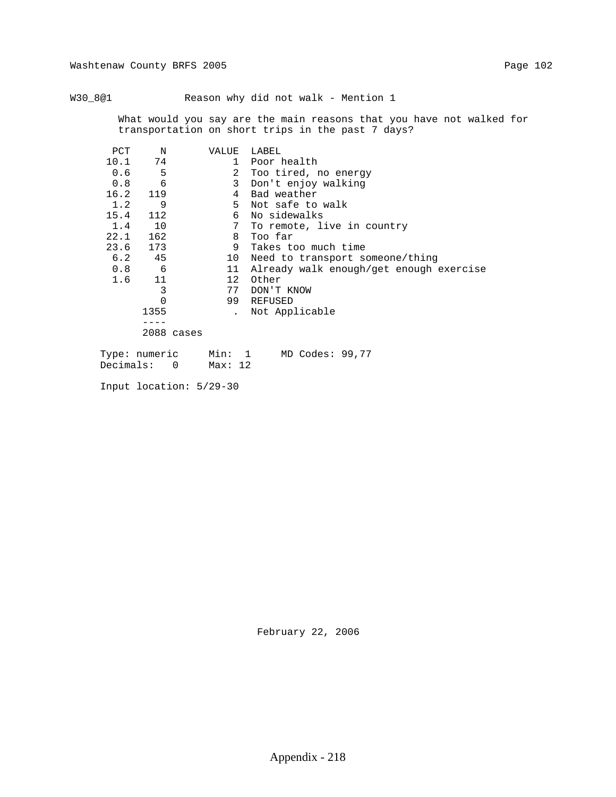W30\_8@1 Reason why did not walk - Mention 1

 What would you say are the main reasons that you have not walked for transportation on short trips in the past 7 days?

| PCT       | N                        | VALUE        | LABEL                                   |
|-----------|--------------------------|--------------|-----------------------------------------|
| 10.1      | 74                       | $\mathbf{1}$ | Poor health                             |
| 0.6       | 5                        |              | 2 Too tired, no energy                  |
| 0.8       | 6                        | 3            | Don't enjoy walking                     |
| 16.2      | 119                      | 4            | Bad weather                             |
| 1.2       | 9                        | 5            | Not safe to walk                        |
| 15.4      | 112                      |              | 6 No sidewalks                          |
| 1.4       | 10                       | 7            | To remote, live in country              |
| 22.1      | 162                      | 8            | Too far                                 |
| 23.6      | 173                      | 9            | Takes too much time                     |
| 6.2       | 45                       | 10           | Need to transport someone/thing         |
| 0.8       | 6                        | 11           | Already walk enough/get enough exercise |
| 1.6       | 11                       | 12           | Other                                   |
|           | 3                        | 77           | DON'T KNOW                              |
|           | 0                        | 99           | REFUSED                                 |
|           | 1355                     |              | Not Applicable                          |
|           |                          |              |                                         |
|           | 2088 cases               |              |                                         |
|           | Type: numeric            | Min: 1       | $MD$ Codes: 99,77                       |
| Decimals: | $\overline{\phantom{0}}$ | Max: 12      |                                         |

Input location: 5/29-30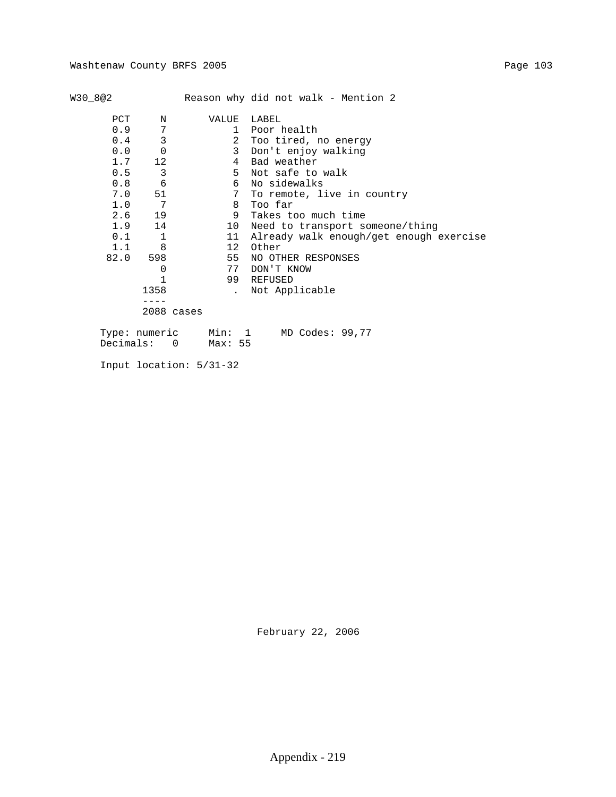| W30 8@2 |    |       | Reason why did not walk - Mention 2 |
|---------|----|-------|-------------------------------------|
| PCT     | N  | VALUE | LABEL                               |
| 0.9     |    |       | 1 Poor health                       |
| 0.4     |    |       | 2 Too tired, no energy              |
| 0.0     | O  |       | 3 Don't enjoy walking               |
| $1 \t7$ | 12 |       | 4 Bad weather                       |
| 0.5     |    |       | 5 Not safe to walk                  |

| 0.0  | 0          |    | 3 Don't enjoy walking                   |
|------|------------|----|-----------------------------------------|
| 1.7  | 12         | 4  | Bad weather                             |
| 0.5  | 3          | 5. | Not safe to walk                        |
| 0.8  | 6          | 6  | No sidewalks                            |
| 7.0  | 51         |    | 7 To remote, live in country            |
| 1.0  | 7          | 8  | Too far                                 |
|      | $2.6$ 19   | 9  | Takes too much time                     |
| 1.9  | 14         | 10 | Need to transport someone/thing         |
| 0.1  | 1          | 11 | Already walk enough/get enough exercise |
| 1.1  | 8          | 12 | Other                                   |
| 82.0 | 598        | 55 | NO OTHER RESPONSES                      |
|      | 0          | 77 | DON'T KNOW                              |
|      |            | 99 | REFUSED                                 |
|      | 1358       |    | . Not Applicable                        |
|      |            |    |                                         |
|      | 2088 cases |    |                                         |
|      |            |    | Type: numeric Min: 1 MD Codes: 99,77    |

Decimals: 0 Max: 55

Input location: 5/31-32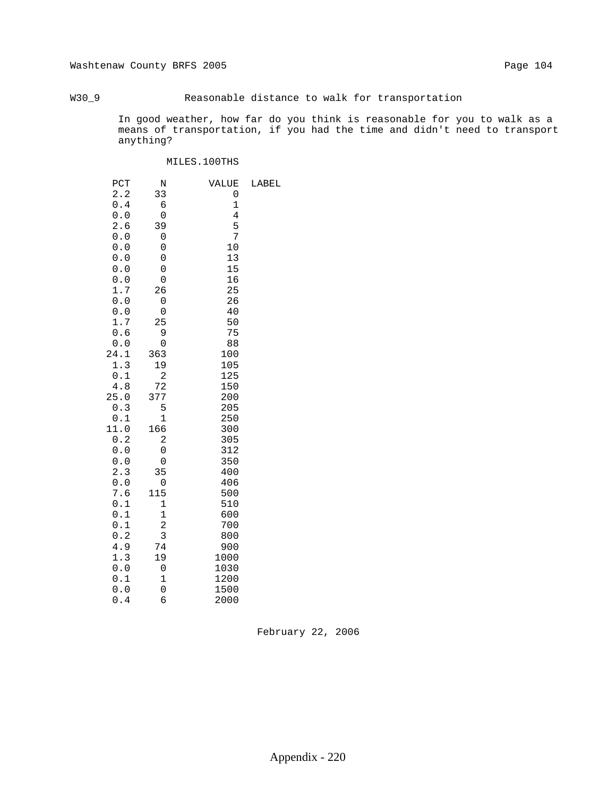## W30\_9 Reasonable distance to walk for transportation

 In good weather, how far do you think is reasonable for you to walk as a means of transportation, if you had the time and didn't need to transport anything?

### MILES.100THS

| PCT     | N                       | VALUE       | LABEL |
|---------|-------------------------|-------------|-------|
| 2.2     | 33                      | 0           |       |
| $0.4\,$ | б                       | $\mathbf 1$ |       |
| $0.0$   | 0                       | 4           |       |
| 2.6     | 39                      | 5           |       |
| 0.0     | 0                       | 7           |       |
| 0.0     | 0                       | 10          |       |
| 0.0     | 0                       | 13          |       |
| 0.0     | 0                       | 15          |       |
| $0.0$   | $\mathbf 0$             | 16          |       |
| 1.7     | 26                      | 25          |       |
| $0.0$   | 0                       | 26          |       |
| 0.0     | 0                       | 40          |       |
| 1.7     | 25                      | 50          |       |
| 0.6     | 9                       | 75          |       |
| 0.0     | 0                       | 88          |       |
| 24.1    | 363                     | 100         |       |
| 1.3     | 19                      | 105         |       |
| 0.1     | $\overline{\mathbf{c}}$ | 125         |       |
| 4.8     | 72                      | 150         |       |
| 25.0    | 377                     | 200         |       |
| 0.3     | 5                       | 205         |       |
| 0.1     | 1                       | 250         |       |
| 11.0    | 166                     | 300         |       |
| 0.2     | $\overline{c}$          | 305         |       |
| 0.0     | 0                       | 312         |       |
| $0.0$   | 0                       | 350         |       |
| 2.3     | 35                      | 400         |       |
| 0.0     | 0                       | 406         |       |
| 7.6     | 115                     | 500         |       |
| 0.1     | $\mathbf 1$             | 510         |       |
| 0.1     | $\mathbf 1$             | 600         |       |
| 0.1     | $\overline{\mathbf{c}}$ | 700         |       |
| 0.2     | 3                       | 800         |       |
| 4.9     | 74                      | 900         |       |
| 1.3     | 19                      | 1000        |       |
| 0.0     | 0                       | 1030        |       |
| 0.1     | $\mathbf{1}$            | 1200        |       |
| 0.0     | $\mathbf 0$             | 1500        |       |
| 0.4     | б                       | 2000        |       |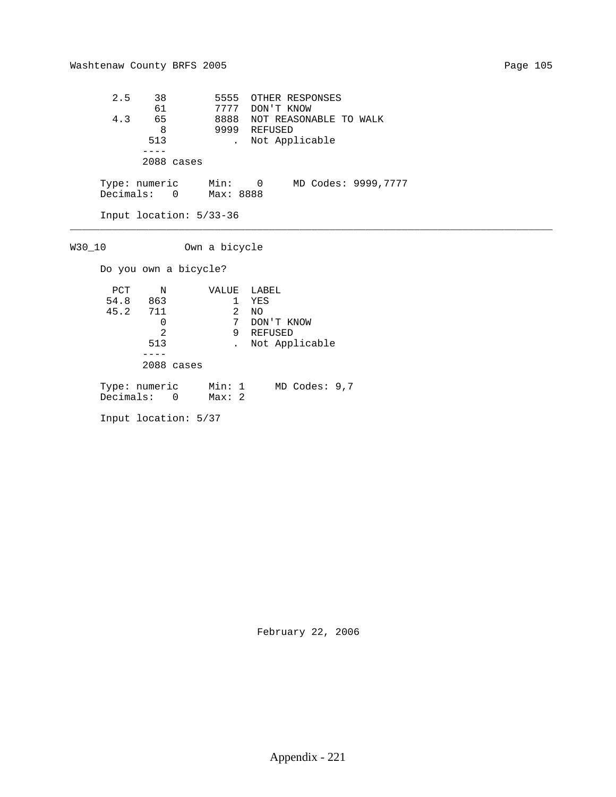2.5 38 5555 OTHER RESPONSES 61 7777 DON'T KNOW 4.3 65 8888 NOT REASONABLE TO WALK 8 9999 REFUSED 513 . Not Applicable ---- 2088 cases Type: numeric Min: 0 MD Codes: 9999,7777 Decimals: 0 Max: 8888 Input location: 5/33-36 \_\_\_\_\_\_\_\_\_\_\_\_\_\_\_\_\_\_\_\_\_\_\_\_\_\_\_\_\_\_\_\_\_\_\_\_\_\_\_\_\_\_\_\_\_\_\_\_\_\_\_\_\_\_\_\_\_\_\_\_\_\_\_\_\_\_\_\_\_\_\_\_\_\_\_\_\_\_\_\_ W30\_10 Own a bicycle Do you own a bicycle? PCT N VALUE LABEL 54.8 863 1 YES 45.2 711 2 NO 0 7 DON'T KNOW 2 9 REFUSED 513 . Not Applicable ---- 2088 cases Type: numeric Min: 1 MD Codes: 9,7 Decimals: 0 Max: 2 Input location: 5/37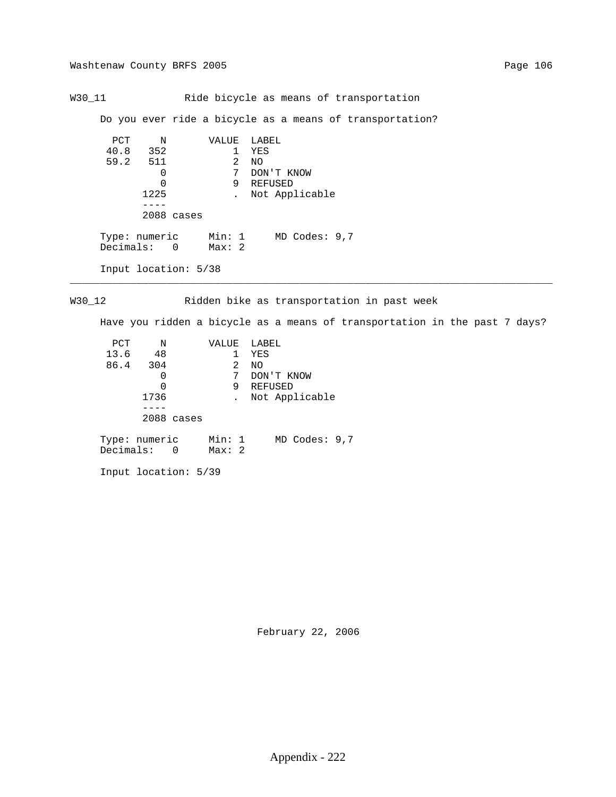W30\_11 Ride bicycle as means of transportation

Do you ever ride a bicycle as a means of transportation?

```
PCT N VALUE LABEL<br>40.8 352 1 YES
                         \begin{array}{cc} 1 & \text{YES} \\ 2 & \text{NO} \end{array} 59.2 511 2 NO
                            7 DON'T KNOW<br>9 REFUSED
0 9 REFUSED
                 1225 . Not Applicable
                  ----
                 2088 cases
Type: numeric Min: 1 MD Codes: 9,7
Decimals: 0 Max: 2
           Input location: 5/38
```
W30\_12 Ridden bike as transportation in past week

\_\_\_\_\_\_\_\_\_\_\_\_\_\_\_\_\_\_\_\_\_\_\_\_\_\_\_\_\_\_\_\_\_\_\_\_\_\_\_\_\_\_\_\_\_\_\_\_\_\_\_\_\_\_\_\_\_\_\_\_\_\_\_\_\_\_\_\_\_\_\_\_\_\_\_\_\_\_\_\_

Have you ridden a bicycle as a means of transportation in the past 7 days?

| PCT                          | Ν    |            | VALUE           |   | LABEL             |
|------------------------------|------|------------|-----------------|---|-------------------|
| 13.6                         | -48  |            |                 | 1 | YES               |
| 86.4 304                     |      |            |                 | 2 | NO.               |
|                              |      |            |                 | 7 | DON'T KNOW        |
|                              |      |            |                 | 9 | REFUSED           |
|                              | 1736 |            |                 |   | Not Applicable    |
|                              |      |            |                 |   |                   |
|                              |      | 2088 cases |                 |   |                   |
| Type: numeric<br>Decimals: 0 |      |            | Min: 1<br>Max:2 |   | $MD$ Codes: $9,7$ |
|                              |      |            |                 |   |                   |

Input location: 5/39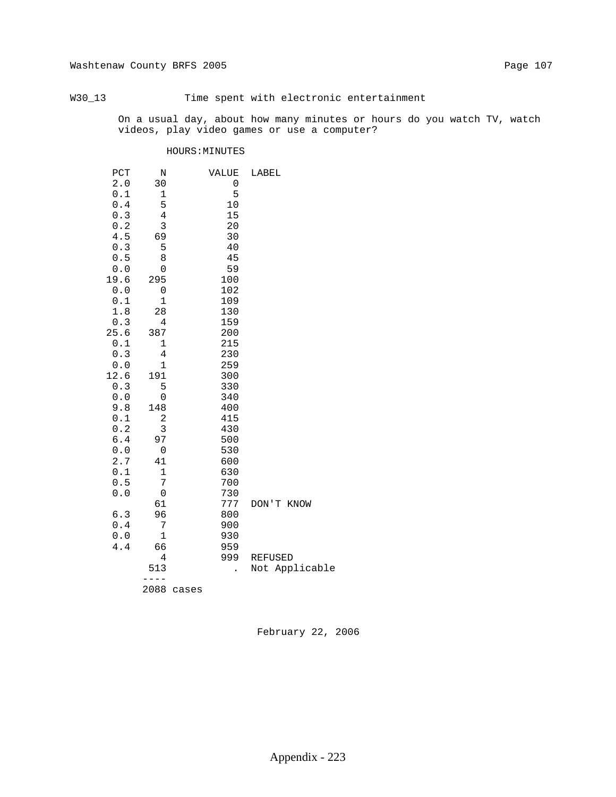## W30\_13 Time spent with electronic entertainment

 On a usual day, about how many minutes or hours do you watch TV, watch videos, play video games or use a computer?

### HOURS:MINUTES

| PCT                                                                 | N              |       | VALUE                | LABEL          |
|---------------------------------------------------------------------|----------------|-------|----------------------|----------------|
| $2\,.\,0$                                                           | 30             |       | 0                    |                |
| $0.1\,$                                                             | 1              |       | 5                    |                |
| $0.4\,$                                                             | 5              |       | $10$                 |                |
| 0.3                                                                 | 4              |       | 15                   |                |
| 0.2                                                                 | 3              |       | 20                   |                |
| 4.5                                                                 | 69             |       | 30                   |                |
| 0.3                                                                 | 5              |       | 40                   |                |
| $0.5$                                                               | 8              |       | 45                   |                |
| 0.0                                                                 | 0              |       | 59                   |                |
| 19.6                                                                | 295            |       | 100                  |                |
| $0.0$                                                               | $\mathsf 0$    |       | 102                  |                |
| $0.1$                                                               | $\mathbf 1$    |       | 109                  |                |
| 1.8                                                                 | 28             |       | 130                  |                |
| 0.3                                                                 | 4              |       | 159                  |                |
| 25.6                                                                | 387            |       | 200                  |                |
| 0.1                                                                 | $\mathbf 1$    |       | 215                  |                |
| $0.3$                                                               | $\overline{4}$ |       | 230                  |                |
| $0.0$                                                               | $\mathbf 1$    |       | 259                  |                |
| 12.6                                                                | 191            |       | 300                  |                |
| 0.3                                                                 | 5              |       | 330                  |                |
| 0.0                                                                 | 0              |       | 340                  |                |
| 9.8                                                                 | 148            |       | 400                  |                |
| 0.1                                                                 | $\overline{c}$ |       | 415                  |                |
| 0.2                                                                 | 3              |       | 430                  |                |
| 6.4                                                                 | 97             |       | 500                  |                |
| ${\bf 0}$ . ${\bf 0}$                                               | 0              |       | 530                  |                |
| 2.7                                                                 | 41             |       | 600                  |                |
| $\ensuremath{\text{o}} \xspace$ .<br>$\ensuremath{\text{1}}\xspace$ | 1              |       | 630                  |                |
| 0.5                                                                 | 7              |       | 700                  |                |
| 0.0                                                                 | $\mathsf 0$    |       | 730                  |                |
|                                                                     | 61             |       | 777                  | DON'T KNOW     |
| 6.3                                                                 | 96             |       | 800                  |                |
| $0.4\,$                                                             | 7              |       | 900                  |                |
| ${\bf 0}$ . ${\bf 0}$                                               | $\mathbf 1$    |       | 930                  |                |
| 4.4                                                                 | 66             |       | 959                  |                |
|                                                                     | 4              |       | 999                  | <b>REFUSED</b> |
|                                                                     | 513            |       | $\ddot{\phantom{0}}$ | Not Applicable |
|                                                                     |                |       |                      |                |
|                                                                     | 2088           | cases |                      |                |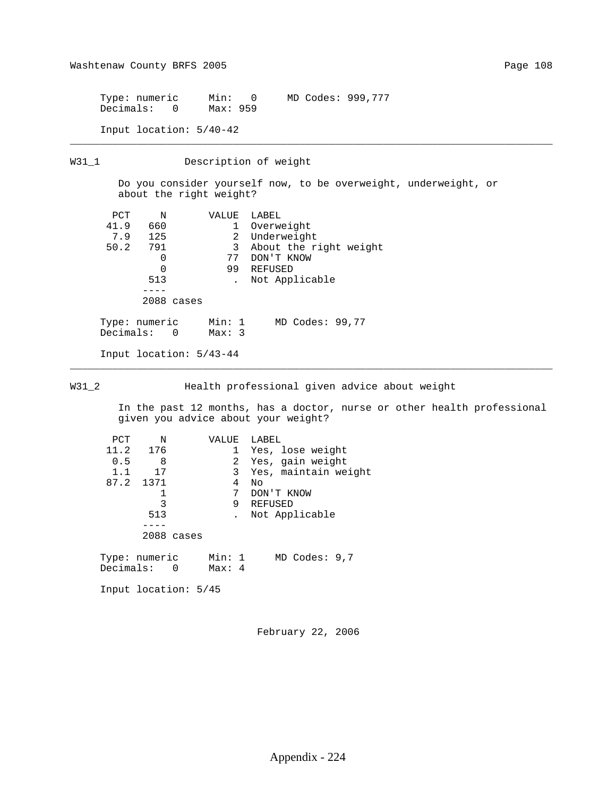Type: numeric Min: 0 MD Codes: 999,777 Decimals: 0 Max: 959

Input location: 5/40-42

W31\_1 Description of weight

 Do you consider yourself now, to be overweight, underweight, or about the right weight?

\_\_\_\_\_\_\_\_\_\_\_\_\_\_\_\_\_\_\_\_\_\_\_\_\_\_\_\_\_\_\_\_\_\_\_\_\_\_\_\_\_\_\_\_\_\_\_\_\_\_\_\_\_\_\_\_\_\_\_\_\_\_\_\_\_\_\_\_\_\_\_\_\_\_\_\_\_\_\_\_

| PCT                        | N                        |            | VALUE            | LABEL |                        |
|----------------------------|--------------------------|------------|------------------|-------|------------------------|
| 41.9                       | 660                      |            | 1                |       | Overweight             |
| 7.9                        | 125                      |            | $\overline{2}$   |       | Underweight            |
| 50.2                       | 791                      |            | 3                |       | About the right weight |
|                            | 0                        |            | 77               |       | DON'T KNOW             |
|                            | $\Omega$                 |            | 99               |       | REFUSED                |
|                            | 513                      |            |                  |       | Not Applicable         |
|                            |                          |            |                  |       |                        |
|                            |                          | 2088 cases |                  |       |                        |
| Type: numeric<br>Decimals: | $\overline{\phantom{0}}$ |            | Min: 1<br>Max: 3 |       | MD Codes: 99,77        |

Input location: 5/43-44

W31\_2 Health professional given advice about weight

\_\_\_\_\_\_\_\_\_\_\_\_\_\_\_\_\_\_\_\_\_\_\_\_\_\_\_\_\_\_\_\_\_\_\_\_\_\_\_\_\_\_\_\_\_\_\_\_\_\_\_\_\_\_\_\_\_\_\_\_\_\_\_\_\_\_\_\_\_\_\_\_\_\_\_\_\_\_\_\_

 In the past 12 months, has a doctor, nurse or other health professional given you advice about your weight?

| PCT | N         |            | VALUE        | LABEL                  |
|-----|-----------|------------|--------------|------------------------|
|     | 11.2 176  |            | 1            | Yes, lose weight       |
| 0.5 | 8         |            | $\mathbf{2}$ | Yes, gain weight       |
| 1.1 | 17        |            |              | 3 Yes, maintain weight |
|     | 87.2 1371 |            | 4            | Νo                     |
|     |           |            | 7            | DON'T KNOW             |
|     | 3         |            | 9            | REFUSED                |
|     | 513       |            |              | Not Applicable         |
|     |           |            |              |                        |
|     |           | 2088 cases |              |                        |
|     |           |            |              |                        |
|     |           |            |              |                        |

 Type: numeric Min: 1 MD Codes: 9,7 Decimals: 0 Max: 4

Input location: 5/45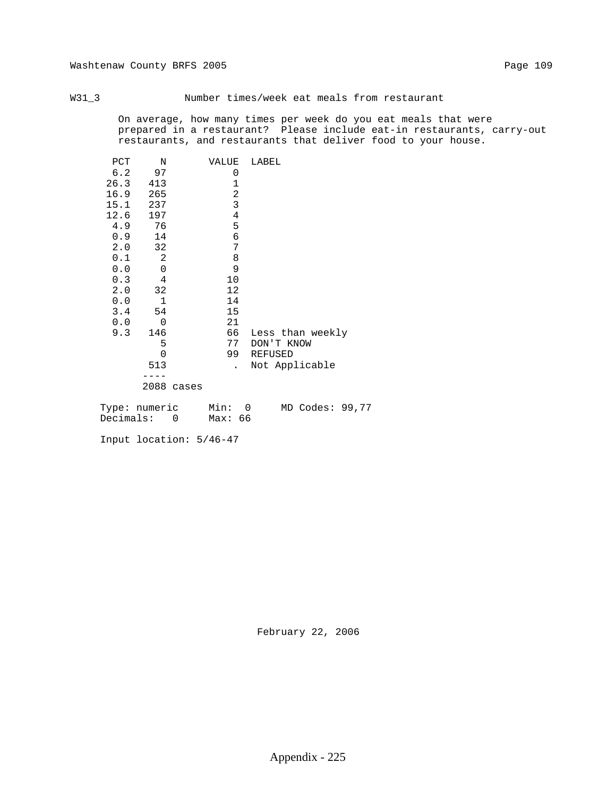W31\_3 Number times/week eat meals from restaurant

 On average, how many times per week do you eat meals that were prepared in a restaurant? Please include eat-in restaurants, carry-out restaurants, and restaurants that deliver food to your house.

| PCT  | N              |            | VALUE        | LABEL            |
|------|----------------|------------|--------------|------------------|
| 6.2  | 97             |            | 0            |                  |
| 26.3 | 413            |            | $\mathbf 1$  |                  |
| 16.9 | 265            |            | 2            |                  |
| 15.1 | 237            |            | $\mathbf{3}$ |                  |
| 12.6 | 197            |            | $\bf 4$      |                  |
| 4.9  | 76             |            | 5            |                  |
| 0.9  | 14             |            | 6            |                  |
| 2.0  | 32             |            | 7            |                  |
| 0.1  | 2              |            | 8            |                  |
| 0.0  | $\overline{0}$ |            | 9            |                  |
| 0.3  | 4              |            | 10           |                  |
| 2.0  | 32             |            | 12           |                  |
| 0.0  | $\mathbf 1$    |            | 14           |                  |
| 3.4  | 54             |            | 15           |                  |
| 0.0  | $\mathbf 0$    |            | 21           |                  |
| 9.3  | 146            |            | 66           | Less than weekly |
|      | 5              |            | 77           | DON'T KNOW       |
|      | 0              |            | 99           | <b>REFUSED</b>   |
|      | 513            |            | $\mathbf{r}$ | Not Applicable   |
|      |                |            |              |                  |
|      |                | 2088 cases |              |                  |
|      |                |            |              |                  |

| Type: numeric | Min:    |  | MD Codes: 99,77 |  |
|---------------|---------|--|-----------------|--|
| Decimals:     | Мах: 66 |  |                 |  |

Input location: 5/46-47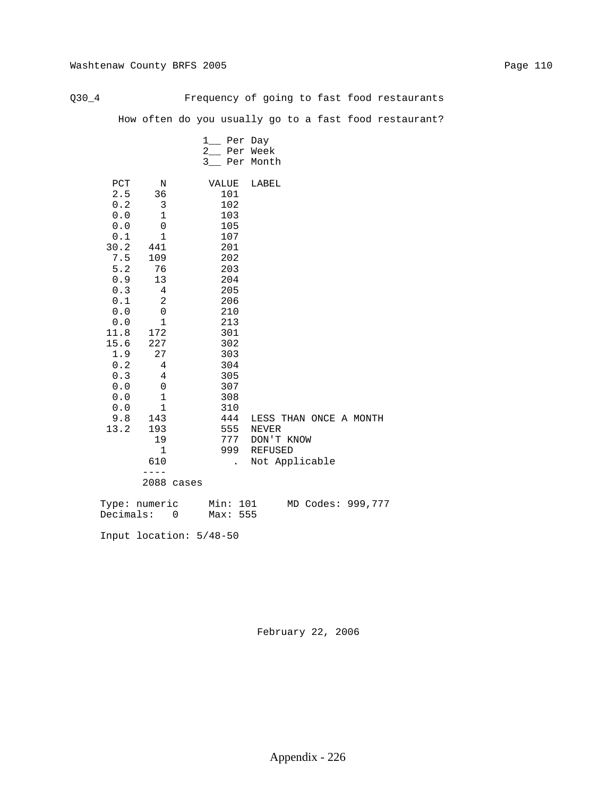Q30\_4 Frequency of going to fast food restaurants

How often do you usually go to a fast food restaurant?

|                                                                                                                                                                                                  |                                                                                                                                                                             |            | 1__ Per Day<br>2_ Per Week<br>3_ Per Month                                                                                                                                           |                                                                   |                   |
|--------------------------------------------------------------------------------------------------------------------------------------------------------------------------------------------------|-----------------------------------------------------------------------------------------------------------------------------------------------------------------------------|------------|--------------------------------------------------------------------------------------------------------------------------------------------------------------------------------------|-------------------------------------------------------------------|-------------------|
| PCT<br>2.5<br>$0.2\,$<br>0.0<br>${\bf 0}$ . ${\bf 0}$<br>0.1<br>30.2<br>7.5<br>5.2<br>0.9<br>$0.3$<br>0.1<br>0.0<br>0.0<br>11.8<br>15.6<br>1.9<br>0.2<br>0.3<br>0.0<br>0.0<br>0.0<br>9.8<br>13.2 | N<br>36<br>3<br>$\mathbf{1}$<br>0<br>1<br>441<br>109<br>76<br>13<br>4<br>2<br>0<br>$\mathbf 1$<br>172<br>227<br>27<br>4<br>4<br>0<br>1<br>1<br>143<br>193<br>19<br>1<br>610 |            | VALUE<br>101<br>102<br>103<br>105<br>107<br>201<br>202<br>203<br>204<br>205<br>206<br>210<br>213<br>301<br>302<br>303<br>304<br>305<br>307<br>308<br>310<br>444<br>555<br>777<br>999 | LABEL<br>LESS THAN ONCE A MONTH<br>NEVER<br>DON'T KNOW<br>REFUSED |                   |
|                                                                                                                                                                                                  | $- - - -$                                                                                                                                                                   | 2088 cases | $\ddot{\phantom{a}}$                                                                                                                                                                 | Not Applicable                                                    |                   |
| Type: numeric<br>Decimals:                                                                                                                                                                       |                                                                                                                                                                             | 0          | Min: 101<br>Max: 555                                                                                                                                                                 |                                                                   | MD Codes: 999,777 |

Input location: 5/48-50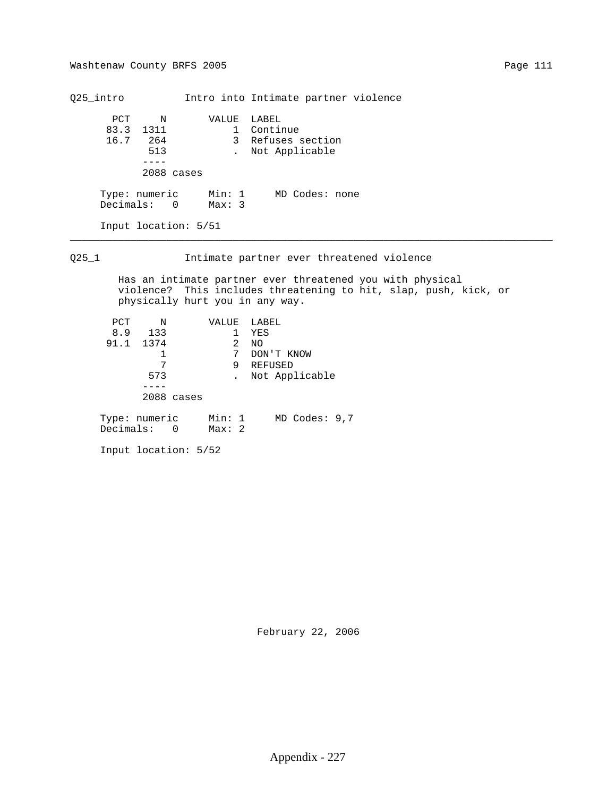Q25\_intro Intro into Intimate partner violence PCT N VALUE LABEL 83.3 1311 1 Continue 16.7 264 3 Refuses section 513 . Not Applicable ---- 2088 cases Type: numeric Min: 1 MD Codes: none Decimals: 0 Max: 3 Input location: 5/51 \_\_\_\_\_\_\_\_\_\_\_\_\_\_\_\_\_\_\_\_\_\_\_\_\_\_\_\_\_\_\_\_\_\_\_\_\_\_\_\_\_\_\_\_\_\_\_\_\_\_\_\_\_\_\_\_\_\_\_\_\_\_\_\_\_\_\_\_\_\_\_\_\_\_\_\_\_\_\_\_

Q25\_1 Intimate partner ever threatened violence

 Has an intimate partner ever threatened you with physical violence? This includes threatening to hit, slap, push, kick, or physically hurt you in any way.

| PCT                        | N   |                | VALUE           |   | LABEL          |
|----------------------------|-----|----------------|-----------------|---|----------------|
| 8.9                        | 133 |                |                 |   | YES            |
| 91.1 1374                  |     |                |                 | 2 | NO.            |
|                            |     |                |                 | 7 | DON'T KNOW     |
|                            |     |                |                 | 9 | REFUSED        |
|                            | 573 |                |                 |   | Not Applicable |
|                            |     |                |                 |   |                |
|                            |     | 2088 cases     |                 |   |                |
| Type: numeric<br>Decimals: |     | $\overline{0}$ | Min: 1<br>Max:2 |   | MD Codes: 9,7  |

Input location: 5/52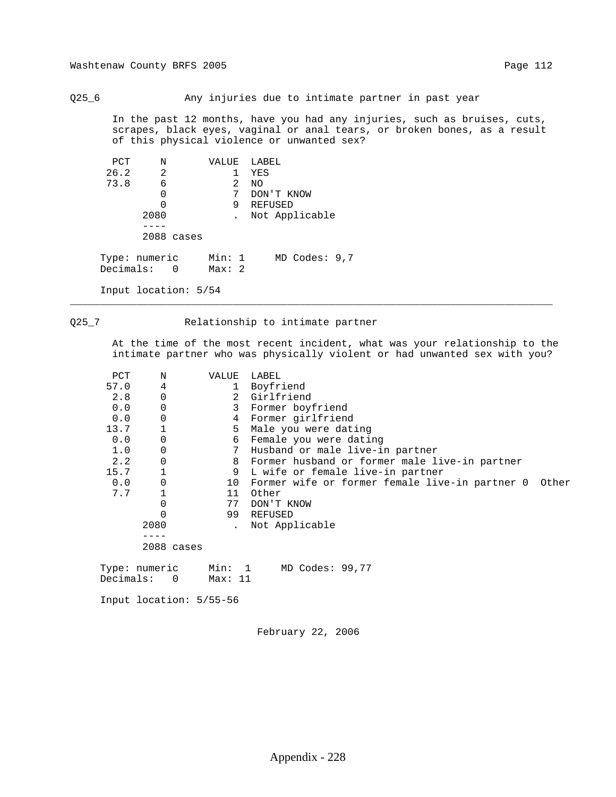Q25\_6 Any injuries due to intimate partner in past year

 In the past 12 months, have you had any injuries, such as bruises, cuts, scrapes, black eyes, vaginal or anal tears, or broken bones, as a result of this physical violence or unwanted sex?

| PCT                          | N    |            | VALUE           |   | LABEL             |
|------------------------------|------|------------|-----------------|---|-------------------|
| 26.2                         | 2    |            |                 |   | YES               |
| 73.8                         | 6    |            |                 | 2 | NO.               |
|                              | 0    |            |                 | 7 | DON'T KNOW        |
|                              |      |            |                 | 9 | REFUSED           |
|                              | 2080 |            |                 |   | Not Applicable    |
|                              |      |            |                 |   |                   |
|                              |      | 2088 cases |                 |   |                   |
| Type: numeric<br>Decimals: 0 |      |            | Min: 1<br>Max:2 |   | $MD$ Codes: $9,7$ |

Input location: 5/54

## Q25\_7 Relationship to intimate partner

\_\_\_\_\_\_\_\_\_\_\_\_\_\_\_\_\_\_\_\_\_\_\_\_\_\_\_\_\_\_\_\_\_\_\_\_\_\_\_\_\_\_\_\_\_\_\_\_\_\_\_\_\_\_\_\_\_\_\_\_\_\_\_\_\_\_\_\_\_\_\_\_\_\_\_\_\_\_\_\_

 At the time of the most recent incident, what was your relationship to the intimate partner who was physically violent or had unwanted sex with you?

| PCT       | Ν                        | VALUE   | LABEL                                                   |
|-----------|--------------------------|---------|---------------------------------------------------------|
| 57.0      | 4                        |         | 1 Boyfriend                                             |
| 2.8       | 0                        |         | 2 Girlfriend                                            |
| 0.0       | 0                        | 3       | Former boyfriend                                        |
| 0.0       | 0                        | 4       | Former girlfriend                                       |
| 13.7      |                          |         | 5 Male you were dating                                  |
| 0.0       | 0                        | 6       | Female you were dating                                  |
| 1.0       | 0                        | 7       | Husband or male live-in partner                         |
| 2.2       | 0                        | 8       | Former husband or former male live-in partner           |
| 15.7      |                          | 9       | L wife or female live-in partner                        |
| 0.0       | $\mathbf 0$              | 10      | Former wife or former female live-in partner 0<br>Other |
| 7.7       |                          | 11      | Other                                                   |
|           | 0                        | 77      | DON'T KNOW                                              |
|           |                          | 99      | REFUSED                                                 |
|           | 2080                     |         | Not Applicable                                          |
|           |                          |         |                                                         |
|           | 2088 cases               |         |                                                         |
|           |                          |         |                                                         |
|           | Type: numeric            | Min: 1  | MD Codes: 99,77                                         |
| Decimals: | $\overline{\phantom{0}}$ | Max: 11 |                                                         |

Input location: 5/55-56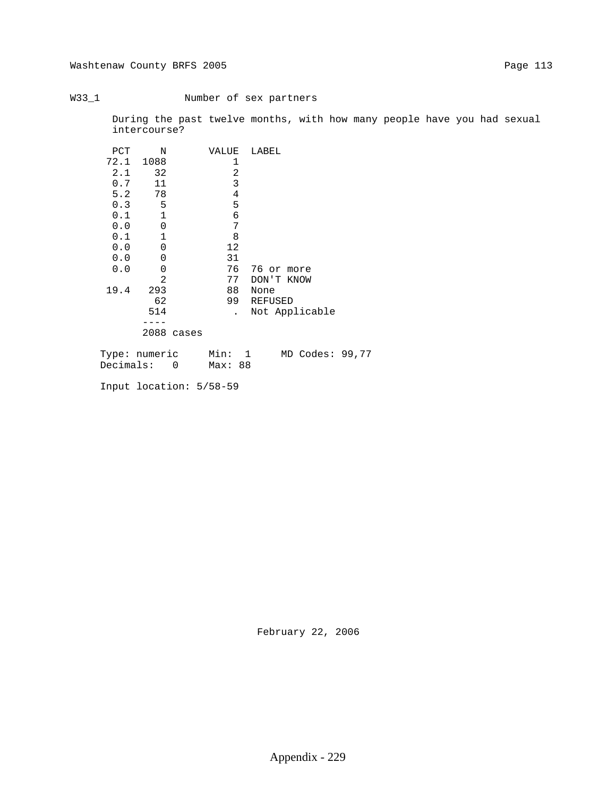## W33\_1 Number of sex partners

 During the past twelve months, with how many people have you had sexual intercourse?

| PCT  | N              | VALUE   | LABEL           |  |
|------|----------------|---------|-----------------|--|
| 72.1 | 1088           | 1       |                 |  |
| 2.1  | 32             | 2       |                 |  |
| 0.7  | 11             | 3       |                 |  |
| 5.2  | 78             | 4       |                 |  |
| 0.3  | 5              | 5       |                 |  |
| 0.1  | $\mathbf{1}$   | 6       |                 |  |
| 0.0  | $\mathbf 0$    | 7       |                 |  |
| 0.1  | 1              | 8       |                 |  |
| 0.0  | 0              | 12      |                 |  |
| 0.0  | 0              | 31      |                 |  |
| 0.0  | $\mathbf 0$    | 76      | 76 or more      |  |
|      | $\overline{2}$ | 77      | DON'T KNOW      |  |
| 19.4 | 293            | 88      | None            |  |
|      | 62             | 99      | REFUSED         |  |
|      | 514            |         | Not Applicable  |  |
|      |                |         |                 |  |
|      | 2088 cases     |         |                 |  |
|      | Type: numeric  | Min: 1  | MD Codes: 99,77 |  |
|      | Decimals: 0    | Max: 88 |                 |  |

Input location: 5/58-59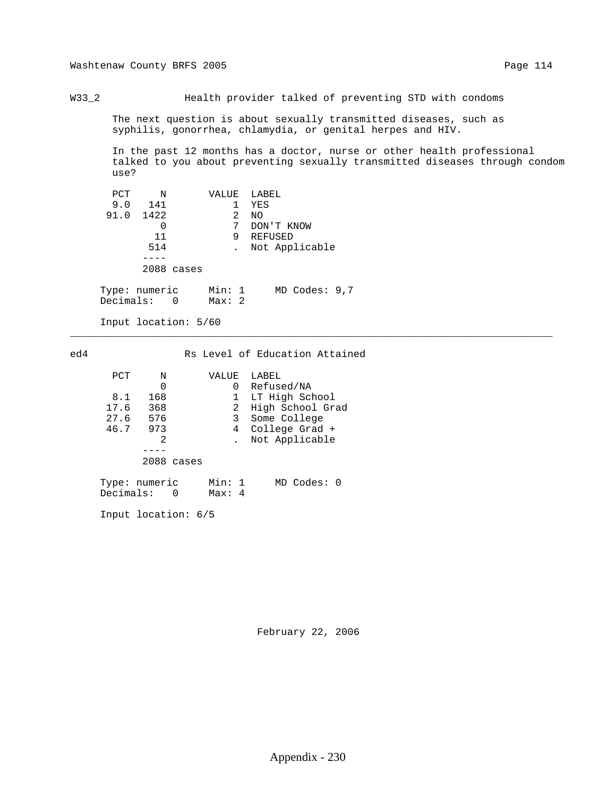W33\_2 Health provider talked of preventing STD with condoms

 The next question is about sexually transmitted diseases, such as syphilis, gonorrhea, chlamydia, or genital herpes and HIV.

 In the past 12 months has a doctor, nurse or other health professional talked to you about preventing sexually transmitted diseases through condom use?

| PCT  | Ν            | VALUE | LABEL          |
|------|--------------|-------|----------------|
| 9.0  | 141          |       | YES            |
| 91.0 | 1422         | 2     | NO.            |
|      | 0            | 7     | DON'T KNOW     |
|      | 11           | 9     | REFUSED        |
|      | 514          |       | Not Applicable |
|      |              |       |                |
|      | 2088 cases   |       |                |
|      |              |       |                |
|      | $\mathbf{r}$ |       |                |

 Type: numeric Min: 1 MD Codes: 9,7 Decimals: 0 Max: 2

Input location: 5/60

## ed4 Rs Level of Education Attained

\_\_\_\_\_\_\_\_\_\_\_\_\_\_\_\_\_\_\_\_\_\_\_\_\_\_\_\_\_\_\_\_\_\_\_\_\_\_\_\_\_\_\_\_\_\_\_\_\_\_\_\_\_\_\_\_\_\_\_\_\_\_\_\_\_\_\_\_\_\_\_\_\_\_\_\_\_\_\_\_

| PCT       | N             | VALUE  | LABEL            |
|-----------|---------------|--------|------------------|
|           | 0             | 0      | Refused/NA       |
| 8.1       | 168           |        | LT High School   |
| 17.6      | 368           | 2      | High School Grad |
| 27.6      | 576           | 3      | Some College     |
| 46.7      | 973           | 4      | College Grad +   |
|           | 2             |        | Not Applicable   |
|           |               |        |                  |
|           | 2088 cases    |        |                  |
|           |               |        |                  |
|           | Type: numeric | Min: 1 | MD Codes: 0      |
| Decimals: | $\Omega$      | Max: 4 |                  |

Input location: 6/5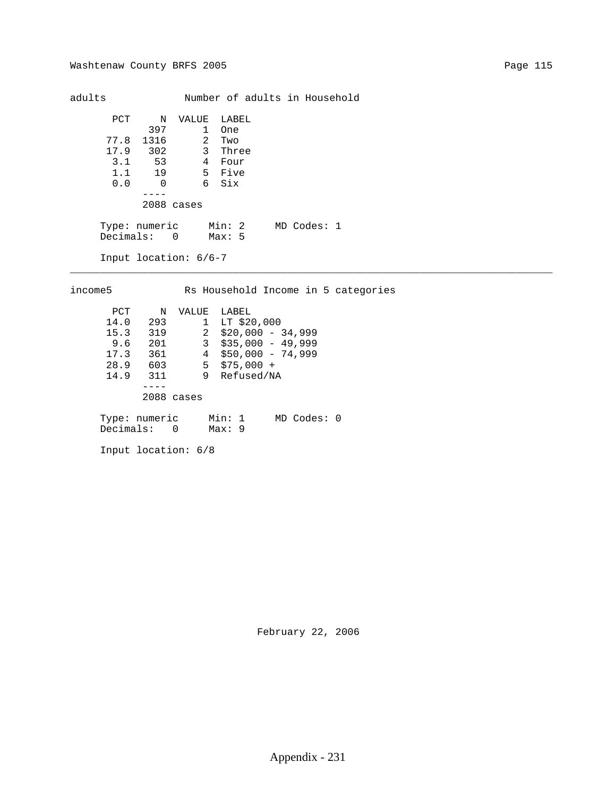adults Mumber of adults in Household PCT N VALUE LABEL 397 1 One 77.8 1316 2 Two 17.9 302 3 Three 3.1 53 4 Four 1.1 19 5 Five 0.0 0 6 Six ---- 2088 cases Type: numeric Min: 2 MD Codes: 1 Decimals: 0 Max: 5 Input location: 6/6-7 \_\_\_\_\_\_\_\_\_\_\_\_\_\_\_\_\_\_\_\_\_\_\_\_\_\_\_\_\_\_\_\_\_\_\_\_\_\_\_\_\_\_\_\_\_\_\_\_\_\_\_\_\_\_\_\_\_\_\_\_\_\_\_\_\_\_\_\_\_\_\_\_\_\_\_\_\_\_\_\_

 income5 Rs Household Income in 5 categories PCT N VALUE LABEL 14.0 293 1 LT \$20,000 15.3 319 2 \$20,000 - 34,999 9.6 201 3 \$35,000 - 49,999 17.3 361 4 \$50,000 - 74,999 28.9 603 5 \$75,000 + 14.9 311 9 Refused/NA ---- 2088 cases Type: numeric Min: 1 MD Codes: 0 Decimals: 0 Max: 9

Input location: 6/8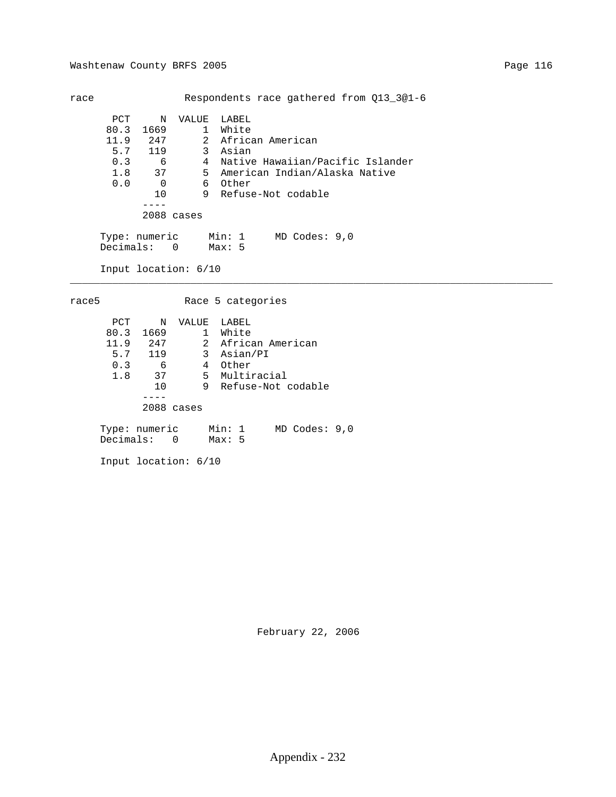| race |                              |                |                      | Respondents race gathered from 013 301-6 |
|------|------------------------------|----------------|----------------------|------------------------------------------|
|      | PCT                          | N              | VALUE                | LABEL                                    |
|      | 80.3                         | 1669           |                      | 1 White                                  |
|      | 11.9                         | 247            |                      | 2 African American                       |
|      | 5.7 119                      |                |                      | 3 Asian                                  |
|      | 0.3                          | 6              | 4                    | Native Hawaiian/Pacific Islander         |
|      | $1.8$ 37                     |                |                      | 5 American Indian/Alaska Native          |
|      | 0.0                          | $\overline{0}$ |                      | 6 Other                                  |
|      |                              | 10             |                      | 9 Refuse-Not codable                     |
|      |                              |                |                      |                                          |
|      |                              | 2088 cases     |                      |                                          |
|      | Type: numeric<br>Decimals: 0 |                |                      | Min: 1 MD Codes: 9,0<br>Max:5            |
|      |                              |                | Input location: 6/10 |                                          |

race5 Race 5 categories

| PCT       | Ν             | VALUE        | LABEL                       |
|-----------|---------------|--------------|-----------------------------|
| 80.3      | 1669          | $\mathbf{1}$ | White                       |
| 11.9      | 247           |              | 2 African American          |
| 5.7       | 119           |              | 3 Asian/PI                  |
| 0.3       | 6             | 4            | Other                       |
| 1.8       | 37            |              | 5 Multiracial               |
|           | 10            |              | 9 Refuse-Not codable        |
|           |               |              |                             |
|           |               | $2088$ cases |                             |
|           |               |              |                             |
|           | Type: numeric |              | Min: 1<br>$MD$ Codes: $9.0$ |
| Decimals: |               | $\Omega$     | Max:5                       |

Input location: 6/10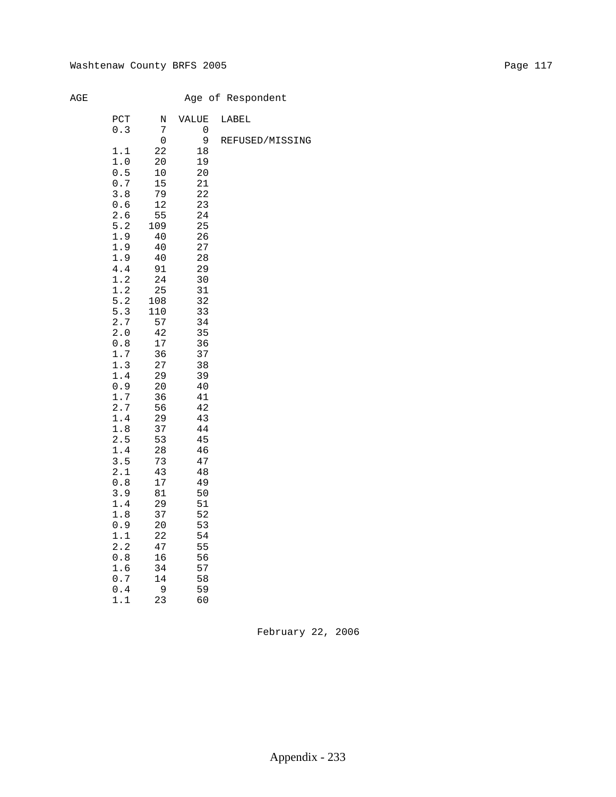# Age of Respondent

| PCT   | Ν      | VALUE | LABEL           |
|-------|--------|-------|-----------------|
| 0.3   | 7      | 0     |                 |
|       | 0      | 9     | REFUSED/MISSING |
| 1.1   | 22     | 18    |                 |
| 1.0   | 20     | 19    |                 |
| 0.5   | $10$   | 20    |                 |
| 0.7   | 15     | 21    |                 |
| 3.8   | 79     | 22    |                 |
| 0.6   | 12     | 23    |                 |
| 2.6   | 55     | 24    |                 |
| 5.2   | 109    | 25    |                 |
| 1.9   | $40$   | 26    |                 |
| 1.9   | 40     | 27    |                 |
| 1.9   | 40     | 28    |                 |
| 4.4   | 91     | 29    |                 |
| 1.2   | 24     | 30    |                 |
| 1.2   | 25     | 31    |                 |
| 5.2   | 108    | 32    |                 |
| 5.3   | 110    | 33    |                 |
| 2.7   | 57     | 34    |                 |
| 2.0   | 42     | 35    |                 |
| 0.8   | $17\,$ | 36    |                 |
| 1.7   | 36     | 37    |                 |
| 1.3   | 27     | 38    |                 |
| 1.4   | 29     | 39    |                 |
| 0.9   | 20     | 40    |                 |
| 1.7   | 36     | 41    |                 |
| 2.7   | 56     | 42    |                 |
| 1.4   | 29     | 43    |                 |
| 1.8   | 37     | 44    |                 |
| 2.5   | 53     | 45    |                 |
| 1.4   | 28     | 46    |                 |
| 3.5   | 73     | 47    |                 |
| 2.1   | 43     | 48    |                 |
| 0.8   | $17$   | 49    |                 |
| 3.9   | 81     | 50    |                 |
| 1.4   | 29     | 51    |                 |
| 1.8   | 37     | 52    |                 |
| 0.9   | 20     | 53    |                 |
| 1.1   | 22     | 54    |                 |
| 2.2   | 47     | 55    |                 |
| $0.8$ | 16     | 56    |                 |
| 1.6   | 34     | 57    |                 |
| 0.7   | 14     | 58    |                 |
| 0.4   | 9      | 59    |                 |
| 1.1   | 23     | 60    |                 |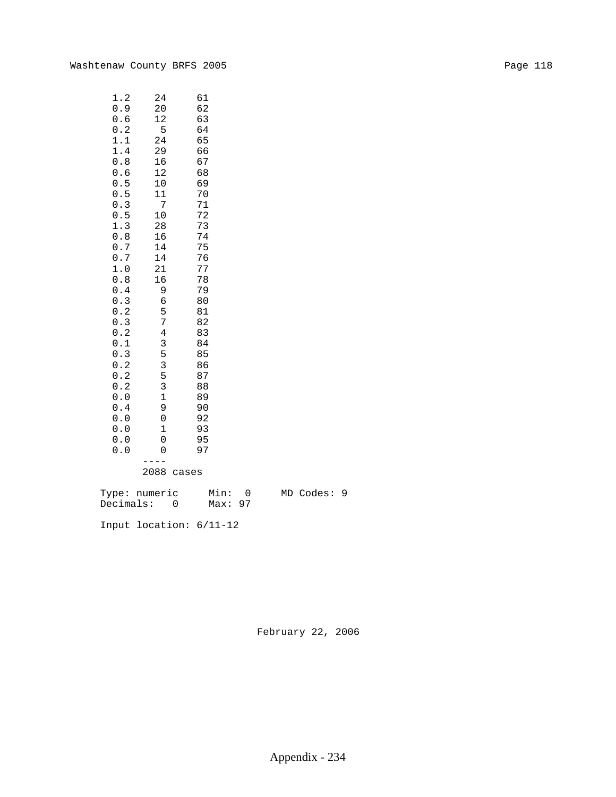| 1.2<br>0.9<br>0.6<br>0.2<br>1.1<br>1.4<br>0.8<br>0.6<br>0.5<br>$0$ .<br>5<br>0.3<br>0.5<br>1.3<br>0.8<br>0.7<br>0.7<br>1.0<br>0.8<br>0.4<br>0.3<br>0.2<br>0.3<br>0.2<br>0.1<br>0.3<br>0.2<br>0.2<br>0.2<br>0.0<br>0.4<br>0.0<br>0.0 | 24<br>20<br>12<br>5<br>24<br>29<br>16<br>12<br>10<br>11<br>7<br>10<br>28<br>16<br>14<br>14<br>21<br>16<br>9<br>б<br>5<br>7<br>$\overline{4}$<br>3<br>5<br>3<br>5<br>3<br>$\mathbf 1$<br>9<br>0<br>$\mathbf{1}$ | 61<br>62<br>63<br>64<br>65<br>66<br>67<br>68<br>69<br>70<br>71<br>72<br>73<br>74<br>75<br>76<br>77<br>78<br>79<br>80<br>81<br>82<br>83<br>84<br>85<br>86<br>87<br>88<br>89<br>90<br>92<br>93 |
|-------------------------------------------------------------------------------------------------------------------------------------------------------------------------------------------------------------------------------------|----------------------------------------------------------------------------------------------------------------------------------------------------------------------------------------------------------------|----------------------------------------------------------------------------------------------------------------------------------------------------------------------------------------------|
|                                                                                                                                                                                                                                     |                                                                                                                                                                                                                |                                                                                                                                                                                              |
|                                                                                                                                                                                                                                     |                                                                                                                                                                                                                |                                                                                                                                                                                              |
| 0.0                                                                                                                                                                                                                                 | 0                                                                                                                                                                                                              | 95                                                                                                                                                                                           |
| 0.0                                                                                                                                                                                                                                 | 0                                                                                                                                                                                                              | 97                                                                                                                                                                                           |
|                                                                                                                                                                                                                                     | $\Omega$                                                                                                                                                                                                       |                                                                                                                                                                                              |

2088 cases

 Type: numeric Min: 0 MD Codes: 9 Decimals: 0 Max: 97

Input location: 6/11-12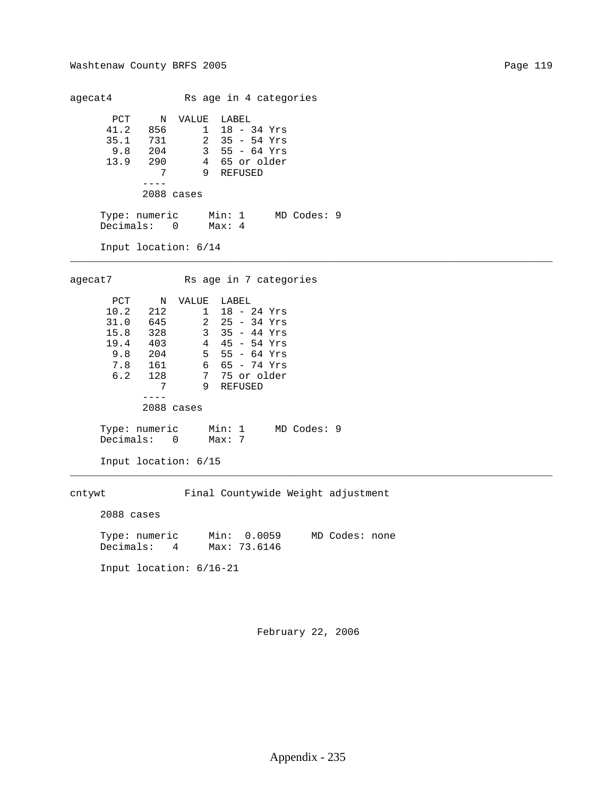agecat4 Rs age in 4 categories PCT N VALUE LABEL 41.2 856 1 18 - 34 Yrs 35.1 731 2 35 - 54 Yrs 9.8 204 3 55 - 64 Yrs 13.9 290 4 65 or older 7 9 REFUSED ---- 2088 cases Type: numeric Min: 1 MD Codes: 9 Decimals: 0 Max: 4 Input location: 6/14 \_\_\_\_\_\_\_\_\_\_\_\_\_\_\_\_\_\_\_\_\_\_\_\_\_\_\_\_\_\_\_\_\_\_\_\_\_\_\_\_\_\_\_\_\_\_\_\_\_\_\_\_\_\_\_\_\_\_\_\_\_\_\_\_\_\_\_\_\_\_\_\_\_\_\_\_\_\_\_\_ agecat7 Rs age in 7 categories PCT N VALUE LABEL 10.2 212 1 18 - 24 Yrs<br>31.0 645 2 25 - 34 Yrs 31.0 645 2 25 - 34 Yrs 15.8 328 3 35 - 44 Yrs 19.4 403 4 45 - 54 Yrs 9.8 204 5 55 - 64 Yrs 7.8 161 6 65 - 74 Yrs 6.2 128 7 75 or older 7 9 REFUSED ---- 2088 cases Type: numeric Min: 1 MD Codes: 9 Decimals: 0 Max: 7 Input location: 6/15 \_\_\_\_\_\_\_\_\_\_\_\_\_\_\_\_\_\_\_\_\_\_\_\_\_\_\_\_\_\_\_\_\_\_\_\_\_\_\_\_\_\_\_\_\_\_\_\_\_\_\_\_\_\_\_\_\_\_\_\_\_\_\_\_\_\_\_\_\_\_\_\_\_\_\_\_\_\_\_\_ cntywt Final Countywide Weight adjustment 2088 cases Type: numeric Min: 0.0059 MD Codes: none Decimals: 4 Max: 73.6146 Input location: 6/16-21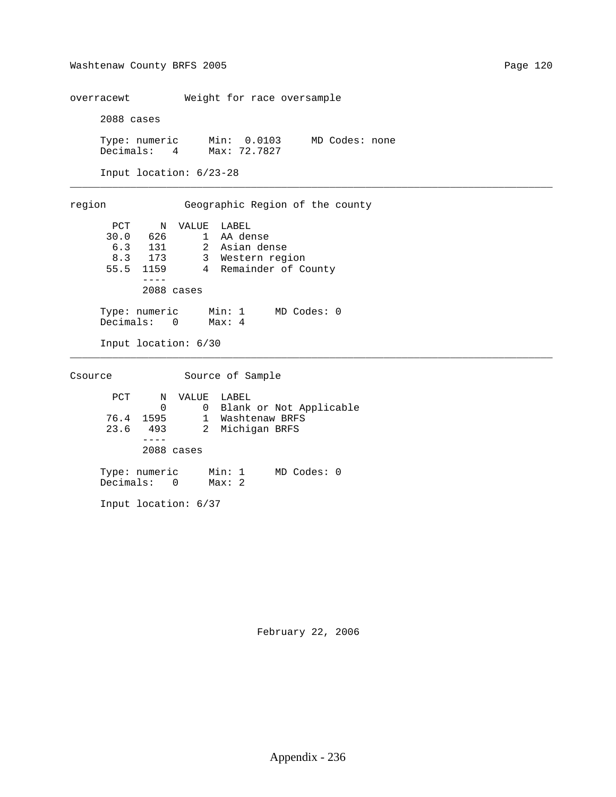overracewt Weight for race oversample

2088 cases

 Type: numeric Min: 0.0103 MD Codes: none Decimals: 4 Max: 72.7827

\_\_\_\_\_\_\_\_\_\_\_\_\_\_\_\_\_\_\_\_\_\_\_\_\_\_\_\_\_\_\_\_\_\_\_\_\_\_\_\_\_\_\_\_\_\_\_\_\_\_\_\_\_\_\_\_\_\_\_\_\_\_\_\_\_\_\_\_\_\_\_\_\_\_\_\_\_\_\_\_

\_\_\_\_\_\_\_\_\_\_\_\_\_\_\_\_\_\_\_\_\_\_\_\_\_\_\_\_\_\_\_\_\_\_\_\_\_\_\_\_\_\_\_\_\_\_\_\_\_\_\_\_\_\_\_\_\_\_\_\_\_\_\_\_\_\_\_\_\_\_\_\_\_\_\_\_\_\_\_\_

Input location: 6/23-28

 region Geographic Region of the county PCT N VALUE LABEL 30.0 626 1 AA dense 6.3 131 2 Asian dense 8.3 173 3 Western region 55.5 1159 4 Remainder of County ---- 2088 cases Type: numeric Min: 1 MD Codes: 0 Decimals: 0 Max: 4

Input location: 6/30

Csource Source of Sample PCT N VALUE LABEL 0 0 Blank or Not Applicable 76.4 1595 1 Washtenaw BRFS 23.6 493 2 Michigan BRFS ---- 2088 cases Type: numeric Min: 1 MD Codes: 0 Decimals: 0 Max: 2

Input location: 6/37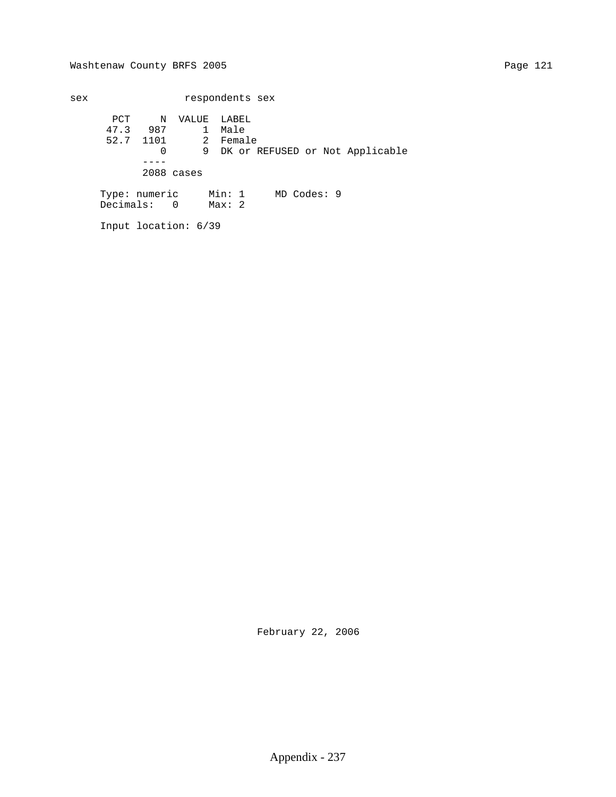sex respondents sex PCT N VALUE LABEL 47.3 987 1 Male 52.7 1101 2 Female 0 9 DK or REFUSED or Not Applicable ---- 2088 cases Type: numeric Min: 1 MD Codes: 9 Decimals: 0 Max: 2

Input location: 6/39

February 22, 2006